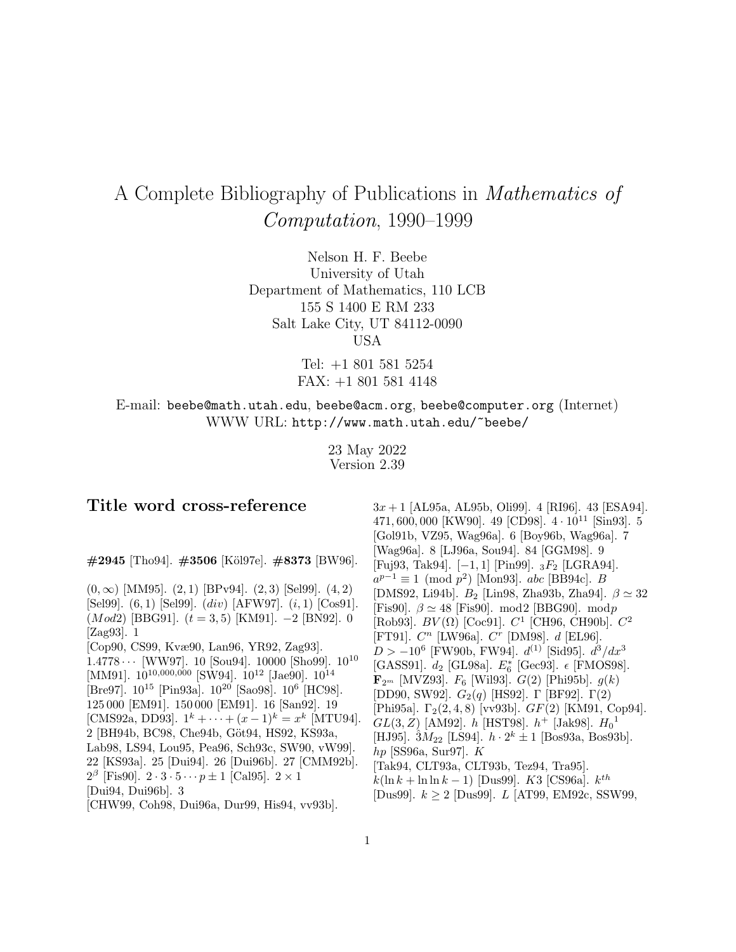# A Complete Bibliography of Publications in Mathematics of Computation, 1990–1999

Nelson H. F. Beebe University of Utah Department of Mathematics, 110 LCB 155 S 1400 E RM 233 Salt Lake City, UT 84112-0090 USA

> Tel: +1 801 581 5254 FAX: +1 801 581 4148

E-mail: beebe@math.utah.edu, beebe@acm.org, beebe@computer.org (Internet) WWW URL: http://www.math.utah.edu/~beebe/

> 23 May 2022 Version 2.39

# **Title word cross-reference**

**#2945** [Tho94]. **#3506** [K¨ol97e]. **#8373** [BW96].

 $(0, \infty)$  [MM95].  $(2, 1)$  [BPv94].  $(2, 3)$  [Sel99].  $(4, 2)$ [Sel99]. (6, 1) [Sel99]. (div) [AFW97]. (i, 1) [Cos91].  $(Mod2)$  [BBG91].  $(t = 3, 5)$  [KM91]. −2 [BN92]. 0 [Zag93]. 1 [Cop90, CS99, Kvæ90, Lan96, YR92, Zag93].  $1.4778 \cdots$  [WW97]. 10 [Sou94]. 10000 [Sho99].  $10^{10}$ [MM91].  $10^{10,000,000}$  [SW94].  $10^{12}$  [Jae90].  $10^{14}$ [Bre97]. 10<sup>15</sup> [Pin93a]. 10<sup>20</sup> [Sao98]. 10<sup>6</sup> [HC98]. 125 000 [EM91]. 150 000 [EM91]. 16 [San92]. 19 [CMS92a, DD93].  $1^k + \cdots + (x-1)^k = x^k$  [MTU94]. 2 [BH94b, BC98, Che94b, Göt94, HS92, KS93a, Lab98, LS94, Lou95, Pea96, Sch93c, SW90, vW99]. 22 [KS93a]. 25 [Dui94]. 26 [Dui96b]. 27 [CMM92b].  $2^{\beta}$  [Fis90].  $2 \cdot 3 \cdot 5 \cdots p \pm 1$  [Cal95].  $2 \times 1$ [Dui94, Dui96b]. 3 [CHW99, Coh98, Dui96a, Dur99, His94, vv93b].

 $3x + 1$  [AL95a, AL95b, Oli99]. 4 [RI96]. 43 [ESA94]. 471, 600, 000 [KW90]. 49 [CD98].  $4 \cdot 10^{11}$  [Sin93]. 5 [Gol91b, VZ95, Wag96a]. 6 [Boy96b, Wag96a]. 7 [Wag96a]. 8 [LJ96a, Sou94]. 84 [GGM98]. 9 [Fuj93, Tak94]. [−1, 1] [Pin99]. <sup>3</sup>F<sup>2</sup> [LGRA94].  $a^{p-1} \equiv 1 \pmod{p^2}$  [Mon93]. abc [BB94c]. B [DMS92, Li94b].  $B_2$  [Lin98, Zha93b, Zha94].  $\beta \simeq 32$ [Fis90].  $\beta \simeq 48$  [Fis90]. mod2 [BBG90]. modp [Rob93].  $BV(\Omega)$  [Coc91].  $C^1$  [CH96, CH90b].  $C^2$ [FT91].  $C^n$  [LW96a].  $C^r$  [DM98].  $d$  [EL96].  $D > -10^6$  [FW90b, FW94].  $d^{(1)}$  [Sid95].  $d^3/dx^3$ [GASS91].  $d_2$  [GL98a].  $E_6^*$  [Gec93].  $\epsilon$  [FMOS98].  $\mathbf{F}_{2^m}$  [MVZ93].  $F_6$  [Wil93].  $G(2)$  [Phi95b].  $g(k)$ [DD90, SW92].  $G_2(q)$  [HS92]. Γ [BF92]. Γ(2) [Phi95a].  $\Gamma_2(2, 4, 8)$  [vv93b].  $GF(2)$  [KM91, Cop94].  $GL(3,Z)$  [AM92].  $h$  [HST98].  $h^+$  [Jak98].  $H_0^{-1}$ [HJ95].  $3M_{22}$  [LS94].  $h \cdot 2^{k} \pm 1$  [Bos93a, Bos93b]. hp [SS96a, Sur97]. K [Tak94, CLT93a, CLT93b, Tez94, Tra95].  $k(\ln k + \ln \ln k - 1)$  [Dus99]. K3 [CS96a].  $k^{th}$ [Dus99]. k ≥ 2 [Dus99]. L [AT99, EM92c, SSW99,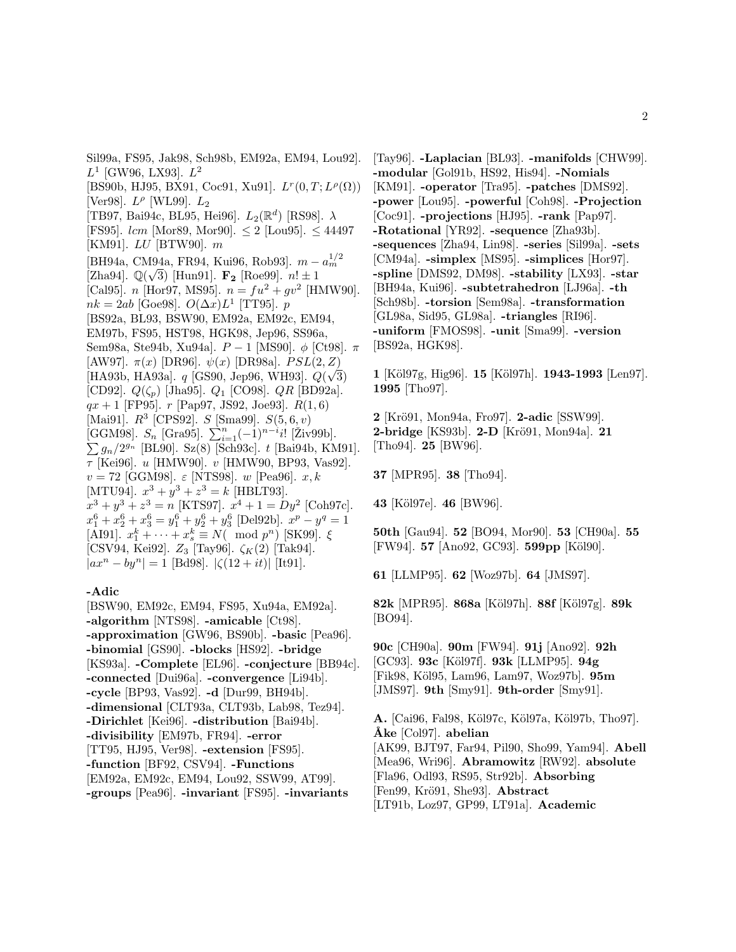Sil99a, FS95, Jak98, Sch98b, EM92a, EM94, Lou92].  $L^1$  [GW96, LX93].  $L^2$ [BS90b, HJ95, BX91, Coc91, Xu91].  $L^r(0, T; L^{\rho}(\Omega))$ [Ver98].  $L^{\rho}$  [WL99].  $L_2$ [TB97, Bai94c, BL95, Hei96].  $L_2(\mathbb{R}^d)$  [RS98].  $\lambda$ [FS95].  $lcm$  [Mor89, Mor90].  $\leq 2$  [Lou95].  $\leq 44497$ [KM91]. LU [BTW90]. m [BH94a, CM94a, FR94, Kui96, Rob93].  $m - a_m^{1/2}$  $\begin{bmatrix} \text{Zha94} \\ \text{Q}(\sqrt{3}) \end{bmatrix}$  [Hun91].  $\mathbf{F_2}$  [Roe99].  $n! \pm 1$ <br>[Cal95]  $n$  [Hor97 MS95]  $n - f u^2 + a v^2$  [H [Cal95]. *n* [Hor97, MS95].  $n = fu^2 + gv^2$  [HMW90].  $nk = 2ab$  [Goe98].  $O(\Delta x)L^1$  [TT95]. p [BS92a, BL93, BSW90, EM92a, EM92c, EM94, EM97b, FS95, HST98, HGK98, Jep96, SS96a, Sem98a, Ste94b, Xu94a].  $P-1$  [MS90]. φ [Ct98]. π [AW97].  $\pi(x)$  [DR96].  $\psi(x)$  [DR98a].  $PSL(2, Z)$  $[HA93b, HA93a]$ . q [GS90, Jep96, WH93].  $Q(\sqrt{3})$ [CD92].  $Q(\zeta_p)$  [Jha95].  $Q_1$  [CO98].  $QR$  [BD92a].  $qx + 1$  [FP95].  $r$  [Pap97, JS92, Joe93].  $R(1,6)$ [Mai91].  $R^3$  [CPS92].  $S$  [Sma99].  $S(5,6, v)$ [GGM98].  $S_n$  [Gra95].  $\sum_{i=1}^{n}(-1)^{n-i}i!$  [Živ99b].  $\sum g_n/2^{g_n}$  [BL90]. Sz(8) [Sch93c]. t [Bai94b, KM91].  $\tau$  [Kei96]. *u* [HMW90]. *v* [HMW90, BP93, Vas92].  $v = 72$  [GGM98].  $\varepsilon$  [NTS98]. w [Pea96].  $x, k$ [MTU94].  $x^3 + y^3 + z^3 = k$  [HBLT93].  $x^3 + y^3 + z^3 = n$  [KTS97].  $x^4 + 1 = Dy^2$  [Coh97c].  $x_1^6 + x_2^6 + x_3^6 = y_1^6 + y_2^6 + y_3^6$  [Del92b].  $x^p - y^q = 1$ [AI91].  $x_1^k + \cdots + x_s^k \equiv N(\mod p^n)$  [SK99].  $\xi$ [CSV94, Kei92].  $Z_3$  [Tay96].  $\zeta_K(2)$  [Tak94].  $|ax^n - by^n| = 1$  [Bd98].  $|\zeta(12 + it)|$  [It91].

### **-Adic**

[BSW90, EM92c, EM94, FS95, Xu94a, EM92a]. **-algorithm** [NTS98]. **-amicable** [Ct98]. **-approximation** [GW96, BS90b]. **-basic** [Pea96]. **-binomial** [GS90]. **-blocks** [HS92]. **-bridge** [KS93a]. **-Complete** [EL96]. **-conjecture** [BB94c]. **-connected** [Dui96a]. **-convergence** [Li94b]. **-cycle** [BP93, Vas92]. **-d** [Dur99, BH94b]. **-dimensional** [CLT93a, CLT93b, Lab98, Tez94]. **-Dirichlet** [Kei96]. **-distribution** [Bai94b]. **-divisibility** [EM97b, FR94]. **-error** [TT95, HJ95, Ver98]. **-extension** [FS95]. **-function** [BF92, CSV94]. **-Functions** [EM92a, EM92c, EM94, Lou92, SSW99, AT99]. **-groups** [Pea96]. **-invariant** [FS95]. **-invariants**

[Tay96]. **-Laplacian** [BL93]. **-manifolds** [CHW99]. **-modular** [Gol91b, HS92, His94]. **-Nomials** [KM91]. **-operator** [Tra95]. **-patches** [DMS92]. **-power** [Lou95]. **-powerful** [Coh98]. **-Projection** [Coc91]. **-projections** [HJ95]. **-rank** [Pap97]. **-Rotational** [YR92]. **-sequence** [Zha93b]. **-sequences** [Zha94, Lin98]. **-series** [Sil99a]. **-sets** [CM94a]. **-simplex** [MS95]. **-simplices** [Hor97]. **-spline** [DMS92, DM98]. **-stability** [LX93]. **-star** [BH94a, Kui96]. **-subtetrahedron** [LJ96a]. **-th** [Sch98b]. **-torsion** [Sem98a]. **-transformation** [GL98a, Sid95, GL98a]. **-triangles** [RI96]. **-uniform** [FMOS98]. **-unit** [Sma99]. **-version** [BS92a, HGK98].

**1** [K¨ol97g, Hig96]. **15** [K¨ol97h]. **1943-1993** [Len97]. **1995** [Tho97].

**2** [Kr¨o91, Mon94a, Fro97]. **2-adic** [SSW99]. **2-bridge** [KS93b]. **2-D** [Kr¨o91, Mon94a]. **21** [Tho94]. **25** [BW96].

**37** [MPR95]. **38** [Tho94].

**43** [K¨ol97e]. **46** [BW96].

**50th** [Gau94]. **52** [BO94, Mor90]. **53** [CH90a]. **55** [FW94]. **57** [Ano92, GC93]. **599pp** [Köl90].

**61** [LLMP95]. **62** [Woz97b]. **64** [JMS97].

**82k** [MPR95]. **868a** [K¨ol97h]. **88f** [K¨ol97g]. **89k** [BO94].

**90c** [CH90a]. **90m** [FW94]. **91j** [Ano92]. **92h** [GC93]. **93c** [K¨ol97f]. **93k** [LLMP95]. **94g** [Fik98, K¨ol95, Lam96, Lam97, Woz97b]. **95m** [JMS97]. **9th** [Smy91]. **9th-order** [Smy91].

**A.** [Cai96, Fal98, K¨ol97c, K¨ol97a, K¨ol97b, Tho97]. **˚Ake** [Col97]. **abelian** [AK99, BJT97, Far94, Pil90, Sho99, Yam94]. **Abell** [Mea96, Wri96]. **Abramowitz** [RW92]. **absolute** [Fla96, Odl93, RS95, Str92b]. **Absorbing** [Fen99, Krö91, She93]. **Abstract** [LT91b, Loz97, GP99, LT91a]. **Academic**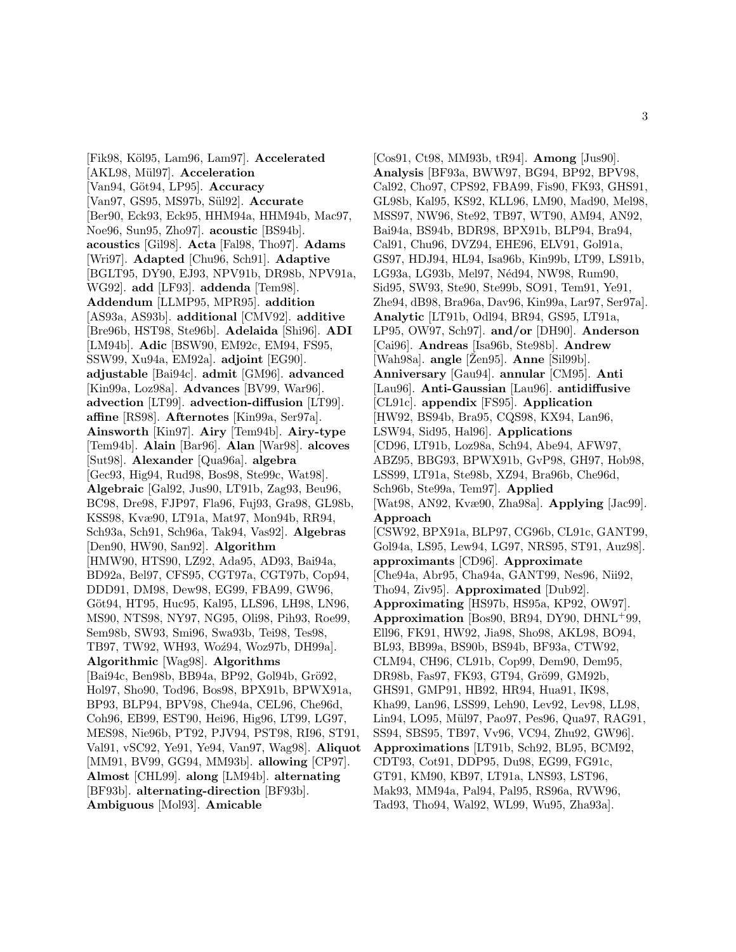[Fik98, K¨ol95, Lam96, Lam97]. **Accelerated** [AKL98, Mül97]. **Acceleration** [Van94, Göt94, LP95]. **Accuracy** [Van97, GS95, MS97b, S¨ul92]. **Accurate** [Ber90, Eck93, Eck95, HHM94a, HHM94b, Mac97, Noe96, Sun95, Zho97]. **acoustic** [BS94b]. **acoustics** [Gil98]. **Acta** [Fal98, Tho97]. **Adams** [Wri97]. **Adapted** [Chu96, Sch91]. **Adaptive** [BGLT95, DY90, EJ93, NPV91b, DR98b, NPV91a, WG92]. **add** [LF93]. **addenda** [Tem98]. **Addendum** [LLMP95, MPR95]. **addition** [AS93a, AS93b]. **additional** [CMV92]. **additive** [Bre96b, HST98, Ste96b]. **Adelaida** [Shi96]. **ADI** [LM94b]. **Adic** [BSW90, EM92c, EM94, FS95, SSW99, Xu94a, EM92a]. **adjoint** [EG90]. **adjustable** [Bai94c]. **admit** [GM96]. **advanced** [Kin99a, Loz98a]. **Advances** [BV99, War96]. **advection** [LT99]. **advection-diffusion** [LT99]. **affine** [RS98]. **Afternotes** [Kin99a, Ser97a]. **Ainsworth** [Kin97]. **Airy** [Tem94b]. **Airy-type** [Tem94b]. **Alain** [Bar96]. **Alan** [War98]. **alcoves** [Sut98]. **Alexander** [Qua96a]. **algebra** [Gec93, Hig94, Rud98, Bos98, Ste99c, Wat98]. **Algebraic** [Gal92, Jus90, LT91b, Zag93, Beu96, BC98, Dre98, FJP97, Fla96, Fuj93, Gra98, GL98b, KSS98, Kvæ90, LT91a, Mat97, Mon94b, RR94, Sch93a, Sch91, Sch96a, Tak94, Vas92]. **Algebras** [Den90, HW90, San92]. **Algorithm** [HMW90, HTS90, LZ92, Ada95, AD93, Bai94a, BD92a, Bel97, CFS95, CGT97a, CGT97b, Cop94, DDD91, DM98, Dew98, EG99, FBA99, GW96, Göt94, HT95, Huc95, Kal95, LLS96, LH98, LN96, MS90, NTS98, NY97, NG95, Oli98, Pih93, Roe99, Sem98b, SW93, Smi96, Swa93b, Tei98, Tes98, TB97, TW92, WH93, Woź94, Woz97b, DH99a]. **Algorithmic** [Wag98]. **Algorithms** [Bai94c, Ben98b, BB94a, BP92, Gol94b, Grö92, Hol97, Sho90, Tod96, Bos98, BPX91b, BPWX91a, BP93, BLP94, BPV98, Che94a, CEL96, Che96d, Coh96, EB99, EST90, Hei96, Hig96, LT99, LG97, MES98, Nie96b, PT92, PJV94, PST98, RI96, ST91, Val91, vSC92, Ye91, Ye94, Van97, Wag98]. **Aliquot** [MM91, BV99, GG94, MM93b]. **allowing** [CP97]. **Almost** [CHL99]. **along** [LM94b]. **alternating** [BF93b]. **alternating-direction** [BF93b]. **Ambiguous** [Mol93]. **Amicable**

[Cos91, Ct98, MM93b, tR94]. **Among** [Jus90]. **Analysis** [BF93a, BWW97, BG94, BP92, BPV98, Cal92, Cho97, CPS92, FBA99, Fis90, FK93, GHS91, GL98b, Kal95, KS92, KLL96, LM90, Mad90, Mel98, MSS97, NW96, Ste92, TB97, WT90, AM94, AN92, Bai94a, BS94b, BDR98, BPX91b, BLP94, Bra94, Cal91, Chu96, DVZ94, EHE96, ELV91, Gol91a, GS97, HDJ94, HL94, Isa96b, Kin99b, LT99, LS91b, LG93a, LG93b, Mel97, Néd94, NW98, Rum90, Sid95, SW93, Ste90, Ste99b, SO91, Tem91, Ye91, Zhe94, dB98, Bra96a, Dav96, Kin99a, Lar97, Ser97a]. **Analytic** [LT91b, Odl94, BR94, GS95, LT91a, LP95, OW97, Sch97]. **and/or** [DH90]. **Anderson** [Cai96]. **Andreas** [Isa96b, Ste98b]. **Andrew** [Wah98a]. **angle** [Žen95]. **Anne** [Sil99b]. **Anniversary** [Gau94]. **annular** [CM95]. **Anti** [Lau96]. **Anti-Gaussian** [Lau96]. **antidiffusive** [CL91c]. **appendix** [FS95]. **Application** [HW92, BS94b, Bra95, CQS98, KX94, Lan96, LSW94, Sid95, Hal96]. **Applications** [CD96, LT91b, Loz98a, Sch94, Abe94, AFW97, ABZ95, BBG93, BPWX91b, GvP98, GH97, Hob98, LSS99, LT91a, Ste98b, XZ94, Bra96b, Che96d, Sch96b, Ste99a, Tem97]. **Applied** [Wat98, AN92, Kvæ90, Zha98a]. **Applying** [Jac99]. **Approach** [CSW92, BPX91a, BLP97, CG96b, CL91c, GANT99, Gol94a, LS95, Lew94, LG97, NRS95, ST91, Auz98]. **approximants** [CD96]. **Approximate** [Che94a, Abr95, Cha94a, GANT99, Nes96, Nii92, Tho94, Ziv95]. **Approximated** [Dub92]. **Approximating** [HS97b, HS95a, KP92, OW97]. **Approximation** [Bos90, BR94, DY90, DHNL<sup>+</sup>99, Ell96, FK91, HW92, Jia98, Sho98, AKL98, BO94, BL93, BB99a, BS90b, BS94b, BF93a, CTW92, CLM94, CH96, CL91b, Cop99, Dem90, Dem95, DR98b, Fas97, FK93, GT94, Grö99, GM92b, GHS91, GMP91, HB92, HR94, Hua91, IK98, Kha99, Lan96, LSS99, Leh90, Lev92, Lev98, LL98, Lin94, LO95, Mül97, Pao97, Pes96, Qua97, RAG91, SS94, SBS95, TB97, Vv96, VC94, Zhu92, GW96]. **Approximations** [LT91b, Sch92, BL95, BCM92, CDT93, Cot91, DDP95, Du98, EG99, FG91c, GT91, KM90, KB97, LT91a, LNS93, LST96, Mak93, MM94a, Pal94, Pal95, RS96a, RVW96, Tad93, Tho94, Wal92, WL99, Wu95, Zha93a].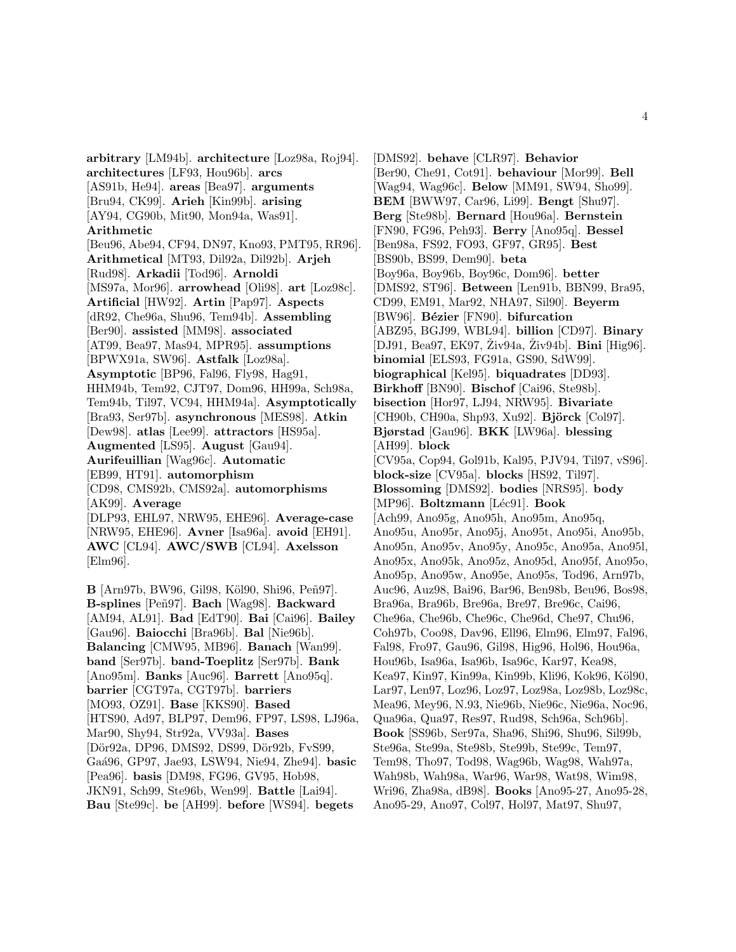**arbitrary** [LM94b]. **architecture** [Loz98a, Roj94]. **architectures** [LF93, Hou96b]. **arcs** [AS91b, He94]. **areas** [Bea97]. **arguments** [Bru94, CK99]. **Arieh** [Kin99b]. **arising** [AY94, CG90b, Mit90, Mon94a, Was91]. **Arithmetic** [Beu96, Abe94, CF94, DN97, Kno93, PMT95, RR96]. **Arithmetical** [MT93, Dil92a, Dil92b]. **Arjeh** [Rud98]. **Arkadii** [Tod96]. **Arnoldi** [MS97a, Mor96]. **arrowhead** [Oli98]. **art** [Loz98c]. **Artificial** [HW92]. **Artin** [Pap97]. **Aspects** [dR92, Che96a, Shu96, Tem94b]. **Assembling** [Ber90]. **assisted** [MM98]. **associated** [AT99, Bea97, Mas94, MPR95]. **assumptions** [BPWX91a, SW96]. **Astfalk** [Loz98a]. **Asymptotic** [BP96, Fal96, Fly98, Hag91, HHM94b, Tem92, CJT97, Dom96, HH99a, Sch98a, Tem94b, Til97, VC94, HHM94a]. **Asymptotically** [Bra93, Ser97b]. **asynchronous** [MES98]. **Atkin** [Dew98]. **atlas** [Lee99]. **attractors** [HS95a]. **Augmented** [LS95]. **August** [Gau94]. **Aurifeuillian** [Wag96c]. **Automatic** [EB99, HT91]. **automorphism** [CD98, CMS92b, CMS92a]. **automorphisms** [AK99]. **Average** [DLP93, EHL97, NRW95, EHE96]. **Average-case** [NRW95, EHE96]. **Avner** [Isa96a]. **avoid** [EH91]. **AWC** [CL94]. **AWC/SWB** [CL94]. **Axelsson** [Elm96].

**B** [Arn97b, BW96, Gil98, Köl90, Shi96, Peñ97]. **B-splines** [Peñ97]. **Bach** [Wag98]. **Backward** [AM94, AL91]. **Bad** [EdT90]. **Bai** [Cai96]. **Bailey** [Gau96]. **Baiocchi** [Bra96b]. **Bal** [Nie96b]. **Balancing** [CMW95, MB96]. **Banach** [Wan99]. **band** [Ser97b]. **band-Toeplitz** [Ser97b]. **Bank** [Ano95m]. **Banks** [Auc96]. **Barrett** [Ano95q]. **barrier** [CGT97a, CGT97b]. **barriers** [MO93, OZ91]. **Base** [KKS90]. **Based** [HTS90, Ad97, BLP97, Dem96, FP97, LS98, LJ96a, Mar90, Shy94, Str92a, VV93a]. **Bases** [Dör92a, DP96, DMS92, DS99, Dör92b, FvS99, Ga´a96, GP97, Jae93, LSW94, Nie94, Zhe94]. **basic** [Pea96]. **basis** [DM98, FG96, GV95, Hob98, JKN91, Sch99, Ste96b, Wen99]. **Battle** [Lai94]. **Bau** [Ste99c]. **be** [AH99]. **before** [WS94]. **begets**

[DMS92]. **behave** [CLR97]. **Behavior** [Ber90, Che91, Cot91]. **behaviour** [Mor99]. **Bell** [Wag94, Wag96c]. **Below** [MM91, SW94, Sho99]. **BEM** [BWW97, Car96, Li99]. **Bengt** [Shu97]. **Berg** [Ste98b]. **Bernard** [Hou96a]. **Bernstein** [FN90, FG96, Peh93]. **Berry** [Ano95q]. **Bessel** [Ben98a, FS92, FO93, GF97, GR95]. **Best** [BS90b, BS99, Dem90]. **beta** [Boy96a, Boy96b, Boy96c, Dom96]. **better** [DMS92, ST96]. **Between** [Len91b, BBN99, Bra95, CD99, EM91, Mar92, NHA97, Sil90]. **Beyerm** [BW96]. **B´ezier** [FN90]. **bifurcation** [ABZ95, BGJ99, WBL94]. **billion** [CD97]. **Binary** [DJ91, Bea97, EK97, Ziv94a, Ziv94b]. **Bini** [Hig96]. **binomial** [ELS93, FG91a, GS90, SdW99]. **biographical** [Kel95]. **biquadrates** [DD93]. **Birkhoff** [BN90]. **Bischof** [Cai96, Ste98b]. **bisection** [Hor97, LJ94, NRW95]. **Bivariate** [CH90b, CH90a, Shp93, Xu92]. **Björck** [Col97]. **Bjørstad** [Gau96]. **BKK** [LW96a]. **blessing** [AH99]. **block** [CV95a, Cop94, Gol91b, Kal95, PJV94, Til97, vS96]. **block-size** [CV95a]. **blocks** [HS92, Til97]. **Blossoming** [DMS92]. **bodies** [NRS95]. **body** [MP96]. **Boltzmann** [Léc91]. **Book** [Ach99, Ano95g, Ano95h, Ano95m, Ano95q, Ano95u, Ano95r, Ano95j, Ano95t, Ano95i, Ano95b, Ano95n, Ano95v, Ano95y, Ano95c, Ano95a, Ano95l, Ano95x, Ano95k, Ano95z, Ano95d, Ano95f, Ano95o, Ano95p, Ano95w, Ano95e, Ano95s, Tod96, Arn97b, Auc96, Auz98, Bai96, Bar96, Ben98b, Beu96, Bos98, Bra96a, Bra96b, Bre96a, Bre97, Bre96c, Cai96, Che96a, Che96b, Che96c, Che96d, Che97, Chu96, Coh97b, Coo98, Dav96, Ell96, Elm96, Elm97, Fal96, Fal98, Fro97, Gau96, Gil98, Hig96, Hol96, Hou96a, Hou96b, Isa96a, Isa96b, Isa96c, Kar97, Kea98, Kea97, Kin97, Kin99a, Kin99b, Kli96, Kok96, Köl90, Lar97, Len97, Loz96, Loz97, Loz98a, Loz98b, Loz98c, Mea96, Mey96, N.93, Nie96b, Nie96c, Nie96a, Noc96, Qua96a, Qua97, Res97, Rud98, Sch96a, Sch96b]. **Book** [SS96b, Ser97a, Sha96, Shi96, Shu96, Sil99b, Ste96a, Ste99a, Ste98b, Ste99b, Ste99c, Tem97, Tem98, Tho97, Tod98, Wag96b, Wag98, Wah97a, Wah98b, Wah98a, War96, War98, Wat98, Wim98, Wri96, Zha98a, dB98]. **Books** [Ano95-27, Ano95-28, Ano95-29, Ano97, Col97, Hol97, Mat97, Shu97,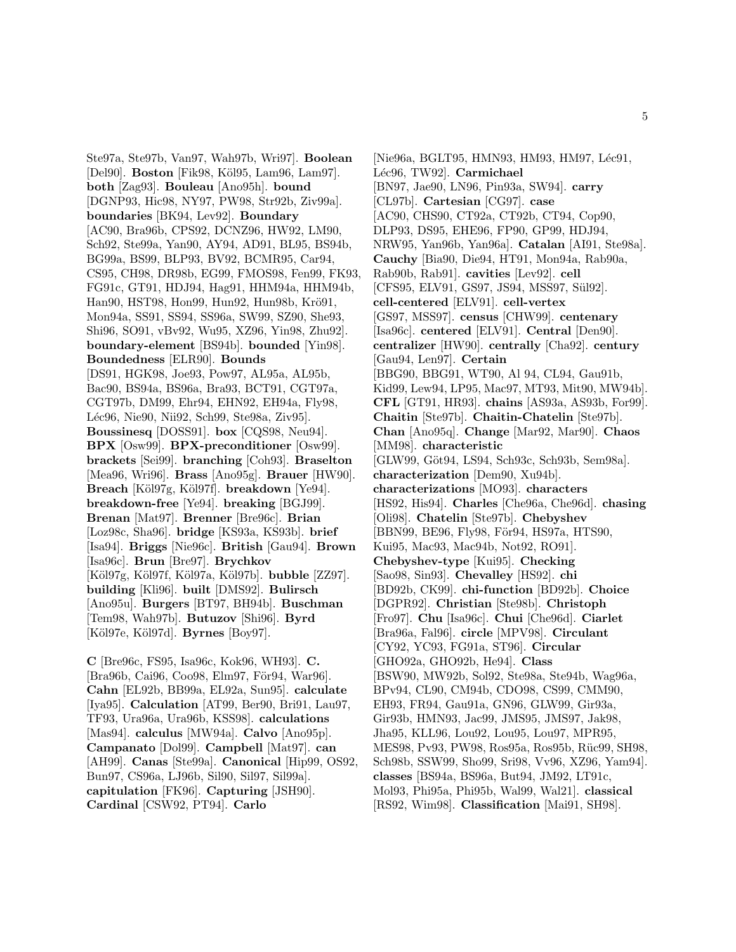Ste97a, Ste97b, Van97, Wah97b, Wri97]. **Boolean** [Del90]. **Boston** [Fik98, Köl95, Lam96, Lam97]. **both** [Zag93]. **Bouleau** [Ano95h]. **bound** [DGNP93, Hic98, NY97, PW98, Str92b, Ziv99a]. **boundaries** [BK94, Lev92]. **Boundary** [AC90, Bra96b, CPS92, DCNZ96, HW92, LM90, Sch92, Ste99a, Yan90, AY94, AD91, BL95, BS94b, BG99a, BS99, BLP93, BV92, BCMR95, Car94, CS95, CH98, DR98b, EG99, FMOS98, Fen99, FK93, FG91c, GT91, HDJ94, Hag91, HHM94a, HHM94b, Han90, HST98, Hon99, Hun92, Hun98b, Krö91, Mon94a, SS91, SS94, SS96a, SW99, SZ90, She93, Shi96, SO91, vBv92, Wu95, XZ96, Yin98, Zhu92]. **boundary-element** [BS94b]. **bounded** [Yin98]. **Boundedness** [ELR90]. **Bounds** [DS91, HGK98, Joe93, Pow97, AL95a, AL95b, Bac90, BS94a, BS96a, Bra93, BCT91, CGT97a, CGT97b, DM99, Ehr94, EHN92, EH94a, Fly98, L´ec96, Nie90, Nii92, Sch99, Ste98a, Ziv95]. **Boussinesq** [DOSS91]. **box** [CQS98, Neu94]. **BPX** [Osw99]. **BPX-preconditioner** [Osw99]. **brackets** [Sei99]. **branching** [Coh93]. **Braselton** [Mea96, Wri96]. **Brass** [Ano95g]. **Brauer** [HW90]. Breach [Köl97g, Köl97f]. **breakdown** [Ye94]. **breakdown-free** [Ye94]. **breaking** [BGJ99]. **Brenan** [Mat97]. **Brenner** [Bre96c]. **Brian** [Loz98c, Sha96]. **bridge** [KS93a, KS93b]. **brief** [Isa94]. **Briggs** [Nie96c]. **British** [Gau94]. **Brown** [Isa96c]. **Brun** [Bre97]. **Brychkov** [K¨ol97g, K¨ol97f, K¨ol97a, K¨ol97b]. **bubble** [ZZ97]. **building** [Kli96]. **built** [DMS92]. **Bulirsch** [Ano95u]. **Burgers** [BT97, BH94b]. **Buschman** [Tem98, Wah97b]. **Butuzov** [Shi96]. **Byrd** [K¨ol97e, K¨ol97d]. **Byrnes** [Boy97].

**C** [Bre96c, FS95, Isa96c, Kok96, WH93]. **C.** [Bra96b, Cai96, Coo98, Elm97, För94, War96]. **Cahn** [EL92b, BB99a, EL92a, Sun95]. **calculate** [Iya95]. **Calculation** [AT99, Ber90, Bri91, Lau97, TF93, Ura96a, Ura96b, KSS98]. **calculations** [Mas94]. **calculus** [MW94a]. **Calvo** [Ano95p]. **Campanato** [Dol99]. **Campbell** [Mat97]. **can** [AH99]. **Canas** [Ste99a]. **Canonical** [Hip99, OS92, Bun97, CS96a, LJ96b, Sil90, Sil97, Sil99a]. **capitulation** [FK96]. **Capturing** [JSH90]. **Cardinal** [CSW92, PT94]. **Carlo**

[Nie96a, BGLT95, HMN93, HM93, HM97, Léc91, L´ec96, TW92]. **Carmichael** [BN97, Jae90, LN96, Pin93a, SW94]. **carry** [CL97b]. **Cartesian** [CG97]. **case** [AC90, CHS90, CT92a, CT92b, CT94, Cop90, DLP93, DS95, EHE96, FP90, GP99, HDJ94, NRW95, Yan96b, Yan96a]. **Catalan** [AI91, Ste98a]. **Cauchy** [Bia90, Die94, HT91, Mon94a, Rab90a, Rab90b, Rab91]. **cavities** [Lev92]. **cell** [CFS95, ELV91, GS97, JS94, MSS97, Sül92]. **cell-centered** [ELV91]. **cell-vertex** [GS97, MSS97]. **census** [CHW99]. **centenary** [Isa96c]. **centered** [ELV91]. **Central** [Den90]. **centralizer** [HW90]. **centrally** [Cha92]. **century** [Gau94, Len97]. **Certain** [BBG90, BBG91, WT90, Al 94, CL94, Gau91b, Kid99, Lew94, LP95, Mac97, MT93, Mit90, MW94b]. **CFL** [GT91, HR93]. **chains** [AS93a, AS93b, For99]. **Chaitin** [Ste97b]. **Chaitin-Chatelin** [Ste97b]. **Chan** [Ano95q]. **Change** [Mar92, Mar90]. **Chaos** [MM98]. **characteristic** [GLW99, Göt94, LS94, Sch93c, Sch93b, Sem98a]. **characterization** [Dem90, Xu94b]. **characterizations** [MO93]. **characters** [HS92, His94]. **Charles** [Che96a, Che96d]. **chasing** [Oli98]. **Chatelin** [Ste97b]. **Chebyshev** [BBN99, BE96, Fly98, För94, HS97a, HTS90, Kui95, Mac93, Mac94b, Not92, RO91]. **Chebyshev-type** [Kui95]. **Checking** [Sao98, Sin93]. **Chevalley** [HS92]. **chi** [BD92b, CK99]. **chi-function** [BD92b]. **Choice** [DGPR92]. **Christian** [Ste98b]. **Christoph** [Fro97]. **Chu** [Isa96c]. **Chui** [Che96d]. **Ciarlet** [Bra96a, Fal96]. **circle** [MPV98]. **Circulant** [CY92, YC93, FG91a, ST96]. **Circular** [GHO92a, GHO92b, He94]. **Class** [BSW90, MW92b, Sol92, Ste98a, Ste94b, Wag96a, BPv94, CL90, CM94b, CDO98, CS99, CMM90, EH93, FR94, Gau91a, GN96, GLW99, Gir93a, Gir93b, HMN93, Jac99, JMS95, JMS97, Jak98, Jha95, KLL96, Lou92, Lou95, Lou97, MPR95, MES98, Pv93, PW98, Ros95a, Ros95b, Rüc99, SH98, Sch98b, SSW99, Sho99, Sri98, Vv96, XZ96, Yam94]. **classes** [BS94a, BS96a, But94, JM92, LT91c, Mol93, Phi95a, Phi95b, Wal99, Wal21]. **classical** [RS92, Wim98]. **Classification** [Mai91, SH98].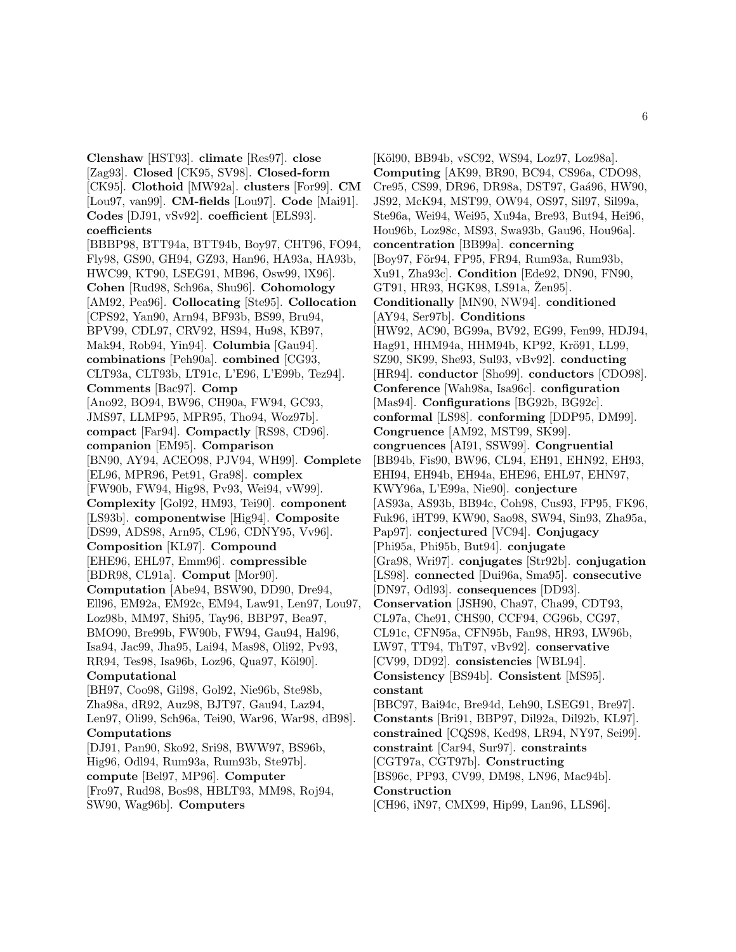**Clenshaw** [HST93]. **climate** [Res97]. **close** [Zag93]. **Closed** [CK95, SV98]. **Closed-form** [CK95]. **Clothoid** [MW92a]. **clusters** [For99]. **CM** [Lou97, van99]. **CM-fields** [Lou97]. **Code** [Mai91]. **Codes** [DJ91, vSv92]. **coefficient** [ELS93]. **coefficients** [BBBP98, BTT94a, BTT94b, Boy97, CHT96, FO94, Fly98, GS90, GH94, GZ93, Han96, HA93a, HA93b, HWC99, KT90, LSEG91, MB96, Osw99, lX96]. **Cohen** [Rud98, Sch96a, Shu96]. **Cohomology** [AM92, Pea96]. **Collocating** [Ste95]. **Collocation** [CPS92, Yan90, Arn94, BF93b, BS99, Bru94, BPV99, CDL97, CRV92, HS94, Hu98, KB97, Mak94, Rob94, Yin94]. **Columbia** [Gau94]. **combinations** [Peh90a]. **combined** [CG93, CLT93a, CLT93b, LT91c, L'E96, L'E99b, Tez94]. **Comments** [Bac97]. **Comp** [Ano92, BO94, BW96, CH90a, FW94, GC93, JMS97, LLMP95, MPR95, Tho94, Woz97b]. **compact** [Far94]. **Compactly** [RS98, CD96]. **companion** [EM95]. **Comparison** [BN90, AY94, ACEO98, PJV94, WH99]. **Complete** [EL96, MPR96, Pet91, Gra98]. **complex** [FW90b, FW94, Hig98, Pv93, Wei94, vW99]. **Complexity** [Gol92, HM93, Tei90]. **component** [LS93b]. **componentwise** [Hig94]. **Composite** [DS99, ADS98, Arn95, CL96, CDNY95, Vv96]. **Composition** [KL97]. **Compound** [EHE96, EHL97, Emm96]. **compressible** [BDR98, CL91a]. **Comput** [Mor90]. **Computation** [Abe94, BSW90, DD90, Dre94, Ell96, EM92a, EM92c, EM94, Law91, Len97, Lou97, Loz98b, MM97, Shi95, Tay96, BBP97, Bea97, BMO90, Bre99b, FW90b, FW94, Gau94, Hal96, Isa94, Jac99, Jha95, Lai94, Mas98, Oli92, Pv93, RR94, Tes98, Isa96b, Loz96, Qua97, Köl90]. **Computational** [BH97, Coo98, Gil98, Gol92, Nie96b, Ste98b, Zha98a, dR92, Auz98, BJT97, Gau94, Laz94, Len97, Oli99, Sch96a, Tei90, War96, War98, dB98]. **Computations** [DJ91, Pan90, Sko92, Sri98, BWW97, BS96b, Hig96, Odl94, Rum93a, Rum93b, Ste97b]. **compute** [Bel97, MP96]. **Computer** [Fro97, Rud98, Bos98, HBLT93, MM98, Roj94,

SW90, Wag96b]. **Computers**

[Köl90, BB94b, vSC92, WS94, Loz97, Loz98a]. **Computing** [AK99, BR90, BC94, CS96a, CDO98, Cre95, CS99, DR96, DR98a, DST97, Gaá96, HW90, JS92, McK94, MST99, OW94, OS97, Sil97, Sil99a, Ste96a, Wei94, Wei95, Xu94a, Bre93, But94, Hei96, Hou96b, Loz98c, MS93, Swa93b, Gau96, Hou96a]. **concentration** [BB99a]. **concerning** [Boy97, För94, FP95, FR94, Rum93a, Rum93b, Xu91, Zha93c]. **Condition** [Ede92, DN90, FN90, GT91, HR93, HGK98, LS91a, Zen95. **Conditionally** [MN90, NW94]. **conditioned** [AY94, Ser97b]. **Conditions** [HW92, AC90, BG99a, BV92, EG99, Fen99, HDJ94, Hag91, HHM94a, HHM94b, KP92, Krö91, LL99, SZ90, SK99, She93, Sul93, vBv92]. **conducting** [HR94]. **conductor** [Sho99]. **conductors** [CDO98]. **Conference** [Wah98a, Isa96c]. **configuration** [Mas94]. **Configurations** [BG92b, BG92c]. **conformal** [LS98]. **conforming** [DDP95, DM99]. **Congruence** [AM92, MST99, SK99]. **congruences** [AI91, SSW99]. **Congruential** [BB94b, Fis90, BW96, CL94, EH91, EHN92, EH93, EHI94, EH94b, EH94a, EHE96, EHL97, EHN97, KWY96a, L'E99a, Nie90]. **conjecture** [AS93a, AS93b, BB94c, Coh98, Cus93, FP95, FK96, Fuk96, iHT99, KW90, Sao98, SW94, Sin93, Zha95a, Pap97]. **conjectured** [VC94]. **Conjugacy** [Phi95a, Phi95b, But94]. **conjugate** [Gra98, Wri97]. **conjugates** [Str92b]. **conjugation** [LS98]. **connected** [Dui96a, Sma95]. **consecutive** [DN97, Odl93]. **consequences** [DD93]. **Conservation** [JSH90, Cha97, Cha99, CDT93, CL97a, Che91, CHS90, CCF94, CG96b, CG97, CL91c, CFN95a, CFN95b, Fan98, HR93, LW96b, LW97, TT94, ThT97, vBv92]. **conservative** [CV99, DD92]. **consistencies** [WBL94]. **Consistency** [BS94b]. **Consistent** [MS95]. **constant** [BBC97, Bai94c, Bre94d, Leh90, LSEG91, Bre97]. **Constants** [Bri91, BBP97, Dil92a, Dil92b, KL97]. **constrained** [CQS98, Ked98, LR94, NY97, Sei99]. **constraint** [Car94, Sur97]. **constraints** [CGT97a, CGT97b]. **Constructing** [BS96c, PP93, CV99, DM98, LN96, Mac94b]. **Construction**

[CH96, iN97, CMX99, Hip99, Lan96, LLS96].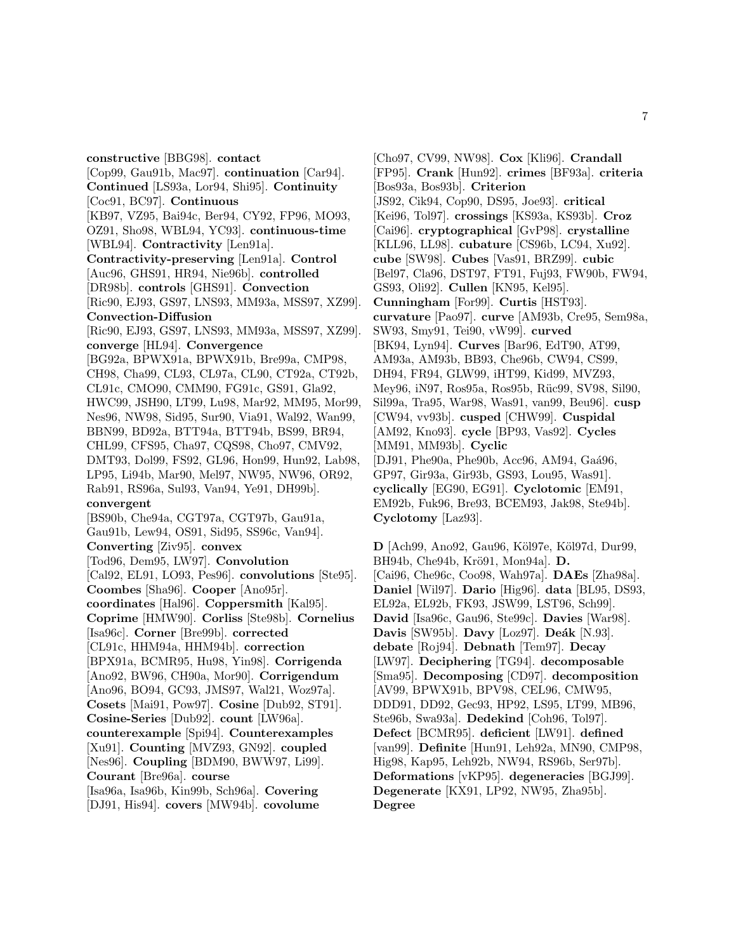**constructive** [BBG98]. **contact** [Cop99, Gau91b, Mac97]. **continuation** [Car94]. **Continued** [LS93a, Lor94, Shi95]. **Continuity** [Coc91, BC97]. **Continuous** [KB97, VZ95, Bai94c, Ber94, CY92, FP96, MO93, OZ91, Sho98, WBL94, YC93]. **continuous-time** [WBL94]. **Contractivity** [Len91a]. **Contractivity-preserving** [Len91a]. **Control** [Auc96, GHS91, HR94, Nie96b]. **controlled** [DR98b]. **controls** [GHS91]. **Convection** [Ric90, EJ93, GS97, LNS93, MM93a, MSS97, XZ99]. **Convection-Diffusion** [Ric90, EJ93, GS97, LNS93, MM93a, MSS97, XZ99]. **converge** [HL94]. **Convergence** [BG92a, BPWX91a, BPWX91b, Bre99a, CMP98, CH98, Cha99, CL93, CL97a, CL90, CT92a, CT92b, CL91c, CMO90, CMM90, FG91c, GS91, Gla92, HWC99, JSH90, LT99, Lu98, Mar92, MM95, Mor99, Nes96, NW98, Sid95, Sur90, Via91, Wal92, Wan99, BBN99, BD92a, BTT94a, BTT94b, BS99, BR94, CHL99, CFS95, Cha97, CQS98, Cho97, CMV92, DMT93, Dol99, FS92, GL96, Hon99, Hun92, Lab98, LP95, Li94b, Mar90, Mel97, NW95, NW96, OR92, Rab91, RS96a, Sul93, Van94, Ye91, DH99b]. **convergent** [BS90b, Che94a, CGT97a, CGT97b, Gau91a, Gau91b, Lew94, OS91, Sid95, SS96c, Van94]. **Converting** [Ziv95]. **convex** [Tod96, Dem95, LW97]. **Convolution** [Cal92, EL91, LO93, Pes96]. **convolutions** [Ste95]. **Coombes** [Sha96]. **Cooper** [Ano95r]. **coordinates** [Hal96]. **Coppersmith** [Kal95]. **Coprime** [HMW90]. **Corliss** [Ste98b]. **Cornelius** [Isa96c]. **Corner** [Bre99b]. **corrected** [CL91c, HHM94a, HHM94b]. **correction** [BPX91a, BCMR95, Hu98, Yin98]. **Corrigenda** [Ano92, BW96, CH90a, Mor90]. **Corrigendum** [Ano96, BO94, GC93, JMS97, Wal21, Woz97a]. **Cosets** [Mai91, Pow97]. **Cosine** [Dub92, ST91]. **Cosine-Series** [Dub92]. **count** [LW96a]. **counterexample** [Spi94]. **Counterexamples** [Xu91]. **Counting** [MVZ93, GN92]. **coupled** [Nes96]. **Coupling** [BDM90, BWW97, Li99]. **Courant** [Bre96a]. **course** [Isa96a, Isa96b, Kin99b, Sch96a]. **Covering** [DJ91, His94]. **covers** [MW94b]. **covolume**

[Cho97, CV99, NW98]. **Cox** [Kli96]. **Crandall** [FP95]. **Crank** [Hun92]. **crimes** [BF93a]. **criteria** [Bos93a, Bos93b]. **Criterion** [JS92, Cik94, Cop90, DS95, Joe93]. **critical** [Kei96, Tol97]. **crossings** [KS93a, KS93b]. **Croz** [Cai96]. **cryptographical** [GvP98]. **crystalline** [KLL96, LL98]. **cubature** [CS96b, LC94, Xu92]. **cube** [SW98]. **Cubes** [Vas91, BRZ99]. **cubic** [Bel97, Cla96, DST97, FT91, Fuj93, FW90b, FW94, GS93, Oli92]. **Cullen** [KN95, Kel95]. **Cunningham** [For99]. **Curtis** [HST93]. **curvature** [Pao97]. **curve** [AM93b, Cre95, Sem98a, SW93, Smy91, Tei90, vW99]. **curved** [BK94, Lyn94]. **Curves** [Bar96, EdT90, AT99, AM93a, AM93b, BB93, Che96b, CW94, CS99, DH94, FR94, GLW99, iHT99, Kid99, MVZ93, Mey96, iN97, Ros95a, Ros95b, Rüc99, SV98, Sil90, Sil99a, Tra95, War98, Was91, van99, Beu96]. **cusp** [CW94, vv93b]. **cusped** [CHW99]. **Cuspidal** [AM92, Kno93]. **cycle** [BP93, Vas92]. **Cycles** [MM91, MM93b]. **Cyclic** [DJ91, Phe90a, Phe90b, Acc96, AM94, Gaá96, GP97, Gir93a, Gir93b, GS93, Lou95, Was91]. **cyclically** [EG90, EG91]. **Cyclotomic** [EM91, EM92b, Fuk96, Bre93, BCEM93, Jak98, Ste94b]. **Cyclotomy** [Laz93].

**D** [Ach99, Ano92, Gau96, Köl97e, Köl97d, Dur99, BH94b, Che94b, Krö91, Mon94a]. **D.** [Cai96, Che96c, Coo98, Wah97a]. **DAEs** [Zha98a]. **Daniel** [Wil97]. **Dario** [Hig96]. **data** [BL95, DS93, EL92a, EL92b, FK93, JSW99, LST96, Sch99]. **David** [Isa96c, Gau96, Ste99c]. **Davies** [War98]. **Davis** [SW95b]. **Davy** [Loz97]. **Deák** [N.93]. **debate** [Roj94]. **Debnath** [Tem97]. **Decay** [LW97]. **Deciphering** [TG94]. **decomposable** [Sma95]. **Decomposing** [CD97]. **decomposition** [AV99, BPWX91b, BPV98, CEL96, CMW95, DDD91, DD92, Gec93, HP92, LS95, LT99, MB96, Ste96b, Swa93a]. **Dedekind** [Coh96, Tol97]. **Defect** [BCMR95]. **deficient** [LW91]. **defined** [van99]. **Definite** [Hun91, Leh92a, MN90, CMP98, Hig98, Kap95, Leh92b, NW94, RS96b, Ser97b]. **Deformations** [vKP95]. **degeneracies** [BGJ99]. **Degenerate** [KX91, LP92, NW95, Zha95b]. **Degree**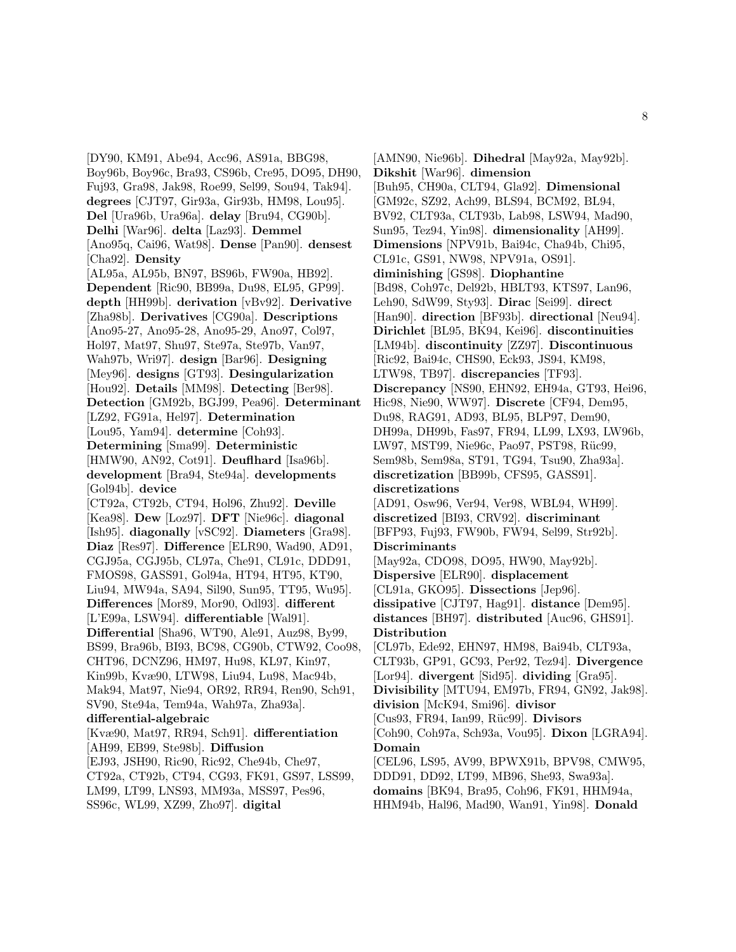[DY90, KM91, Abe94, Acc96, AS91a, BBG98, Boy96b, Boy96c, Bra93, CS96b, Cre95, DO95, DH90, Fuj93, Gra98, Jak98, Roe99, Sel99, Sou94, Tak94]. **degrees** [CJT97, Gir93a, Gir93b, HM98, Lou95]. **Del** [Ura96b, Ura96a]. **delay** [Bru94, CG90b]. **Delhi** [War96]. **delta** [Laz93]. **Demmel** [Ano95q, Cai96, Wat98]. **Dense** [Pan90]. **densest** [Cha92]. **Density** [AL95a, AL95b, BN97, BS96b, FW90a, HB92]. **Dependent** [Ric90, BB99a, Du98, EL95, GP99]. **depth** [HH99b]. **derivation** [vBv92]. **Derivative** [Zha98b]. **Derivatives** [CG90a]. **Descriptions** [Ano95-27, Ano95-28, Ano95-29, Ano97, Col97, Hol97, Mat97, Shu97, Ste97a, Ste97b, Van97, Wah97b, Wri97]. **design** [Bar96]. **Designing** [Mey96]. **designs** [GT93]. **Desingularization** [Hou92]. **Details** [MM98]. **Detecting** [Ber98]. **Detection** [GM92b, BGJ99, Pea96]. **Determinant** [LZ92, FG91a, Hel97]. **Determination** [Lou95, Yam94]. **determine** [Coh93]. **Determining** [Sma99]. **Deterministic** [HMW90, AN92, Cot91]. **Deuflhard** [Isa96b]. **development** [Bra94, Ste94a]. **developments** [Gol94b]. **device** [CT92a, CT92b, CT94, Hol96, Zhu92]. **Deville** [Kea98]. **Dew** [Loz97]. **DFT** [Nie96c]. **diagonal** [Ish95]. **diagonally** [vSC92]. **Diameters** [Gra98]. **Diaz** [Res97]. **Difference** [ELR90, Wad90, AD91, CGJ95a, CGJ95b, CL97a, Che91, CL91c, DDD91, FMOS98, GASS91, Gol94a, HT94, HT95, KT90, Liu94, MW94a, SA94, Sil90, Sun95, TT95, Wu95]. **Differences** [Mor89, Mor90, Odl93]. **different** [L'E99a, LSW94]. **differentiable** [Wal91]. **Differential** [Sha96, WT90, Ale91, Auz98, By99, BS99, Bra96b, BI93, BC98, CG90b, CTW92, Coo98, CHT96, DCNZ96, HM97, Hu98, KL97, Kin97, Kin99b, Kvæ90, LTW98, Liu94, Lu98, Mac94b, Mak94, Mat97, Nie94, OR92, RR94, Ren90, Sch91, SV90, Ste94a, Tem94a, Wah97a, Zha93a]. **differential-algebraic** [Kvæ90, Mat97, RR94, Sch91]. **differentiation** [AH99, EB99, Ste98b]. **Diffusion** [EJ93, JSH90, Ric90, Ric92, Che94b, Che97, CT92a, CT92b, CT94, CG93, FK91, GS97, LSS99, LM99, LT99, LNS93, MM93a, MSS97, Pes96,

SS96c, WL99, XZ99, Zho97]. **digital**

[AMN90, Nie96b]. **Dihedral** [May92a, May92b]. **Dikshit** [War96]. **dimension** [Buh95, CH90a, CLT94, Gla92]. **Dimensional** [GM92c, SZ92, Ach99, BLS94, BCM92, BL94, BV92, CLT93a, CLT93b, Lab98, LSW94, Mad90, Sun95, Tez94, Yin98]. **dimensionality** [AH99]. **Dimensions** [NPV91b, Bai94c, Cha94b, Chi95, CL91c, GS91, NW98, NPV91a, OS91]. **diminishing** [GS98]. **Diophantine** [Bd98, Coh97c, Del92b, HBLT93, KTS97, Lan96, Leh90, SdW99, Sty93]. **Dirac** [Sei99]. **direct** [Han90]. **direction** [BF93b]. **directional** [Neu94]. **Dirichlet** [BL95, BK94, Kei96]. **discontinuities** [LM94b]. **discontinuity** [ZZ97]. **Discontinuous** [Ric92, Bai94c, CHS90, Eck93, JS94, KM98, LTW98, TB97]. **discrepancies** [TF93]. **Discrepancy** [NS90, EHN92, EH94a, GT93, Hei96, Hic98, Nie90, WW97]. **Discrete** [CF94, Dem95, Du98, RAG91, AD93, BL95, BLP97, Dem90, DH99a, DH99b, Fas97, FR94, LL99, LX93, LW96b, LW97, MST99, Nie96c, Pao97, PST98, Rüc99, Sem98b, Sem98a, ST91, TG94, Tsu90, Zha93a]. **discretization** [BB99b, CFS95, GASS91]. **discretizations** [AD91, Osw96, Ver94, Ver98, WBL94, WH99]. **discretized** [BI93, CRV92]. **discriminant** [BFP93, Fuj93, FW90b, FW94, Sel99, Str92b]. **Discriminants** [May92a, CDO98, DO95, HW90, May92b]. **Dispersive** [ELR90]. **displacement** [CL91a, GKO95]. **Dissections** [Jep96]. **dissipative** [CJT97, Hag91]. **distance** [Dem95]. **distances** [BH97]. **distributed** [Auc96, GHS91]. **Distribution** [CL97b, Ede92, EHN97, HM98, Bai94b, CLT93a, CLT93b, GP91, GC93, Per92, Tez94]. **Divergence** [Lor94]. **divergent** [Sid95]. **dividing** [Gra95]. **Divisibility** [MTU94, EM97b, FR94, GN92, Jak98]. **division** [McK94, Smi96]. **divisor** [Cus93, FR94, Ian99, Rüc99]. **Divisors** [Coh90, Coh97a, Sch93a, Vou95]. **Dixon** [LGRA94]. **Domain** [CEL96, LS95, AV99, BPWX91b, BPV98, CMW95, DDD91, DD92, LT99, MB96, She93, Swa93a]. **domains** [BK94, Bra95, Coh96, FK91, HHM94a,

HHM94b, Hal96, Mad90, Wan91, Yin98]. **Donald**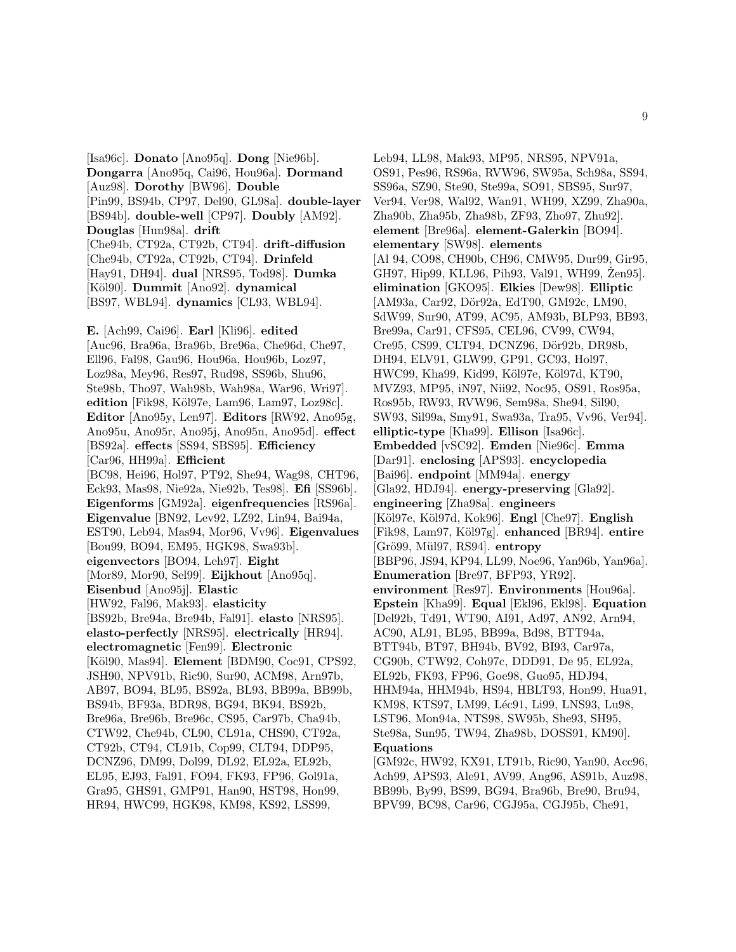[Isa96c]. **Donato** [Ano95q]. **Dong** [Nie96b]. **Dongarra** [Ano95q, Cai96, Hou96a]. **Dormand** [Auz98]. **Dorothy** [BW96]. **Double** [Pin99, BS94b, CP97, Del90, GL98a]. **double-layer** [BS94b]. **double-well** [CP97]. **Doubly** [AM92]. **Douglas** [Hun98a]. **drift** [Che94b, CT92a, CT92b, CT94]. **drift-diffusion** [Che94b, CT92a, CT92b, CT94]. **Drinfeld** [Hay91, DH94]. **dual** [NRS95, Tod98]. **Dumka** [K¨ol90]. **Dummit** [Ano92]. **dynamical** [BS97, WBL94]. **dynamics** [CL93, WBL94].

**E.** [Ach99, Cai96]. **Earl** [Kli96]. **edited** [Auc96, Bra96a, Bra96b, Bre96a, Che96d, Che97, Ell96, Fal98, Gau96, Hou96a, Hou96b, Loz97, Loz98a, Mey96, Res97, Rud98, SS96b, Shu96, Ste98b, Tho97, Wah98b, Wah98a, War96, Wri97]. **edition** [Fik98, Köl97e, Lam96, Lam97, Loz98c]. **Editor** [Ano95y, Len97]. **Editors** [RW92, Ano95g, Ano95u, Ano95r, Ano95j, Ano95n, Ano95d]. **effect** [BS92a]. **effects** [SS94, SBS95]. **Efficiency** [Car96, HH99a]. **Efficient** [BC98, Hei96, Hol97, PT92, She94, Wag98, CHT96, Eck93, Mas98, Nie92a, Nie92b, Tes98]. **Efi** [SS96b]. **Eigenforms** [GM92a]. **eigenfrequencies** [RS96a]. **Eigenvalue** [BN92, Lev92, LZ92, Lin94, Bai94a, EST90, Leb94, Mas94, Mor96, Vv96]. **Eigenvalues** [Bou99, BO94, EM95, HGK98, Swa93b]. **eigenvectors** [BO94, Leh97]. **Eight** [Mor89, Mor90, Sel99]. **Eijkhout** [Ano95q]. **Eisenbud** [Ano95j]. **Elastic** [HW92, Fal96, Mak93]. **elasticity** [BS92b, Bre94a, Bre94b, Fal91]. **elasto** [NRS95]. **elasto-perfectly** [NRS95]. **electrically** [HR94]. **electromagnetic** [Fen99]. **Electronic** [Köl90, Mas94]. **Element** [BDM90, Coc91, CPS92, JSH90, NPV91b, Ric90, Sur90, ACM98, Arn97b, AB97, BO94, BL95, BS92a, BL93, BB99a, BB99b, BS94b, BF93a, BDR98, BG94, BK94, BS92b, Bre96a, Bre96b, Bre96c, CS95, Car97b, Cha94b, CTW92, Che94b, CL90, CL91a, CHS90, CT92a, CT92b, CT94, CL91b, Cop99, CLT94, DDP95, DCNZ96, DM99, Dol99, DL92, EL92a, EL92b, EL95, EJ93, Fal91, FO94, FK93, FP96, Gol91a, Gra95, GHS91, GMP91, Han90, HST98, Hon99, HR94, HWC99, HGK98, KM98, KS92, LSS99,

Leb94, LL98, Mak93, MP95, NRS95, NPV91a, OS91, Pes96, RS96a, RVW96, SW95a, Sch98a, SS94, SS96a, SZ90, Ste90, Ste99a, SO91, SBS95, Sur97, Ver94, Ver98, Wal92, Wan91, WH99, XZ99, Zha90a, Zha90b, Zha95b, Zha98b, ZF93, Zho97, Zhu92]. **element** [Bre96a]. **element-Galerkin** [BO94]. **elementary** [SW98]. **elements** [Al 94, CO98, CH90b, CH96, CMW95, Dur99, Gir95, GH97, Hip99, KLL96, Pih93, Val91, WH99, Zen95. **elimination** [GKO95]. **Elkies** [Dew98]. **Elliptic** [AM93a, Car92, Dör92a, EdT90, GM92c, LM90, SdW99, Sur90, AT99, AC95, AM93b, BLP93, BB93, Bre99a, Car91, CFS95, CEL96, CV99, CW94, Cre95, CS99, CLT94, DCNZ96, Dör92b, DR98b, DH94, ELV91, GLW99, GP91, GC93, Hol97, HWC99, Kha99, Kid99, Köl97e, Köl97d, KT90, MVZ93, MP95, iN97, Nii92, Noc95, OS91, Ros95a, Ros95b, RW93, RVW96, Sem98a, She94, Sil90, SW93, Sil99a, Smy91, Swa93a, Tra95, Vv96, Ver94]. **elliptic-type** [Kha99]. **Ellison** [Isa96c]. **Embedded** [vSC92]. **Emden** [Nie96c]. **Emma** [Dar91]. **enclosing** [APS93]. **encyclopedia** [Bai96]. **endpoint** [MM94a]. **energy** [Gla92, HDJ94]. **energy-preserving** [Gla92]. **engineering** [Zha98a]. **engineers** [K¨ol97e, K¨ol97d, Kok96]. **Engl** [Che97]. **English** [Fik98, Lam97, K¨ol97g]. **enhanced** [BR94]. **entire** [Gr¨o99, M¨ul97, RS94]. **entropy** [BBP96, JS94, KP94, LL99, Noe96, Yan96b, Yan96a]. **Enumeration** [Bre97, BFP93, YR92]. **environment** [Res97]. **Environments** [Hou96a]. **Epstein** [Kha99]. **Equal** [Ekl96, Ekl98]. **Equation** [Del92b, Td91, WT90, AI91, Ad97, AN92, Arn94, AC90, AL91, BL95, BB99a, Bd98, BTT94a, BTT94b, BT97, BH94b, BV92, BI93, Car97a, CG90b, CTW92, Coh97c, DDD91, De 95, EL92a, EL92b, FK93, FP96, Goe98, Guo95, HDJ94, HHM94a, HHM94b, HS94, HBLT93, Hon99, Hua91, KM98, KTS97, LM99, Léc91, Li99, LNS93, Lu98, LST96, Mon94a, NTS98, SW95b, She93, SH95, Ste98a, Sun95, TW94, Zha98b, DOSS91, KM90]. **Equations**

[GM92c, HW92, KX91, LT91b, Ric90, Yan90, Acc96, Ach99, APS93, Ale91, AV99, Ang96, AS91b, Auz98, BB99b, By99, BS99, BG94, Bra96b, Bre90, Bru94, BPV99, BC98, Car96, CGJ95a, CGJ95b, Che91,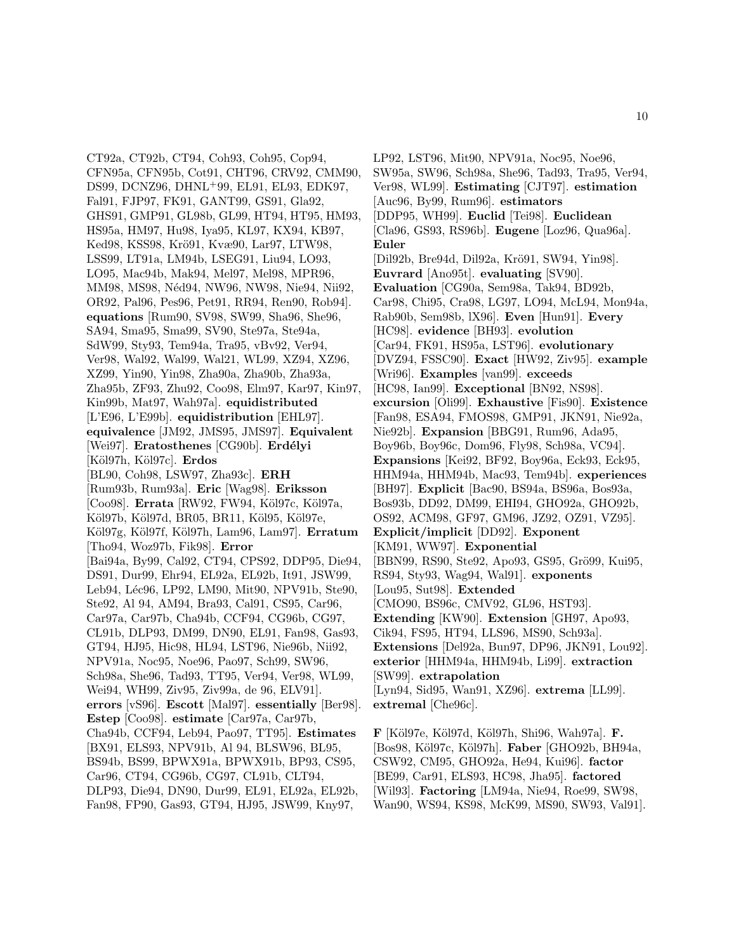CT92a, CT92b, CT94, Coh93, Coh95, Cop94, CFN95a, CFN95b, Cot91, CHT96, CRV92, CMM90, DS99, DCNZ96, DHNL<sup>+</sup>99, EL91, EL93, EDK97, Fal91, FJP97, FK91, GANT99, GS91, Gla92, GHS91, GMP91, GL98b, GL99, HT94, HT95, HM93, HS95a, HM97, Hu98, Iya95, KL97, KX94, KB97, Ked98, KSS98, Krö91, Kvæ90, Lar97, LTW98, LSS99, LT91a, LM94b, LSEG91, Liu94, LO93, LO95, Mac94b, Mak94, Mel97, Mel98, MPR96, MM98, MS98, Néd94, NW96, NW98, Nie94, Nii92, OR92, Pal96, Pes96, Pet91, RR94, Ren90, Rob94]. **equations** [Rum90, SV98, SW99, Sha96, She96, SA94, Sma95, Sma99, SV90, Ste97a, Ste94a, SdW99, Sty93, Tem94a, Tra95, vBv92, Ver94, Ver98, Wal92, Wal99, Wal21, WL99, XZ94, XZ96, XZ99, Yin90, Yin98, Zha90a, Zha90b, Zha93a, Zha95b, ZF93, Zhu92, Coo98, Elm97, Kar97, Kin97, Kin99b, Mat97, Wah97a]. **equidistributed** [L'E96, L'E99b]. **equidistribution** [EHL97]. **equivalence** [JM92, JMS95, JMS97]. **Equivalent** [Wei97]. **Eratosthenes** [CG90b]. **Erdélyi** [K¨ol97h, K¨ol97c]. **Erdos** [BL90, Coh98, LSW97, Zha93c]. **ERH** [Rum93b, Rum93a]. **Eric** [Wag98]. **Eriksson** [Coo98]. **Errata** [RW92, FW94, Köl97c, Köl97a, Köl97b, Köl97d, BR05, BR11, Köl95, Köl97e, K¨ol97g, K¨ol97f, K¨ol97h, Lam96, Lam97]. **Erratum** [Tho94, Woz97b, Fik98]. **Error** [Bai94a, By99, Cal92, CT94, CPS92, DDP95, Die94, DS91, Dur99, Ehr94, EL92a, EL92b, It91, JSW99, Leb94, Léc96, LP92, LM90, Mit90, NPV91b, Ste90, Ste92, Al 94, AM94, Bra93, Cal91, CS95, Car96, Car97a, Car97b, Cha94b, CCF94, CG96b, CG97, CL91b, DLP93, DM99, DN90, EL91, Fan98, Gas93, GT94, HJ95, Hic98, HL94, LST96, Nie96b, Nii92, NPV91a, Noc95, Noe96, Pao97, Sch99, SW96, Sch98a, She96, Tad93, TT95, Ver94, Ver98, WL99, Wei94, WH99, Ziv95, Ziv99a, de 96, ELV91]. **errors** [vS96]. **Escott** [Mal97]. **essentially** [Ber98]. **Estep** [Coo98]. **estimate** [Car97a, Car97b, Cha94b, CCF94, Leb94, Pao97, TT95]. **Estimates** [BX91, ELS93, NPV91b, Al 94, BLSW96, BL95, BS94b, BS99, BPWX91a, BPWX91b, BP93, CS95, Car96, CT94, CG96b, CG97, CL91b, CLT94, DLP93, Die94, DN90, Dur99, EL91, EL92a, EL92b, Fan98, FP90, Gas93, GT94, HJ95, JSW99, Kny97,

LP92, LST96, Mit90, NPV91a, Noc95, Noe96, SW95a, SW96, Sch98a, She96, Tad93, Tra95, Ver94, Ver98, WL99]. **Estimating** [CJT97]. **estimation** [Auc96, By99, Rum96]. **estimators** [DDP95, WH99]. **Euclid** [Tei98]. **Euclidean** [Cla96, GS93, RS96b]. **Eugene** [Loz96, Qua96a]. **Euler** [Dil92b, Bre94d, Dil92a, Krö91, SW94, Yin98]. **Euvrard** [Ano95t]. **evaluating** [SV90]. **Evaluation** [CG90a, Sem98a, Tak94, BD92b, Car98, Chi95, Cra98, LG97, LO94, McL94, Mon94a, Rab90b, Sem98b, lX96]. **Even** [Hun91]. **Every** [HC98]. **evidence** [BH93]. **evolution** [Car94, FK91, HS95a, LST96]. **evolutionary** [DVZ94, FSSC90]. **Exact** [HW92, Ziv95]. **example** [Wri96]. **Examples** [van99]. **exceeds** [HC98, Ian99]. **Exceptional** [BN92, NS98]. **excursion** [Oli99]. **Exhaustive** [Fis90]. **Existence** [Fan98, ESA94, FMOS98, GMP91, JKN91, Nie92a, Nie92b]. **Expansion** [BBG91, Rum96, Ada95, Boy96b, Boy96c, Dom96, Fly98, Sch98a, VC94]. **Expansions** [Kei92, BF92, Boy96a, Eck93, Eck95, HHM94a, HHM94b, Mac93, Tem94b]. **experiences** [BH97]. **Explicit** [Bac90, BS94a, BS96a, Bos93a, Bos93b, DD92, DM99, EHI94, GHO92a, GHO92b, OS92, ACM98, GF97, GM96, JZ92, OZ91, VZ95]. **Explicit/implicit** [DD92]. **Exponent** [KM91, WW97]. **Exponential** [BBN99, RS90, Ste92, Apo93, GS95, Grö99, Kui95, RS94, Sty93, Wag94, Wal91]. **exponents** [Lou95, Sut98]. **Extended** [CMO90, BS96c, CMV92, GL96, HST93]. **Extending** [KW90]. **Extension** [GH97, Apo93, Cik94, FS95, HT94, LLS96, MS90, Sch93a]. **Extensions** [Del92a, Bun97, DP96, JKN91, Lou92]. **exterior** [HHM94a, HHM94b, Li99]. **extraction** [SW99]. **extrapolation** [Lyn94, Sid95, Wan91, XZ96]. **extrema** [LL99]. **extremal** [Che96c].

**F** [K¨ol97e, K¨ol97d, K¨ol97h, Shi96, Wah97a]. **F.** [Bos98, K¨ol97c, K¨ol97h]. **Faber** [GHO92b, BH94a, CSW92, CM95, GHO92a, He94, Kui96]. **factor** [BE99, Car91, ELS93, HC98, Jha95]. **factored** [Wil93]. **Factoring** [LM94a, Nie94, Roe99, SW98, Wan90, WS94, KS98, McK99, MS90, SW93, Val91].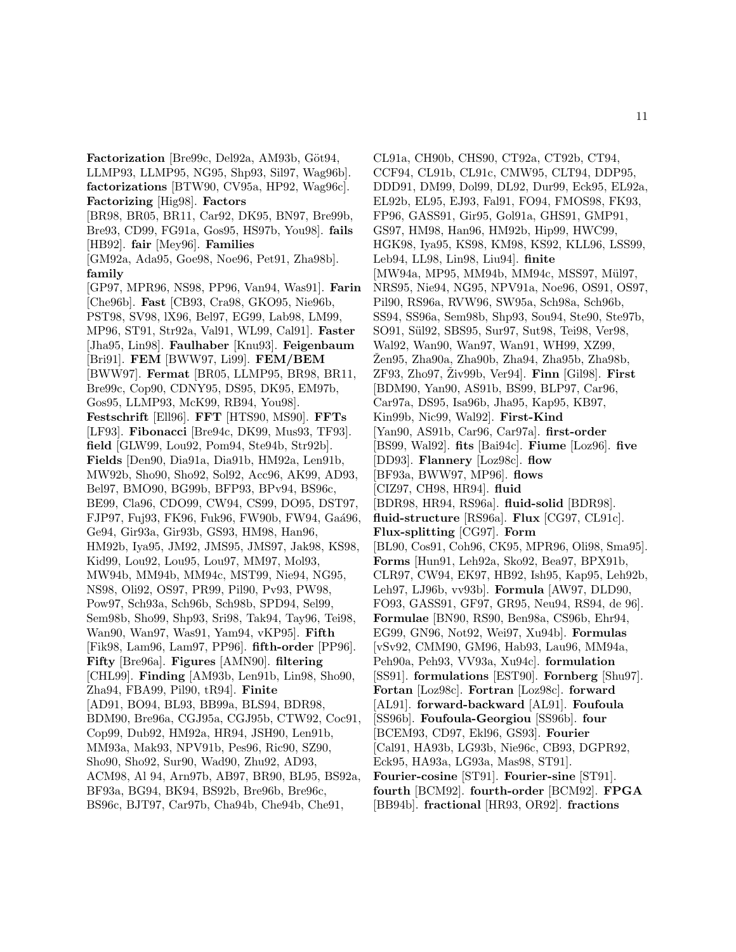Factorization [Bre99c, Del92a, AM93b, Göt94, LLMP93, LLMP95, NG95, Shp93, Sil97, Wag96b]. **factorizations** [BTW90, CV95a, HP92, Wag96c]. **Factorizing** [Hig98]. **Factors** [BR98, BR05, BR11, Car92, DK95, BN97, Bre99b, Bre93, CD99, FG91a, Gos95, HS97b, You98]. **fails** [HB92]. **fair** [Mey96]. **Families** [GM92a, Ada95, Goe98, Noe96, Pet91, Zha98b]. **family** [GP97, MPR96, NS98, PP96, Van94, Was91]. **Farin** [Che96b]. **Fast** [CB93, Cra98, GKO95, Nie96b, PST98, SV98, lX96, Bel97, EG99, Lab98, LM99, MP96, ST91, Str92a, Val91, WL99, Cal91]. **Faster** [Jha95, Lin98]. **Faulhaber** [Knu93]. **Feigenbaum** [Bri91]. **FEM** [BWW97, Li99]. **FEM/BEM** [BWW97]. **Fermat** [BR05, LLMP95, BR98, BR11, Bre99c, Cop90, CDNY95, DS95, DK95, EM97b, Gos95, LLMP93, McK99, RB94, You98]. **Festschrift** [Ell96]. **FFT** [HTS90, MS90]. **FFTs** [LF93]. **Fibonacci** [Bre94c, DK99, Mus93, TF93]. **field** [GLW99, Lou92, Pom94, Ste94b, Str92b]. **Fields** [Den90, Dia91a, Dia91b, HM92a, Len91b, MW92b, Sho90, Sho92, Sol92, Acc96, AK99, AD93, Bel97, BMO90, BG99b, BFP93, BPv94, BS96c, BE99, Cla96, CDO99, CW94, CS99, DO95, DST97, FJP97, Fuj93, FK96, Fuk96, FW90b, FW94, Gaá96, Ge94, Gir93a, Gir93b, GS93, HM98, Han96, HM92b, Iya95, JM92, JMS95, JMS97, Jak98, KS98, Kid99, Lou92, Lou95, Lou97, MM97, Mol93, MW94b, MM94b, MM94c, MST99, Nie94, NG95, NS98, Oli92, OS97, PR99, Pil90, Pv93, PW98, Pow97, Sch93a, Sch96b, Sch98b, SPD94, Sel99, Sem98b, Sho99, Shp93, Sri98, Tak94, Tay96, Tei98, Wan90, Wan97, Was91, Yam94, vKP95]. **Fifth** [Fik98, Lam96, Lam97, PP96]. **fifth-order** [PP96]. **Fifty** [Bre96a]. **Figures** [AMN90]. **filtering** [CHL99]. **Finding** [AM93b, Len91b, Lin98, Sho90, Zha94, FBA99, Pil90, tR94]. **Finite** [AD91, BO94, BL93, BB99a, BLS94, BDR98, BDM90, Bre96a, CGJ95a, CGJ95b, CTW92, Coc91, Cop99, Dub92, HM92a, HR94, JSH90, Len91b, MM93a, Mak93, NPV91b, Pes96, Ric90, SZ90, Sho90, Sho92, Sur90, Wad90, Zhu92, AD93, ACM98, Al 94, Arn97b, AB97, BR90, BL95, BS92a, BF93a, BG94, BK94, BS92b, Bre96b, Bre96c, BS96c, BJT97, Car97b, Cha94b, Che94b, Che91,

CL91a, CH90b, CHS90, CT92a, CT92b, CT94, CCF94, CL91b, CL91c, CMW95, CLT94, DDP95, DDD91, DM99, Dol99, DL92, Dur99, Eck95, EL92a, EL92b, EL95, EJ93, Fal91, FO94, FMOS98, FK93, FP96, GASS91, Gir95, Gol91a, GHS91, GMP91, GS97, HM98, Han96, HM92b, Hip99, HWC99, HGK98, Iya95, KS98, KM98, KS92, KLL96, LSS99, Leb94, LL98, Lin98, Liu94]. **finite** [MW94a, MP95, MM94b, MM94c, MSS97, Mül97, NRS95, Nie94, NG95, NPV91a, Noe96, OS91, OS97, Pil90, RS96a, RVW96, SW95a, Sch98a, Sch96b, SS94, SS96a, Sem98b, Shp93, Sou94, Ste90, Ste97b, SO91, Sül92, SBS95, Sur97, Sut98, Tei98, Ver98, Wal92, Wan90, Wan97, Wan91, WH99, XZ99,  $\text{Žen95}, \text{Zha90a}, \text{Zha90b}, \text{Zha94}, \text{Zha95b}, \text{Zha98b},$ ZF93, Zho97, Ziv99b, Ver94]. ˇ **Finn** [Gil98]. **First** [BDM90, Yan90, AS91b, BS99, BLP97, Car96, Car97a, DS95, Isa96b, Jha95, Kap95, KB97, Kin99b, Nic99, Wal92]. **First-Kind** [Yan90, AS91b, Car96, Car97a]. **first-order** [BS99, Wal92]. **fits** [Bai94c]. **Fiume** [Loz96]. **five** [DD93]. **Flannery** [Loz98c]. **flow** [BF93a, BWW97, MP96]. **flows** [CIZ97, CH98, HR94]. **fluid** [BDR98, HR94, RS96a]. **fluid-solid** [BDR98]. **fluid-structure** [RS96a]. **Flux** [CG97, CL91c]. **Flux-splitting** [CG97]. **Form** [BL90, Cos91, Coh96, CK95, MPR96, Oli98, Sma95]. **Forms** [Hun91, Leh92a, Sko92, Bea97, BPX91b, CLR97, CW94, EK97, HB92, Ish95, Kap95, Leh92b, Leh97, LJ96b, vv93b]. **Formula** [AW97, DLD90, FO93, GASS91, GF97, GR95, Neu94, RS94, de 96]. **Formulae** [BN90, RS90, Ben98a, CS96b, Ehr94, EG99, GN96, Not92, Wei97, Xu94b]. **Formulas** [vSv92, CMM90, GM96, Hab93, Lau96, MM94a, Peh90a, Peh93, VV93a, Xu94c]. **formulation** [SS91]. **formulations** [EST90]. **Fornberg** [Shu97]. **Fortan** [Loz98c]. **Fortran** [Loz98c]. **forward** [AL91]. **forward-backward** [AL91]. **Foufoula** [SS96b]. **Foufoula-Georgiou** [SS96b]. **four** [BCEM93, CD97, Ekl96, GS93]. **Fourier** [Cal91, HA93b, LG93b, Nie96c, CB93, DGPR92, Eck95, HA93a, LG93a, Mas98, ST91]. **Fourier-cosine** [ST91]. **Fourier-sine** [ST91]. **fourth** [BCM92]. **fourth-order** [BCM92]. **FPGA** [BB94b]. **fractional** [HR93, OR92]. **fractions**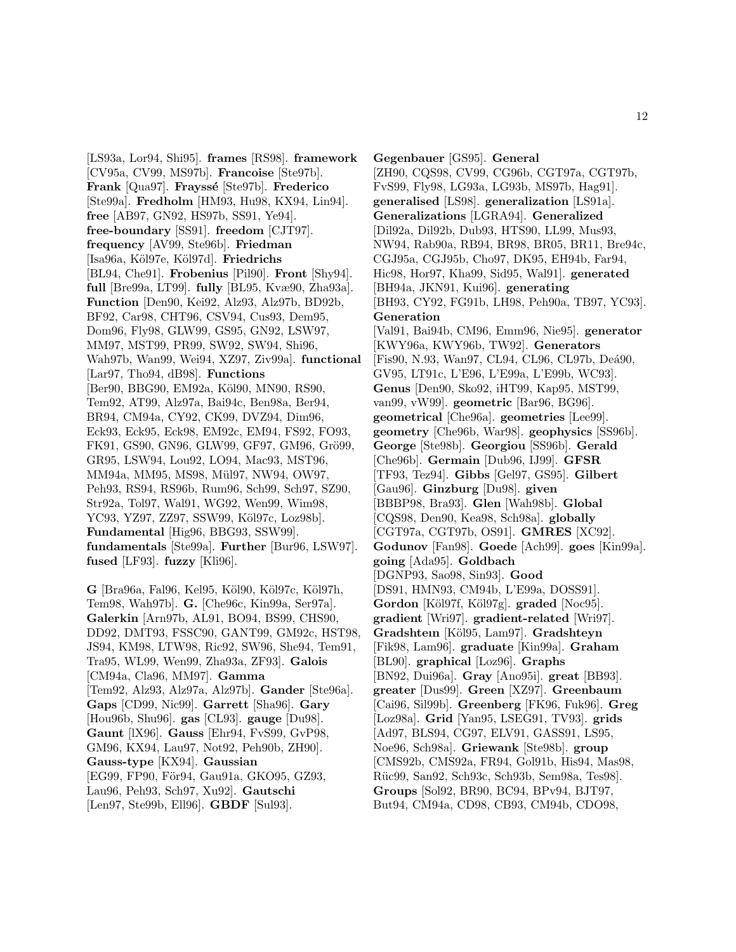[LS93a, Lor94, Shi95]. **frames** [RS98]. **framework** [CV95a, CV99, MS97b]. **Francoise** [Ste97b]. **Frank** [Qua97]. **Frayssé** [Ste97b]. **Frederico** [Ste99a]. **Fredholm** [HM93, Hu98, KX94, Lin94]. **free** [AB97, GN92, HS97b, SS91, Ye94]. **free-boundary** [SS91]. **freedom** [CJT97]. **frequency** [AV99, Ste96b]. **Friedman** [Isa96a, K¨ol97e, K¨ol97d]. **Friedrichs** [BL94, Che91]. **Frobenius** [Pil90]. **Front** [Shy94]. **full** [Bre99a, LT99]. **fully** [BL95, Kvæ90, Zha93a]. **Function** [Den90, Kei92, Alz93, Alz97b, BD92b, BF92, Car98, CHT96, CSV94, Cus93, Dem95, Dom96, Fly98, GLW99, GS95, GN92, LSW97, MM97, MST99, PR99, SW92, SW94, Shi96, Wah97b, Wan99, Wei94, XZ97, Ziv99a]. **functional** [Lar97, Tho94, dB98]. **Functions** [Ber90, BBG90, EM92a, Köl90, MN90, RS90, Tem92, AT99, Alz97a, Bai94c, Ben98a, Ber94, BR94, CM94a, CY92, CK99, DVZ94, Dim96, Eck93, Eck95, Eck98, EM92c, EM94, FS92, FO93, FK91, GS90, GN96, GLW99, GF97, GM96, Grö99, GR95, LSW94, Lou92, LO94, Mac93, MST96, MM94a, MM95, MS98, Mül97, NW94, OW97, Peh93, RS94, RS96b, Rum96, Sch99, Sch97, SZ90, Str92a, Tol97, Wal91, WG92, Wen99, Wim98, YC93, YZ97, ZZ97, SSW99, Köl97c, Loz98b]. **Fundamental** [Hig96, BBG93, SSW99]. **fundamentals** [Ste99a]. **Further** [Bur96, LSW97]. **fused** [LF93]. **fuzzy** [Kli96].

G [Bra96a, Fal96, Kel95, Köl90, Köl97c, Köl97h, Tem98, Wah97b]. **G.** [Che96c, Kin99a, Ser97a]. **Galerkin** [Arn97b, AL91, BO94, BS99, CHS90, DD92, DMT93, FSSC90, GANT99, GM92c, HST98, JS94, KM98, LTW98, Ric92, SW96, She94, Tem91, Tra95, WL99, Wen99, Zha93a, ZF93]. **Galois** [CM94a, Cla96, MM97]. **Gamma** [Tem92, Alz93, Alz97a, Alz97b]. **Gander** [Ste96a]. **Gaps** [CD99, Nic99]. **Garrett** [Sha96]. **Gary** [Hou96b, Shu96]. **gas** [CL93]. **gauge** [Du98]. **Gaunt** [lX96]. **Gauss** [Ehr94, FvS99, GvP98, GM96, KX94, Lau97, Not92, Peh90b, ZH90]. **Gauss-type** [KX94]. **Gaussian** [EG99, FP90, För94, Gau91a, GKO95, GZ93, Lau96, Peh93, Sch97, Xu92]. **Gautschi** [Len97, Ste99b, Ell96]. **GBDF** [Sul93].

**Gegenbauer** [GS95]. **General** [ZH90, CQS98, CV99, CG96b, CGT97a, CGT97b, FvS99, Fly98, LG93a, LG93b, MS97b, Hag91]. **generalised** [LS98]. **generalization** [LS91a]. **Generalizations** [LGRA94]. **Generalized** [Dil92a, Dil92b, Dub93, HTS90, LL99, Mus93, NW94, Rab90a, RB94, BR98, BR05, BR11, Bre94c, CGJ95a, CGJ95b, Cho97, DK95, EH94b, Far94, Hic98, Hor97, Kha99, Sid95, Wal91]. **generated** [BH94a, JKN91, Kui96]. **generating** [BH93, CY92, FG91b, LH98, Peh90a, TB97, YC93]. **Generation** [Val91, Bai94b, CM96, Emm96, Nie95]. **generator** [KWY96a, KWY96b, TW92]. **Generators** [Fis90, N.93, Wan97, CL94, CL96, CL97b, Deá90, GV95, LT91c, L'E96, L'E99a, L'E99b, WC93]. **Genus** [Den90, Sko92, iHT99, Kap95, MST99, van99, vW99]. **geometric** [Bar96, BG96]. **geometrical** [Che96a]. **geometries** [Lee99]. **geometry** [Che96b, War98]. **geophysics** [SS96b]. **George** [Ste98b]. **Georgiou** [SS96b]. **Gerald** [Che96b]. **Germain** [Dub96, IJ99]. **GFSR** [TF93, Tez94]. **Gibbs** [Gel97, GS95]. **Gilbert** [Gau96]. **Ginzburg** [Du98]. **given** [BBBP98, Bra93]. **Glen** [Wah98b]. **Global** [CQS98, Den90, Kea98, Sch98a]. **globally** [CGT97a, CGT97b, OS91]. **GMRES** [XC92]. **Godunov** [Fan98]. **Goede** [Ach99]. **goes** [Kin99a]. **going** [Ada95]. **Goldbach** [DGNP93, Sao98, Sin93]. **Good** [DS91, HMN93, CM94b, L'E99a, DOSS91]. Gordon<sup>[Köl97f, Köl97g]. **graded** [Noc95].</sup> **gradient** [Wri97]. **gradient-related** [Wri97]. **Gradshteın** [K¨ol95, Lam97]. **Gradshteyn** [Fik98, Lam96]. **graduate** [Kin99a]. **Graham** [BL90]. **graphical** [Loz96]. **Graphs** [BN92, Dui96a]. **Gray** [Ano95i]. **great** [BB93]. **greater** [Dus99]. **Green** [XZ97]. **Greenbaum** [Cai96, Sil99b]. **Greenberg** [FK96, Fuk96]. **Greg** [Loz98a]. **Grid** [Yan95, LSEG91, TV93]. **grids** [Ad97, BLS94, CG97, ELV91, GASS91, LS95, Noe96, Sch98a]. **Griewank** [Ste98b]. **group** [CMS92b, CMS92a, FR94, Gol91b, His94, Mas98, R¨uc99, San92, Sch93c, Sch93b, Sem98a, Tes98]. **Groups** [Sol92, BR90, BC94, BPv94, BJT97, But94, CM94a, CD98, CB93, CM94b, CDO98,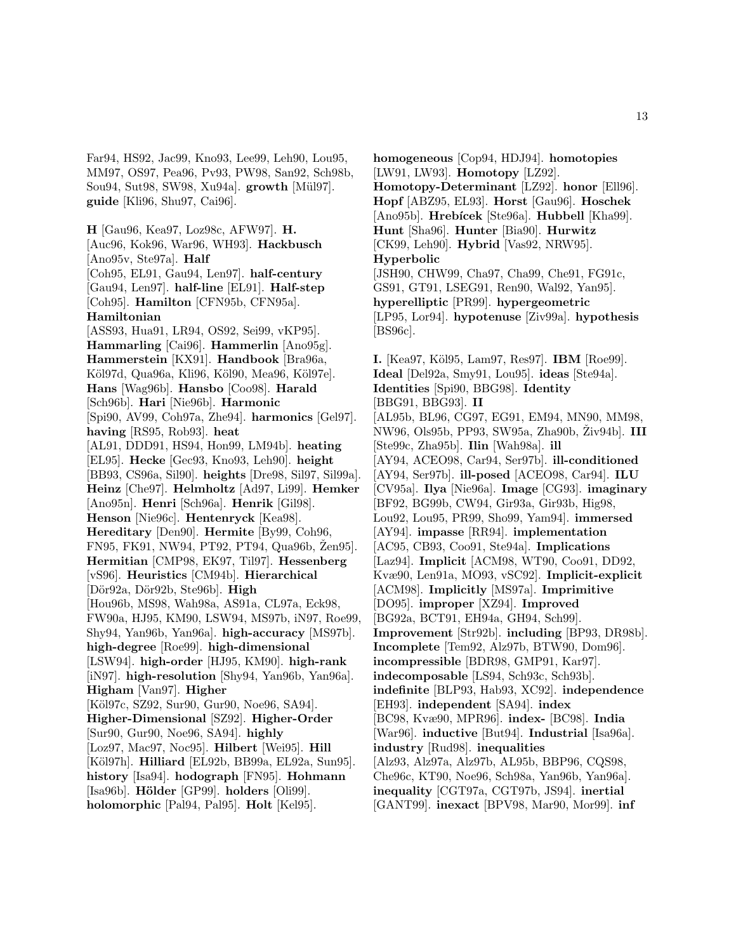Far94, HS92, Jac99, Kno93, Lee99, Leh90, Lou95, MM97, OS97, Pea96, Pv93, PW98, San92, Sch98b, Sou94, Sut98, SW98, Xu94a]. **growth** [M¨ul97]. **guide** [Kli96, Shu97, Cai96].

**H** [Gau96, Kea97, Loz98c, AFW97]. **H.** [Auc96, Kok96, War96, WH93]. **Hackbusch** [Ano95v, Ste97a]. **Half** [Coh95, EL91, Gau94, Len97]. **half-century** [Gau94, Len97]. **half-line** [EL91]. **Half-step** [Coh95]. **Hamilton** [CFN95b, CFN95a]. **Hamiltonian** [ASS93, Hua91, LR94, OS92, Sei99, vKP95]. **Hammarling** [Cai96]. **Hammerlin** [Ano95g]. **Hammerstein** [KX91]. **Handbook** [Bra96a, Köl97d, Qua96a, Kli96, Köl90, Mea96, Köl97e]. **Hans** [Wag96b]. **Hansbo** [Coo98]. **Harald** [Sch96b]. **Hari** [Nie96b]. **Harmonic** [Spi90, AV99, Coh97a, Zhe94]. **harmonics** [Gel97]. **having** [RS95, Rob93]. **heat** [AL91, DDD91, HS94, Hon99, LM94b]. **heating** [EL95]. **Hecke** [Gec93, Kno93, Leh90]. **height** [BB93, CS96a, Sil90]. **heights** [Dre98, Sil97, Sil99a]. **Heinz** [Che97]. **Helmholtz** [Ad97, Li99]. **Hemker** [Ano95n]. **Henri** [Sch96a]. **Henrik** [Gil98]. **Henson** [Nie96c]. **Hentenryck** [Kea98]. **Hereditary** [Den90]. **Hermite** [By99, Coh96, FN95, FK91, NW94, PT92, PT94, Qua96b, Zen95]. **Hermitian** [CMP98, EK97, Til97]. **Hessenberg** [vS96]. **Heuristics** [CM94b]. **Hierarchical** [D¨or92a, D¨or92b, Ste96b]. **High** [Hou96b, MS98, Wah98a, AS91a, CL97a, Eck98, FW90a, HJ95, KM90, LSW94, MS97b, iN97, Roe99, Shy94, Yan96b, Yan96a]. **high-accuracy** [MS97b]. **high-degree** [Roe99]. **high-dimensional** [LSW94]. **high-order** [HJ95, KM90]. **high-rank** [iN97]. **high-resolution** [Shy94, Yan96b, Yan96a]. **Higham** [Van97]. **Higher** [Köl97c, SZ92, Sur90, Gur90, Noe96, SA94]. **Higher-Dimensional** [SZ92]. **Higher-Order** [Sur90, Gur90, Noe96, SA94]. **highly** [Loz97, Mac97, Noc95]. **Hilbert** [Wei95]. **Hill** [Köl97h]. **Hilliard** [EL92b, BB99a, EL92a, Sun95]. **history** [Isa94]. **hodograph** [FN95]. **Hohmann** [Isa96b]. **H¨older** [GP99]. **holders** [Oli99]. **holomorphic** [Pal94, Pal95]. **Holt** [Kel95].

**homogeneous** [Cop94, HDJ94]. **homotopies** [LW91, LW93]. **Homotopy** [LZ92]. **Homotopy-Determinant** [LZ92]. **honor** [Ell96]. **Hopf** [ABZ95, EL93]. **Horst** [Gau96]. **Hoschek** [Ano95b]. **Hrebícek** [Ste96a]. **Hubbell** [Kha99]. **Hunt** [Sha96]. **Hunter** [Bia90]. **Hurwitz** [CK99, Leh90]. **Hybrid** [Vas92, NRW95]. **Hyperbolic** [JSH90, CHW99, Cha97, Cha99, Che91, FG91c, GS91, GT91, LSEG91, Ren90, Wal92, Yan95]. **hyperelliptic** [PR99]. **hypergeometric** [LP95, Lor94]. **hypotenuse** [Ziv99a]. **hypothesis** [BS96c].

**I.** [Kea97, K¨ol95, Lam97, Res97]. **IBM** [Roe99]. **Ideal** [Del92a, Smy91, Lou95]. **ideas** [Ste94a]. **Identities** [Spi90, BBG98]. **Identity** [BBG91, BBG93]. **II** [AL95b, BL96, CG97, EG91, EM94, MN90, MM98, NW96, Ols95b, PP93, SW95a, Zha90b, Ziv94b]. **III** [Ste99c, Zha95b]. **Ilin** [Wah98a]. **ill** [AY94, ACEO98, Car94, Ser97b]. **ill-conditioned** [AY94, Ser97b]. **ill-posed** [ACEO98, Car94]. **ILU** [CV95a]. **Ilya** [Nie96a]. **Image** [CG93]. **imaginary** [BF92, BG99b, CW94, Gir93a, Gir93b, Hig98, Lou92, Lou95, PR99, Sho99, Yam94]. **immersed** [AY94]. **impasse** [RR94]. **implementation** [AC95, CB93, Coo91, Ste94a]. **Implications** [Laz94]. **Implicit** [ACM98, WT90, Coo91, DD92, Kvæ90, Len91a, MO93, vSC92]. **Implicit-explicit** [ACM98]. **Implicitly** [MS97a]. **Imprimitive** [DO95]. **improper** [XZ94]. **Improved** [BG92a, BCT91, EH94a, GH94, Sch99]. **Improvement** [Str92b]. **including** [BP93, DR98b]. **Incomplete** [Tem92, Alz97b, BTW90, Dom96]. **incompressible** [BDR98, GMP91, Kar97]. **indecomposable** [LS94, Sch93c, Sch93b]. **indefinite** [BLP93, Hab93, XC92]. **independence** [EH93]. **independent** [SA94]. **index** [BC98, Kvæ90, MPR96]. **index-** [BC98]. **India** [War96]. **inductive** [But94]. **Industrial** [Isa96a]. **industry** [Rud98]. **inequalities** [Alz93, Alz97a, Alz97b, AL95b, BBP96, CQS98, Che96c, KT90, Noe96, Sch98a, Yan96b, Yan96a]. **inequality** [CGT97a, CGT97b, JS94]. **inertial** [GANT99]. **inexact** [BPV98, Mar90, Mor99]. **inf**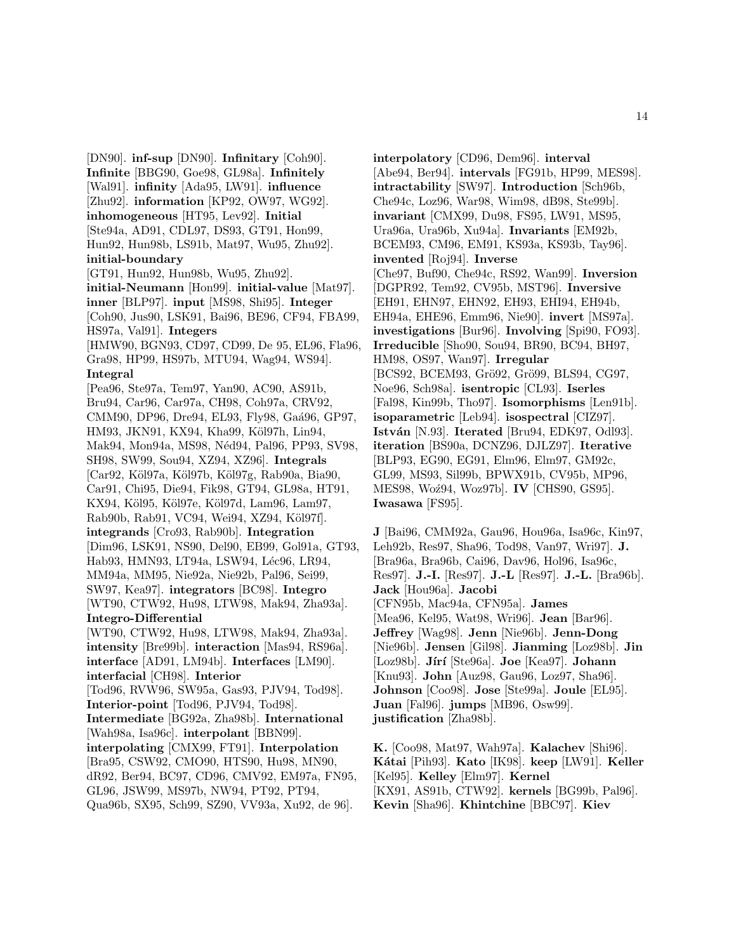[DN90]. **inf-sup** [DN90]. **Infinitary** [Coh90]. **Infinite** [BBG90, Goe98, GL98a]. **Infinitely** [Wal91]. **infinity** [Ada95, LW91]. **influence** [Zhu92]. **information** [KP92, OW97, WG92]. **inhomogeneous** [HT95, Lev92]. **Initial** [Ste94a, AD91, CDL97, DS93, GT91, Hon99, Hun92, Hun98b, LS91b, Mat97, Wu95, Zhu92]. **initial-boundary** [GT91, Hun92, Hun98b, Wu95, Zhu92]. **initial-Neumann** [Hon99]. **initial-value** [Mat97]. **inner** [BLP97]. **input** [MS98, Shi95]. **Integer** [Coh90, Jus90, LSK91, Bai96, BE96, CF94, FBA99, HS97a, Val91]. **Integers** [HMW90, BGN93, CD97, CD99, De 95, EL96, Fla96, Gra98, HP99, HS97b, MTU94, Wag94, WS94]. **Integral** [Pea96, Ste97a, Tem97, Yan90, AC90, AS91b, Bru94, Car96, Car97a, CH98, Coh97a, CRV92, CMM90, DP96, Dre94, EL93, Fly98, Gaá96, GP97, HM93, JKN91, KX94, Kha99, Köl97h, Lin94, Mak94, Mon94a, MS98, Néd94, Pal96, PP93, SV98, SH98, SW99, Sou94, XZ94, XZ96]. **Integrals** [Car92, Köl97a, Köl97b, Köl97g, Rab90a, Bia90, Car91, Chi95, Die94, Fik98, GT94, GL98a, HT91, KX94, Köl95, Köl97e, Köl97d, Lam96, Lam97, Rab90b, Rab91, VC94, Wei94, XZ94, Köl97f]. **integrands** [Cro93, Rab90b]. **Integration** [Dim96, LSK91, NS90, Del90, EB99, Gol91a, GT93, Hab93, HMN93, LT94a, LSW94, Léc96, LR94, MM94a, MM95, Nie92a, Nie92b, Pal96, Sei99, SW97, Kea97]. **integrators** [BC98]. **Integro** [WT90, CTW92, Hu98, LTW98, Mak94, Zha93a]. **Integro-Differential** [WT90, CTW92, Hu98, LTW98, Mak94, Zha93a]. **intensity** [Bre99b]. **interaction** [Mas94, RS96a]. **interface** [AD91, LM94b]. **Interfaces** [LM90]. **interfacial** [CH98]. **Interior** [Tod96, RVW96, SW95a, Gas93, PJV94, Tod98]. **Interior-point** [Tod96, PJV94, Tod98]. **Intermediate** [BG92a, Zha98b]. **International** [Wah98a, Isa96c]. **interpolant** [BBN99]. **interpolating** [CMX99, FT91]. **Interpolation** [Bra95, CSW92, CMO90, HTS90, Hu98, MN90, dR92, Ber94, BC97, CD96, CMV92, EM97a, FN95, GL96, JSW99, MS97b, NW94, PT92, PT94, Qua96b, SX95, Sch99, SZ90, VV93a, Xu92, de 96].

**interpolatory** [CD96, Dem96]. **interval** [Abe94, Ber94]. **intervals** [FG91b, HP99, MES98]. **intractability** [SW97]. **Introduction** [Sch96b, Che94c, Loz96, War98, Wim98, dB98, Ste99b]. **invariant** [CMX99, Du98, FS95, LW91, MS95, Ura96a, Ura96b, Xu94a]. **Invariants** [EM92b, BCEM93, CM96, EM91, KS93a, KS93b, Tay96]. **invented** [Roj94]. **Inverse** [Che97, Buf90, Che94c, RS92, Wan99]. **Inversion** [DGPR92, Tem92, CV95b, MST96]. **Inversive** [EH91, EHN97, EHN92, EH93, EHI94, EH94b, EH94a, EHE96, Emm96, Nie90]. **invert** [MS97a]. **investigations** [Bur96]. **Involving** [Spi90, FO93]. **Irreducible** [Sho90, Sou94, BR90, BC94, BH97, HM98, OS97, Wan97]. **Irregular** [BCS92, BCEM93, Grö92, Grö99, BLS94, CG97, Noe96, Sch98a]. **isentropic** [CL93]. **Iserles** [Fal98, Kin99b, Tho97]. **Isomorphisms** [Len91b]. **isoparametric** [Leb94]. **isospectral** [CIZ97]. **István** [N.93]. **Iterated** [Bru94, EDK97, Odl93]. **iteration** [BS90a, DCNZ96, DJLZ97]. **Iterative** [BLP93, EG90, EG91, Elm96, Elm97, GM92c, GL99, MS93, Sil99b, BPWX91b, CV95b, MP96, MES98, Woź94, Woz97b]. **IV** [CHS90, GS95]. **Iwasawa** [FS95].

**J** [Bai96, CMM92a, Gau96, Hou96a, Isa96c, Kin97, Leh92b, Res97, Sha96, Tod98, Van97, Wri97]. **J.** [Bra96a, Bra96b, Cai96, Dav96, Hol96, Isa96c, Res97]. **J.-I.** [Res97]. **J.-L** [Res97]. **J.-L.** [Bra96b]. **Jack** [Hou96a]. **Jacobi** [CFN95b, Mac94a, CFN95a]. **James** [Mea96, Kel95, Wat98, Wri96]. **Jean** [Bar96]. **Jeffrey** [Wag98]. **Jenn** [Nie96b]. **Jenn-Dong** [Nie96b]. **Jensen** [Gil98]. **Jianming** [Loz98b]. **Jin** [Loz98b]. **J´ır´ı** [Ste96a]. **Joe** [Kea97]. **Johann** [Knu93]. **John** [Auz98, Gau96, Loz97, Sha96]. **Johnson** [Coo98]. **Jose** [Ste99a]. **Joule** [EL95]. **Juan** [Fal96]. **jumps** [MB96, Osw99]. **justification** [Zha98b].

**K.** [Coo98, Mat97, Wah97a]. **Kalachev** [Shi96]. **K´atai** [Pih93]. **Kato** [IK98]. **keep** [LW91]. **Keller** [Kel95]. **Kelley** [Elm97]. **Kernel** [KX91, AS91b, CTW92]. **kernels** [BG99b, Pal96]. **Kevin** [Sha96]. **Khintchine** [BBC97]. **Kiev**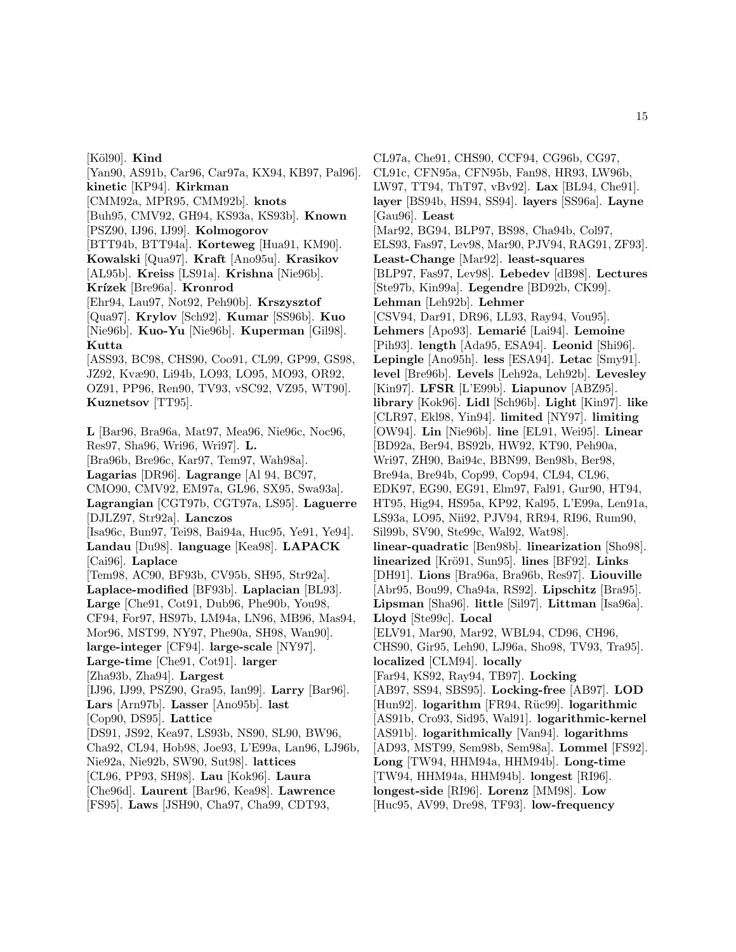[K¨ol90]. **Kind** [Yan90, AS91b, Car96, Car97a, KX94, KB97, Pal96]. **kinetic** [KP94]. **Kirkman** [CMM92a, MPR95, CMM92b]. **knots** [Buh95, CMV92, GH94, KS93a, KS93b]. **Known** [PSZ90, IJ96, IJ99]. **Kolmogorov** [BTT94b, BTT94a]. **Korteweg** [Hua91, KM90]. **Kowalski** [Qua97]. **Kraft** [Ano95u]. **Krasikov** [AL95b]. **Kreiss** [LS91a]. **Krishna** [Nie96b]. **Kr´ızek** [Bre96a]. **Kronrod** [Ehr94, Lau97, Not92, Peh90b]. **Krszysztof** [Qua97]. **Krylov** [Sch92]. **Kumar** [SS96b]. **Kuo** [Nie96b]. **Kuo-Yu** [Nie96b]. **Kuperman** [Gil98]. **Kutta** [ASS93, BC98, CHS90, Coo91, CL99, GP99, GS98, JZ92, Kvæ90, Li94b, LO93, LO95, MO93, OR92, OZ91, PP96, Ren90, TV93, vSC92, VZ95, WT90]. **Kuznetsov** [TT95]. **L** [Bar96, Bra96a, Mat97, Mea96, Nie96c, Noc96, Res97, Sha96, Wri96, Wri97]. **L.** [Bra96b, Bre96c, Kar97, Tem97, Wah98a]. **Lagarias** [DR96]. **Lagrange** [Al 94, BC97, CMO90, CMV92, EM97a, GL96, SX95, Swa93a]. **Lagrangian** [CGT97b, CGT97a, LS95]. **Laguerre** [DJLZ97, Str92a]. **Lanczos** [Isa96c, Bun97, Tei98, Bai94a, Huc95, Ye91, Ye94]. **Landau** [Du98]. **language** [Kea98]. **LAPACK** [Cai96]. **Laplace** [Tem98, AC90, BF93b, CV95b, SH95, Str92a]. **Laplace-modified** [BF93b]. **Laplacian** [BL93]. **Large** [Che91, Cot91, Dub96, Phe90b, You98, CF94, For97, HS97b, LM94a, LN96, MB96, Mas94, Mor96, MST99, NY97, Phe90a, SH98, Wan90]. **large-integer** [CF94]. **large-scale** [NY97]. **Large-time** [Che91, Cot91]. **larger** [Zha93b, Zha94]. **Largest** [IJ96, IJ99, PSZ90, Gra95, Ian99]. **Larry** [Bar96]. **Lars** [Arn97b]. **Lasser** [Ano95b]. **last** [Cop90, DS95]. **Lattice** [DS91, JS92, Kea97, LS93b, NS90, SL90, BW96, Cha92, CL94, Hob98, Joe93, L'E99a, Lan96, LJ96b, Nie92a, Nie92b, SW90, Sut98]. **lattices** [CL96, PP93, SH98]. **Lau** [Kok96]. **Laura** [Che96d]. **Laurent** [Bar96, Kea98]. **Lawrence** [FS95]. **Laws** [JSH90, Cha97, Cha99, CDT93,

CL97a, Che91, CHS90, CCF94, CG96b, CG97, CL91c, CFN95a, CFN95b, Fan98, HR93, LW96b, LW97, TT94, ThT97, vBv92]. **Lax** [BL94, Che91]. **layer** [BS94b, HS94, SS94]. **layers** [SS96a]. **Layne** [Gau96]. **Least** [Mar92, BG94, BLP97, BS98, Cha94b, Col97, ELS93, Fas97, Lev98, Mar90, PJV94, RAG91, ZF93]. **Least-Change** [Mar92]. **least-squares** [BLP97, Fas97, Lev98]. **Lebedev** [dB98]. **Lectures** [Ste97b, Kin99a]. **Legendre** [BD92b, CK99]. **Lehman** [Leh92b]. **Lehmer** [CSV94, Dar91, DR96, LL93, Ray94, Vou95]. Lehmers [Apo93]. Lemarié [Lai94]. Lemoine [Pih93]. **length** [Ada95, ESA94]. **Leonid** [Shi96]. **Lepingle** [Ano95h]. **less** [ESA94]. **Letac** [Smy91]. **level** [Bre96b]. **Levels** [Leh92a, Leh92b]. **Levesley** [Kin97]. **LFSR** [L'E99b]. **Liapunov** [ABZ95]. **library** [Kok96]. **Lidl** [Sch96b]. **Light** [Kin97]. **like** [CLR97, Ekl98, Yin94]. **limited** [NY97]. **limiting** [OW94]. **Lin** [Nie96b]. **line** [EL91, Wei95]. **Linear** [BD92a, Ber94, BS92b, HW92, KT90, Peh90a, Wri97, ZH90, Bai94c, BBN99, Ben98b, Ber98, Bre94a, Bre94b, Cop99, Cop94, CL94, CL96, EDK97, EG90, EG91, Elm97, Fal91, Gur90, HT94, HT95, Hig94, HS95a, KP92, Kal95, L'E99a, Len91a, LS93a, LO95, Nii92, PJV94, RR94, RI96, Rum90, Sil99b, SV90, Ste99c, Wal92, Wat98]. **linear-quadratic** [Ben98b]. **linearization** [Sho98]. **linearized** [Krö91, Sun95]. **lines** [BF92]. **Links** [DH91]. **Lions** [Bra96a, Bra96b, Res97]. **Liouville** [Abr95, Bou99, Cha94a, RS92]. **Lipschitz** [Bra95]. **Lipsman** [Sha96]. **little** [Sil97]. **Littman** [Isa96a]. **Lloyd** [Ste99c]. **Local** [ELV91, Mar90, Mar92, WBL94, CD96, CH96, CHS90, Gir95, Leh90, LJ96a, Sho98, TV93, Tra95]. **localized** [CLM94]. **locally** [Far94, KS92, Ray94, TB97]. **Locking** [AB97, SS94, SBS95]. **Locking-free** [AB97]. **LOD** [Hun92]. **logarithm** [FR94, R¨uc99]. **logarithmic** [AS91b, Cro93, Sid95, Wal91]. **logarithmic-kernel** [AS91b]. **logarithmically** [Van94]. **logarithms** [AD93, MST99, Sem98b, Sem98a]. **Lommel** [FS92]. **Long** [TW94, HHM94a, HHM94b]. **Long-time** [TW94, HHM94a, HHM94b]. **longest** [RI96]. **longest-side** [RI96]. **Lorenz** [MM98]. **Low** [Huc95, AV99, Dre98, TF93]. **low-frequency**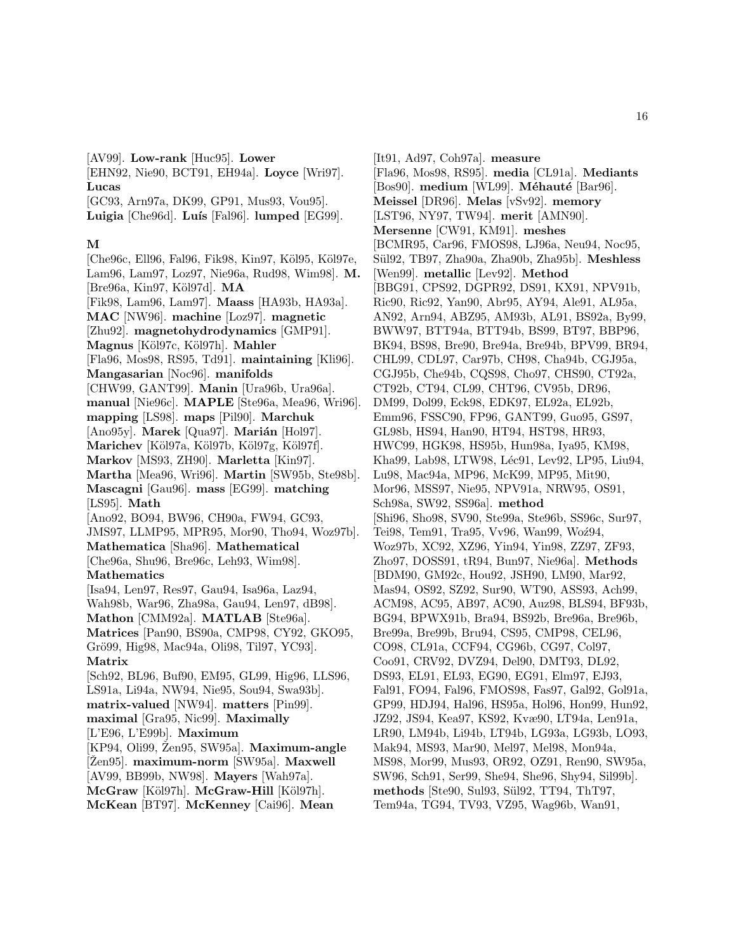[AV99]. **Low-rank** [Huc95]. **Lower**

[EHN92, Nie90, BCT91, EH94a]. **Loyce** [Wri97]. **Lucas**

[GC93, Arn97a, DK99, GP91, Mus93, Vou95]. Luigia<sup> [Che96d].</sup> Luís<sup>[Fal96]</sup>. lumped<sup>[EG99].</sup>

### **M**

[Che96c, Ell96, Fal96, Fik98, Kin97, Köl95, Köl97e, Lam96, Lam97, Loz97, Nie96a, Rud98, Wim98]. **M.** [Bre96a, Kin97, K¨ol97d]. **MA** [Fik98, Lam96, Lam97]. **Maass** [HA93b, HA93a]. **MAC** [NW96]. **machine** [Loz97]. **magnetic** [Zhu92]. **magnetohydrodynamics** [GMP91]. **Magnus** [K¨ol97c, K¨ol97h]. **Mahler** [Fla96, Mos98, RS95, Td91]. **maintaining** [Kli96]. **Mangasarian** [Noc96]. **manifolds** [CHW99, GANT99]. **Manin** [Ura96b, Ura96a]. **manual** [Nie96c]. **MAPLE** [Ste96a, Mea96, Wri96]. **mapping** [LS98]. **maps** [Pil90]. **Marchuk** [Ano95y]. **Marek** [Qua97]. **Marián** [Hol97]. Marichev [Köl97a, Köl97b, Köl97g, Köl97f]. **Markov** [MS93, ZH90]. **Marletta** [Kin97]. **Martha** [Mea96, Wri96]. **Martin** [SW95b, Ste98b]. **Mascagni** [Gau96]. **mass** [EG99]. **matching** [LS95]. **Math** [Ano92, BO94, BW96, CH90a, FW94, GC93, JMS97, LLMP95, MPR95, Mor90, Tho94, Woz97b]. **Mathematica** [Sha96]. **Mathematical** [Che96a, Shu96, Bre96c, Leh93, Wim98]. **Mathematics** [Isa94, Len97, Res97, Gau94, Isa96a, Laz94, Wah98b, War96, Zha98a, Gau94, Len97, dB98]. **Mathon** [CMM92a]. **MATLAB** [Ste96a]. **Matrices** [Pan90, BS90a, CMP98, CY92, GKO95, Grö99, Hig98, Mac94a, Oli98, Til97, YC93]. **Matrix** [Sch92, BL96, Buf90, EM95, GL99, Hig96, LLS96, LS91a, Li94a, NW94, Nie95, Sou94, Swa93b]. **matrix-valued** [NW94]. **matters** [Pin99]. **maximal** [Gra95, Nic99]. **Maximally** [L'E96, L'E99b]. **Maximum** [KP94, Oli99, Zen95, SW95a]. **Maximum-angle** [Žen95]. maximum-norm [SW95a]. Maxwell [AV99, BB99b, NW98]. **Mayers** [Wah97a]. **McGraw** [Köl97h]. **McGraw-Hill** [Köl97h]. **McKean** [BT97]. **McKenney** [Cai96]. **Mean**

[It91, Ad97, Coh97a]. **measure** [Fla96, Mos98, RS95]. **media** [CL91a]. **Mediants** [Bos90]. **medium** [WL99]. **Méhauté** [Bar96]. **Meissel** [DR96]. **Melas** [vSv92]. **memory** [LST96, NY97, TW94]. **merit** [AMN90]. **Mersenne** [CW91, KM91]. **meshes** [BCMR95, Car96, FMOS98, LJ96a, Neu94, Noc95, S¨ul92, TB97, Zha90a, Zha90b, Zha95b]. **Meshless** [Wen99]. **metallic** [Lev92]. **Method** [BBG91, CPS92, DGPR92, DS91, KX91, NPV91b, Ric90, Ric92, Yan90, Abr95, AY94, Ale91, AL95a, AN92, Arn94, ABZ95, AM93b, AL91, BS92a, By99, BWW97, BTT94a, BTT94b, BS99, BT97, BBP96, BK94, BS98, Bre90, Bre94a, Bre94b, BPV99, BR94, CHL99, CDL97, Car97b, CH98, Cha94b, CGJ95a, CGJ95b, Che94b, CQS98, Cho97, CHS90, CT92a, CT92b, CT94, CL99, CHT96, CV95b, DR96, DM99, Dol99, Eck98, EDK97, EL92a, EL92b, Emm96, FSSC90, FP96, GANT99, Guo95, GS97, GL98b, HS94, Han90, HT94, HST98, HR93, HWC99, HGK98, HS95b, Hun98a, Iya95, KM98, Kha99, Lab98, LTW98, Léc91, Lev92, LP95, Liu94, Lu98, Mac94a, MP96, McK99, MP95, Mit90, Mor96, MSS97, Nie95, NPV91a, NRW95, OS91, Sch98a, SW92, SS96a]. **method** [Shi96, Sho98, SV90, Ste99a, Ste96b, SS96c, Sur97, Tei98, Tem91, Tra95, Vv96, Wan99, Woź94, Woz97b, XC92, XZ96, Yin94, Yin98, ZZ97, ZF93, Zho97, DOSS91, tR94, Bun97, Nie96a]. **Methods** [BDM90, GM92c, Hou92, JSH90, LM90, Mar92, Mas94, OS92, SZ92, Sur90, WT90, ASS93, Ach99, ACM98, AC95, AB97, AC90, Auz98, BLS94, BF93b, BG94, BPWX91b, Bra94, BS92b, Bre96a, Bre96b, Bre99a, Bre99b, Bru94, CS95, CMP98, CEL96, CO98, CL91a, CCF94, CG96b, CG97, Col97, Coo91, CRV92, DVZ94, Del90, DMT93, DL92, DS93, EL91, EL93, EG90, EG91, Elm97, EJ93, Fal91, FO94, Fal96, FMOS98, Fas97, Gal92, Gol91a, GP99, HDJ94, Hal96, HS95a, Hol96, Hon99, Hun92, JZ92, JS94, Kea97, KS92, Kvæ90, LT94a, Len91a, LR90, LM94b, Li94b, LT94b, LG93a, LG93b, LO93, Mak94, MS93, Mar90, Mel97, Mel98, Mon94a, MS98, Mor99, Mus93, OR92, OZ91, Ren90, SW95a, SW96, Sch91, Ser99, She94, She96, Shy94, Sil99b]. **methods** [Ste90, Sul93, S¨ul92, TT94, ThT97, Tem94a, TG94, TV93, VZ95, Wag96b, Wan91,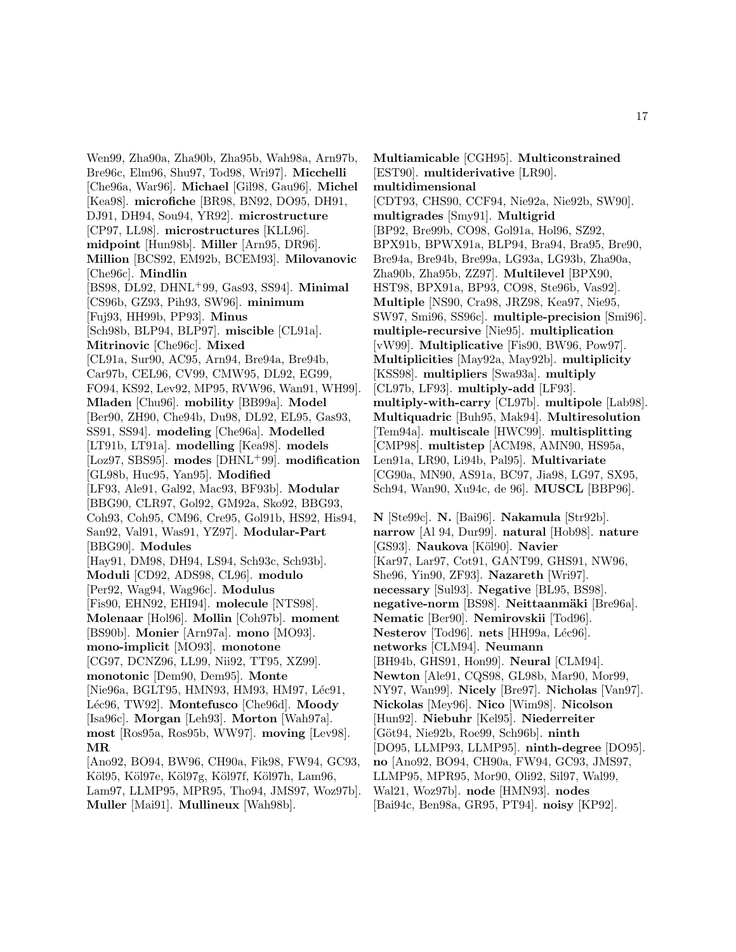Wen99, Zha90a, Zha90b, Zha95b, Wah98a, Arn97b, Bre96c, Elm96, Shu97, Tod98, Wri97]. **Micchelli** [Che96a, War96]. **Michael** [Gil98, Gau96]. **Michel** [Kea98]. **microfiche** [BR98, BN92, DO95, DH91, DJ91, DH94, Sou94, YR92]. **microstructure** [CP97, LL98]. **microstructures** [KLL96]. **midpoint** [Hun98b]. **Miller** [Arn95, DR96]. **Million** [BCS92, EM92b, BCEM93]. **Milovanovic** [Che96c]. **Mindlin** [BS98, DL92, DHNL<sup>+</sup>99, Gas93, SS94]. **Minimal** [CS96b, GZ93, Pih93, SW96]. **minimum** [Fuj93, HH99b, PP93]. **Minus** [Sch98b, BLP94, BLP97]. **miscible** [CL91a]. **Mitrinovic** [Che96c]. **Mixed** [CL91a, Sur90, AC95, Arn94, Bre94a, Bre94b, Car97b, CEL96, CV99, CMW95, DL92, EG99, FO94, KS92, Lev92, MP95, RVW96, Wan91, WH99]. **Mladen** [Chu96]. **mobility** [BB99a]. **Model** [Ber90, ZH90, Che94b, Du98, DL92, EL95, Gas93, SS91, SS94]. **modeling** [Che96a]. **Modelled** [LT91b, LT91a]. **modelling** [Kea98]. **models** [Loz97, SBS95]. **modes** [DHNL<sup>+</sup>99]. **modification** [GL98b, Huc95, Yan95]. **Modified** [LF93, Ale91, Gal92, Mac93, BF93b]. **Modular** [BBG90, CLR97, Gol92, GM92a, Sko92, BBG93, Coh93, Coh95, CM96, Cre95, Gol91b, HS92, His94, San92, Val91, Was91, YZ97]. **Modular-Part** [BBG90]. **Modules** [Hay91, DM98, DH94, LS94, Sch93c, Sch93b]. **Moduli** [CD92, ADS98, CL96]. **modulo** [Per92, Wag94, Wag96c]. **Modulus** [Fis90, EHN92, EHI94]. **molecule** [NTS98]. **Molenaar** [Hol96]. **Mollin** [Coh97b]. **moment** [BS90b]. **Monier** [Arn97a]. **mono** [MO93]. **mono-implicit** [MO93]. **monotone** [CG97, DCNZ96, LL99, Nii92, TT95, XZ99]. **monotonic** [Dem90, Dem95]. **Monte** [Nie96a, BGLT95, HMN93, HM93, HM97, Léc91, L´ec96, TW92]. **Montefusco** [Che96d]. **Moody** [Isa96c]. **Morgan** [Leh93]. **Morton** [Wah97a]. **most** [Ros95a, Ros95b, WW97]. **moving** [Lev98]. **MR** [Ano92, BO94, BW96, CH90a, Fik98, FW94, GC93, Köl95, Köl97e, Köl97g, Köl97f, Köl97h, Lam96, Lam97, LLMP95, MPR95, Tho94, JMS97, Woz97b]. **Muller** [Mai91]. **Mullineux** [Wah98b].

**Multiamicable** [CGH95]. **Multiconstrained** [EST90]. **multiderivative** [LR90]. **multidimensional** [CDT93, CHS90, CCF94, Nie92a, Nie92b, SW90]. **multigrades** [Smy91]. **Multigrid** [BP92, Bre99b, CO98, Gol91a, Hol96, SZ92, BPX91b, BPWX91a, BLP94, Bra94, Bra95, Bre90, Bre94a, Bre94b, Bre99a, LG93a, LG93b, Zha90a, Zha90b, Zha95b, ZZ97]. **Multilevel** [BPX90, HST98, BPX91a, BP93, CO98, Ste96b, Vas92]. **Multiple** [NS90, Cra98, JRZ98, Kea97, Nie95, SW97, Smi96, SS96c]. **multiple-precision** [Smi96]. **multiple-recursive** [Nie95]. **multiplication** [vW99]. **Multiplicative** [Fis90, BW96, Pow97]. **Multiplicities** [May92a, May92b]. **multiplicity** [KSS98]. **multipliers** [Swa93a]. **multiply** [CL97b, LF93]. **multiply-add** [LF93]. **multiply-with-carry** [CL97b]. **multipole** [Lab98]. **Multiquadric** [Buh95, Mak94]. **Multiresolution** [Tem94a]. **multiscale** [HWC99]. **multisplitting** [CMP98]. **multistep** [ACM98, AMN90, HS95a, Len91a, LR90, Li94b, Pal95]. **Multivariate** [CG90a, MN90, AS91a, BC97, Jia98, LG97, SX95, Sch94, Wan90, Xu94c, de 96]. **MUSCL** [BBP96].

**N** [Ste99c]. **N.** [Bai96]. **Nakamula** [Str92b]. **narrow** [Al 94, Dur99]. **natural** [Hob98]. **nature** [GS93]. **Naukova** [Köl90]. **Navier** [Kar97, Lar97, Cot91, GANT99, GHS91, NW96, She96, Yin90, ZF93]. **Nazareth** [Wri97]. **necessary** [Sul93]. **Negative** [BL95, BS98]. **negative-norm** [BS98]. **Neittaanmäki** [Bre96a]. **Nematic** [Ber90]. **Nemirovskii** [Tod96]. **Nesterov** [Tod96]. **nets** [HH99a, Léc96]. **networks** [CLM94]. **Neumann** [BH94b, GHS91, Hon99]. **Neural** [CLM94]. **Newton** [Ale91, CQS98, GL98b, Mar90, Mor99, NY97, Wan99]. **Nicely** [Bre97]. **Nicholas** [Van97]. **Nickolas** [Mey96]. **Nico** [Wim98]. **Nicolson** [Hun92]. **Niebuhr** [Kel95]. **Niederreiter** [G¨ot94, Nie92b, Roe99, Sch96b]. **ninth** [DO95, LLMP93, LLMP95]. **ninth-degree** [DO95]. **no** [Ano92, BO94, CH90a, FW94, GC93, JMS97, LLMP95, MPR95, Mor90, Oli92, Sil97, Wal99, Wal21, Woz97b]. **node** [HMN93]. **nodes** [Bai94c, Ben98a, GR95, PT94]. **noisy** [KP92].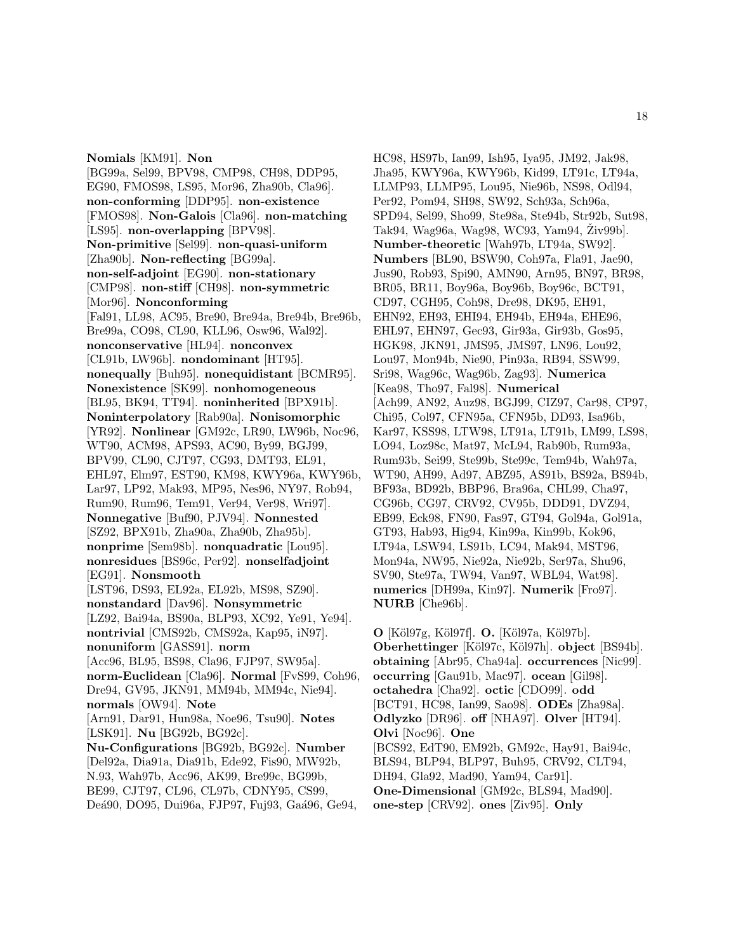**Nomials** [KM91]. **Non** [BG99a, Sel99, BPV98, CMP98, CH98, DDP95, EG90, FMOS98, LS95, Mor96, Zha90b, Cla96]. **non-conforming** [DDP95]. **non-existence** [FMOS98]. **Non-Galois** [Cla96]. **non-matching** [LS95]. **non-overlapping** [BPV98]. **Non-primitive** [Sel99]. **non-quasi-uniform** [Zha90b]. **Non-reflecting** [BG99a]. **non-self-adjoint** [EG90]. **non-stationary** [CMP98]. **non-stiff** [CH98]. **non-symmetric** [Mor96]. **Nonconforming** [Fal91, LL98, AC95, Bre90, Bre94a, Bre94b, Bre96b, Bre99a, CO98, CL90, KLL96, Osw96, Wal92]. **nonconservative** [HL94]. **nonconvex** [CL91b, LW96b]. **nondominant** [HT95]. **nonequally** [Buh95]. **nonequidistant** [BCMR95]. **Nonexistence** [SK99]. **nonhomogeneous** [BL95, BK94, TT94]. **noninherited** [BPX91b]. **Noninterpolatory** [Rab90a]. **Nonisomorphic** [YR92]. **Nonlinear** [GM92c, LR90, LW96b, Noc96, WT90, ACM98, APS93, AC90, By99, BGJ99, BPV99, CL90, CJT97, CG93, DMT93, EL91, EHL97, Elm97, EST90, KM98, KWY96a, KWY96b, Lar97, LP92, Mak93, MP95, Nes96, NY97, Rob94, Rum90, Rum96, Tem91, Ver94, Ver98, Wri97]. **Nonnegative** [Buf90, PJV94]. **Nonnested** [SZ92, BPX91b, Zha90a, Zha90b, Zha95b]. **nonprime** [Sem98b]. **nonquadratic** [Lou95]. **nonresidues** [BS96c, Per92]. **nonselfadjoint** [EG91]. **Nonsmooth** [LST96, DS93, EL92a, EL92b, MS98, SZ90]. **nonstandard** [Dav96]. **Nonsymmetric** [LZ92, Bai94a, BS90a, BLP93, XC92, Ye91, Ye94]. **nontrivial** [CMS92b, CMS92a, Kap95, iN97]. **nonuniform** [GASS91]. **norm** [Acc96, BL95, BS98, Cla96, FJP97, SW95a]. **norm-Euclidean** [Cla96]. **Normal** [FvS99, Coh96, Dre94, GV95, JKN91, MM94b, MM94c, Nie94]. **normals** [OW94]. **Note** [Arn91, Dar91, Hun98a, Noe96, Tsu90]. **Notes** [LSK91]. **Nu** [BG92b, BG92c]. **Nu-Configurations** [BG92b, BG92c]. **Number** [Del92a, Dia91a, Dia91b, Ede92, Fis90, MW92b, N.93, Wah97b, Acc96, AK99, Bre99c, BG99b, BE99, CJT97, CL96, CL97b, CDNY95, CS99, Deá90, DO95, Dui96a, FJP97, Fuj93, Gaá96, Ge94,

HC98, HS97b, Ian99, Ish95, Iya95, JM92, Jak98, Jha95, KWY96a, KWY96b, Kid99, LT91c, LT94a, LLMP93, LLMP95, Lou95, Nie96b, NS98, Odl94, Per92, Pom94, SH98, SW92, Sch93a, Sch96a, SPD94, Sel99, Sho99, Ste98a, Ste94b, Str92b, Sut98, Tak94, Wag96a, Wag98, WC93, Yam94, Živ99b]. **Number-theoretic** [Wah97b, LT94a, SW92]. **Numbers** [BL90, BSW90, Coh97a, Fla91, Jae90, Jus90, Rob93, Spi90, AMN90, Arn95, BN97, BR98, BR05, BR11, Boy96a, Boy96b, Boy96c, BCT91, CD97, CGH95, Coh98, Dre98, DK95, EH91, EHN92, EH93, EHI94, EH94b, EH94a, EHE96, EHL97, EHN97, Gec93, Gir93a, Gir93b, Gos95, HGK98, JKN91, JMS95, JMS97, LN96, Lou92, Lou97, Mon94b, Nie90, Pin93a, RB94, SSW99, Sri98, Wag96c, Wag96b, Zag93]. **Numerica** [Kea98, Tho97, Fal98]. **Numerical** [Ach99, AN92, Auz98, BGJ99, CIZ97, Car98, CP97, Chi95, Col97, CFN95a, CFN95b, DD93, Isa96b, Kar97, KSS98, LTW98, LT91a, LT91b, LM99, LS98, LO94, Loz98c, Mat97, McL94, Rab90b, Rum93a, Rum93b, Sei99, Ste99b, Ste99c, Tem94b, Wah97a, WT90, AH99, Ad97, ABZ95, AS91b, BS92a, BS94b, BF93a, BD92b, BBP96, Bra96a, CHL99, Cha97, CG96b, CG97, CRV92, CV95b, DDD91, DVZ94, EB99, Eck98, FN90, Fas97, GT94, Gol94a, Gol91a, GT93, Hab93, Hig94, Kin99a, Kin99b, Kok96, LT94a, LSW94, LS91b, LC94, Mak94, MST96, Mon94a, NW95, Nie92a, Nie92b, Ser97a, Shu96, SV90, Ste97a, TW94, Van97, WBL94, Wat98]. **numerics** [DH99a, Kin97]. **Numerik** [Fro97]. **NURB** [Che96b].

**O** [K¨ol97g, K¨ol97f]. **O.** [K¨ol97a, K¨ol97b]. **Oberhettinger** [K¨ol97c, K¨ol97h]. **object** [BS94b]. **obtaining** [Abr95, Cha94a]. **occurrences** [Nic99]. **occurring** [Gau91b, Mac97]. **ocean** [Gil98]. **octahedra** [Cha92]. **octic** [CDO99]. **odd** [BCT91, HC98, Ian99, Sao98]. **ODEs** [Zha98a]. **Odlyzko** [DR96]. **off** [NHA97]. **Olver** [HT94]. **Olvi** [Noc96]. **One** [BCS92, EdT90, EM92b, GM92c, Hay91, Bai94c, BLS94, BLP94, BLP97, Buh95, CRV92, CLT94, DH94, Gla92, Mad90, Yam94, Car91]. **One-Dimensional** [GM92c, BLS94, Mad90]. **one-step** [CRV92]. **ones** [Ziv95]. **Only**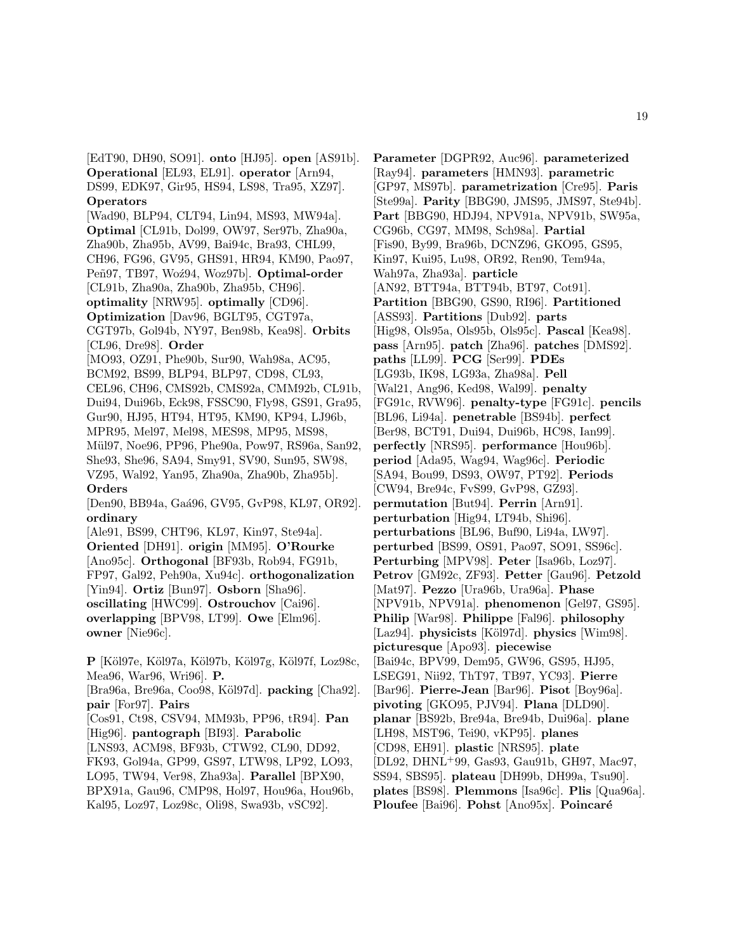[EdT90, DH90, SO91]. **onto** [HJ95]. **open** [AS91b]. **Operational** [EL93, EL91]. **operator** [Arn94, DS99, EDK97, Gir95, HS94, LS98, Tra95, XZ97]. **Operators** [Wad90, BLP94, CLT94, Lin94, MS93, MW94a]. **Optimal** [CL91b, Dol99, OW97, Ser97b, Zha90a, Zha90b, Zha95b, AV99, Bai94c, Bra93, CHL99, CH96, FG96, GV95, GHS91, HR94, KM90, Pao97, Peñ97, TB97, Woź94, Woz97b]. **Optimal-order** [CL91b, Zha90a, Zha90b, Zha95b, CH96]. **optimality** [NRW95]. **optimally** [CD96]. **Optimization** [Dav96, BGLT95, CGT97a, CGT97b, Gol94b, NY97, Ben98b, Kea98]. **Orbits** [CL96, Dre98]. **Order** [MO93, OZ91, Phe90b, Sur90, Wah98a, AC95, BCM92, BS99, BLP94, BLP97, CD98, CL93, CEL96, CH96, CMS92b, CMS92a, CMM92b, CL91b, Dui94, Dui96b, Eck98, FSSC90, Fly98, GS91, Gra95, Gur90, HJ95, HT94, HT95, KM90, KP94, LJ96b, MPR95, Mel97, Mel98, MES98, MP95, MS98, Mül97, Noe96, PP96, Phe90a, Pow97, RS96a, San92, She93, She96, SA94, Smy91, SV90, Sun95, SW98, VZ95, Wal92, Yan95, Zha90a, Zha90b, Zha95b]. **Orders** [Den90, BB94a, Gaá96, GV95, GvP98, KL97, OR92]. **ordinary** [Ale91, BS99, CHT96, KL97, Kin97, Ste94a]. **Oriented** [DH91]. **origin** [MM95]. **O'Rourke** [Ano95c]. **Orthogonal** [BF93b, Rob94, FG91b, FP97, Gal92, Peh90a, Xu94c]. **orthogonalization** [Yin94]. **Ortiz** [Bun97]. **Osborn** [Sha96]. **oscillating** [HWC99]. **Ostrouchov** [Cai96]. **overlapping** [BPV98, LT99]. **Owe** [Elm96]. **owner** [Nie96c]. **P** [K¨ol97e, K¨ol97a, K¨ol97b, K¨ol97g, K¨ol97f, Loz98c, Mea96, War96, Wri96]. **P.** [Bra96a, Bre96a, Coo98, Köl97d]. **packing** [Cha92]. **pair** [For97]. **Pairs** [Cos91, Ct98, CSV94, MM93b, PP96, tR94]. **Pan** [Hig96]. **pantograph** [BI93]. **Parabolic** [LNS93, ACM98, BF93b, CTW92, CL90, DD92,

FK93, Gol94a, GP99, GS97, LTW98, LP92, LO93, LO95, TW94, Ver98, Zha93a]. **Parallel** [BPX90, BPX91a, Gau96, CMP98, Hol97, Hou96a, Hou96b, Kal95, Loz97, Loz98c, Oli98, Swa93b, vSC92].

**Parameter** [DGPR92, Auc96]. **parameterized** [Ray94]. **parameters** [HMN93]. **parametric** [GP97, MS97b]. **parametrization** [Cre95]. **Paris** [Ste99a]. **Parity** [BBG90, JMS95, JMS97, Ste94b]. **Part** [BBG90, HDJ94, NPV91a, NPV91b, SW95a, CG96b, CG97, MM98, Sch98a]. **Partial** [Fis90, By99, Bra96b, DCNZ96, GKO95, GS95, Kin97, Kui95, Lu98, OR92, Ren90, Tem94a, Wah97a, Zha93a]. **particle** [AN92, BTT94a, BTT94b, BT97, Cot91]. **Partition** [BBG90, GS90, RI96]. **Partitioned** [ASS93]. **Partitions** [Dub92]. **parts** [Hig98, Ols95a, Ols95b, Ols95c]. **Pascal** [Kea98]. **pass** [Arn95]. **patch** [Zha96]. **patches** [DMS92]. **paths** [LL99]. **PCG** [Ser99]. **PDEs** [LG93b, IK98, LG93a, Zha98a]. **Pell** [Wal21, Ang96, Ked98, Wal99]. **penalty** [FG91c, RVW96]. **penalty-type** [FG91c]. **pencils** [BL96, Li94a]. **penetrable** [BS94b]. **perfect** [Ber98, BCT91, Dui94, Dui96b, HC98, Ian99]. **perfectly** [NRS95]. **performance** [Hou96b]. **period** [Ada95, Wag94, Wag96c]. **Periodic** [SA94, Bou99, DS93, OW97, PT92]. **Periods** [CW94, Bre94c, FvS99, GvP98, GZ93]. **permutation** [But94]. **Perrin** [Arn91]. **perturbation** [Hig94, LT94b, Shi96]. **perturbations** [BL96, Buf90, Li94a, LW97]. **perturbed** [BS99, OS91, Pao97, SO91, SS96c]. **Perturbing** [MPV98]. **Peter** [Isa96b, Loz97]. **Petrov** [GM92c, ZF93]. **Petter** [Gau96]. **Petzold** [Mat97]. **Pezzo** [Ura96b, Ura96a]. **Phase** [NPV91b, NPV91a]. **phenomenon** [Gel97, GS95]. **Philip** [War98]. **Philippe** [Fal96]. **philosophy** [Laz94]. **physicists** [Köl97d]. **physics** [Wim98]. **picturesque** [Apo93]. **piecewise** [Bai94c, BPV99, Dem95, GW96, GS95, HJ95, LSEG91, Nii92, ThT97, TB97, YC93]. **Pierre** [Bar96]. **Pierre-Jean** [Bar96]. **Pisot** [Boy96a]. **pivoting** [GKO95, PJV94]. **Plana** [DLD90]. **planar** [BS92b, Bre94a, Bre94b, Dui96a]. **plane** [LH98, MST96, Tei90, vKP95]. **planes** [CD98, EH91]. **plastic** [NRS95]. **plate** [DL92, DHNL<sup>+</sup>99, Gas93, Gau91b, GH97, Mac97, SS94, SBS95]. **plateau** [DH99b, DH99a, Tsu90]. **plates** [BS98]. **Plemmons** [Isa96c]. **Plis** [Qua96a]. Ploufee [Bai96]. **Pohst** [Ano95x]. **Poincaré**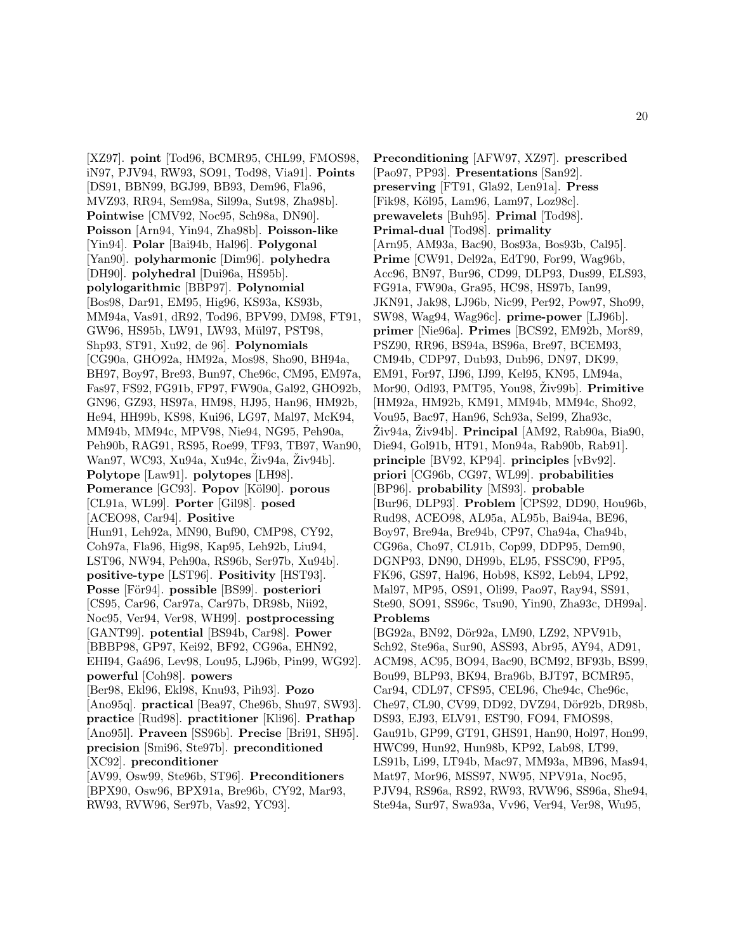[XZ97]. **point** [Tod96, BCMR95, CHL99, FMOS98, iN97, PJV94, RW93, SO91, Tod98, Via91]. **Points** [DS91, BBN99, BGJ99, BB93, Dem96, Fla96, MVZ93, RR94, Sem98a, Sil99a, Sut98, Zha98b]. **Pointwise** [CMV92, Noc95, Sch98a, DN90]. **Poisson** [Arn94, Yin94, Zha98b]. **Poisson-like** [Yin94]. **Polar** [Bai94b, Hal96]. **Polygonal** [Yan90]. **polyharmonic** [Dim96]. **polyhedra** [DH90]. **polyhedral** [Dui96a, HS95b]. **polylogarithmic** [BBP97]. **Polynomial** [Bos98, Dar91, EM95, Hig96, KS93a, KS93b, MM94a, Vas91, dR92, Tod96, BPV99, DM98, FT91, GW96, HS95b, LW91, LW93, Mül97, PST98, Shp93, ST91, Xu92, de 96]. **Polynomials** [CG90a, GHO92a, HM92a, Mos98, Sho90, BH94a, BH97, Boy97, Bre93, Bun97, Che96c, CM95, EM97a, Fas97, FS92, FG91b, FP97, FW90a, Gal92, GHO92b, GN96, GZ93, HS97a, HM98, HJ95, Han96, HM92b, He94, HH99b, KS98, Kui96, LG97, Mal97, McK94, MM94b, MM94c, MPV98, Nie94, NG95, Peh90a, Peh90b, RAG91, RS95, Roe99, TF93, TB97, Wan90, Wan97, WC93, Xu94a, Xu94c, Ziv94a, Ziv94b]. **Polytope** [Law91]. **polytopes** [LH98]. **Pomerance** [GC93]. **Popov** [Köl90]. **porous** [CL91a, WL99]. **Porter** [Gil98]. **posed** [ACEO98, Car94]. **Positive** [Hun91, Leh92a, MN90, Buf90, CMP98, CY92, Coh97a, Fla96, Hig98, Kap95, Leh92b, Liu94, LST96, NW94, Peh90a, RS96b, Ser97b, Xu94b]. **positive-type** [LST96]. **Positivity** [HST93]. **Posse** [För94]. **possible** [BS99]. **posteriori** [CS95, Car96, Car97a, Car97b, DR98b, Nii92, Noc95, Ver94, Ver98, WH99]. **postprocessing** [GANT99]. **potential** [BS94b, Car98]. **Power** [BBBP98, GP97, Kei92, BF92, CG96a, EHN92, EHI94, Gaá96, Lev98, Lou95, LJ96b, Pin99, WG92]. **powerful** [Coh98]. **powers** [Ber98, Ekl96, Ekl98, Knu93, Pih93]. **Pozo** [Ano95q]. **practical** [Bea97, Che96b, Shu97, SW93]. **practice** [Rud98]. **practitioner** [Kli96]. **Prathap** [Ano95l]. **Praveen** [SS96b]. **Precise** [Bri91, SH95]. **precision** [Smi96, Ste97b]. **preconditioned** [XC92]. **preconditioner** [AV99, Osw99, Ste96b, ST96]. **Preconditioners** [BPX90, Osw96, BPX91a, Bre96b, CY92, Mar93,

RW93, RVW96, Ser97b, Vas92, YC93].

**Preconditioning** [AFW97, XZ97]. **prescribed** [Pao97, PP93]. **Presentations** [San92]. **preserving** [FT91, Gla92, Len91a]. **Press** [Fik98, K¨ol95, Lam96, Lam97, Loz98c]. **prewavelets** [Buh95]. **Primal** [Tod98]. **Primal-dual** [Tod98]. **primality** [Arn95, AM93a, Bac90, Bos93a, Bos93b, Cal95]. **Prime** [CW91, Del92a, EdT90, For99, Wag96b, Acc96, BN97, Bur96, CD99, DLP93, Dus99, ELS93, FG91a, FW90a, Gra95, HC98, HS97b, Ian99, JKN91, Jak98, LJ96b, Nic99, Per92, Pow97, Sho99, SW98, Wag94, Wag96c]. **prime-power** [LJ96b]. **primer** [Nie96a]. **Primes** [BCS92, EM92b, Mor89, PSZ90, RR96, BS94a, BS96a, Bre97, BCEM93, CM94b, CDP97, Dub93, Dub96, DN97, DK99, EM91, For97, IJ96, IJ99, Kel95, KN95, LM94a, Mor90, Odl93, PMT95, You98, Živ99b]. **Primitive** [HM92a, HM92b, KM91, MM94b, MM94c, Sho92, Vou95, Bac97, Han96, Sch93a, Sel99, Zha93c,  $Ziv94a$ ,  $Ziv94b$ . **Principal** [AM92, Rab $90a$ , Bia $90$ , Die94, Gol91b, HT91, Mon94a, Rab90b, Rab91]. **principle** [BV92, KP94]. **principles** [vBv92]. **priori** [CG96b, CG97, WL99]. **probabilities** [BP96]. **probability** [MS93]. **probable** [Bur96, DLP93]. **Problem** [CPS92, DD90, Hou96b, Rud98, ACEO98, AL95a, AL95b, Bai94a, BE96, Boy97, Bre94a, Bre94b, CP97, Cha94a, Cha94b, CG96a, Cho97, CL91b, Cop99, DDP95, Dem90, DGNP93, DN90, DH99b, EL95, FSSC90, FP95, FK96, GS97, Hal96, Hob98, KS92, Leb94, LP92, Mal97, MP95, OS91, Oli99, Pao97, Ray94, SS91, Ste90, SO91, SS96c, Tsu90, Yin90, Zha93c, DH99a]. **Problems** [BG92a, BN92, Dör92a, LM90, LZ92, NPV91b, Sch92, Ste96a, Sur90, ASS93, Abr95, AY94, AD91, ACM98, AC95, BO94, Bac90, BCM92, BF93b, BS99, Bou99, BLP93, BK94, Bra96b, BJT97, BCMR95,

Car94, CDL97, CFS95, CEL96, Che94c, Che96c, Che97, CL90, CV99, DD92, DVZ94, Dör92b, DR98b, DS93, EJ93, ELV91, EST90, FO94, FMOS98, Gau91b, GP99, GT91, GHS91, Han90, Hol97, Hon99, HWC99, Hun92, Hun98b, KP92, Lab98, LT99, LS91b, Li99, LT94b, Mac97, MM93a, MB96, Mas94, Mat97, Mor96, MSS97, NW95, NPV91a, Noc95, PJV94, RS96a, RS92, RW93, RVW96, SS96a, She94, Ste94a, Sur97, Swa93a, Vv96, Ver94, Ver98, Wu95,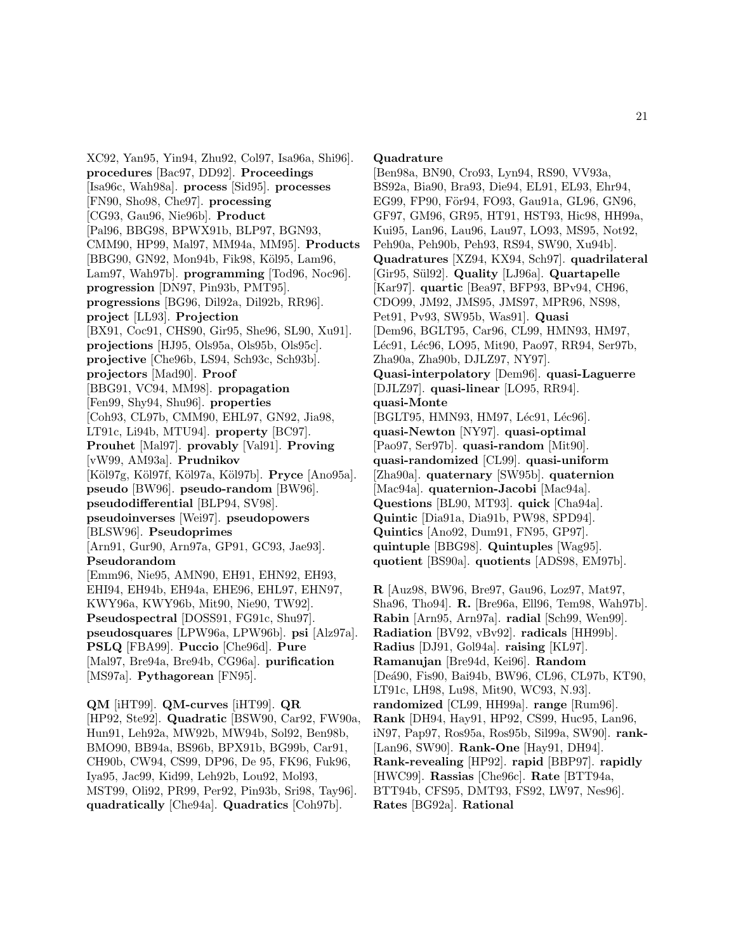XC92, Yan95, Yin94, Zhu92, Col97, Isa96a, Shi96]. **procedures** [Bac97, DD92]. **Proceedings** [Isa96c, Wah98a]. **process** [Sid95]. **processes** [FN90, Sho98, Che97]. **processing** [CG93, Gau96, Nie96b]. **Product** [Pal96, BBG98, BPWX91b, BLP97, BGN93, CMM90, HP99, Mal97, MM94a, MM95]. **Products** [BBG90, GN92, Mon94b, Fik98, Köl95, Lam96, Lam97, Wah97b]. **programming** [Tod96, Noc96]. **progression** [DN97, Pin93b, PMT95]. **progressions** [BG96, Dil92a, Dil92b, RR96]. **project** [LL93]. **Projection** [BX91, Coc91, CHS90, Gir95, She96, SL90, Xu91]. **projections** [HJ95, Ols95a, Ols95b, Ols95c]. **projective** [Che96b, LS94, Sch93c, Sch93b]. **projectors** [Mad90]. **Proof** [BBG91, VC94, MM98]. **propagation** [Fen99, Shy94, Shu96]. **properties** [Coh93, CL97b, CMM90, EHL97, GN92, Jia98, LT91c, Li94b, MTU94]. **property** [BC97]. **Prouhet** [Mal97]. **provably** [Val91]. **Proving** [vW99, AM93a]. **Prudnikov** [K¨ol97g, K¨ol97f, K¨ol97a, K¨ol97b]. **Pryce** [Ano95a]. **pseudo** [BW96]. **pseudo-random** [BW96]. **pseudodifferential** [BLP94, SV98]. **pseudoinverses** [Wei97]. **pseudopowers** [BLSW96]. **Pseudoprimes** [Arn91, Gur90, Arn97a, GP91, GC93, Jae93]. **Pseudorandom** [Emm96, Nie95, AMN90, EH91, EHN92, EH93, EHI94, EH94b, EH94a, EHE96, EHL97, EHN97, KWY96a, KWY96b, Mit90, Nie90, TW92]. **Pseudospectral** [DOSS91, FG91c, Shu97]. **pseudosquares** [LPW96a, LPW96b]. **psi** [Alz97a]. **PSLQ** [FBA99]. **Puccio** [Che96d]. **Pure** [Mal97, Bre94a, Bre94b, CG96a]. **purification** [MS97a]. **Pythagorean** [FN95].

**QM** [iHT99]. **QM-curves** [iHT99]. **QR** [HP92, Ste92]. **Quadratic** [BSW90, Car92, FW90a, Hun91, Leh92a, MW92b, MW94b, Sol92, Ben98b, BMO90, BB94a, BS96b, BPX91b, BG99b, Car91, CH90b, CW94, CS99, DP96, De 95, FK96, Fuk96, Iya95, Jac99, Kid99, Leh92b, Lou92, Mol93, MST99, Oli92, PR99, Per92, Pin93b, Sri98, Tay96]. **quadratically** [Che94a]. **Quadratics** [Coh97b].

#### **Quadrature**

[Ben98a, BN90, Cro93, Lyn94, RS90, VV93a, BS92a, Bia90, Bra93, Die94, EL91, EL93, Ehr94, EG99, FP90, För94, FO93, Gau91a, GL96, GN96, GF97, GM96, GR95, HT91, HST93, Hic98, HH99a, Kui95, Lan96, Lau96, Lau97, LO93, MS95, Not92, Peh90a, Peh90b, Peh93, RS94, SW90, Xu94b]. **Quadratures** [XZ94, KX94, Sch97]. **quadrilateral** [Gir95, S¨ul92]. **Quality** [LJ96a]. **Quartapelle** [Kar97]. **quartic** [Bea97, BFP93, BPv94, CH96, CDO99, JM92, JMS95, JMS97, MPR96, NS98, Pet91, Pv93, SW95b, Was91]. **Quasi** [Dem96, BGLT95, Car96, CL99, HMN93, HM97, Léc91, Léc96, LO95, Mit90, Pao97, RR94, Ser97b, Zha90a, Zha90b, DJLZ97, NY97]. **Quasi-interpolatory** [Dem96]. **quasi-Laguerre** [DJLZ97]. **quasi-linear** [LO95, RR94]. **quasi-Monte** [BGLT95, HMN93, HM97, Léc91, Léc96]. **quasi-Newton** [NY97]. **quasi-optimal** [Pao97, Ser97b]. **quasi-random** [Mit90]. **quasi-randomized** [CL99]. **quasi-uniform** [Zha90a]. **quaternary** [SW95b]. **quaternion** [Mac94a]. **quaternion-Jacobi** [Mac94a]. **Questions** [BL90, MT93]. **quick** [Cha94a]. **Quintic** [Dia91a, Dia91b, PW98, SPD94]. **Quintics** [Ano92, Dum91, FN95, GP97]. **quintuple** [BBG98]. **Quintuples** [Wag95]. **quotient** [BS90a]. **quotients** [ADS98, EM97b].

**R** [Auz98, BW96, Bre97, Gau96, Loz97, Mat97, Sha96, Tho94]. **R.** [Bre96a, Ell96, Tem98, Wah97b]. **Rabin** [Arn95, Arn97a]. **radial** [Sch99, Wen99]. **Radiation** [BV92, vBv92]. **radicals** [HH99b]. **Radius** [DJ91, Gol94a]. **raising** [KL97]. **Ramanujan** [Bre94d, Kei96]. **Random** [De´a90, Fis90, Bai94b, BW96, CL96, CL97b, KT90, LT91c, LH98, Lu98, Mit90, WC93, N.93]. **randomized** [CL99, HH99a]. **range** [Rum96]. **Rank** [DH94, Hay91, HP92, CS99, Huc95, Lan96, iN97, Pap97, Ros95a, Ros95b, Sil99a, SW90]. **rank-** [Lan96, SW90]. **Rank-One** [Hay91, DH94]. **Rank-revealing** [HP92]. **rapid** [BBP97]. **rapidly** [HWC99]. **Rassias** [Che96c]. **Rate** [BTT94a, BTT94b, CFS95, DMT93, FS92, LW97, Nes96]. **Rates** [BG92a]. **Rational**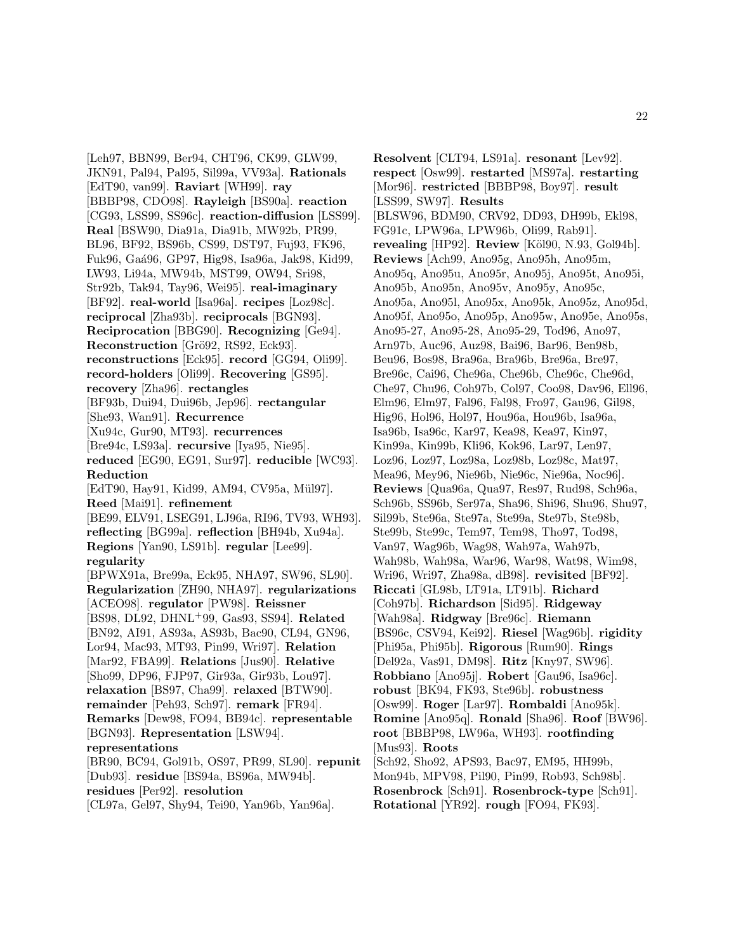[Leh97, BBN99, Ber94, CHT96, CK99, GLW99, JKN91, Pal94, Pal95, Sil99a, VV93a]. **Rationals** [EdT90, van99]. **Raviart** [WH99]. **ray** [BBBP98, CDO98]. **Rayleigh** [BS90a]. **reaction** [CG93, LSS99, SS96c]. **reaction-diffusion** [LSS99]. **Real** [BSW90, Dia91a, Dia91b, MW92b, PR99, BL96, BF92, BS96b, CS99, DST97, Fuj93, FK96, Fuk96, Ga´a96, GP97, Hig98, Isa96a, Jak98, Kid99, LW93, Li94a, MW94b, MST99, OW94, Sri98, Str92b, Tak94, Tay96, Wei95]. **real-imaginary** [BF92]. **real-world** [Isa96a]. **recipes** [Loz98c]. **reciprocal** [Zha93b]. **reciprocals** [BGN93]. **Reciprocation** [BBG90]. **Recognizing** [Ge94]. **Reconstruction** [Grö92, RS92, Eck93]. **reconstructions** [Eck95]. **record** [GG94, Oli99]. **record-holders** [Oli99]. **Recovering** [GS95]. **recovery** [Zha96]. **rectangles** [BF93b, Dui94, Dui96b, Jep96]. **rectangular** [She93, Wan91]. **Recurrence** [Xu94c, Gur90, MT93]. **recurrences** [Bre94c, LS93a]. **recursive** [Iya95, Nie95]. **reduced** [EG90, EG91, Sur97]. **reducible** [WC93]. **Reduction** [EdT90, Hay91, Kid99, AM94, CV95a, Mül97]. **Reed** [Mai91]. **refinement** [BE99, ELV91, LSEG91, LJ96a, RI96, TV93, WH93]. **reflecting** [BG99a]. **reflection** [BH94b, Xu94a]. **Regions** [Yan90, LS91b]. **regular** [Lee99]. **regularity** [BPWX91a, Bre99a, Eck95, NHA97, SW96, SL90]. **Regularization** [ZH90, NHA97]. **regularizations** [ACEO98]. **regulator** [PW98]. **Reissner** [BS98, DL92, DHNL<sup>+</sup>99, Gas93, SS94]. **Related** [BN92, AI91, AS93a, AS93b, Bac90, CL94, GN96, Lor94, Mac93, MT93, Pin99, Wri97]. **Relation** [Mar92, FBA99]. **Relations** [Jus90]. **Relative** [Sho99, DP96, FJP97, Gir93a, Gir93b, Lou97]. **relaxation** [BS97, Cha99]. **relaxed** [BTW90]. **remainder** [Peh93, Sch97]. **remark** [FR94]. **Remarks** [Dew98, FO94, BB94c]. **representable** [BGN93]. **Representation** [LSW94]. **representations** [BR90, BC94, Gol91b, OS97, PR99, SL90]. **repunit** [Dub93]. **residue** [BS94a, BS96a, MW94b]. **residues** [Per92]. **resolution**

[CL97a, Gel97, Shy94, Tei90, Yan96b, Yan96a].

**Resolvent** [CLT94, LS91a]. **resonant** [Lev92]. **respect** [Osw99]. **restarted** [MS97a]. **restarting** [Mor96]. **restricted** [BBBP98, Boy97]. **result** [LSS99, SW97]. **Results** [BLSW96, BDM90, CRV92, DD93, DH99b, Ekl98, FG91c, LPW96a, LPW96b, Oli99, Rab91]. **revealing** [HP92]. **Review** [Köl90, N.93, Gol94b]. **Reviews** [Ach99, Ano95g, Ano95h, Ano95m, Ano95q, Ano95u, Ano95r, Ano95j, Ano95t, Ano95i, Ano95b, Ano95n, Ano95v, Ano95y, Ano95c, Ano95a, Ano95l, Ano95x, Ano95k, Ano95z, Ano95d, Ano95f, Ano95o, Ano95p, Ano95w, Ano95e, Ano95s, Ano95-27, Ano95-28, Ano95-29, Tod96, Ano97, Arn97b, Auc96, Auz98, Bai96, Bar96, Ben98b, Beu96, Bos98, Bra96a, Bra96b, Bre96a, Bre97, Bre96c, Cai96, Che96a, Che96b, Che96c, Che96d, Che97, Chu96, Coh97b, Col97, Coo98, Dav96, Ell96, Elm96, Elm97, Fal96, Fal98, Fro97, Gau96, Gil98, Hig96, Hol96, Hol97, Hou96a, Hou96b, Isa96a, Isa96b, Isa96c, Kar97, Kea98, Kea97, Kin97, Kin99a, Kin99b, Kli96, Kok96, Lar97, Len97, Loz96, Loz97, Loz98a, Loz98b, Loz98c, Mat97, Mea96, Mey96, Nie96b, Nie96c, Nie96a, Noc96]. **Reviews** [Qua96a, Qua97, Res97, Rud98, Sch96a, Sch96b, SS96b, Ser97a, Sha96, Shi96, Shu96, Shu97, Sil99b, Ste96a, Ste97a, Ste99a, Ste97b, Ste98b, Ste99b, Ste99c, Tem97, Tem98, Tho97, Tod98, Van97, Wag96b, Wag98, Wah97a, Wah97b, Wah98b, Wah98a, War96, War98, Wat98, Wim98, Wri96, Wri97, Zha98a, dB98]. **revisited** [BF92]. **Riccati** [GL98b, LT91a, LT91b]. **Richard** [Coh97b]. **Richardson** [Sid95]. **Ridgeway** [Wah98a]. **Ridgway** [Bre96c]. **Riemann** [BS96c, CSV94, Kei92]. **Riesel** [Wag96b]. **rigidity** [Phi95a, Phi95b]. **Rigorous** [Rum90]. **Rings** [Del92a, Vas91, DM98]. **Ritz** [Kny97, SW96]. **Robbiano** [Ano95j]. **Robert** [Gau96, Isa96c]. **robust** [BK94, FK93, Ste96b]. **robustness** [Osw99]. **Roger** [Lar97]. **Rombaldi** [Ano95k]. **Romine** [Ano95q]. **Ronald** [Sha96]. **Roof** [BW96]. **root** [BBBP98, LW96a, WH93]. **rootfinding** [Mus93]. **Roots** [Sch92, Sho92, APS93, Bac97, EM95, HH99b, Mon94b, MPV98, Pil90, Pin99, Rob93, Sch98b]. **Rosenbrock** [Sch91]. **Rosenbrock-type** [Sch91]. **Rotational** [YR92]. **rough** [FO94, FK93].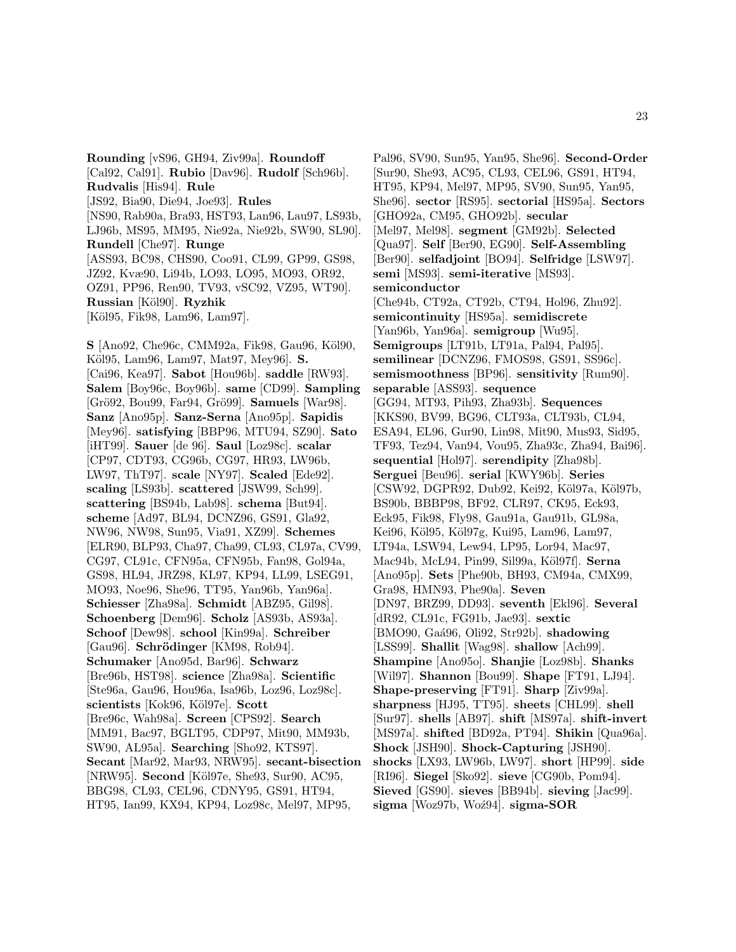**Rounding** [vS96, GH94, Ziv99a]. **Roundoff** [Cal92, Cal91]. **Rubio** [Dav96]. **Rudolf** [Sch96b]. **Rudvalis** [His94]. **Rule** [JS92, Bia90, Die94, Joe93]. **Rules** [NS90, Rab90a, Bra93, HST93, Lan96, Lau97, LS93b, LJ96b, MS95, MM95, Nie92a, Nie92b, SW90, SL90]. **Rundell** [Che97]. **Runge** [ASS93, BC98, CHS90, Coo91, CL99, GP99, GS98, JZ92, Kvæ90, Li94b, LO93, LO95, MO93, OR92, OZ91, PP96, Ren90, TV93, vSC92, VZ95, WT90]. **Russian** [K¨ol90]. **Ryzhik** [Köl95, Fik98, Lam96, Lam97].

**S** [Ano92, Che96c, CMM92a, Fik98, Gau96, Köl90, Köl95, Lam96, Lam97, Mat97, Mey96]. **S.** [Cai96, Kea97]. **Sabot** [Hou96b]. **saddle** [RW93]. **Salem** [Boy96c, Boy96b]. **same** [CD99]. **Sampling** [Grö92, Bou99, Far94, Grö99]. **Samuels** [War98]. **Sanz** [Ano95p]. **Sanz-Serna** [Ano95p]. **Sapidis** [Mey96]. **satisfying** [BBP96, MTU94, SZ90]. **Sato** [iHT99]. **Sauer** [de 96]. **Saul** [Loz98c]. **scalar** [CP97, CDT93, CG96b, CG97, HR93, LW96b, LW97, ThT97]. **scale** [NY97]. **Scaled** [Ede92]. **scaling** [LS93b]. **scattered** [JSW99, Sch99]. **scattering** [BS94b, Lab98]. **schema** [But94]. **scheme** [Ad97, BL94, DCNZ96, GS91, Gla92, NW96, NW98, Sun95, Via91, XZ99]. **Schemes** [ELR90, BLP93, Cha97, Cha99, CL93, CL97a, CV99, CG97, CL91c, CFN95a, CFN95b, Fan98, Gol94a, GS98, HL94, JRZ98, KL97, KP94, LL99, LSEG91, MO93, Noe96, She96, TT95, Yan96b, Yan96a]. **Schiesser** [Zha98a]. **Schmidt** [ABZ95, Gil98]. **Schoenberg** [Dem96]. **Scholz** [AS93b, AS93a]. **Schoof** [Dew98]. **school** [Kin99a]. **Schreiber** [Gau96]. **Schrödinger** [KM98, Rob94]. **Schumaker** [Ano95d, Bar96]. **Schwarz** [Bre96b, HST98]. **science** [Zha98a]. **Scientific** [Ste96a, Gau96, Hou96a, Isa96b, Loz96, Loz98c]. **scientists** [Kok96, K¨ol97e]. **Scott** [Bre96c, Wah98a]. **Screen** [CPS92]. **Search** [MM91, Bac97, BGLT95, CDP97, Mit90, MM93b, SW90, AL95a]. **Searching** [Sho92, KTS97]. **Secant** [Mar92, Mar93, NRW95]. **secant-bisection** [NRW95]. **Second** [Köl97e, She93, Sur90, AC95, BBG98, CL93, CEL96, CDNY95, GS91, HT94, HT95, Ian99, KX94, KP94, Loz98c, Mel97, MP95,

Pal96, SV90, Sun95, Yan95, She96]. **Second-Order** [Sur90, She93, AC95, CL93, CEL96, GS91, HT94, HT95, KP94, Mel97, MP95, SV90, Sun95, Yan95, She96]. **sector** [RS95]. **sectorial** [HS95a]. **Sectors** [GHO92a, CM95, GHO92b]. **secular** [Mel97, Mel98]. **segment** [GM92b]. **Selected** [Qua97]. **Self** [Ber90, EG90]. **Self-Assembling** [Ber90]. **selfadjoint** [BO94]. **Selfridge** [LSW97]. **semi** [MS93]. **semi-iterative** [MS93]. **semiconductor** [Che94b, CT92a, CT92b, CT94, Hol96, Zhu92]. **semicontinuity** [HS95a]. **semidiscrete** [Yan96b, Yan96a]. **semigroup** [Wu95]. **Semigroups** [LT91b, LT91a, Pal94, Pal95]. **semilinear** [DCNZ96, FMOS98, GS91, SS96c]. **semismoothness** [BP96]. **sensitivity** [Rum90]. **separable** [ASS93]. **sequence** [GG94, MT93, Pih93, Zha93b]. **Sequences** [KKS90, BV99, BG96, CLT93a, CLT93b, CL94, ESA94, EL96, Gur90, Lin98, Mit90, Mus93, Sid95, TF93, Tez94, Van94, Vou95, Zha93c, Zha94, Bai96]. **sequential** [Hol97]. **serendipity** [Zha98b]. **Serguei** [Beu96]. **serial** [KWY96b]. **Series** [CSW92, DGPR92, Dub92, Kei92, Köl97a, Köl97b, BS90b, BBBP98, BF92, CLR97, CK95, Eck93, Eck95, Fik98, Fly98, Gau91a, Gau91b, GL98a, Kei96, Köl95, Köl97g, Kui95, Lam96, Lam97, LT94a, LSW94, Lew94, LP95, Lor94, Mac97, Mac94b, McL94, Pin99, Sil99a, K¨ol97f]. **Serna** [Ano95p]. **Sets** [Phe90b, BH93, CM94a, CMX99, Gra98, HMN93, Phe90a]. **Seven** [DN97, BRZ99, DD93]. **seventh** [Ekl96]. **Several** [dR92, CL91c, FG91b, Jae93]. **sextic** [BMO90, Gaá96, Oli92, Str92b]. **shadowing** [LSS99]. **Shallit** [Wag98]. **shallow** [Ach99]. **Shampine** [Ano95o]. **Shanjie** [Loz98b]. **Shanks** [Wil97]. **Shannon** [Bou99]. **Shape** [FT91, LJ94]. **Shape-preserving** [FT91]. **Sharp** [Ziv99a]. **sharpness** [HJ95, TT95]. **sheets** [CHL99]. **shell** [Sur97]. **shells** [AB97]. **shift** [MS97a]. **shift-invert** [MS97a]. **shifted** [BD92a, PT94]. **Shikin** [Qua96a]. **Shock** [JSH90]. **Shock-Capturing** [JSH90]. **shocks** [LX93, LW96b, LW97]. **short** [HP99]. **side** [RI96]. **Siegel** [Sko92]. **sieve** [CG90b, Pom94]. **Sieved** [GS90]. **sieves** [BB94b]. **sieving** [Jac99]. sigma<sub>[Woz97b, Woź94]. **sigma-SOR**</sub>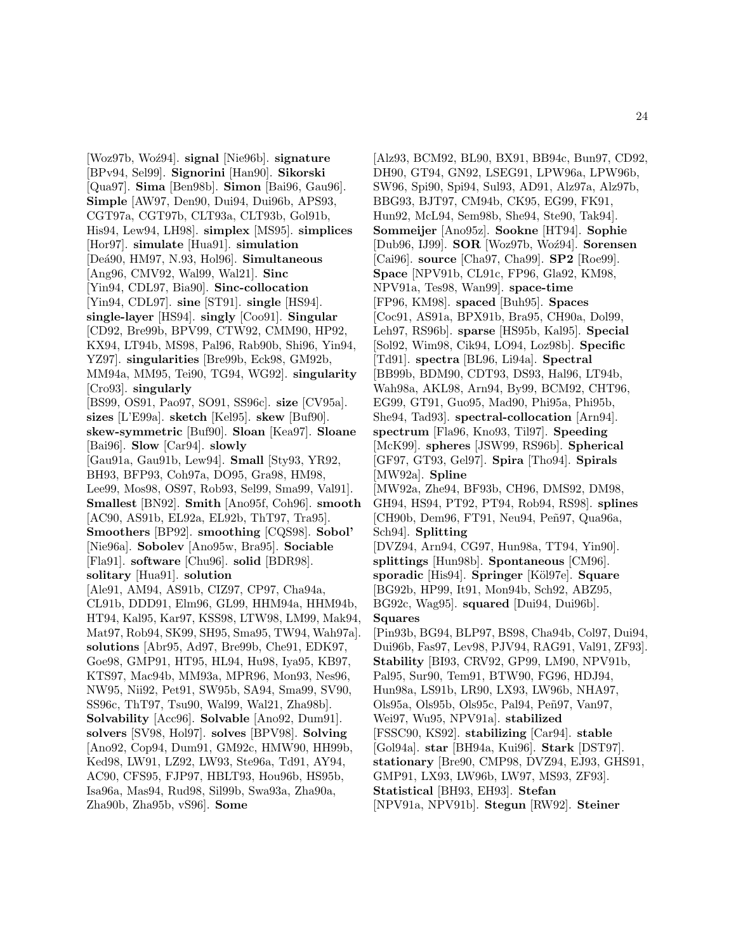[Woz97b, Wo´z94]. **signal** [Nie96b]. **signature** [BPv94, Sel99]. **Signorini** [Han90]. **Sikorski** [Qua97]. **Sima** [Ben98b]. **Simon** [Bai96, Gau96]. **Simple** [AW97, Den90, Dui94, Dui96b, APS93, CGT97a, CGT97b, CLT93a, CLT93b, Gol91b, His94, Lew94, LH98]. **simplex** [MS95]. **simplices** [Hor97]. **simulate** [Hua91]. **simulation** [De´a90, HM97, N.93, Hol96]. **Simultaneous** [Ang96, CMV92, Wal99, Wal21]. **Sinc** [Yin94, CDL97, Bia90]. **Sinc-collocation** [Yin94, CDL97]. **sine** [ST91]. **single** [HS94]. **single-layer** [HS94]. **singly** [Coo91]. **Singular** [CD92, Bre99b, BPV99, CTW92, CMM90, HP92, KX94, LT94b, MS98, Pal96, Rab90b, Shi96, Yin94, YZ97]. **singularities** [Bre99b, Eck98, GM92b, MM94a, MM95, Tei90, TG94, WG92]. **singularity** [Cro93]. **singularly** [BS99, OS91, Pao97, SO91, SS96c]. **size** [CV95a]. **sizes** [L'E99a]. **sketch** [Kel95]. **skew** [Buf90]. **skew-symmetric** [Buf90]. **Sloan** [Kea97]. **Sloane** [Bai96]. **Slow** [Car94]. **slowly** [Gau91a, Gau91b, Lew94]. **Small** [Sty93, YR92, BH93, BFP93, Coh97a, DO95, Gra98, HM98, Lee99, Mos98, OS97, Rob93, Sel99, Sma99, Val91]. **Smallest** [BN92]. **Smith** [Ano95f, Coh96]. **smooth** [AC90, AS91b, EL92a, EL92b, ThT97, Tra95]. **Smoothers** [BP92]. **smoothing** [CQS98]. **Sobol'** [Nie96a]. **Sobolev** [Ano95w, Bra95]. **Sociable** [Fla91]. **software** [Chu96]. **solid** [BDR98]. **solitary** [Hua91]. **solution** [Ale91, AM94, AS91b, CIZ97, CP97, Cha94a, CL91b, DDD91, Elm96, GL99, HHM94a, HHM94b, HT94, Kal95, Kar97, KSS98, LTW98, LM99, Mak94, Mat97, Rob94, SK99, SH95, Sma95, TW94, Wah97a]. **solutions** [Abr95, Ad97, Bre99b, Che91, EDK97, Goe98, GMP91, HT95, HL94, Hu98, Iya95, KB97, KTS97, Mac94b, MM93a, MPR96, Mon93, Nes96, NW95, Nii92, Pet91, SW95b, SA94, Sma99, SV90, SS96c, ThT97, Tsu90, Wal99, Wal21, Zha98b]. **Solvability** [Acc96]. **Solvable** [Ano92, Dum91]. **solvers** [SV98, Hol97]. **solves** [BPV98]. **Solving** [Ano92, Cop94, Dum91, GM92c, HMW90, HH99b, Ked98, LW91, LZ92, LW93, Ste96a, Td91, AY94, AC90, CFS95, FJP97, HBLT93, Hou96b, HS95b, Isa96a, Mas94, Rud98, Sil99b, Swa93a, Zha90a, Zha90b, Zha95b, vS96]. **Some**

[Alz93, BCM92, BL90, BX91, BB94c, Bun97, CD92, DH90, GT94, GN92, LSEG91, LPW96a, LPW96b, SW96, Spi90, Spi94, Sul93, AD91, Alz97a, Alz97b, BBG93, BJT97, CM94b, CK95, EG99, FK91, Hun92, McL94, Sem98b, She94, Ste90, Tak94]. **Sommeijer** [Ano95z]. **Sookne** [HT94]. **Sophie** [Dub96, IJ99]. **SOR** [Woz97b, Woź94]. **Sorensen** [Cai96]. **source** [Cha97, Cha99]. **SP2** [Roe99]. **Space** [NPV91b, CL91c, FP96, Gla92, KM98, NPV91a, Tes98, Wan99]. **space-time** [FP96, KM98]. **spaced** [Buh95]. **Spaces** [Coc91, AS91a, BPX91b, Bra95, CH90a, Dol99, Leh97, RS96b]. **sparse** [HS95b, Kal95]. **Special** [Sol92, Wim98, Cik94, LO94, Loz98b]. **Specific** [Td91]. **spectra** [BL96, Li94a]. **Spectral** [BB99b, BDM90, CDT93, DS93, Hal96, LT94b, Wah98a, AKL98, Arn94, By99, BCM92, CHT96, EG99, GT91, Guo95, Mad90, Phi95a, Phi95b, She94, Tad93]. **spectral-collocation** [Arn94]. **spectrum** [Fla96, Kno93, Til97]. **Speeding** [McK99]. **spheres** [JSW99, RS96b]. **Spherical** [GF97, GT93, Gel97]. **Spira** [Tho94]. **Spirals** [MW92a]. **Spline** [MW92a, Zhe94, BF93b, CH96, DMS92, DM98, GH94, HS94, PT92, PT94, Rob94, RS98]. **splines** [CH90b, Dem96, FT91, Neu94, Peñ97, Qua96a, Sch94]. **Splitting** [DVZ94, Arn94, CG97, Hun98a, TT94, Yin90]. **splittings** [Hun98b]. **Spontaneous** [CM96]. **sporadic** [His94]. **Springer** [K¨ol97e]. **Square** [BG92b, HP99, It91, Mon94b, Sch92, ABZ95, BG92c, Wag95]. **squared** [Dui94, Dui96b]. **Squares** [Pin93b, BG94, BLP97, BS98, Cha94b, Col97, Dui94, Dui96b, Fas97, Lev98, PJV94, RAG91, Val91, ZF93]. **Stability** [BI93, CRV92, GP99, LM90, NPV91b, Pal95, Sur90, Tem91, BTW90, FG96, HDJ94, Hun98a, LS91b, LR90, LX93, LW96b, NHA97, Ols95a, Ols95b, Ols95c, Pal94, Peñ97, Van97, Wei97, Wu95, NPV91a]. **stabilized** [FSSC90, KS92]. **stabilizing** [Car94]. **stable** [Gol94a]. **star** [BH94a, Kui96]. **Stark** [DST97]. **stationary** [Bre90, CMP98, DVZ94, EJ93, GHS91, GMP91, LX93, LW96b, LW97, MS93, ZF93]. **Statistical** [BH93, EH93]. **Stefan** [NPV91a, NPV91b]. **Stegun** [RW92]. **Steiner**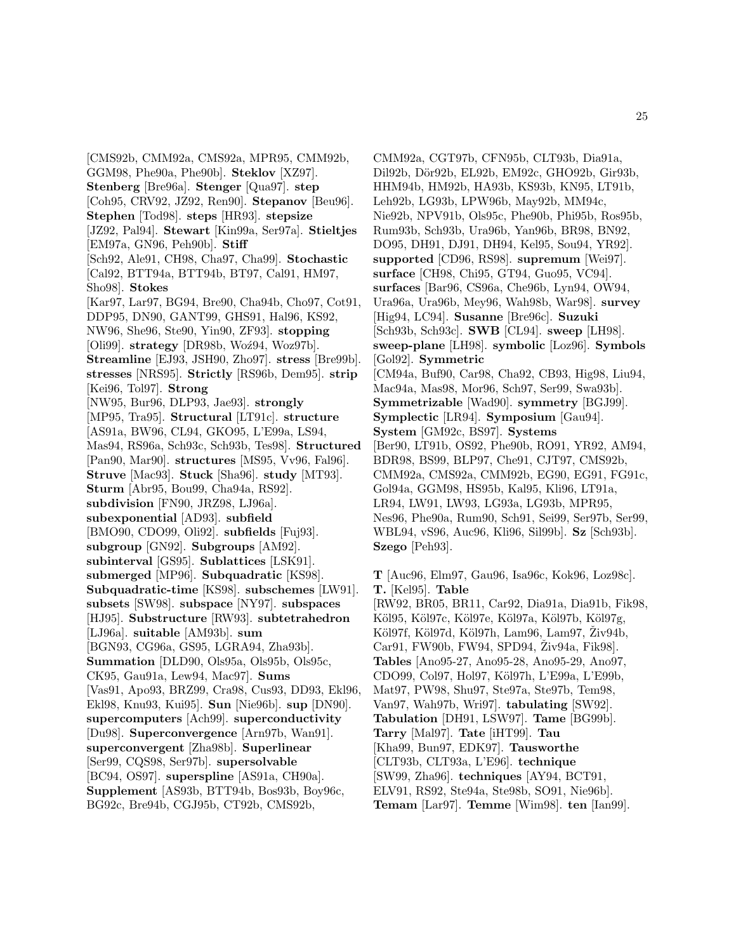[CMS92b, CMM92a, CMS92a, MPR95, CMM92b, GGM98, Phe90a, Phe90b]. **Steklov** [XZ97]. **Stenberg** [Bre96a]. **Stenger** [Qua97]. **step** [Coh95, CRV92, JZ92, Ren90]. **Stepanov** [Beu96]. **Stephen** [Tod98]. **steps** [HR93]. **stepsize** [JZ92, Pal94]. **Stewart** [Kin99a, Ser97a]. **Stieltjes** [EM97a, GN96, Peh90b]. **Stiff** [Sch92, Ale91, CH98, Cha97, Cha99]. **Stochastic** [Cal92, BTT94a, BTT94b, BT97, Cal91, HM97, Sho98]. **Stokes** [Kar97, Lar97, BG94, Bre90, Cha94b, Cho97, Cot91, DDP95, DN90, GANT99, GHS91, Hal96, KS92, NW96, She96, Ste90, Yin90, ZF93]. **stopping** [Oli99]. **strategy** [DR98b, Woź94, Woz97b]. **Streamline** [EJ93, JSH90, Zho97]. **stress** [Bre99b]. **stresses** [NRS95]. **Strictly** [RS96b, Dem95]. **strip** [Kei96, Tol97]. **Strong** [NW95, Bur96, DLP93, Jae93]. **strongly** [MP95, Tra95]. **Structural** [LT91c]. **structure** [AS91a, BW96, CL94, GKO95, L'E99a, LS94, Mas94, RS96a, Sch93c, Sch93b, Tes98]. **Structured** [Pan90, Mar90]. **structures** [MS95, Vv96, Fal96]. **Struve** [Mac93]. **Stuck** [Sha96]. **study** [MT93]. **Sturm** [Abr95, Bou99, Cha94a, RS92]. **subdivision** [FN90, JRZ98, LJ96a]. **subexponential** [AD93]. **subfield** [BMO90, CDO99, Oli92]. **subfields** [Fuj93]. **subgroup** [GN92]. **Subgroups** [AM92]. **subinterval** [GS95]. **Sublattices** [LSK91]. **submerged** [MP96]. **Subquadratic** [KS98]. **Subquadratic-time** [KS98]. **subschemes** [LW91]. **subsets** [SW98]. **subspace** [NY97]. **subspaces** [HJ95]. **Substructure** [RW93]. **subtetrahedron** [LJ96a]. **suitable** [AM93b]. **sum** [BGN93, CG96a, GS95, LGRA94, Zha93b]. **Summation** [DLD90, Ols95a, Ols95b, Ols95c, CK95, Gau91a, Lew94, Mac97]. **Sums** [Vas91, Apo93, BRZ99, Cra98, Cus93, DD93, Ekl96, Ekl98, Knu93, Kui95]. **Sun** [Nie96b]. **sup** [DN90]. **supercomputers** [Ach99]. **superconductivity** [Du98]. **Superconvergence** [Arn97b, Wan91]. **superconvergent** [Zha98b]. **Superlinear** [Ser99, CQS98, Ser97b]. **supersolvable** [BC94, OS97]. **superspline** [AS91a, CH90a]. **Supplement** [AS93b, BTT94b, Bos93b, Boy96c, BG92c, Bre94b, CGJ95b, CT92b, CMS92b,

CMM92a, CGT97b, CFN95b, CLT93b, Dia91a, Dil92b, Dör92b, EL92b, EM92c, GHO92b, Gir93b, HHM94b, HM92b, HA93b, KS93b, KN95, LT91b, Leh92b, LG93b, LPW96b, May92b, MM94c, Nie92b, NPV91b, Ols95c, Phe90b, Phi95b, Ros95b, Rum93b, Sch93b, Ura96b, Yan96b, BR98, BN92, DO95, DH91, DJ91, DH94, Kel95, Sou94, YR92]. **supported** [CD96, RS98]. **supremum** [Wei97]. **surface** [CH98, Chi95, GT94, Guo95, VC94]. **surfaces** [Bar96, CS96a, Che96b, Lyn94, OW94, Ura96a, Ura96b, Mey96, Wah98b, War98]. **survey** [Hig94, LC94]. **Susanne** [Bre96c]. **Suzuki** [Sch93b, Sch93c]. **SWB** [CL94]. **sweep** [LH98]. **sweep-plane** [LH98]. **symbolic** [Loz96]. **Symbols** [Gol92]. **Symmetric** [CM94a, Buf90, Car98, Cha92, CB93, Hig98, Liu94, Mac94a, Mas98, Mor96, Sch97, Ser99, Swa93b]. **Symmetrizable** [Wad90]. **symmetry** [BGJ99]. **Symplectic** [LR94]. **Symposium** [Gau94]. **System** [GM92c, BS97]. **Systems** [Ber90, LT91b, OS92, Phe90b, RO91, YR92, AM94, BDR98, BS99, BLP97, Che91, CJT97, CMS92b, CMM92a, CMS92a, CMM92b, EG90, EG91, FG91c, Gol94a, GGM98, HS95b, Kal95, Kli96, LT91a, LR94, LW91, LW93, LG93a, LG93b, MPR95, Nes96, Phe90a, Rum90, Sch91, Sei99, Ser97b, Ser99, WBL94, vS96, Auc96, Kli96, Sil99b]. **Sz** [Sch93b]. **Szego** [Peh93].

**T** [Auc96, Elm97, Gau96, Isa96c, Kok96, Loz98c]. **T.** [Kel95]. **Table** [RW92, BR05, BR11, Car92, Dia91a, Dia91b, Fik98, Köl95, Köl97c, Köl97e, Köl97a, Köl97b, Köl97g, Köl97f, Köl97d, Köl97h, Lam96, Lam97, Živ94b, Car91, FW90b, FW94, SPD94, Živ94a, Fik98. **Tables** [Ano95-27, Ano95-28, Ano95-29, Ano97, CDO99, Col97, Hol97, Köl97h, L'E99a, L'E99b, Mat97, PW98, Shu97, Ste97a, Ste97b, Tem98, Van97, Wah97b, Wri97]. **tabulating** [SW92]. **Tabulation** [DH91, LSW97]. **Tame** [BG99b]. **Tarry** [Mal97]. **Tate** [iHT99]. **Tau** [Kha99, Bun97, EDK97]. **Tausworthe** [CLT93b, CLT93a, L'E96]. **technique** [SW99, Zha96]. **techniques** [AY94, BCT91, ELV91, RS92, Ste94a, Ste98b, SO91, Nie96b]. **Temam** [Lar97]. **Temme** [Wim98]. **ten** [Ian99].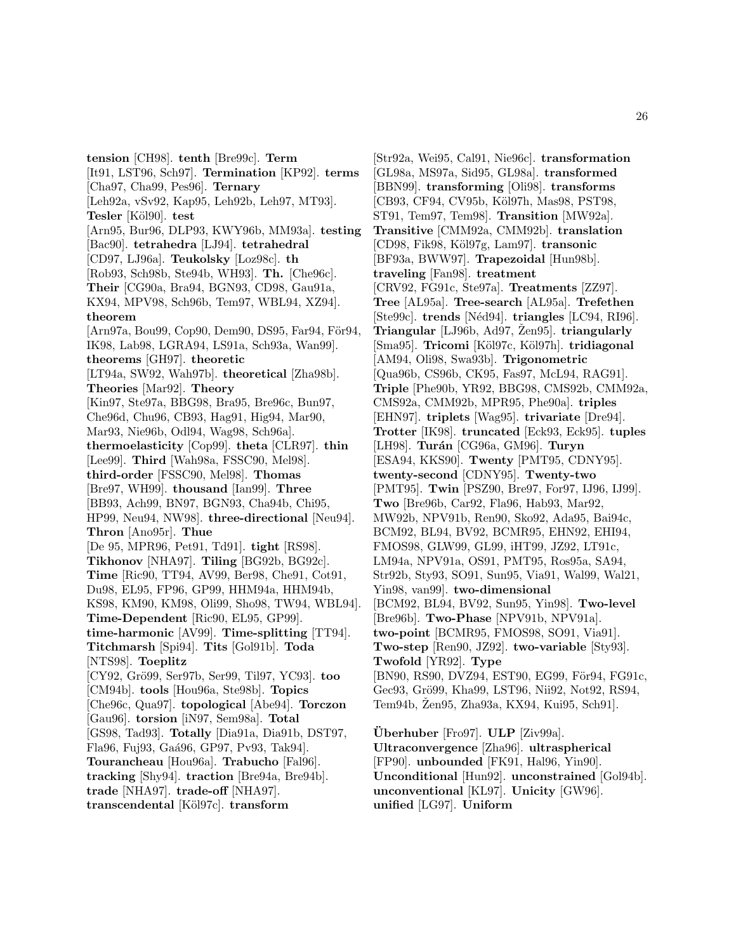**tension** [CH98]. **tenth** [Bre99c]. **Term** [It91, LST96, Sch97]. **Termination** [KP92]. **terms** [Cha97, Cha99, Pes96]. **Ternary** [Leh92a, vSv92, Kap95, Leh92b, Leh97, MT93]. **Tesler** [K¨ol90]. **test** [Arn95, Bur96, DLP93, KWY96b, MM93a]. **testing** [Bac90]. **tetrahedra** [LJ94]. **tetrahedral** [CD97, LJ96a]. **Teukolsky** [Loz98c]. **th** [Rob93, Sch98b, Ste94b, WH93]. **Th.** [Che96c]. **Their** [CG90a, Bra94, BGN93, CD98, Gau91a, KX94, MPV98, Sch96b, Tem97, WBL94, XZ94]. **theorem** [Arn97a, Bou99, Cop90, Dem90, DS95, Far94, För94, IK98, Lab98, LGRA94, LS91a, Sch93a, Wan99]. **theorems** [GH97]. **theoretic** [LT94a, SW92, Wah97b]. **theoretical** [Zha98b]. **Theories** [Mar92]. **Theory** [Kin97, Ste97a, BBG98, Bra95, Bre96c, Bun97, Che96d, Chu96, CB93, Hag91, Hig94, Mar90, Mar93, Nie96b, Odl94, Wag98, Sch96a]. **thermoelasticity** [Cop99]. **theta** [CLR97]. **thin** [Lee99]. **Third** [Wah98a, FSSC90, Mel98]. **third-order** [FSSC90, Mel98]. **Thomas** [Bre97, WH99]. **thousand** [Ian99]. **Three** [BB93, Ach99, BN97, BGN93, Cha94b, Chi95, HP99, Neu94, NW98]. **three-directional** [Neu94]. **Thron** [Ano95r]. **Thue** [De 95, MPR96, Pet91, Td91]. **tight** [RS98]. **Tikhonov** [NHA97]. **Tiling** [BG92b, BG92c]. **Time** [Ric90, TT94, AV99, Ber98, Che91, Cot91, Du98, EL95, FP96, GP99, HHM94a, HHM94b, KS98, KM90, KM98, Oli99, Sho98, TW94, WBL94]. **Time-Dependent** [Ric90, EL95, GP99]. **time-harmonic** [AV99]. **Time-splitting** [TT94]. **Titchmarsh** [Spi94]. **Tits** [Gol91b]. **Toda** [NTS98]. **Toeplitz** [CY92, Gr¨o99, Ser97b, Ser99, Til97, YC93]. **too** [CM94b]. **tools** [Hou96a, Ste98b]. **Topics** [Che96c, Qua97]. **topological** [Abe94]. **Torczon** [Gau96]. **torsion** [iN97, Sem98a]. **Total** [GS98, Tad93]. **Totally** [Dia91a, Dia91b, DST97, Fla96, Fuj93, Gaá96, GP97, Pv93, Tak94]. **Tourancheau** [Hou96a]. **Trabucho** [Fal96]. **tracking** [Shy94]. **traction** [Bre94a, Bre94b]. **trade** [NHA97]. **trade-off** [NHA97].

**transcendental** [K¨ol97c]. **transform**

[Str92a, Wei95, Cal91, Nie96c]. **transformation** [GL98a, MS97a, Sid95, GL98a]. **transformed** [BBN99]. **transforming** [Oli98]. **transforms** [CB93, CF94, CV95b, Köl97h, Mas98, PST98, ST91, Tem97, Tem98]. **Transition** [MW92a]. **Transitive** [CMM92a, CMM92b]. **translation** [CD98, Fik98, K¨ol97g, Lam97]. **transonic** [BF93a, BWW97]. **Trapezoidal** [Hun98b]. **traveling** [Fan98]. **treatment** [CRV92, FG91c, Ste97a]. **Treatments** [ZZ97]. **Tree** [AL95a]. **Tree-search** [AL95a]. **Trefethen** [Ste99c]. **trends** [N´ed94]. **triangles** [LC94, RI96]. **Triangular** [LJ96b, Ad97, Žen95]. **triangularly** [Sma95]. **Tricomi** [K¨ol97c, K¨ol97h]. **tridiagonal** [AM94, Oli98, Swa93b]. **Trigonometric** [Qua96b, CS96b, CK95, Fas97, McL94, RAG91]. **Triple** [Phe90b, YR92, BBG98, CMS92b, CMM92a, CMS92a, CMM92b, MPR95, Phe90a]. **triples** [EHN97]. **triplets** [Wag95]. **trivariate** [Dre94]. **Trotter** [IK98]. **truncated** [Eck93, Eck95]. **tuples** [LH98]. **Turán** [CG96a, GM96]. **Turyn** [ESA94, KKS90]. **Twenty** [PMT95, CDNY95]. **twenty-second** [CDNY95]. **Twenty-two** [PMT95]. **Twin** [PSZ90, Bre97, For97, IJ96, IJ99]. **Two** [Bre96b, Car92, Fla96, Hab93, Mar92, MW92b, NPV91b, Ren90, Sko92, Ada95, Bai94c, BCM92, BL94, BV92, BCMR95, EHN92, EHI94, FMOS98, GLW99, GL99, iHT99, JZ92, LT91c, LM94a, NPV91a, OS91, PMT95, Ros95a, SA94, Str92b, Sty93, SO91, Sun95, Via91, Wal99, Wal21, Yin98, van99]. **two-dimensional** [BCM92, BL94, BV92, Sun95, Yin98]. **Two-level** [Bre96b]. **Two-Phase** [NPV91b, NPV91a]. **two-point** [BCMR95, FMOS98, SO91, Via91]. **Two-step** [Ren90, JZ92]. **two-variable** [Sty93]. **Twofold** [YR92]. **Type** [BN90, RS90, DVZ94, EST90, EG99, För94, FG91c, Gec93, Grö99, Kha99, LST96, Nii92, Not92, RS94, Tem94b, Zen95, Zha93a, KX94, Kui95, Sch91.

**Überhuber** [Fro97]. **ULP** [Ziv99a]. **Ultraconvergence** [Zha96]. **ultraspherical** [FP90]. **unbounded** [FK91, Hal96, Yin90]. **Unconditional** [Hun92]. **unconstrained** [Gol94b]. **unconventional** [KL97]. **Unicity** [GW96]. **unified** [LG97]. **Uniform**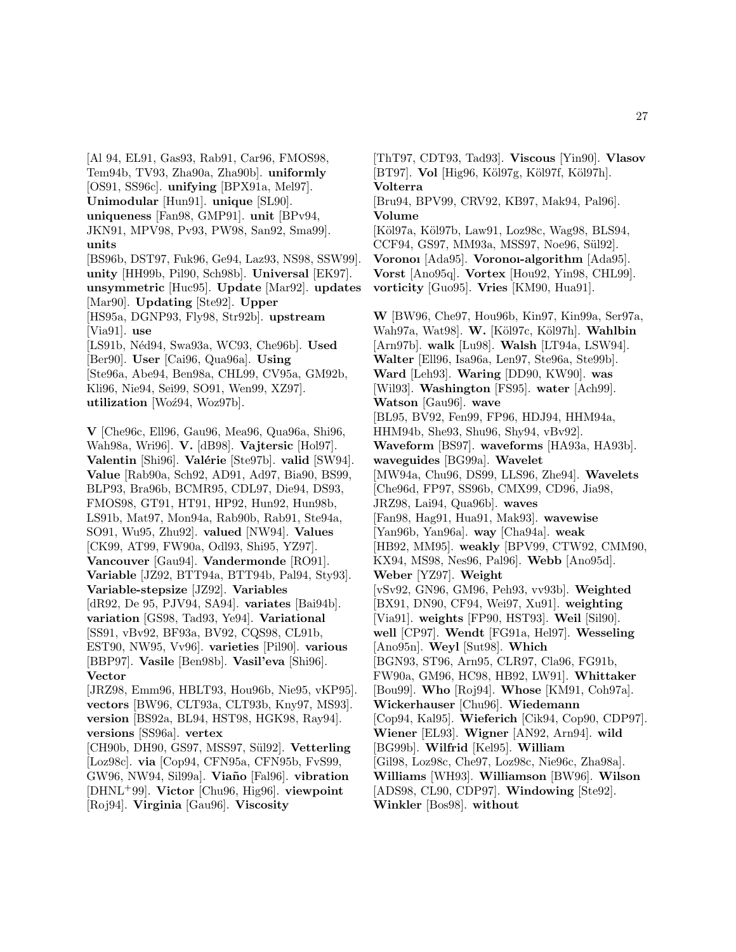[Al 94, EL91, Gas93, Rab91, Car96, FMOS98, Tem94b, TV93, Zha90a, Zha90b]. **uniformly** [OS91, SS96c]. **unifying** [BPX91a, Mel97]. **Unimodular** [Hun91]. **unique** [SL90]. **uniqueness** [Fan98, GMP91]. **unit** [BPv94, JKN91, MPV98, Pv93, PW98, San92, Sma99]. **units** [BS96b, DST97, Fuk96, Ge94, Laz93, NS98, SSW99]. **unity** [HH99b, Pil90, Sch98b]. **Universal** [EK97]. **unsymmetric** [Huc95]. **Update** [Mar92]. **updates** [Mar90]. **Updating** [Ste92]. **Upper** [HS95a, DGNP93, Fly98, Str92b]. **upstream** [Via91]. **use** [LS91b, N´ed94, Swa93a, WC93, Che96b]. **Used** [Ber90]. **User** [Cai96, Qua96a]. **Using** [Ste96a, Abe94, Ben98a, CHL99, CV95a, GM92b, Kli96, Nie94, Sei99, SO91, Wen99, XZ97]. **utilization** [Woź94, Woz97b].

**V** [Che96c, Ell96, Gau96, Mea96, Qua96a, Shi96, Wah98a, Wri96]. **V.** [dB98]. **Vajtersic** [Hol97]. **Valentin** [Shi96]. **Valérie** [Ste97b]. **valid** [SW94]. **Value** [Rab90a, Sch92, AD91, Ad97, Bia90, BS99, BLP93, Bra96b, BCMR95, CDL97, Die94, DS93, FMOS98, GT91, HT91, HP92, Hun92, Hun98b, LS91b, Mat97, Mon94a, Rab90b, Rab91, Ste94a, SO91, Wu95, Zhu92]. **valued** [NW94]. **Values** [CK99, AT99, FW90a, Odl93, Shi95, YZ97]. **Vancouver** [Gau94]. **Vandermonde** [RO91]. **Variable** [JZ92, BTT94a, BTT94b, Pal94, Sty93]. **Variable-stepsize** [JZ92]. **Variables** [dR92, De 95, PJV94, SA94]. **variates** [Bai94b]. **variation** [GS98, Tad93, Ye94]. **Variational** [SS91, vBv92, BF93a, BV92, CQS98, CL91b, EST90, NW95, Vv96]. **varieties** [Pil90]. **various** [BBP97]. **Vasile** [Ben98b]. **Vasil'eva** [Shi96]. **Vector**

[JRZ98, Emm96, HBLT93, Hou96b, Nie95, vKP95]. **vectors** [BW96, CLT93a, CLT93b, Kny97, MS93]. **version** [BS92a, BL94, HST98, HGK98, Ray94]. **versions** [SS96a]. **vertex** [CH90b, DH90, GS97, MSS97, Sül92]. Vetterling

[Loz98c]. **via** [Cop94, CFN95a, CFN95b, FvS99, GW96, NW94, Sil99a]. **Via˜no** [Fal96]. **vibration** [DHNL<sup>+</sup>99]. **Victor** [Chu96, Hig96]. **viewpoint** [Roj94]. **Virginia** [Gau96]. **Viscosity**

[ThT97, CDT93, Tad93]. **Viscous** [Yin90]. **Vlasov** [BT97]. **Vol** [Hig96, Köl97g, Köl97f, Köl97h]. **Volterra** [Bru94, BPV99, CRV92, KB97, Mak94, Pal96]. **Volume** [Köl97a, Köl97b, Law91, Loz98c, Wag98, BLS94, CCF94, GS97, MM93a, MSS97, Noe96, Sül92]. **Voronoı** [Ada95]. **Voronoı-algorithm** [Ada95]. **Vorst** [Ano95q]. **Vortex** [Hou92, Yin98, CHL99]. **vorticity** [Guo95]. **Vries** [KM90, Hua91]. **W** [BW96, Che97, Hou96b, Kin97, Kin99a, Ser97a, Wah97a, Wat98]. **W.** [K¨ol97c, K¨ol97h]. **Wahlbin** [Arn97b]. **walk** [Lu98]. **Walsh** [LT94a, LSW94]. **Walter** [Ell96, Isa96a, Len97, Ste96a, Ste99b]. **Ward** [Leh93]. **Waring** [DD90, KW90]. **was** [Wil93]. **Washington** [FS95]. **water** [Ach99]. **Watson** [Gau96]. **wave** [BL95, BV92, Fen99, FP96, HDJ94, HHM94a, HHM94b, She93, Shu96, Shy94, vBv92]. **Waveform** [BS97]. **waveforms** [HA93a, HA93b]. **waveguides** [BG99a]. **Wavelet** [MW94a, Chu96, DS99, LLS96, Zhe94]. **Wavelets** [Che96d, FP97, SS96b, CMX99, CD96, Jia98, JRZ98, Lai94, Qua96b]. **waves** [Fan98, Hag91, Hua91, Mak93]. **wavewise** [Yan96b, Yan96a]. **way** [Cha94a]. **weak** [HB92, MM95]. **weakly** [BPV99, CTW92, CMM90, KX94, MS98, Nes96, Pal96]. **Webb** [Ano95d]. **Weber** [YZ97]. **Weight** [vSv92, GN96, GM96, Peh93, vv93b]. **Weighted** [BX91, DN90, CF94, Wei97, Xu91]. **weighting** [Via91]. **weights** [FP90, HST93]. **Weil** [Sil90]. **well** [CP97]. **Wendt** [FG91a, Hel97]. **Wesseling** [Ano95n]. **Weyl** [Sut98]. **Which** [BGN93, ST96, Arn95, CLR97, Cla96, FG91b, FW90a, GM96, HC98, HB92, LW91]. **Whittaker** [Bou99]. **Who** [Roj94]. **Whose** [KM91, Coh97a]. **Wickerhauser** [Chu96]. **Wiedemann** [Cop94, Kal95]. **Wieferich** [Cik94, Cop90, CDP97]. **Wiener** [EL93]. **Wigner** [AN92, Arn94]. **wild** [BG99b]. **Wilfrid** [Kel95]. **William** [Gil98, Loz98c, Che97, Loz98c, Nie96c, Zha98a]. **Williams** [WH93]. **Williamson** [BW96]. **Wilson** [ADS98, CL90, CDP97]. **Windowing** [Ste92]. **Winkler** [Bos98]. **without**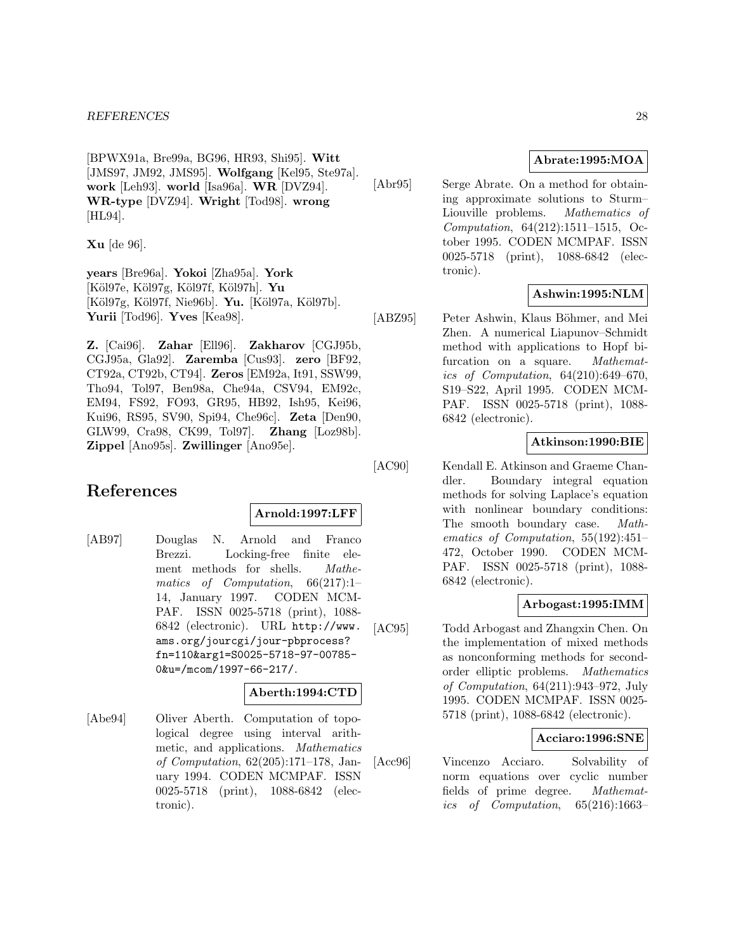[BPWX91a, Bre99a, BG96, HR93, Shi95]. **Witt** [JMS97, JM92, JMS95]. **Wolfgang** [Kel95, Ste97a]. **work** [Leh93]. **world** [Isa96a]. **WR** [DVZ94]. **WR-type** [DVZ94]. **Wright** [Tod98]. **wrong** [HL94].

**Xu** [de 96].

**years** [Bre96a]. **Yokoi** [Zha95a]. **York** [K¨ol97e, K¨ol97g, K¨ol97f, K¨ol97h]. **Yu** [Köl97g, Köl97f, Nie96b]. **Yu.** [Köl97a, Köl97b]. **Yurii** [Tod96]. **Yves** [Kea98].

**Z.** [Cai96]. **Zahar** [Ell96]. **Zakharov** [CGJ95b, CGJ95a, Gla92]. **Zaremba** [Cus93]. **zero** [BF92, CT92a, CT92b, CT94]. **Zeros** [EM92a, It91, SSW99, Tho94, Tol97, Ben98a, Che94a, CSV94, EM92c, EM94, FS92, FO93, GR95, HB92, Ish95, Kei96, Kui96, RS95, SV90, Spi94, Che96c]. **Zeta** [Den90, GLW99, Cra98, CK99, Tol97]. **Zhang** [Loz98b]. **Zippel** [Ano95s]. **Zwillinger** [Ano95e].

# **References**

### **Arnold:1997:LFF**

[AB97] Douglas N. Arnold and Franco Brezzi. Locking-free finite element methods for shells. Mathematics of Computation, 66(217):1– 14, January 1997. CODEN MCM-PAF. ISSN 0025-5718 (print), 1088- 6842 (electronic). URL http://www. ams.org/jourcgi/jour-pbprocess? fn=110&arg1=S0025-5718-97-00785- 0&u=/mcom/1997-66-217/.

# **Aberth:1994:CTD**

[Abe94] Oliver Aberth. Computation of topological degree using interval arithmetic, and applications. Mathematics of Computation, 62(205):171–178, January 1994. CODEN MCMPAF. ISSN 0025-5718 (print), 1088-6842 (electronic).

# **Abrate:1995:MOA**

[Abr95] Serge Abrate. On a method for obtaining approximate solutions to Sturm– Liouville problems. Mathematics of Computation, 64(212):1511–1515, October 1995. CODEN MCMPAF. ISSN 0025-5718 (print), 1088-6842 (electronic).

# **Ashwin:1995:NLM**

[ABZ95] Peter Ashwin, Klaus Böhmer, and Mei Zhen. A numerical Liapunov–Schmidt method with applications to Hopf bifurcation on a square. *Mathemat*ics of Computation, 64(210):649–670, S19–S22, April 1995. CODEN MCM-PAF. ISSN 0025-5718 (print), 1088- 6842 (electronic).

# **Atkinson:1990:BIE**

[AC90] Kendall E. Atkinson and Graeme Chandler. Boundary integral equation methods for solving Laplace's equation with nonlinear boundary conditions: The smooth boundary case. Mathematics of Computation, 55(192):451– 472, October 1990. CODEN MCM-PAF. ISSN 0025-5718 (print), 1088- 6842 (electronic).

# **Arbogast:1995:IMM**

[AC95] Todd Arbogast and Zhangxin Chen. On the implementation of mixed methods as nonconforming methods for secondorder elliptic problems. Mathematics of Computation, 64(211):943–972, July 1995. CODEN MCMPAF. ISSN 0025- 5718 (print), 1088-6842 (electronic).

# **Acciaro:1996:SNE**

[Acc96] Vincenzo Acciaro. Solvability of norm equations over cyclic number fields of prime degree. Mathematics of Computation, 65(216):1663–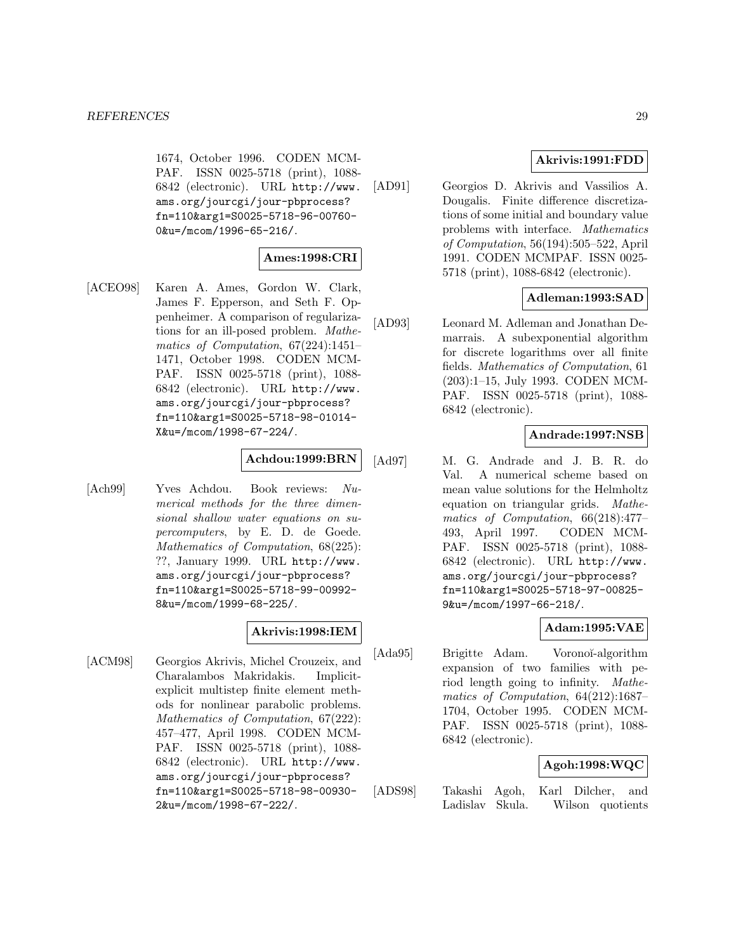1674, October 1996. CODEN MCM-PAF. ISSN 0025-5718 (print), 1088- 6842 (electronic). URL http://www. ams.org/jourcgi/jour-pbprocess? fn=110&arg1=S0025-5718-96-00760- 0&u=/mcom/1996-65-216/.

# **Ames:1998:CRI**

[ACEO98] Karen A. Ames, Gordon W. Clark, James F. Epperson, and Seth F. Oppenheimer. A comparison of regularizations for an ill-posed problem. Mathematics of Computation, 67(224):1451– 1471, October 1998. CODEN MCM-PAF. ISSN 0025-5718 (print), 1088- 6842 (electronic). URL http://www. ams.org/jourcgi/jour-pbprocess? fn=110&arg1=S0025-5718-98-01014- X&u=/mcom/1998-67-224/.

# **Achdou:1999:BRN**

[Ach99] Yves Achdou. Book reviews: Numerical methods for the three dimensional shallow water equations on supercomputers, by E. D. de Goede. Mathematics of Computation, 68(225): ??, January 1999. URL http://www. ams.org/jourcgi/jour-pbprocess? fn=110&arg1=S0025-5718-99-00992- 8&u=/mcom/1999-68-225/.

### **Akrivis:1998:IEM**

[ACM98] Georgios Akrivis, Michel Crouzeix, and Charalambos Makridakis. Implicitexplicit multistep finite element methods for nonlinear parabolic problems. Mathematics of Computation, 67(222): 457–477, April 1998. CODEN MCM-PAF. ISSN 0025-5718 (print), 1088- 6842 (electronic). URL http://www. ams.org/jourcgi/jour-pbprocess? fn=110&arg1=S0025-5718-98-00930- 2&u=/mcom/1998-67-222/.

### **Akrivis:1991:FDD**

[AD91] Georgios D. Akrivis and Vassilios A. Dougalis. Finite difference discretizations of some initial and boundary value problems with interface. Mathematics of Computation, 56(194):505–522, April 1991. CODEN MCMPAF. ISSN 0025- 5718 (print), 1088-6842 (electronic).

# **Adleman:1993:SAD**

[AD93] Leonard M. Adleman and Jonathan Demarrais. A subexponential algorithm for discrete logarithms over all finite fields. Mathematics of Computation, 61 (203):1–15, July 1993. CODEN MCM-PAF. ISSN 0025-5718 (print), 1088- 6842 (electronic).

# **Andrade:1997:NSB**

[Ad97] M. G. Andrade and J. B. R. do Val. A numerical scheme based on mean value solutions for the Helmholtz equation on triangular grids. Mathematics of Computation, 66(218):477– 493, April 1997. CODEN MCM-PAF. ISSN 0025-5718 (print), 1088- 6842 (electronic). URL http://www. ams.org/jourcgi/jour-pbprocess? fn=110&arg1=S0025-5718-97-00825- 9&u=/mcom/1997-66-218/.

### **Adam:1995:VAE**

[Ada95] Brigitte Adam. Voronoĭ-algorithm expansion of two families with period length going to infinity. Mathematics of Computation, 64(212):1687– 1704, October 1995. CODEN MCM-PAF. ISSN 0025-5718 (print), 1088- 6842 (electronic).

### **Agoh:1998:WQC**

[ADS98] Takashi Agoh, Karl Dilcher, and Ladislav Skula. Wilson quotients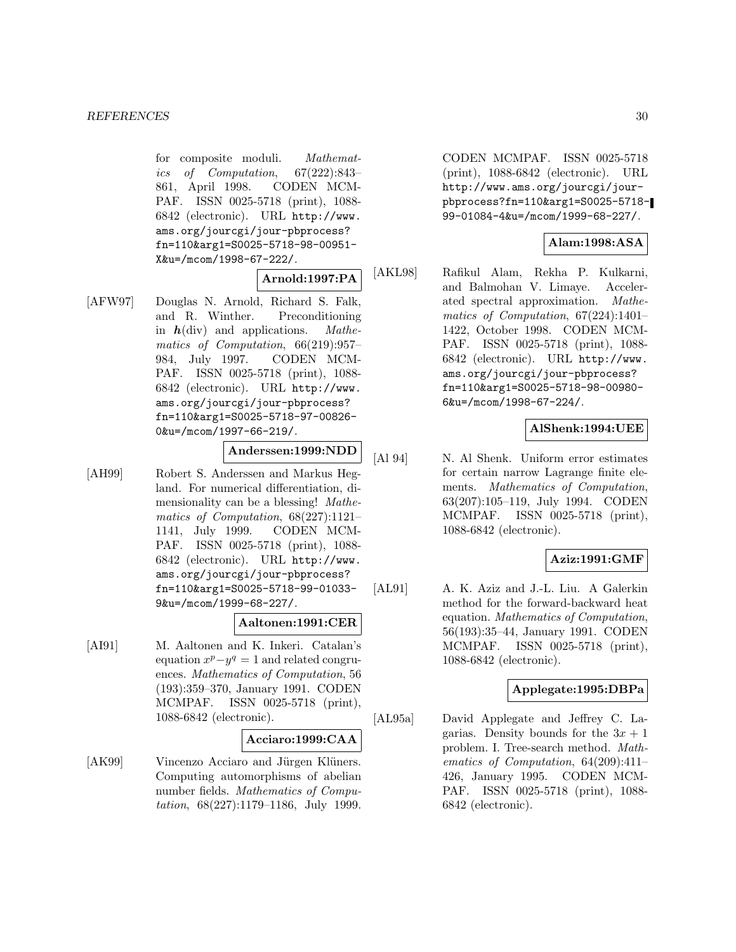for composite moduli. Mathematics of Computation, 67(222):843– 861, April 1998. CODEN MCM-PAF. ISSN 0025-5718 (print), 1088- 6842 (electronic). URL http://www. ams.org/jourcgi/jour-pbprocess? fn=110&arg1=S0025-5718-98-00951- X&u=/mcom/1998-67-222/.

**Arnold:1997:PA**

[AFW97] Douglas N. Arnold, Richard S. Falk, and R. Winther. Preconditioning in *h*(div) and applications. Mathematics of Computation, 66(219):957– 984, July 1997. CODEN MCM-PAF. ISSN 0025-5718 (print), 1088- 6842 (electronic). URL http://www. ams.org/jourcgi/jour-pbprocess? fn=110&arg1=S0025-5718-97-00826- 0&u=/mcom/1997-66-219/.

### **Anderssen:1999:NDD**

[AH99] Robert S. Anderssen and Markus Hegland. For numerical differentiation, dimensionality can be a blessing! Mathematics of Computation, 68(227):1121– 1141, July 1999. CODEN MCM-PAF. ISSN 0025-5718 (print), 1088- 6842 (electronic). URL http://www. ams.org/jourcgi/jour-pbprocess? fn=110&arg1=S0025-5718-99-01033- 9&u=/mcom/1999-68-227/.

### **Aaltonen:1991:CER**

[AI91] M. Aaltonen and K. Inkeri. Catalan's equation  $x^p - y^q = 1$  and related congruences. Mathematics of Computation, 56 (193):359–370, January 1991. CODEN MCMPAF. ISSN 0025-5718 (print), 1088-6842 (electronic).

### **Acciaro:1999:CAA**

[AK99] Vincenzo Acciaro and Jürgen Klüners. Computing automorphisms of abelian number fields. Mathematics of Computation, 68(227):1179–1186, July 1999.

CODEN MCMPAF. ISSN 0025-5718 (print), 1088-6842 (electronic). URL http://www.ams.org/jourcgi/jourpbprocess?fn=110&arg1=S0025-5718- 99-01084-4&u=/mcom/1999-68-227/.

### **Alam:1998:ASA**

[AKL98] Rafikul Alam, Rekha P. Kulkarni, and Balmohan V. Limaye. Accelerated spectral approximation. Mathematics of Computation, 67(224):1401– 1422, October 1998. CODEN MCM-PAF. ISSN 0025-5718 (print), 1088- 6842 (electronic). URL http://www. ams.org/jourcgi/jour-pbprocess? fn=110&arg1=S0025-5718-98-00980- 6&u=/mcom/1998-67-224/.

## **AlShenk:1994:UEE**

[Al 94] N. Al Shenk. Uniform error estimates for certain narrow Lagrange finite elements. Mathematics of Computation, 63(207):105–119, July 1994. CODEN MCMPAF. ISSN 0025-5718 (print), 1088-6842 (electronic).

### **Aziz:1991:GMF**

[AL91] A. K. Aziz and J.-L. Liu. A Galerkin method for the forward-backward heat equation. Mathematics of Computation, 56(193):35–44, January 1991. CODEN MCMPAF. ISSN 0025-5718 (print), 1088-6842 (electronic).

### **Applegate:1995:DBPa**

[AL95a] David Applegate and Jeffrey C. Lagarias. Density bounds for the  $3x + 1$ problem. I. Tree-search method. Mathematics of Computation, 64(209):411– 426, January 1995. CODEN MCM-PAF. ISSN 0025-5718 (print), 1088- 6842 (electronic).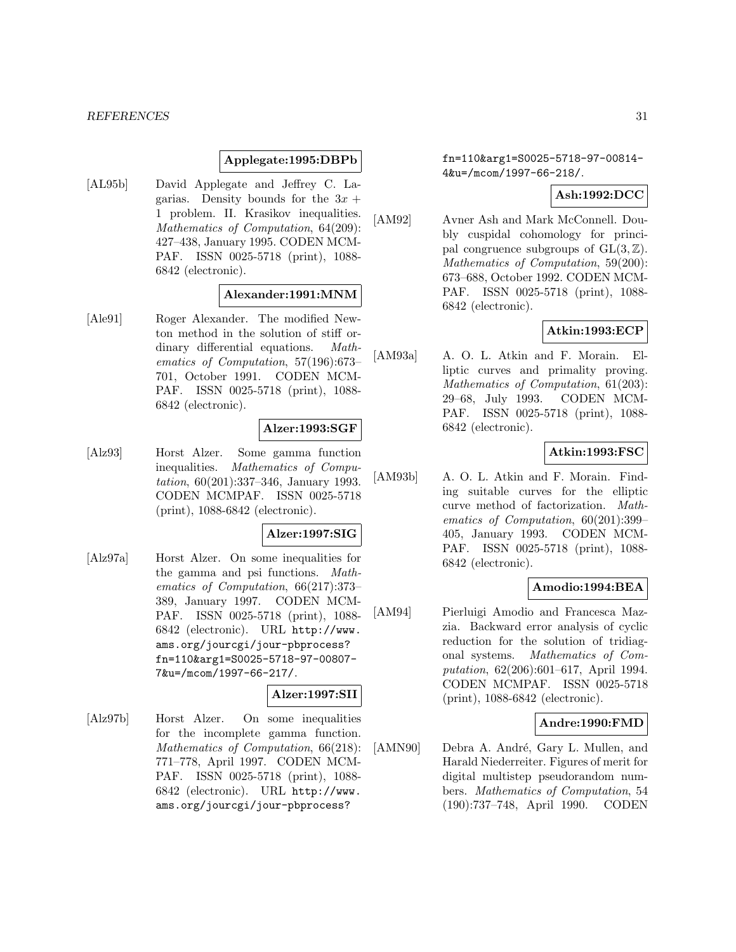### **Applegate:1995:DBPb**

[AL95b] David Applegate and Jeffrey C. Lagarias. Density bounds for the  $3x +$ 1 problem. II. Krasikov inequalities. Mathematics of Computation, 64(209): 427–438, January 1995. CODEN MCM-PAF. ISSN 0025-5718 (print), 1088- 6842 (electronic).

#### **Alexander:1991:MNM**

[Ale91] Roger Alexander. The modified Newton method in the solution of stiff ordinary differential equations. Mathematics of Computation, 57(196):673– 701, October 1991. CODEN MCM-PAF. ISSN 0025-5718 (print), 1088- 6842 (electronic).

#### **Alzer:1993:SGF**

[Alz93] Horst Alzer. Some gamma function inequalities. Mathematics of Computation, 60(201):337–346, January 1993. CODEN MCMPAF. ISSN 0025-5718 (print), 1088-6842 (electronic).

## **Alzer:1997:SIG**

[Alz97a] Horst Alzer. On some inequalities for the gamma and psi functions. Mathematics of Computation, 66(217):373– 389, January 1997. CODEN MCM-PAF. ISSN 0025-5718 (print), 1088- 6842 (electronic). URL http://www. ams.org/jourcgi/jour-pbprocess? fn=110&arg1=S0025-5718-97-00807- 7&u=/mcom/1997-66-217/.

# **Alzer:1997:SII**

[Alz97b] Horst Alzer. On some inequalities for the incomplete gamma function. Mathematics of Computation, 66(218): 771–778, April 1997. CODEN MCM-PAF. ISSN 0025-5718 (print), 1088- 6842 (electronic). URL http://www. ams.org/jourcgi/jour-pbprocess?

fn=110&arg1=S0025-5718-97-00814- 4&u=/mcom/1997-66-218/.

### **Ash:1992:DCC**

[AM92] Avner Ash and Mark McConnell. Doubly cuspidal cohomology for principal congruence subgroups of  $GL(3, \mathbb{Z})$ . Mathematics of Computation, 59(200): 673–688, October 1992. CODEN MCM-PAF. ISSN 0025-5718 (print), 1088- 6842 (electronic).

### **Atkin:1993:ECP**

[AM93a] A. O. L. Atkin and F. Morain. Elliptic curves and primality proving. Mathematics of Computation, 61(203): 29–68, July 1993. CODEN MCM-PAF. ISSN 0025-5718 (print), 1088- 6842 (electronic).

### **Atkin:1993:FSC**

[AM93b] A. O. L. Atkin and F. Morain. Finding suitable curves for the elliptic curve method of factorization. Mathematics of Computation, 60(201):399– 405, January 1993. CODEN MCM-PAF. ISSN 0025-5718 (print), 1088- 6842 (electronic).

#### **Amodio:1994:BEA**

[AM94] Pierluigi Amodio and Francesca Mazzia. Backward error analysis of cyclic reduction for the solution of tridiagonal systems. Mathematics of Computation, 62(206):601–617, April 1994. CODEN MCMPAF. ISSN 0025-5718 (print), 1088-6842 (electronic).

#### **Andre:1990:FMD**

[AMN90] Debra A. André, Gary L. Mullen, and Harald Niederreiter. Figures of merit for digital multistep pseudorandom numbers. Mathematics of Computation, 54 (190):737–748, April 1990. CODEN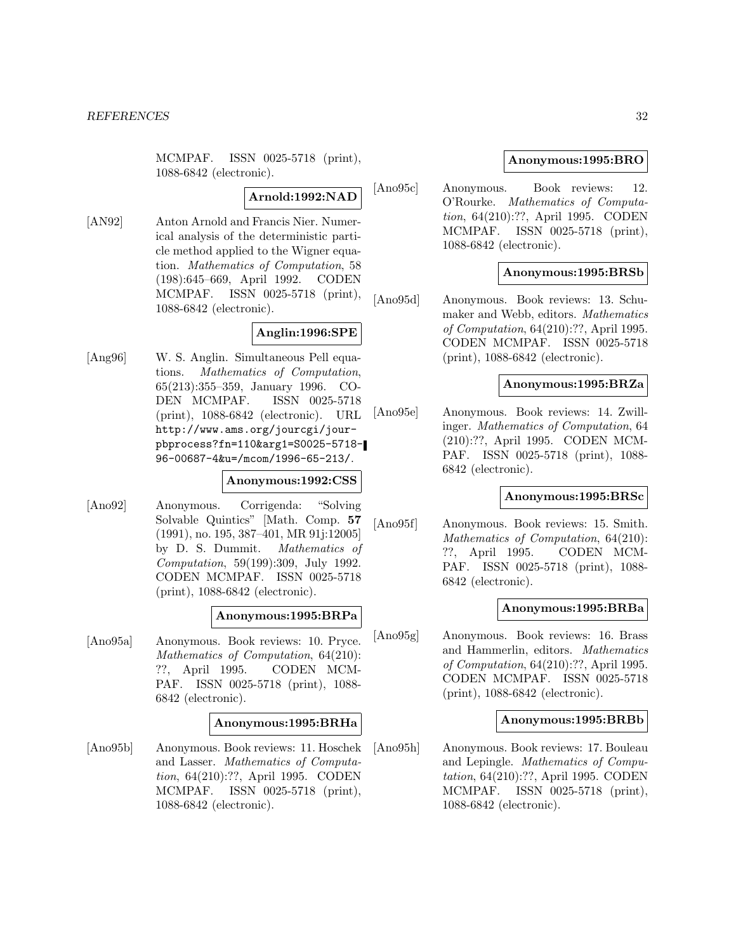MCMPAF. ISSN 0025-5718 (print), 1088-6842 (electronic).

### **Arnold:1992:NAD**

[AN92] Anton Arnold and Francis Nier. Numerical analysis of the deterministic particle method applied to the Wigner equation. Mathematics of Computation, 58 (198):645–669, April 1992. CODEN MCMPAF. ISSN 0025-5718 (print), 1088-6842 (electronic).

### **Anglin:1996:SPE**

[Ang96] W. S. Anglin. Simultaneous Pell equations. Mathematics of Computation, 65(213):355–359, January 1996. CO-DEN MCMPAF. ISSN 0025-5718 (print), 1088-6842 (electronic). URL http://www.ams.org/jourcgi/jourpbprocess?fn=110&arg1=S0025-5718- 96-00687-4&u=/mcom/1996-65-213/.

### **Anonymous:1992:CSS**

[Ano92] Anonymous. Corrigenda: "Solving Solvable Quintics" [Math. Comp. **57** (1991), no. 195, 387–401, MR 91j:12005] by D. S. Dummit. Mathematics of Computation, 59(199):309, July 1992. CODEN MCMPAF. ISSN 0025-5718 (print), 1088-6842 (electronic).

### **Anonymous:1995:BRPa**

[Ano95a] Anonymous. Book reviews: 10. Pryce. Mathematics of Computation, 64(210): ??, April 1995. CODEN MCM-PAF. ISSN 0025-5718 (print), 1088- 6842 (electronic).

#### **Anonymous:1995:BRHa**

[Ano95b] Anonymous. Book reviews: 11. Hoschek and Lasser. Mathematics of Computation, 64(210):??, April 1995. CODEN MCMPAF. ISSN 0025-5718 (print), 1088-6842 (electronic).

### **Anonymous:1995:BRO**

[Ano95c] Anonymous. Book reviews: 12. O'Rourke. Mathematics of Computation, 64(210):??, April 1995. CODEN MCMPAF. ISSN 0025-5718 (print), 1088-6842 (electronic).

### **Anonymous:1995:BRSb**

[Ano95d] Anonymous. Book reviews: 13. Schumaker and Webb, editors. Mathematics of Computation, 64(210):??, April 1995. CODEN MCMPAF. ISSN 0025-5718 (print), 1088-6842 (electronic).

### **Anonymous:1995:BRZa**

[Ano95e] Anonymous. Book reviews: 14. Zwillinger. Mathematics of Computation, 64 (210):??, April 1995. CODEN MCM-PAF. ISSN 0025-5718 (print), 1088- 6842 (electronic).

# **Anonymous:1995:BRSc**

[Ano95f] Anonymous. Book reviews: 15. Smith. Mathematics of Computation, 64(210): ??, April 1995. CODEN MCM-PAF. ISSN 0025-5718 (print), 1088- 6842 (electronic).

### **Anonymous:1995:BRBa**

[Ano95g] Anonymous. Book reviews: 16. Brass and Hammerlin, editors. Mathematics of Computation, 64(210):??, April 1995. CODEN MCMPAF. ISSN 0025-5718 (print), 1088-6842 (electronic).

### **Anonymous:1995:BRBb**

[Ano95h] Anonymous. Book reviews: 17. Bouleau and Lepingle. Mathematics of Computation, 64(210):??, April 1995. CODEN MCMPAF. ISSN 0025-5718 (print), 1088-6842 (electronic).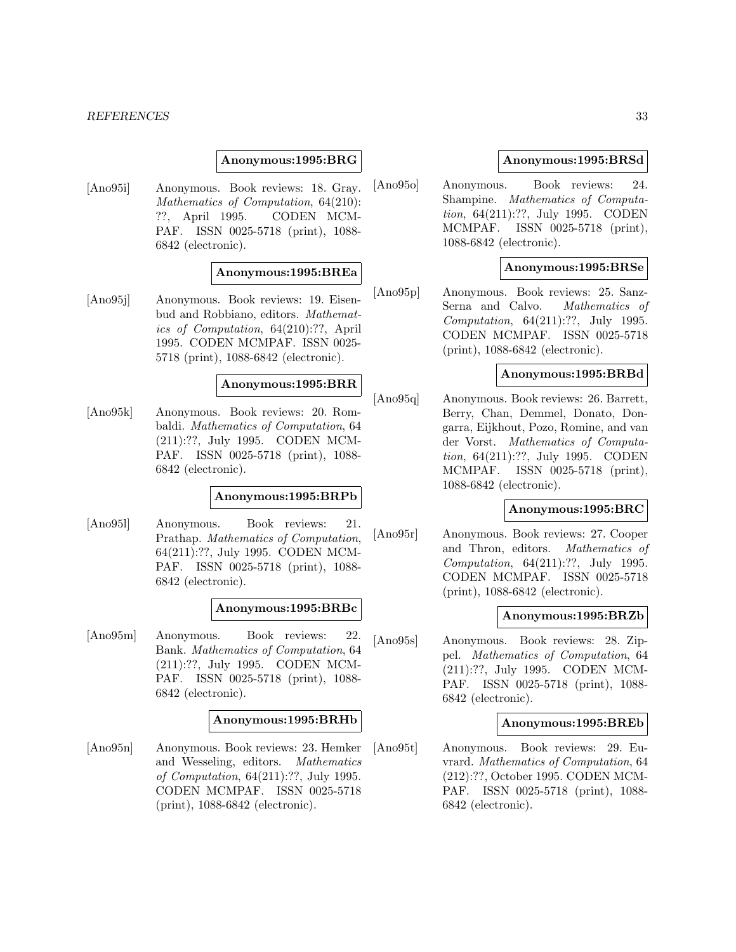#### *REFERENCES* 33

### **Anonymous:1995:BRG**

[Ano95i] Anonymous. Book reviews: 18. Gray. Mathematics of Computation, 64(210): ??, April 1995. CODEN MCM-PAF. ISSN 0025-5718 (print), 1088- 6842 (electronic).

### **Anonymous:1995:BREa**

[Ano95j] Anonymous. Book reviews: 19. Eisenbud and Robbiano, editors. Mathematics of Computation, 64(210):??, April 1995. CODEN MCMPAF. ISSN 0025- 5718 (print), 1088-6842 (electronic).

#### **Anonymous:1995:BRR**

[Ano95k] Anonymous. Book reviews: 20. Rombaldi. Mathematics of Computation, 64 (211):??, July 1995. CODEN MCM-PAF. ISSN 0025-5718 (print), 1088- 6842 (electronic).

### **Anonymous:1995:BRPb**

[Ano95l] Anonymous. Book reviews: 21. Prathap. Mathematics of Computation, 64(211):??, July 1995. CODEN MCM-PAF. ISSN 0025-5718 (print), 1088- 6842 (electronic).

#### **Anonymous:1995:BRBc**

[Ano95m] Anonymous. Book reviews: 22. Bank. Mathematics of Computation, 64 (211):??, July 1995. CODEN MCM-PAF. ISSN 0025-5718 (print), 1088- 6842 (electronic).

#### **Anonymous:1995:BRHb**

[Ano95n] Anonymous. Book reviews: 23. Hemker and Wesseling, editors. Mathematics of Computation, 64(211):??, July 1995. CODEN MCMPAF. ISSN 0025-5718 (print), 1088-6842 (electronic).

### **Anonymous:1995:BRSd**

[Ano95o] Anonymous. Book reviews: 24. Shampine. Mathematics of Computation, 64(211):??, July 1995. CODEN MCMPAF. ISSN 0025-5718 (print), 1088-6842 (electronic).

### **Anonymous:1995:BRSe**

[Ano95p] Anonymous. Book reviews: 25. Sanz-Serna and Calvo. Mathematics of Computation, 64(211):??, July 1995. CODEN MCMPAF. ISSN 0025-5718 (print), 1088-6842 (electronic).

#### **Anonymous:1995:BRBd**

[Ano95q] Anonymous. Book reviews: 26. Barrett, Berry, Chan, Demmel, Donato, Dongarra, Eijkhout, Pozo, Romine, and van der Vorst. Mathematics of Computation, 64(211):??, July 1995. CODEN MCMPAF. ISSN 0025-5718 (print), 1088-6842 (electronic).

#### **Anonymous:1995:BRC**

[Ano95r] Anonymous. Book reviews: 27. Cooper and Thron, editors. Mathematics of Computation, 64(211):??, July 1995. CODEN MCMPAF. ISSN 0025-5718 (print), 1088-6842 (electronic).

#### **Anonymous:1995:BRZb**

[Ano95s] Anonymous. Book reviews: 28. Zippel. Mathematics of Computation, 64 (211):??, July 1995. CODEN MCM-PAF. ISSN 0025-5718 (print), 1088- 6842 (electronic).

#### **Anonymous:1995:BREb**

[Ano95t] Anonymous. Book reviews: 29. Euvrard. Mathematics of Computation, 64 (212):??, October 1995. CODEN MCM-PAF. ISSN 0025-5718 (print), 1088- 6842 (electronic).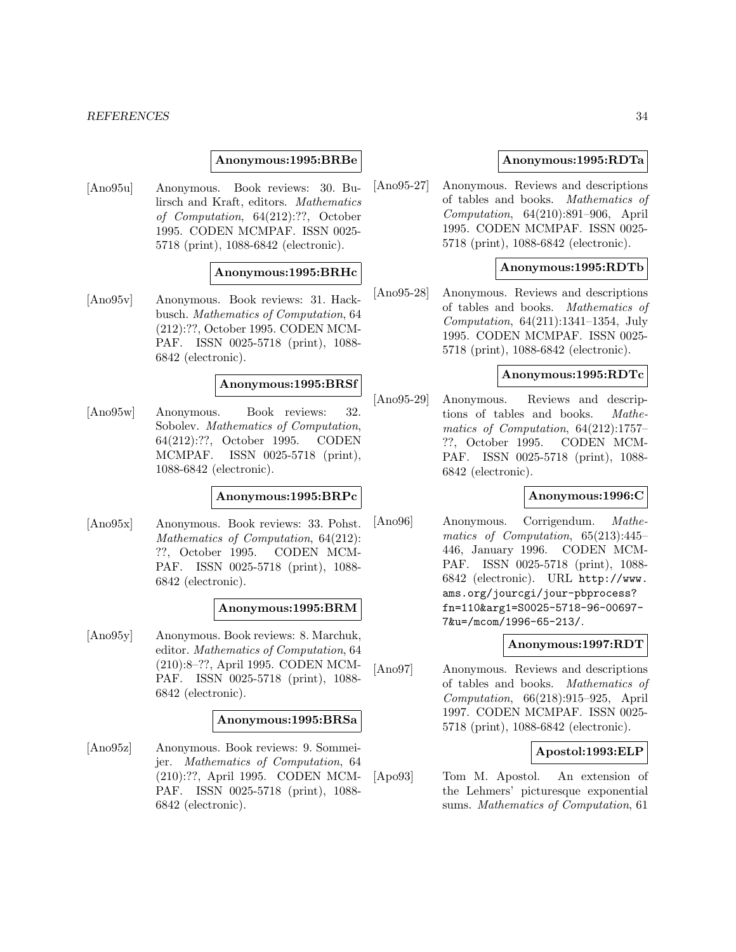#### *REFERENCES* 34

### **Anonymous:1995:BRBe**

[Ano95u] Anonymous. Book reviews: 30. Bulirsch and Kraft, editors. Mathematics of Computation, 64(212):??, October 1995. CODEN MCMPAF. ISSN 0025- 5718 (print), 1088-6842 (electronic).

### **Anonymous:1995:BRHc**

[Ano95v] Anonymous. Book reviews: 31. Hackbusch. Mathematics of Computation, 64 (212):??, October 1995. CODEN MCM-PAF. ISSN 0025-5718 (print), 1088- 6842 (electronic).

### **Anonymous:1995:BRSf**

[Ano95w] Anonymous. Book reviews: 32. Sobolev. Mathematics of Computation, 64(212):??, October 1995. CODEN MCMPAF. ISSN 0025-5718 (print), 1088-6842 (electronic).

# **Anonymous:1995:BRPc**

[Ano95x] Anonymous. Book reviews: 33. Pohst. Mathematics of Computation, 64(212): ??, October 1995. CODEN MCM-PAF. ISSN 0025-5718 (print), 1088- 6842 (electronic).

#### **Anonymous:1995:BRM**

[Ano95y] Anonymous. Book reviews: 8. Marchuk, editor. Mathematics of Computation, 64 (210):8–??, April 1995. CODEN MCM-PAF. ISSN 0025-5718 (print), 1088- 6842 (electronic).

#### **Anonymous:1995:BRSa**

[Ano95z] Anonymous. Book reviews: 9. Sommeijer. Mathematics of Computation, 64 (210):??, April 1995. CODEN MCM-PAF. ISSN 0025-5718 (print), 1088- 6842 (electronic).

### **Anonymous:1995:RDTa**

[Ano95-27] Anonymous. Reviews and descriptions of tables and books. Mathematics of Computation, 64(210):891–906, April 1995. CODEN MCMPAF. ISSN 0025- 5718 (print), 1088-6842 (electronic).

# **Anonymous:1995:RDTb**

[Ano95-28] Anonymous. Reviews and descriptions of tables and books. Mathematics of Computation, 64(211):1341–1354, July 1995. CODEN MCMPAF. ISSN 0025- 5718 (print), 1088-6842 (electronic).

# **Anonymous:1995:RDTc**

[Ano95-29] Anonymous. Reviews and descriptions of tables and books. Mathematics of Computation, 64(212):1757– ??, October 1995. CODEN MCM-PAF. ISSN 0025-5718 (print), 1088- 6842 (electronic).

### **Anonymous:1996:C**

[Ano96] Anonymous. Corrigendum. Mathematics of Computation, 65(213):445– 446, January 1996. CODEN MCM-PAF. ISSN 0025-5718 (print), 1088- 6842 (electronic). URL http://www. ams.org/jourcgi/jour-pbprocess? fn=110&arg1=S0025-5718-96-00697- 7&u=/mcom/1996-65-213/.

### **Anonymous:1997:RDT**

[Ano97] Anonymous. Reviews and descriptions of tables and books. Mathematics of Computation, 66(218):915–925, April 1997. CODEN MCMPAF. ISSN 0025- 5718 (print), 1088-6842 (electronic).

### **Apostol:1993:ELP**

[Apo93] Tom M. Apostol. An extension of the Lehmers' picturesque exponential sums. Mathematics of Computation, 61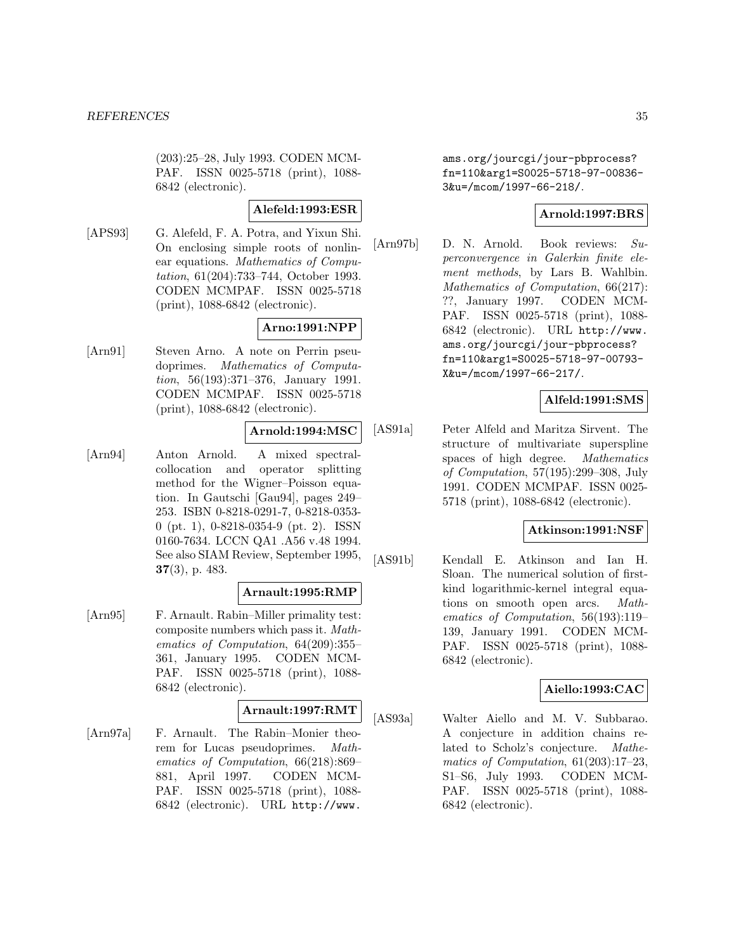(203):25–28, July 1993. CODEN MCM-PAF. ISSN 0025-5718 (print), 1088- 6842 (electronic).

### **Alefeld:1993:ESR**

[APS93] G. Alefeld, F. A. Potra, and Yixun Shi. On enclosing simple roots of nonlinear equations. Mathematics of Computation, 61(204):733–744, October 1993. CODEN MCMPAF. ISSN 0025-5718 (print), 1088-6842 (electronic).

# **Arno:1991:NPP**

[Arn91] Steven Arno. A note on Perrin pseudoprimes. Mathematics of Computation, 56(193):371–376, January 1991. CODEN MCMPAF. ISSN 0025-5718 (print), 1088-6842 (electronic).

# **Arnold:1994:MSC**

[Arn94] Anton Arnold. A mixed spectralcollocation and operator splitting method for the Wigner–Poisson equation. In Gautschi [Gau94], pages 249– 253. ISBN 0-8218-0291-7, 0-8218-0353- 0 (pt. 1), 0-8218-0354-9 (pt. 2). ISSN 0160-7634. LCCN QA1 .A56 v.48 1994. See also SIAM Review, September 1995, **37**(3), p. 483.

### **Arnault:1995:RMP**

[Arn95] F. Arnault. Rabin–Miller primality test: composite numbers which pass it. Mathematics of Computation, 64(209):355– 361, January 1995. CODEN MCM-PAF. ISSN 0025-5718 (print), 1088- 6842 (electronic).

### **Arnault:1997:RMT**

[Arn97a] F. Arnault. The Rabin–Monier theorem for Lucas pseudoprimes. Mathematics of Computation, 66(218):869– 881, April 1997. CODEN MCM-PAF. ISSN 0025-5718 (print), 1088- 6842 (electronic). URL http://www.

ams.org/jourcgi/jour-pbprocess? fn=110&arg1=S0025-5718-97-00836- 3&u=/mcom/1997-66-218/.

### **Arnold:1997:BRS**

[Arn97b] D. N. Arnold. Book reviews: Superconvergence in Galerkin finite element methods, by Lars B. Wahlbin. Mathematics of Computation, 66(217): ??, January 1997. CODEN MCM-PAF. ISSN 0025-5718 (print), 1088- 6842 (electronic). URL http://www. ams.org/jourcgi/jour-pbprocess? fn=110&arg1=S0025-5718-97-00793- X&u=/mcom/1997-66-217/.

# **Alfeld:1991:SMS**

[AS91a] Peter Alfeld and Maritza Sirvent. The structure of multivariate superspline spaces of high degree. Mathematics of Computation, 57(195):299–308, July 1991. CODEN MCMPAF. ISSN 0025- 5718 (print), 1088-6842 (electronic).

### **Atkinson:1991:NSF**

[AS91b] Kendall E. Atkinson and Ian H. Sloan. The numerical solution of firstkind logarithmic-kernel integral equations on smooth open arcs. Mathematics of Computation, 56(193):119– 139, January 1991. CODEN MCM-PAF. ISSN 0025-5718 (print), 1088- 6842 (electronic).

# **Aiello:1993:CAC**

[AS93a] Walter Aiello and M. V. Subbarao. A conjecture in addition chains related to Scholz's conjecture. Mathematics of Computation, 61(203):17–23, S1–S6, July 1993. CODEN MCM-PAF. ISSN 0025-5718 (print), 1088- 6842 (electronic).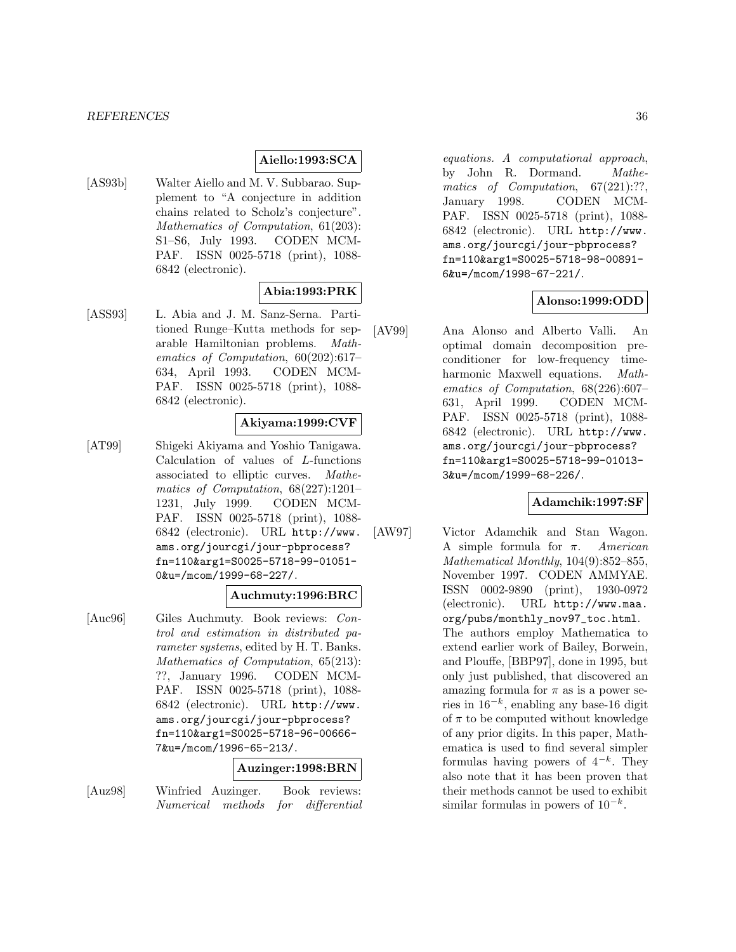### **Aiello:1993:SCA**

[AS93b] Walter Aiello and M. V. Subbarao. Supplement to "A conjecture in addition chains related to Scholz's conjecture". Mathematics of Computation, 61(203): S1–S6, July 1993. CODEN MCM-PAF. ISSN 0025-5718 (print), 1088- 6842 (electronic).

### **Abia:1993:PRK**

[ASS93] L. Abia and J. M. Sanz-Serna. Partitioned Runge–Kutta methods for separable Hamiltonian problems. Mathematics of Computation, 60(202):617– 634, April 1993. CODEN MCM-PAF. ISSN 0025-5718 (print), 1088- 6842 (electronic).

### **Akiyama:1999:CVF**

[AT99] Shigeki Akiyama and Yoshio Tanigawa. Calculation of values of L-functions associated to elliptic curves. Mathematics of Computation, 68(227):1201– 1231, July 1999. CODEN MCM-PAF. ISSN 0025-5718 (print), 1088- 6842 (electronic). URL http://www. ams.org/jourcgi/jour-pbprocess? fn=110&arg1=S0025-5718-99-01051- 0&u=/mcom/1999-68-227/.

### **Auchmuty:1996:BRC**

[Auc96] Giles Auchmuty. Book reviews: Control and estimation in distributed parameter systems, edited by H. T. Banks. Mathematics of Computation, 65(213): ??, January 1996. CODEN MCM-PAF. ISSN 0025-5718 (print), 1088- 6842 (electronic). URL http://www. ams.org/jourcgi/jour-pbprocess? fn=110&arg1=S0025-5718-96-00666- 7&u=/mcom/1996-65-213/.

### **Auzinger:1998:BRN**

[Auz98] Winfried Auzinger. Book reviews: Numerical methods for differential

equations. A computational approach, by John R. Dormand. Mathematics of Computation, 67(221):??, January 1998. CODEN MCM-PAF. ISSN 0025-5718 (print), 1088- 6842 (electronic). URL http://www. ams.org/jourcgi/jour-pbprocess? fn=110&arg1=S0025-5718-98-00891- 6&u=/mcom/1998-67-221/.

### **Alonso:1999:ODD**

[AV99] Ana Alonso and Alberto Valli. An optimal domain decomposition preconditioner for low-frequency timeharmonic Maxwell equations. Mathematics of Computation, 68(226):607– 631, April 1999. CODEN MCM-PAF. ISSN 0025-5718 (print), 1088- 6842 (electronic). URL http://www. ams.org/jourcgi/jour-pbprocess? fn=110&arg1=S0025-5718-99-01013- 3&u=/mcom/1999-68-226/.

# **Adamchik:1997:SF**

[AW97] Victor Adamchik and Stan Wagon. A simple formula for  $\pi$ . American Mathematical Monthly, 104(9):852–855, November 1997. CODEN AMMYAE. ISSN 0002-9890 (print), 1930-0972 (electronic). URL http://www.maa. org/pubs/monthly\_nov97\_toc.html. The authors employ Mathematica to extend earlier work of Bailey, Borwein, and Plouffe, [BBP97], done in 1995, but only just published, that discovered an amazing formula for  $\pi$  as is a power series in  $16^{-k}$ , enabling any base-16 digit of  $\pi$  to be computed without knowledge of any prior digits. In this paper, Mathematica is used to find several simpler formulas having powers of  $4^{-k}$ . They also note that it has been proven that their methods cannot be used to exhibit similar formulas in powers of  $10^{-k}$ .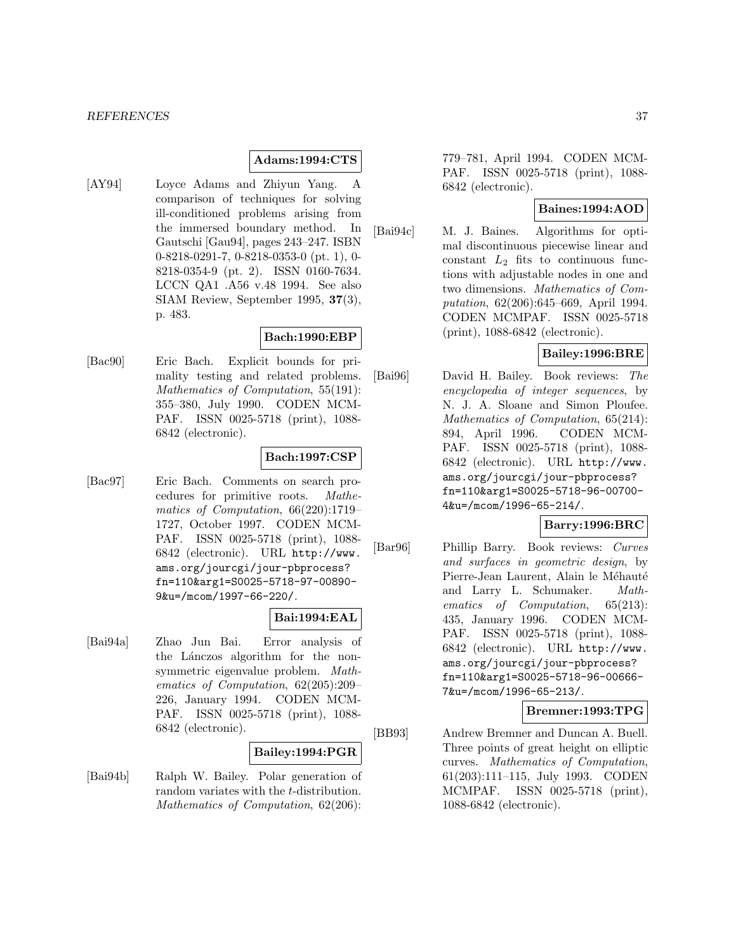#### **Adams:1994:CTS**

[AY94] Loyce Adams and Zhiyun Yang. A comparison of techniques for solving ill-conditioned problems arising from the immersed boundary method. In Gautschi [Gau94], pages 243–247. ISBN 0-8218-0291-7, 0-8218-0353-0 (pt. 1), 0- 8218-0354-9 (pt. 2). ISSN 0160-7634. LCCN QA1 .A56 v.48 1994. See also SIAM Review, September 1995, **37**(3), p. 483.

### **Bach:1990:EBP**

[Bac90] Eric Bach. Explicit bounds for primality testing and related problems. Mathematics of Computation, 55(191): 355–380, July 1990. CODEN MCM-PAF. ISSN 0025-5718 (print), 1088- 6842 (electronic).

#### **Bach:1997:CSP**

[Bac97] Eric Bach. Comments on search procedures for primitive roots. Mathematics of Computation, 66(220):1719– 1727, October 1997. CODEN MCM-PAF. ISSN 0025-5718 (print), 1088- 6842 (electronic). URL http://www. ams.org/jourcgi/jour-pbprocess? fn=110&arg1=S0025-5718-97-00890- 9&u=/mcom/1997-66-220/.

#### **Bai:1994:EAL**

[Bai94a] Zhao Jun Bai. Error analysis of the Lánczos algorithm for the nonsymmetric eigenvalue problem. Mathematics of Computation, 62(205):209– 226, January 1994. CODEN MCM-PAF. ISSN 0025-5718 (print), 1088- 6842 (electronic).

## **Bailey:1994:PGR**

[Bai94b] Ralph W. Bailey. Polar generation of random variates with the *t*-distribution. Mathematics of Computation, 62(206):

779–781, April 1994. CODEN MCM-PAF. ISSN 0025-5718 (print), 1088- 6842 (electronic).

### **Baines:1994:AOD**

[Bai94c] M. J. Baines. Algorithms for optimal discontinuous piecewise linear and constant  $L_2$  fits to continuous functions with adjustable nodes in one and two dimensions. Mathematics of Computation, 62(206):645–669, April 1994. CODEN MCMPAF. ISSN 0025-5718 (print), 1088-6842 (electronic).

### **Bailey:1996:BRE**

[Bai96] David H. Bailey. Book reviews: The encyclopedia of integer sequences, by N. J. A. Sloane and Simon Ploufee. Mathematics of Computation, 65(214): 894, April 1996. CODEN MCM-PAF. ISSN 0025-5718 (print), 1088- 6842 (electronic). URL http://www. ams.org/jourcgi/jour-pbprocess? fn=110&arg1=S0025-5718-96-00700- 4&u=/mcom/1996-65-214/.

## **Barry:1996:BRC**

[Bar96] Phillip Barry. Book reviews: Curves and surfaces in geometric design, by Pierre-Jean Laurent, Alain le Méhauté and Larry L. Schumaker. Mathematics of Computation, 65(213): 435, January 1996. CODEN MCM-PAF. ISSN 0025-5718 (print), 1088- 6842 (electronic). URL http://www. ams.org/jourcgi/jour-pbprocess? fn=110&arg1=S0025-5718-96-00666- 7&u=/mcom/1996-65-213/.

**Bremner:1993:TPG**

[BB93] Andrew Bremner and Duncan A. Buell. Three points of great height on elliptic curves. Mathematics of Computation, 61(203):111–115, July 1993. CODEN MCMPAF. ISSN 0025-5718 (print), 1088-6842 (electronic).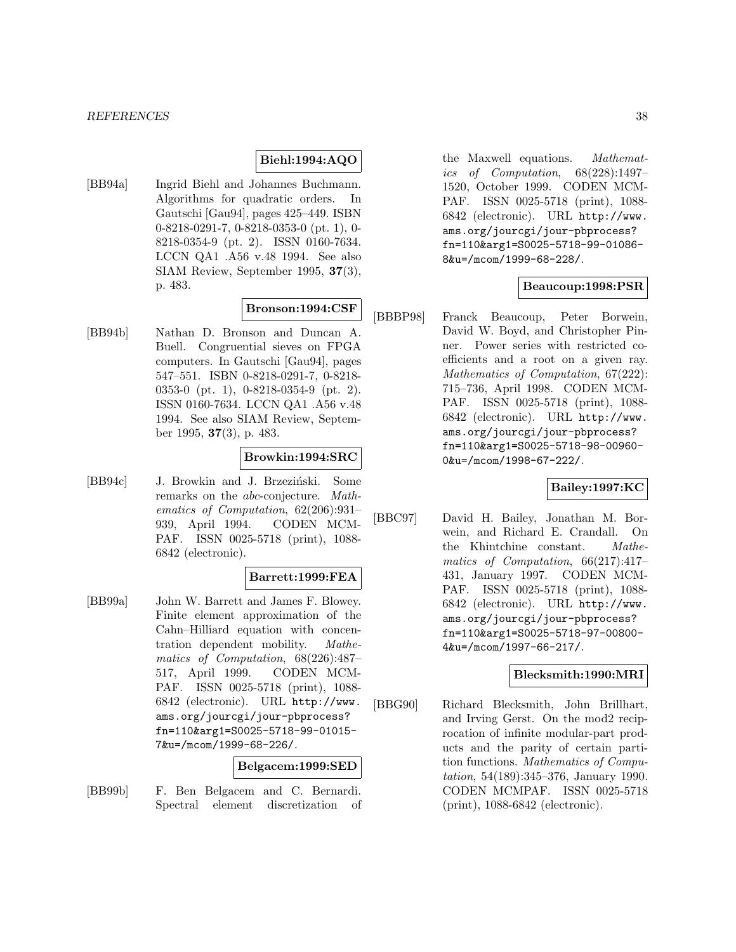### **Biehl:1994:AQO**

[BB94a] Ingrid Biehl and Johannes Buchmann. Algorithms for quadratic orders. In Gautschi [Gau94], pages 425–449. ISBN 0-8218-0291-7, 0-8218-0353-0 (pt. 1), 0- 8218-0354-9 (pt. 2). ISSN 0160-7634. LCCN QA1 .A56 v.48 1994. See also SIAM Review, September 1995, **37**(3), p. 483.

### **Bronson:1994:CSF**

[BB94b] Nathan D. Bronson and Duncan A. Buell. Congruential sieves on FPGA computers. In Gautschi [Gau94], pages 547–551. ISBN 0-8218-0291-7, 0-8218- 0353-0 (pt. 1), 0-8218-0354-9 (pt. 2). ISSN 0160-7634. LCCN QA1 .A56 v.48 1994. See also SIAM Review, September 1995, **37**(3), p. 483.

### **Browkin:1994:SRC**

[BB94c] J. Browkin and J. Brzeziński. Some remarks on the abc-conjecture. Mathematics of Computation, 62(206):931– 939, April 1994. CODEN MCM-PAF. ISSN 0025-5718 (print), 1088- 6842 (electronic).

#### **Barrett:1999:FEA**

[BB99a] John W. Barrett and James F. Blowey. Finite element approximation of the Cahn–Hilliard equation with concentration dependent mobility. Mathematics of Computation, 68(226):487– 517, April 1999. CODEN MCM-PAF. ISSN 0025-5718 (print), 1088- 6842 (electronic). URL http://www. ams.org/jourcgi/jour-pbprocess? fn=110&arg1=S0025-5718-99-01015- 7&u=/mcom/1999-68-226/.

#### **Belgacem:1999:SED**

[BB99b] F. Ben Belgacem and C. Bernardi. Spectral element discretization of

the Maxwell equations. Mathematics of Computation, 68(228):1497– 1520, October 1999. CODEN MCM-PAF. ISSN 0025-5718 (print), 1088- 6842 (electronic). URL http://www. ams.org/jourcgi/jour-pbprocess? fn=110&arg1=S0025-5718-99-01086- 8&u=/mcom/1999-68-228/.

#### **Beaucoup:1998:PSR**

[BBBP98] Franck Beaucoup, Peter Borwein, David W. Boyd, and Christopher Pinner. Power series with restricted coefficients and a root on a given ray. Mathematics of Computation, 67(222): 715–736, April 1998. CODEN MCM-PAF. ISSN 0025-5718 (print), 1088- 6842 (electronic). URL http://www. ams.org/jourcgi/jour-pbprocess? fn=110&arg1=S0025-5718-98-00960- 0&u=/mcom/1998-67-222/.

### **Bailey:1997:KC**

[BBC97] David H. Bailey, Jonathan M. Borwein, and Richard E. Crandall. On the Khintchine constant. Mathematics of Computation, 66(217):417– 431, January 1997. CODEN MCM-PAF. ISSN 0025-5718 (print), 1088- 6842 (electronic). URL http://www. ams.org/jourcgi/jour-pbprocess? fn=110&arg1=S0025-5718-97-00800- 4&u=/mcom/1997-66-217/.

### **Blecksmith:1990:MRI**

[BBG90] Richard Blecksmith, John Brillhart, and Irving Gerst. On the mod2 reciprocation of infinite modular-part products and the parity of certain partition functions. Mathematics of Computation, 54(189):345–376, January 1990. CODEN MCMPAF. ISSN 0025-5718 (print), 1088-6842 (electronic).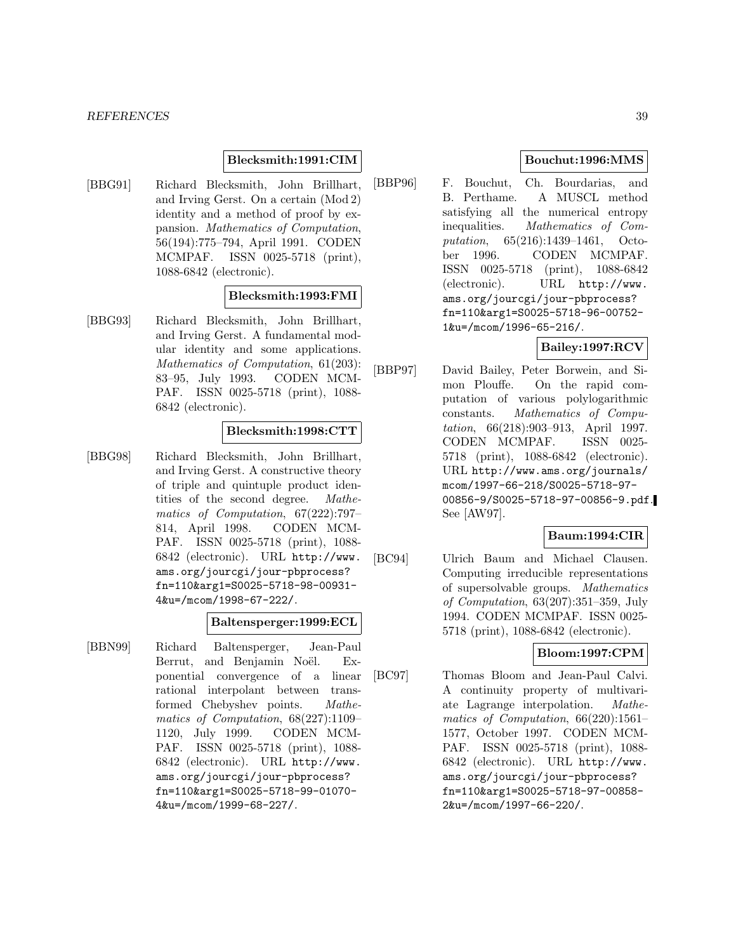### **Blecksmith:1991:CIM**

[BBG91] Richard Blecksmith, John Brillhart, and Irving Gerst. On a certain (Mod 2) identity and a method of proof by expansion. Mathematics of Computation, 56(194):775–794, April 1991. CODEN MCMPAF. ISSN 0025-5718 (print), 1088-6842 (electronic).

## **Blecksmith:1993:FMI**

[BBG93] Richard Blecksmith, John Brillhart, and Irving Gerst. A fundamental modular identity and some applications. Mathematics of Computation, 61(203): 83–95, July 1993. CODEN MCM-PAF. ISSN 0025-5718 (print), 1088- 6842 (electronic).

### **Blecksmith:1998:CTT**

[BBG98] Richard Blecksmith, John Brillhart, and Irving Gerst. A constructive theory of triple and quintuple product identities of the second degree. Mathematics of Computation, 67(222):797– 814, April 1998. CODEN MCM-PAF. ISSN 0025-5718 (print), 1088- 6842 (electronic). URL http://www. ams.org/jourcgi/jour-pbprocess? fn=110&arg1=S0025-5718-98-00931- 4&u=/mcom/1998-67-222/.

#### **Baltensperger:1999:ECL**

[BBN99] Richard Baltensperger, Jean-Paul Berrut, and Benjamin Noël. Exponential convergence of a linear rational interpolant between transformed Chebyshev points. Mathematics of Computation, 68(227):1109– 1120, July 1999. CODEN MCM-PAF. ISSN 0025-5718 (print), 1088- 6842 (electronic). URL http://www. ams.org/jourcgi/jour-pbprocess? fn=110&arg1=S0025-5718-99-01070- 4&u=/mcom/1999-68-227/.

### **Bouchut:1996:MMS**

[BBP96] F. Bouchut, Ch. Bourdarias, and B. Perthame. A MUSCL method satisfying all the numerical entropy inequalities. Mathematics of Computation, 65(216):1439–1461, October 1996. CODEN MCMPAF. ISSN 0025-5718 (print), 1088-6842 (electronic). URL http://www. ams.org/jourcgi/jour-pbprocess? fn=110&arg1=S0025-5718-96-00752- 1&u=/mcom/1996-65-216/.

## **Bailey:1997:RCV**

[BBP97] David Bailey, Peter Borwein, and Simon Plouffe. On the rapid computation of various polylogarithmic constants. Mathematics of Computation, 66(218):903–913, April 1997. CODEN MCMPAF. ISSN 0025- 5718 (print), 1088-6842 (electronic). URL http://www.ams.org/journals/ mcom/1997-66-218/S0025-5718-97- 00856-9/S0025-5718-97-00856-9.pdf. See [AW97].

# **Baum:1994:CIR**

[BC94] Ulrich Baum and Michael Clausen. Computing irreducible representations of supersolvable groups. Mathematics of Computation, 63(207):351–359, July 1994. CODEN MCMPAF. ISSN 0025- 5718 (print), 1088-6842 (electronic).

# **Bloom:1997:CPM**

[BC97] Thomas Bloom and Jean-Paul Calvi. A continuity property of multivariate Lagrange interpolation. Mathematics of Computation, 66(220):1561– 1577, October 1997. CODEN MCM-PAF. ISSN 0025-5718 (print), 1088- 6842 (electronic). URL http://www. ams.org/jourcgi/jour-pbprocess? fn=110&arg1=S0025-5718-97-00858- 2&u=/mcom/1997-66-220/.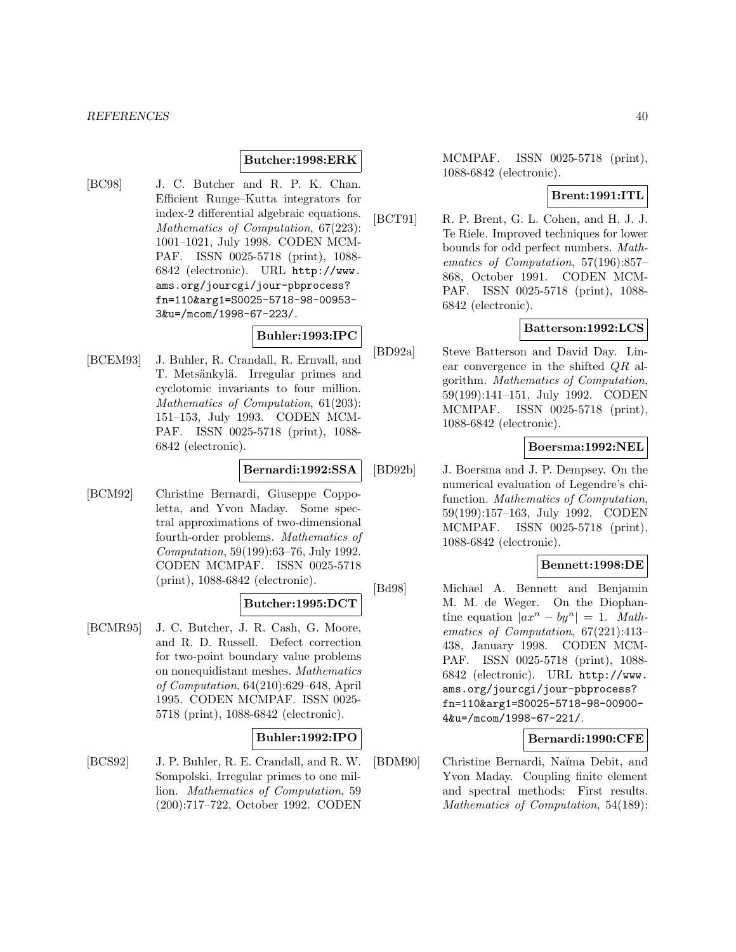#### *REFERENCES* 40

#### **Butcher:1998:ERK**

[BC98] J. C. Butcher and R. P. K. Chan. Efficient Runge–Kutta integrators for index-2 differential algebraic equations. Mathematics of Computation, 67(223): 1001–1021, July 1998. CODEN MCM-PAF. ISSN 0025-5718 (print), 1088- 6842 (electronic). URL http://www. ams.org/jourcgi/jour-pbprocess? fn=110&arg1=S0025-5718-98-00953- 3&u=/mcom/1998-67-223/.

# **Buhler:1993:IPC**

[BCEM93] J. Buhler, R. Crandall, R. Ernvall, and T. Metsänkylä. Irregular primes and cyclotomic invariants to four million. Mathematics of Computation, 61(203): 151–153, July 1993. CODEN MCM-PAF. ISSN 0025-5718 (print), 1088- 6842 (electronic).

### **Bernardi:1992:SSA**

[BCM92] Christine Bernardi, Giuseppe Coppoletta, and Yvon Maday. Some spectral approximations of two-dimensional fourth-order problems. Mathematics of Computation, 59(199):63–76, July 1992. CODEN MCMPAF. ISSN 0025-5718 (print), 1088-6842 (electronic).

### **Butcher:1995:DCT**

[BCMR95] J. C. Butcher, J. R. Cash, G. Moore, and R. D. Russell. Defect correction for two-point boundary value problems on nonequidistant meshes. Mathematics of Computation, 64(210):629–648, April 1995. CODEN MCMPAF. ISSN 0025- 5718 (print), 1088-6842 (electronic).

### **Buhler:1992:IPO**

[BCS92] J. P. Buhler, R. E. Crandall, and R. W. Sompolski. Irregular primes to one million. Mathematics of Computation, 59 (200):717–722, October 1992. CODEN

MCMPAF. ISSN 0025-5718 (print), 1088-6842 (electronic).

### **Brent:1991:ITL**

[BCT91] R. P. Brent, G. L. Cohen, and H. J. J. Te Riele. Improved techniques for lower bounds for odd perfect numbers. Mathematics of Computation, 57(196):857– 868, October 1991. CODEN MCM-PAF. ISSN 0025-5718 (print), 1088- 6842 (electronic).

#### **Batterson:1992:LCS**

[BD92a] Steve Batterson and David Day. Linear convergence in the shifted QR algorithm. Mathematics of Computation, 59(199):141–151, July 1992. CODEN MCMPAF. ISSN 0025-5718 (print), 1088-6842 (electronic).

#### **Boersma:1992:NEL**

[BD92b] J. Boersma and J. P. Dempsey. On the numerical evaluation of Legendre's chifunction. Mathematics of Computation, 59(199):157–163, July 1992. CODEN MCMPAF. ISSN 0025-5718 (print), 1088-6842 (electronic).

### **Bennett:1998:DE**

[Bd98] Michael A. Bennett and Benjamin M. M. de Weger. On the Diophantine equation  $|ax^n - by^n| = 1$ . Mathematics of Computation, 67(221):413– 438, January 1998. CODEN MCM-PAF. ISSN 0025-5718 (print), 1088- 6842 (electronic). URL http://www. ams.org/jourcgi/jour-pbprocess? fn=110&arg1=S0025-5718-98-00900- 4&u=/mcom/1998-67-221/.

### **Bernardi:1990:CFE**

[BDM90] Christine Bernardi, Naïma Debit, and Yvon Maday. Coupling finite element and spectral methods: First results. Mathematics of Computation, 54(189):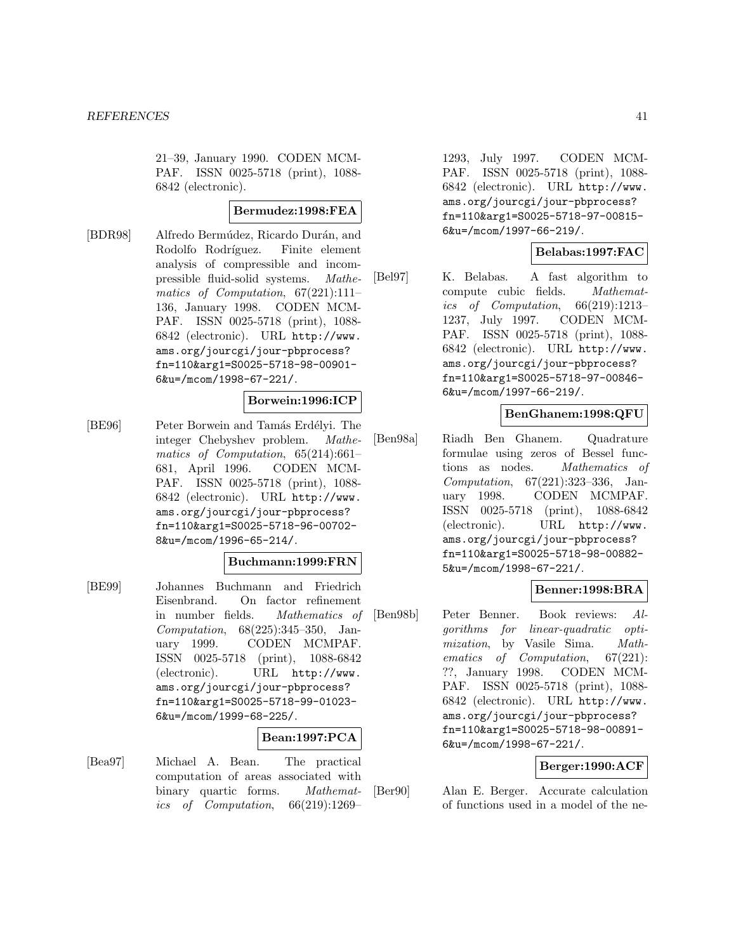21–39, January 1990. CODEN MCM-PAF. ISSN 0025-5718 (print), 1088- 6842 (electronic).

#### **Bermudez:1998:FEA**

[BDR98] Alfredo Bermúdez, Ricardo Durán, and Rodolfo Rodríguez. Finite element analysis of compressible and incompressible fluid-solid systems. Mathematics of Computation, 67(221):111– 136, January 1998. CODEN MCM-PAF. ISSN 0025-5718 (print), 1088- 6842 (electronic). URL http://www. ams.org/jourcgi/jour-pbprocess? fn=110&arg1=S0025-5718-98-00901- 6&u=/mcom/1998-67-221/.

#### **Borwein:1996:ICP**

[BE96] Peter Borwein and Tamás Erdélyi. The integer Chebyshev problem. Mathematics of Computation, 65(214):661– 681, April 1996. CODEN MCM-PAF. ISSN 0025-5718 (print), 1088- 6842 (electronic). URL http://www. ams.org/jourcgi/jour-pbprocess? fn=110&arg1=S0025-5718-96-00702- 8&u=/mcom/1996-65-214/.

### **Buchmann:1999:FRN**

[BE99] Johannes Buchmann and Friedrich Eisenbrand. On factor refinement in number fields. Mathematics of Computation, 68(225):345–350, January 1999. CODEN MCMPAF. ISSN 0025-5718 (print), 1088-6842 (electronic). URL http://www. ams.org/jourcgi/jour-pbprocess? fn=110&arg1=S0025-5718-99-01023- 6&u=/mcom/1999-68-225/.

### **Bean:1997:PCA**

[Bea97] Michael A. Bean. The practical computation of areas associated with binary quartic forms. *Mathemat*ics of Computation, 66(219):1269–

1293, July 1997. CODEN MCM-PAF. ISSN 0025-5718 (print), 1088- 6842 (electronic). URL http://www. ams.org/jourcgi/jour-pbprocess? fn=110&arg1=S0025-5718-97-00815- 6&u=/mcom/1997-66-219/.

### **Belabas:1997:FAC**

[Bel97] K. Belabas. A fast algorithm to compute cubic fields. Mathematics of Computation, 66(219):1213– 1237, July 1997. CODEN MCM-PAF. ISSN 0025-5718 (print), 1088- 6842 (electronic). URL http://www. ams.org/jourcgi/jour-pbprocess? fn=110&arg1=S0025-5718-97-00846- 6&u=/mcom/1997-66-219/.

### **BenGhanem:1998:QFU**

[Ben98a] Riadh Ben Ghanem. Quadrature formulae using zeros of Bessel functions as nodes. Mathematics of Computation, 67(221):323–336, January 1998. CODEN MCMPAF. ISSN 0025-5718 (print), 1088-6842 (electronic). URL http://www. ams.org/jourcgi/jour-pbprocess? fn=110&arg1=S0025-5718-98-00882- 5&u=/mcom/1998-67-221/.

### **Benner:1998:BRA**

[Ben98b] Peter Benner. Book reviews: Algorithms for linear-quadratic optimization, by Vasile Sima. Mathematics of Computation, 67(221): ??, January 1998. CODEN MCM-PAF. ISSN 0025-5718 (print), 1088- 6842 (electronic). URL http://www. ams.org/jourcgi/jour-pbprocess? fn=110&arg1=S0025-5718-98-00891- 6&u=/mcom/1998-67-221/.

### **Berger:1990:ACF**

[Ber90] Alan E. Berger. Accurate calculation of functions used in a model of the ne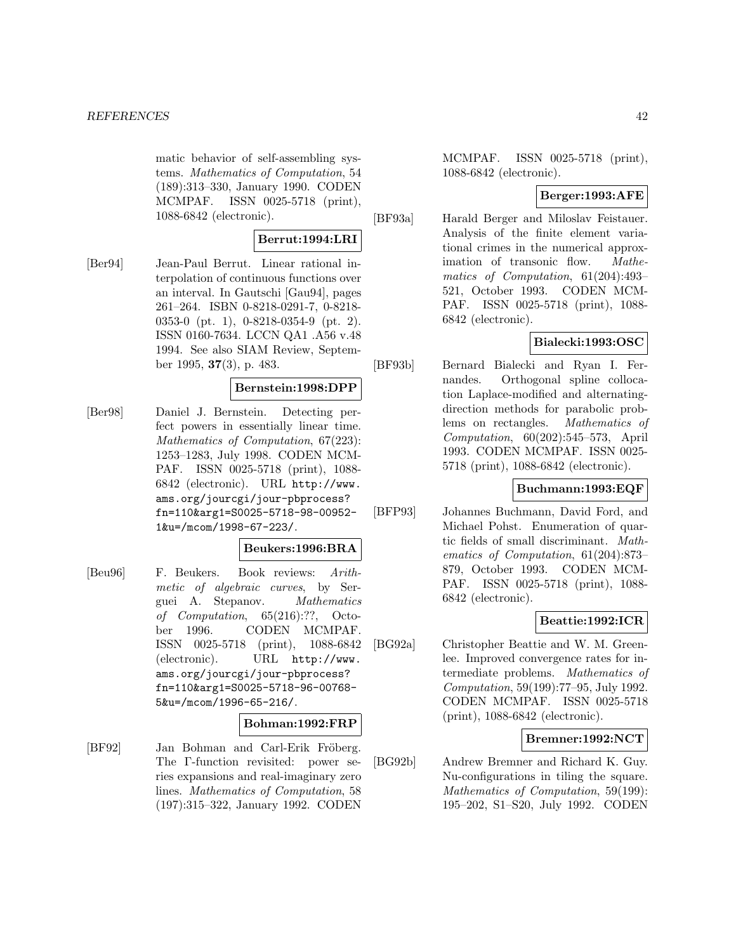matic behavior of self-assembling systems. Mathematics of Computation, 54 (189):313–330, January 1990. CODEN MCMPAF. ISSN 0025-5718 (print), 1088-6842 (electronic).

### **Berrut:1994:LRI**

[Ber94] Jean-Paul Berrut. Linear rational interpolation of continuous functions over an interval. In Gautschi [Gau94], pages 261–264. ISBN 0-8218-0291-7, 0-8218- 0353-0 (pt. 1), 0-8218-0354-9 (pt. 2). ISSN 0160-7634. LCCN QA1 .A56 v.48 1994. See also SIAM Review, September 1995, **37**(3), p. 483.

### **Bernstein:1998:DPP**

[Ber98] Daniel J. Bernstein. Detecting perfect powers in essentially linear time. Mathematics of Computation, 67(223): 1253–1283, July 1998. CODEN MCM-PAF. ISSN 0025-5718 (print), 1088- 6842 (electronic). URL http://www. ams.org/jourcgi/jour-pbprocess? fn=110&arg1=S0025-5718-98-00952- 1&u=/mcom/1998-67-223/.

### **Beukers:1996:BRA**

[Beu96] F. Beukers. Book reviews: Arithmetic of algebraic curves, by Serguei A. Stepanov. Mathematics of Computation, 65(216):??, October 1996. CODEN MCMPAF. ISSN 0025-5718 (print), 1088-6842 (electronic). URL http://www. ams.org/jourcgi/jour-pbprocess? fn=110&arg1=S0025-5718-96-00768- 5&u=/mcom/1996-65-216/.

### **Bohman:1992:FRP**

[BF92] Jan Bohman and Carl-Erik Fröberg. The Γ-function revisited: power series expansions and real-imaginary zero lines. Mathematics of Computation, 58 (197):315–322, January 1992. CODEN MCMPAF. ISSN 0025-5718 (print), 1088-6842 (electronic).

### **Berger:1993:AFE**

[BF93a] Harald Berger and Miloslav Feistauer. Analysis of the finite element variational crimes in the numerical approximation of transonic flow. Mathematics of Computation, 61(204):493– 521, October 1993. CODEN MCM-PAF. ISSN 0025-5718 (print), 1088- 6842 (electronic).

### **Bialecki:1993:OSC**

[BF93b] Bernard Bialecki and Ryan I. Fernandes. Orthogonal spline collocation Laplace-modified and alternatingdirection methods for parabolic problems on rectangles. Mathematics of Computation, 60(202):545–573, April 1993. CODEN MCMPAF. ISSN 0025- 5718 (print), 1088-6842 (electronic).

### **Buchmann:1993:EQF**

[BFP93] Johannes Buchmann, David Ford, and Michael Pohst. Enumeration of quartic fields of small discriminant. Mathematics of Computation, 61(204):873– 879, October 1993. CODEN MCM-PAF. ISSN 0025-5718 (print), 1088- 6842 (electronic).

### **Beattie:1992:ICR**

[BG92a] Christopher Beattie and W. M. Greenlee. Improved convergence rates for intermediate problems. Mathematics of Computation, 59(199):77–95, July 1992. CODEN MCMPAF. ISSN 0025-5718 (print), 1088-6842 (electronic).

#### **Bremner:1992:NCT**

[BG92b] Andrew Bremner and Richard K. Guy. Nu-configurations in tiling the square. Mathematics of Computation, 59(199): 195–202, S1–S20, July 1992. CODEN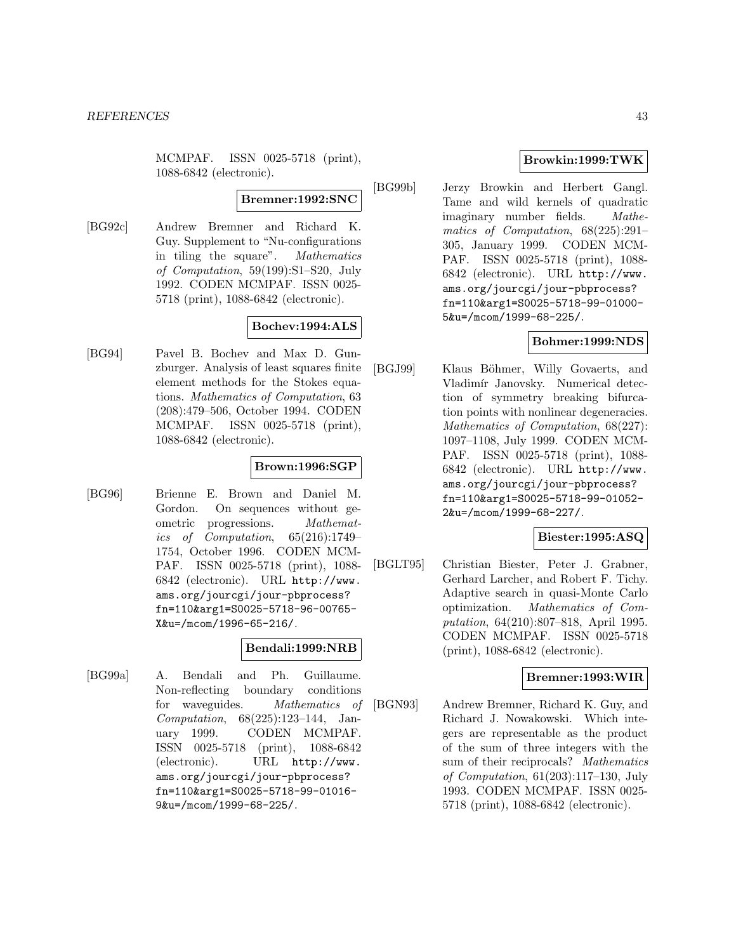MCMPAF. ISSN 0025-5718 (print), 1088-6842 (electronic).

### **Bremner:1992:SNC**

[BG92c] Andrew Bremner and Richard K. Guy. Supplement to "Nu-configurations in tiling the square". Mathematics of Computation, 59(199):S1–S20, July 1992. CODEN MCMPAF. ISSN 0025- 5718 (print), 1088-6842 (electronic).

## **Bochev:1994:ALS**

[BG94] Pavel B. Bochev and Max D. Gunzburger. Analysis of least squares finite element methods for the Stokes equations. Mathematics of Computation, 63 (208):479–506, October 1994. CODEN MCMPAF. ISSN 0025-5718 (print), 1088-6842 (electronic).

## **Brown:1996:SGP**

[BG96] Brienne E. Brown and Daniel M. Gordon. On sequences without geometric progressions. Mathematics of Computation, 65(216):1749– 1754, October 1996. CODEN MCM-PAF. ISSN 0025-5718 (print), 1088- 6842 (electronic). URL http://www. ams.org/jourcgi/jour-pbprocess? fn=110&arg1=S0025-5718-96-00765- X&u=/mcom/1996-65-216/.

## **Bendali:1999:NRB**

[BG99a] A. Bendali and Ph. Guillaume. Non-reflecting boundary conditions for waveguides. Mathematics of Computation, 68(225):123–144, January 1999. CODEN MCMPAF. ISSN 0025-5718 (print), 1088-6842 (electronic). URL http://www. ams.org/jourcgi/jour-pbprocess? fn=110&arg1=S0025-5718-99-01016- 9&u=/mcom/1999-68-225/.

### **Browkin:1999:TWK**

[BG99b] Jerzy Browkin and Herbert Gangl. Tame and wild kernels of quadratic imaginary number fields. Mathematics of Computation, 68(225):291– 305, January 1999. CODEN MCM-PAF. ISSN 0025-5718 (print), 1088- 6842 (electronic). URL http://www. ams.org/jourcgi/jour-pbprocess? fn=110&arg1=S0025-5718-99-01000- 5&u=/mcom/1999-68-225/.

### **Bohmer:1999:NDS**

[BGJ99] Klaus Böhmer, Willy Govaerts, and Vladimír Janovsky. Numerical detection of symmetry breaking bifurcation points with nonlinear degeneracies. Mathematics of Computation, 68(227): 1097–1108, July 1999. CODEN MCM-PAF. ISSN 0025-5718 (print), 1088- 6842 (electronic). URL http://www. ams.org/jourcgi/jour-pbprocess? fn=110&arg1=S0025-5718-99-01052- 2&u=/mcom/1999-68-227/.

# **Biester:1995:ASQ**

[BGLT95] Christian Biester, Peter J. Grabner, Gerhard Larcher, and Robert F. Tichy. Adaptive search in quasi-Monte Carlo optimization. Mathematics of Computation, 64(210):807–818, April 1995. CODEN MCMPAF. ISSN 0025-5718 (print), 1088-6842 (electronic).

### **Bremner:1993:WIR**

[BGN93] Andrew Bremner, Richard K. Guy, and Richard J. Nowakowski. Which integers are representable as the product of the sum of three integers with the sum of their reciprocals? Mathematics of Computation, 61(203):117–130, July 1993. CODEN MCMPAF. ISSN 0025- 5718 (print), 1088-6842 (electronic).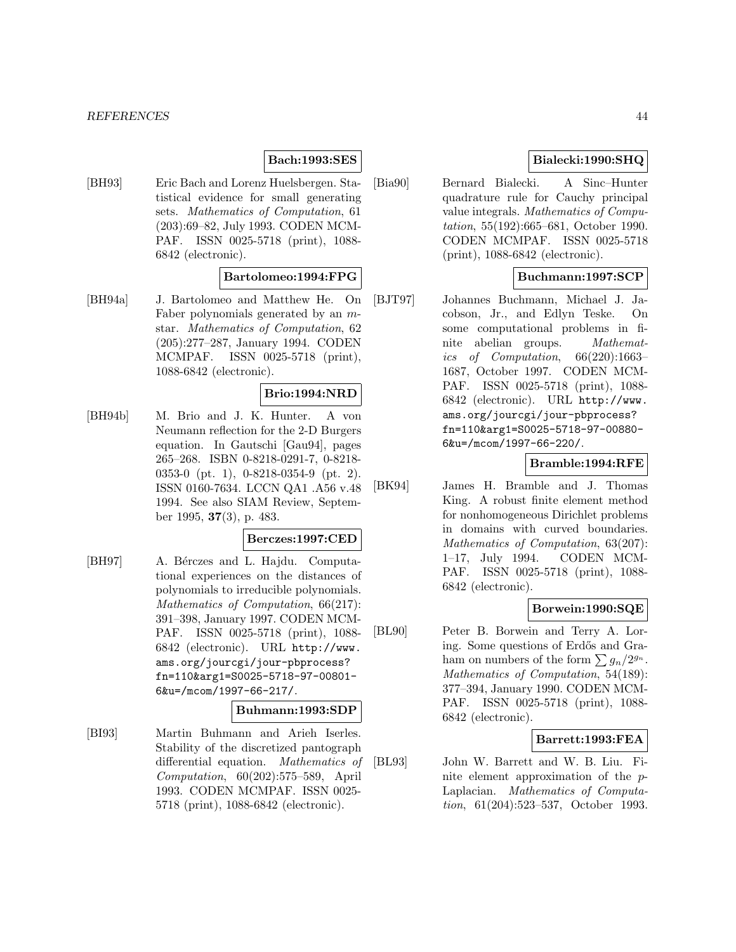### **Bach:1993:SES**

[BH93] Eric Bach and Lorenz Huelsbergen. Statistical evidence for small generating sets. Mathematics of Computation, 61 (203):69–82, July 1993. CODEN MCM-PAF. ISSN 0025-5718 (print), 1088- 6842 (electronic).

### **Bartolomeo:1994:FPG**

[BH94a] J. Bartolomeo and Matthew He. On Faber polynomials generated by an mstar. Mathematics of Computation, 62 (205):277–287, January 1994. CODEN MCMPAF. ISSN 0025-5718 (print), 1088-6842 (electronic).

#### **Brio:1994:NRD**

[BH94b] M. Brio and J. K. Hunter. A von Neumann reflection for the 2-D Burgers equation. In Gautschi [Gau94], pages 265–268. ISBN 0-8218-0291-7, 0-8218- 0353-0 (pt. 1), 0-8218-0354-9 (pt. 2). ISSN 0160-7634. LCCN QA1 .A56 v.48 1994. See also SIAM Review, September 1995, **37**(3), p. 483.

### **Berczes:1997:CED**

[BH97] A. Bérczes and L. Hajdu. Computational experiences on the distances of polynomials to irreducible polynomials. Mathematics of Computation, 66(217): 391–398, January 1997. CODEN MCM-PAF. ISSN 0025-5718 (print), 1088- 6842 (electronic). URL http://www. ams.org/jourcgi/jour-pbprocess? fn=110&arg1=S0025-5718-97-00801- 6&u=/mcom/1997-66-217/.

#### **Buhmann:1993:SDP**

[BI93] Martin Buhmann and Arieh Iserles. Stability of the discretized pantograph differential equation. Mathematics of Computation, 60(202):575–589, April 1993. CODEN MCMPAF. ISSN 0025- 5718 (print), 1088-6842 (electronic).

### **Bialecki:1990:SHQ**

[Bia90] Bernard Bialecki. A Sinc–Hunter quadrature rule for Cauchy principal value integrals. Mathematics of Computation, 55(192):665–681, October 1990. CODEN MCMPAF. ISSN 0025-5718 (print), 1088-6842 (electronic).

## **Buchmann:1997:SCP**

[BJT97] Johannes Buchmann, Michael J. Jacobson, Jr., and Edlyn Teske. On some computational problems in finite abelian groups. Mathematics of Computation, 66(220):1663– 1687, October 1997. CODEN MCM-PAF. ISSN 0025-5718 (print), 1088- 6842 (electronic). URL http://www. ams.org/jourcgi/jour-pbprocess? fn=110&arg1=S0025-5718-97-00880- 6&u=/mcom/1997-66-220/.

#### **Bramble:1994:RFE**

[BK94] James H. Bramble and J. Thomas King. A robust finite element method for nonhomogeneous Dirichlet problems in domains with curved boundaries. Mathematics of Computation, 63(207): 1–17, July 1994. CODEN MCM-PAF. ISSN 0025-5718 (print), 1088- 6842 (electronic).

#### **Borwein:1990:SQE**

[BL90] Peter B. Borwein and Terry A. Loring. Some questions of Erdős and Graham on numbers of the form  $\sum g_n/2^{g_n}$ . Mathematics of Computation, 54(189): 377–394, January 1990. CODEN MCM-PAF. ISSN 0025-5718 (print), 1088- 6842 (electronic).

### **Barrett:1993:FEA**

[BL93] John W. Barrett and W. B. Liu. Finite element approximation of the p-Laplacian. Mathematics of Computation, 61(204):523–537, October 1993.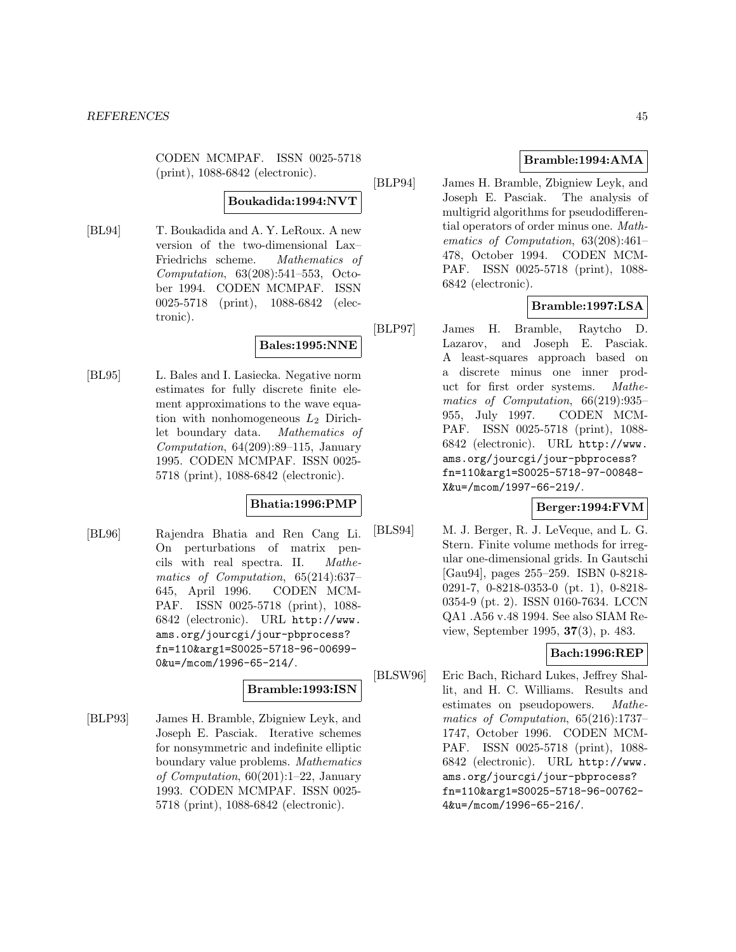CODEN MCMPAF. ISSN 0025-5718 (print), 1088-6842 (electronic).

### **Boukadida:1994:NVT**

[BL94] T. Boukadida and A. Y. LeRoux. A new version of the two-dimensional Lax– Friedrichs scheme. Mathematics of Computation, 63(208):541–553, October 1994. CODEN MCMPAF. ISSN 0025-5718 (print), 1088-6842 (electronic).

## **Bales:1995:NNE**

[BL95] L. Bales and I. Lasiecka. Negative norm estimates for fully discrete finite element approximations to the wave equation with nonhomogeneous  $L_2$  Dirichlet boundary data. Mathematics of Computation,  $64(209):89-115$ , January 1995. CODEN MCMPAF. ISSN 0025- 5718 (print), 1088-6842 (electronic).

## **Bhatia:1996:PMP**

[BL96] Rajendra Bhatia and Ren Cang Li. On perturbations of matrix pencils with real spectra. II. Mathematics of Computation, 65(214):637– 645, April 1996. CODEN MCM-PAF. ISSN 0025-5718 (print), 1088- 6842 (electronic). URL http://www. ams.org/jourcgi/jour-pbprocess? fn=110&arg1=S0025-5718-96-00699- 0&u=/mcom/1996-65-214/.

## **Bramble:1993:ISN**

[BLP93] James H. Bramble, Zbigniew Leyk, and Joseph E. Pasciak. Iterative schemes for nonsymmetric and indefinite elliptic boundary value problems. Mathematics of Computation, 60(201):1–22, January 1993. CODEN MCMPAF. ISSN 0025- 5718 (print), 1088-6842 (electronic).

### **Bramble:1994:AMA**

[BLP94] James H. Bramble, Zbigniew Leyk, and Joseph E. Pasciak. The analysis of multigrid algorithms for pseudodifferential operators of order minus one. Mathematics of Computation, 63(208):461– 478, October 1994. CODEN MCM-PAF. ISSN 0025-5718 (print), 1088- 6842 (electronic).

## **Bramble:1997:LSA**

[BLP97] James H. Bramble, Raytcho D. Lazarov, and Joseph E. Pasciak. A least-squares approach based on a discrete minus one inner product for first order systems. Mathematics of Computation, 66(219):935– 955, July 1997. CODEN MCM-PAF. ISSN 0025-5718 (print), 1088- 6842 (electronic). URL http://www. ams.org/jourcgi/jour-pbprocess? fn=110&arg1=S0025-5718-97-00848- X&u=/mcom/1997-66-219/.

## **Berger:1994:FVM**

[BLS94] M. J. Berger, R. J. LeVeque, and L. G. Stern. Finite volume methods for irregular one-dimensional grids. In Gautschi [Gau94], pages 255–259. ISBN 0-8218- 0291-7, 0-8218-0353-0 (pt. 1), 0-8218- 0354-9 (pt. 2). ISSN 0160-7634. LCCN QA1 .A56 v.48 1994. See also SIAM Review, September 1995, **37**(3), p. 483.

## **Bach:1996:REP**

[BLSW96] Eric Bach, Richard Lukes, Jeffrey Shallit, and H. C. Williams. Results and estimates on pseudopowers. Mathematics of Computation, 65(216):1737– 1747, October 1996. CODEN MCM-PAF. ISSN 0025-5718 (print), 1088- 6842 (electronic). URL http://www. ams.org/jourcgi/jour-pbprocess? fn=110&arg1=S0025-5718-96-00762- 4&u=/mcom/1996-65-216/.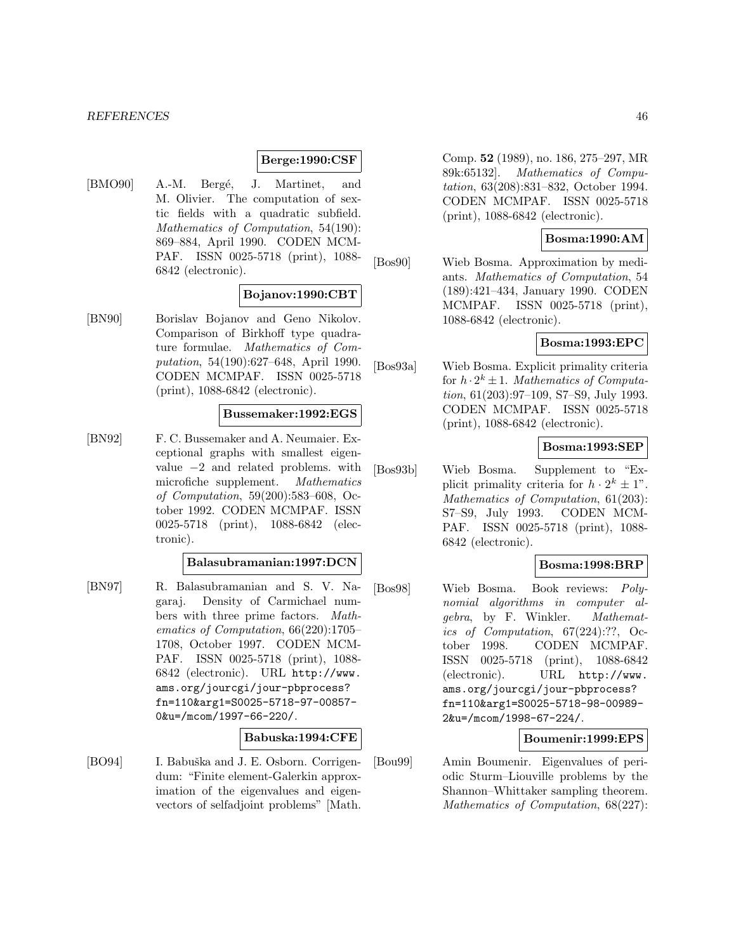#### **Berge:1990:CSF**

[BMO90] A.-M. Bergé, J. Martinet, and M. Olivier. The computation of sextic fields with a quadratic subfield. Mathematics of Computation, 54(190): 869–884, April 1990. CODEN MCM-PAF. ISSN 0025-5718 (print), 1088- 6842 (electronic).

### **Bojanov:1990:CBT**

[BN90] Borislav Bojanov and Geno Nikolov. Comparison of Birkhoff type quadrature formulae. Mathematics of Computation, 54(190):627–648, April 1990. CODEN MCMPAF. ISSN 0025-5718 (print), 1088-6842 (electronic).

#### **Bussemaker:1992:EGS**

[BN92] F. C. Bussemaker and A. Neumaier. Exceptional graphs with smallest eigenvalue  $-2$  and related problems. with<br>microfiche supplement. *Mathematics* microfiche supplement. of Computation, 59(200):583–608, October 1992. CODEN MCMPAF. ISSN 0025-5718 (print), 1088-6842 (electronic).

#### **Balasubramanian:1997:DCN**

[BN97] R. Balasubramanian and S. V. Nagaraj. Density of Carmichael numbers with three prime factors. Mathematics of Computation, 66(220):1705– 1708, October 1997. CODEN MCM-PAF. ISSN 0025-5718 (print), 1088- 6842 (electronic). URL http://www. ams.org/jourcgi/jour-pbprocess? fn=110&arg1=S0025-5718-97-00857- 0&u=/mcom/1997-66-220/.

### **Babuska:1994:CFE**

[BO94] I. Babuška and J. E. Osborn. Corrigendum: "Finite element-Galerkin approximation of the eigenvalues and eigenvectors of selfadjoint problems" [Math.

Comp. **52** (1989), no. 186, 275–297, MR 89k:65132]. Mathematics of Computation, 63(208):831–832, October 1994. CODEN MCMPAF. ISSN 0025-5718 (print), 1088-6842 (electronic).

#### **Bosma:1990:AM**

[Bos90] Wieb Bosma. Approximation by mediants. Mathematics of Computation, 54 (189):421–434, January 1990. CODEN MCMPAF. ISSN 0025-5718 (print), 1088-6842 (electronic).

### **Bosma:1993:EPC**

[Bos93a] Wieb Bosma. Explicit primality criteria for  $h \cdot 2^k \pm 1$ . Mathematics of Computation, 61(203):97–109, S7–S9, July 1993. CODEN MCMPAF. ISSN 0025-5718 (print), 1088-6842 (electronic).

### **Bosma:1993:SEP**

[Bos93b] Wieb Bosma. Supplement to "Explicit primality criteria for  $h \cdot 2^k \pm 1$ ". Mathematics of Computation, 61(203): S7–S9, July 1993. CODEN MCM-PAF. ISSN 0025-5718 (print), 1088- 6842 (electronic).

### **Bosma:1998:BRP**

[Bos98] Wieb Bosma. Book reviews: Polynomial algorithms in computer algebra, by F. Winkler. Mathematics of Computation, 67(224):??, October 1998. CODEN MCMPAF. ISSN 0025-5718 (print), 1088-6842 (electronic). URL http://www. ams.org/jourcgi/jour-pbprocess? fn=110&arg1=S0025-5718-98-00989- 2&u=/mcom/1998-67-224/.

#### **Boumenir:1999:EPS**

[Bou99] Amin Boumenir. Eigenvalues of periodic Sturm–Liouville problems by the Shannon–Whittaker sampling theorem. Mathematics of Computation, 68(227):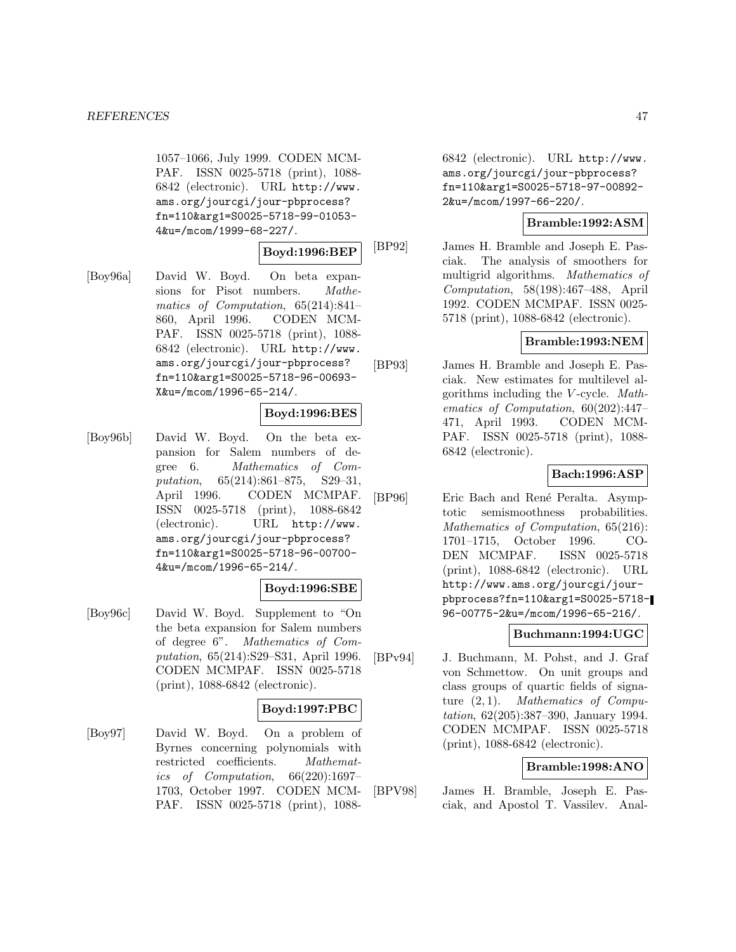1057–1066, July 1999. CODEN MCM-PAF. ISSN 0025-5718 (print), 1088- 6842 (electronic). URL http://www. ams.org/jourcgi/jour-pbprocess? fn=110&arg1=S0025-5718-99-01053- 4&u=/mcom/1999-68-227/.

## **Boyd:1996:BEP**

[Boy96a] David W. Boyd. On beta expansions for Pisot numbers. Mathematics of Computation, 65(214):841– 860, April 1996. CODEN MCM-PAF. ISSN 0025-5718 (print), 1088- 6842 (electronic). URL http://www. ams.org/jourcgi/jour-pbprocess? fn=110&arg1=S0025-5718-96-00693- X&u=/mcom/1996-65-214/.

### **Boyd:1996:BES**

[Boy96b] David W. Boyd. On the beta expansion for Salem numbers of degree 6. Mathematics of Computation, 65(214):861–875, S29–31, April 1996. CODEN MCMPAF. ISSN 0025-5718 (print), 1088-6842 (electronic). URL http://www. ams.org/jourcgi/jour-pbprocess? fn=110&arg1=S0025-5718-96-00700- 4&u=/mcom/1996-65-214/.

### **Boyd:1996:SBE**

[Boy96c] David W. Boyd. Supplement to "On the beta expansion for Salem numbers of degree 6". Mathematics of Computation, 65(214):S29–S31, April 1996. CODEN MCMPAF. ISSN 0025-5718 (print), 1088-6842 (electronic).

### **Boyd:1997:PBC**

[Boy97] David W. Boyd. On a problem of Byrnes concerning polynomials with restricted coefficients. Mathematics of Computation, 66(220):1697– 1703, October 1997. CODEN MCM-PAF. ISSN 0025-5718 (print), 10886842 (electronic). URL http://www. ams.org/jourcgi/jour-pbprocess? fn=110&arg1=S0025-5718-97-00892- 2&u=/mcom/1997-66-220/.

### **Bramble:1992:ASM**

[BP92] James H. Bramble and Joseph E. Pasciak. The analysis of smoothers for multigrid algorithms. Mathematics of Computation, 58(198):467–488, April 1992. CODEN MCMPAF. ISSN 0025- 5718 (print), 1088-6842 (electronic).

### **Bramble:1993:NEM**

[BP93] James H. Bramble and Joseph E. Pasciak. New estimates for multilevel algorithms including the V -cycle. Mathematics of Computation, 60(202):447– 471, April 1993. CODEN MCM-PAF. ISSN 0025-5718 (print), 1088- 6842 (electronic).

### **Bach:1996:ASP**

[BP96] Eric Bach and René Peralta. Asymptotic semismoothness probabilities. Mathematics of Computation, 65(216): 1701–1715, October 1996. CO-DEN MCMPAF. ISSN 0025-5718 (print), 1088-6842 (electronic). URL http://www.ams.org/jourcgi/jourpbprocess?fn=110&arg1=S0025-5718- 96-00775-2&u=/mcom/1996-65-216/.

## **Buchmann:1994:UGC**

[BPv94] J. Buchmann, M. Pohst, and J. Graf von Schmettow. On unit groups and class groups of quartic fields of signature (2, 1). Mathematics of Computation, 62(205):387–390, January 1994. CODEN MCMPAF. ISSN 0025-5718 (print), 1088-6842 (electronic).

### **Bramble:1998:ANO**

[BPV98] James H. Bramble, Joseph E. Pasciak, and Apostol T. Vassilev. Anal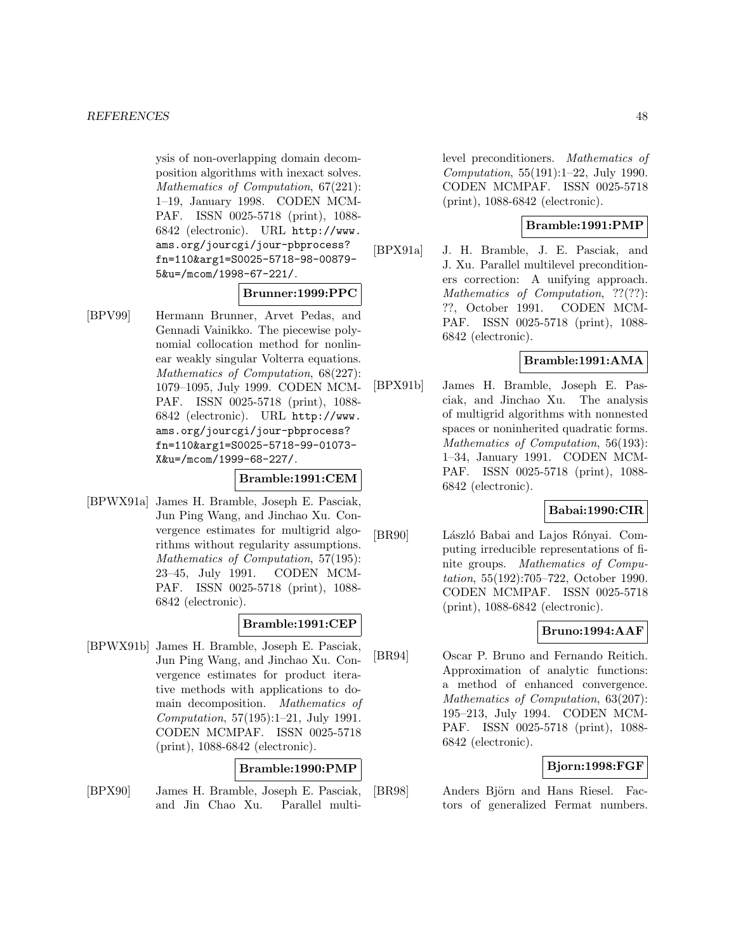ysis of non-overlapping domain decomposition algorithms with inexact solves. Mathematics of Computation, 67(221): 1–19, January 1998. CODEN MCM-PAF. ISSN 0025-5718 (print), 1088- 6842 (electronic). URL http://www. ams.org/jourcgi/jour-pbprocess? fn=110&arg1=S0025-5718-98-00879- 5&u=/mcom/1998-67-221/.

#### **Brunner:1999:PPC**

[BPV99] Hermann Brunner, Arvet Pedas, and Gennadi Vainikko. The piecewise polynomial collocation method for nonlinear weakly singular Volterra equations. Mathematics of Computation, 68(227): 1079–1095, July 1999. CODEN MCM-PAF. ISSN 0025-5718 (print), 1088- 6842 (electronic). URL http://www. ams.org/jourcgi/jour-pbprocess? fn=110&arg1=S0025-5718-99-01073- X&u=/mcom/1999-68-227/.

### **Bramble:1991:CEM**

[BPWX91a] James H. Bramble, Joseph E. Pasciak, Jun Ping Wang, and Jinchao Xu. Convergence estimates for multigrid algorithms without regularity assumptions. Mathematics of Computation, 57(195): 23–45, July 1991. CODEN MCM-PAF. ISSN 0025-5718 (print), 1088- 6842 (electronic).

### **Bramble:1991:CEP**

[BPWX91b] James H. Bramble, Joseph E. Pasciak, Jun Ping Wang, and Jinchao Xu. Convergence estimates for product iterative methods with applications to domain decomposition. Mathematics of Computation, 57(195):1–21, July 1991. CODEN MCMPAF. ISSN 0025-5718 (print), 1088-6842 (electronic).

### **Bramble:1990:PMP**

[BPX90] James H. Bramble, Joseph E. Pasciak, and Jin Chao Xu. Parallel multilevel preconditioners. Mathematics of Computation, 55(191):1–22, July 1990. CODEN MCMPAF. ISSN 0025-5718 (print), 1088-6842 (electronic).

### **Bramble:1991:PMP**

[BPX91a] J. H. Bramble, J. E. Pasciak, and J. Xu. Parallel multilevel preconditioners correction: A unifying approach. Mathematics of Computation, ??(??): ??, October 1991. CODEN MCM-PAF. ISSN 0025-5718 (print), 1088- 6842 (electronic).

### **Bramble:1991:AMA**

[BPX91b] James H. Bramble, Joseph E. Pasciak, and Jinchao Xu. The analysis of multigrid algorithms with nonnested spaces or noninherited quadratic forms. Mathematics of Computation, 56(193): 1–34, January 1991. CODEN MCM-PAF. ISSN 0025-5718 (print), 1088- 6842 (electronic).

### **Babai:1990:CIR**

[BR90] László Babai and Lajos Rónyai. Computing irreducible representations of finite groups. Mathematics of Computation, 55(192):705–722, October 1990. CODEN MCMPAF. ISSN 0025-5718 (print), 1088-6842 (electronic).

### **Bruno:1994:AAF**

[BR94] Oscar P. Bruno and Fernando Reitich. Approximation of analytic functions: a method of enhanced convergence. Mathematics of Computation, 63(207): 195–213, July 1994. CODEN MCM-PAF. ISSN 0025-5718 (print), 1088- 6842 (electronic).

## **Bjorn:1998:FGF**

[BR98] Anders Björn and Hans Riesel. Factors of generalized Fermat numbers.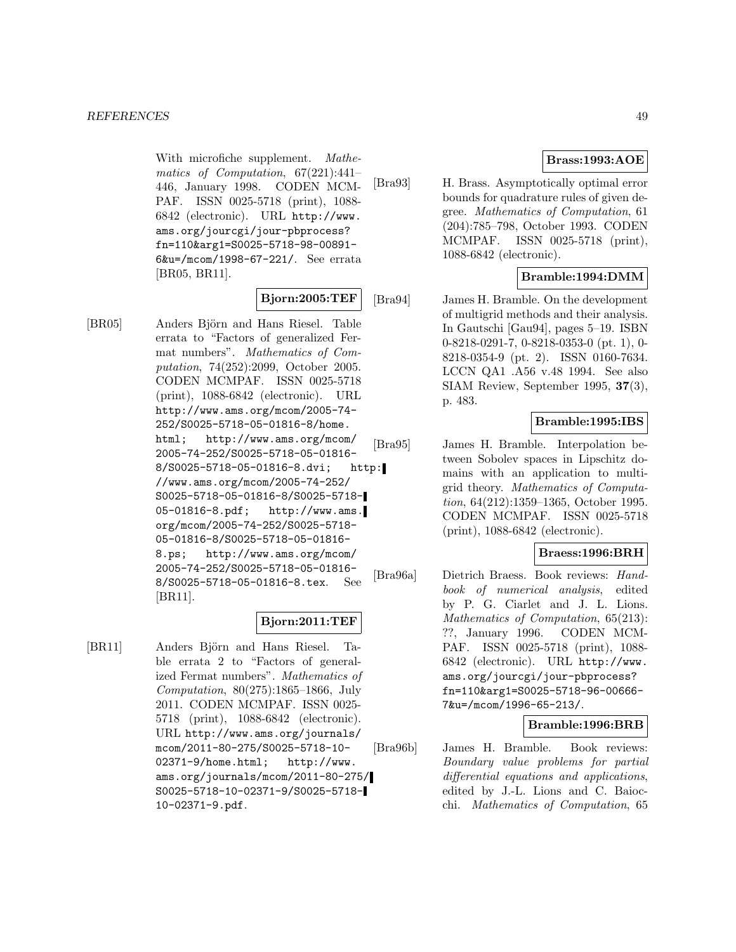With microfiche supplement. Mathematics of Computation, 67(221):441– 446, January 1998. CODEN MCM-PAF. ISSN 0025-5718 (print), 1088- 6842 (electronic). URL http://www. ams.org/jourcgi/jour-pbprocess? fn=110&arg1=S0025-5718-98-00891- 6&u=/mcom/1998-67-221/. See errata [BR05, BR11].

### **Bjorn:2005:TEF**

[BR05] Anders Björn and Hans Riesel. Table errata to "Factors of generalized Fermat numbers". Mathematics of Computation, 74(252):2099, October 2005. CODEN MCMPAF. ISSN 0025-5718 (print), 1088-6842 (electronic). URL http://www.ams.org/mcom/2005-74- 252/S0025-5718-05-01816-8/home. html; http://www.ams.org/mcom/ 2005-74-252/S0025-5718-05-01816- 8/S0025-5718-05-01816-8.dvi; http: //www.ams.org/mcom/2005-74-252/ S0025-5718-05-01816-8/S0025-5718- 05-01816-8.pdf; http://www.ams. org/mcom/2005-74-252/S0025-5718- 05-01816-8/S0025-5718-05-01816- 8.ps; http://www.ams.org/mcom/ 2005-74-252/S0025-5718-05-01816- 8/S0025-5718-05-01816-8.tex. See [BR11].

#### **Bjorn:2011:TEF**

[BR11] Anders Björn and Hans Riesel. Table errata 2 to "Factors of generalized Fermat numbers". Mathematics of Computation, 80(275):1865–1866, July 2011. CODEN MCMPAF. ISSN 0025- 5718 (print), 1088-6842 (electronic). URL http://www.ams.org/journals/ mcom/2011-80-275/S0025-5718-10- 02371-9/home.html; http://www. ams.org/journals/mcom/2011-80-275/ S0025-5718-10-02371-9/S0025-5718- 10-02371-9.pdf.

## **Brass:1993:AOE**

[Bra93] H. Brass. Asymptotically optimal error bounds for quadrature rules of given degree. Mathematics of Computation, 61 (204):785–798, October 1993. CODEN MCMPAF. ISSN 0025-5718 (print), 1088-6842 (electronic).

## **Bramble:1994:DMM**

[Bra94] James H. Bramble. On the development of multigrid methods and their analysis. In Gautschi [Gau94], pages 5–19. ISBN 0-8218-0291-7, 0-8218-0353-0 (pt. 1), 0- 8218-0354-9 (pt. 2). ISSN 0160-7634. LCCN QA1 .A56 v.48 1994. See also SIAM Review, September 1995, **37**(3), p. 483.

### **Bramble:1995:IBS**

[Bra95] James H. Bramble. Interpolation between Sobolev spaces in Lipschitz domains with an application to multigrid theory. Mathematics of Computation, 64(212):1359–1365, October 1995. CODEN MCMPAF. ISSN 0025-5718 (print), 1088-6842 (electronic).

### **Braess:1996:BRH**

[Bra96a] Dietrich Braess. Book reviews: Handbook of numerical analysis, edited by P. G. Ciarlet and J. L. Lions. Mathematics of Computation, 65(213): ??, January 1996. CODEN MCM-PAF. ISSN 0025-5718 (print), 1088- 6842 (electronic). URL http://www. ams.org/jourcgi/jour-pbprocess? fn=110&arg1=S0025-5718-96-00666- 7&u=/mcom/1996-65-213/.

### **Bramble:1996:BRB**

[Bra96b] James H. Bramble. Book reviews: Boundary value problems for partial differential equations and applications, edited by J.-L. Lions and C. Baiocchi. Mathematics of Computation, 65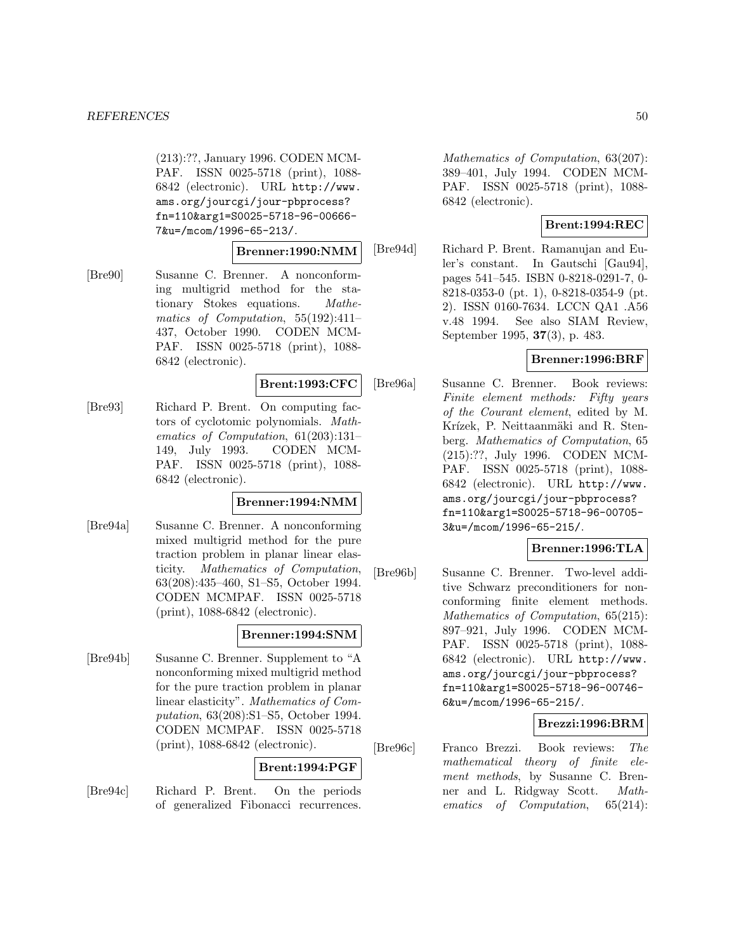(213):??, January 1996. CODEN MCM-PAF. ISSN 0025-5718 (print), 1088- 6842 (electronic). URL http://www. ams.org/jourcgi/jour-pbprocess? fn=110&arg1=S0025-5718-96-00666- 7&u=/mcom/1996-65-213/.

### **Brenner:1990:NMM**

[Bre90] Susanne C. Brenner. A nonconforming multigrid method for the stationary Stokes equations. Mathematics of Computation, 55(192):411– 437, October 1990. CODEN MCM-PAF. ISSN 0025-5718 (print), 1088- 6842 (electronic).

### **Brent:1993:CFC**

[Bre93] Richard P. Brent. On computing factors of cyclotomic polynomials. Mathematics of Computation, 61(203):131– 149, July 1993. CODEN MCM-PAF. ISSN 0025-5718 (print), 1088- 6842 (electronic).

### **Brenner:1994:NMM**

[Bre94a] Susanne C. Brenner. A nonconforming mixed multigrid method for the pure traction problem in planar linear elasticity. Mathematics of Computation, 63(208):435–460, S1–S5, October 1994. CODEN MCMPAF. ISSN 0025-5718 (print), 1088-6842 (electronic).

## **Brenner:1994:SNM**

[Bre94b] Susanne C. Brenner. Supplement to "A nonconforming mixed multigrid method for the pure traction problem in planar linear elasticity". Mathematics of Computation, 63(208):S1–S5, October 1994. CODEN MCMPAF. ISSN 0025-5718 (print), 1088-6842 (electronic).

# **Brent:1994:PGF**

[Bre94c] Richard P. Brent. On the periods of generalized Fibonacci recurrences.

Mathematics of Computation, 63(207): 389–401, July 1994. CODEN MCM-PAF. ISSN 0025-5718 (print), 1088- 6842 (electronic).

# **Brent:1994:REC**

[Bre94d] Richard P. Brent. Ramanujan and Euler's constant. In Gautschi [Gau94], pages 541–545. ISBN 0-8218-0291-7, 0- 8218-0353-0 (pt. 1), 0-8218-0354-9 (pt. 2). ISSN 0160-7634. LCCN QA1 .A56 v.48 1994. See also SIAM Review, September 1995, **37**(3), p. 483.

# **Brenner:1996:BRF**

[Bre96a] Susanne C. Brenner. Book reviews: Finite element methods: Fifty years of the Courant element, edited by M. Krízek, P. Neittaanmäki and R. Stenberg. Mathematics of Computation, 65 (215):??, July 1996. CODEN MCM-PAF. ISSN 0025-5718 (print), 1088- 6842 (electronic). URL http://www. ams.org/jourcgi/jour-pbprocess? fn=110&arg1=S0025-5718-96-00705- 3&u=/mcom/1996-65-215/.

## **Brenner:1996:TLA**

[Bre96b] Susanne C. Brenner. Two-level additive Schwarz preconditioners for nonconforming finite element methods. Mathematics of Computation, 65(215): 897–921, July 1996. CODEN MCM-PAF. ISSN 0025-5718 (print), 1088- 6842 (electronic). URL http://www. ams.org/jourcgi/jour-pbprocess? fn=110&arg1=S0025-5718-96-00746- 6&u=/mcom/1996-65-215/.

# **Brezzi:1996:BRM**

[Bre96c] Franco Brezzi. Book reviews: The mathematical theory of finite element methods, by Susanne C. Brenner and L. Ridgway Scott. Mathematics of Computation, 65(214):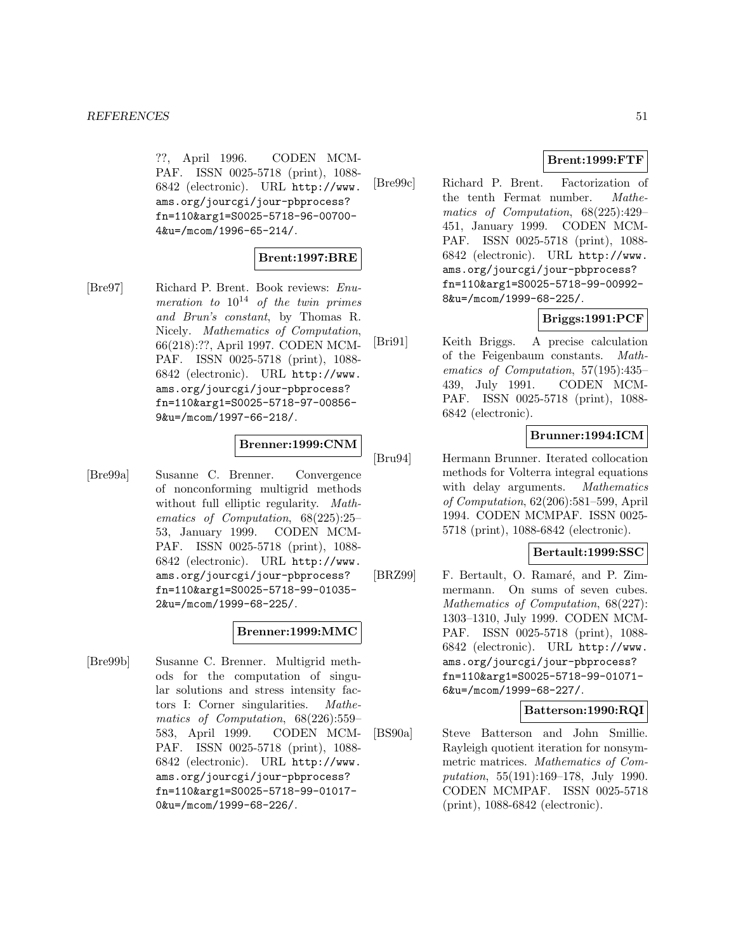??, April 1996. CODEN MCM-PAF. ISSN 0025-5718 (print), 1088- 6842 (electronic). URL http://www. ams.org/jourcgi/jour-pbprocess? fn=110&arg1=S0025-5718-96-00700- 4&u=/mcom/1996-65-214/.

## **Brent:1997:BRE**

[Bre97] Richard P. Brent. Book reviews: Enumeration to  $10^{14}$  of the twin primes and Brun's constant, by Thomas R. Nicely. Mathematics of Computation, 66(218):??, April 1997. CODEN MCM-PAF. ISSN 0025-5718 (print), 1088- 6842 (electronic). URL http://www. ams.org/jourcgi/jour-pbprocess? fn=110&arg1=S0025-5718-97-00856- 9&u=/mcom/1997-66-218/.

### **Brenner:1999:CNM**

[Bre99a] Susanne C. Brenner. Convergence of nonconforming multigrid methods without full elliptic regularity. Mathematics of Computation, 68(225):25– 53, January 1999. CODEN MCM-PAF. ISSN 0025-5718 (print), 1088- 6842 (electronic). URL http://www. ams.org/jourcgi/jour-pbprocess? fn=110&arg1=S0025-5718-99-01035- 2&u=/mcom/1999-68-225/.

### **Brenner:1999:MMC**

[Bre99b] Susanne C. Brenner. Multigrid methods for the computation of singular solutions and stress intensity factors I: Corner singularities. Mathematics of Computation, 68(226):559– 583, April 1999. CODEN MCM-PAF. ISSN 0025-5718 (print), 1088- 6842 (electronic). URL http://www. ams.org/jourcgi/jour-pbprocess? fn=110&arg1=S0025-5718-99-01017- 0&u=/mcom/1999-68-226/.

# **Brent:1999:FTF**

[Bre99c] Richard P. Brent. Factorization of the tenth Fermat number. Mathematics of Computation, 68(225):429– 451, January 1999. CODEN MCM-PAF. ISSN 0025-5718 (print), 1088- 6842 (electronic). URL http://www. ams.org/jourcgi/jour-pbprocess? fn=110&arg1=S0025-5718-99-00992- 8&u=/mcom/1999-68-225/.

# **Briggs:1991:PCF**

[Bri91] Keith Briggs. A precise calculation of the Feigenbaum constants. Mathematics of Computation, 57(195):435– 439, July 1991. CODEN MCM-PAF. ISSN 0025-5718 (print), 1088- 6842 (electronic).

# **Brunner:1994:ICM**

[Bru94] Hermann Brunner. Iterated collocation methods for Volterra integral equations with delay arguments. Mathematics of Computation, 62(206):581–599, April 1994. CODEN MCMPAF. ISSN 0025- 5718 (print), 1088-6842 (electronic).

### **Bertault:1999:SSC**

[BRZ99] F. Bertault, O. Ramaré, and P. Zimmermann. On sums of seven cubes. Mathematics of Computation, 68(227): 1303–1310, July 1999. CODEN MCM-PAF. ISSN 0025-5718 (print), 1088- 6842 (electronic). URL http://www. ams.org/jourcgi/jour-pbprocess? fn=110&arg1=S0025-5718-99-01071- 6&u=/mcom/1999-68-227/.

### **Batterson:1990:RQI**

[BS90a] Steve Batterson and John Smillie. Rayleigh quotient iteration for nonsymmetric matrices. Mathematics of Computation, 55(191):169–178, July 1990. CODEN MCMPAF. ISSN 0025-5718 (print), 1088-6842 (electronic).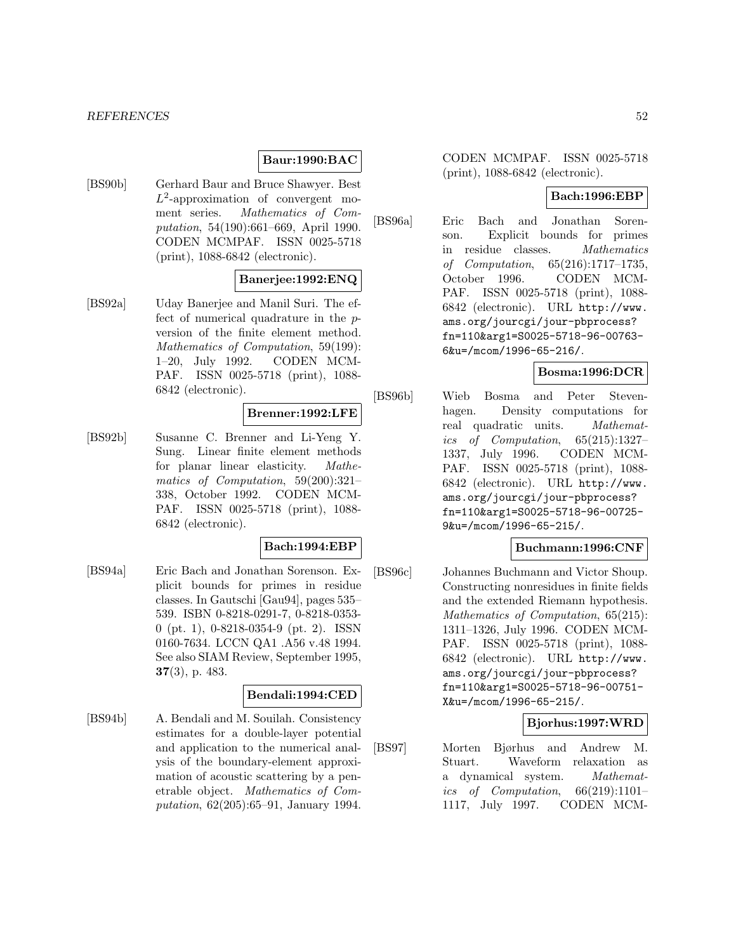#### **Baur:1990:BAC**

[BS90b] Gerhard Baur and Bruce Shawyer. Best  $L^2$ -approximation of convergent moment series. Mathematics of Computation, 54(190):661–669, April 1990. CODEN MCMPAF. ISSN 0025-5718 (print), 1088-6842 (electronic).

### **Banerjee:1992:ENQ**

[BS92a] Uday Banerjee and Manil Suri. The effect of numerical quadrature in the pversion of the finite element method. Mathematics of Computation, 59(199): 1–20, July 1992. CODEN MCM-PAF. ISSN 0025-5718 (print), 1088- 6842 (electronic).

# **Brenner:1992:LFE**

[BS92b] Susanne C. Brenner and Li-Yeng Y. Sung. Linear finite element methods for planar linear elasticity. Mathematics of Computation, 59(200):321– 338, October 1992. CODEN MCM-PAF. ISSN 0025-5718 (print), 1088- 6842 (electronic).

#### **Bach:1994:EBP**

[BS94a] Eric Bach and Jonathan Sorenson. Explicit bounds for primes in residue classes. In Gautschi [Gau94], pages 535– 539. ISBN 0-8218-0291-7, 0-8218-0353- 0 (pt. 1), 0-8218-0354-9 (pt. 2). ISSN 0160-7634. LCCN QA1 .A56 v.48 1994. See also SIAM Review, September 1995, **37**(3), p. 483.

### **Bendali:1994:CED**

[BS94b] A. Bendali and M. Souilah. Consistency estimates for a double-layer potential and application to the numerical analysis of the boundary-element approximation of acoustic scattering by a penetrable object. Mathematics of Computation, 62(205):65–91, January 1994. CODEN MCMPAF. ISSN 0025-5718 (print), 1088-6842 (electronic).

## **Bach:1996:EBP**

[BS96a] Eric Bach and Jonathan Sorenson. Explicit bounds for primes in residue classes. Mathematics of Computation, 65(216):1717–1735, October 1996. CODEN MCM-PAF. ISSN 0025-5718 (print), 1088- 6842 (electronic). URL http://www. ams.org/jourcgi/jour-pbprocess? fn=110&arg1=S0025-5718-96-00763- 6&u=/mcom/1996-65-216/.

### **Bosma:1996:DCR**

[BS96b] Wieb Bosma and Peter Stevenhagen. Density computations for real quadratic units. Mathematics of Computation, 65(215):1327– 1337, July 1996. CODEN MCM-PAF. ISSN 0025-5718 (print), 1088- 6842 (electronic). URL http://www. ams.org/jourcgi/jour-pbprocess? fn=110&arg1=S0025-5718-96-00725- 9&u=/mcom/1996-65-215/.

### **Buchmann:1996:CNF**

[BS96c] Johannes Buchmann and Victor Shoup. Constructing nonresidues in finite fields and the extended Riemann hypothesis. Mathematics of Computation, 65(215): 1311–1326, July 1996. CODEN MCM-PAF. ISSN 0025-5718 (print), 1088- 6842 (electronic). URL http://www. ams.org/jourcgi/jour-pbprocess? fn=110&arg1=S0025-5718-96-00751- X&u=/mcom/1996-65-215/.

### **Bjorhus:1997:WRD**

[BS97] Morten Bjørhus and Andrew M. Stuart. Waveform relaxation as a dynamical system. Mathematics of Computation,  $66(219):1101-$ 1117, July 1997. CODEN MCM-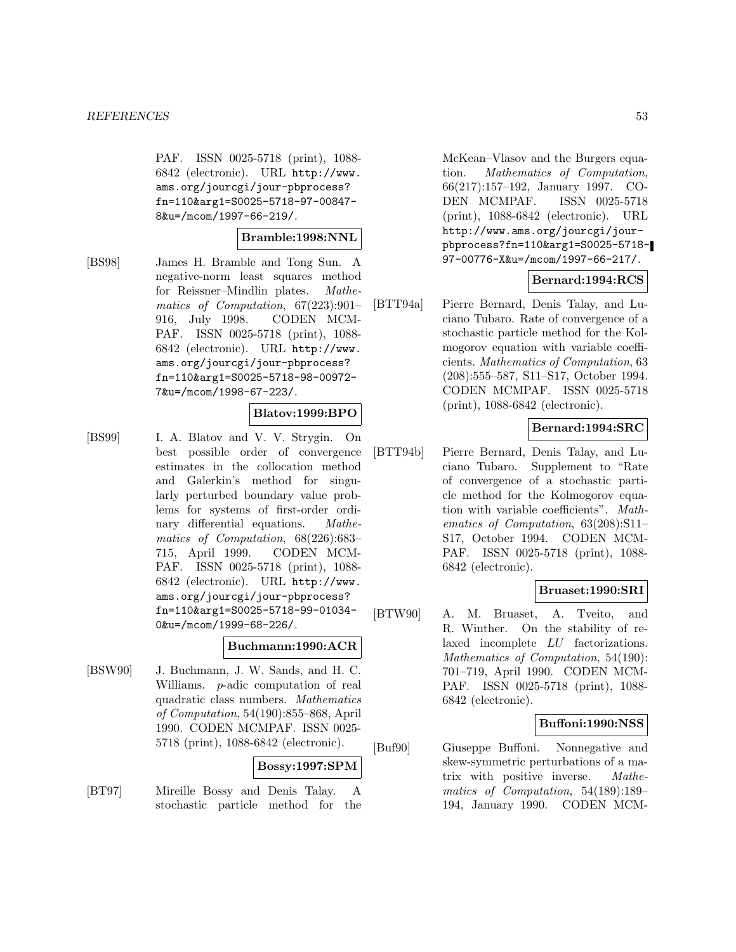PAF. ISSN 0025-5718 (print), 1088- 6842 (electronic). URL http://www. ams.org/jourcgi/jour-pbprocess? fn=110&arg1=S0025-5718-97-00847- 8&u=/mcom/1997-66-219/.

#### **Bramble:1998:NNL**

[BS98] James H. Bramble and Tong Sun. A negative-norm least squares method for Reissner–Mindlin plates. Mathematics of Computation, 67(223):901– 916, July 1998. CODEN MCM-PAF. ISSN 0025-5718 (print), 1088- 6842 (electronic). URL http://www. ams.org/jourcgi/jour-pbprocess? fn=110&arg1=S0025-5718-98-00972- 7&u=/mcom/1998-67-223/.

### **Blatov:1999:BPO**

[BS99] I. A. Blatov and V. V. Strygin. On best possible order of convergence estimates in the collocation method and Galerkin's method for singularly perturbed boundary value problems for systems of first-order ordinary differential equations. Mathematics of Computation, 68(226):683– 715, April 1999. CODEN MCM-PAF. ISSN 0025-5718 (print), 1088- 6842 (electronic). URL http://www. ams.org/jourcgi/jour-pbprocess? fn=110&arg1=S0025-5718-99-01034- 0&u=/mcom/1999-68-226/.

### **Buchmann:1990:ACR**

[BSW90] J. Buchmann, J. W. Sands, and H. C. Williams. p-adic computation of real quadratic class numbers. Mathematics of Computation, 54(190):855–868, April 1990. CODEN MCMPAF. ISSN 0025- 5718 (print), 1088-6842 (electronic).

#### **Bossy:1997:SPM**

[BT97] Mireille Bossy and Denis Talay. A stochastic particle method for the McKean–Vlasov and the Burgers equation. Mathematics of Computation, 66(217):157–192, January 1997. CO-DEN MCMPAF. ISSN 0025-5718 (print), 1088-6842 (electronic). URL http://www.ams.org/jourcgi/jourpbprocess?fn=110&arg1=S0025-5718- 97-00776-X&u=/mcom/1997-66-217/.

### **Bernard:1994:RCS**

[BTT94a] Pierre Bernard, Denis Talay, and Luciano Tubaro. Rate of convergence of a stochastic particle method for the Kolmogorov equation with variable coefficients. Mathematics of Computation, 63 (208):555–587, S11–S17, October 1994. CODEN MCMPAF. ISSN 0025-5718 (print), 1088-6842 (electronic).

### **Bernard:1994:SRC**

[BTT94b] Pierre Bernard, Denis Talay, and Luciano Tubaro. Supplement to "Rate of convergence of a stochastic particle method for the Kolmogorov equation with variable coefficients". Mathematics of Computation, 63(208):S11– S17, October 1994. CODEN MCM-PAF. ISSN 0025-5718 (print), 1088- 6842 (electronic).

#### **Bruaset:1990:SRI**

[BTW90] A. M. Bruaset, A. Tveito, and R. Winther. On the stability of relaxed incomplete LU factorizations. Mathematics of Computation, 54(190): 701–719, April 1990. CODEN MCM-PAF. ISSN 0025-5718 (print), 1088- 6842 (electronic).

#### **Buffoni:1990:NSS**

[Buf90] Giuseppe Buffoni. Nonnegative and skew-symmetric perturbations of a matrix with positive inverse. Mathematics of Computation, 54(189):189– 194, January 1990. CODEN MCM-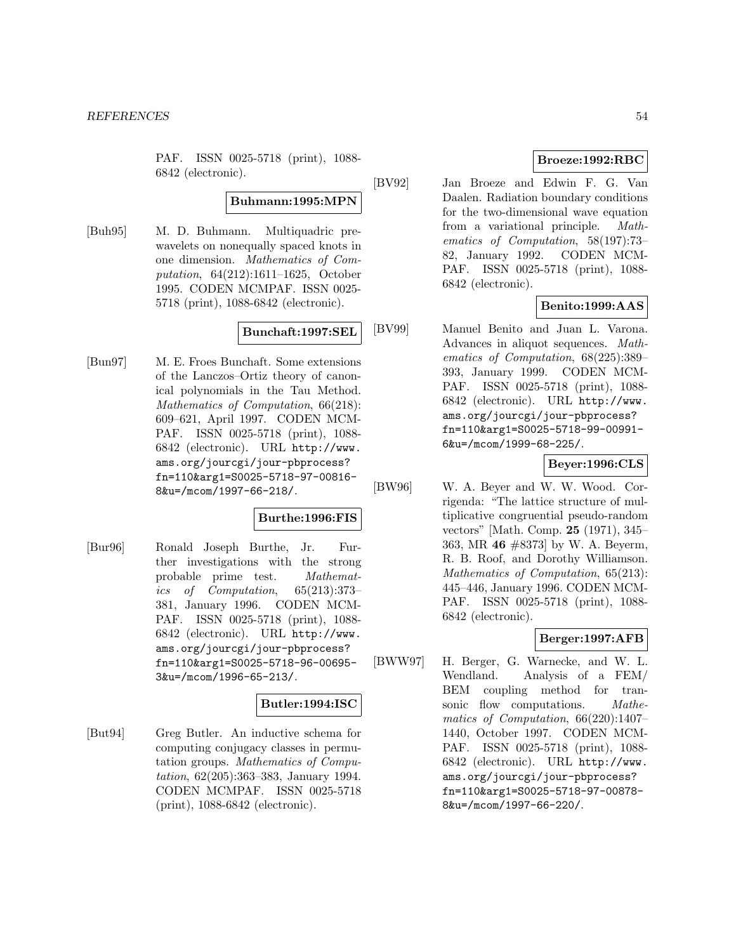PAF. ISSN 0025-5718 (print), 1088- 6842 (electronic).

# **Buhmann:1995:MPN**

[Buh95] M. D. Buhmann. Multiquadric prewavelets on nonequally spaced knots in one dimension. Mathematics of Computation, 64(212):1611–1625, October 1995. CODEN MCMPAF. ISSN 0025- 5718 (print), 1088-6842 (electronic).

### **Bunchaft:1997:SEL**

[Bun97] M. E. Froes Bunchaft. Some extensions of the Lanczos–Ortiz theory of canonical polynomials in the Tau Method. Mathematics of Computation, 66(218): 609–621, April 1997. CODEN MCM-PAF. ISSN 0025-5718 (print), 1088- 6842 (electronic). URL http://www. ams.org/jourcgi/jour-pbprocess? fn=110&arg1=S0025-5718-97-00816- 8&u=/mcom/1997-66-218/.

### **Burthe:1996:FIS**

[Bur96] Ronald Joseph Burthe, Jr. Further investigations with the strong probable prime test. Mathematics of Computation, 65(213):373– 381, January 1996. CODEN MCM-PAF. ISSN 0025-5718 (print), 1088- 6842 (electronic). URL http://www. ams.org/jourcgi/jour-pbprocess? fn=110&arg1=S0025-5718-96-00695- 3&u=/mcom/1996-65-213/.

### **Butler:1994:ISC**

[But94] Greg Butler. An inductive schema for computing conjugacy classes in permutation groups. Mathematics of Computation, 62(205):363–383, January 1994. CODEN MCMPAF. ISSN 0025-5718 (print), 1088-6842 (electronic).

### **Broeze:1992:RBC**

[BV92] Jan Broeze and Edwin F. G. Van Daalen. Radiation boundary conditions for the two-dimensional wave equation from a variational principle. Mathematics of Computation, 58(197):73– 82, January 1992. CODEN MCM-PAF. ISSN 0025-5718 (print), 1088- 6842 (electronic).

## **Benito:1999:AAS**

[BV99] Manuel Benito and Juan L. Varona. Advances in aliquot sequences. Mathematics of Computation, 68(225):389– 393, January 1999. CODEN MCM-PAF. ISSN 0025-5718 (print), 1088- 6842 (electronic). URL http://www. ams.org/jourcgi/jour-pbprocess? fn=110&arg1=S0025-5718-99-00991- 6&u=/mcom/1999-68-225/.

### **Beyer:1996:CLS**

[BW96] W. A. Beyer and W. W. Wood. Corrigenda: "The lattice structure of multiplicative congruential pseudo-random vectors" [Math. Comp. **25** (1971), 345– 363, MR **46** #8373] by W. A. Beyerm, R. B. Roof, and Dorothy Williamson. Mathematics of Computation, 65(213): 445–446, January 1996. CODEN MCM-PAF. ISSN 0025-5718 (print), 1088- 6842 (electronic).

### **Berger:1997:AFB**

[BWW97] H. Berger, G. Warnecke, and W. L. Wendland. Analysis of a FEM/ BEM coupling method for transonic flow computations. Mathematics of Computation, 66(220):1407– 1440, October 1997. CODEN MCM-PAF. ISSN 0025-5718 (print), 1088- 6842 (electronic). URL http://www. ams.org/jourcgi/jour-pbprocess? fn=110&arg1=S0025-5718-97-00878- 8&u=/mcom/1997-66-220/.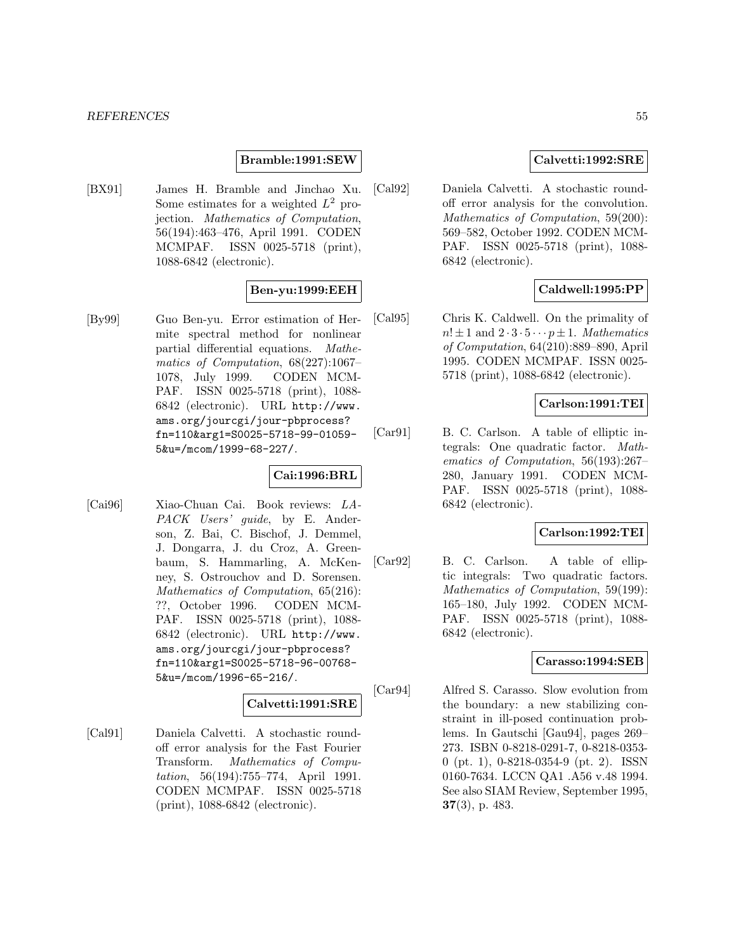#### **Bramble:1991:SEW**

[BX91] James H. Bramble and Jinchao Xu. Some estimates for a weighted  $L^2$  projection. Mathematics of Computation, 56(194):463–476, April 1991. CODEN MCMPAF. ISSN 0025-5718 (print), 1088-6842 (electronic).

### **Ben-yu:1999:EEH**

[By99] Guo Ben-yu. Error estimation of Hermite spectral method for nonlinear partial differential equations. Mathematics of Computation, 68(227):1067– 1078, July 1999. CODEN MCM-PAF. ISSN 0025-5718 (print), 1088- 6842 (electronic). URL http://www. ams.org/jourcgi/jour-pbprocess? fn=110&arg1=S0025-5718-99-01059- 5&u=/mcom/1999-68-227/.

### **Cai:1996:BRL**

[Cai96] Xiao-Chuan Cai. Book reviews: LA-PACK Users' guide, by E. Anderson, Z. Bai, C. Bischof, J. Demmel, J. Dongarra, J. du Croz, A. Greenbaum, S. Hammarling, A. McKenney, S. Ostrouchov and D. Sorensen. Mathematics of Computation, 65(216): ??, October 1996. CODEN MCM-PAF. ISSN 0025-5718 (print), 1088- 6842 (electronic). URL http://www. ams.org/jourcgi/jour-pbprocess? fn=110&arg1=S0025-5718-96-00768- 5&u=/mcom/1996-65-216/.

### **Calvetti:1991:SRE**

[Cal91] Daniela Calvetti. A stochastic roundoff error analysis for the Fast Fourier Transform. Mathematics of Computation, 56(194):755–774, April 1991. CODEN MCMPAF. ISSN 0025-5718 (print), 1088-6842 (electronic).

### **Calvetti:1992:SRE**

[Cal92] Daniela Calvetti. A stochastic roundoff error analysis for the convolution. Mathematics of Computation, 59(200): 569–582, October 1992. CODEN MCM-PAF. ISSN 0025-5718 (print), 1088- 6842 (electronic).

### **Caldwell:1995:PP**

[Cal95] Chris K. Caldwell. On the primality of  $n! \pm 1$  and  $2 \cdot 3 \cdot 5 \cdots p \pm 1$ . Mathematics of Computation, 64(210):889–890, April 1995. CODEN MCMPAF. ISSN 0025- 5718 (print), 1088-6842 (electronic).

## **Carlson:1991:TEI**

[Car91] B. C. Carlson. A table of elliptic integrals: One quadratic factor. Mathematics of Computation, 56(193):267– 280, January 1991. CODEN MCM-PAF. ISSN 0025-5718 (print), 1088- 6842 (electronic).

#### **Carlson:1992:TEI**

[Car92] B. C. Carlson. A table of elliptic integrals: Two quadratic factors. Mathematics of Computation, 59(199): 165–180, July 1992. CODEN MCM-PAF. ISSN 0025-5718 (print), 1088- 6842 (electronic).

### **Carasso:1994:SEB**

[Car94] Alfred S. Carasso. Slow evolution from the boundary: a new stabilizing constraint in ill-posed continuation problems. In Gautschi [Gau94], pages 269– 273. ISBN 0-8218-0291-7, 0-8218-0353- 0 (pt. 1), 0-8218-0354-9 (pt. 2). ISSN 0160-7634. LCCN QA1 .A56 v.48 1994. See also SIAM Review, September 1995, **37**(3), p. 483.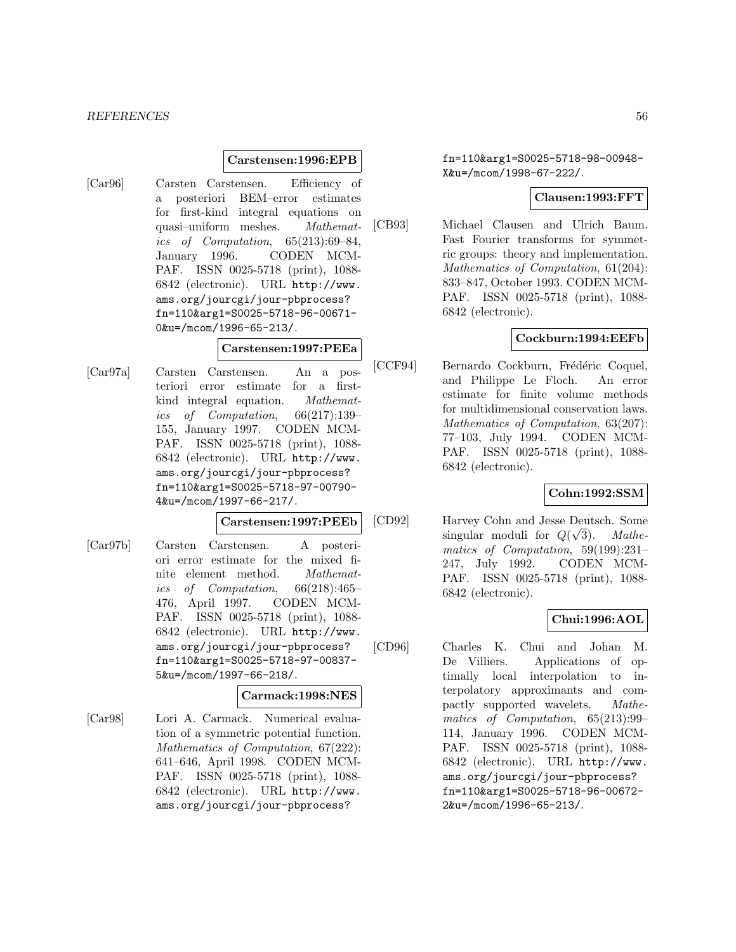#### **Carstensen:1996:EPB**

[Car96] Carsten Carstensen. Efficiency of a posteriori BEM–error estimates for first-kind integral equations on quasi–uniform meshes. Mathematics of Computation, 65(213):69–84, January 1996. CODEN MCM-PAF. ISSN 0025-5718 (print), 1088- 6842 (electronic). URL http://www. ams.org/jourcgi/jour-pbprocess? fn=110&arg1=S0025-5718-96-00671- 0&u=/mcom/1996-65-213/.

### **Carstensen:1997:PEEa**

[Car97a] Carsten Carstensen. An a posteriori error estimate for a firstkind integral equation. Mathematics of Computation, 66(217):139– 155, January 1997. CODEN MCM-PAF. ISSN 0025-5718 (print), 1088- 6842 (electronic). URL http://www. ams.org/jourcgi/jour-pbprocess? fn=110&arg1=S0025-5718-97-00790- 4&u=/mcom/1997-66-217/.

### **Carstensen:1997:PEEb**

[Car97b] Carsten Carstensen. A posteriori error estimate for the mixed finite element method. Mathematics of Computation, 66(218):465– 476, April 1997. CODEN MCM-PAF. ISSN 0025-5718 (print), 1088- 6842 (electronic). URL http://www. ams.org/jourcgi/jour-pbprocess? fn=110&arg1=S0025-5718-97-00837- 5&u=/mcom/1997-66-218/.

#### **Carmack:1998:NES**

[Car98] Lori A. Carmack. Numerical evaluation of a symmetric potential function. Mathematics of Computation, 67(222): 641–646, April 1998. CODEN MCM-PAF. ISSN 0025-5718 (print), 1088- 6842 (electronic). URL http://www. ams.org/jourcgi/jour-pbprocess?

fn=110&arg1=S0025-5718-98-00948- X&u=/mcom/1998-67-222/.

# **Clausen:1993:FFT**

[CB93] Michael Clausen and Ulrich Baum. Fast Fourier transforms for symmetric groups: theory and implementation. Mathematics of Computation, 61(204): 833–847, October 1993. CODEN MCM-PAF. ISSN 0025-5718 (print), 1088- 6842 (electronic).

### **Cockburn:1994:EEFb**

[CCF94] Bernardo Cockburn, Frédéric Coquel, and Philippe Le Floch. An error estimate for finite volume methods for multidimensional conservation laws. Mathematics of Computation, 63(207): 77–103, July 1994. CODEN MCM-PAF. ISSN 0025-5718 (print), 1088- 6842 (electronic).

## **Cohn:1992:SSM**

[CD92] Harvey Cohn and Jesse Deutsch. Some singular moduli for  $Q(\sqrt{\frac{g(\sqrt{g})}{n}})$ 3). Mathematics of Computation, 59(199):231– 247, July 1992. CODEN MCM-PAF. ISSN 0025-5718 (print), 1088- 6842 (electronic).

### **Chui:1996:AOL**

[CD96] Charles K. Chui and Johan M. De Villiers. Applications of optimally local interpolation to interpolatory approximants and compactly supported wavelets. Mathematics of Computation, 65(213):99– 114, January 1996. CODEN MCM-PAF. ISSN 0025-5718 (print), 1088- 6842 (electronic). URL http://www. ams.org/jourcgi/jour-pbprocess? fn=110&arg1=S0025-5718-96-00672- 2&u=/mcom/1996-65-213/.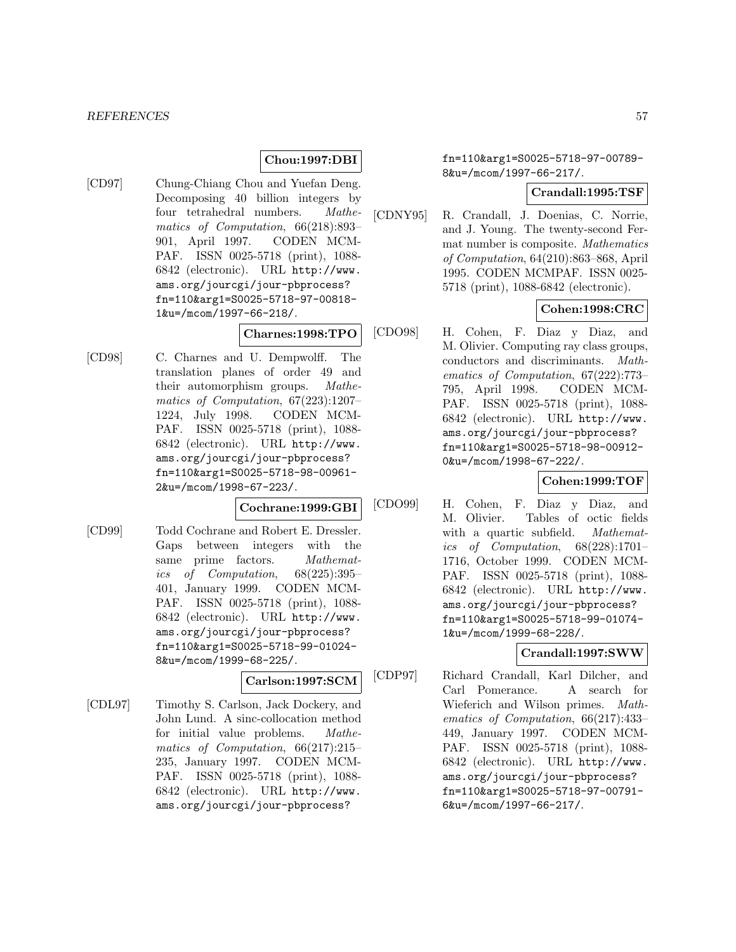### **Chou:1997:DBI**

[CD97] Chung-Chiang Chou and Yuefan Deng. Decomposing 40 billion integers by four tetrahedral numbers. Mathematics of Computation, 66(218):893– 901, April 1997. CODEN MCM-PAF. ISSN 0025-5718 (print), 1088- 6842 (electronic). URL http://www. ams.org/jourcgi/jour-pbprocess? fn=110&arg1=S0025-5718-97-00818- 1&u=/mcom/1997-66-218/.

#### **Charnes:1998:TPO**

[CD98] C. Charnes and U. Dempwolff. The translation planes of order 49 and their automorphism groups. Mathematics of Computation, 67(223):1207– 1224, July 1998. CODEN MCM-PAF. ISSN 0025-5718 (print), 1088- 6842 (electronic). URL http://www. ams.org/jourcgi/jour-pbprocess? fn=110&arg1=S0025-5718-98-00961- 2&u=/mcom/1998-67-223/.

#### **Cochrane:1999:GBI**

[CD99] Todd Cochrane and Robert E. Dressler. Gaps between integers with the same prime factors. Mathematics of Computation, 68(225):395– 401, January 1999. CODEN MCM-PAF. ISSN 0025-5718 (print), 1088- 6842 (electronic). URL http://www. ams.org/jourcgi/jour-pbprocess? fn=110&arg1=S0025-5718-99-01024- 8&u=/mcom/1999-68-225/.

### **Carlson:1997:SCM**

[CDL97] Timothy S. Carlson, Jack Dockery, and John Lund. A sinc-collocation method for initial value problems. Mathematics of Computation, 66(217):215– 235, January 1997. CODEN MCM-PAF. ISSN 0025-5718 (print), 1088- 6842 (electronic). URL http://www. ams.org/jourcgi/jour-pbprocess?

fn=110&arg1=S0025-5718-97-00789- 8&u=/mcom/1997-66-217/.

### **Crandall:1995:TSF**

[CDNY95] R. Crandall, J. Doenias, C. Norrie, and J. Young. The twenty-second Fermat number is composite. Mathematics of Computation, 64(210):863–868, April 1995. CODEN MCMPAF. ISSN 0025- 5718 (print), 1088-6842 (electronic).

### **Cohen:1998:CRC**

[CDO98] H. Cohen, F. Diaz y Diaz, and M. Olivier. Computing ray class groups, conductors and discriminants. Mathematics of Computation, 67(222):773– 795, April 1998. CODEN MCM-PAF. ISSN 0025-5718 (print), 1088- 6842 (electronic). URL http://www. ams.org/jourcgi/jour-pbprocess? fn=110&arg1=S0025-5718-98-00912- 0&u=/mcom/1998-67-222/.

### **Cohen:1999:TOF**

[CDO99] H. Cohen, F. Diaz y Diaz, and M. Olivier. Tables of octic fields with a quartic subfield. *Mathemat*ics of Computation, 68(228):1701– 1716, October 1999. CODEN MCM-PAF. ISSN 0025-5718 (print), 1088- 6842 (electronic). URL http://www. ams.org/jourcgi/jour-pbprocess? fn=110&arg1=S0025-5718-99-01074- 1&u=/mcom/1999-68-228/.

### **Crandall:1997:SWW**

[CDP97] Richard Crandall, Karl Dilcher, and Carl Pomerance. A search for Wieferich and Wilson primes. Mathematics of Computation, 66(217):433– 449, January 1997. CODEN MCM-PAF. ISSN 0025-5718 (print), 1088- 6842 (electronic). URL http://www. ams.org/jourcgi/jour-pbprocess? fn=110&arg1=S0025-5718-97-00791- 6&u=/mcom/1997-66-217/.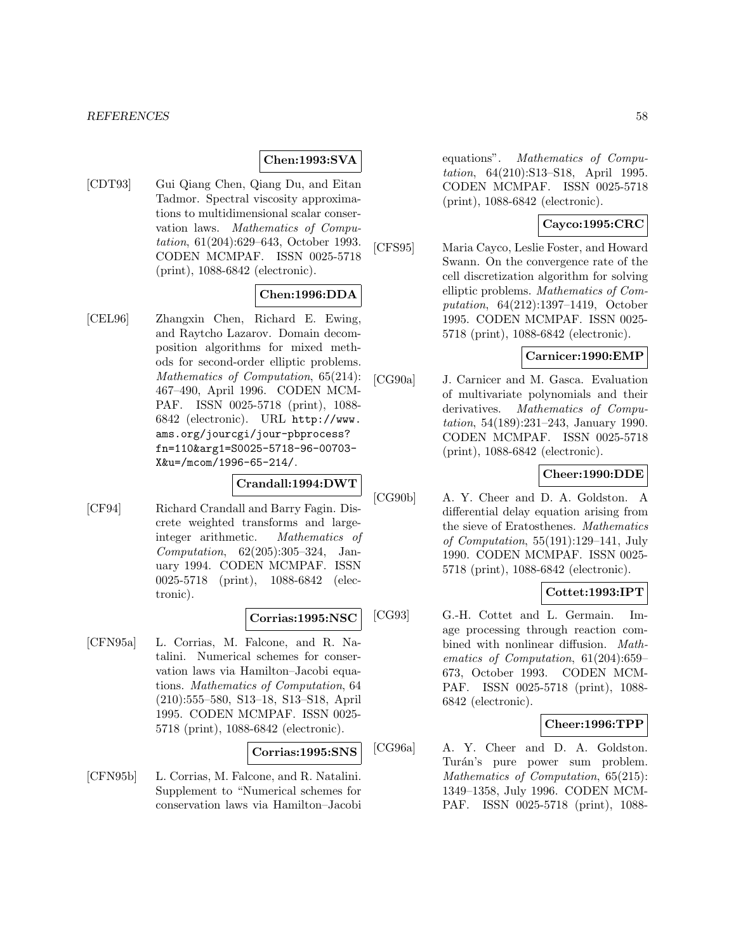### **Chen:1993:SVA**

[CDT93] Gui Qiang Chen, Qiang Du, and Eitan Tadmor. Spectral viscosity approximations to multidimensional scalar conservation laws. Mathematics of Computation, 61(204):629–643, October 1993. CODEN MCMPAF. ISSN 0025-5718 (print), 1088-6842 (electronic).

### **Chen:1996:DDA**

[CEL96] Zhangxin Chen, Richard E. Ewing, and Raytcho Lazarov. Domain decomposition algorithms for mixed methods for second-order elliptic problems. Mathematics of Computation, 65(214): 467–490, April 1996. CODEN MCM-PAF. ISSN 0025-5718 (print), 1088- 6842 (electronic). URL http://www. ams.org/jourcgi/jour-pbprocess? fn=110&arg1=S0025-5718-96-00703- X&u=/mcom/1996-65-214/.

#### **Crandall:1994:DWT**

[CF94] Richard Crandall and Barry Fagin. Discrete weighted transforms and largeinteger arithmetic. Mathematics of Computation, 62(205):305–324, January 1994. CODEN MCMPAF. ISSN 0025-5718 (print), 1088-6842 (electronic).

### **Corrias:1995:NSC**

[CFN95a] L. Corrias, M. Falcone, and R. Natalini. Numerical schemes for conservation laws via Hamilton–Jacobi equations. Mathematics of Computation, 64 (210):555–580, S13–18, S13–S18, April 1995. CODEN MCMPAF. ISSN 0025- 5718 (print), 1088-6842 (electronic).

### **Corrias:1995:SNS**

[CFN95b] L. Corrias, M. Falcone, and R. Natalini. Supplement to "Numerical schemes for conservation laws via Hamilton–Jacobi equations". Mathematics of Computation, 64(210):S13–S18, April 1995. CODEN MCMPAF. ISSN 0025-5718 (print), 1088-6842 (electronic).

### **Cayco:1995:CRC**

[CFS95] Maria Cayco, Leslie Foster, and Howard Swann. On the convergence rate of the cell discretization algorithm for solving elliptic problems. Mathematics of Computation, 64(212):1397–1419, October 1995. CODEN MCMPAF. ISSN 0025- 5718 (print), 1088-6842 (electronic).

### **Carnicer:1990:EMP**

[CG90a] J. Carnicer and M. Gasca. Evaluation of multivariate polynomials and their derivatives. Mathematics of Computation, 54(189):231–243, January 1990. CODEN MCMPAF. ISSN 0025-5718 (print), 1088-6842 (electronic).

## **Cheer:1990:DDE**

[CG90b] A. Y. Cheer and D. A. Goldston. A differential delay equation arising from the sieve of Eratosthenes. Mathematics of Computation, 55(191):129–141, July 1990. CODEN MCMPAF. ISSN 0025- 5718 (print), 1088-6842 (electronic).

### **Cottet:1993:IPT**

[CG93] G.-H. Cottet and L. Germain. Image processing through reaction combined with nonlinear diffusion. Mathematics of Computation, 61(204):659– 673, October 1993. CODEN MCM-PAF. ISSN 0025-5718 (print), 1088- 6842 (electronic).

#### **Cheer:1996:TPP**

[CG96a] A. Y. Cheer and D. A. Goldston. Turán's pure power sum problem. Mathematics of Computation, 65(215): 1349–1358, July 1996. CODEN MCM-PAF. ISSN 0025-5718 (print), 1088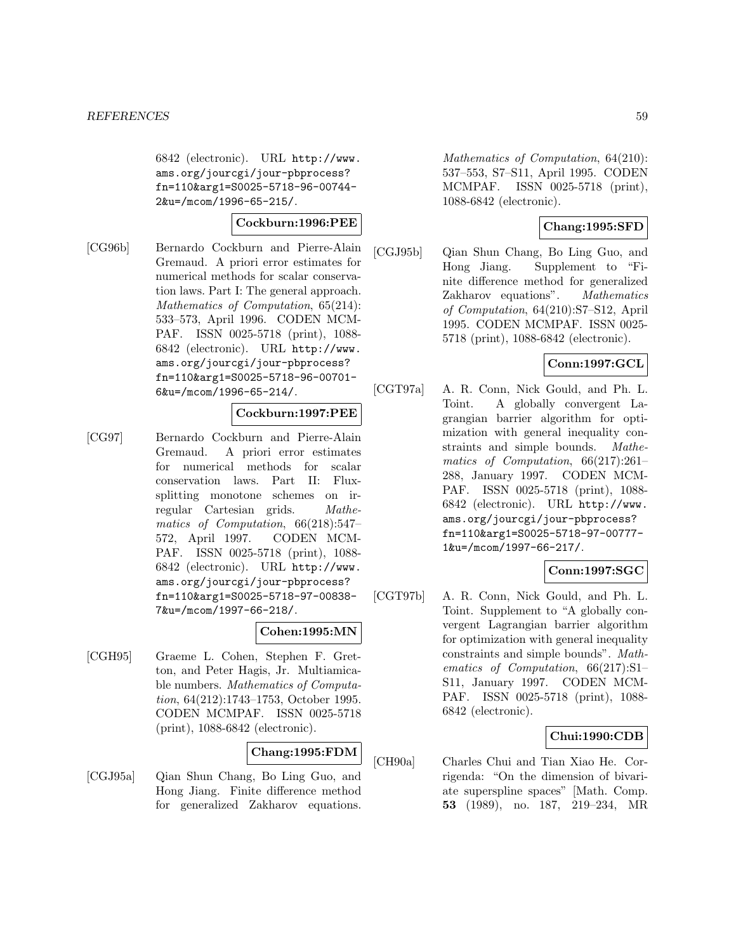6842 (electronic). URL http://www. ams.org/jourcgi/jour-pbprocess? fn=110&arg1=S0025-5718-96-00744- 2&u=/mcom/1996-65-215/.

### **Cockburn:1996:PEE**

[CG96b] Bernardo Cockburn and Pierre-Alain Gremaud. A priori error estimates for numerical methods for scalar conservation laws. Part I: The general approach. Mathematics of Computation, 65(214): 533–573, April 1996. CODEN MCM-PAF. ISSN 0025-5718 (print), 1088- 6842 (electronic). URL http://www. ams.org/jourcgi/jour-pbprocess? fn=110&arg1=S0025-5718-96-00701- 6&u=/mcom/1996-65-214/.

## **Cockburn:1997:PEE**

[CG97] Bernardo Cockburn and Pierre-Alain Gremaud. A priori error estimates for numerical methods for scalar conservation laws. Part II: Fluxsplitting monotone schemes on irregular Cartesian grids. Mathematics of Computation, 66(218):547– 572, April 1997. CODEN MCM-PAF. ISSN 0025-5718 (print), 1088- 6842 (electronic). URL http://www. ams.org/jourcgi/jour-pbprocess? fn=110&arg1=S0025-5718-97-00838- 7&u=/mcom/1997-66-218/.

#### **Cohen:1995:MN**

[CGH95] Graeme L. Cohen, Stephen F. Gretton, and Peter Hagis, Jr. Multiamicable numbers. Mathematics of Computation, 64(212):1743–1753, October 1995. CODEN MCMPAF. ISSN 0025-5718 (print), 1088-6842 (electronic).

# **Chang:1995:FDM**

[CGJ95a] Qian Shun Chang, Bo Ling Guo, and Hong Jiang. Finite difference method for generalized Zakharov equations.

Mathematics of Computation, 64(210): 537–553, S7–S11, April 1995. CODEN MCMPAF. ISSN 0025-5718 (print), 1088-6842 (electronic).

### **Chang:1995:SFD**

[CGJ95b] Qian Shun Chang, Bo Ling Guo, and Hong Jiang. Supplement to "Finite difference method for generalized Zakharov equations". Mathematics of Computation, 64(210):S7–S12, April 1995. CODEN MCMPAF. ISSN 0025- 5718 (print), 1088-6842 (electronic).

### **Conn:1997:GCL**

[CGT97a] A. R. Conn, Nick Gould, and Ph. L. Toint. A globally convergent Lagrangian barrier algorithm for optimization with general inequality constraints and simple bounds. Mathematics of Computation, 66(217):261– 288, January 1997. CODEN MCM-PAF. ISSN 0025-5718 (print), 1088- 6842 (electronic). URL http://www. ams.org/jourcgi/jour-pbprocess? fn=110&arg1=S0025-5718-97-00777- 1&u=/mcom/1997-66-217/.

## **Conn:1997:SGC**

[CGT97b] A. R. Conn, Nick Gould, and Ph. L. Toint. Supplement to "A globally convergent Lagrangian barrier algorithm for optimization with general inequality constraints and simple bounds". Mathematics of Computation, 66(217):S1– S11, January 1997. CODEN MCM-PAF. ISSN 0025-5718 (print), 1088- 6842 (electronic).

### **Chui:1990:CDB**

[CH90a] Charles Chui and Tian Xiao He. Corrigenda: "On the dimension of bivariate superspline spaces" [Math. Comp. **53** (1989), no. 187, 219–234, MR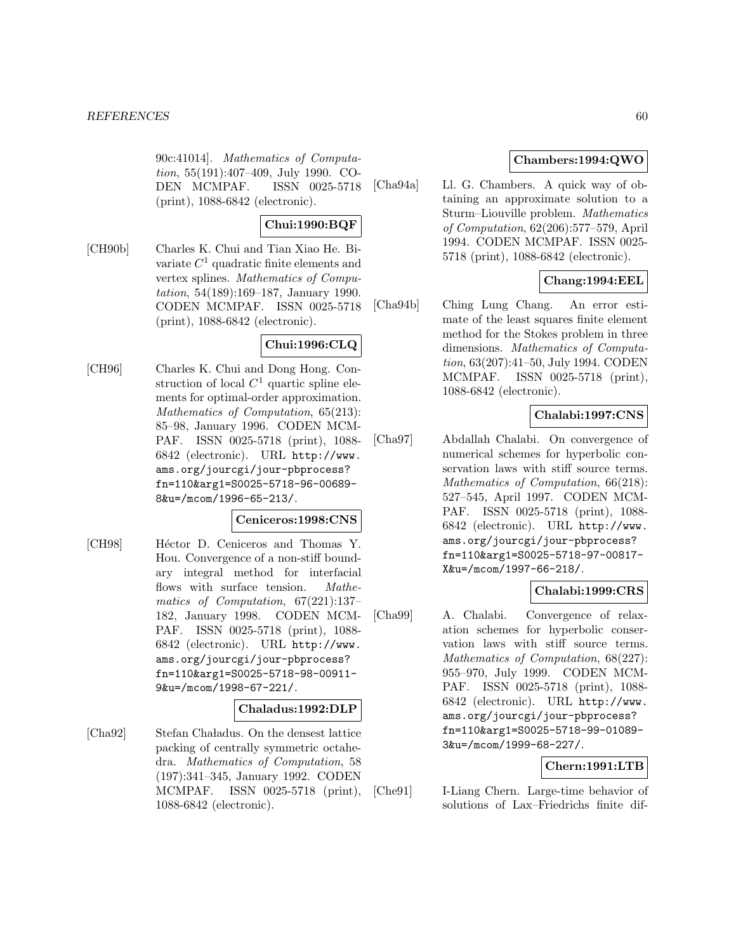90c:41014]. Mathematics of Computation, 55(191):407–409, July 1990. CO-DEN MCMPAF. ISSN 0025-5718 (print), 1088-6842 (electronic).

# **Chui:1990:BQF**

[CH90b] Charles K. Chui and Tian Xiao He. Bivariate  $C<sup>1</sup>$  quadratic finite elements and vertex splines. Mathematics of Computation, 54(189):169–187, January 1990. CODEN MCMPAF. ISSN 0025-5718 (print), 1088-6842 (electronic).

# **Chui:1996:CLQ**

[CH96] Charles K. Chui and Dong Hong. Construction of local  $C<sup>1</sup>$  quartic spline elements for optimal-order approximation. Mathematics of Computation, 65(213): 85–98, January 1996. CODEN MCM-PAF. ISSN 0025-5718 (print), 1088- 6842 (electronic). URL http://www. ams.org/jourcgi/jour-pbprocess? fn=110&arg1=S0025-5718-96-00689- 8&u=/mcom/1996-65-213/.

### **Ceniceros:1998:CNS**

[CH98] Héctor D. Ceniceros and Thomas Y. Hou. Convergence of a non-stiff boundary integral method for interfacial flows with surface tension. Mathematics of Computation, 67(221):137– 182, January 1998. CODEN MCM-PAF. ISSN 0025-5718 (print), 1088- 6842 (electronic). URL http://www. ams.org/jourcgi/jour-pbprocess? fn=110&arg1=S0025-5718-98-00911- 9&u=/mcom/1998-67-221/.

#### **Chaladus:1992:DLP**

[Cha92] Stefan Cha ladus. On the densest lattice packing of centrally symmetric octahedra. Mathematics of Computation, 58 (197):341–345, January 1992. CODEN MCMPAF. ISSN 0025-5718 (print), 1088-6842 (electronic).

## **Chambers:1994:QWO**

[Cha94a] Ll. G. Chambers. A quick way of obtaining an approximate solution to a Sturm–Liouville problem. Mathematics of Computation, 62(206):577–579, April 1994. CODEN MCMPAF. ISSN 0025- 5718 (print), 1088-6842 (electronic).

### **Chang:1994:EEL**

[Cha94b] Ching Lung Chang. An error estimate of the least squares finite element method for the Stokes problem in three dimensions. Mathematics of Computation, 63(207):41–50, July 1994. CODEN MCMPAF. ISSN 0025-5718 (print), 1088-6842 (electronic).

### **Chalabi:1997:CNS**

[Cha97] Abdallah Chalabi. On convergence of numerical schemes for hyperbolic conservation laws with stiff source terms. Mathematics of Computation, 66(218): 527–545, April 1997. CODEN MCM-PAF. ISSN 0025-5718 (print), 1088- 6842 (electronic). URL http://www. ams.org/jourcgi/jour-pbprocess? fn=110&arg1=S0025-5718-97-00817- X&u=/mcom/1997-66-218/.

## **Chalabi:1999:CRS**

[Cha99] A. Chalabi. Convergence of relaxation schemes for hyperbolic conservation laws with stiff source terms. Mathematics of Computation, 68(227): 955–970, July 1999. CODEN MCM-PAF. ISSN 0025-5718 (print), 1088- 6842 (electronic). URL http://www. ams.org/jourcgi/jour-pbprocess? fn=110&arg1=S0025-5718-99-01089- 3&u=/mcom/1999-68-227/.

### **Chern:1991:LTB**

[Che91] I-Liang Chern. Large-time behavior of solutions of Lax–Friedrichs finite dif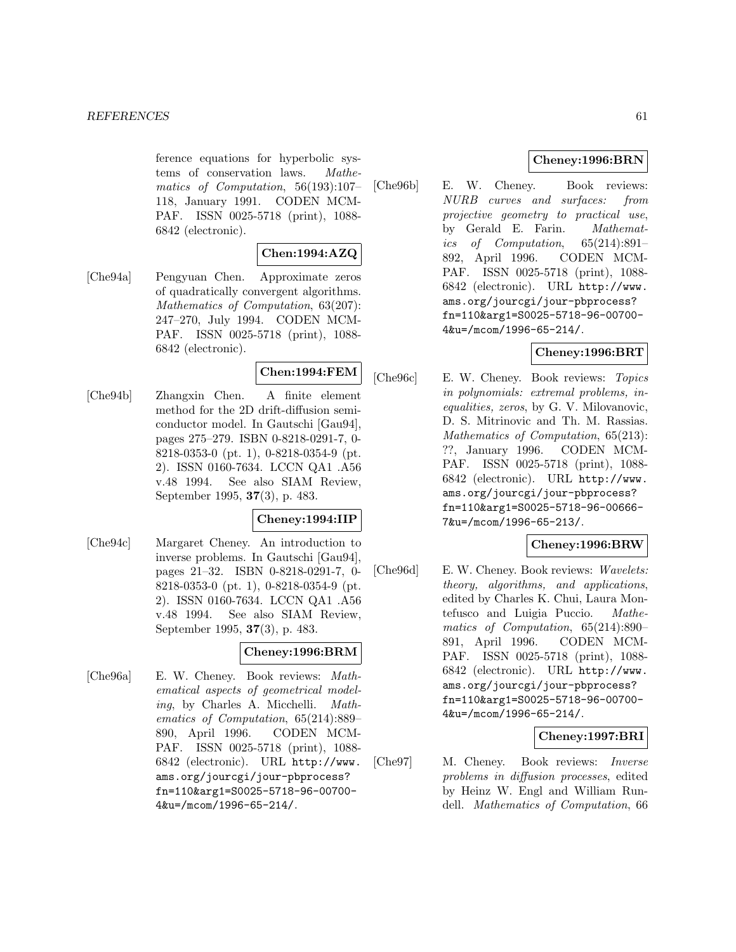ference equations for hyperbolic systems of conservation laws. Mathematics of Computation, 56(193):107– 118, January 1991. CODEN MCM-PAF. ISSN 0025-5718 (print), 1088- 6842 (electronic).

### **Chen:1994:AZQ**

[Che94a] Pengyuan Chen. Approximate zeros of quadratically convergent algorithms. Mathematics of Computation, 63(207): 247–270, July 1994. CODEN MCM-PAF. ISSN 0025-5718 (print), 1088- 6842 (electronic).

### **Chen:1994:FEM**

[Che94b] Zhangxin Chen. A finite element method for the 2D drift-diffusion semiconductor model. In Gautschi [Gau94], pages 275–279. ISBN 0-8218-0291-7, 0- 8218-0353-0 (pt. 1), 0-8218-0354-9 (pt. 2). ISSN 0160-7634. LCCN QA1 .A56 v.48 1994. See also SIAM Review, September 1995, **37**(3), p. 483.

### **Cheney:1994:IIP**

[Che94c] Margaret Cheney. An introduction to inverse problems. In Gautschi [Gau94], pages 21–32. ISBN 0-8218-0291-7, 0- 8218-0353-0 (pt. 1), 0-8218-0354-9 (pt. 2). ISSN 0160-7634. LCCN QA1 .A56 v.48 1994. See also SIAM Review, September 1995, **37**(3), p. 483.

#### **Cheney:1996:BRM**

[Che96a] E. W. Cheney. Book reviews: Mathematical aspects of geometrical modeling, by Charles A. Micchelli. Mathematics of Computation, 65(214):889– 890, April 1996. CODEN MCM-PAF. ISSN 0025-5718 (print), 1088- 6842 (electronic). URL http://www. ams.org/jourcgi/jour-pbprocess? fn=110&arg1=S0025-5718-96-00700- 4&u=/mcom/1996-65-214/.

### **Cheney:1996:BRN**

[Che96b] E. W. Cheney. Book reviews: NURB curves and surfaces: from projective geometry to practical use, by Gerald E. Farin. Mathematics of Computation, 65(214):891– 892, April 1996. CODEN MCM-PAF. ISSN 0025-5718 (print), 1088- 6842 (electronic). URL http://www. ams.org/jourcgi/jour-pbprocess? fn=110&arg1=S0025-5718-96-00700- 4&u=/mcom/1996-65-214/.

### **Cheney:1996:BRT**

[Che96c] E. W. Cheney. Book reviews: Topics in polynomials: extremal problems, inequalities, zeros, by G. V. Milovanovic, D. S. Mitrinovic and Th. M. Rassias. Mathematics of Computation, 65(213): ??, January 1996. CODEN MCM-PAF. ISSN 0025-5718 (print), 1088- 6842 (electronic). URL http://www. ams.org/jourcgi/jour-pbprocess? fn=110&arg1=S0025-5718-96-00666- 7&u=/mcom/1996-65-213/.

### **Cheney:1996:BRW**

[Che96d] E. W. Cheney. Book reviews: Wavelets: theory, algorithms, and applications, edited by Charles K. Chui, Laura Montefusco and Luigia Puccio. Mathematics of Computation, 65(214):890– 891, April 1996. CODEN MCM-PAF. ISSN 0025-5718 (print), 1088- 6842 (electronic). URL http://www. ams.org/jourcgi/jour-pbprocess? fn=110&arg1=S0025-5718-96-00700- 4&u=/mcom/1996-65-214/.

### **Cheney:1997:BRI**

[Che97] M. Cheney. Book reviews: Inverse problems in diffusion processes, edited by Heinz W. Engl and William Rundell. Mathematics of Computation, 66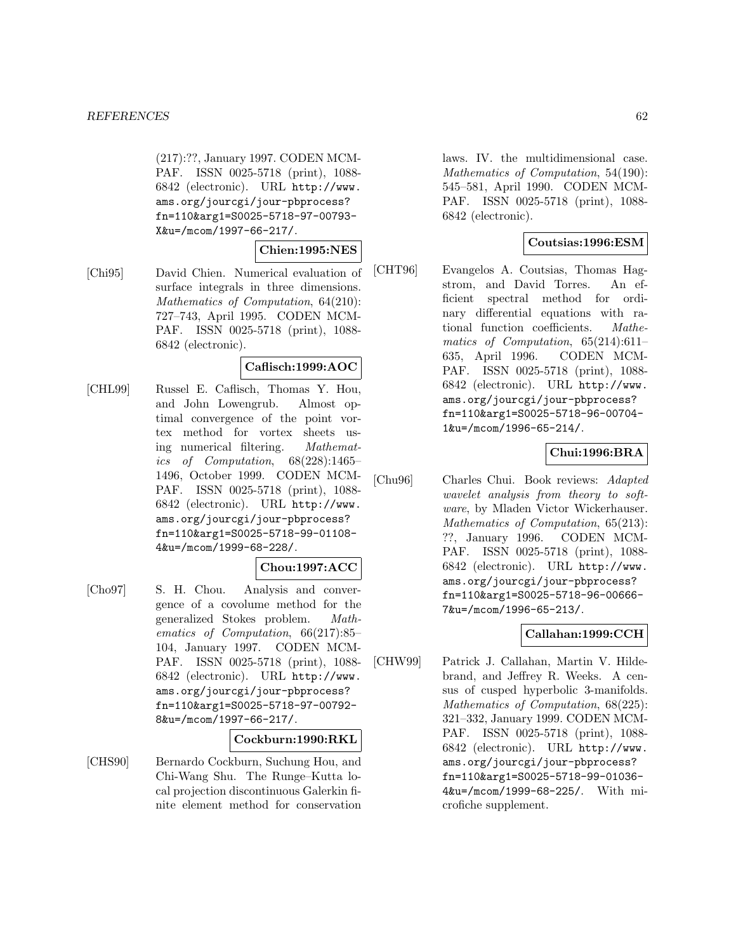(217):??, January 1997. CODEN MCM-PAF. ISSN 0025-5718 (print), 1088- 6842 (electronic). URL http://www. ams.org/jourcgi/jour-pbprocess? fn=110&arg1=S0025-5718-97-00793- X&u=/mcom/1997-66-217/.

### **Chien:1995:NES**

[Chi95] David Chien. Numerical evaluation of surface integrals in three dimensions. Mathematics of Computation, 64(210): 727–743, April 1995. CODEN MCM-PAF. ISSN 0025-5718 (print), 1088- 6842 (electronic).

#### **Caflisch:1999:AOC**

[CHL99] Russel E. Caflisch, Thomas Y. Hou, and John Lowengrub. Almost optimal convergence of the point vortex method for vortex sheets using numerical filtering. Mathematics of Computation, 68(228):1465– 1496, October 1999. CODEN MCM-PAF. ISSN 0025-5718 (print), 1088- 6842 (electronic). URL http://www. ams.org/jourcgi/jour-pbprocess? fn=110&arg1=S0025-5718-99-01108- 4&u=/mcom/1999-68-228/.

### **Chou:1997:ACC**

[Cho97] S. H. Chou. Analysis and convergence of a covolume method for the generalized Stokes problem. Mathematics of Computation, 66(217):85– 104, January 1997. CODEN MCM-PAF. ISSN 0025-5718 (print), 1088- 6842 (electronic). URL http://www. ams.org/jourcgi/jour-pbprocess? fn=110&arg1=S0025-5718-97-00792- 8&u=/mcom/1997-66-217/.

#### **Cockburn:1990:RKL**

[CHS90] Bernardo Cockburn, Suchung Hou, and Chi-Wang Shu. The Runge–Kutta local projection discontinuous Galerkin finite element method for conservation

laws. IV. the multidimensional case. Mathematics of Computation, 54(190): 545–581, April 1990. CODEN MCM-PAF. ISSN 0025-5718 (print), 1088- 6842 (electronic).

### **Coutsias:1996:ESM**

[CHT96] Evangelos A. Coutsias, Thomas Hagstrom, and David Torres. An efficient spectral method for ordinary differential equations with rational function coefficients. Mathematics of Computation, 65(214):611– 635, April 1996. CODEN MCM-PAF. ISSN 0025-5718 (print), 1088- 6842 (electronic). URL http://www. ams.org/jourcgi/jour-pbprocess? fn=110&arg1=S0025-5718-96-00704- 1&u=/mcom/1996-65-214/.

## **Chui:1996:BRA**

[Chu96] Charles Chui. Book reviews: Adapted wavelet analysis from theory to software, by Mladen Victor Wickerhauser. Mathematics of Computation, 65(213): ??, January 1996. CODEN MCM-PAF. ISSN 0025-5718 (print), 1088- 6842 (electronic). URL http://www. ams.org/jourcgi/jour-pbprocess? fn=110&arg1=S0025-5718-96-00666- 7&u=/mcom/1996-65-213/.

## **Callahan:1999:CCH**

[CHW99] Patrick J. Callahan, Martin V. Hildebrand, and Jeffrey R. Weeks. A census of cusped hyperbolic 3-manifolds. Mathematics of Computation, 68(225): 321–332, January 1999. CODEN MCM-PAF. ISSN 0025-5718 (print), 1088- 6842 (electronic). URL http://www. ams.org/jourcgi/jour-pbprocess? fn=110&arg1=S0025-5718-99-01036- 4&u=/mcom/1999-68-225/. With microfiche supplement.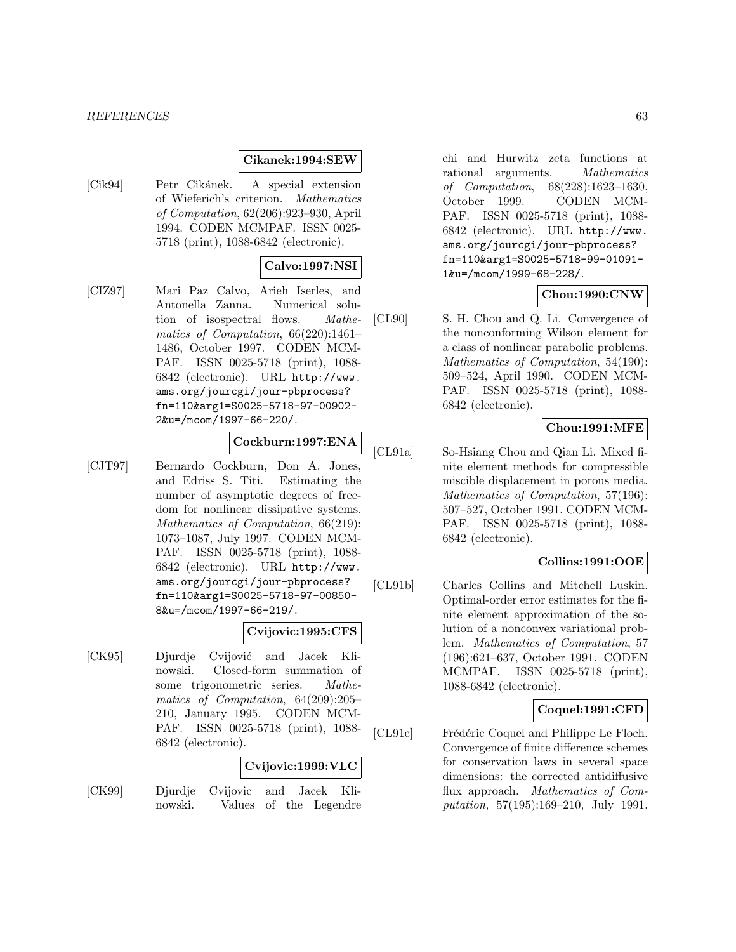#### *REFERENCES* 63

### **Cikanek:1994:SEW**

[Cik94] Petr Cikánek. A special extension of Wieferich's criterion. Mathematics of Computation, 62(206):923–930, April 1994. CODEN MCMPAF. ISSN 0025- 5718 (print), 1088-6842 (electronic).

#### **Calvo:1997:NSI**

[CIZ97] Mari Paz Calvo, Arieh Iserles, and Antonella Zanna. Numerical solution of isospectral flows. Mathematics of Computation, 66(220):1461– 1486, October 1997. CODEN MCM-PAF. ISSN 0025-5718 (print), 1088- 6842 (electronic). URL http://www. ams.org/jourcgi/jour-pbprocess? fn=110&arg1=S0025-5718-97-00902- 2&u=/mcom/1997-66-220/.

### **Cockburn:1997:ENA**

[CJT97] Bernardo Cockburn, Don A. Jones, and Edriss S. Titi. Estimating the number of asymptotic degrees of freedom for nonlinear dissipative systems. Mathematics of Computation, 66(219): 1073–1087, July 1997. CODEN MCM-PAF. ISSN 0025-5718 (print), 1088- 6842 (electronic). URL http://www. ams.org/jourcgi/jour-pbprocess? fn=110&arg1=S0025-5718-97-00850- 8&u=/mcom/1997-66-219/.

### **Cvijovic:1995:CFS**

[CK95] Djurdje Cvijović and Jacek Klinowski. Closed-form summation of some trigonometric series. Mathematics of Computation, 64(209):205– 210, January 1995. CODEN MCM-PAF. ISSN 0025-5718 (print), 1088- 6842 (electronic).

### **Cvijovic:1999:VLC**

[CK99] Djurdje Cvijovic and Jacek Klinowski. Values of the Legendre chi and Hurwitz zeta functions at rational arguments. Mathematics of Computation, 68(228):1623–1630, October 1999. CODEN MCM-PAF. ISSN 0025-5718 (print), 1088- 6842 (electronic). URL http://www. ams.org/jourcgi/jour-pbprocess? fn=110&arg1=S0025-5718-99-01091- 1&u=/mcom/1999-68-228/.

### **Chou:1990:CNW**

[CL90] S. H. Chou and Q. Li. Convergence of the nonconforming Wilson element for a class of nonlinear parabolic problems. Mathematics of Computation, 54(190): 509–524, April 1990. CODEN MCM-PAF. ISSN 0025-5718 (print), 1088- 6842 (electronic).

### **Chou:1991:MFE**

[CL91a] So-Hsiang Chou and Qian Li. Mixed finite element methods for compressible miscible displacement in porous media. Mathematics of Computation, 57(196): 507–527, October 1991. CODEN MCM-PAF. ISSN 0025-5718 (print), 1088- 6842 (electronic).

### **Collins:1991:OOE**

[CL91b] Charles Collins and Mitchell Luskin. Optimal-order error estimates for the finite element approximation of the solution of a nonconvex variational problem. Mathematics of Computation, 57 (196):621–637, October 1991. CODEN MCMPAF. ISSN 0025-5718 (print), 1088-6842 (electronic).

#### **Coquel:1991:CFD**

[CL91c] Frédéric Coquel and Philippe Le Floch. Convergence of finite difference schemes for conservation laws in several space dimensions: the corrected antidiffusive flux approach. Mathematics of Computation, 57(195):169–210, July 1991.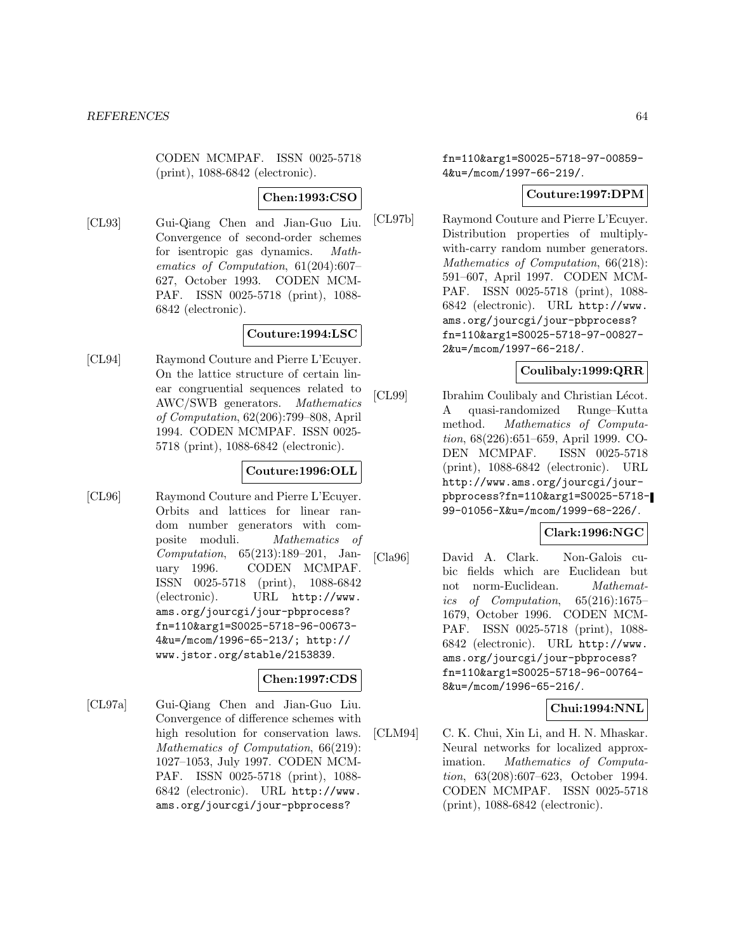CODEN MCMPAF. ISSN 0025-5718 (print), 1088-6842 (electronic).

### **Chen:1993:CSO**

[CL93] Gui-Qiang Chen and Jian-Guo Liu. Convergence of second-order schemes for isentropic gas dynamics. Mathematics of Computation, 61(204):607– 627, October 1993. CODEN MCM-PAF. ISSN 0025-5718 (print), 1088- 6842 (electronic).

### **Couture:1994:LSC**

[CL94] Raymond Couture and Pierre L'Ecuyer. On the lattice structure of certain linear congruential sequences related to AWC/SWB generators. Mathematics of Computation, 62(206):799–808, April 1994. CODEN MCMPAF. ISSN 0025- 5718 (print), 1088-6842 (electronic).

### **Couture:1996:OLL**

[CL96] Raymond Couture and Pierre L'Ecuyer. Orbits and lattices for linear random number generators with composite moduli. Mathematics of Computation, 65(213):189–201, January 1996. CODEN MCMPAF. ISSN 0025-5718 (print), 1088-6842 (electronic). URL http://www. ams.org/jourcgi/jour-pbprocess? fn=110&arg1=S0025-5718-96-00673- 4&u=/mcom/1996-65-213/; http:// www.jstor.org/stable/2153839.

### **Chen:1997:CDS**

[CL97a] Gui-Qiang Chen and Jian-Guo Liu. Convergence of difference schemes with high resolution for conservation laws. Mathematics of Computation, 66(219): 1027–1053, July 1997. CODEN MCM-PAF. ISSN 0025-5718 (print), 1088- 6842 (electronic). URL http://www. ams.org/jourcgi/jour-pbprocess?

fn=110&arg1=S0025-5718-97-00859- 4&u=/mcom/1997-66-219/.

## **Couture:1997:DPM**

[CL97b] Raymond Couture and Pierre L'Ecuyer. Distribution properties of multiplywith-carry random number generators. Mathematics of Computation, 66(218): 591–607, April 1997. CODEN MCM-PAF. ISSN 0025-5718 (print), 1088- 6842 (electronic). URL http://www. ams.org/jourcgi/jour-pbprocess? fn=110&arg1=S0025-5718-97-00827- 2&u=/mcom/1997-66-218/.

# **Coulibaly:1999:QRR**

[CL99] Ibrahim Coulibaly and Christian Lécot. A quasi-randomized Runge–Kutta method. Mathematics of Computation, 68(226):651–659, April 1999. CO-DEN MCMPAF. ISSN 0025-5718 (print), 1088-6842 (electronic). URL http://www.ams.org/jourcgi/jourpbprocess?fn=110&arg1=S0025-5718- 99-01056-X&u=/mcom/1999-68-226/.

## **Clark:1996:NGC**

[Cla96] David A. Clark. Non-Galois cubic fields which are Euclidean but not norm-Euclidean. *Mathemat*ics of Computation, 65(216):1675– 1679, October 1996. CODEN MCM-PAF. ISSN 0025-5718 (print), 1088- 6842 (electronic). URL http://www. ams.org/jourcgi/jour-pbprocess? fn=110&arg1=S0025-5718-96-00764- 8&u=/mcom/1996-65-216/.

## **Chui:1994:NNL**

[CLM94] C. K. Chui, Xin Li, and H. N. Mhaskar. Neural networks for localized approximation. Mathematics of Computation, 63(208):607–623, October 1994. CODEN MCMPAF. ISSN 0025-5718 (print), 1088-6842 (electronic).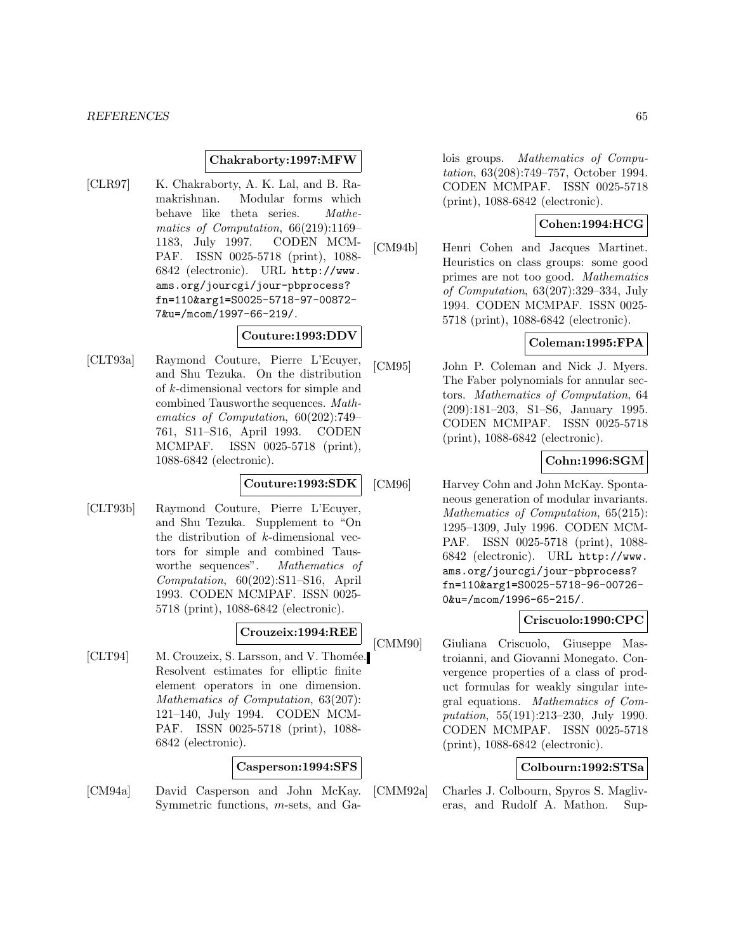#### **Chakraborty:1997:MFW**

[CLR97] K. Chakraborty, A. K. Lal, and B. Ramakrishnan. Modular forms which behave like theta series. Mathematics of Computation, 66(219):1169– 1183, July 1997. CODEN MCM-PAF. ISSN 0025-5718 (print), 1088- 6842 (electronic). URL http://www. ams.org/jourcgi/jour-pbprocess? fn=110&arg1=S0025-5718-97-00872- 7&u=/mcom/1997-66-219/.

## **Couture:1993:DDV**

[CLT93a] Raymond Couture, Pierre L'Ecuyer, and Shu Tezuka. On the distribution of k-dimensional vectors for simple and combined Tausworthe sequences. Mathematics of Computation, 60(202):749– 761, S11–S16, April 1993. CODEN MCMPAF. ISSN 0025-5718 (print), 1088-6842 (electronic).

#### **Couture:1993:SDK**

[CLT93b] Raymond Couture, Pierre L'Ecuyer, and Shu Tezuka. Supplement to "On the distribution of k-dimensional vectors for simple and combined Tausworthe sequences". Mathematics of Computation, 60(202):S11–S16, April 1993. CODEN MCMPAF. ISSN 0025- 5718 (print), 1088-6842 (electronic).

### **Crouzeix:1994:REE**

[CLT94] M. Crouzeix, S. Larsson, and V. Thomée. Resolvent estimates for elliptic finite element operators in one dimension. Mathematics of Computation, 63(207): 121–140, July 1994. CODEN MCM-PAF. ISSN 0025-5718 (print), 1088- 6842 (electronic).

#### **Casperson:1994:SFS**

[CM94a] David Casperson and John McKay. Symmetric functions, m-sets, and Galois groups. Mathematics of Computation, 63(208):749–757, October 1994. CODEN MCMPAF. ISSN 0025-5718 (print), 1088-6842 (electronic).

### **Cohen:1994:HCG**

[CM94b] Henri Cohen and Jacques Martinet. Heuristics on class groups: some good primes are not too good. Mathematics of Computation, 63(207):329–334, July 1994. CODEN MCMPAF. ISSN 0025- 5718 (print), 1088-6842 (electronic).

### **Coleman:1995:FPA**

[CM95] John P. Coleman and Nick J. Myers. The Faber polynomials for annular sectors. Mathematics of Computation, 64 (209):181–203, S1–S6, January 1995. CODEN MCMPAF. ISSN 0025-5718 (print), 1088-6842 (electronic).

### **Cohn:1996:SGM**

[CM96] Harvey Cohn and John McKay. Spontaneous generation of modular invariants. Mathematics of Computation, 65(215): 1295–1309, July 1996. CODEN MCM-PAF. ISSN 0025-5718 (print), 1088- 6842 (electronic). URL http://www. ams.org/jourcgi/jour-pbprocess? fn=110&arg1=S0025-5718-96-00726- 0&u=/mcom/1996-65-215/.

### **Criscuolo:1990:CPC**

[CMM90] Giuliana Criscuolo, Giuseppe Mastroianni, and Giovanni Monegato. Convergence properties of a class of product formulas for weakly singular integral equations. Mathematics of Computation, 55(191):213–230, July 1990. CODEN MCMPAF. ISSN 0025-5718 (print), 1088-6842 (electronic).

### **Colbourn:1992:STSa**

[CMM92a] Charles J. Colbourn, Spyros S. Magliveras, and Rudolf A. Mathon. Sup-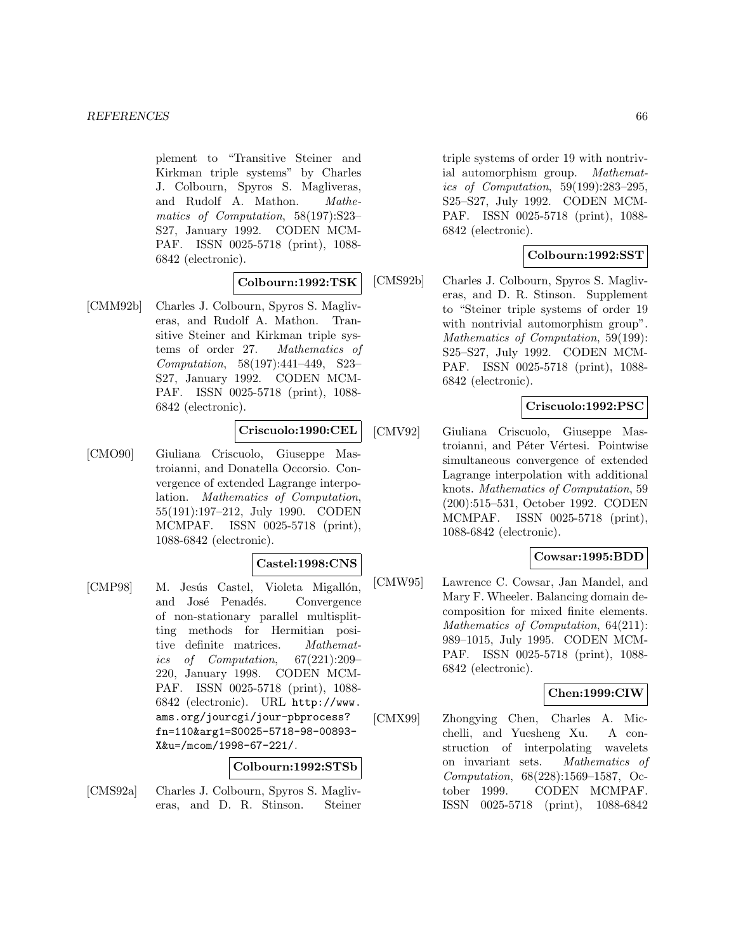plement to "Transitive Steiner and Kirkman triple systems" by Charles J. Colbourn, Spyros S. Magliveras, and Rudolf A. Mathon. Mathematics of Computation, 58(197):S23– S27, January 1992. CODEN MCM-PAF. ISSN 0025-5718 (print), 1088- 6842 (electronic).

### **Colbourn:1992:TSK**

[CMM92b] Charles J. Colbourn, Spyros S. Magliveras, and Rudolf A. Mathon. Transitive Steiner and Kirkman triple systems of order 27. Mathematics of Computation, 58(197):441–449, S23– S27, January 1992. CODEN MCM-PAF. ISSN 0025-5718 (print), 1088- 6842 (electronic).

### **Criscuolo:1990:CEL**

[CMO90] Giuliana Criscuolo, Giuseppe Mastroianni, and Donatella Occorsio. Convergence of extended Lagrange interpolation. Mathematics of Computation, 55(191):197–212, July 1990. CODEN MCMPAF. ISSN 0025-5718 (print), 1088-6842 (electronic).

#### **Castel:1998:CNS**

[CMP98] M. Jesús Castel, Violeta Migallón, and José Penadés. Convergence of non-stationary parallel multisplitting methods for Hermitian positive definite matrices. Mathematics of Computation, 67(221):209– 220, January 1998. CODEN MCM-PAF. ISSN 0025-5718 (print), 1088- 6842 (electronic). URL http://www. ams.org/jourcgi/jour-pbprocess? fn=110&arg1=S0025-5718-98-00893- X&u=/mcom/1998-67-221/.

#### **Colbourn:1992:STSb**

[CMS92a] Charles J. Colbourn, Spyros S. Magliveras, and D. R. Stinson. Steiner

triple systems of order 19 with nontrivial automorphism group. Mathematics of Computation, 59(199):283–295, S25–S27, July 1992. CODEN MCM-PAF. ISSN 0025-5718 (print), 1088- 6842 (electronic).

## **Colbourn:1992:SST**

[CMS92b] Charles J. Colbourn, Spyros S. Magliveras, and D. R. Stinson. Supplement to "Steiner triple systems of order 19 with nontrivial automorphism group". Mathematics of Computation, 59(199): S25–S27, July 1992. CODEN MCM-PAF. ISSN 0025-5718 (print), 1088- 6842 (electronic).

### **Criscuolo:1992:PSC**

[CMV92] Giuliana Criscuolo, Giuseppe Mastroianni, and Péter Vértesi. Pointwise simultaneous convergence of extended Lagrange interpolation with additional knots. Mathematics of Computation, 59 (200):515–531, October 1992. CODEN MCMPAF. ISSN 0025-5718 (print), 1088-6842 (electronic).

## **Cowsar:1995:BDD**

[CMW95] Lawrence C. Cowsar, Jan Mandel, and Mary F. Wheeler. Balancing domain decomposition for mixed finite elements. Mathematics of Computation, 64(211): 989–1015, July 1995. CODEN MCM-PAF. ISSN 0025-5718 (print), 1088- 6842 (electronic).

### **Chen:1999:CIW**

[CMX99] Zhongying Chen, Charles A. Micchelli, and Yuesheng Xu. A construction of interpolating wavelets on invariant sets. Mathematics of Computation, 68(228):1569–1587, October 1999. CODEN MCMPAF. ISSN 0025-5718 (print), 1088-6842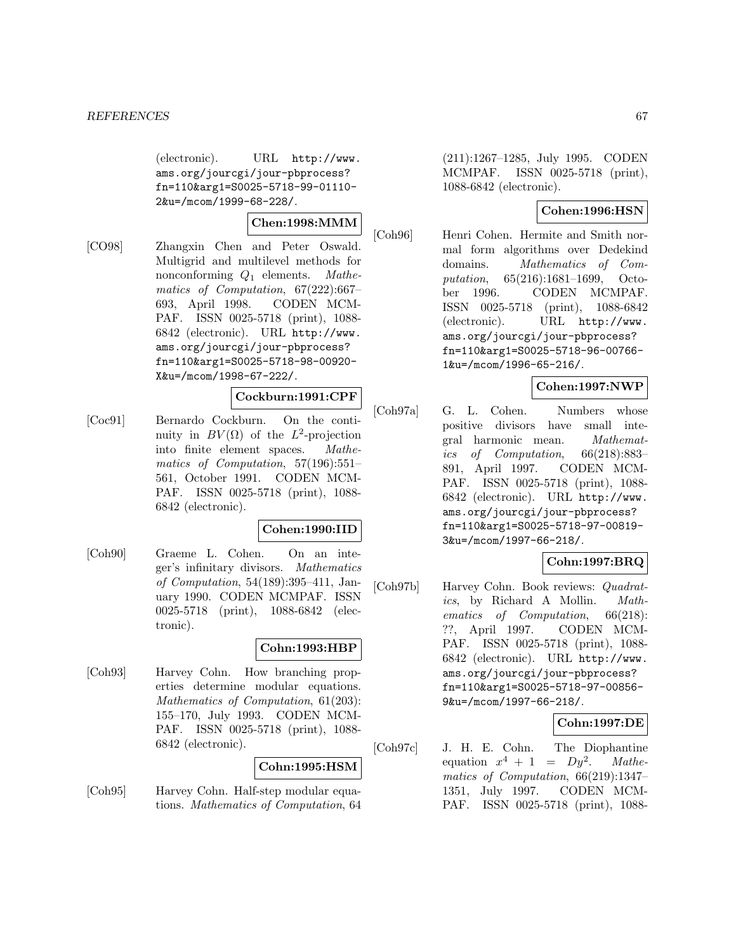(electronic). URL http://www. ams.org/jourcgi/jour-pbprocess? fn=110&arg1=S0025-5718-99-01110- 2&u=/mcom/1999-68-228/.

# **Chen:1998:MMM**

[CO98] Zhangxin Chen and Peter Oswald. Multigrid and multilevel methods for nonconforming  $Q_1$  elements. Mathematics of Computation, 67(222):667– 693, April 1998. CODEN MCM-PAF. ISSN 0025-5718 (print), 1088- 6842 (electronic). URL http://www. ams.org/jourcgi/jour-pbprocess? fn=110&arg1=S0025-5718-98-00920- X&u=/mcom/1998-67-222/.

# **Cockburn:1991:CPF**

[Coc91] Bernardo Cockburn. On the continuity in  $BV(\Omega)$  of the  $L^2$ -projection into finite element spaces. Mathematics of Computation, 57(196):551– 561, October 1991. CODEN MCM-PAF. ISSN 0025-5718 (print), 1088- 6842 (electronic).

## **Cohen:1990:IID**

[Coh90] Graeme L. Cohen. On an integer's infinitary divisors. Mathematics of Computation, 54(189):395–411, January 1990. CODEN MCMPAF. ISSN 0025-5718 (print), 1088-6842 (electronic).

# **Cohn:1993:HBP**

[Coh93] Harvey Cohn. How branching properties determine modular equations. Mathematics of Computation, 61(203): 155–170, July 1993. CODEN MCM-PAF. ISSN 0025-5718 (print), 1088- 6842 (electronic).

# **Cohn:1995:HSM**

[Coh95] Harvey Cohn. Half-step modular equations. Mathematics of Computation, 64

(211):1267–1285, July 1995. CODEN MCMPAF. ISSN 0025-5718 (print), 1088-6842 (electronic).

# **Cohen:1996:HSN**

[Coh96] Henri Cohen. Hermite and Smith normal form algorithms over Dedekind domains. Mathematics of Computation, 65(216):1681–1699, October 1996. CODEN MCMPAF. ISSN 0025-5718 (print), 1088-6842 (electronic). URL http://www. ams.org/jourcgi/jour-pbprocess? fn=110&arg1=S0025-5718-96-00766- 1&u=/mcom/1996-65-216/.

# **Cohen:1997:NWP**

[Coh97a] G. L. Cohen. Numbers whose positive divisors have small integral harmonic mean. Mathematics of Computation, 66(218):883– 891, April 1997. CODEN MCM-PAF. ISSN 0025-5718 (print), 1088- 6842 (electronic). URL http://www. ams.org/jourcgi/jour-pbprocess? fn=110&arg1=S0025-5718-97-00819- 3&u=/mcom/1997-66-218/.

# **Cohn:1997:BRQ**

[Coh97b] Harvey Cohn. Book reviews: Quadratics, by Richard A Mollin. Mathematics of Computation, 66(218): ??, April 1997. CODEN MCM-PAF. ISSN 0025-5718 (print), 1088- 6842 (electronic). URL http://www. ams.org/jourcgi/jour-pbprocess? fn=110&arg1=S0025-5718-97-00856- 9&u=/mcom/1997-66-218/.

# **Cohn:1997:DE**

[Coh97c] J. H. E. Cohn. The Diophantine equation  $x^4 + 1 = Dy^2$ . Mathematics of Computation, 66(219):1347– 1351, July 1997. CODEN MCM-PAF. ISSN 0025-5718 (print), 1088-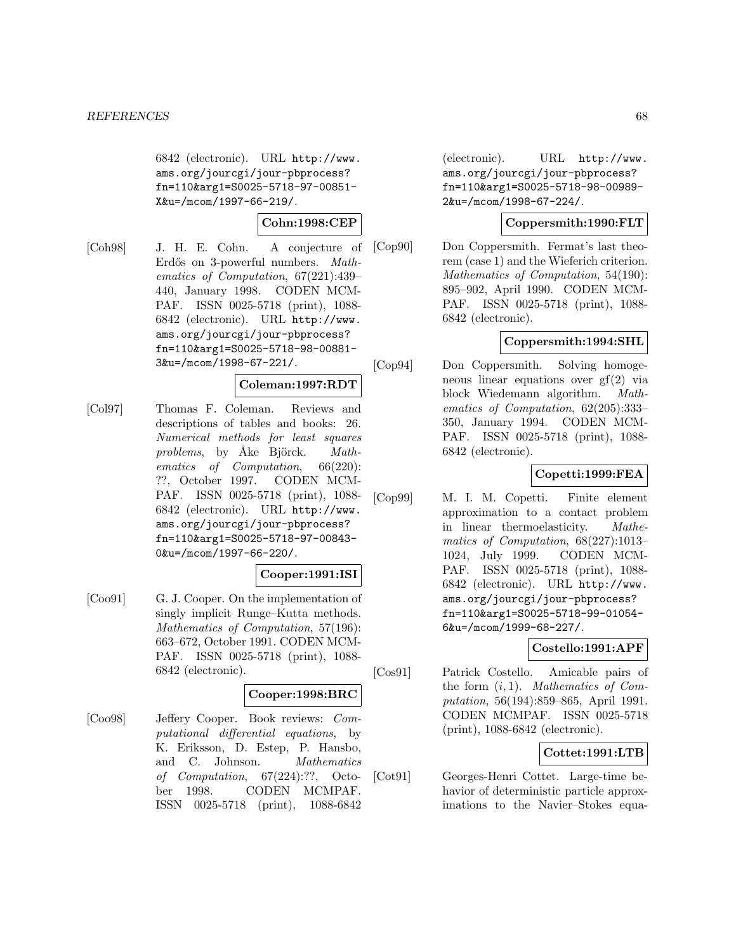6842 (electronic). URL http://www. ams.org/jourcgi/jour-pbprocess? fn=110&arg1=S0025-5718-97-00851- X&u=/mcom/1997-66-219/.

# **Cohn:1998:CEP**

[Coh98] J. H. E. Cohn. A conjecture of Erdős on 3-powerful numbers. Mathematics of Computation, 67(221):439– 440, January 1998. CODEN MCM-PAF. ISSN 0025-5718 (print), 1088- 6842 (electronic). URL http://www. ams.org/jourcgi/jour-pbprocess? fn=110&arg1=S0025-5718-98-00881- 3&u=/mcom/1998-67-221/.

## **Coleman:1997:RDT**

[Col97] Thomas F. Coleman. Reviews and descriptions of tables and books: 26. Numerical methods for least squares problems, by Åke Björck.  $Math$ ematics of Computation, 66(220): ??, October 1997. CODEN MCM-PAF. ISSN 0025-5718 (print), 1088- 6842 (electronic). URL http://www. ams.org/jourcgi/jour-pbprocess? fn=110&arg1=S0025-5718-97-00843- 0&u=/mcom/1997-66-220/.

# **Cooper:1991:ISI**

[Coo91] G. J. Cooper. On the implementation of singly implicit Runge–Kutta methods. Mathematics of Computation, 57(196): 663–672, October 1991. CODEN MCM-PAF. ISSN 0025-5718 (print), 1088- 6842 (electronic).

### **Cooper:1998:BRC**

[Coo98] Jeffery Cooper. Book reviews: Computational differential equations, by K. Eriksson, D. Estep, P. Hansbo, and C. Johnson. Mathematics of Computation, 67(224):??, October 1998. CODEN MCMPAF. ISSN 0025-5718 (print), 1088-6842

(electronic). URL http://www. ams.org/jourcgi/jour-pbprocess? fn=110&arg1=S0025-5718-98-00989- 2&u=/mcom/1998-67-224/.

# **Coppersmith:1990:FLT**

[Cop90] Don Coppersmith. Fermat's last theorem (case 1) and the Wieferich criterion. Mathematics of Computation, 54(190): 895–902, April 1990. CODEN MCM-PAF. ISSN 0025-5718 (print), 1088- 6842 (electronic).

# **Coppersmith:1994:SHL**

[Cop94] Don Coppersmith. Solving homogeneous linear equations over gf(2) via block Wiedemann algorithm. Mathematics of Computation, 62(205):333– 350, January 1994. CODEN MCM-PAF. ISSN 0025-5718 (print), 1088- 6842 (electronic).

## **Copetti:1999:FEA**

[Cop99] M. I. M. Copetti. Finite element approximation to a contact problem in linear thermoelasticity. Mathematics of Computation, 68(227):1013– 1024, July 1999. CODEN MCM-PAF. ISSN 0025-5718 (print), 1088- 6842 (electronic). URL http://www. ams.org/jourcgi/jour-pbprocess? fn=110&arg1=S0025-5718-99-01054- 6&u=/mcom/1999-68-227/.

## **Costello:1991:APF**

[Cos91] Patrick Costello. Amicable pairs of the form  $(i, 1)$ . Mathematics of Computation, 56(194):859–865, April 1991. CODEN MCMPAF. ISSN 0025-5718 (print), 1088-6842 (electronic).

# **Cottet:1991:LTB**

[Cot91] Georges-Henri Cottet. Large-time behavior of deterministic particle approximations to the Navier–Stokes equa-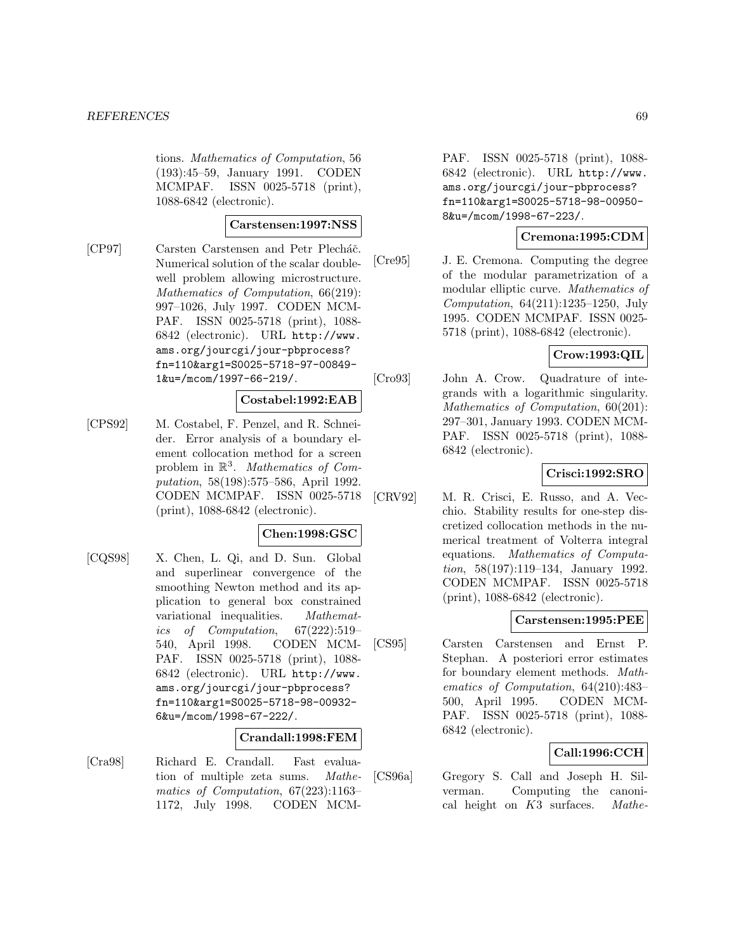tions. Mathematics of Computation, 56 (193):45–59, January 1991. CODEN MCMPAF. ISSN 0025-5718 (print), 1088-6842 (electronic).

### **Carstensen:1997:NSS**

[CP97] Carsten Carstensen and Petr Plecháč. Numerical solution of the scalar doublewell problem allowing microstructure. Mathematics of Computation, 66(219): 997–1026, July 1997. CODEN MCM-PAF. ISSN 0025-5718 (print), 1088- 6842 (electronic). URL http://www. ams.org/jourcgi/jour-pbprocess? fn=110&arg1=S0025-5718-97-00849- 1&u=/mcom/1997-66-219/.

### **Costabel:1992:EAB**

[CPS92] M. Costabel, F. Penzel, and R. Schneider. Error analysis of a boundary element collocation method for a screen problem in  $\mathbb{R}^3$ . Mathematics of Computation, 58(198):575–586, April 1992. CODEN MCMPAF. ISSN 0025-5718 (print), 1088-6842 (electronic).

# **Chen:1998:GSC**

[CQS98] X. Chen, L. Qi, and D. Sun. Global and superlinear convergence of the smoothing Newton method and its application to general box constrained variational inequalities. Mathematics of Computation, 67(222):519– 540, April 1998. CODEN MCM-PAF. ISSN 0025-5718 (print), 1088- 6842 (electronic). URL http://www. ams.org/jourcgi/jour-pbprocess? fn=110&arg1=S0025-5718-98-00932- 6&u=/mcom/1998-67-222/.

## **Crandall:1998:FEM**

[Cra98] Richard E. Crandall. Fast evaluation of multiple zeta sums. Mathematics of Computation, 67(223):1163– 1172, July 1998. CODEN MCM-

PAF. ISSN 0025-5718 (print), 1088- 6842 (electronic). URL http://www. ams.org/jourcgi/jour-pbprocess? fn=110&arg1=S0025-5718-98-00950- 8&u=/mcom/1998-67-223/.

## **Cremona:1995:CDM**

[Cre95] J. E. Cremona. Computing the degree of the modular parametrization of a modular elliptic curve. Mathematics of Computation, 64(211):1235–1250, July 1995. CODEN MCMPAF. ISSN 0025- 5718 (print), 1088-6842 (electronic).

# **Crow:1993:QIL**

[Cro93] John A. Crow. Quadrature of integrands with a logarithmic singularity. Mathematics of Computation, 60(201): 297–301, January 1993. CODEN MCM-PAF. ISSN 0025-5718 (print), 1088- 6842 (electronic).

### **Crisci:1992:SRO**

[CRV92] M. R. Crisci, E. Russo, and A. Vecchio. Stability results for one-step discretized collocation methods in the numerical treatment of Volterra integral equations. Mathematics of Computation, 58(197):119–134, January 1992. CODEN MCMPAF. ISSN 0025-5718 (print), 1088-6842 (electronic).

### **Carstensen:1995:PEE**

[CS95] Carsten Carstensen and Ernst P. Stephan. A posteriori error estimates for boundary element methods. Mathematics of Computation, 64(210):483– 500, April 1995. CODEN MCM-PAF. ISSN 0025-5718 (print), 1088- 6842 (electronic).

# **Call:1996:CCH**

[CS96a] Gregory S. Call and Joseph H. Silverman. Computing the canonical height on K3 surfaces. Mathe-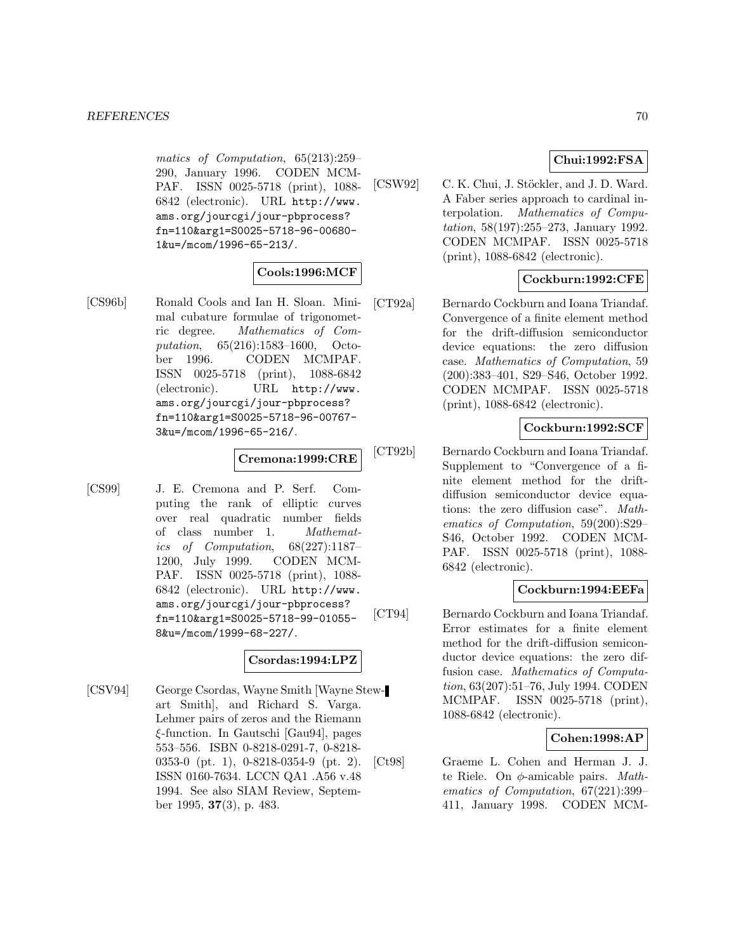matics of Computation, 65(213):259– 290, January 1996. CODEN MCM-PAF. ISSN 0025-5718 (print), 1088- 6842 (electronic). URL http://www. ams.org/jourcgi/jour-pbprocess? fn=110&arg1=S0025-5718-96-00680- 1&u=/mcom/1996-65-213/.

### **Cools:1996:MCF**

[CS96b] Ronald Cools and Ian H. Sloan. Minimal cubature formulae of trigonometric degree. Mathematics of Computation, 65(216):1583–1600, October 1996. CODEN MCMPAF. ISSN 0025-5718 (print), 1088-6842 (electronic). URL http://www. ams.org/jourcgi/jour-pbprocess? fn=110&arg1=S0025-5718-96-00767- 3&u=/mcom/1996-65-216/.

### **Cremona:1999:CRE**

[CS99] J. E. Cremona and P. Serf. Computing the rank of elliptic curves over real quadratic number fields of class number 1. Mathematics of Computation, 68(227):1187– 1200, July 1999. CODEN MCM-PAF. ISSN 0025-5718 (print), 1088- 6842 (electronic). URL http://www. ams.org/jourcgi/jour-pbprocess? fn=110&arg1=S0025-5718-99-01055- 8&u=/mcom/1999-68-227/.

## **Csordas:1994:LPZ**

[CSV94] George Csordas, Wayne Smith [Wayne Stewart Smith], and Richard S. Varga. Lehmer pairs of zeros and the Riemann ξ-function. In Gautschi [Gau94], pages 553–556. ISBN 0-8218-0291-7, 0-8218- 0353-0 (pt. 1), 0-8218-0354-9 (pt. 2). ISSN 0160-7634. LCCN QA1 .A56 v.48 1994. See also SIAM Review, September 1995, **37**(3), p. 483.

## **Chui:1992:FSA**

[CSW92] C. K. Chui, J. Stöckler, and J. D. Ward. A Faber series approach to cardinal interpolation. Mathematics of Computation, 58(197):255–273, January 1992. CODEN MCMPAF. ISSN 0025-5718 (print), 1088-6842 (electronic).

### **Cockburn:1992:CFE**

[CT92a] Bernardo Cockburn and Ioana Triandaf. Convergence of a finite element method for the drift-diffusion semiconductor device equations: the zero diffusion case. Mathematics of Computation, 59 (200):383–401, S29–S46, October 1992. CODEN MCMPAF. ISSN 0025-5718 (print), 1088-6842 (electronic).

### **Cockburn:1992:SCF**

[CT92b] Bernardo Cockburn and Ioana Triandaf. Supplement to "Convergence of a finite element method for the driftdiffusion semiconductor device equations: the zero diffusion case". Mathematics of Computation, 59(200):S29– S46, October 1992. CODEN MCM-PAF. ISSN 0025-5718 (print), 1088- 6842 (electronic).

### **Cockburn:1994:EEFa**

[CT94] Bernardo Cockburn and Ioana Triandaf. Error estimates for a finite element method for the drift-diffusion semiconductor device equations: the zero diffusion case. Mathematics of Computation, 63(207):51–76, July 1994. CODEN MCMPAF. ISSN 0025-5718 (print), 1088-6842 (electronic).

### **Cohen:1998:AP**

[Ct98] Graeme L. Cohen and Herman J. J. te Riele. On  $\phi$ -amicable pairs. *Math*ematics of Computation, 67(221):399– 411, January 1998. CODEN MCM-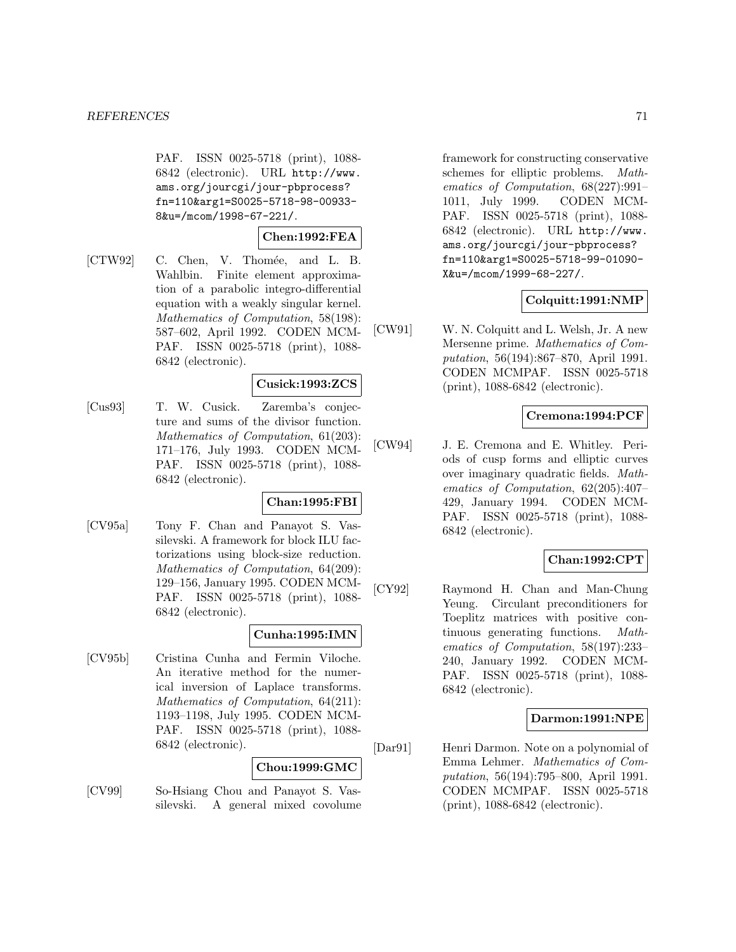PAF. ISSN 0025-5718 (print), 1088- 6842 (electronic). URL http://www. ams.org/jourcgi/jour-pbprocess? fn=110&arg1=S0025-5718-98-00933- 8&u=/mcom/1998-67-221/.

$$
{\bf Chen:} 1992{:}{\bf FEA}
$$

[CTW92] C. Chen, V. Thomée, and L. B. Wahlbin. Finite element approximation of a parabolic integro-differential equation with a weakly singular kernel. Mathematics of Computation, 58(198): 587–602, April 1992. CODEN MCM-PAF. ISSN 0025-5718 (print), 1088- 6842 (electronic).

### **Cusick:1993:ZCS**

[Cus93] T. W. Cusick. Zaremba's conjecture and sums of the divisor function. Mathematics of Computation, 61(203): 171–176, July 1993. CODEN MCM-PAF. ISSN 0025-5718 (print), 1088- 6842 (electronic).

### **Chan:1995:FBI**

[CV95a] Tony F. Chan and Panayot S. Vassilevski. A framework for block ILU factorizations using block-size reduction. Mathematics of Computation, 64(209): 129–156, January 1995. CODEN MCM-PAF. ISSN 0025-5718 (print), 1088- 6842 (electronic).

### **Cunha:1995:IMN**

[CV95b] Cristina Cunha and Fermin Viloche. An iterative method for the numerical inversion of Laplace transforms. Mathematics of Computation, 64(211): 1193–1198, July 1995. CODEN MCM-PAF. ISSN 0025-5718 (print), 1088- 6842 (electronic).

### **Chou:1999:GMC**

[CV99] So-Hsiang Chou and Panayot S. Vassilevski. A general mixed covolume

framework for constructing conservative schemes for elliptic problems. Mathematics of Computation, 68(227):991– 1011, July 1999. CODEN MCM-PAF. ISSN 0025-5718 (print), 1088- 6842 (electronic). URL http://www. ams.org/jourcgi/jour-pbprocess? fn=110&arg1=S0025-5718-99-01090- X&u=/mcom/1999-68-227/.

### **Colquitt:1991:NMP**

[CW91] W. N. Colquitt and L. Welsh, Jr. A new Mersenne prime. Mathematics of Computation, 56(194):867–870, April 1991. CODEN MCMPAF. ISSN 0025-5718 (print), 1088-6842 (electronic).

### **Cremona:1994:PCF**

[CW94] J. E. Cremona and E. Whitley. Periods of cusp forms and elliptic curves over imaginary quadratic fields. Mathematics of Computation, 62(205):407– 429, January 1994. CODEN MCM-PAF. ISSN 0025-5718 (print), 1088- 6842 (electronic).

## **Chan:1992:CPT**

[CY92] Raymond H. Chan and Man-Chung Yeung. Circulant preconditioners for Toeplitz matrices with positive continuous generating functions. Mathematics of Computation, 58(197):233– 240, January 1992. CODEN MCM-PAF. ISSN 0025-5718 (print), 1088- 6842 (electronic).

### **Darmon:1991:NPE**

[Dar91] Henri Darmon. Note on a polynomial of Emma Lehmer. Mathematics of Computation, 56(194):795–800, April 1991. CODEN MCMPAF. ISSN 0025-5718 (print), 1088-6842 (electronic).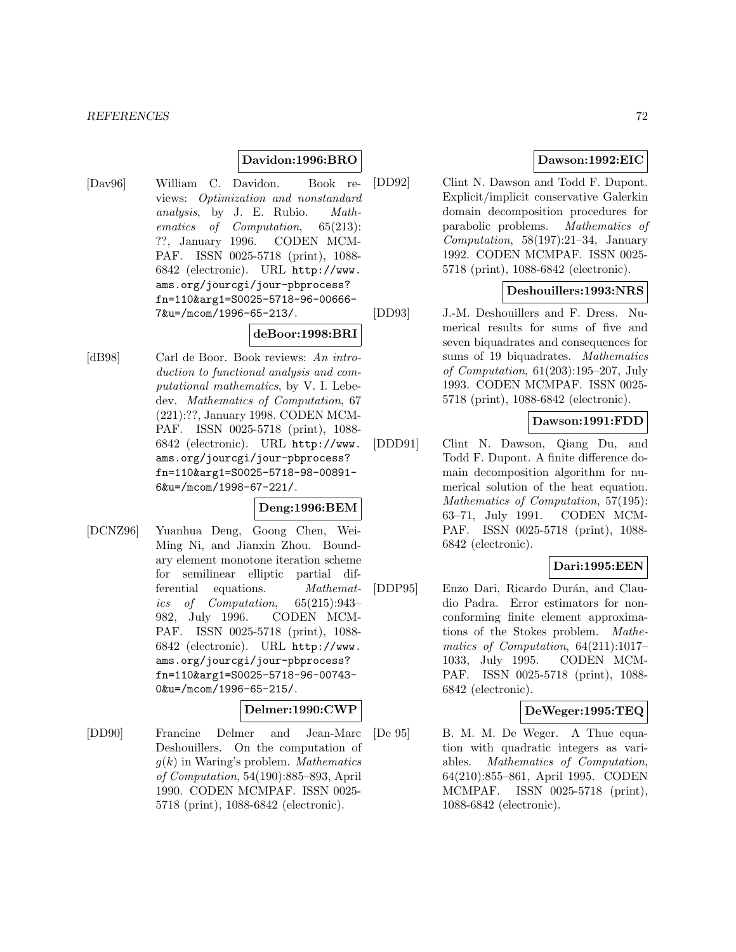### **Davidon:1996:BRO**

[Dav96] William C. Davidon. Book reviews: Optimization and nonstandard analysis, by J. E. Rubio. Mathematics of Computation, 65(213): ??, January 1996. CODEN MCM-PAF. ISSN 0025-5718 (print), 1088- 6842 (electronic). URL http://www. ams.org/jourcgi/jour-pbprocess? fn=110&arg1=S0025-5718-96-00666- 7&u=/mcom/1996-65-213/.

#### **deBoor:1998:BRI**

[dB98] Carl de Boor. Book reviews: An introduction to functional analysis and computational mathematics, by V. I. Lebedev. Mathematics of Computation, 67 (221):??, January 1998. CODEN MCM-PAF. ISSN 0025-5718 (print), 1088- 6842 (electronic). URL http://www. ams.org/jourcgi/jour-pbprocess? fn=110&arg1=S0025-5718-98-00891- 6&u=/mcom/1998-67-221/.

### **Deng:1996:BEM**

[DCNZ96] Yuanhua Deng, Goong Chen, Wei-Ming Ni, and Jianxin Zhou. Boundary element monotone iteration scheme for semilinear elliptic partial differential equations. Mathematics of Computation, 65(215):943– 982, July 1996. CODEN MCM-PAF. ISSN 0025-5718 (print), 1088- 6842 (electronic). URL http://www. ams.org/jourcgi/jour-pbprocess? fn=110&arg1=S0025-5718-96-00743- 0&u=/mcom/1996-65-215/.

#### **Delmer:1990:CWP**

[DD90] Francine Delmer and Jean-Marc Deshouillers. On the computation of  $g(k)$  in Waring's problem. *Mathematics* of Computation, 54(190):885–893, April 1990. CODEN MCMPAF. ISSN 0025- 5718 (print), 1088-6842 (electronic).

### **Dawson:1992:EIC**

[DD92] Clint N. Dawson and Todd F. Dupont. Explicit/implicit conservative Galerkin domain decomposition procedures for parabolic problems. Mathematics of Computation,  $58(197):21-34$ , January 1992. CODEN MCMPAF. ISSN 0025- 5718 (print), 1088-6842 (electronic).

### **Deshouillers:1993:NRS**

[DD93] J.-M. Deshouillers and F. Dress. Numerical results for sums of five and seven biquadrates and consequences for sums of 19 biquadrates. Mathematics of Computation, 61(203):195–207, July 1993. CODEN MCMPAF. ISSN 0025- 5718 (print), 1088-6842 (electronic).

### **Dawson:1991:FDD**

[DDD91] Clint N. Dawson, Qiang Du, and Todd F. Dupont. A finite difference domain decomposition algorithm for numerical solution of the heat equation. Mathematics of Computation, 57(195): 63–71, July 1991. CODEN MCM-PAF. ISSN 0025-5718 (print), 1088- 6842 (electronic).

### **Dari:1995:EEN**

[DDP95] Enzo Dari, Ricardo Durán, and Claudio Padra. Error estimators for nonconforming finite element approximations of the Stokes problem. Mathematics of Computation, 64(211):1017– 1033, July 1995. CODEN MCM-PAF. ISSN 0025-5718 (print), 1088- 6842 (electronic).

### **DeWeger:1995:TEQ**

[De 95] B. M. M. De Weger. A Thue equation with quadratic integers as variables. Mathematics of Computation, 64(210):855–861, April 1995. CODEN MCMPAF. ISSN 0025-5718 (print), 1088-6842 (electronic).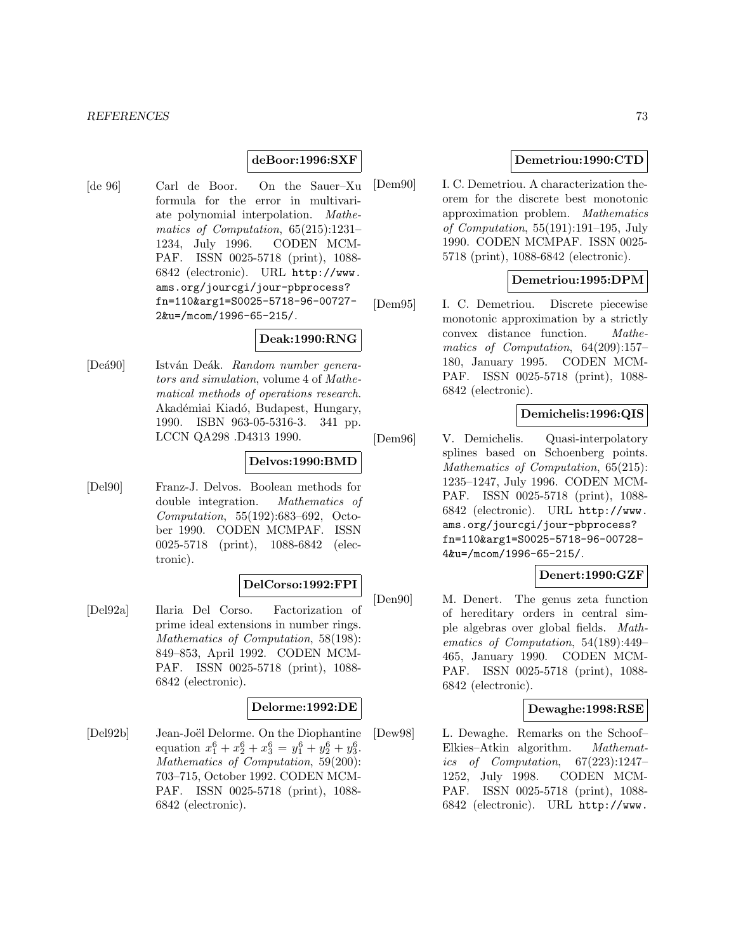#### *REFERENCES* 73

### **deBoor:1996:SXF**

[de 96] Carl de Boor. On the Sauer–Xu formula for the error in multivariate polynomial interpolation. Mathematics of Computation, 65(215):1231– 1234, July 1996. CODEN MCM-PAF. ISSN 0025-5718 (print), 1088- 6842 (electronic). URL http://www. ams.org/jourcgi/jour-pbprocess? fn=110&arg1=S0025-5718-96-00727- 2&u=/mcom/1996-65-215/.

# **Deak:1990:RNG**

[Deá90] István Deák. Random number generators and simulation, volume 4 of Mathematical methods of operations research. Akadémiai Kiadó, Budapest, Hungary, 1990. ISBN 963-05-5316-3. 341 pp. LCCN QA298 .D4313 1990.

## **Delvos:1990:BMD**

[Del90] Franz-J. Delvos. Boolean methods for double integration. Mathematics of Computation, 55(192):683–692, October 1990. CODEN MCMPAF. ISSN 0025-5718 (print), 1088-6842 (electronic).

#### **DelCorso:1992:FPI**

[Del92a] Ilaria Del Corso. Factorization of prime ideal extensions in number rings. Mathematics of Computation, 58(198): 849–853, April 1992. CODEN MCM-PAF. ISSN 0025-5718 (print), 1088- 6842 (electronic).

### **Delorme:1992:DE**

[Del92b] Jean-Joël Delorme. On the Diophantine equation  $x_1^6 + x_2^6 + x_3^6 = y_1^6 + y_2^6 + y_3^6$ . Mathematics of Computation, 59(200): 703–715, October 1992. CODEN MCM-PAF. ISSN 0025-5718 (print), 1088- 6842 (electronic).

#### **Demetriou:1990:CTD**

[Dem90] I. C. Demetriou. A characterization theorem for the discrete best monotonic approximation problem. Mathematics of Computation,  $55(191):191-195$ , July 1990. CODEN MCMPAF. ISSN 0025- 5718 (print), 1088-6842 (electronic).

## **Demetriou:1995:DPM**

[Dem95] I. C. Demetriou. Discrete piecewise monotonic approximation by a strictly convex distance function. Mathematics of Computation, 64(209):157– 180, January 1995. CODEN MCM-PAF. ISSN 0025-5718 (print), 1088- 6842 (electronic).

## **Demichelis:1996:QIS**

[Dem96] V. Demichelis. Quasi-interpolatory splines based on Schoenberg points. Mathematics of Computation, 65(215): 1235–1247, July 1996. CODEN MCM-PAF. ISSN 0025-5718 (print), 1088- 6842 (electronic). URL http://www. ams.org/jourcgi/jour-pbprocess? fn=110&arg1=S0025-5718-96-00728- 4&u=/mcom/1996-65-215/.

## **Denert:1990:GZF**

[Den90] M. Denert. The genus zeta function of hereditary orders in central simple algebras over global fields. Mathematics of Computation, 54(189):449– 465, January 1990. CODEN MCM-PAF. ISSN 0025-5718 (print), 1088- 6842 (electronic).

#### **Dewaghe:1998:RSE**

[Dew98] L. Dewaghe. Remarks on the Schoof– Elkies–Atkin algorithm. Mathematics of Computation, 67(223):1247– 1252, July 1998. CODEN MCM-PAF. ISSN 0025-5718 (print), 1088- 6842 (electronic). URL http://www.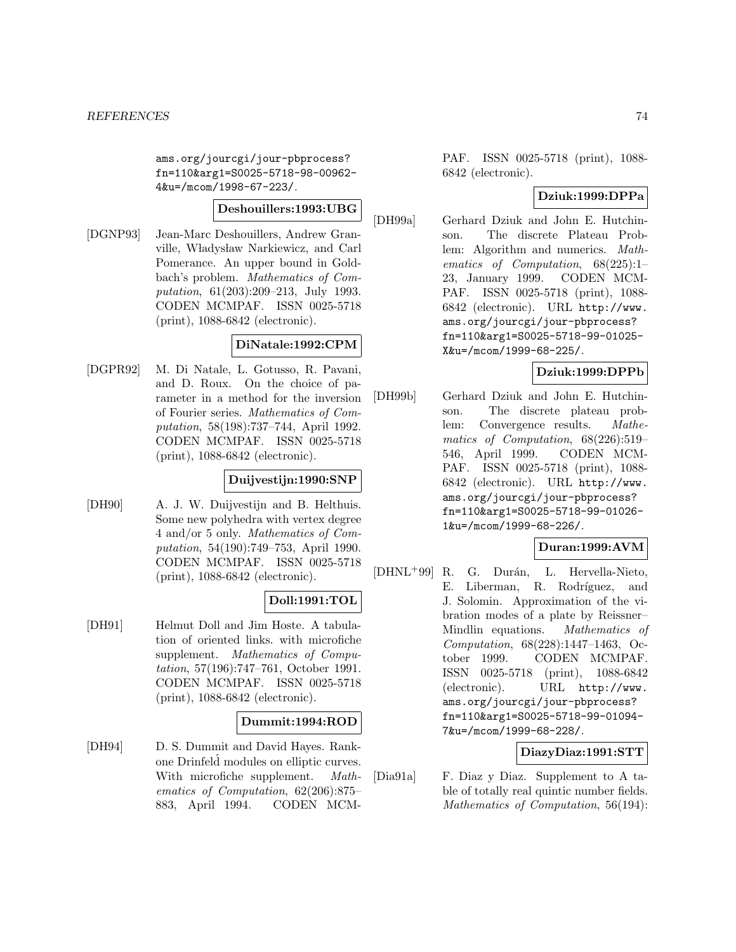ams.org/jourcgi/jour-pbprocess? fn=110&arg1=S0025-5718-98-00962- 4&u=/mcom/1998-67-223/.

## **Deshouillers:1993:UBG**

[DGNP93] Jean-Marc Deshouillers, Andrew Granville, Władysław Narkiewicz, and Carl Pomerance. An upper bound in Goldbach's problem. Mathematics of Computation, 61(203):209–213, July 1993. CODEN MCMPAF. ISSN 0025-5718 (print), 1088-6842 (electronic).

## **DiNatale:1992:CPM**

[DGPR92] M. Di Natale, L. Gotusso, R. Pavani, and D. Roux. On the choice of parameter in a method for the inversion of Fourier series. Mathematics of Computation, 58(198):737–744, April 1992. CODEN MCMPAF. ISSN 0025-5718 (print), 1088-6842 (electronic).

# **Duijvestijn:1990:SNP**

[DH90] A. J. W. Duijvestijn and B. Helthuis. Some new polyhedra with vertex degree 4 and/or 5 only. Mathematics of Computation, 54(190):749–753, April 1990. CODEN MCMPAF. ISSN 0025-5718 (print), 1088-6842 (electronic).

## **Doll:1991:TOL**

[DH91] Helmut Doll and Jim Hoste. A tabulation of oriented links. with microfiche supplement. Mathematics of Computation, 57(196):747–761, October 1991. CODEN MCMPAF. ISSN 0025-5718 (print), 1088-6842 (electronic).

## **Dummit:1994:ROD**

[DH94] D. S. Dummit and David Hayes. Rankone Drinfeld modules on elliptic curves. ´ With microfiche supplement. Mathematics of Computation, 62(206):875– 883, April 1994. CODEN MCM-

PAF. ISSN 0025-5718 (print), 1088- 6842 (electronic).

# **Dziuk:1999:DPPa**

[DH99a] Gerhard Dziuk and John E. Hutchinson. The discrete Plateau Problem: Algorithm and numerics. Mathematics of Computation, 68(225):1– 23, January 1999. CODEN MCM-PAF. ISSN 0025-5718 (print), 1088- 6842 (electronic). URL http://www. ams.org/jourcgi/jour-pbprocess? fn=110&arg1=S0025-5718-99-01025- X&u=/mcom/1999-68-225/.

# **Dziuk:1999:DPPb**

[DH99b] Gerhard Dziuk and John E. Hutchinson. The discrete plateau problem: Convergence results. Mathematics of Computation, 68(226):519– 546, April 1999. CODEN MCM-PAF. ISSN 0025-5718 (print), 1088- 6842 (electronic). URL http://www. ams.org/jourcgi/jour-pbprocess? fn=110&arg1=S0025-5718-99-01026- 1&u=/mcom/1999-68-226/.

## **Duran:1999:AVM**

[DHNL<sup>+</sup>99] R. G. Durán, L. Hervella-Nieto, E. Liberman, R. Rodríguez, and J. Solomin. Approximation of the vibration modes of a plate by Reissner– Mindlin equations. Mathematics of Computation, 68(228):1447–1463, October 1999. CODEN MCMPAF. ISSN 0025-5718 (print), 1088-6842 (electronic). URL http://www. ams.org/jourcgi/jour-pbprocess? fn=110&arg1=S0025-5718-99-01094- 7&u=/mcom/1999-68-228/.

# **DiazyDiaz:1991:STT**

[Dia91a] F. Diaz y Diaz. Supplement to A table of totally real quintic number fields. Mathematics of Computation, 56(194):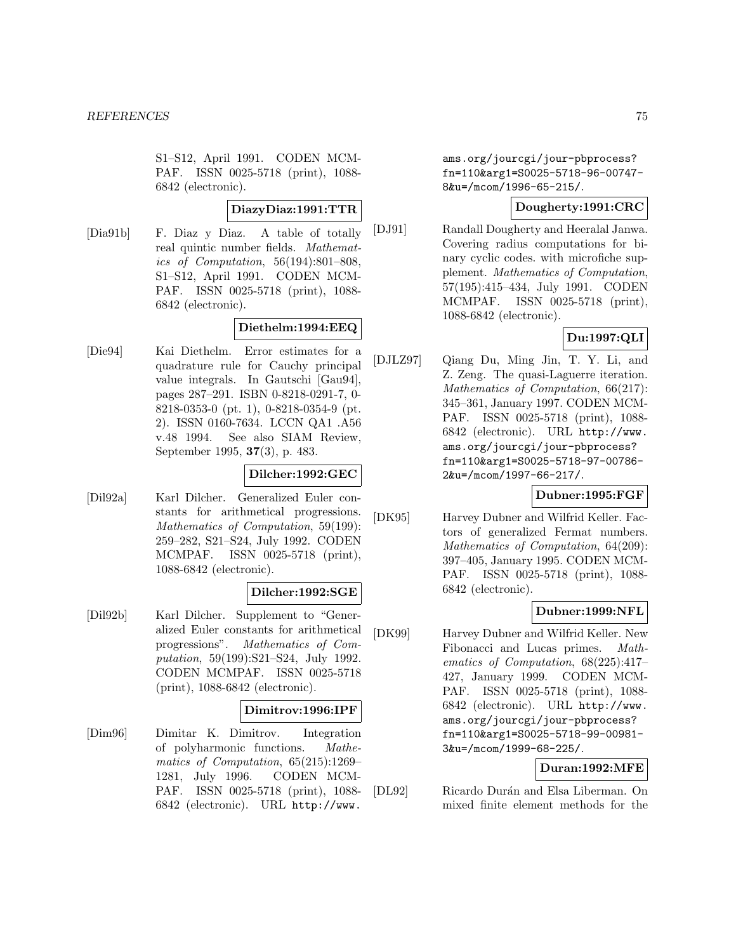S1–S12, April 1991. CODEN MCM-PAF. ISSN 0025-5718 (print), 1088- 6842 (electronic).

## **DiazyDiaz:1991:TTR**

[Dia91b] F. Diaz y Diaz. A table of totally real quintic number fields. Mathematics of Computation, 56(194):801–808, S1–S12, April 1991. CODEN MCM-PAF. ISSN 0025-5718 (print), 1088- 6842 (electronic).

## **Diethelm:1994:EEQ**

[Die94] Kai Diethelm. Error estimates for a quadrature rule for Cauchy principal value integrals. In Gautschi [Gau94], pages 287–291. ISBN 0-8218-0291-7, 0- 8218-0353-0 (pt. 1), 0-8218-0354-9 (pt. 2). ISSN 0160-7634. LCCN QA1 .A56 v.48 1994. See also SIAM Review, September 1995, **37**(3), p. 483.

### **Dilcher:1992:GEC**

[Dil92a] Karl Dilcher. Generalized Euler constants for arithmetical progressions. Mathematics of Computation, 59(199): 259–282, S21–S24, July 1992. CODEN MCMPAF. ISSN 0025-5718 (print), 1088-6842 (electronic).

### **Dilcher:1992:SGE**

[Dil92b] Karl Dilcher. Supplement to "Generalized Euler constants for arithmetical progressions". Mathematics of Computation, 59(199):S21–S24, July 1992. CODEN MCMPAF. ISSN 0025-5718 (print), 1088-6842 (electronic).

#### **Dimitrov:1996:IPF**

[Dim96] Dimitar K. Dimitrov. Integration of polyharmonic functions. Mathematics of Computation, 65(215):1269– 1281, July 1996. CODEN MCM-PAF. ISSN 0025-5718 (print), 1088- 6842 (electronic). URL http://www.

ams.org/jourcgi/jour-pbprocess? fn=110&arg1=S0025-5718-96-00747- 8&u=/mcom/1996-65-215/.

## **Dougherty:1991:CRC**

[DJ91] Randall Dougherty and Heeralal Janwa. Covering radius computations for binary cyclic codes. with microfiche supplement. Mathematics of Computation, 57(195):415–434, July 1991. CODEN MCMPAF. ISSN 0025-5718 (print), 1088-6842 (electronic).

# **Du:1997:QLI**

[DJLZ97] Qiang Du, Ming Jin, T. Y. Li, and Z. Zeng. The quasi-Laguerre iteration. Mathematics of Computation, 66(217): 345–361, January 1997. CODEN MCM-PAF. ISSN 0025-5718 (print), 1088- 6842 (electronic). URL http://www. ams.org/jourcgi/jour-pbprocess? fn=110&arg1=S0025-5718-97-00786- 2&u=/mcom/1997-66-217/.

## **Dubner:1995:FGF**

[DK95] Harvey Dubner and Wilfrid Keller. Factors of generalized Fermat numbers. Mathematics of Computation, 64(209): 397–405, January 1995. CODEN MCM-PAF. ISSN 0025-5718 (print), 1088- 6842 (electronic).

### **Dubner:1999:NFL**

[DK99] Harvey Dubner and Wilfrid Keller. New Fibonacci and Lucas primes. Mathematics of Computation, 68(225):417– 427, January 1999. CODEN MCM-PAF. ISSN 0025-5718 (print), 1088- 6842 (electronic). URL http://www. ams.org/jourcgi/jour-pbprocess? fn=110&arg1=S0025-5718-99-00981- 3&u=/mcom/1999-68-225/.

## **Duran:1992:MFE**

[DL92] Ricardo Durán and Elsa Liberman. On mixed finite element methods for the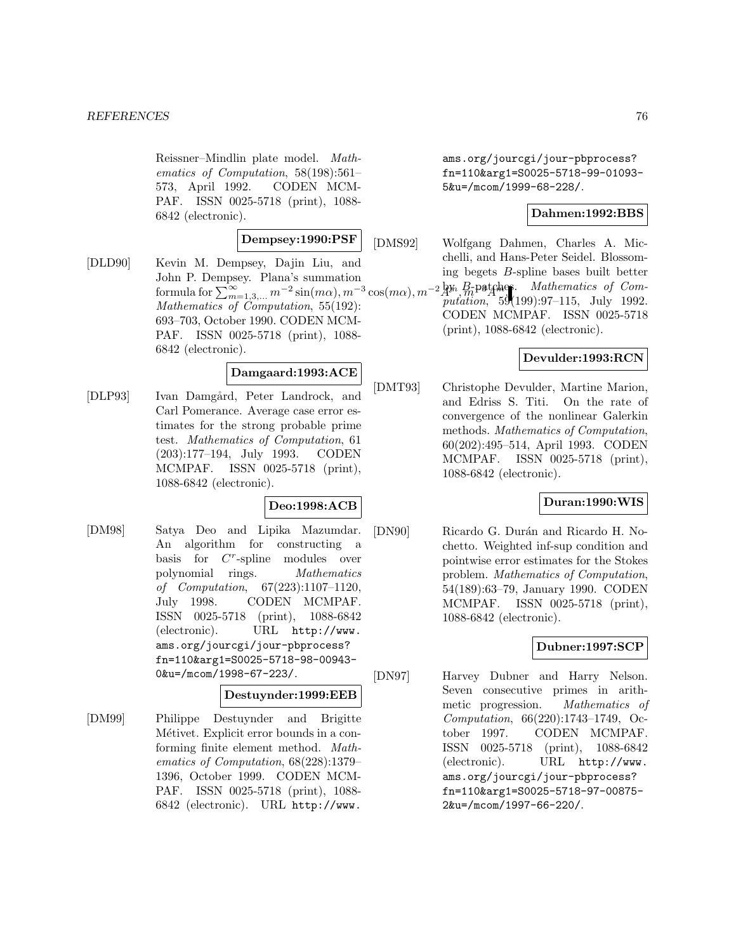Reissner–Mindlin plate model. Mathematics of Computation, 58(198):561– 573, April 1992. CODEN MCM-PAF. ISSN 0025-5718 (print), 1088- 6842 (electronic).

## **Dempsey:1990:PSF**

[DLD90] Kevin M. Dempsey, Dajin Liu, and John P. Dempsey. Plana's summation Mathematics of Computation, 55(192): 693–703, October 1990. CODEN MCM-PAF. ISSN 0025-5718 (print), 1088- 6842 (electronic).

## **Damgaard:1993:ACE**

[DLP93] Ivan Damgård, Peter Landrock, and Carl Pomerance. Average case error estimates for the strong probable prime test. Mathematics of Computation, 61 (203):177–194, July 1993. CODEN MCMPAF. ISSN 0025-5718 (print), 1088-6842 (electronic).

## **Deo:1998:ACB**

[DM98] Satya Deo and Lipika Mazumdar. An algorithm for constructing a basis for  $C<sup>r</sup>$ -spline modules over polynomial rings. Mathematics of Computation, 67(223):1107–1120, July 1998. CODEN MCMPAF. ISSN 0025-5718 (print), 1088-6842 (electronic). URL http://www. ams.org/jourcgi/jour-pbprocess? fn=110&arg1=S0025-5718-98-00943- 0&u=/mcom/1998-67-223/.

#### **Destuynder:1999:EEB**

[DM99] Philippe Destuynder and Brigitte Métivet. Explicit error bounds in a conforming finite element method. Mathematics of Computation, 68(228):1379– 1396, October 1999. CODEN MCM-PAF. ISSN 0025-5718 (print), 1088- 6842 (electronic). URL http://www.

ams.org/jourcgi/jour-pbprocess? fn=110&arg1=S0025-5718-99-01093- 5&u=/mcom/1999-68-228/.

#### **Dahmen:1992:BBS**

formula for  $\sum_{m=1,3,...}^{\infty} m^{-2} \sin(m\alpha)$ ,  $m^{-3} \cos(m\alpha)$ ,  $m^{-2} \frac{Nm}{m} \frac{B_r}{m}$  by  $\frac{B_r}{m}$  for  $\frac{M}{m}$  and  $\frac{M}{m}$  for  $\frac{M}{m}$   $\frac{M}{m}$  for  $\frac{M}{m}$   $\frac{M}{m}$   $\frac{M}{m}$   $\frac{M}{m}$   $\frac{M}{m}$   $\frac{M}{m}$   $\frac{M}{m}$   $\frac$ [DMS92] Wolfgang Dahmen, Charles A. Micchelli, and Hans-Peter Seidel. Blossoming begets B-spline bases built better putation, 59(199):97-115, July 1992. CODEN MCMPAF. ISSN 0025-5718 (print), 1088-6842 (electronic).

## **Devulder:1993:RCN**

[DMT93] Christophe Devulder, Martine Marion, and Edriss S. Titi. On the rate of convergence of the nonlinear Galerkin methods. Mathematics of Computation, 60(202):495–514, April 1993. CODEN MCMPAF. ISSN 0025-5718 (print), 1088-6842 (electronic).

## **Duran:1990:WIS**

[DN90] Ricardo G. Durán and Ricardo H. Nochetto. Weighted inf-sup condition and pointwise error estimates for the Stokes problem. Mathematics of Computation, 54(189):63–79, January 1990. CODEN MCMPAF. ISSN 0025-5718 (print), 1088-6842 (electronic).

## **Dubner:1997:SCP**

[DN97] Harvey Dubner and Harry Nelson. Seven consecutive primes in arithmetic progression. Mathematics of Computation, 66(220):1743–1749, October 1997. CODEN MCMPAF. ISSN 0025-5718 (print), 1088-6842 (electronic). URL http://www. ams.org/jourcgi/jour-pbprocess? fn=110&arg1=S0025-5718-97-00875- 2&u=/mcom/1997-66-220/.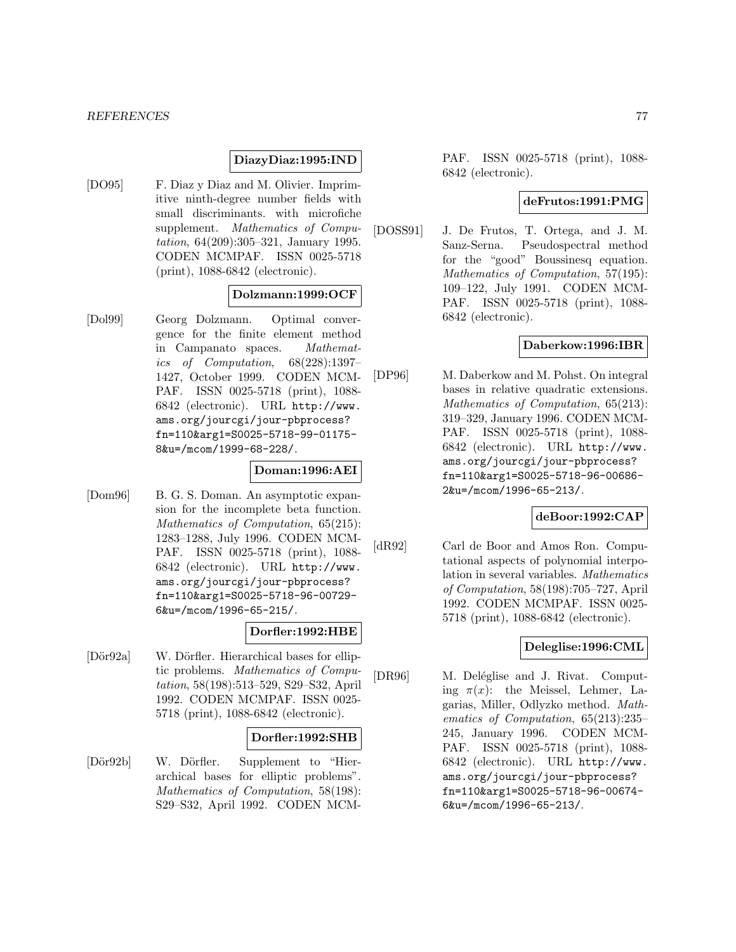#### **DiazyDiaz:1995:IND**

[DO95] F. Diaz y Diaz and M. Olivier. Imprimitive ninth-degree number fields with small discriminants. with microfiche supplement. *Mathematics of Compu*tation, 64(209):305–321, January 1995. CODEN MCMPAF. ISSN 0025-5718 (print), 1088-6842 (electronic).

## **Dolzmann:1999:OCF**

[Dol99] Georg Dolzmann. Optimal convergence for the finite element method in Campanato spaces. Mathematics of Computation, 68(228):1397– 1427, October 1999. CODEN MCM-PAF. ISSN 0025-5718 (print), 1088- 6842 (electronic). URL http://www. ams.org/jourcgi/jour-pbprocess? fn=110&arg1=S0025-5718-99-01175- 8&u=/mcom/1999-68-228/.

## **Doman:1996:AEI**

[Dom96] B. G. S. Doman. An asymptotic expansion for the incomplete beta function. Mathematics of Computation, 65(215): 1283–1288, July 1996. CODEN MCM-PAF. ISSN 0025-5718 (print), 1088- 6842 (electronic). URL http://www. ams.org/jourcgi/jour-pbprocess? fn=110&arg1=S0025-5718-96-00729- 6&u=/mcom/1996-65-215/.

### **Dorfler:1992:HBE**

[Dör92a] W. Dörfler. Hierarchical bases for elliptic problems. Mathematics of Computation, 58(198):513–529, S29–S32, April 1992. CODEN MCMPAF. ISSN 0025- 5718 (print), 1088-6842 (electronic).

### **Dorfler:1992:SHB**

[Dör92b] W. Dörfler. Supplement to "Hierarchical bases for elliptic problems". Mathematics of Computation, 58(198): S29–S32, April 1992. CODEN MCM- PAF. ISSN 0025-5718 (print), 1088- 6842 (electronic).

#### **deFrutos:1991:PMG**

[DOSS91] J. De Frutos, T. Ortega, and J. M. Sanz-Serna. Pseudospectral method for the "good" Boussinesq equation. Mathematics of Computation, 57(195): 109–122, July 1991. CODEN MCM-PAF. ISSN 0025-5718 (print), 1088- 6842 (electronic).

## **Daberkow:1996:IBR**

[DP96] M. Daberkow and M. Pohst. On integral bases in relative quadratic extensions. Mathematics of Computation, 65(213): 319–329, January 1996. CODEN MCM-PAF. ISSN 0025-5718 (print), 1088- 6842 (electronic). URL http://www. ams.org/jourcgi/jour-pbprocess? fn=110&arg1=S0025-5718-96-00686- 2&u=/mcom/1996-65-213/.

## **deBoor:1992:CAP**

[dR92] Carl de Boor and Amos Ron. Computational aspects of polynomial interpolation in several variables. Mathematics of Computation, 58(198):705–727, April 1992. CODEN MCMPAF. ISSN 0025- 5718 (print), 1088-6842 (electronic).

#### **Deleglise:1996:CML**

[DR96] M. Deléglise and J. Rivat. Computing  $\pi(x)$ : the Meissel, Lehmer, Lagarias, Miller, Odlyzko method. Mathematics of Computation, 65(213):235– 245, January 1996. CODEN MCM-PAF. ISSN 0025-5718 (print), 1088- 6842 (electronic). URL http://www. ams.org/jourcgi/jour-pbprocess? fn=110&arg1=S0025-5718-96-00674- 6&u=/mcom/1996-65-213/.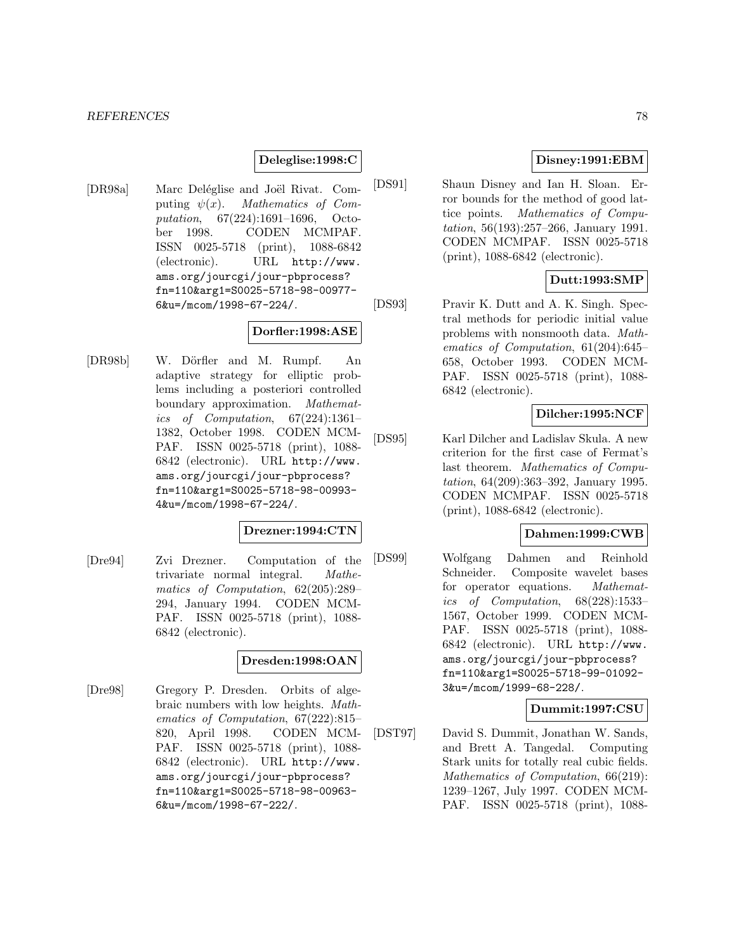#### **Deleglise:1998:C**

[DR98a] Marc Deléglise and Joël Rivat. Computing  $\psi(x)$ . Mathematics of Computation, 67(224):1691–1696, October 1998. CODEN MCMPAF. ISSN 0025-5718 (print), 1088-6842 (electronic). URL http://www. ams.org/jourcgi/jour-pbprocess? fn=110&arg1=S0025-5718-98-00977- 6&u=/mcom/1998-67-224/.

### **Dorfler:1998:ASE**

[DR98b] W. Dörfler and M. Rumpf. An adaptive strategy for elliptic problems including a posteriori controlled boundary approximation. Mathematics of Computation, 67(224):1361– 1382, October 1998. CODEN MCM-PAF. ISSN 0025-5718 (print), 1088- 6842 (electronic). URL http://www. ams.org/jourcgi/jour-pbprocess? fn=110&arg1=S0025-5718-98-00993- 4&u=/mcom/1998-67-224/.

#### **Drezner:1994:CTN**

[Dre94] Zvi Drezner. Computation of the trivariate normal integral. Mathematics of Computation, 62(205):289– 294, January 1994. CODEN MCM-PAF. ISSN 0025-5718 (print), 1088- 6842 (electronic).

# **Dresden:1998:OAN**

[Dre98] Gregory P. Dresden. Orbits of algebraic numbers with low heights. Mathematics of Computation, 67(222):815– 820, April 1998. CODEN MCM-PAF. ISSN 0025-5718 (print), 1088- 6842 (electronic). URL http://www. ams.org/jourcgi/jour-pbprocess? fn=110&arg1=S0025-5718-98-00963- 6&u=/mcom/1998-67-222/.

## **Disney:1991:EBM**

[DS91] Shaun Disney and Ian H. Sloan. Error bounds for the method of good lattice points. Mathematics of Computation, 56(193):257–266, January 1991. CODEN MCMPAF. ISSN 0025-5718 (print), 1088-6842 (electronic).

## **Dutt:1993:SMP**

[DS93] Pravir K. Dutt and A. K. Singh. Spectral methods for periodic initial value problems with nonsmooth data. Mathematics of Computation, 61(204):645– 658, October 1993. CODEN MCM-PAF. ISSN 0025-5718 (print), 1088- 6842 (electronic).

## **Dilcher:1995:NCF**

[DS95] Karl Dilcher and Ladislav Skula. A new criterion for the first case of Fermat's last theorem. Mathematics of Computation, 64(209):363–392, January 1995. CODEN MCMPAF. ISSN 0025-5718 (print), 1088-6842 (electronic).

# **Dahmen:1999:CWB**

[DS99] Wolfgang Dahmen and Reinhold Schneider. Composite wavelet bases for operator equations. Mathematics of Computation, 68(228):1533– 1567, October 1999. CODEN MCM-PAF. ISSN 0025-5718 (print), 1088- 6842 (electronic). URL http://www. ams.org/jourcgi/jour-pbprocess? fn=110&arg1=S0025-5718-99-01092- 3&u=/mcom/1999-68-228/.

### **Dummit:1997:CSU**

[DST97] David S. Dummit, Jonathan W. Sands, and Brett A. Tangedal. Computing Stark units for totally real cubic fields. Mathematics of Computation, 66(219): 1239–1267, July 1997. CODEN MCM-PAF. ISSN 0025-5718 (print), 1088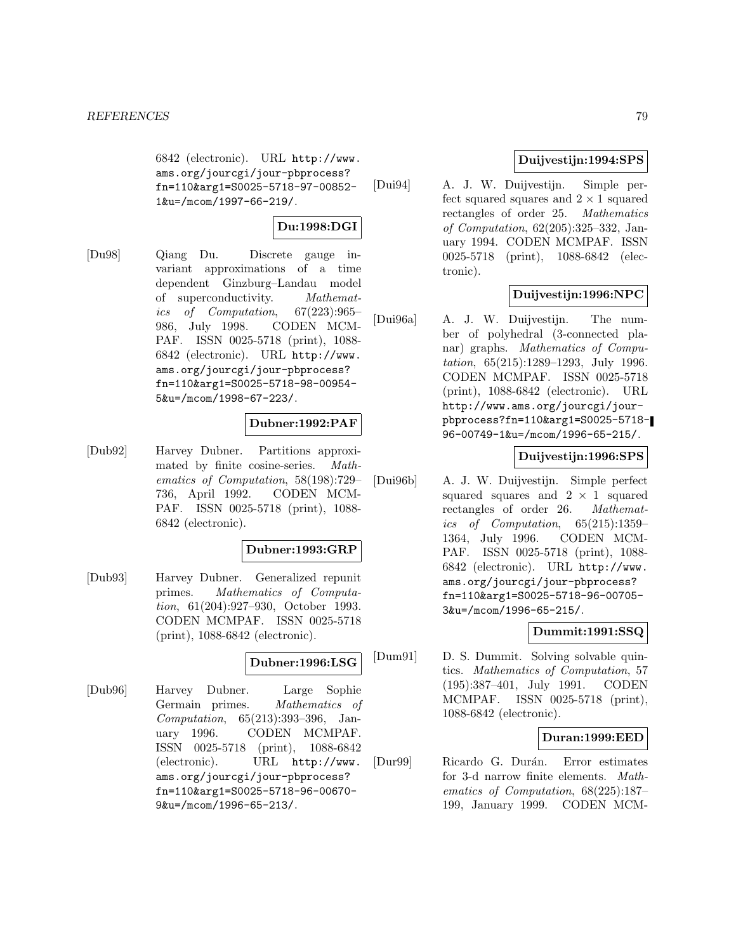6842 (electronic). URL http://www. ams.org/jourcgi/jour-pbprocess? fn=110&arg1=S0025-5718-97-00852- 1&u=/mcom/1997-66-219/.

#### **Du:1998:DGI**

[Du98] Qiang Du. Discrete gauge invariant approximations of a time dependent Ginzburg–Landau model of superconductivity. Mathematics of Computation, 67(223):965– 986, July 1998. CODEN MCM-PAF. ISSN 0025-5718 (print), 1088- 6842 (electronic). URL http://www. ams.org/jourcgi/jour-pbprocess? fn=110&arg1=S0025-5718-98-00954- 5&u=/mcom/1998-67-223/.

## **Dubner:1992:PAF**

[Dub92] Harvey Dubner. Partitions approximated by finite cosine-series. Mathematics of Computation, 58(198):729– 736, April 1992. CODEN MCM-PAF. ISSN 0025-5718 (print), 1088- 6842 (electronic).

#### **Dubner:1993:GRP**

[Dub93] Harvey Dubner. Generalized repunit primes. Mathematics of Computation, 61(204):927–930, October 1993. CODEN MCMPAF. ISSN 0025-5718 (print), 1088-6842 (electronic).

#### **Dubner:1996:LSG**

[Dub96] Harvey Dubner. Large Sophie Germain primes. Mathematics of Computation, 65(213):393–396, January 1996. CODEN MCMPAF. ISSN 0025-5718 (print), 1088-6842 (electronic). URL http://www. ams.org/jourcgi/jour-pbprocess? fn=110&arg1=S0025-5718-96-00670- 9&u=/mcom/1996-65-213/.

# **Duijvestijn:1994:SPS**

[Dui94] A. J. W. Duijvestijn. Simple perfect squared squares and  $2 \times 1$  squared<br>rectangles of order 25. *Mathematics* rectangles of order 25. of Computation, 62(205):325–332, January 1994. CODEN MCMPAF. ISSN 0025-5718 (print), 1088-6842 (electronic).

### **Duijvestijn:1996:NPC**

[Dui96a] A. J. W. Duijvestijn. The number of polyhedral (3-connected planar) graphs. Mathematics of Computation, 65(215):1289–1293, July 1996. CODEN MCMPAF. ISSN 0025-5718 (print), 1088-6842 (electronic). URL http://www.ams.org/jourcgi/jourpbprocess?fn=110&arg1=S0025-5718- 96-00749-1&u=/mcom/1996-65-215/.

## **Duijvestijn:1996:SPS**

[Dui96b] A. J. W. Duijvestijn. Simple perfect squared squares and  $2 \times 1$  squared<br>rectangles of order 26. *Mathemat* $rectangles$  of order 26. ics of Computation, 65(215):1359– 1364, July 1996. CODEN MCM-PAF. ISSN 0025-5718 (print), 1088- 6842 (electronic). URL http://www. ams.org/jourcgi/jour-pbprocess? fn=110&arg1=S0025-5718-96-00705- 3&u=/mcom/1996-65-215/.

### **Dummit:1991:SSQ**

[Dum91] D. S. Dummit. Solving solvable quintics. Mathematics of Computation, 57 (195):387–401, July 1991. CODEN MCMPAF. ISSN 0025-5718 (print), 1088-6842 (electronic).

### **Duran:1999:EED**

[Dur99] Ricardo G. Durán. Error estimates for 3-d narrow finite elements. Mathematics of Computation, 68(225):187– 199, January 1999. CODEN MCM-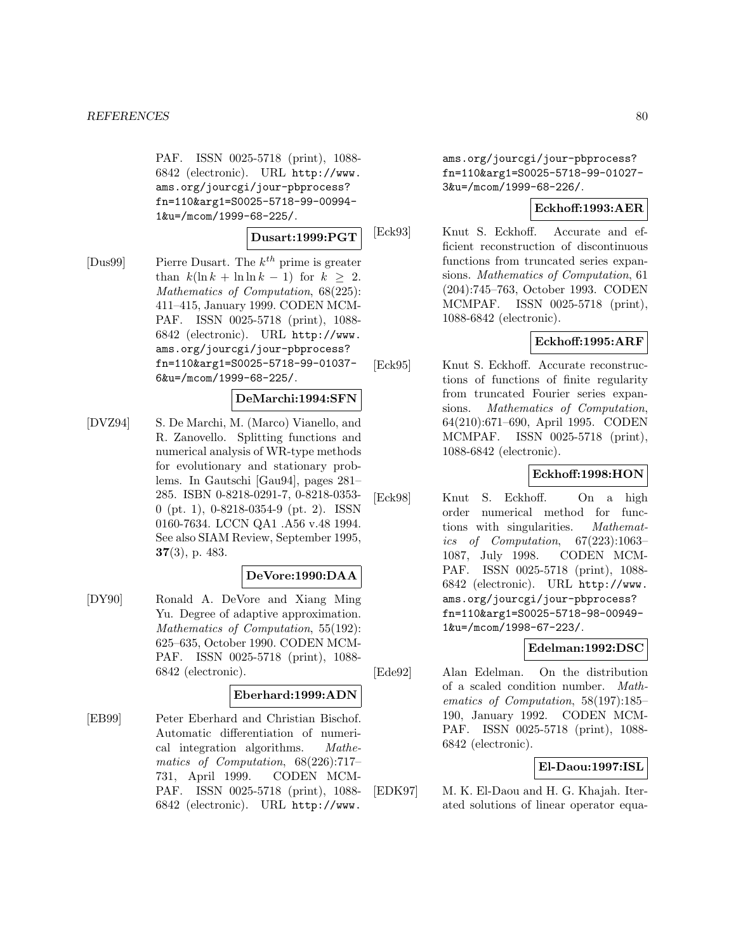PAF. ISSN 0025-5718 (print), 1088- 6842 (electronic). URL http://www. ams.org/jourcgi/jour-pbprocess? fn=110&arg1=S0025-5718-99-00994- 1&u=/mcom/1999-68-225/.

### **Dusart:1999:PGT**

[Dus99] Pierre Dusart. The  $k^{th}$  prime is greater than  $k(\ln k + \ln \ln k - 1)$  for  $k \geq 2$ . Mathematics of Computation, 68(225): 411–415, January 1999. CODEN MCM-PAF. ISSN 0025-5718 (print), 1088- 6842 (electronic). URL http://www. ams.org/jourcgi/jour-pbprocess? fn=110&arg1=S0025-5718-99-01037- 6&u=/mcom/1999-68-225/.

### **DeMarchi:1994:SFN**

[DVZ94] S. De Marchi, M. (Marco) Vianello, and R. Zanovello. Splitting functions and numerical analysis of WR-type methods for evolutionary and stationary problems. In Gautschi [Gau94], pages 281– 285. ISBN 0-8218-0291-7, 0-8218-0353- 0 (pt. 1), 0-8218-0354-9 (pt. 2). ISSN 0160-7634. LCCN QA1 .A56 v.48 1994. See also SIAM Review, September 1995, **37**(3), p. 483.

## **DeVore:1990:DAA**

[DY90] Ronald A. DeVore and Xiang Ming Yu. Degree of adaptive approximation. Mathematics of Computation, 55(192): 625–635, October 1990. CODEN MCM-PAF. ISSN 0025-5718 (print), 1088- 6842 (electronic).

#### **Eberhard:1999:ADN**

[EB99] Peter Eberhard and Christian Bischof. Automatic differentiation of numerical integration algorithms. Mathematics of Computation, 68(226):717– 731, April 1999. CODEN MCM-PAF. ISSN 0025-5718 (print), 1088- 6842 (electronic). URL http://www.

ams.org/jourcgi/jour-pbprocess? fn=110&arg1=S0025-5718-99-01027- 3&u=/mcom/1999-68-226/.

## **Eckhoff:1993:AER**

[Eck93] Knut S. Eckhoff. Accurate and efficient reconstruction of discontinuous functions from truncated series expansions. Mathematics of Computation, 61 (204):745–763, October 1993. CODEN MCMPAF. ISSN 0025-5718 (print), 1088-6842 (electronic).

# **Eckhoff:1995:ARF**

[Eck95] Knut S. Eckhoff. Accurate reconstructions of functions of finite regularity from truncated Fourier series expansions. Mathematics of Computation, 64(210):671–690, April 1995. CODEN MCMPAF. ISSN 0025-5718 (print), 1088-6842 (electronic).

## **Eckhoff:1998:HON**

[Eck98] Knut S. Eckhoff. On a high order numerical method for functions with singularities. Mathematics of Computation, 67(223):1063– 1087, July 1998. CODEN MCM-PAF. ISSN 0025-5718 (print), 1088- 6842 (electronic). URL http://www. ams.org/jourcgi/jour-pbprocess? fn=110&arg1=S0025-5718-98-00949- 1&u=/mcom/1998-67-223/.

## **Edelman:1992:DSC**

[Ede92] Alan Edelman. On the distribution of a scaled condition number. Mathematics of Computation, 58(197):185– 190, January 1992. CODEN MCM-PAF. ISSN 0025-5718 (print), 1088- 6842 (electronic).

## **El-Daou:1997:ISL**

[EDK97] M. K. El-Daou and H. G. Khajah. Iterated solutions of linear operator equa-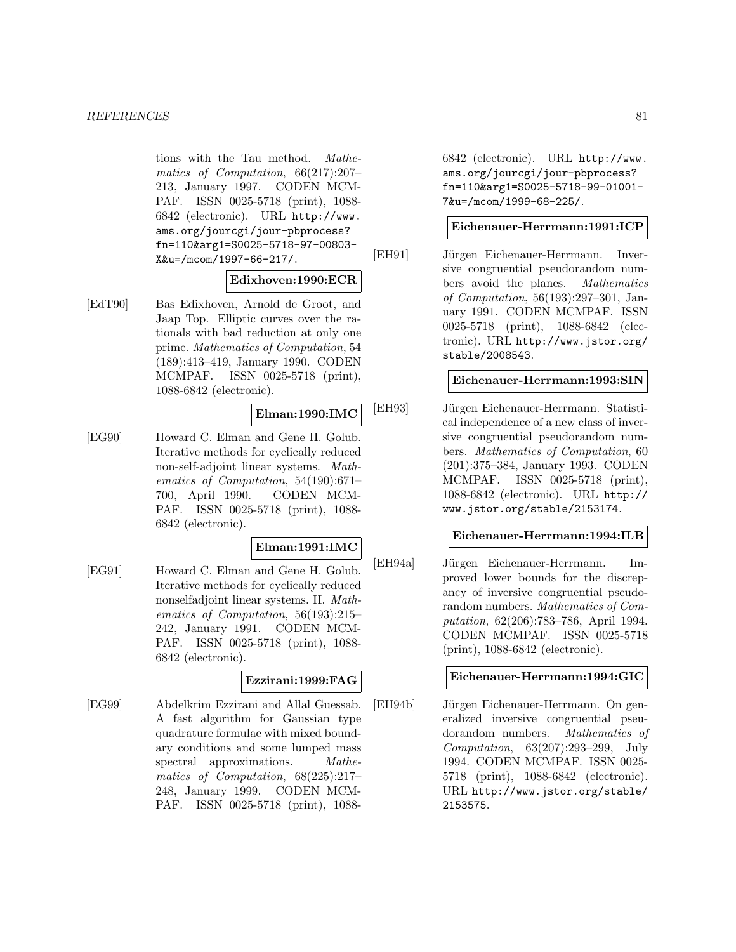tions with the Tau method. Mathematics of Computation, 66(217):207– 213, January 1997. CODEN MCM-PAF. ISSN 0025-5718 (print), 1088- 6842 (electronic). URL http://www. ams.org/jourcgi/jour-pbprocess? fn=110&arg1=S0025-5718-97-00803- X&u=/mcom/1997-66-217/.

### **Edixhoven:1990:ECR**

[EdT90] Bas Edixhoven, Arnold de Groot, and Jaap Top. Elliptic curves over the rationals with bad reduction at only one prime. Mathematics of Computation, 54 (189):413–419, January 1990. CODEN MCMPAF. ISSN 0025-5718 (print), 1088-6842 (electronic).

## **Elman:1990:IMC**

[EG90] Howard C. Elman and Gene H. Golub. Iterative methods for cyclically reduced non-self-adjoint linear systems. Mathematics of Computation, 54(190):671– 700, April 1990. CODEN MCM-PAF. ISSN 0025-5718 (print), 1088- 6842 (electronic).

### **Elman:1991:IMC**

[EG91] Howard C. Elman and Gene H. Golub. Iterative methods for cyclically reduced nonselfadjoint linear systems. II. Mathematics of Computation, 56(193):215– 242, January 1991. CODEN MCM-PAF. ISSN 0025-5718 (print), 1088- 6842 (electronic).

### **Ezzirani:1999:FAG**

[EG99] Abdelkrim Ezzirani and Allal Guessab. A fast algorithm for Gaussian type quadrature formulae with mixed boundary conditions and some lumped mass spectral approximations. *Mathe*matics of Computation, 68(225):217– 248, January 1999. CODEN MCM-PAF. ISSN 0025-5718 (print), 10886842 (electronic). URL http://www. ams.org/jourcgi/jour-pbprocess? fn=110&arg1=S0025-5718-99-01001- 7&u=/mcom/1999-68-225/.

#### **Eichenauer-Herrmann:1991:ICP**

[EH91] Jürgen Eichenauer-Herrmann. Inversive congruential pseudorandom numbers avoid the planes. Mathematics of Computation, 56(193):297–301, January 1991. CODEN MCMPAF. ISSN 0025-5718 (print), 1088-6842 (electronic). URL http://www.jstor.org/ stable/2008543.

### **Eichenauer-Herrmann:1993:SIN**

[EH93] Jürgen Eichenauer-Herrmann. Statistical independence of a new class of inversive congruential pseudorandom numbers. Mathematics of Computation, 60 (201):375–384, January 1993. CODEN MCMPAF. ISSN 0025-5718 (print), 1088-6842 (electronic). URL http:// www.jstor.org/stable/2153174.

## **Eichenauer-Herrmann:1994:ILB**

[EH94a] Jürgen Eichenauer-Herrmann. Improved lower bounds for the discrepancy of inversive congruential pseudorandom numbers. Mathematics of Computation, 62(206):783–786, April 1994. CODEN MCMPAF. ISSN 0025-5718 (print), 1088-6842 (electronic).

### **Eichenauer-Herrmann:1994:GIC**

[EH94b] Jürgen Eichenauer-Herrmann. On generalized inversive congruential pseudorandom numbers. Mathematics of Computation, 63(207):293–299, July 1994. CODEN MCMPAF. ISSN 0025- 5718 (print), 1088-6842 (electronic). URL http://www.jstor.org/stable/ 2153575.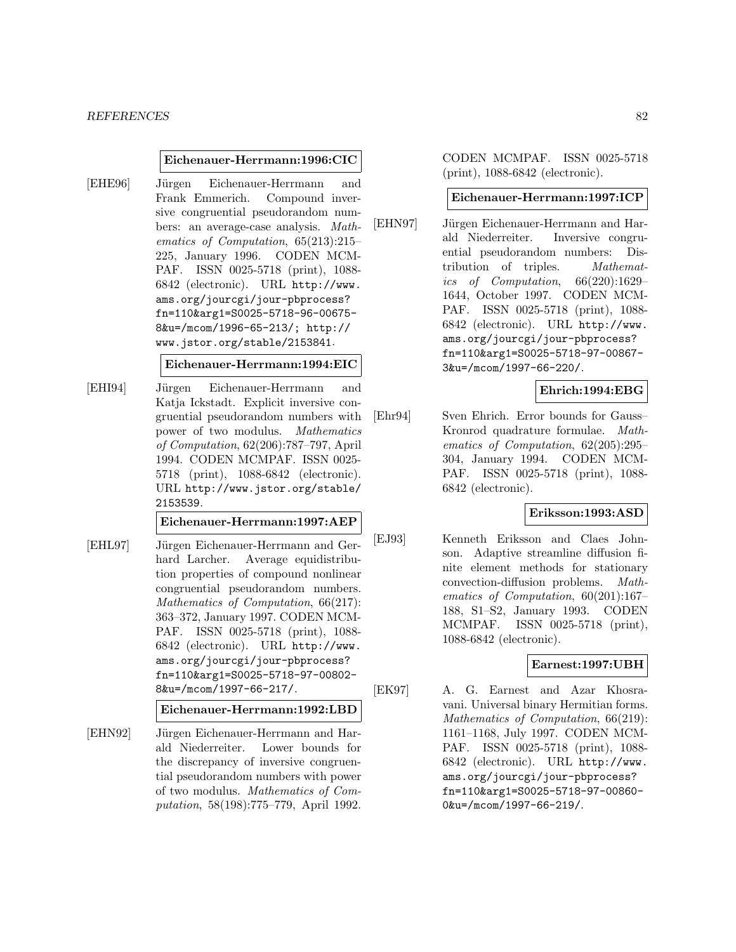#### **Eichenauer-Herrmann:1996:CIC**

[EHE96] Jürgen Eichenauer-Herrmann and Frank Emmerich. Compound inversive congruential pseudorandom numbers: an average-case analysis. Mathematics of Computation, 65(213):215– 225, January 1996. CODEN MCM-PAF. ISSN 0025-5718 (print), 1088- 6842 (electronic). URL http://www. ams.org/jourcgi/jour-pbprocess? fn=110&arg1=S0025-5718-96-00675- 8&u=/mcom/1996-65-213/; http:// www.jstor.org/stable/2153841.

#### **Eichenauer-Herrmann:1994:EIC**

[EHI94] Jürgen Eichenauer-Herrmann and Katja Ickstadt. Explicit inversive congruential pseudorandom numbers with power of two modulus. Mathematics of Computation, 62(206):787–797, April 1994. CODEN MCMPAF. ISSN 0025- 5718 (print), 1088-6842 (electronic). URL http://www.jstor.org/stable/ 2153539.

#### **Eichenauer-Herrmann:1997:AEP**

[EHL97] Jürgen Eichenauer-Herrmann and Gerhard Larcher. Average equidistribution properties of compound nonlinear congruential pseudorandom numbers. Mathematics of Computation, 66(217): 363–372, January 1997. CODEN MCM-PAF. ISSN 0025-5718 (print), 1088- 6842 (electronic). URL http://www. ams.org/jourcgi/jour-pbprocess? fn=110&arg1=S0025-5718-97-00802- 8&u=/mcom/1997-66-217/.

### **Eichenauer-Herrmann:1992:LBD**

[EHN92] Jürgen Eichenauer-Herrmann and Harald Niederreiter. Lower bounds for the discrepancy of inversive congruential pseudorandom numbers with power of two modulus. Mathematics of Computation, 58(198):775–779, April 1992.

CODEN MCMPAF. ISSN 0025-5718 (print), 1088-6842 (electronic).

#### **Eichenauer-Herrmann:1997:ICP**

[EHN97] Jürgen Eichenauer-Herrmann and Harald Niederreiter. Inversive congruential pseudorandom numbers: Distribution of triples. Mathematics of Computation, 66(220):1629– 1644, October 1997. CODEN MCM-PAF. ISSN 0025-5718 (print), 1088- 6842 (electronic). URL http://www. ams.org/jourcgi/jour-pbprocess? fn=110&arg1=S0025-5718-97-00867- 3&u=/mcom/1997-66-220/.

## **Ehrich:1994:EBG**

[Ehr94] Sven Ehrich. Error bounds for Gauss– Kronrod quadrature formulae. Mathematics of Computation, 62(205):295– 304, January 1994. CODEN MCM-PAF. ISSN 0025-5718 (print), 1088- 6842 (electronic).

#### **Eriksson:1993:ASD**

[EJ93] Kenneth Eriksson and Claes Johnson. Adaptive streamline diffusion finite element methods for stationary convection-diffusion problems. Mathematics of Computation, 60(201):167– 188, S1–S2, January 1993. CODEN MCMPAF. ISSN 0025-5718 (print), 1088-6842 (electronic).

## **Earnest:1997:UBH**

[EK97] A. G. Earnest and Azar Khosravani. Universal binary Hermitian forms. Mathematics of Computation, 66(219): 1161–1168, July 1997. CODEN MCM-PAF. ISSN 0025-5718 (print), 1088- 6842 (electronic). URL http://www. ams.org/jourcgi/jour-pbprocess? fn=110&arg1=S0025-5718-97-00860- 0&u=/mcom/1997-66-219/.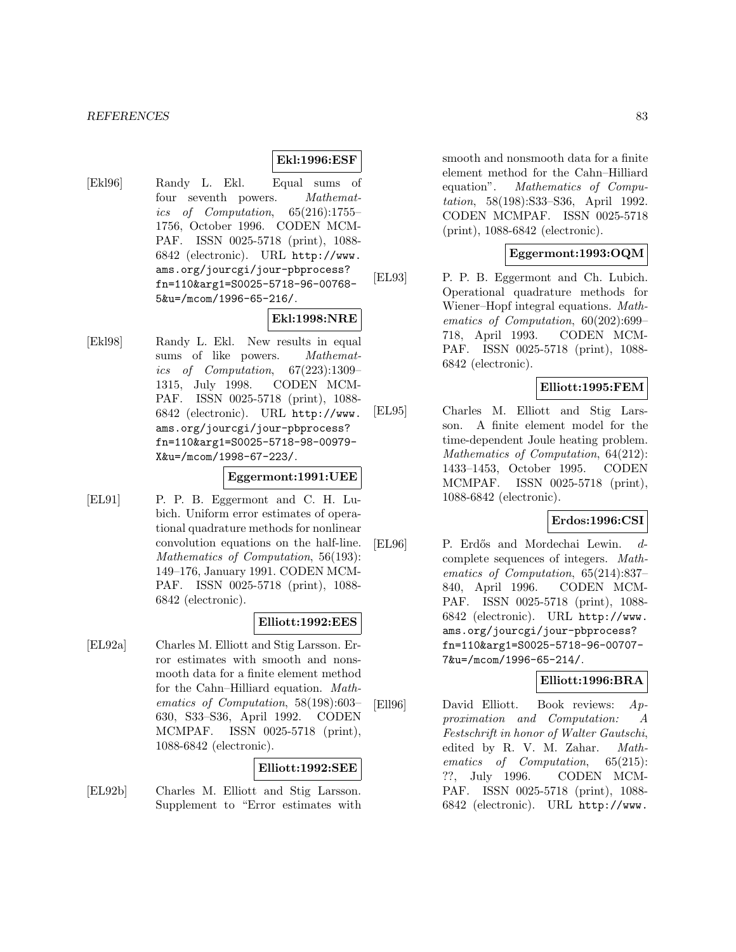#### *REFERENCES* 83

#### **Ekl:1996:ESF**

[Ekl96] Randy L. Ekl. Equal sums of four seventh powers. Mathematics of Computation, 65(216):1755– 1756, October 1996. CODEN MCM-PAF. ISSN 0025-5718 (print), 1088- 6842 (electronic). URL http://www. ams.org/jourcgi/jour-pbprocess? fn=110&arg1=S0025-5718-96-00768- 5&u=/mcom/1996-65-216/.

#### **Ekl:1998:NRE**

[Ekl98] Randy L. Ekl. New results in equal sums of like powers. Mathematics of Computation, 67(223):1309– 1315, July 1998. CODEN MCM-PAF. ISSN 0025-5718 (print), 1088- 6842 (electronic). URL http://www. ams.org/jourcgi/jour-pbprocess? fn=110&arg1=S0025-5718-98-00979- X&u=/mcom/1998-67-223/.

## **Eggermont:1991:UEE**

[EL91] P. P. B. Eggermont and C. H. Lubich. Uniform error estimates of operational quadrature methods for nonlinear convolution equations on the half-line. Mathematics of Computation, 56(193): 149–176, January 1991. CODEN MCM-PAF. ISSN 0025-5718 (print), 1088- 6842 (electronic).

### **Elliott:1992:EES**

[EL92a] Charles M. Elliott and Stig Larsson. Error estimates with smooth and nonsmooth data for a finite element method for the Cahn–Hilliard equation. Mathematics of Computation, 58(198):603– 630, S33–S36, April 1992. CODEN MCMPAF. ISSN 0025-5718 (print), 1088-6842 (electronic).

### **Elliott:1992:SEE**

[EL92b] Charles M. Elliott and Stig Larsson. Supplement to "Error estimates with smooth and nonsmooth data for a finite element method for the Cahn–Hilliard equation". Mathematics of Computation, 58(198):S33–S36, April 1992. CODEN MCMPAF. ISSN 0025-5718 (print), 1088-6842 (electronic).

### **Eggermont:1993:OQM**

[EL93] P. P. B. Eggermont and Ch. Lubich. Operational quadrature methods for Wiener–Hopf integral equations. Mathematics of Computation, 60(202):699– 718, April 1993. CODEN MCM-PAF. ISSN 0025-5718 (print), 1088- 6842 (electronic).

## **Elliott:1995:FEM**

[EL95] Charles M. Elliott and Stig Larsson. A finite element model for the time-dependent Joule heating problem. Mathematics of Computation, 64(212): 1433–1453, October 1995. CODEN MCMPAF. ISSN 0025-5718 (print), 1088-6842 (electronic).

# **Erdos:1996:CSI**

[EL96] P. Erd˝os and Mordechai Lewin. dcomplete sequences of integers. Mathematics of Computation, 65(214):837– 840, April 1996. CODEN MCM-PAF. ISSN 0025-5718 (print), 1088- 6842 (electronic). URL http://www. ams.org/jourcgi/jour-pbprocess? fn=110&arg1=S0025-5718-96-00707- 7&u=/mcom/1996-65-214/.

#### **Elliott:1996:BRA**

[Ell96] David Elliott. Book reviews: Approximation and Computation: A Festschrift in honor of Walter Gautschi, edited by R. V. M. Zahar. Mathematics of Computation, 65(215): ??, July 1996. CODEN MCM-PAF. ISSN 0025-5718 (print), 1088- 6842 (electronic). URL http://www.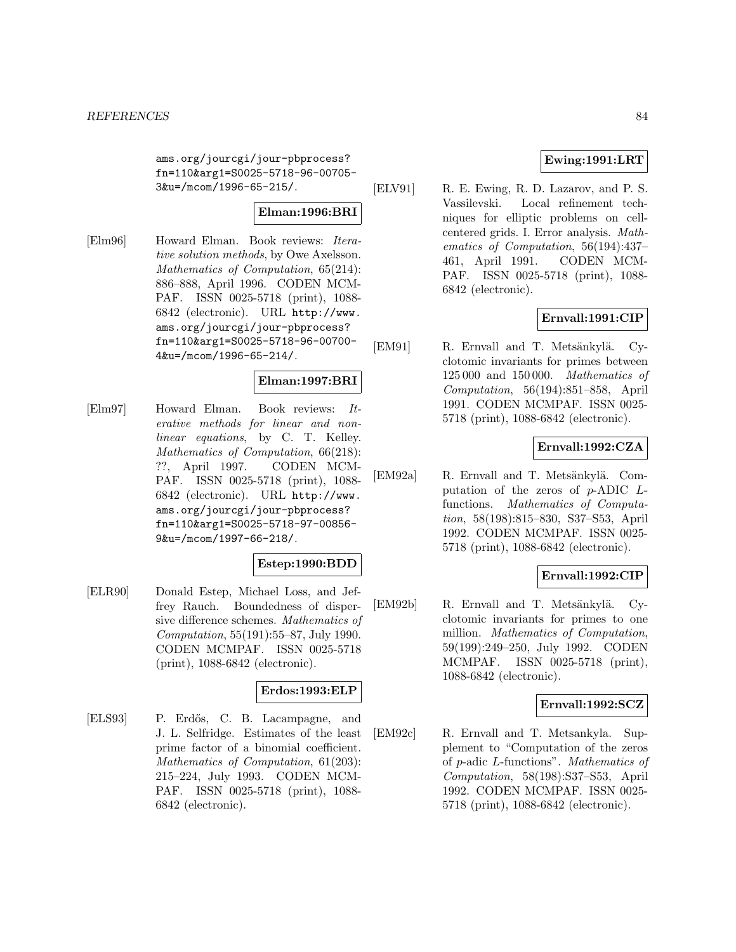ams.org/jourcgi/jour-pbprocess? fn=110&arg1=S0025-5718-96-00705- 3&u=/mcom/1996-65-215/.

# **Elman:1996:BRI**

[Elm96] Howard Elman. Book reviews: Iterative solution methods, by Owe Axelsson. Mathematics of Computation, 65(214): 886–888, April 1996. CODEN MCM-PAF. ISSN 0025-5718 (print), 1088- 6842 (electronic). URL http://www. ams.org/jourcgi/jour-pbprocess? fn=110&arg1=S0025-5718-96-00700- 4&u=/mcom/1996-65-214/.

## **Elman:1997:BRI**

[Elm97] Howard Elman. Book reviews: Iterative methods for linear and nonlinear equations, by C. T. Kelley. Mathematics of Computation, 66(218): ??, April 1997. CODEN MCM-PAF. ISSN 0025-5718 (print), 1088- 6842 (electronic). URL http://www. ams.org/jourcgi/jour-pbprocess? fn=110&arg1=S0025-5718-97-00856- 9&u=/mcom/1997-66-218/.

### **Estep:1990:BDD**

[ELR90] Donald Estep, Michael Loss, and Jeffrey Rauch. Boundedness of dispersive difference schemes. Mathematics of Computation, 55(191):55–87, July 1990. CODEN MCMPAF. ISSN 0025-5718 (print), 1088-6842 (electronic).

### **Erdos:1993:ELP**

[ELS93] P. Erd˝os, C. B. Lacampagne, and J. L. Selfridge. Estimates of the least prime factor of a binomial coefficient. Mathematics of Computation, 61(203): 215–224, July 1993. CODEN MCM-PAF. ISSN 0025-5718 (print), 1088- 6842 (electronic).

## **Ewing:1991:LRT**

[ELV91] R. E. Ewing, R. D. Lazarov, and P. S. Vassilevski. Local refinement techniques for elliptic problems on cellcentered grids. I. Error analysis. Mathematics of Computation, 56(194):437– 461, April 1991. CODEN MCM-PAF. ISSN 0025-5718 (print), 1088- 6842 (electronic).

## **Ernvall:1991:CIP**

[EM91] R. Ernvall and T. Metsänkylä. Cyclotomic invariants for primes between 125 000 and 150 000. Mathematics of Computation, 56(194):851–858, April 1991. CODEN MCMPAF. ISSN 0025- 5718 (print), 1088-6842 (electronic).

## **Ernvall:1992:CZA**

[EM92a] R. Ernvall and T. Metsänkylä. Computation of the zeros of p-ADIC Lfunctions. Mathematics of Computation, 58(198):815–830, S37–S53, April 1992. CODEN MCMPAF. ISSN 0025- 5718 (print), 1088-6842 (electronic).

# **Ernvall:1992:CIP**

[EM92b] R. Ernvall and T. Metsänkylä. Cyclotomic invariants for primes to one million. Mathematics of Computation, 59(199):249–250, July 1992. CODEN MCMPAF. ISSN 0025-5718 (print), 1088-6842 (electronic).

### **Ernvall:1992:SCZ**

[EM92c] R. Ernvall and T. Metsankyla. Supplement to "Computation of the zeros of p-adic L-functions". Mathematics of Computation, 58(198):S37–S53, April 1992. CODEN MCMPAF. ISSN 0025- 5718 (print), 1088-6842 (electronic).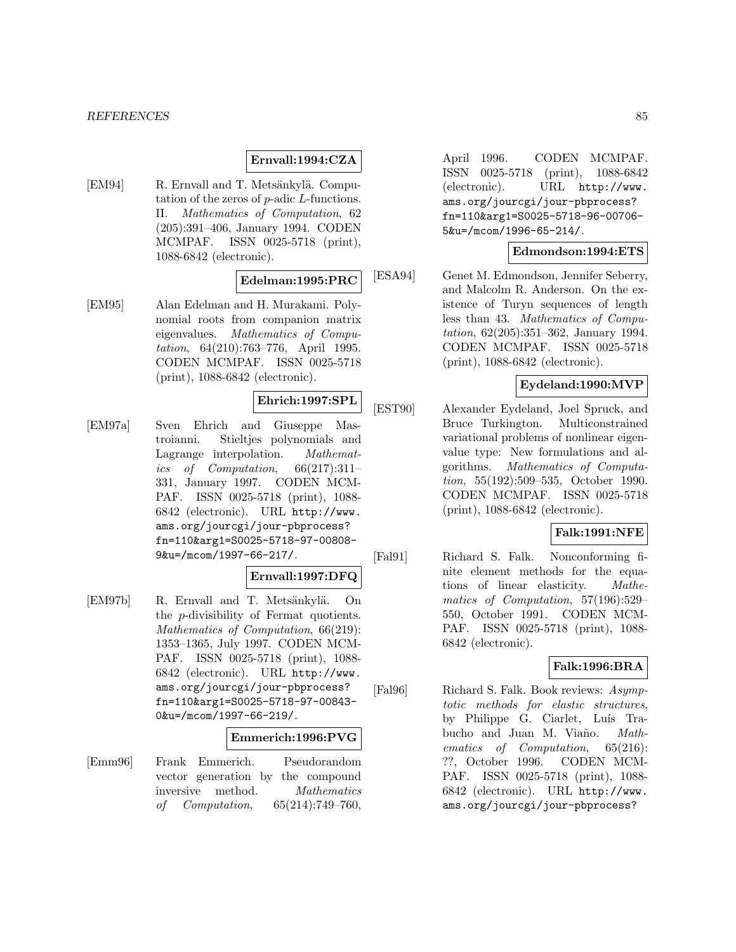#### **Ernvall:1994:CZA**

[EM94] R. Ernvall and T. Metsänkylä. Computation of the zeros of p-adic L-functions. II. Mathematics of Computation, 62 (205):391–406, January 1994. CODEN MCMPAF. ISSN 0025-5718 (print), 1088-6842 (electronic).

### **Edelman:1995:PRC**

[EM95] Alan Edelman and H. Murakami. Polynomial roots from companion matrix eigenvalues. Mathematics of Computation, 64(210):763–776, April 1995. CODEN MCMPAF. ISSN 0025-5718 (print), 1088-6842 (electronic).

## **Ehrich:1997:SPL**

[EM97a] Sven Ehrich and Giuseppe Mastroianni. Stieltjes polynomials and Lagrange interpolation. Mathematics of Computation, 66(217):311– 331, January 1997. CODEN MCM-PAF. ISSN 0025-5718 (print), 1088- 6842 (electronic). URL http://www. ams.org/jourcgi/jour-pbprocess? fn=110&arg1=S0025-5718-97-00808- 9&u=/mcom/1997-66-217/.

#### **Ernvall:1997:DFQ**

[EM97b] R. Ernvall and T. Metsänkylä. On the p-divisibility of Fermat quotients. Mathematics of Computation, 66(219): 1353–1365, July 1997. CODEN MCM-PAF. ISSN 0025-5718 (print), 1088- 6842 (electronic). URL http://www. ams.org/jourcgi/jour-pbprocess? fn=110&arg1=S0025-5718-97-00843- 0&u=/mcom/1997-66-219/.

#### **Emmerich:1996:PVG**

[Emm96] Frank Emmerich. Pseudorandom vector generation by the compound inversive method. Mathematics of Computation, 65(214):749–760,

April 1996. CODEN MCMPAF. ISSN 0025-5718 (print), 1088-6842 (electronic). URL http://www. ams.org/jourcgi/jour-pbprocess? fn=110&arg1=S0025-5718-96-00706- 5&u=/mcom/1996-65-214/.

## **Edmondson:1994:ETS**

[ESA94] Genet M. Edmondson, Jennifer Seberry, and Malcolm R. Anderson. On the existence of Turyn sequences of length less than 43. Mathematics of Computation, 62(205):351–362, January 1994. CODEN MCMPAF. ISSN 0025-5718 (print), 1088-6842 (electronic).

## **Eydeland:1990:MVP**

[EST90] Alexander Eydeland, Joel Spruck, and Bruce Turkington. Multiconstrained variational problems of nonlinear eigenvalue type: New formulations and algorithms. Mathematics of Computation, 55(192):509–535, October 1990. CODEN MCMPAF. ISSN 0025-5718 (print), 1088-6842 (electronic).

#### **Falk:1991:NFE**

[Fal91] Richard S. Falk. Nonconforming finite element methods for the equations of linear elasticity. Mathematics of Computation, 57(196):529– 550, October 1991. CODEN MCM-PAF. ISSN 0025-5718 (print), 1088- 6842 (electronic).

## **Falk:1996:BRA**

[Fal96] Richard S. Falk. Book reviews: Asymptotic methods for elastic structures, by Philippe G. Ciarlet, Luís Trabucho and Juan M. Viaño. Mathematics of Computation, 65(216): ??, October 1996. CODEN MCM-PAF. ISSN 0025-5718 (print), 1088- 6842 (electronic). URL http://www. ams.org/jourcgi/jour-pbprocess?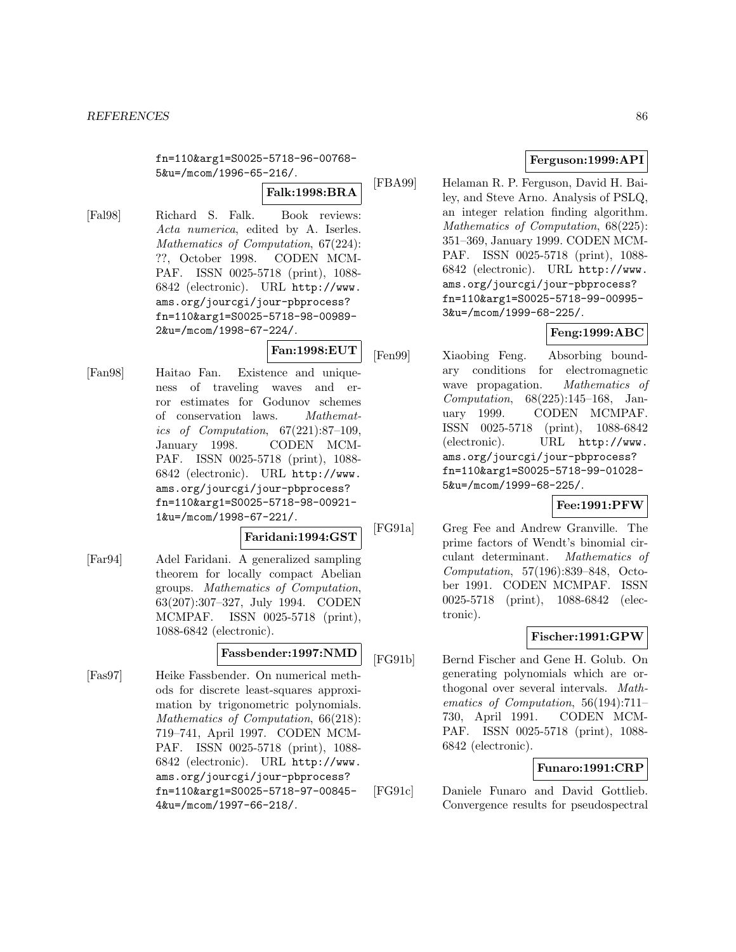#### *REFERENCES* 86

fn=110&arg1=S0025-5718-96-00768- 5&u=/mcom/1996-65-216/.

**Falk:1998:BRA**

[Fal98] Richard S. Falk. Book reviews: Acta numerica, edited by A. Iserles. Mathematics of Computation, 67(224): ??, October 1998. CODEN MCM-PAF. ISSN 0025-5718 (print), 1088- 6842 (electronic). URL http://www. ams.org/jourcgi/jour-pbprocess? fn=110&arg1=S0025-5718-98-00989- 2&u=/mcom/1998-67-224/.

# **Fan:1998:EUT**

[Fan98] Haitao Fan. Existence and uniqueness of traveling waves and error estimates for Godunov schemes of conservation laws. Mathematics of Computation, 67(221):87–109, January 1998. CODEN MCM-PAF. ISSN 0025-5718 (print), 1088- 6842 (electronic). URL http://www. ams.org/jourcgi/jour-pbprocess? fn=110&arg1=S0025-5718-98-00921- 1&u=/mcom/1998-67-221/.

#### **Faridani:1994:GST**

[Far94] Adel Faridani. A generalized sampling theorem for locally compact Abelian groups. Mathematics of Computation, 63(207):307–327, July 1994. CODEN MCMPAF. ISSN 0025-5718 (print), 1088-6842 (electronic).

## **Fassbender:1997:NMD**

[Fas97] Heike Fassbender. On numerical methods for discrete least-squares approximation by trigonometric polynomials. Mathematics of Computation, 66(218): 719–741, April 1997. CODEN MCM-PAF. ISSN 0025-5718 (print), 1088- 6842 (electronic). URL http://www. ams.org/jourcgi/jour-pbprocess? fn=110&arg1=S0025-5718-97-00845- 4&u=/mcom/1997-66-218/.

## **Ferguson:1999:API**

[FBA99] Helaman R. P. Ferguson, David H. Bailey, and Steve Arno. Analysis of PSLQ, an integer relation finding algorithm. Mathematics of Computation, 68(225): 351–369, January 1999. CODEN MCM-PAF. ISSN 0025-5718 (print), 1088- 6842 (electronic). URL http://www. ams.org/jourcgi/jour-pbprocess? fn=110&arg1=S0025-5718-99-00995- 3&u=/mcom/1999-68-225/.

# **Feng:1999:ABC**

[Fen99] Xiaobing Feng. Absorbing boundary conditions for electromagnetic wave propagation. Mathematics of Computation, 68(225):145–168, January 1999. CODEN MCMPAF. ISSN 0025-5718 (print), 1088-6842 (electronic). URL http://www. ams.org/jourcgi/jour-pbprocess? fn=110&arg1=S0025-5718-99-01028- 5&u=/mcom/1999-68-225/.

## **Fee:1991:PFW**

[FG91a] Greg Fee and Andrew Granville. The prime factors of Wendt's binomial circulant determinant. Mathematics of Computation, 57(196):839–848, October 1991. CODEN MCMPAF. ISSN 0025-5718 (print), 1088-6842 (electronic).

## **Fischer:1991:GPW**

[FG91b] Bernd Fischer and Gene H. Golub. On generating polynomials which are orthogonal over several intervals. Mathematics of Computation, 56(194):711– 730, April 1991. CODEN MCM-PAF. ISSN 0025-5718 (print), 1088- 6842 (electronic).

## **Funaro:1991:CRP**

[FG91c] Daniele Funaro and David Gottlieb. Convergence results for pseudospectral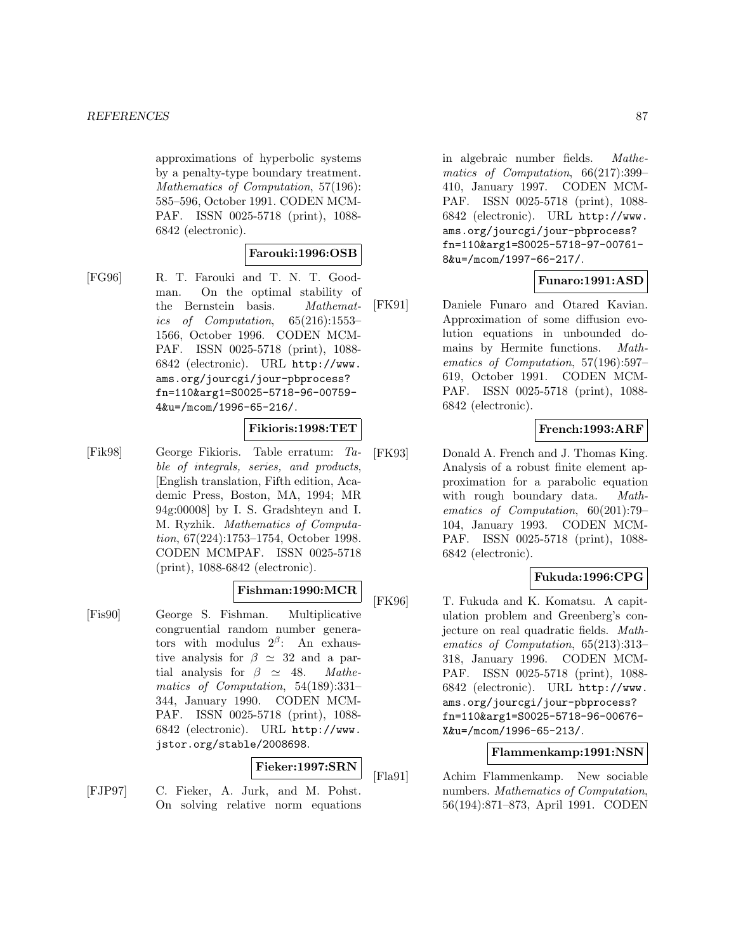approximations of hyperbolic systems by a penalty-type boundary treatment. Mathematics of Computation, 57(196): 585–596, October 1991. CODEN MCM-PAF. ISSN 0025-5718 (print), 1088- 6842 (electronic).

#### **Farouki:1996:OSB**

[FG96] R. T. Farouki and T. N. T. Goodman. On the optimal stability of the Bernstein basis. Mathematics of Computation, 65(216):1553– 1566, October 1996. CODEN MCM-PAF. ISSN 0025-5718 (print), 1088- 6842 (electronic). URL http://www. ams.org/jourcgi/jour-pbprocess? fn=110&arg1=S0025-5718-96-00759- 4&u=/mcom/1996-65-216/.

#### **Fikioris:1998:TET**

[Fik98] George Fikioris. Table erratum: Table of integrals, series, and products, [English translation, Fifth edition, Academic Press, Boston, MA, 1994; MR 94g:00008] by I. S. Gradshteyn and I. M. Ryzhik. Mathematics of Computation, 67(224):1753–1754, October 1998. CODEN MCMPAF. ISSN 0025-5718 (print), 1088-6842 (electronic).

## **Fishman:1990:MCR**

[Fis90] George S. Fishman. Multiplicative congruential random number generators with modulus  $2^{\beta}$ : An exhaustive analysis for  $\beta \simeq 32$  and a partial analysis for  $\beta \simeq 48$ . Mathematics of Computation, 54(189):331– 344, January 1990. CODEN MCM-PAF. ISSN 0025-5718 (print), 1088- 6842 (electronic). URL http://www. jstor.org/stable/2008698.

#### **Fieker:1997:SRN**

[FJP97] C. Fieker, A. Jurk, and M. Pohst. On solving relative norm equations in algebraic number fields. Mathematics of Computation, 66(217):399– 410, January 1997. CODEN MCM-PAF. ISSN 0025-5718 (print), 1088- 6842 (electronic). URL http://www. ams.org/jourcgi/jour-pbprocess? fn=110&arg1=S0025-5718-97-00761- 8&u=/mcom/1997-66-217/.

## **Funaro:1991:ASD**

[FK91] Daniele Funaro and Otared Kavian. Approximation of some diffusion evolution equations in unbounded domains by Hermite functions. Mathematics of Computation, 57(196):597– 619, October 1991. CODEN MCM-PAF. ISSN 0025-5718 (print), 1088- 6842 (electronic).

## **French:1993:ARF**

[FK93] Donald A. French and J. Thomas King. Analysis of a robust finite element approximation for a parabolic equation with rough boundary data. Mathematics of Computation, 60(201):79– 104, January 1993. CODEN MCM-PAF. ISSN 0025-5718 (print), 1088- 6842 (electronic).

## **Fukuda:1996:CPG**

[FK96] T. Fukuda and K. Komatsu. A capitulation problem and Greenberg's conjecture on real quadratic fields. Mathematics of Computation, 65(213):313– 318, January 1996. CODEN MCM-PAF. ISSN 0025-5718 (print), 1088- 6842 (electronic). URL http://www. ams.org/jourcgi/jour-pbprocess? fn=110&arg1=S0025-5718-96-00676- X&u=/mcom/1996-65-213/.

## **Flammenkamp:1991:NSN**

[Fla91] Achim Flammenkamp. New sociable numbers. Mathematics of Computation, 56(194):871–873, April 1991. CODEN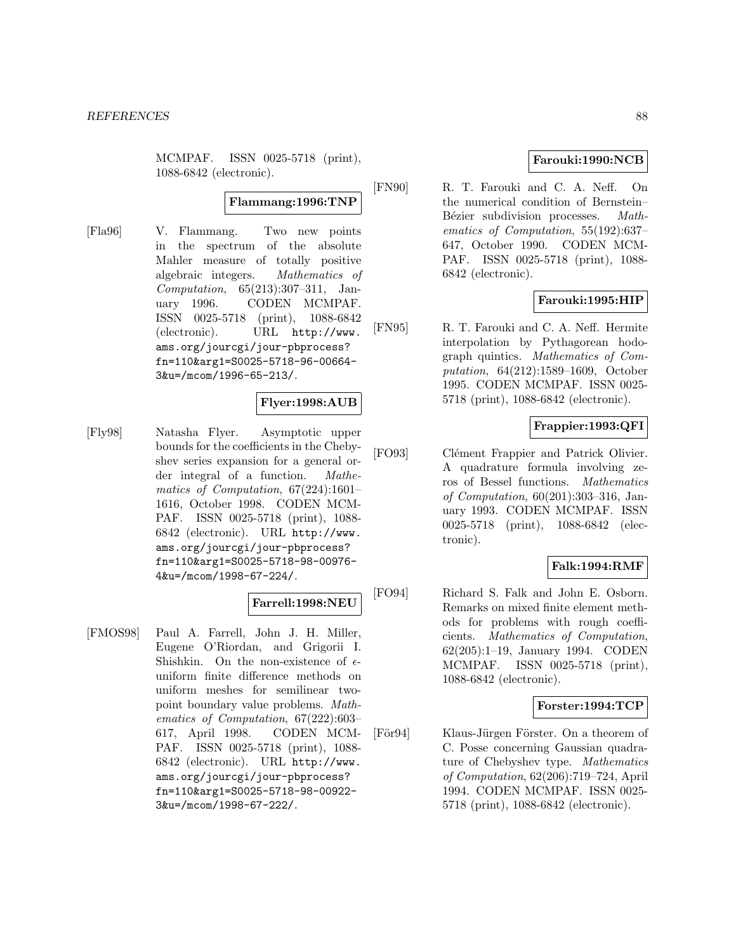MCMPAF. ISSN 0025-5718 (print), 1088-6842 (electronic).

## **Flammang:1996:TNP**

[Fla96] V. Flammang. Two new points in the spectrum of the absolute Mahler measure of totally positive algebraic integers. Mathematics of Computation, 65(213):307–311, January 1996. CODEN MCMPAF. ISSN 0025-5718 (print), 1088-6842 (electronic). URL http://www. ams.org/jourcgi/jour-pbprocess? fn=110&arg1=S0025-5718-96-00664- 3&u=/mcom/1996-65-213/.

## **Flyer:1998:AUB**

[Fly98] Natasha Flyer. Asymptotic upper bounds for the coefficients in the Chebyshev series expansion for a general order integral of a function. Mathematics of Computation, 67(224):1601– 1616, October 1998. CODEN MCM-PAF. ISSN 0025-5718 (print), 1088- 6842 (electronic). URL http://www. ams.org/jourcgi/jour-pbprocess? fn=110&arg1=S0025-5718-98-00976- 4&u=/mcom/1998-67-224/.

## **Farrell:1998:NEU**

[FMOS98] Paul A. Farrell, John J. H. Miller, Eugene O'Riordan, and Grigorii I. Shishkin. On the non-existence of  $\epsilon$ uniform finite difference methods on uniform meshes for semilinear twopoint boundary value problems. Mathematics of Computation, 67(222):603– 617, April 1998. CODEN MCM-PAF. ISSN 0025-5718 (print), 1088- 6842 (electronic). URL http://www. ams.org/jourcgi/jour-pbprocess? fn=110&arg1=S0025-5718-98-00922- 3&u=/mcom/1998-67-222/.

## **Farouki:1990:NCB**

[FN90] R. T. Farouki and C. A. Neff. On the numerical condition of Bernstein– Bézier subdivision processes. Mathematics of Computation, 55(192):637– 647, October 1990. CODEN MCM-PAF. ISSN 0025-5718 (print), 1088- 6842 (electronic).

## **Farouki:1995:HIP**

[FN95] R. T. Farouki and C. A. Neff. Hermite interpolation by Pythagorean hodograph quintics. Mathematics of Computation, 64(212):1589–1609, October 1995. CODEN MCMPAF. ISSN 0025- 5718 (print), 1088-6842 (electronic).

## **Frappier:1993:QFI**

[FO93] Clément Frappier and Patrick Olivier. A quadrature formula involving zeros of Bessel functions. Mathematics of Computation, 60(201):303–316, January 1993. CODEN MCMPAF. ISSN 0025-5718 (print), 1088-6842 (electronic).

## **Falk:1994:RMF**

[FO94] Richard S. Falk and John E. Osborn. Remarks on mixed finite element methods for problems with rough coefficients. Mathematics of Computation, 62(205):1–19, January 1994. CODEN MCMPAF. ISSN 0025-5718 (print), 1088-6842 (electronic).

### **Forster:1994:TCP**

[För94] Klaus-Jürgen Förster. On a theorem of C. Posse concerning Gaussian quadrature of Chebyshev type. Mathematics of Computation, 62(206):719–724, April 1994. CODEN MCMPAF. ISSN 0025- 5718 (print), 1088-6842 (electronic).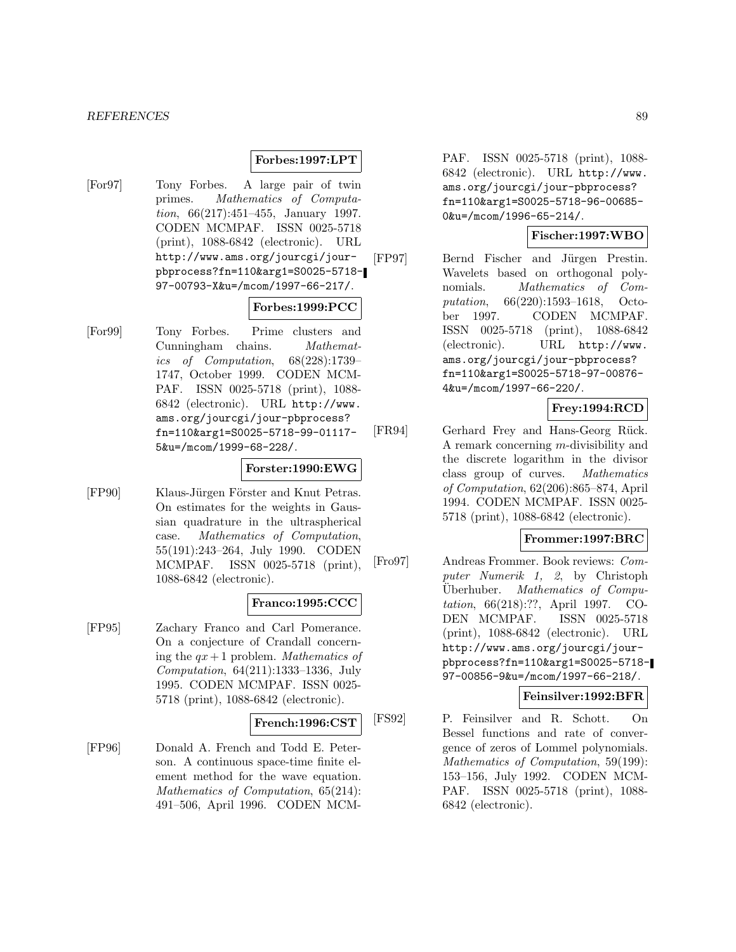#### **Forbes:1997:LPT**

[For97] Tony Forbes. A large pair of twin primes. Mathematics of Computation, 66(217):451–455, January 1997. CODEN MCMPAF. ISSN 0025-5718 (print), 1088-6842 (electronic). URL http://www.ams.org/jourcgi/jourpbprocess?fn=110&arg1=S0025-5718- 97-00793-X&u=/mcom/1997-66-217/.

### **Forbes:1999:PCC**

[For99] Tony Forbes. Prime clusters and Cunningham chains. Mathematics of Computation, 68(228):1739– 1747, October 1999. CODEN MCM-PAF. ISSN 0025-5718 (print), 1088- 6842 (electronic). URL http://www. ams.org/jourcgi/jour-pbprocess? fn=110&arg1=S0025-5718-99-01117- 5&u=/mcom/1999-68-228/.

#### **Forster:1990:EWG**

[FP90] Klaus-Jürgen Förster and Knut Petras. On estimates for the weights in Gaussian quadrature in the ultraspherical case. Mathematics of Computation, 55(191):243–264, July 1990. CODEN MCMPAF. ISSN 0025-5718 (print), 1088-6842 (electronic).

### **Franco:1995:CCC**

[FP95] Zachary Franco and Carl Pomerance. On a conjecture of Crandall concerning the  $qx + 1$  problem. Mathematics of Computation, 64(211):1333–1336, July 1995. CODEN MCMPAF. ISSN 0025- 5718 (print), 1088-6842 (electronic).

#### **French:1996:CST**

[FP96] Donald A. French and Todd E. Peterson. A continuous space-time finite element method for the wave equation. Mathematics of Computation, 65(214): 491–506, April 1996. CODEN MCM- PAF. ISSN 0025-5718 (print), 1088- 6842 (electronic). URL http://www. ams.org/jourcgi/jour-pbprocess? fn=110&arg1=S0025-5718-96-00685- 0&u=/mcom/1996-65-214/.

### **Fischer:1997:WBO**

[FP97] Bernd Fischer and Jürgen Prestin. Wavelets based on orthogonal polynomials. Mathematics of Computation, 66(220):1593–1618, October 1997. CODEN MCMPAF. ISSN 0025-5718 (print), 1088-6842 (electronic). URL http://www. ams.org/jourcgi/jour-pbprocess? fn=110&arg1=S0025-5718-97-00876- 4&u=/mcom/1997-66-220/.

## **Frey:1994:RCD**

[FR94] Gerhard Frey and Hans-Georg Rück. A remark concerning m-divisibility and the discrete logarithm in the divisor class group of curves. Mathematics of Computation, 62(206):865–874, April 1994. CODEN MCMPAF. ISSN 0025- 5718 (print), 1088-6842 (electronic).

### **Frommer:1997:BRC**

[Fro97] Andreas Frommer. Book reviews: Computer Numerik 1, 2, by Christoph Uberhuber. Mathematics of Computation, 66(218):??, April 1997. CO-DEN MCMPAF. ISSN 0025-5718 (print), 1088-6842 (electronic). URL http://www.ams.org/jourcgi/jourpbprocess?fn=110&arg1=S0025-5718- 97-00856-9&u=/mcom/1997-66-218/.

### **Feinsilver:1992:BFR**

[FS92] P. Feinsilver and R. Schott. On Bessel functions and rate of convergence of zeros of Lommel polynomials. Mathematics of Computation, 59(199): 153–156, July 1992. CODEN MCM-PAF. ISSN 0025-5718 (print), 1088- 6842 (electronic).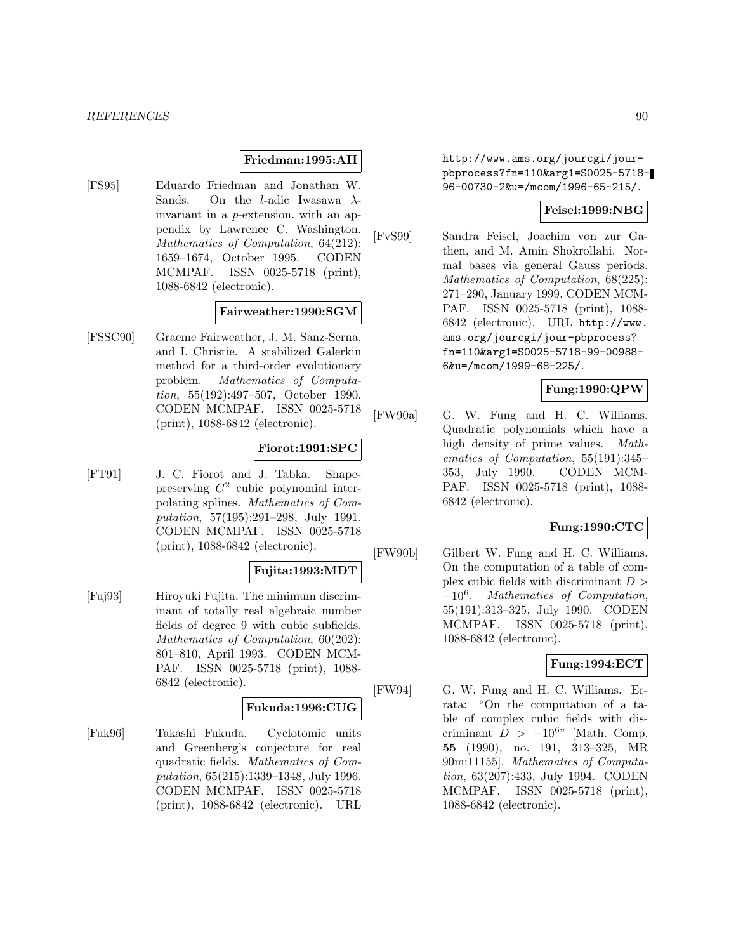## **Friedman:1995:AII**

[FS95] Eduardo Friedman and Jonathan W. Sands. On the *l*-adic Iwasawa  $\lambda$ invariant in a p-extension. with an appendix by Lawrence C. Washington. Mathematics of Computation, 64(212): 1659–1674, October 1995. CODEN MCMPAF. ISSN 0025-5718 (print), 1088-6842 (electronic).

## **Fairweather:1990:SGM**

[FSSC90] Graeme Fairweather, J. M. Sanz-Serna, and I. Christie. A stabilized Galerkin method for a third-order evolutionary problem. Mathematics of Computation, 55(192):497–507, October 1990. CODEN MCMPAF. ISSN 0025-5718 (print), 1088-6842 (electronic).

## **Fiorot:1991:SPC**

[FT91] J. C. Fiorot and J. Tabka. Shapepreserving  $C^2$  cubic polynomial interpolating splines. Mathematics of Computation, 57(195):291–298, July 1991. CODEN MCMPAF. ISSN 0025-5718 (print), 1088-6842 (electronic).

## **Fujita:1993:MDT**

[Fuj93] Hiroyuki Fujita. The minimum discriminant of totally real algebraic number fields of degree 9 with cubic subfields. Mathematics of Computation, 60(202): 801–810, April 1993. CODEN MCM-PAF. ISSN 0025-5718 (print), 1088- 6842 (electronic).

## **Fukuda:1996:CUG**

[Fuk96] Takashi Fukuda. Cyclotomic units and Greenberg's conjecture for real quadratic fields. Mathematics of Computation, 65(215):1339–1348, July 1996. CODEN MCMPAF. ISSN 0025-5718 (print), 1088-6842 (electronic). URL

http://www.ams.org/jourcgi/jourpbprocess?fn=110&arg1=S0025-5718- 96-00730-2&u=/mcom/1996-65-215/.

## **Feisel:1999:NBG**

[FvS99] Sandra Feisel, Joachim von zur Gathen, and M. Amin Shokrollahi. Normal bases via general Gauss periods. Mathematics of Computation, 68(225): 271–290, January 1999. CODEN MCM-PAF. ISSN 0025-5718 (print), 1088- 6842 (electronic). URL http://www. ams.org/jourcgi/jour-pbprocess? fn=110&arg1=S0025-5718-99-00988- 6&u=/mcom/1999-68-225/.

# **Fung:1990:QPW**

[FW90a] G. W. Fung and H. C. Williams. Quadratic polynomials which have a high density of prime values. Mathematics of Computation, 55(191):345– 353, July 1990. CODEN MCM-PAF. ISSN 0025-5718 (print), 1088- 6842 (electronic).

### **Fung:1990:CTC**

[FW90b] Gilbert W. Fung and H. C. Williams. On the computation of a table of complex cubic fields with discriminant  $D >$  $-10^6$ . Mathematics of Computation, 55(191):313–325, July 1990. CODEN MCMPAF. ISSN 0025-5718 (print), 1088-6842 (electronic).

## **Fung:1994:ECT**

[FW94] G. W. Fung and H. C. Williams. Errata: "On the computation of a table of complex cubic fields with discriminant  $D > -10^{6}$ " [Math. Comp. **55** (1990), no. 191, 313–325, MR 90m:11155]. Mathematics of Computation, 63(207):433, July 1994. CODEN MCMPAF. ISSN 0025-5718 (print), 1088-6842 (electronic).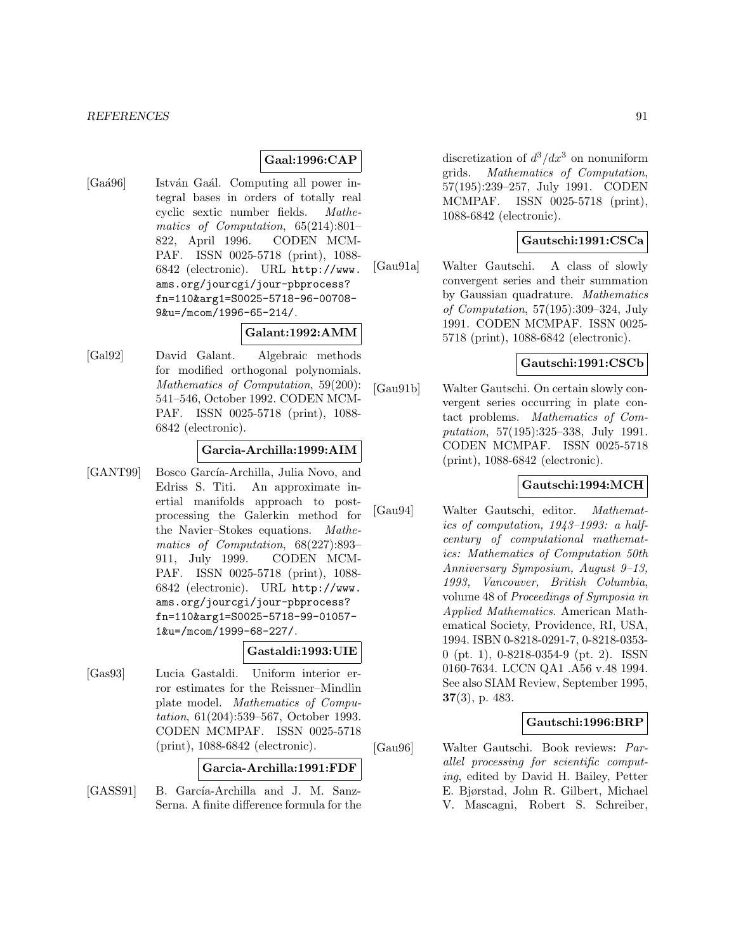#### **Gaal:1996:CAP**

[Gaá96] István Gaál. Computing all power integral bases in orders of totally real cyclic sextic number fields. Mathematics of Computation, 65(214):801– 822, April 1996. CODEN MCM-PAF. ISSN 0025-5718 (print), 1088- 6842 (electronic). URL http://www. ams.org/jourcgi/jour-pbprocess? fn=110&arg1=S0025-5718-96-00708- 9&u=/mcom/1996-65-214/.

## **Galant:1992:AMM**

[Gal92] David Galant. Algebraic methods for modified orthogonal polynomials. Mathematics of Computation, 59(200): 541–546, October 1992. CODEN MCM-PAF. ISSN 0025-5718 (print), 1088- 6842 (electronic).

#### **Garcia-Archilla:1999:AIM**

[GANT99] Bosco García-Archilla, Julia Novo, and Edriss S. Titi. An approximate inertial manifolds approach to postprocessing the Galerkin method for the Navier–Stokes equations. Mathematics of Computation, 68(227):893– 911, July 1999. CODEN MCM-PAF. ISSN 0025-5718 (print), 1088- 6842 (electronic). URL http://www. ams.org/jourcgi/jour-pbprocess? fn=110&arg1=S0025-5718-99-01057- 1&u=/mcom/1999-68-227/.

## **Gastaldi:1993:UIE**

[Gas93] Lucia Gastaldi. Uniform interior error estimates for the Reissner–Mindlin plate model. Mathematics of Computation, 61(204):539–567, October 1993. CODEN MCMPAF. ISSN 0025-5718 (print), 1088-6842 (electronic).

### **Garcia-Archilla:1991:FDF**

[GASS91] B. García-Archilla and J. M. Sanz-Serna. A finite difference formula for the discretization of  $d^3/dx^3$  on nonuniform grids. Mathematics of Computation, 57(195):239–257, July 1991. CODEN MCMPAF. ISSN 0025-5718 (print), 1088-6842 (electronic).

## **Gautschi:1991:CSCa**

[Gau91a] Walter Gautschi. A class of slowly convergent series and their summation by Gaussian quadrature. Mathematics of Computation, 57(195):309–324, July 1991. CODEN MCMPAF. ISSN 0025- 5718 (print), 1088-6842 (electronic).

#### **Gautschi:1991:CSCb**

[Gau91b] Walter Gautschi. On certain slowly convergent series occurring in plate contact problems. Mathematics of Computation, 57(195):325–338, July 1991. CODEN MCMPAF. ISSN 0025-5718 (print), 1088-6842 (electronic).

## **Gautschi:1994:MCH**

[Gau94] Walter Gautschi, editor. Mathematics of computation, 1943–1993: a halfcentury of computational mathematics: Mathematics of Computation 50th Anniversary Symposium, August 9–13, 1993, Vancouver, British Columbia, volume 48 of Proceedings of Symposia in Applied Mathematics. American Mathematical Society, Providence, RI, USA, 1994. ISBN 0-8218-0291-7, 0-8218-0353- 0 (pt. 1), 0-8218-0354-9 (pt. 2). ISSN 0160-7634. LCCN QA1 .A56 v.48 1994. See also SIAM Review, September 1995, **37**(3), p. 483.

#### **Gautschi:1996:BRP**

[Gau96] Walter Gautschi. Book reviews: Parallel processing for scientific computing, edited by David H. Bailey, Petter E. Bjørstad, John R. Gilbert, Michael V. Mascagni, Robert S. Schreiber,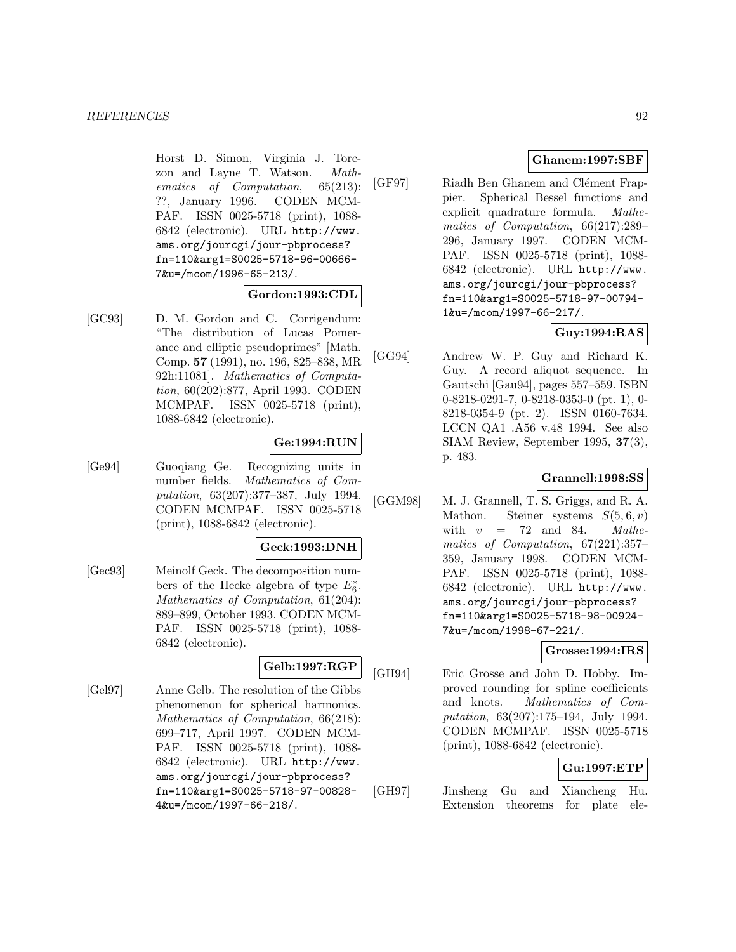Horst D. Simon, Virginia J. Torczon and Layne T. Watson. Mathematics of Computation, 65(213): ??, January 1996. CODEN MCM-PAF. ISSN 0025-5718 (print), 1088- 6842 (electronic). URL http://www. ams.org/jourcgi/jour-pbprocess? fn=110&arg1=S0025-5718-96-00666- 7&u=/mcom/1996-65-213/.

#### **Gordon:1993:CDL**

[GC93] D. M. Gordon and C. Corrigendum: "The distribution of Lucas Pomerance and elliptic pseudoprimes" [Math. Comp. **57** (1991), no. 196, 825–838, MR 92h:11081]. Mathematics of Computation, 60(202):877, April 1993. CODEN MCMPAF. ISSN 0025-5718 (print), 1088-6842 (electronic).

### **Ge:1994:RUN**

[Ge94] Guoqiang Ge. Recognizing units in number fields. Mathematics of Computation, 63(207):377–387, July 1994. CODEN MCMPAF. ISSN 0025-5718 (print), 1088-6842 (electronic).

### **Geck:1993:DNH**

[Gec93] Meinolf Geck. The decomposition numbers of the Hecke algebra of type  $E_6^*$ . Mathematics of Computation, 61(204): 889–899, October 1993. CODEN MCM-PAF. ISSN 0025-5718 (print), 1088- 6842 (electronic).

# **Gelb:1997:RGP**

[Gel97] Anne Gelb. The resolution of the Gibbs phenomenon for spherical harmonics. Mathematics of Computation, 66(218): 699–717, April 1997. CODEN MCM-PAF. ISSN 0025-5718 (print), 1088- 6842 (electronic). URL http://www. ams.org/jourcgi/jour-pbprocess? fn=110&arg1=S0025-5718-97-00828- 4&u=/mcom/1997-66-218/.

## **Ghanem:1997:SBF**

[GF97] Riadh Ben Ghanem and Clément Frappier. Spherical Bessel functions and explicit quadrature formula. Mathematics of Computation, 66(217):289– 296, January 1997. CODEN MCM-PAF. ISSN 0025-5718 (print), 1088- 6842 (electronic). URL http://www. ams.org/jourcgi/jour-pbprocess? fn=110&arg1=S0025-5718-97-00794- 1&u=/mcom/1997-66-217/.

## **Guy:1994:RAS**

[GG94] Andrew W. P. Guy and Richard K. Guy. A record aliquot sequence. In Gautschi [Gau94], pages 557–559. ISBN 0-8218-0291-7, 0-8218-0353-0 (pt. 1), 0- 8218-0354-9 (pt. 2). ISSN 0160-7634. LCCN QA1 .A56 v.48 1994. See also SIAM Review, September 1995, **37**(3), p. 483.

### **Grannell:1998:SS**

[GGM98] M. J. Grannell, T. S. Griggs, and R. A. Mathon. Steiner systems  $S(5,6, v)$ with  $v = 72$  and 84. Mathematics of Computation, 67(221):357– 359, January 1998. CODEN MCM-PAF. ISSN 0025-5718 (print), 1088- 6842 (electronic). URL http://www. ams.org/jourcgi/jour-pbprocess? fn=110&arg1=S0025-5718-98-00924- 7&u=/mcom/1998-67-221/.

## **Grosse:1994:IRS**

[GH94] Eric Grosse and John D. Hobby. Improved rounding for spline coefficients and knots. Mathematics of Computation, 63(207):175–194, July 1994. CODEN MCMPAF. ISSN 0025-5718 (print), 1088-6842 (electronic).

## **Gu:1997:ETP**

[GH97] Jinsheng Gu and Xiancheng Hu. Extension theorems for plate ele-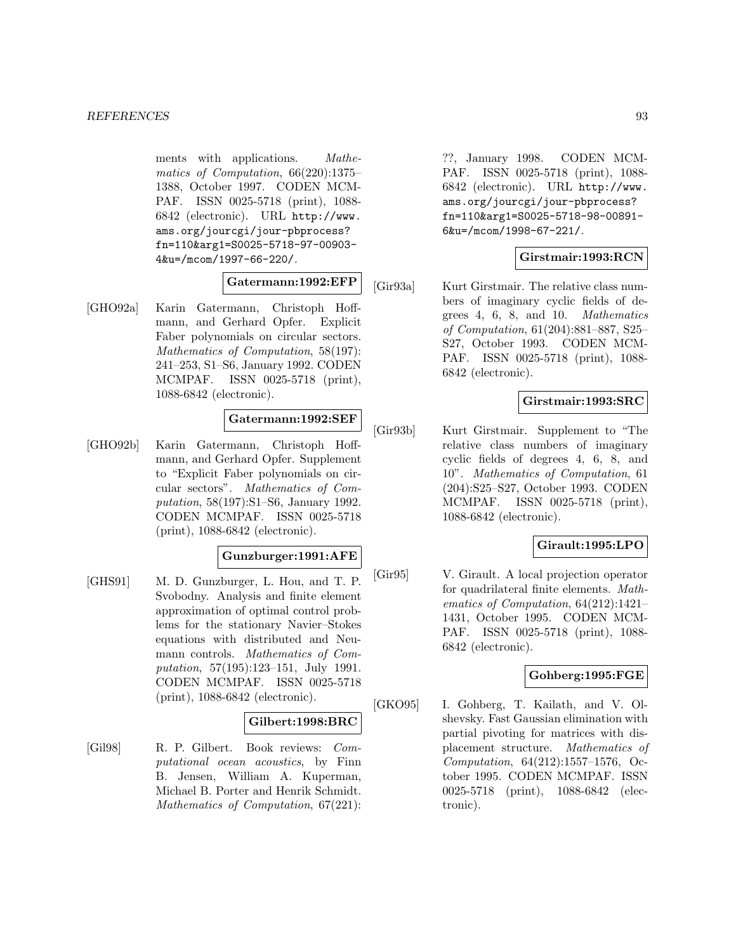ments with applications. Mathematics of Computation, 66(220):1375– 1388, October 1997. CODEN MCM-PAF. ISSN 0025-5718 (print), 1088- 6842 (electronic). URL http://www. ams.org/jourcgi/jour-pbprocess? fn=110&arg1=S0025-5718-97-00903- 4&u=/mcom/1997-66-220/.

### **Gatermann:1992:EFP**

[GHO92a] Karin Gatermann, Christoph Hoffmann, and Gerhard Opfer. Explicit Faber polynomials on circular sectors. Mathematics of Computation, 58(197): 241–253, S1–S6, January 1992. CODEN MCMPAF. ISSN 0025-5718 (print), 1088-6842 (electronic).

# **Gatermann:1992:SEF**

[GHO92b] Karin Gatermann, Christoph Hoffmann, and Gerhard Opfer. Supplement to "Explicit Faber polynomials on circular sectors". Mathematics of Computation, 58(197):S1–S6, January 1992. CODEN MCMPAF. ISSN 0025-5718 (print), 1088-6842 (electronic).

## **Gunzburger:1991:AFE**

[GHS91] M. D. Gunzburger, L. Hou, and T. P. Svobodny. Analysis and finite element approximation of optimal control problems for the stationary Navier–Stokes equations with distributed and Neumann controls. Mathematics of Computation, 57(195):123–151, July 1991. CODEN MCMPAF. ISSN 0025-5718 (print), 1088-6842 (electronic).

### **Gilbert:1998:BRC**

[Gil98] R. P. Gilbert. Book reviews: Computational ocean acoustics, by Finn B. Jensen, William A. Kuperman, Michael B. Porter and Henrik Schmidt. Mathematics of Computation, 67(221):

??, January 1998. CODEN MCM-PAF. ISSN 0025-5718 (print), 1088- 6842 (electronic). URL http://www. ams.org/jourcgi/jour-pbprocess? fn=110&arg1=S0025-5718-98-00891- 6&u=/mcom/1998-67-221/.

# **Girstmair:1993:RCN**

[Gir93a] Kurt Girstmair. The relative class numbers of imaginary cyclic fields of degrees 4, 6, 8, and 10. Mathematics of Computation, 61(204):881–887, S25– S27, October 1993. CODEN MCM-PAF. ISSN 0025-5718 (print), 1088- 6842 (electronic).

## **Girstmair:1993:SRC**

[Gir93b] Kurt Girstmair. Supplement to "The relative class numbers of imaginary cyclic fields of degrees 4, 6, 8, and 10". Mathematics of Computation, 61 (204):S25–S27, October 1993. CODEN MCMPAF. ISSN 0025-5718 (print), 1088-6842 (electronic).

### **Girault:1995:LPO**

[Gir95] V. Girault. A local projection operator for quadrilateral finite elements. Mathematics of Computation, 64(212):1421– 1431, October 1995. CODEN MCM-PAF. ISSN 0025-5718 (print), 1088- 6842 (electronic).

## **Gohberg:1995:FGE**

[GKO95] I. Gohberg, T. Kailath, and V. Olshevsky. Fast Gaussian elimination with partial pivoting for matrices with displacement structure. Mathematics of Computation, 64(212):1557–1576, October 1995. CODEN MCMPAF. ISSN 0025-5718 (print), 1088-6842 (electronic).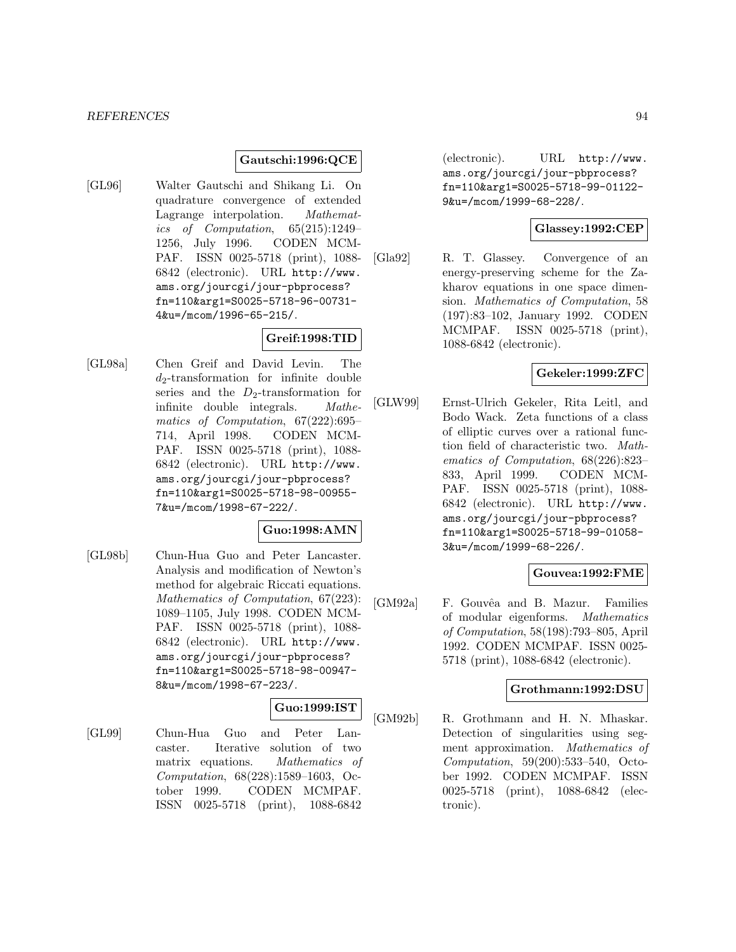### **Gautschi:1996:QCE**

[GL96] Walter Gautschi and Shikang Li. On quadrature convergence of extended Lagrange interpolation. Mathematics of Computation, 65(215):1249– 1256, July 1996. CODEN MCM-PAF. ISSN 0025-5718 (print), 1088- 6842 (electronic). URL http://www. ams.org/jourcgi/jour-pbprocess? fn=110&arg1=S0025-5718-96-00731- 4&u=/mcom/1996-65-215/.

## **Greif:1998:TID**

[GL98a] Chen Greif and David Levin. The  $d_2$ -transformation for infinite double series and the  $D_2$ -transformation for infinite double integrals. Mathematics of Computation, 67(222):695– 714, April 1998. CODEN MCM-PAF. ISSN 0025-5718 (print), 1088- 6842 (electronic). URL http://www. ams.org/jourcgi/jour-pbprocess? fn=110&arg1=S0025-5718-98-00955- 7&u=/mcom/1998-67-222/.

#### **Guo:1998:AMN**

[GL98b] Chun-Hua Guo and Peter Lancaster. Analysis and modification of Newton's method for algebraic Riccati equations. Mathematics of Computation, 67(223): 1089–1105, July 1998. CODEN MCM-PAF. ISSN 0025-5718 (print), 1088- 6842 (electronic). URL http://www. ams.org/jourcgi/jour-pbprocess? fn=110&arg1=S0025-5718-98-00947- 8&u=/mcom/1998-67-223/.

## **Guo:1999:IST**

[GL99] Chun-Hua Guo and Peter Lancaster. Iterative solution of two matrix equations. Mathematics of Computation, 68(228):1589–1603, October 1999. CODEN MCMPAF. ISSN 0025-5718 (print), 1088-6842

(electronic). URL http://www. ams.org/jourcgi/jour-pbprocess? fn=110&arg1=S0025-5718-99-01122- 9&u=/mcom/1999-68-228/.

### **Glassey:1992:CEP**

[Gla92] R. T. Glassey. Convergence of an energy-preserving scheme for the Zakharov equations in one space dimension. Mathematics of Computation, 58 (197):83–102, January 1992. CODEN MCMPAF. ISSN 0025-5718 (print), 1088-6842 (electronic).

## **Gekeler:1999:ZFC**

[GLW99] Ernst-Ulrich Gekeler, Rita Leitl, and Bodo Wack. Zeta functions of a class of elliptic curves over a rational function field of characteristic two. Mathematics of Computation, 68(226):823– 833, April 1999. CODEN MCM-PAF. ISSN 0025-5718 (print), 1088- 6842 (electronic). URL http://www. ams.org/jourcgi/jour-pbprocess? fn=110&arg1=S0025-5718-99-01058- 3&u=/mcom/1999-68-226/.

## **Gouvea:1992:FME**

[GM92a] F. Gouvêa and B. Mazur. Families of modular eigenforms. Mathematics of Computation, 58(198):793–805, April 1992. CODEN MCMPAF. ISSN 0025- 5718 (print), 1088-6842 (electronic).

#### **Grothmann:1992:DSU**

[GM92b] R. Grothmann and H. N. Mhaskar. Detection of singularities using segment approximation. Mathematics of Computation, 59(200):533–540, October 1992. CODEN MCMPAF. ISSN 0025-5718 (print), 1088-6842 (electronic).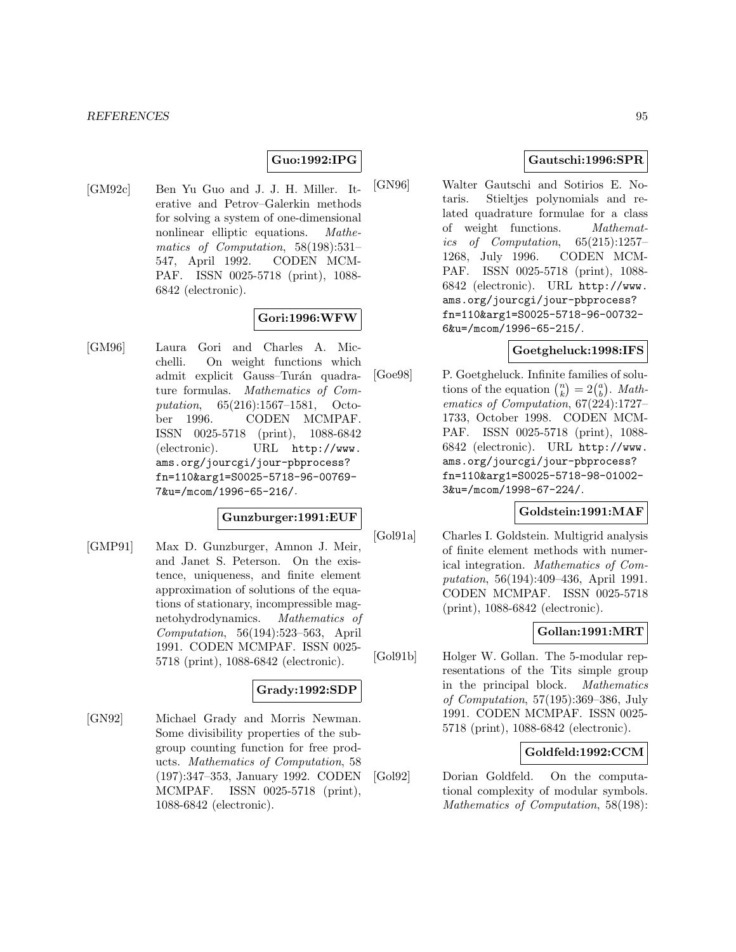## **Guo:1992:IPG**

[GM92c] Ben Yu Guo and J. J. H. Miller. Iterative and Petrov–Galerkin methods for solving a system of one-dimensional nonlinear elliptic equations. Mathematics of Computation, 58(198):531– 547, April 1992. CODEN MCM-PAF. ISSN 0025-5718 (print), 1088- 6842 (electronic).

## **Gori:1996:WFW**

[GM96] Laura Gori and Charles A. Micchelli. On weight functions which admit explicit Gauss–Turán quadrature formulas. Mathematics of Computation, 65(216):1567–1581, October 1996. CODEN MCMPAF. ISSN 0025-5718 (print), 1088-6842 (electronic). URL http://www. ams.org/jourcgi/jour-pbprocess? fn=110&arg1=S0025-5718-96-00769- 7&u=/mcom/1996-65-216/.

## **Gunzburger:1991:EUF**

[GMP91] Max D. Gunzburger, Amnon J. Meir, and Janet S. Peterson. On the existence, uniqueness, and finite element approximation of solutions of the equations of stationary, incompressible magnetohydrodynamics. Mathematics of Computation, 56(194):523–563, April 1991. CODEN MCMPAF. ISSN 0025- 5718 (print), 1088-6842 (electronic).

### **Grady:1992:SDP**

[GN92] Michael Grady and Morris Newman. Some divisibility properties of the subgroup counting function for free products. Mathematics of Computation, 58 (197):347–353, January 1992. CODEN MCMPAF. ISSN 0025-5718 (print), 1088-6842 (electronic).

## **Gautschi:1996:SPR**

[GN96] Walter Gautschi and Sotirios E. Notaris. Stieltjes polynomials and related quadrature formulae for a class of weight functions. Mathematics of Computation, 65(215):1257– 1268, July 1996. CODEN MCM-PAF. ISSN 0025-5718 (print), 1088- 6842 (electronic). URL http://www. ams.org/jourcgi/jour-pbprocess? fn=110&arg1=S0025-5718-96-00732- 6&u=/mcom/1996-65-215/.

### **Goetgheluck:1998:IFS**

[Goe98] P. Goetgheluck. Infinite families of solutions of the equation  $\binom{n}{k} = 2\binom{a}{b}$ . *Math*ematics of Computation, 67(224):1727– 1733, October 1998. CODEN MCM-PAF. ISSN 0025-5718 (print), 1088- 6842 (electronic). URL http://www. ams.org/jourcgi/jour-pbprocess? fn=110&arg1=S0025-5718-98-01002- 3&u=/mcom/1998-67-224/.

### **Goldstein:1991:MAF**

[Gol91a] Charles I. Goldstein. Multigrid analysis of finite element methods with numerical integration. Mathematics of Computation, 56(194):409–436, April 1991. CODEN MCMPAF. ISSN 0025-5718 (print), 1088-6842 (electronic).

## **Gollan:1991:MRT**

[Gol91b] Holger W. Gollan. The 5-modular representations of the Tits simple group in the principal block. Mathematics of Computation, 57(195):369–386, July 1991. CODEN MCMPAF. ISSN 0025- 5718 (print), 1088-6842 (electronic).

## **Goldfeld:1992:CCM**

[Gol92] Dorian Goldfeld. On the computational complexity of modular symbols. Mathematics of Computation, 58(198):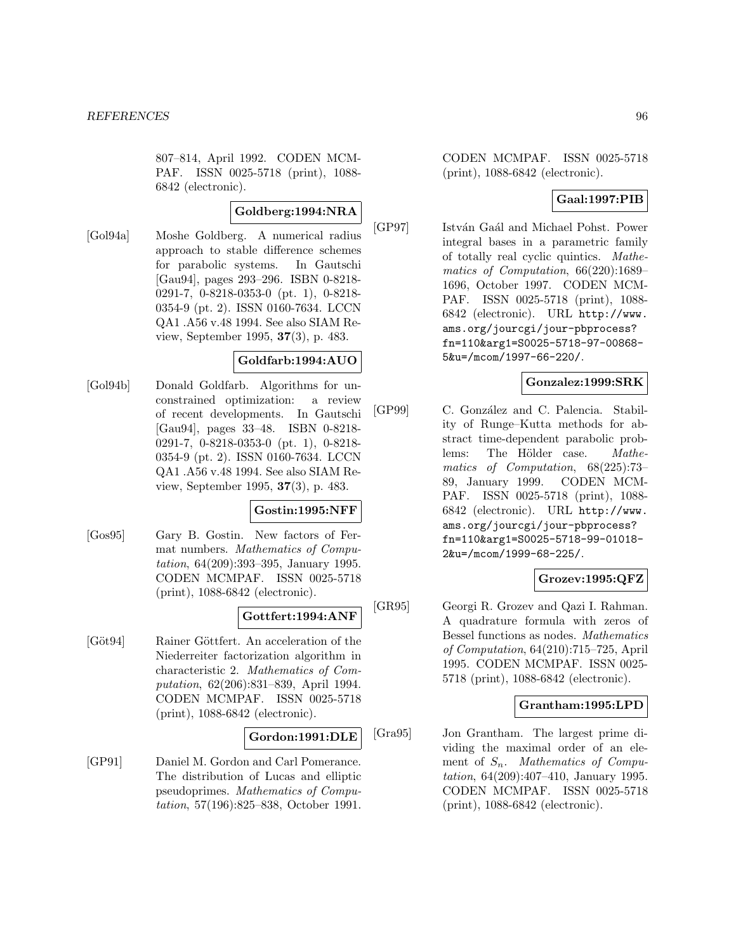807–814, April 1992. CODEN MCM-PAF. ISSN 0025-5718 (print), 1088- 6842 (electronic).

## **Goldberg:1994:NRA**

[Gol94a] Moshe Goldberg. A numerical radius approach to stable difference schemes for parabolic systems. In Gautschi [Gau94], pages 293–296. ISBN 0-8218- 0291-7, 0-8218-0353-0 (pt. 1), 0-8218- 0354-9 (pt. 2). ISSN 0160-7634. LCCN QA1 .A56 v.48 1994. See also SIAM Review, September 1995, **37**(3), p. 483.

## **Goldfarb:1994:AUO**

[Gol94b] Donald Goldfarb. Algorithms for unconstrained optimization: a review of recent developments. In Gautschi [Gau94], pages 33–48. ISBN 0-8218- 0291-7, 0-8218-0353-0 (pt. 1), 0-8218- 0354-9 (pt. 2). ISSN 0160-7634. LCCN QA1 .A56 v.48 1994. See also SIAM Review, September 1995, **37**(3), p. 483.

### **Gostin:1995:NFF**

[Gos95] Gary B. Gostin. New factors of Fermat numbers. Mathematics of Computation, 64(209):393–395, January 1995. CODEN MCMPAF. ISSN 0025-5718 (print), 1088-6842 (electronic).

## **Gottfert:1994:ANF**

[Göt94] Rainer Göttfert. An acceleration of the Niederreiter factorization algorithm in characteristic 2. Mathematics of Computation, 62(206):831–839, April 1994. CODEN MCMPAF. ISSN 0025-5718 (print), 1088-6842 (electronic).

### **Gordon:1991:DLE**

[GP91] Daniel M. Gordon and Carl Pomerance. The distribution of Lucas and elliptic pseudoprimes. Mathematics of Computation, 57(196):825–838, October 1991. CODEN MCMPAF. ISSN 0025-5718 (print), 1088-6842 (electronic).

# **Gaal:1997:PIB**

[GP97] István Gaál and Michael Pohst. Power integral bases in a parametric family of totally real cyclic quintics. Mathematics of Computation, 66(220):1689– 1696, October 1997. CODEN MCM-PAF. ISSN 0025-5718 (print), 1088- 6842 (electronic). URL http://www. ams.org/jourcgi/jour-pbprocess? fn=110&arg1=S0025-5718-97-00868- 5&u=/mcom/1997-66-220/.

## **Gonzalez:1999:SRK**

[GP99] C. González and C. Palencia. Stability of Runge–Kutta methods for abstract time-dependent parabolic problems: The Hölder case. Mathematics of Computation, 68(225):73– 89, January 1999. CODEN MCM-PAF. ISSN 0025-5718 (print), 1088- 6842 (electronic). URL http://www. ams.org/jourcgi/jour-pbprocess? fn=110&arg1=S0025-5718-99-01018- 2&u=/mcom/1999-68-225/.

## **Grozev:1995:QFZ**

[GR95] Georgi R. Grozev and Qazi I. Rahman. A quadrature formula with zeros of Bessel functions as nodes. Mathematics of Computation, 64(210):715–725, April 1995. CODEN MCMPAF. ISSN 0025- 5718 (print), 1088-6842 (electronic).

## **Grantham:1995:LPD**

[Gra95] Jon Grantham. The largest prime dividing the maximal order of an element of  $S_n$ . Mathematics of Computation, 64(209):407–410, January 1995. CODEN MCMPAF. ISSN 0025-5718 (print), 1088-6842 (electronic).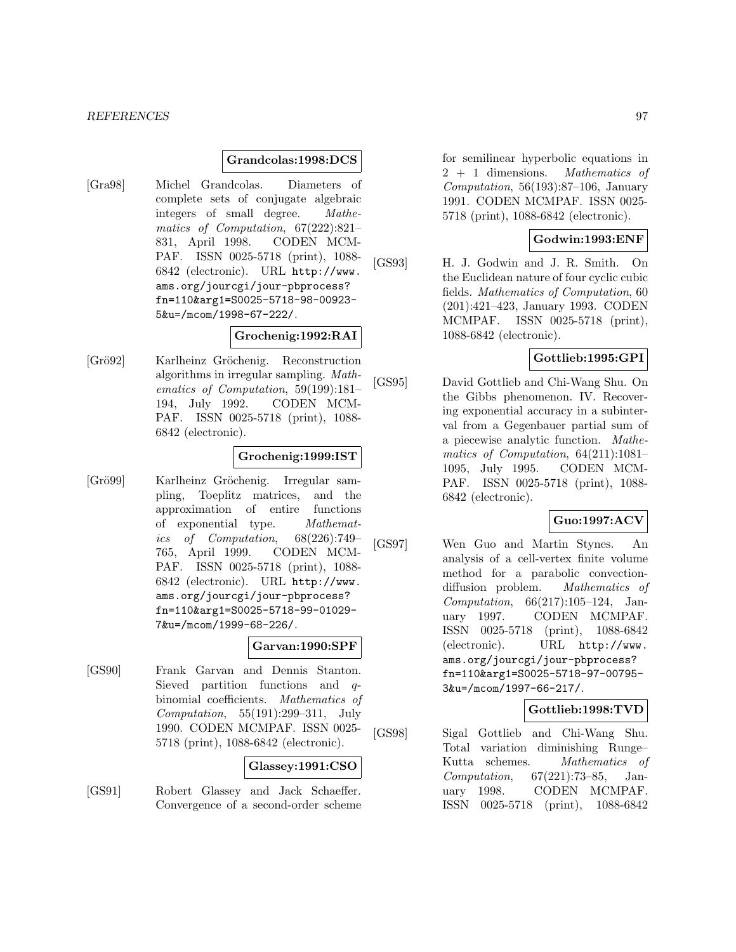### **Grandcolas:1998:DCS**

[Gra98] Michel Grandcolas. Diameters of complete sets of conjugate algebraic integers of small degree. Mathematics of Computation, 67(222):821– 831, April 1998. CODEN MCM-PAF. ISSN 0025-5718 (print), 1088- 6842 (electronic). URL http://www. ams.org/jourcgi/jour-pbprocess? fn=110&arg1=S0025-5718-98-00923- 5&u=/mcom/1998-67-222/.

## **Grochenig:1992:RAI**

[Grö92] Karlheinz Gröchenig. Reconstruction algorithms in irregular sampling. Mathematics of Computation, 59(199):181– 194, July 1992. CODEN MCM-PAF. ISSN 0025-5718 (print), 1088- 6842 (electronic).

## **Grochenig:1999:IST**

[Grö99] Karlheinz Gröchenig. Irregular sampling, Toeplitz matrices, and the approximation of entire functions of exponential type. Mathematics of Computation, 68(226):749– 765, April 1999. CODEN MCM-PAF. ISSN 0025-5718 (print), 1088- 6842 (electronic). URL http://www. ams.org/jourcgi/jour-pbprocess? fn=110&arg1=S0025-5718-99-01029- 7&u=/mcom/1999-68-226/.

#### **Garvan:1990:SPF**

[GS90] Frank Garvan and Dennis Stanton. Sieved partition functions and qbinomial coefficients. Mathematics of Computation, 55(191):299–311, July 1990. CODEN MCMPAF. ISSN 0025- 5718 (print), 1088-6842 (electronic).

#### **Glassey:1991:CSO**

[GS91] Robert Glassey and Jack Schaeffer. Convergence of a second-order scheme

for semilinear hyperbolic equations in 2 + 1 dimensions. Mathematics of  $Computation$ , 56(193):87–106, January 1991. CODEN MCMPAF. ISSN 0025- 5718 (print), 1088-6842 (electronic).

## **Godwin:1993:ENF**

[GS93] H. J. Godwin and J. R. Smith. On the Euclidean nature of four cyclic cubic fields. Mathematics of Computation, 60 (201):421–423, January 1993. CODEN MCMPAF. ISSN 0025-5718 (print), 1088-6842 (electronic).

## **Gottlieb:1995:GPI**

[GS95] David Gottlieb and Chi-Wang Shu. On the Gibbs phenomenon. IV. Recovering exponential accuracy in a subinterval from a Gegenbauer partial sum of a piecewise analytic function. Mathematics of Computation, 64(211):1081– 1095, July 1995. CODEN MCM-PAF. ISSN 0025-5718 (print), 1088- 6842 (electronic).

## **Guo:1997:ACV**

[GS97] Wen Guo and Martin Stynes. An analysis of a cell-vertex finite volume method for a parabolic convectiondiffusion problem. Mathematics of Computation, 66(217):105–124, January 1997. CODEN MCMPAF. ISSN 0025-5718 (print), 1088-6842 (electronic). URL http://www. ams.org/jourcgi/jour-pbprocess? fn=110&arg1=S0025-5718-97-00795- 3&u=/mcom/1997-66-217/.

### **Gottlieb:1998:TVD**

[GS98] Sigal Gottlieb and Chi-Wang Shu. Total variation diminishing Runge– Kutta schemes. Mathematics of Computation, 67(221):73–85, January 1998. CODEN MCMPAF. ISSN 0025-5718 (print), 1088-6842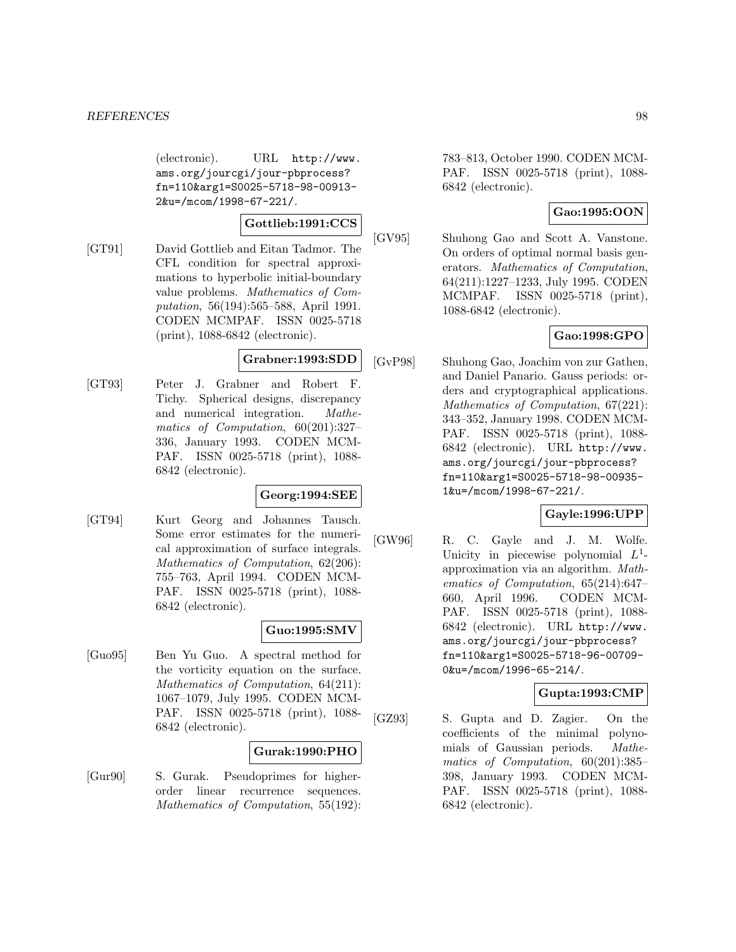(electronic). URL http://www. ams.org/jourcgi/jour-pbprocess? fn=110&arg1=S0025-5718-98-00913- 2&u=/mcom/1998-67-221/.

# **Gottlieb:1991:CCS**

[GT91] David Gottlieb and Eitan Tadmor. The CFL condition for spectral approximations to hyperbolic initial-boundary value problems. Mathematics of Computation, 56(194):565–588, April 1991. CODEN MCMPAF. ISSN 0025-5718 (print), 1088-6842 (electronic).

## **Grabner:1993:SDD**

[GT93] Peter J. Grabner and Robert F. Tichy. Spherical designs, discrepancy and numerical integration. Mathematics of Computation, 60(201):327– 336, January 1993. CODEN MCM-PAF. ISSN 0025-5718 (print), 1088- 6842 (electronic).

## **Georg:1994:SEE**

[GT94] Kurt Georg and Johannes Tausch. Some error estimates for the numerical approximation of surface integrals. Mathematics of Computation, 62(206): 755–763, April 1994. CODEN MCM-PAF. ISSN 0025-5718 (print), 1088- 6842 (electronic).

## **Guo:1995:SMV**

[Guo95] Ben Yu Guo. A spectral method for the vorticity equation on the surface. Mathematics of Computation, 64(211): 1067–1079, July 1995. CODEN MCM-PAF. ISSN 0025-5718 (print), 1088- 6842 (electronic).

## **Gurak:1990:PHO**

[Gur90] S. Gurak. Pseudoprimes for higherorder linear recurrence sequences. Mathematics of Computation, 55(192):

783–813, October 1990. CODEN MCM-PAF. ISSN 0025-5718 (print), 1088- 6842 (electronic).

# **Gao:1995:OON**

[GV95] Shuhong Gao and Scott A. Vanstone. On orders of optimal normal basis generators. Mathematics of Computation, 64(211):1227–1233, July 1995. CODEN MCMPAF. ISSN 0025-5718 (print), 1088-6842 (electronic).

# **Gao:1998:GPO**

[GvP98] Shuhong Gao, Joachim von zur Gathen, and Daniel Panario. Gauss periods: orders and cryptographical applications. Mathematics of Computation, 67(221): 343–352, January 1998. CODEN MCM-PAF. ISSN 0025-5718 (print), 1088- 6842 (electronic). URL http://www. ams.org/jourcgi/jour-pbprocess? fn=110&arg1=S0025-5718-98-00935- 1&u=/mcom/1998-67-221/.

# **Gayle:1996:UPP**

[GW96] R. C. Gayle and J. M. Wolfe. Unicity in piecewise polynomial  $L^1$ approximation via an algorithm. Mathematics of Computation, 65(214):647– 660, April 1996. CODEN MCM-PAF. ISSN 0025-5718 (print), 1088- 6842 (electronic). URL http://www. ams.org/jourcgi/jour-pbprocess? fn=110&arg1=S0025-5718-96-00709- 0&u=/mcom/1996-65-214/.

# **Gupta:1993:CMP**

[GZ93] S. Gupta and D. Zagier. On the coefficients of the minimal polynomials of Gaussian periods. Mathematics of Computation, 60(201):385– 398, January 1993. CODEN MCM-PAF. ISSN 0025-5718 (print), 1088- 6842 (electronic).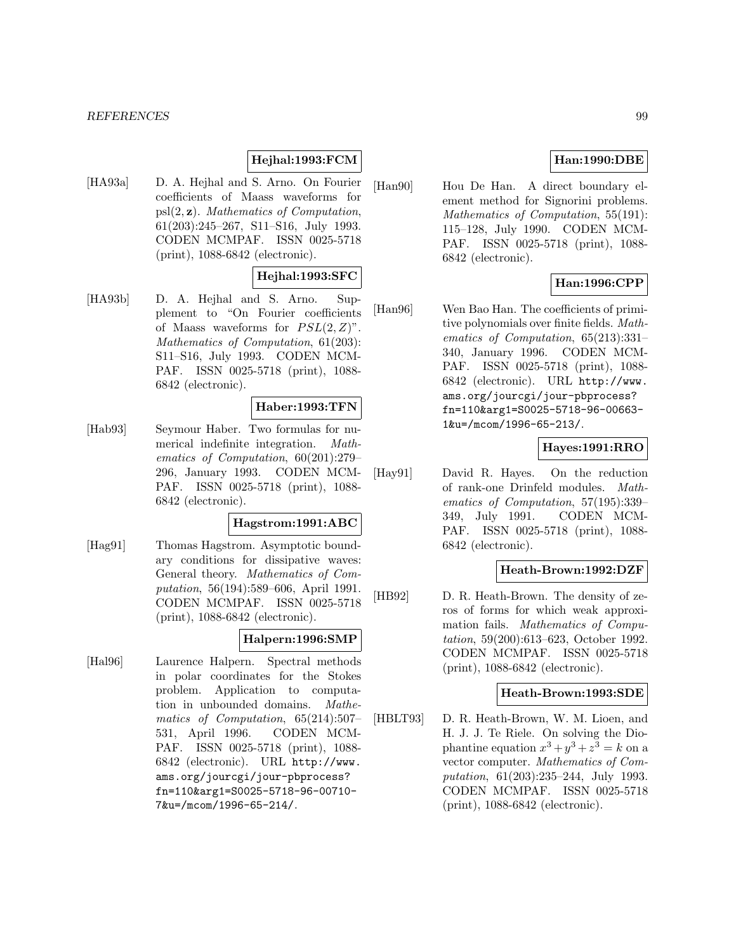#### *REFERENCES* 99

## **Hejhal:1993:FCM**

[HA93a] D. A. Hejhal and S. Arno. On Fourier coefficients of Maass waveforms for psl(2, **z**). Mathematics of Computation, 61(203):245–267, S11–S16, July 1993. CODEN MCMPAF. ISSN 0025-5718 (print), 1088-6842 (electronic).

## **Hejhal:1993:SFC**

[HA93b] D. A. Hejhal and S. Arno. Supplement to "On Fourier coefficients of Maass waveforms for  $PSL(2, Z)$ ". Mathematics of Computation, 61(203): S11–S16, July 1993. CODEN MCM-PAF. ISSN 0025-5718 (print), 1088- 6842 (electronic).

#### **Haber:1993:TFN**

[Hab93] Seymour Haber. Two formulas for numerical indefinite integration. Mathematics of Computation, 60(201):279– 296, January 1993. CODEN MCM-PAF. ISSN 0025-5718 (print), 1088- 6842 (electronic).

#### **Hagstrom:1991:ABC**

[Hag91] Thomas Hagstrom. Asymptotic boundary conditions for dissipative waves: General theory. Mathematics of Computation, 56(194):589–606, April 1991. CODEN MCMPAF. ISSN 0025-5718 (print), 1088-6842 (electronic).

# **Halpern:1996:SMP**

[Hal96] Laurence Halpern. Spectral methods in polar coordinates for the Stokes problem. Application to computation in unbounded domains. Mathematics of Computation, 65(214):507– 531, April 1996. CODEN MCM-PAF. ISSN 0025-5718 (print), 1088- 6842 (electronic). URL http://www. ams.org/jourcgi/jour-pbprocess? fn=110&arg1=S0025-5718-96-00710- 7&u=/mcom/1996-65-214/.

# **Han:1990:DBE**

[Han90] Hou De Han. A direct boundary element method for Signorini problems. Mathematics of Computation, 55(191): 115–128, July 1990. CODEN MCM-PAF. ISSN 0025-5718 (print), 1088- 6842 (electronic).

## **Han:1996:CPP**

[Han96] Wen Bao Han. The coefficients of primitive polynomials over finite fields. Mathematics of Computation, 65(213):331– 340, January 1996. CODEN MCM-PAF. ISSN 0025-5718 (print), 1088- 6842 (electronic). URL http://www. ams.org/jourcgi/jour-pbprocess? fn=110&arg1=S0025-5718-96-00663- 1&u=/mcom/1996-65-213/.

## **Hayes:1991:RRO**

[Hay91] David R. Hayes. On the reduction of rank-one Drinfeld modules. Mathematics of Computation, 57(195):339– 349, July 1991. CODEN MCM-PAF. ISSN 0025-5718 (print), 1088- 6842 (electronic).

### **Heath-Brown:1992:DZF**

[HB92] D. R. Heath-Brown. The density of zeros of forms for which weak approximation fails. Mathematics of Computation, 59(200):613–623, October 1992. CODEN MCMPAF. ISSN 0025-5718 (print), 1088-6842 (electronic).

# **Heath-Brown:1993:SDE**

[HBLT93] D. R. Heath-Brown, W. M. Lioen, and H. J. J. Te Riele. On solving the Diophantine equation  $x^3 + y^3 + z^3 = k$  on a vector computer. Mathematics of Computation, 61(203):235–244, July 1993. CODEN MCMPAF. ISSN 0025-5718 (print), 1088-6842 (electronic).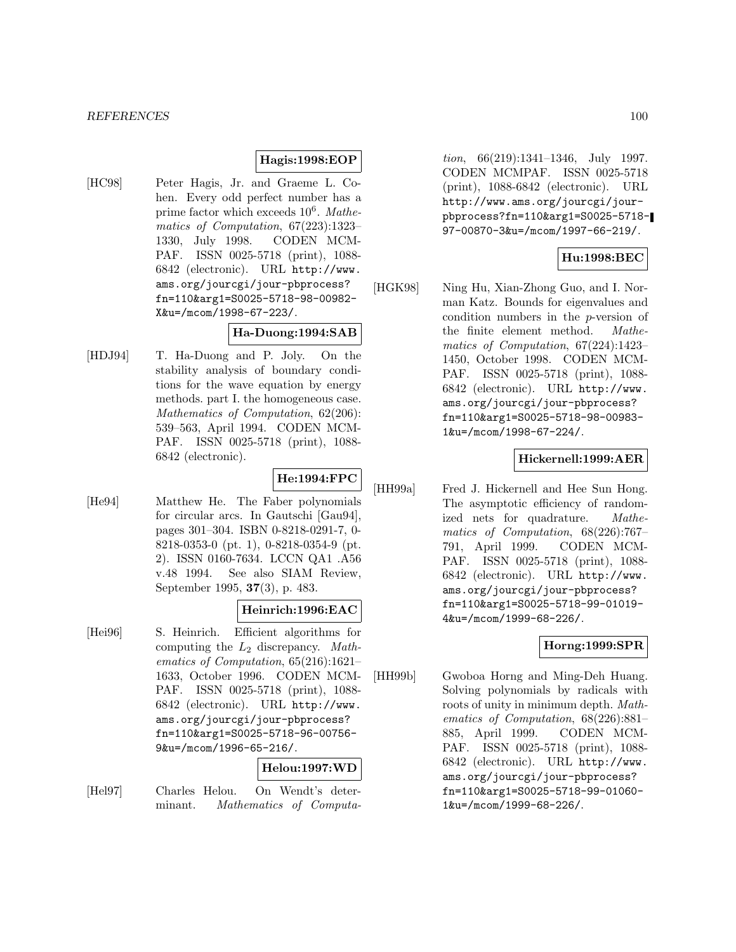#### **Hagis:1998:EOP**

[HC98] Peter Hagis, Jr. and Graeme L. Cohen. Every odd perfect number has a prime factor which exceeds  $10^6$ . Mathematics of Computation, 67(223):1323– 1330, July 1998. CODEN MCM-PAF. ISSN 0025-5718 (print), 1088- 6842 (electronic). URL http://www. ams.org/jourcgi/jour-pbprocess? fn=110&arg1=S0025-5718-98-00982- X&u=/mcom/1998-67-223/.

### **Ha-Duong:1994:SAB**

[HDJ94] T. Ha-Duong and P. Joly. On the stability analysis of boundary conditions for the wave equation by energy methods. part I. the homogeneous case. Mathematics of Computation, 62(206): 539–563, April 1994. CODEN MCM-PAF. ISSN 0025-5718 (print), 1088- 6842 (electronic).

#### **He:1994:FPC**

[He94] Matthew He. The Faber polynomials for circular arcs. In Gautschi [Gau94], pages 301–304. ISBN 0-8218-0291-7, 0- 8218-0353-0 (pt. 1), 0-8218-0354-9 (pt. 2). ISSN 0160-7634. LCCN QA1 .A56 v.48 1994. See also SIAM Review, September 1995, **37**(3), p. 483.

### **Heinrich:1996:EAC**

[Hei96] S. Heinrich. Efficient algorithms for computing the  $L_2$  discrepancy. Mathematics of Computation, 65(216):1621– 1633, October 1996. CODEN MCM-PAF. ISSN 0025-5718 (print), 1088- 6842 (electronic). URL http://www. ams.org/jourcgi/jour-pbprocess? fn=110&arg1=S0025-5718-96-00756- 9&u=/mcom/1996-65-216/.

#### **Helou:1997:WD**

[Hel97] Charles Helou. On Wendt's determinant. Mathematics of Computa-

tion, 66(219):1341–1346, July 1997. CODEN MCMPAF. ISSN 0025-5718 (print), 1088-6842 (electronic). URL http://www.ams.org/jourcgi/jourpbprocess?fn=110&arg1=S0025-5718- 97-00870-3&u=/mcom/1997-66-219/.

## **Hu:1998:BEC**

[HGK98] Ning Hu, Xian-Zhong Guo, and I. Norman Katz. Bounds for eigenvalues and condition numbers in the p-version of the finite element method. Mathematics of Computation, 67(224):1423– 1450, October 1998. CODEN MCM-PAF. ISSN 0025-5718 (print), 1088- 6842 (electronic). URL http://www. ams.org/jourcgi/jour-pbprocess? fn=110&arg1=S0025-5718-98-00983- 1&u=/mcom/1998-67-224/.

## **Hickernell:1999:AER**

[HH99a] Fred J. Hickernell and Hee Sun Hong. The asymptotic efficiency of randomized nets for quadrature. Mathematics of Computation, 68(226):767– 791, April 1999. CODEN MCM-PAF. ISSN 0025-5718 (print), 1088- 6842 (electronic). URL http://www. ams.org/jourcgi/jour-pbprocess? fn=110&arg1=S0025-5718-99-01019- 4&u=/mcom/1999-68-226/.

## **Horng:1999:SPR**

[HH99b] Gwoboa Horng and Ming-Deh Huang. Solving polynomials by radicals with roots of unity in minimum depth. Mathematics of Computation, 68(226):881– 885, April 1999. CODEN MCM-PAF. ISSN 0025-5718 (print), 1088- 6842 (electronic). URL http://www. ams.org/jourcgi/jour-pbprocess? fn=110&arg1=S0025-5718-99-01060- 1&u=/mcom/1999-68-226/.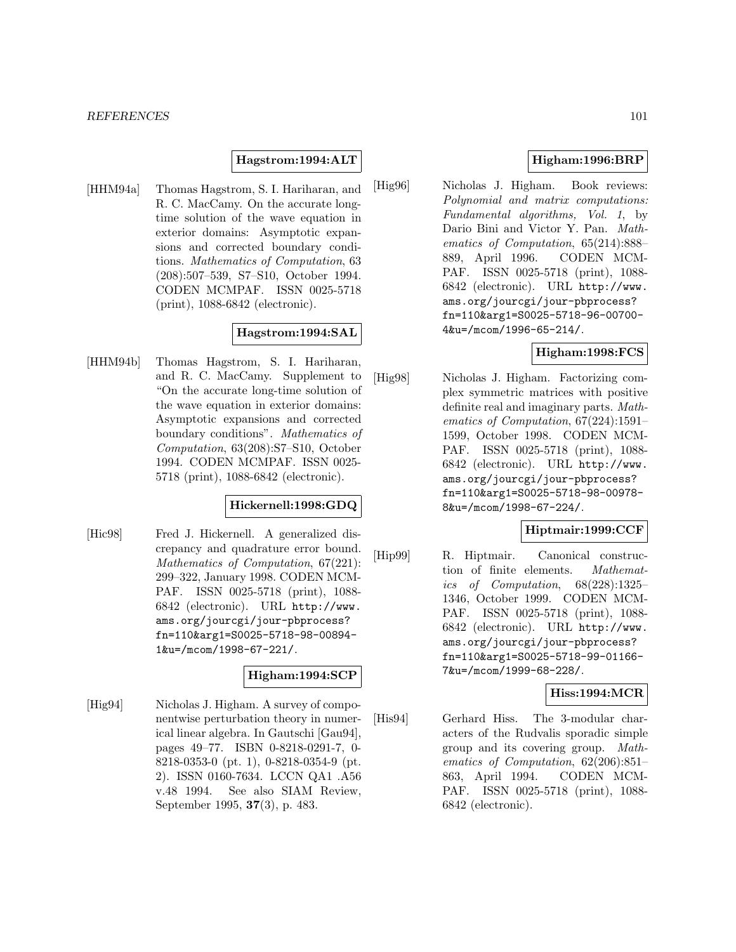### **Hagstrom:1994:ALT**

[HHM94a] Thomas Hagstrom, S. I. Hariharan, and R. C. MacCamy. On the accurate longtime solution of the wave equation in exterior domains: Asymptotic expansions and corrected boundary conditions. Mathematics of Computation, 63 (208):507–539, S7–S10, October 1994. CODEN MCMPAF. ISSN 0025-5718 (print), 1088-6842 (electronic).

#### **Hagstrom:1994:SAL**

[HHM94b] Thomas Hagstrom, S. I. Hariharan, and R. C. MacCamy. Supplement to "On the accurate long-time solution of the wave equation in exterior domains: Asymptotic expansions and corrected boundary conditions". Mathematics of Computation, 63(208):S7–S10, October 1994. CODEN MCMPAF. ISSN 0025- 5718 (print), 1088-6842 (electronic).

### **Hickernell:1998:GDQ**

[Hic98] Fred J. Hickernell. A generalized discrepancy and quadrature error bound. Mathematics of Computation, 67(221): 299–322, January 1998. CODEN MCM-PAF. ISSN 0025-5718 (print), 1088- 6842 (electronic). URL http://www. ams.org/jourcgi/jour-pbprocess? fn=110&arg1=S0025-5718-98-00894- 1&u=/mcom/1998-67-221/.

#### **Higham:1994:SCP**

[Hig94] Nicholas J. Higham. A survey of componentwise perturbation theory in numerical linear algebra. In Gautschi [Gau94], pages 49–77. ISBN 0-8218-0291-7, 0- 8218-0353-0 (pt. 1), 0-8218-0354-9 (pt. 2). ISSN 0160-7634. LCCN QA1 .A56 v.48 1994. See also SIAM Review, September 1995, **37**(3), p. 483.

## **Higham:1996:BRP**

[Hig96] Nicholas J. Higham. Book reviews: Polynomial and matrix computations: Fundamental algorithms, Vol. 1, by Dario Bini and Victor Y. Pan. Mathematics of Computation, 65(214):888– 889, April 1996. CODEN MCM-PAF. ISSN 0025-5718 (print), 1088- 6842 (electronic). URL http://www. ams.org/jourcgi/jour-pbprocess? fn=110&arg1=S0025-5718-96-00700- 4&u=/mcom/1996-65-214/.

### **Higham:1998:FCS**

[Hig98] Nicholas J. Higham. Factorizing complex symmetric matrices with positive definite real and imaginary parts. Mathematics of Computation, 67(224):1591– 1599, October 1998. CODEN MCM-PAF. ISSN 0025-5718 (print), 1088- 6842 (electronic). URL http://www. ams.org/jourcgi/jour-pbprocess? fn=110&arg1=S0025-5718-98-00978- 8&u=/mcom/1998-67-224/.

## **Hiptmair:1999:CCF**

[Hip99] R. Hiptmair. Canonical construction of finite elements. Mathematics of Computation, 68(228):1325– 1346, October 1999. CODEN MCM-PAF. ISSN 0025-5718 (print), 1088- 6842 (electronic). URL http://www. ams.org/jourcgi/jour-pbprocess? fn=110&arg1=S0025-5718-99-01166- 7&u=/mcom/1999-68-228/.

# **Hiss:1994:MCR**

[His94] Gerhard Hiss. The 3-modular characters of the Rudvalis sporadic simple group and its covering group. Mathematics of Computation, 62(206):851– 863, April 1994. CODEN MCM-PAF. ISSN 0025-5718 (print), 1088- 6842 (electronic).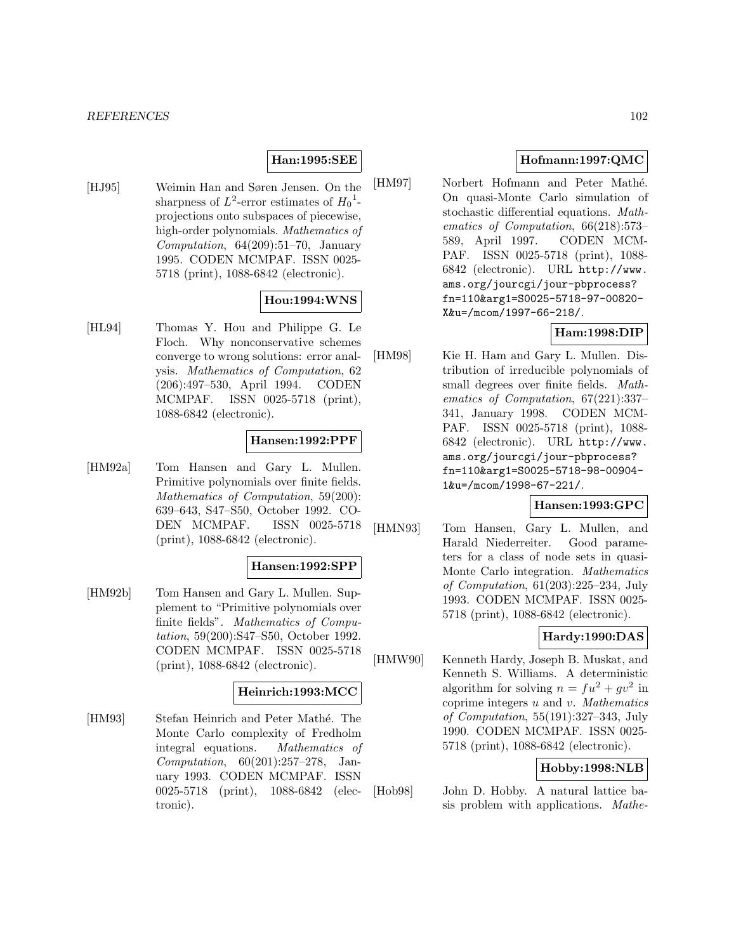## **Han:1995:SEE**

[HJ95] Weimin Han and Søren Jensen. On the sharpness of  $L^2$ -error estimates of  $H_0^1$ projections onto subspaces of piecewise, high-order polynomials. Mathematics of Computation, 64(209):51–70, January 1995. CODEN MCMPAF. ISSN 0025- 5718 (print), 1088-6842 (electronic).

### **Hou:1994:WNS**

[HL94] Thomas Y. Hou and Philippe G. Le Floch. Why nonconservative schemes converge to wrong solutions: error analysis. Mathematics of Computation, 62 (206):497–530, April 1994. CODEN MCMPAF. ISSN 0025-5718 (print), 1088-6842 (electronic).

### **Hansen:1992:PPF**

[HM92a] Tom Hansen and Gary L. Mullen. Primitive polynomials over finite fields. Mathematics of Computation, 59(200): 639–643, S47–S50, October 1992. CO-DEN MCMPAF. ISSN 0025-5718 (print), 1088-6842 (electronic).

#### **Hansen:1992:SPP**

[HM92b] Tom Hansen and Gary L. Mullen. Supplement to "Primitive polynomials over finite fields". Mathematics of Computation, 59(200):S47–S50, October 1992. CODEN MCMPAF. ISSN 0025-5718 (print), 1088-6842 (electronic).

## **Heinrich:1993:MCC**

[HM93] Stefan Heinrich and Peter Mathé. The Monte Carlo complexity of Fredholm integral equations. Mathematics of Computation, 60(201):257–278, January 1993. CODEN MCMPAF. ISSN 0025-5718 (print), 1088-6842 (electronic).

## **Hofmann:1997:QMC**

[HM97] Norbert Hofmann and Peter Mathé. On quasi-Monte Carlo simulation of stochastic differential equations. Mathematics of Computation, 66(218):573– 589, April 1997. CODEN MCM-PAF. ISSN 0025-5718 (print), 1088- 6842 (electronic). URL http://www. ams.org/jourcgi/jour-pbprocess? fn=110&arg1=S0025-5718-97-00820- X&u=/mcom/1997-66-218/.

## **Ham:1998:DIP**

[HM98] Kie H. Ham and Gary L. Mullen. Distribution of irreducible polynomials of small degrees over finite fields. Mathematics of Computation, 67(221):337– 341, January 1998. CODEN MCM-PAF. ISSN 0025-5718 (print), 1088- 6842 (electronic). URL http://www. ams.org/jourcgi/jour-pbprocess? fn=110&arg1=S0025-5718-98-00904- 1&u=/mcom/1998-67-221/.

## **Hansen:1993:GPC**

[HMN93] Tom Hansen, Gary L. Mullen, and Harald Niederreiter. Good parameters for a class of node sets in quasi-Monte Carlo integration. Mathematics of Computation, 61(203):225–234, July 1993. CODEN MCMPAF. ISSN 0025- 5718 (print), 1088-6842 (electronic).

## **Hardy:1990:DAS**

[HMW90] Kenneth Hardy, Joseph B. Muskat, and Kenneth S. Williams. A deterministic algorithm for solving  $n = fu^2 + qv^2$  in coprime integers  $u$  and  $v$ . Mathematics of Computation, 55(191):327–343, July 1990. CODEN MCMPAF. ISSN 0025- 5718 (print), 1088-6842 (electronic).

## **Hobby:1998:NLB**

[Hob98] John D. Hobby. A natural lattice basis problem with applications. Mathe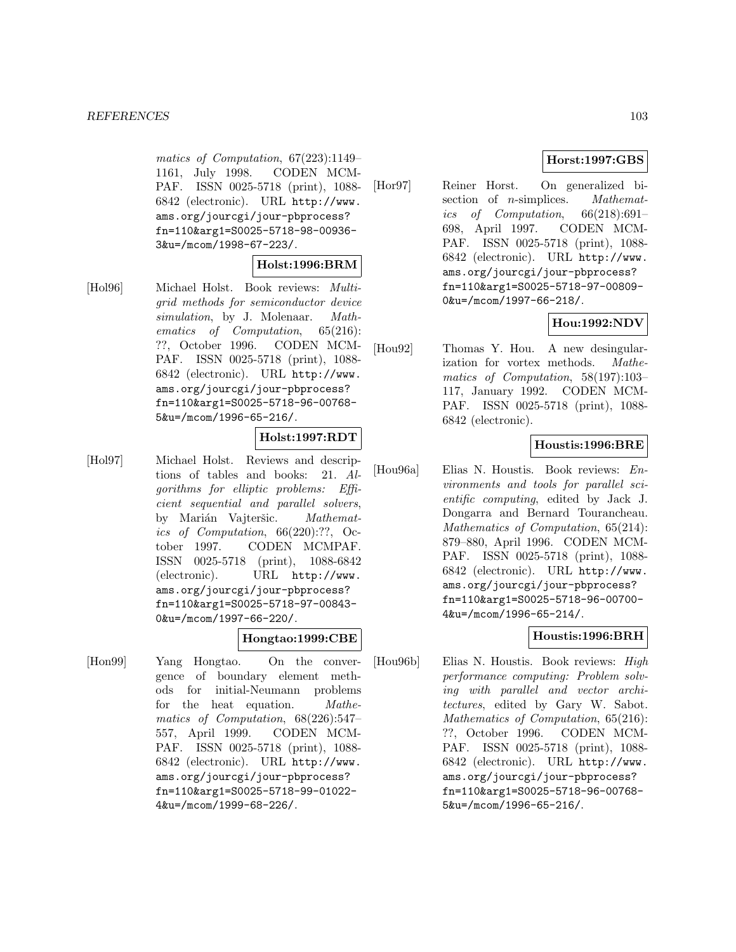matics of Computation, 67(223):1149– 1161, July 1998. CODEN MCM-PAF. ISSN 0025-5718 (print), 1088- 6842 (electronic). URL http://www. ams.org/jourcgi/jour-pbprocess? fn=110&arg1=S0025-5718-98-00936- 3&u=/mcom/1998-67-223/.

## **Holst:1996:BRM**

[Hol96] Michael Holst. Book reviews: Multigrid methods for semiconductor device simulation, by J. Molenaar. Mathematics of Computation, 65(216): ??, October 1996. CODEN MCM-PAF. ISSN 0025-5718 (print), 1088- 6842 (electronic). URL http://www. ams.org/jourcgi/jour-pbprocess? fn=110&arg1=S0025-5718-96-00768- 5&u=/mcom/1996-65-216/.

## **Holst:1997:RDT**

[Hol97] Michael Holst. Reviews and descriptions of tables and books: 21. Algorithms for elliptic problems: Efficient sequential and parallel solvers, by Marián Vajteršic. Mathematics of Computation, 66(220):??, October 1997. CODEN MCMPAF. ISSN 0025-5718 (print), 1088-6842 (electronic). URL http://www. ams.org/jourcgi/jour-pbprocess? fn=110&arg1=S0025-5718-97-00843- 0&u=/mcom/1997-66-220/.

## **Hongtao:1999:CBE**

[Hon99] Yang Hongtao. On the convergence of boundary element methods for initial-Neumann problems for the heat equation. Mathematics of Computation, 68(226):547– 557, April 1999. CODEN MCM-PAF. ISSN 0025-5718 (print), 1088- 6842 (electronic). URL http://www. ams.org/jourcgi/jour-pbprocess? fn=110&arg1=S0025-5718-99-01022- 4&u=/mcom/1999-68-226/.

# **Horst:1997:GBS**

[Hor97] Reiner Horst. On generalized bisection of *n*-simplices. *Mathemat*ics of Computation, 66(218):691– 698, April 1997. CODEN MCM-PAF. ISSN 0025-5718 (print), 1088- 6842 (electronic). URL http://www. ams.org/jourcgi/jour-pbprocess? fn=110&arg1=S0025-5718-97-00809- 0&u=/mcom/1997-66-218/.

# **Hou:1992:NDV**

[Hou92] Thomas Y. Hou. A new desingularization for vortex methods. Mathematics of Computation, 58(197):103– 117, January 1992. CODEN MCM-PAF. ISSN 0025-5718 (print), 1088- 6842 (electronic).

# **Houstis:1996:BRE**

[Hou96a] Elias N. Houstis. Book reviews: Environments and tools for parallel scientific computing, edited by Jack J. Dongarra and Bernard Tourancheau. Mathematics of Computation, 65(214): 879–880, April 1996. CODEN MCM-PAF. ISSN 0025-5718 (print), 1088- 6842 (electronic). URL http://www. ams.org/jourcgi/jour-pbprocess? fn=110&arg1=S0025-5718-96-00700- 4&u=/mcom/1996-65-214/.

# **Houstis:1996:BRH**

[Hou96b] Elias N. Houstis. Book reviews: High performance computing: Problem solving with parallel and vector architectures, edited by Gary W. Sabot. Mathematics of Computation, 65(216): ??, October 1996. CODEN MCM-PAF. ISSN 0025-5718 (print), 1088- 6842 (electronic). URL http://www. ams.org/jourcgi/jour-pbprocess? fn=110&arg1=S0025-5718-96-00768- 5&u=/mcom/1996-65-216/.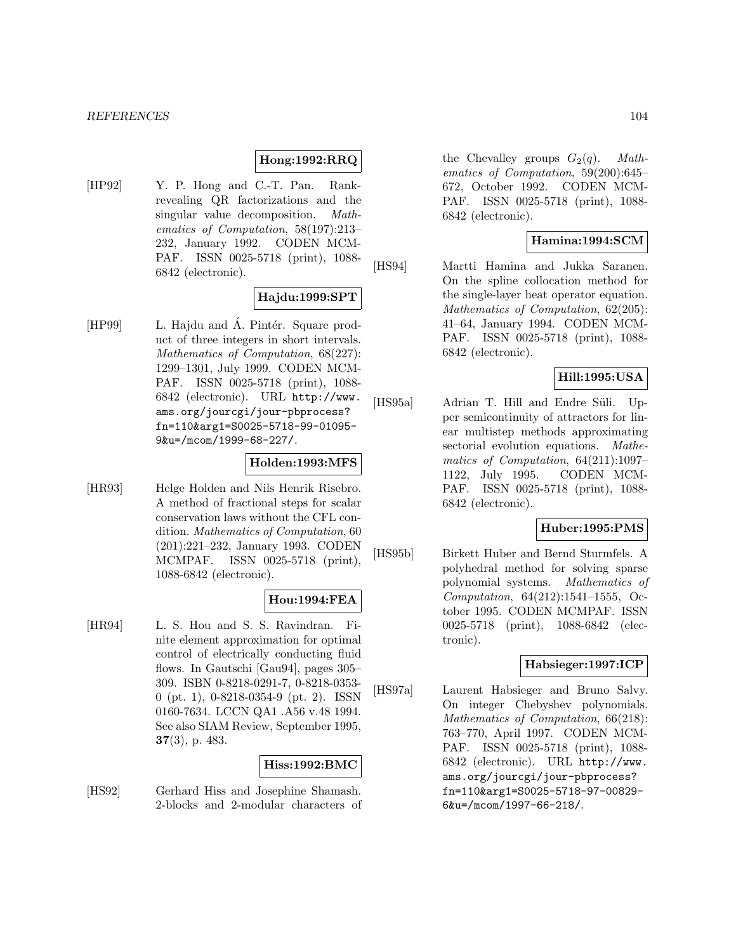## **Hong:1992:RRQ**

[HP92] Y. P. Hong and C.-T. Pan. Rankrevealing QR factorizations and the singular value decomposition. Mathematics of Computation, 58(197):213– 232, January 1992. CODEN MCM-PAF. ISSN 0025-5718 (print), 1088- 6842 (electronic).

# **Hajdu:1999:SPT**

[HP99] L. Hajdu and A. Pintér. Square product of three integers in short intervals. Mathematics of Computation, 68(227): 1299–1301, July 1999. CODEN MCM-PAF. ISSN 0025-5718 (print), 1088- 6842 (electronic). URL http://www. ams.org/jourcgi/jour-pbprocess? fn=110&arg1=S0025-5718-99-01095- 9&u=/mcom/1999-68-227/.

#### **Holden:1993:MFS**

[HR93] Helge Holden and Nils Henrik Risebro. A method of fractional steps for scalar conservation laws without the CFL condition. Mathematics of Computation, 60 (201):221–232, January 1993. CODEN MCMPAF. ISSN 0025-5718 (print), 1088-6842 (electronic).

## **Hou:1994:FEA**

[HR94] L. S. Hou and S. S. Ravindran. Finite element approximation for optimal control of electrically conducting fluid flows. In Gautschi [Gau94], pages 305– 309. ISBN 0-8218-0291-7, 0-8218-0353- 0 (pt. 1), 0-8218-0354-9 (pt. 2). ISSN 0160-7634. LCCN QA1 .A56 v.48 1994. See also SIAM Review, September 1995, **37**(3), p. 483.

#### **Hiss:1992:BMC**

[HS92] Gerhard Hiss and Josephine Shamash. 2-blocks and 2-modular characters of

the Chevalley groups  $G_2(q)$ . Mathematics of Computation, 59(200):645– 672, October 1992. CODEN MCM-PAF. ISSN 0025-5718 (print), 1088- 6842 (electronic).

## **Hamina:1994:SCM**

[HS94] Martti Hamina and Jukka Saranen. On the spline collocation method for the single-layer heat operator equation. Mathematics of Computation, 62(205): 41–64, January 1994. CODEN MCM-PAF. ISSN 0025-5718 (print), 1088- 6842 (electronic).

# **Hill:1995:USA**

[HS95a] Adrian T. Hill and Endre Süli. Upper semicontinuity of attractors for linear multistep methods approximating sectorial evolution equations. Mathematics of Computation, 64(211):1097– 1122, July 1995. CODEN MCM-PAF. ISSN 0025-5718 (print), 1088- 6842 (electronic).

#### **Huber:1995:PMS**

[HS95b] Birkett Huber and Bernd Sturmfels. A polyhedral method for solving sparse polynomial systems. Mathematics of Computation, 64(212):1541–1555, October 1995. CODEN MCMPAF. ISSN 0025-5718 (print), 1088-6842 (electronic).

### **Habsieger:1997:ICP**

[HS97a] Laurent Habsieger and Bruno Salvy. On integer Chebyshev polynomials. Mathematics of Computation, 66(218): 763–770, April 1997. CODEN MCM-PAF. ISSN 0025-5718 (print), 1088- 6842 (electronic). URL http://www. ams.org/jourcgi/jour-pbprocess? fn=110&arg1=S0025-5718-97-00829- 6&u=/mcom/1997-66-218/.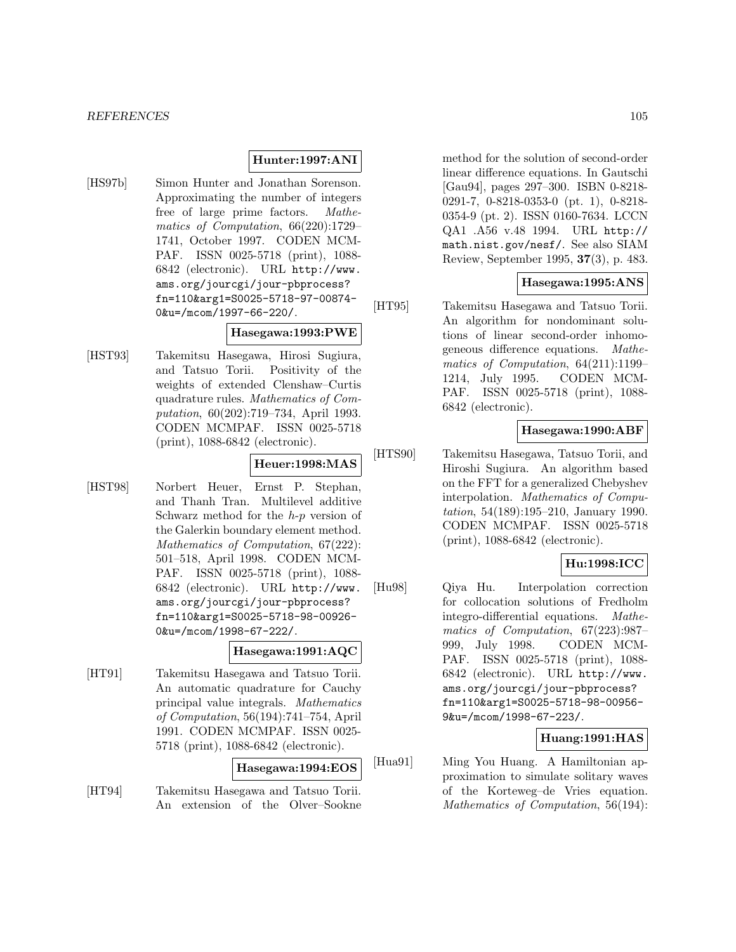#### **Hunter:1997:ANI**

[HS97b] Simon Hunter and Jonathan Sorenson. Approximating the number of integers free of large prime factors. Mathematics of Computation, 66(220):1729– 1741, October 1997. CODEN MCM-PAF. ISSN 0025-5718 (print), 1088- 6842 (electronic). URL http://www. ams.org/jourcgi/jour-pbprocess? fn=110&arg1=S0025-5718-97-00874- 0&u=/mcom/1997-66-220/.

## **Hasegawa:1993:PWE**

[HST93] Takemitsu Hasegawa, Hirosi Sugiura, and Tatsuo Torii. Positivity of the weights of extended Clenshaw–Curtis quadrature rules. Mathematics of Computation, 60(202):719–734, April 1993. CODEN MCMPAF. ISSN 0025-5718 (print), 1088-6842 (electronic).

## **Heuer:1998:MAS**

[HST98] Norbert Heuer, Ernst P. Stephan, and Thanh Tran. Multilevel additive Schwarz method for the  $h-p$  version of the Galerkin boundary element method. Mathematics of Computation, 67(222): 501–518, April 1998. CODEN MCM-PAF. ISSN 0025-5718 (print), 1088- 6842 (electronic). URL http://www. ams.org/jourcgi/jour-pbprocess? fn=110&arg1=S0025-5718-98-00926- 0&u=/mcom/1998-67-222/.

## **Hasegawa:1991:AQC**

[HT91] Takemitsu Hasegawa and Tatsuo Torii. An automatic quadrature for Cauchy principal value integrals. Mathematics of Computation, 56(194):741–754, April 1991. CODEN MCMPAF. ISSN 0025- 5718 (print), 1088-6842 (electronic).

#### **Hasegawa:1994:EOS**

[HT94] Takemitsu Hasegawa and Tatsuo Torii. An extension of the Olver–Sookne method for the solution of second-order linear difference equations. In Gautschi [Gau94], pages 297–300. ISBN 0-8218- 0291-7, 0-8218-0353-0 (pt. 1), 0-8218- 0354-9 (pt. 2). ISSN 0160-7634. LCCN QA1 .A56 v.48 1994. URL http:// math.nist.gov/nesf/. See also SIAM Review, September 1995, **37**(3), p. 483.

### **Hasegawa:1995:ANS**

[HT95] Takemitsu Hasegawa and Tatsuo Torii. An algorithm for nondominant solutions of linear second-order inhomogeneous difference equations. Mathematics of Computation, 64(211):1199– 1214, July 1995. CODEN MCM-PAF. ISSN 0025-5718 (print), 1088- 6842 (electronic).

#### **Hasegawa:1990:ABF**

[HTS90] Takemitsu Hasegawa, Tatsuo Torii, and Hiroshi Sugiura. An algorithm based on the FFT for a generalized Chebyshev interpolation. Mathematics of Computation, 54(189):195–210, January 1990. CODEN MCMPAF. ISSN 0025-5718 (print), 1088-6842 (electronic).

## **Hu:1998:ICC**

[Hu98] Qiya Hu. Interpolation correction for collocation solutions of Fredholm integro-differential equations. Mathematics of Computation, 67(223):987– 999, July 1998. CODEN MCM-PAF. ISSN 0025-5718 (print), 1088- 6842 (electronic). URL http://www. ams.org/jourcgi/jour-pbprocess? fn=110&arg1=S0025-5718-98-00956- 9&u=/mcom/1998-67-223/.

### **Huang:1991:HAS**

[Hua91] Ming You Huang. A Hamiltonian approximation to simulate solitary waves of the Korteweg–de Vries equation. Mathematics of Computation, 56(194):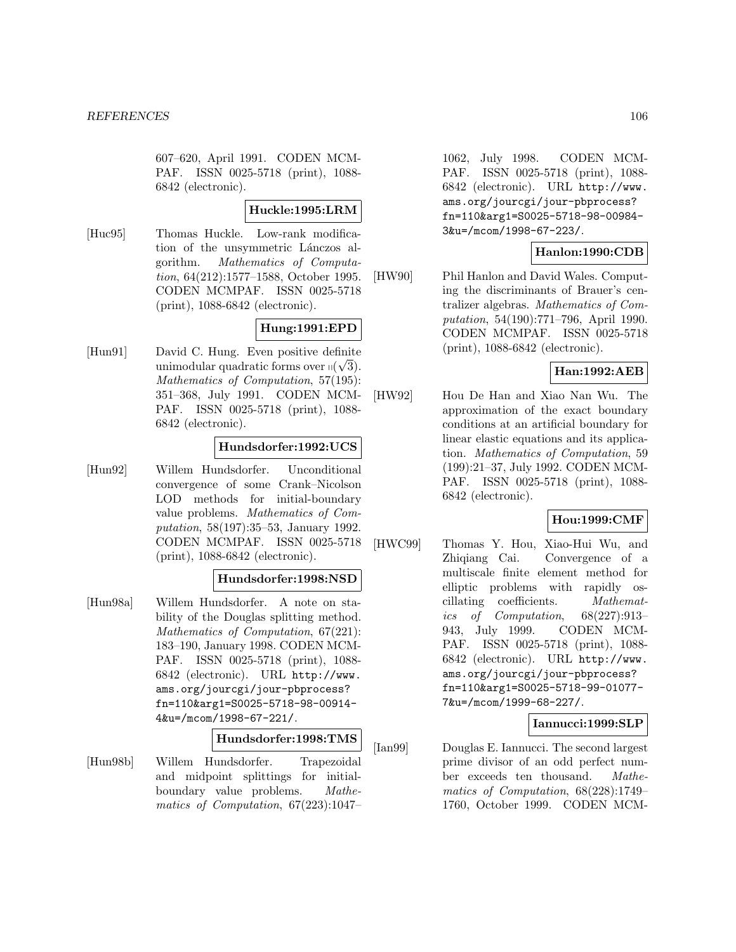607–620, April 1991. CODEN MCM-PAF. ISSN 0025-5718 (print), 1088- 6842 (electronic).

#### **Huckle:1995:LRM**

[Huc95] Thomas Huckle. Low-rank modification of the unsymmetric Lánczos algorithm. Mathematics of Computation, 64(212):1577–1588, October 1995. CODEN MCMPAF. ISSN 0025-5718 (print), 1088-6842 (electronic).

# **Hung:1991:EPD**

[Hun91] David C. Hung. Even positive definite unimodular quadratic forms over  $\eta(\sqrt{3})$ .<br> *Mathematics* of *Computation* 57(195). Mathematics of Computation, 57(195): 351–368, July 1991. CODEN MCM-PAF. ISSN 0025-5718 (print), 1088- 6842 (electronic).

## **Hundsdorfer:1992:UCS**

[Hun92] Willem Hundsdorfer. Unconditional convergence of some Crank–Nicolson LOD methods for initial-boundary value problems. Mathematics of Computation, 58(197):35–53, January 1992. CODEN MCMPAF. ISSN 0025-5718 (print), 1088-6842 (electronic).

### **Hundsdorfer:1998:NSD**

[Hun98a] Willem Hundsdorfer. A note on stability of the Douglas splitting method. Mathematics of Computation, 67(221): 183–190, January 1998. CODEN MCM-PAF. ISSN 0025-5718 (print), 1088- 6842 (electronic). URL http://www. ams.org/jourcgi/jour-pbprocess? fn=110&arg1=S0025-5718-98-00914- 4&u=/mcom/1998-67-221/.

# **Hundsdorfer:1998:TMS**

[Hun98b] Willem Hundsdorfer. Trapezoidal and midpoint splittings for initialboundary value problems. Mathematics of Computation, 67(223):1047–

1062, July 1998. CODEN MCM-PAF. ISSN 0025-5718 (print), 1088- 6842 (electronic). URL http://www. ams.org/jourcgi/jour-pbprocess? fn=110&arg1=S0025-5718-98-00984- 3&u=/mcom/1998-67-223/.

## **Hanlon:1990:CDB**

[HW90] Phil Hanlon and David Wales. Computing the discriminants of Brauer's centralizer algebras. Mathematics of Computation, 54(190):771–796, April 1990. CODEN MCMPAF. ISSN 0025-5718 (print), 1088-6842 (electronic).

## **Han:1992:AEB**

[HW92] Hou De Han and Xiao Nan Wu. The approximation of the exact boundary conditions at an artificial boundary for linear elastic equations and its application. Mathematics of Computation, 59 (199):21–37, July 1992. CODEN MCM-PAF. ISSN 0025-5718 (print), 1088- 6842 (electronic).

## **Hou:1999:CMF**

[HWC99] Thomas Y. Hou, Xiao-Hui Wu, and Zhiqiang Cai. Convergence of a multiscale finite element method for elliptic problems with rapidly oscillating coefficients. Mathematics of Computation, 68(227):913– 943, July 1999. CODEN MCM-PAF. ISSN 0025-5718 (print), 1088- 6842 (electronic). URL http://www. ams.org/jourcgi/jour-pbprocess? fn=110&arg1=S0025-5718-99-01077- 7&u=/mcom/1999-68-227/.

## **Iannucci:1999:SLP**

[Ian99] Douglas E. Iannucci. The second largest prime divisor of an odd perfect number exceeds ten thousand. Mathematics of Computation, 68(228):1749– 1760, October 1999. CODEN MCM-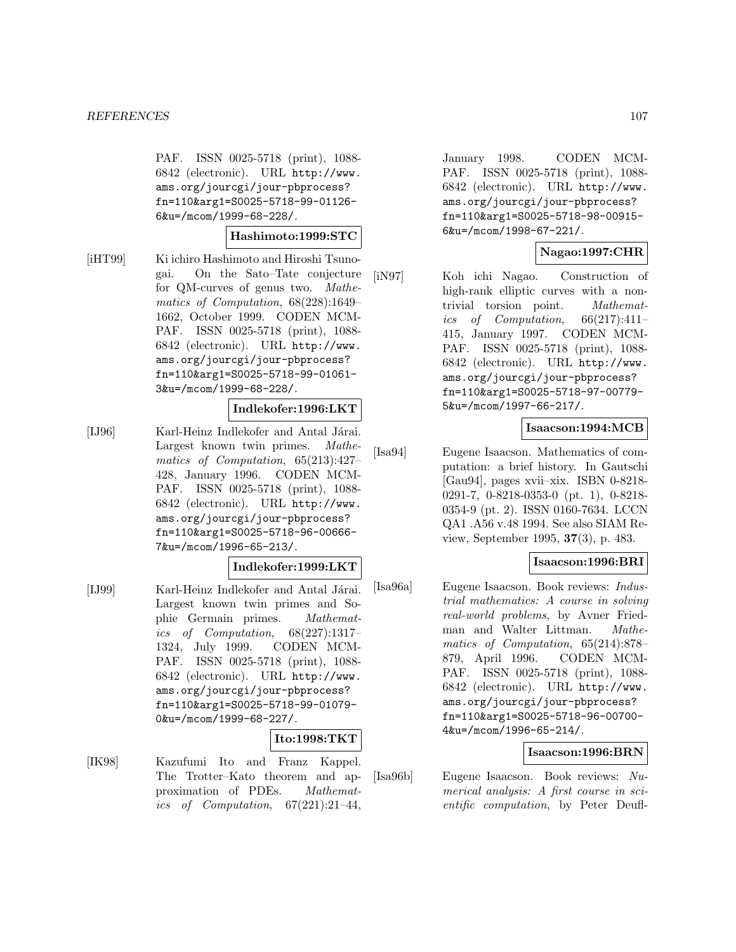PAF. ISSN 0025-5718 (print), 1088- 6842 (electronic). URL http://www. ams.org/jourcgi/jour-pbprocess? fn=110&arg1=S0025-5718-99-01126- 6&u=/mcom/1999-68-228/.

### **Hashimoto:1999:STC**

[iHT99] Ki ichiro Hashimoto and Hiroshi Tsunogai. On the Sato–Tate conjecture for QM-curves of genus two. Mathematics of Computation, 68(228):1649– 1662, October 1999. CODEN MCM-PAF. ISSN 0025-5718 (print), 1088- 6842 (electronic). URL http://www. ams.org/jourcgi/jour-pbprocess? fn=110&arg1=S0025-5718-99-01061- 3&u=/mcom/1999-68-228/.

#### **Indlekofer:1996:LKT**

[IJ96] Karl-Heinz Indlekofer and Antal Járai. Largest known twin primes. Mathematics of Computation, 65(213):427– 428, January 1996. CODEN MCM-PAF. ISSN 0025-5718 (print), 1088- 6842 (electronic). URL http://www. ams.org/jourcgi/jour-pbprocess? fn=110&arg1=S0025-5718-96-00666- 7&u=/mcom/1996-65-213/.

### **Indlekofer:1999:LKT**

[IJ99] Karl-Heinz Indlekofer and Antal Járai. Largest known twin primes and Sophie Germain primes. Mathematics of Computation, 68(227):1317– 1324, July 1999. CODEN MCM-PAF. ISSN 0025-5718 (print), 1088- 6842 (electronic). URL http://www. ams.org/jourcgi/jour-pbprocess? fn=110&arg1=S0025-5718-99-01079- 0&u=/mcom/1999-68-227/.

### **Ito:1998:TKT**

[IK98] Kazufumi Ito and Franz Kappel. The Trotter–Kato theorem and approximation of PDEs. Mathematics of Computation,  $67(221):21-44$ , January 1998. CODEN MCM-PAF. ISSN 0025-5718 (print), 1088- 6842 (electronic). URL http://www. ams.org/jourcgi/jour-pbprocess? fn=110&arg1=S0025-5718-98-00915- 6&u=/mcom/1998-67-221/.

## **Nagao:1997:CHR**

[iN97] Koh ichi Nagao. Construction of high-rank elliptic curves with a nontrivial torsion point. Mathematics of Computation, 66(217):411– 415, January 1997. CODEN MCM-PAF. ISSN 0025-5718 (print), 1088- 6842 (electronic). URL http://www. ams.org/jourcgi/jour-pbprocess? fn=110&arg1=S0025-5718-97-00779- 5&u=/mcom/1997-66-217/.

## **Isaacson:1994:MCB**

[Isa94] Eugene Isaacson. Mathematics of computation: a brief history. In Gautschi [Gau94], pages xvii–xix. ISBN 0-8218- 0291-7, 0-8218-0353-0 (pt. 1), 0-8218- 0354-9 (pt. 2). ISSN 0160-7634. LCCN QA1 .A56 v.48 1994. See also SIAM Review, September 1995, **37**(3), p. 483.

### **Isaacson:1996:BRI**

[Isa96a] Eugene Isaacson. Book reviews: Industrial mathematics: A course in solving real-world problems, by Avner Friedman and Walter Littman. Mathematics of Computation, 65(214):878– 879, April 1996. CODEN MCM-PAF. ISSN 0025-5718 (print), 1088- 6842 (electronic). URL http://www. ams.org/jourcgi/jour-pbprocess? fn=110&arg1=S0025-5718-96-00700- 4&u=/mcom/1996-65-214/.

# **Isaacson:1996:BRN**

[Isa96b] Eugene Isaacson. Book reviews: Numerical analysis: A first course in scientific computation, by Peter Deufl-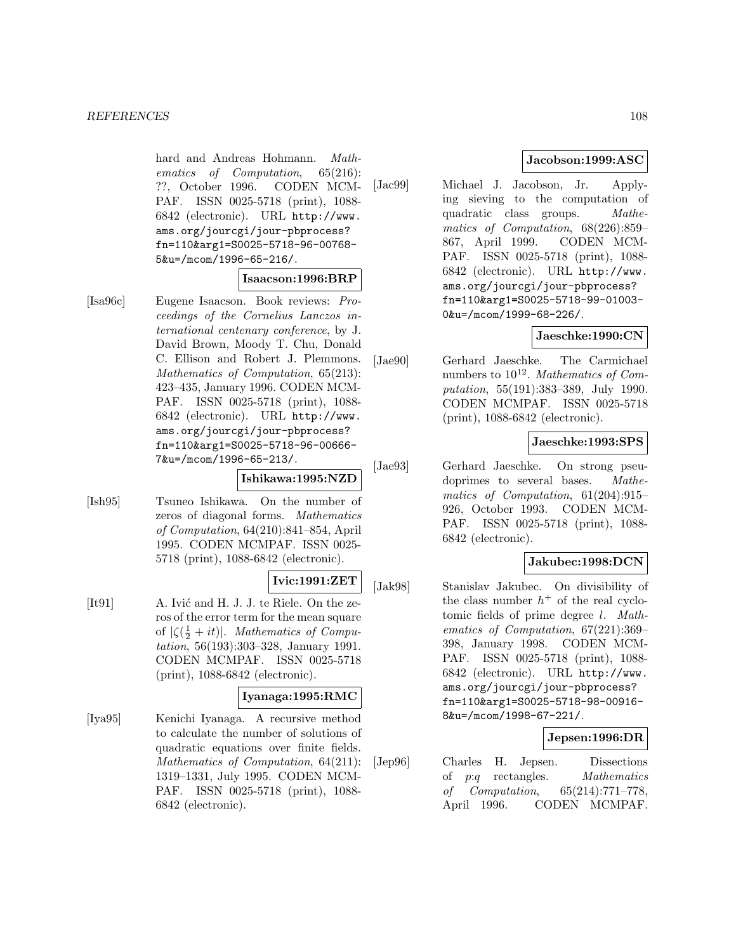#### *REFERENCES* 108

hard and Andreas Hohmann. Mathematics of Computation, 65(216): ??, October 1996. CODEN MCM-PAF. ISSN 0025-5718 (print), 1088- 6842 (electronic). URL http://www. ams.org/jourcgi/jour-pbprocess? fn=110&arg1=S0025-5718-96-00768- 5&u=/mcom/1996-65-216/.

### **Isaacson:1996:BRP**

[Isa96c] Eugene Isaacson. Book reviews: Proceedings of the Cornelius Lanczos international centenary conference, by J. David Brown, Moody T. Chu, Donald C. Ellison and Robert J. Plemmons. Mathematics of Computation, 65(213): 423–435, January 1996. CODEN MCM-PAF. ISSN 0025-5718 (print), 1088- 6842 (electronic). URL http://www. ams.org/jourcgi/jour-pbprocess? fn=110&arg1=S0025-5718-96-00666- 7&u=/mcom/1996-65-213/.

## **Ishikawa:1995:NZD**

[Ish95] Tsuneo Ishikawa. On the number of zeros of diagonal forms. Mathematics of Computation, 64(210):841–854, April 1995. CODEN MCMPAF. ISSN 0025- 5718 (print), 1088-6842 (electronic).

### **Ivic:1991:ZET**

[It91] A. Ivić and H. J. J. te Riele. On the zeros of the error term for the mean square of  $|\zeta(\frac{1}{2} + it)|$ . Mathematics of Computation, 56(193):303–328, January 1991. CODEN MCMPAF. ISSN 0025-5718 (print), 1088-6842 (electronic).

### **Iyanaga:1995:RMC**

[Iya95] Kenichi Iyanaga. A recursive method to calculate the number of solutions of quadratic equations over finite fields. Mathematics of Computation, 64(211): 1319–1331, July 1995. CODEN MCM-PAF. ISSN 0025-5718 (print), 1088- 6842 (electronic).

## **Jacobson:1999:ASC**

[Jac99] Michael J. Jacobson, Jr. Applying sieving to the computation of quadratic class groups. Mathematics of Computation, 68(226):859– 867, April 1999. CODEN MCM-PAF. ISSN 0025-5718 (print), 1088- 6842 (electronic). URL http://www. ams.org/jourcgi/jour-pbprocess? fn=110&arg1=S0025-5718-99-01003- 0&u=/mcom/1999-68-226/.

## **Jaeschke:1990:CN**

[Jae90] Gerhard Jaeschke. The Carmichael numbers to  $10^{12}$ . Mathematics of Computation, 55(191):383–389, July 1990. CODEN MCMPAF. ISSN 0025-5718 (print), 1088-6842 (electronic).

### **Jaeschke:1993:SPS**

[Jae93] Gerhard Jaeschke. On strong pseudoprimes to several bases. Mathematics of Computation, 61(204):915– 926, October 1993. CODEN MCM-PAF. ISSN 0025-5718 (print), 1088- 6842 (electronic).

## **Jakubec:1998:DCN**

[Jak98] Stanislav Jakubec. On divisibility of the class number  $h^+$  of the real cyclotomic fields of prime degree l. Mathematics of Computation, 67(221):369– 398, January 1998. CODEN MCM-PAF. ISSN 0025-5718 (print), 1088- 6842 (electronic). URL http://www. ams.org/jourcgi/jour-pbprocess? fn=110&arg1=S0025-5718-98-00916- 8&u=/mcom/1998-67-221/.

### **Jepsen:1996:DR**

[Jep96] Charles H. Jepsen. Dissections of p:q rectangles. Mathematics of Computation, 65(214):771–778, April 1996. CODEN MCMPAF.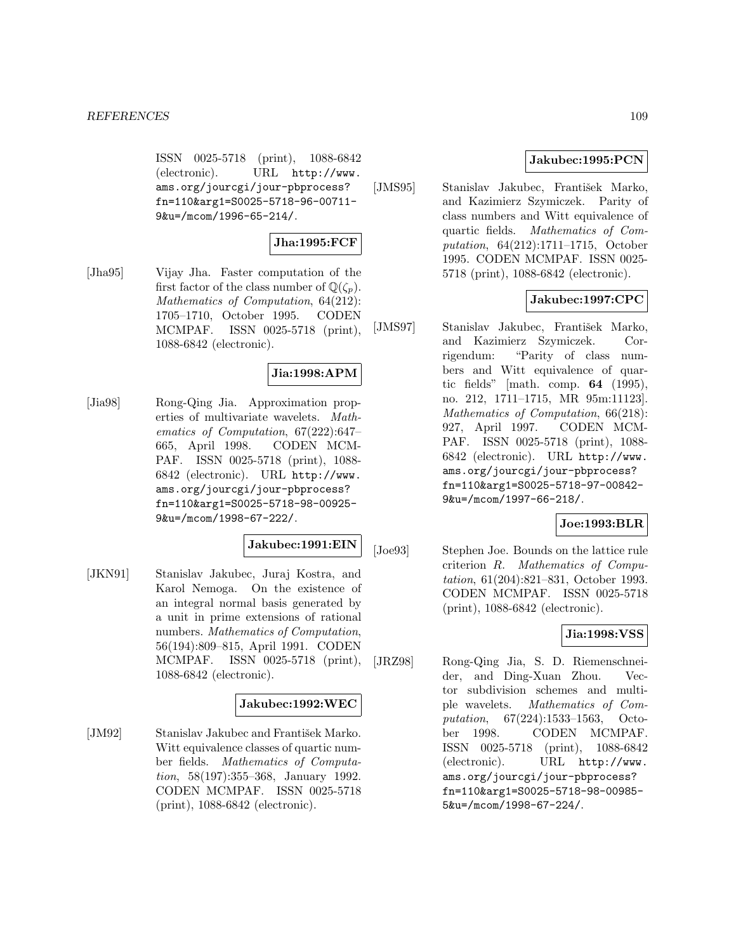ISSN 0025-5718 (print), 1088-6842 (electronic). URL http://www. ams.org/jourcgi/jour-pbprocess? fn=110&arg1=S0025-5718-96-00711- 9&u=/mcom/1996-65-214/.

# **Jha:1995:FCF**

[Jha95] Vijay Jha. Faster computation of the first factor of the class number of  $\mathbb{Q}(\zeta_n)$ . Mathematics of Computation, 64(212): 1705–1710, October 1995. CODEN MCMPAF. ISSN 0025-5718 (print), 1088-6842 (electronic).

# **Jia:1998:APM**

[Jia98] Rong-Qing Jia. Approximation properties of multivariate wavelets. Mathematics of Computation, 67(222):647– 665, April 1998. CODEN MCM-PAF. ISSN 0025-5718 (print), 1088- 6842 (electronic). URL http://www. ams.org/jourcgi/jour-pbprocess? fn=110&arg1=S0025-5718-98-00925- 9&u=/mcom/1998-67-222/.

# **Jakubec:1991:EIN**

[JKN91] Stanislav Jakubec, Juraj Kostra, and Karol Nemoga. On the existence of an integral normal basis generated by a unit in prime extensions of rational numbers. Mathematics of Computation, 56(194):809–815, April 1991. CODEN MCMPAF. ISSN 0025-5718 (print), 1088-6842 (electronic).

#### **Jakubec:1992:WEC**

[JM92] Stanislav Jakubec and František Marko. Witt equivalence classes of quartic number fields. Mathematics of Computation, 58(197):355–368, January 1992. CODEN MCMPAF. ISSN 0025-5718 (print), 1088-6842 (electronic).

# **Jakubec:1995:PCN**

[JMS95] Stanislav Jakubec, František Marko, and Kazimierz Szymiczek. Parity of class numbers and Witt equivalence of quartic fields. Mathematics of Computation, 64(212):1711–1715, October 1995. CODEN MCMPAF. ISSN 0025- 5718 (print), 1088-6842 (electronic).

# **Jakubec:1997:CPC**

[JMS97] Stanislav Jakubec, František Marko, and Kazimierz Szymiczek. Corrigendum: "Parity of class numbers and Witt equivalence of quartic fields" [math. comp. **64** (1995), no. 212, 1711–1715, MR 95m:11123]. Mathematics of Computation, 66(218): 927, April 1997. CODEN MCM-PAF. ISSN 0025-5718 (print), 1088- 6842 (electronic). URL http://www. ams.org/jourcgi/jour-pbprocess? fn=110&arg1=S0025-5718-97-00842- 9&u=/mcom/1997-66-218/.

# **Joe:1993:BLR**

[Joe93] Stephen Joe. Bounds on the lattice rule criterion R. Mathematics of Computation, 61(204):821–831, October 1993. CODEN MCMPAF. ISSN 0025-5718 (print), 1088-6842 (electronic).

# **Jia:1998:VSS**

[JRZ98] Rong-Qing Jia, S. D. Riemenschneider, and Ding-Xuan Zhou. Vector subdivision schemes and multiple wavelets. Mathematics of Computation, 67(224):1533–1563, October 1998. CODEN MCMPAF. ISSN 0025-5718 (print), 1088-6842 (electronic). URL http://www. ams.org/jourcgi/jour-pbprocess? fn=110&arg1=S0025-5718-98-00985- 5&u=/mcom/1998-67-224/.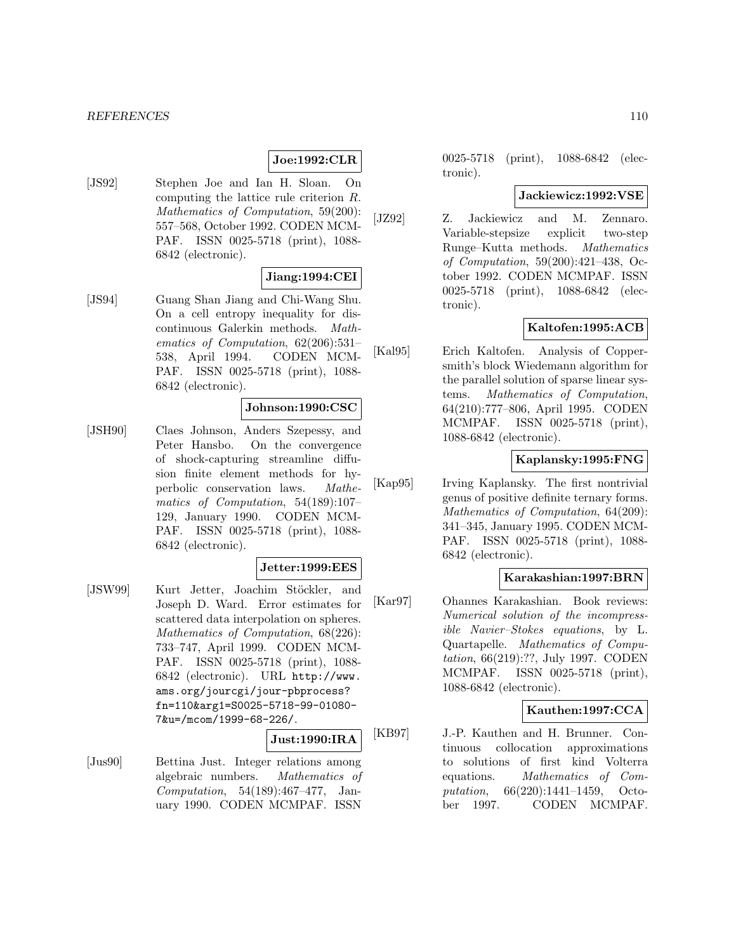# **Joe:1992:CLR**

[JS92] Stephen Joe and Ian H. Sloan. On computing the lattice rule criterion R. Mathematics of Computation, 59(200): 557–568, October 1992. CODEN MCM-PAF. ISSN 0025-5718 (print), 1088- 6842 (electronic).

# **Jiang:1994:CEI**

[JS94] Guang Shan Jiang and Chi-Wang Shu. On a cell entropy inequality for discontinuous Galerkin methods. Mathematics of Computation, 62(206):531– 538, April 1994. CODEN MCM-PAF. ISSN 0025-5718 (print), 1088- 6842 (electronic).

#### **Johnson:1990:CSC**

[JSH90] Claes Johnson, Anders Szepessy, and Peter Hansbo. On the convergence of shock-capturing streamline diffusion finite element methods for hyperbolic conservation laws. Mathematics of Computation, 54(189):107– 129, January 1990. CODEN MCM-PAF. ISSN 0025-5718 (print), 1088- 6842 (electronic).

### **Jetter:1999:EES**

[JSW99] Kurt Jetter, Joachim Stöckler, and Joseph D. Ward. Error estimates for scattered data interpolation on spheres. Mathematics of Computation, 68(226): 733–747, April 1999. CODEN MCM-PAF. ISSN 0025-5718 (print), 1088- 6842 (electronic). URL http://www. ams.org/jourcgi/jour-pbprocess? fn=110&arg1=S0025-5718-99-01080- 7&u=/mcom/1999-68-226/.

# **Just:1990:IRA**

[Jus90] Bettina Just. Integer relations among algebraic numbers. Mathematics of Computation, 54(189):467–477, January 1990. CODEN MCMPAF. ISSN

0025-5718 (print), 1088-6842 (electronic).

#### **Jackiewicz:1992:VSE**

[JZ92] Z. Jackiewicz and M. Zennaro. Variable-stepsize explicit two-step Runge–Kutta methods. Mathematics of Computation, 59(200):421–438, October 1992. CODEN MCMPAF. ISSN 0025-5718 (print), 1088-6842 (electronic).

## **Kaltofen:1995:ACB**

[Kal95] Erich Kaltofen. Analysis of Coppersmith's block Wiedemann algorithm for the parallel solution of sparse linear systems. Mathematics of Computation, 64(210):777–806, April 1995. CODEN MCMPAF. ISSN 0025-5718 (print), 1088-6842 (electronic).

# **Kaplansky:1995:FNG**

[Kap95] Irving Kaplansky. The first nontrivial genus of positive definite ternary forms. Mathematics of Computation, 64(209): 341–345, January 1995. CODEN MCM-PAF. ISSN 0025-5718 (print), 1088- 6842 (electronic).

### **Karakashian:1997:BRN**

[Kar97] Ohannes Karakashian. Book reviews: Numerical solution of the incompressible Navier–Stokes equations, by L. Quartapelle. Mathematics of Computation, 66(219):??, July 1997. CODEN MCMPAF. ISSN 0025-5718 (print), 1088-6842 (electronic).

#### **Kauthen:1997:CCA**

[KB97] J.-P. Kauthen and H. Brunner. Continuous collocation approximations to solutions of first kind Volterra equations. Mathematics of Computation, 66(220):1441–1459, October 1997. CODEN MCMPAF.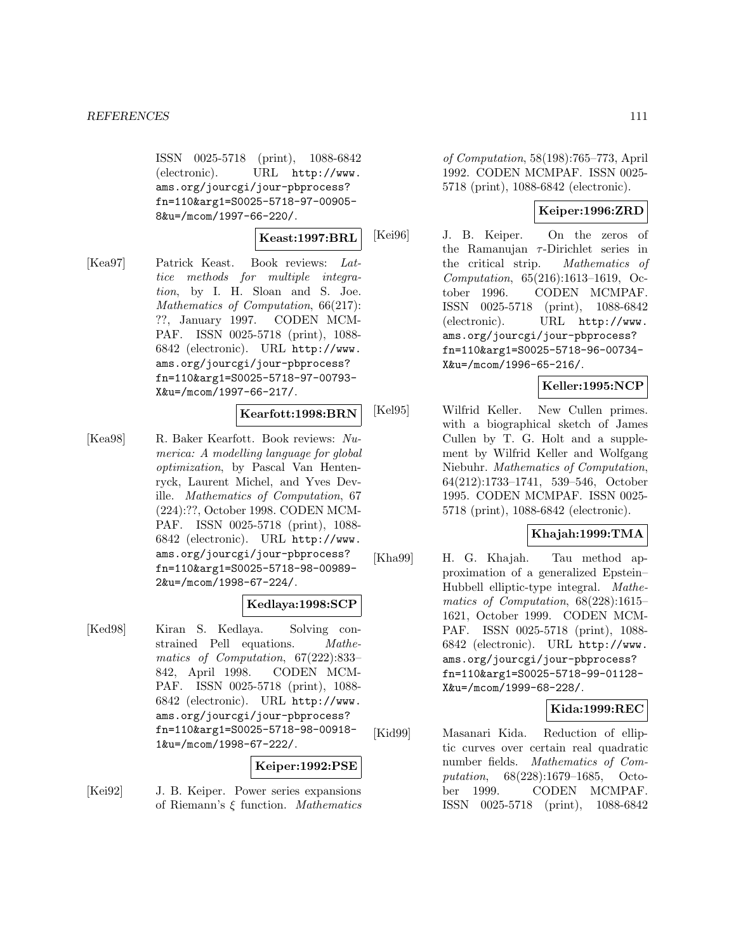ISSN 0025-5718 (print), 1088-6842 (electronic). URL http://www. ams.org/jourcgi/jour-pbprocess? fn=110&arg1=S0025-5718-97-00905- 8&u=/mcom/1997-66-220/.

#### **Keast:1997:BRL**

[Kea97] Patrick Keast. Book reviews: Lattice methods for multiple integration, by I. H. Sloan and S. Joe. Mathematics of Computation, 66(217): ??, January 1997. CODEN MCM-PAF. ISSN 0025-5718 (print), 1088- 6842 (electronic). URL http://www. ams.org/jourcgi/jour-pbprocess? fn=110&arg1=S0025-5718-97-00793- X&u=/mcom/1997-66-217/.

#### **Kearfott:1998:BRN**

[Kea98] R. Baker Kearfott. Book reviews: Numerica: A modelling language for global optimization, by Pascal Van Hentenryck, Laurent Michel, and Yves Deville. Mathematics of Computation, 67 (224):??, October 1998. CODEN MCM-PAF. ISSN 0025-5718 (print), 1088- 6842 (electronic). URL http://www. ams.org/jourcgi/jour-pbprocess? fn=110&arg1=S0025-5718-98-00989- 2&u=/mcom/1998-67-224/.

# **Kedlaya:1998:SCP**

[Ked98] Kiran S. Kedlaya. Solving constrained Pell equations. Mathematics of Computation, 67(222):833– 842, April 1998. CODEN MCM-PAF. ISSN 0025-5718 (print), 1088- 6842 (electronic). URL http://www. ams.org/jourcgi/jour-pbprocess? fn=110&arg1=S0025-5718-98-00918- 1&u=/mcom/1998-67-222/.

#### **Keiper:1992:PSE**

[Kei92] J. B. Keiper. Power series expansions of Riemann's  $\xi$  function. *Mathematics* 

of Computation, 58(198):765–773, April 1992. CODEN MCMPAF. ISSN 0025- 5718 (print), 1088-6842 (electronic).

# **Keiper:1996:ZRD**

[Kei96] J. B. Keiper. On the zeros of the Ramanujan  $\tau$ -Dirichlet series in the critical strip. Mathematics of Computation, 65(216):1613–1619, October 1996. CODEN MCMPAF. ISSN 0025-5718 (print), 1088-6842 (electronic). URL http://www. ams.org/jourcgi/jour-pbprocess? fn=110&arg1=S0025-5718-96-00734- X&u=/mcom/1996-65-216/.

# **Keller:1995:NCP**

[Kel95] Wilfrid Keller. New Cullen primes. with a biographical sketch of James Cullen by T. G. Holt and a supplement by Wilfrid Keller and Wolfgang Niebuhr. Mathematics of Computation, 64(212):1733–1741, 539–546, October 1995. CODEN MCMPAF. ISSN 0025- 5718 (print), 1088-6842 (electronic).

# **Khajah:1999:TMA**

[Kha99] H. G. Khajah. Tau method approximation of a generalized Epstein– Hubbell elliptic-type integral. Mathematics of Computation, 68(228):1615– 1621, October 1999. CODEN MCM-PAF. ISSN 0025-5718 (print), 1088- 6842 (electronic). URL http://www. ams.org/jourcgi/jour-pbprocess? fn=110&arg1=S0025-5718-99-01128- X&u=/mcom/1999-68-228/.

# **Kida:1999:REC**

[Kid99] Masanari Kida. Reduction of elliptic curves over certain real quadratic number fields. Mathematics of Computation, 68(228):1679–1685, October 1999. CODEN MCMPAF. ISSN 0025-5718 (print), 1088-6842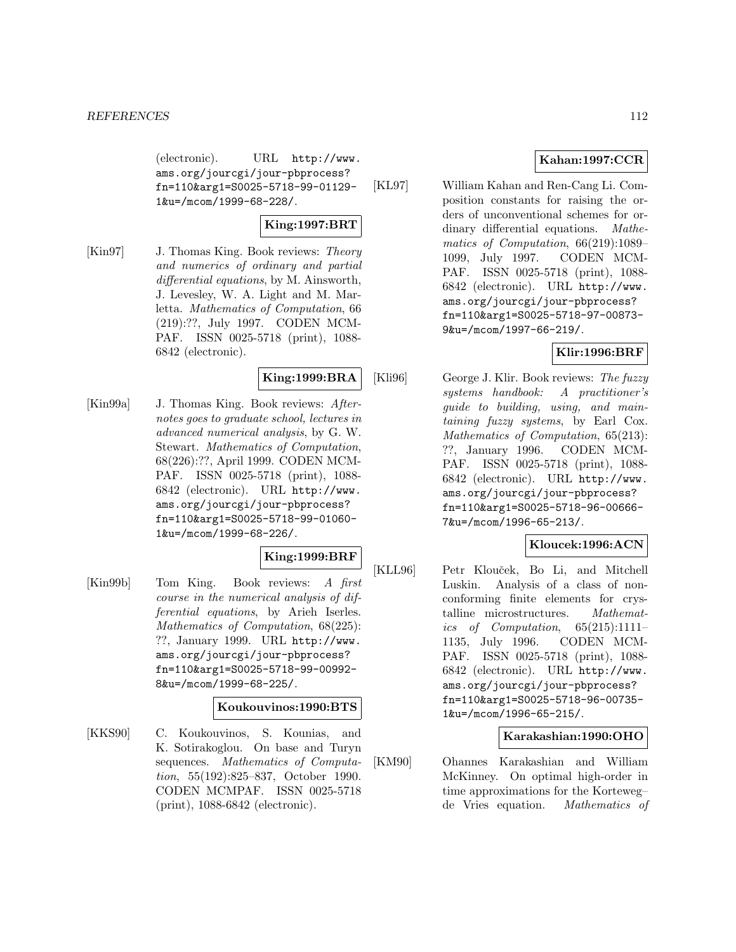(electronic). URL http://www. ams.org/jourcgi/jour-pbprocess? fn=110&arg1=S0025-5718-99-01129- 1&u=/mcom/1999-68-228/.

# **King:1997:BRT**

[Kin97] J. Thomas King. Book reviews: Theory and numerics of ordinary and partial differential equations, by M. Ainsworth, J. Levesley, W. A. Light and M. Marletta. Mathematics of Computation, 66 (219):??, July 1997. CODEN MCM-PAF. ISSN 0025-5718 (print), 1088- 6842 (electronic).

# **King:1999:BRA**

[Kin99a] J. Thomas King. Book reviews: Afternotes goes to graduate school, lectures in advanced numerical analysis, by G. W. Stewart. Mathematics of Computation, 68(226):??, April 1999. CODEN MCM-PAF. ISSN 0025-5718 (print), 1088- 6842 (electronic). URL http://www. ams.org/jourcgi/jour-pbprocess? fn=110&arg1=S0025-5718-99-01060- 1&u=/mcom/1999-68-226/.

# **King:1999:BRF**

[Kin99b] Tom King. Book reviews: A first course in the numerical analysis of differential equations, by Arieh Iserles. Mathematics of Computation, 68(225): ??, January 1999. URL http://www. ams.org/jourcgi/jour-pbprocess? fn=110&arg1=S0025-5718-99-00992- 8&u=/mcom/1999-68-225/.

#### **Koukouvinos:1990:BTS**

[KKS90] C. Koukouvinos, S. Kounias, and K. Sotirakoglou. On base and Turyn sequences. Mathematics of Computation, 55(192):825–837, October 1990. CODEN MCMPAF. ISSN 0025-5718 (print), 1088-6842 (electronic).

# **Kahan:1997:CCR**

[KL97] William Kahan and Ren-Cang Li. Composition constants for raising the orders of unconventional schemes for ordinary differential equations. Mathematics of Computation, 66(219):1089– 1099, July 1997. CODEN MCM-PAF. ISSN 0025-5718 (print), 1088- 6842 (electronic). URL http://www. ams.org/jourcgi/jour-pbprocess? fn=110&arg1=S0025-5718-97-00873- 9&u=/mcom/1997-66-219/.

# **Klir:1996:BRF**

[Kli96] George J. Klir. Book reviews: The fuzzy systems handbook: A practitioner's guide to building, using, and maintaining fuzzy systems, by Earl Cox. Mathematics of Computation, 65(213): ??, January 1996. CODEN MCM-PAF. ISSN 0025-5718 (print), 1088- 6842 (electronic). URL http://www. ams.org/jourcgi/jour-pbprocess? fn=110&arg1=S0025-5718-96-00666- 7&u=/mcom/1996-65-213/.

# **Kloucek:1996:ACN**

[KLL96] Petr Klouček, Bo Li, and Mitchell Luskin. Analysis of a class of nonconforming finite elements for crystalline microstructures. Mathematics of Computation,  $65(215):1111-$ 1135, July 1996. CODEN MCM-PAF. ISSN 0025-5718 (print), 1088- 6842 (electronic). URL http://www. ams.org/jourcgi/jour-pbprocess? fn=110&arg1=S0025-5718-96-00735- 1&u=/mcom/1996-65-215/.

# **Karakashian:1990:OHO**

[KM90] Ohannes Karakashian and William McKinney. On optimal high-order in time approximations for the Korteweg– de Vries equation. Mathematics of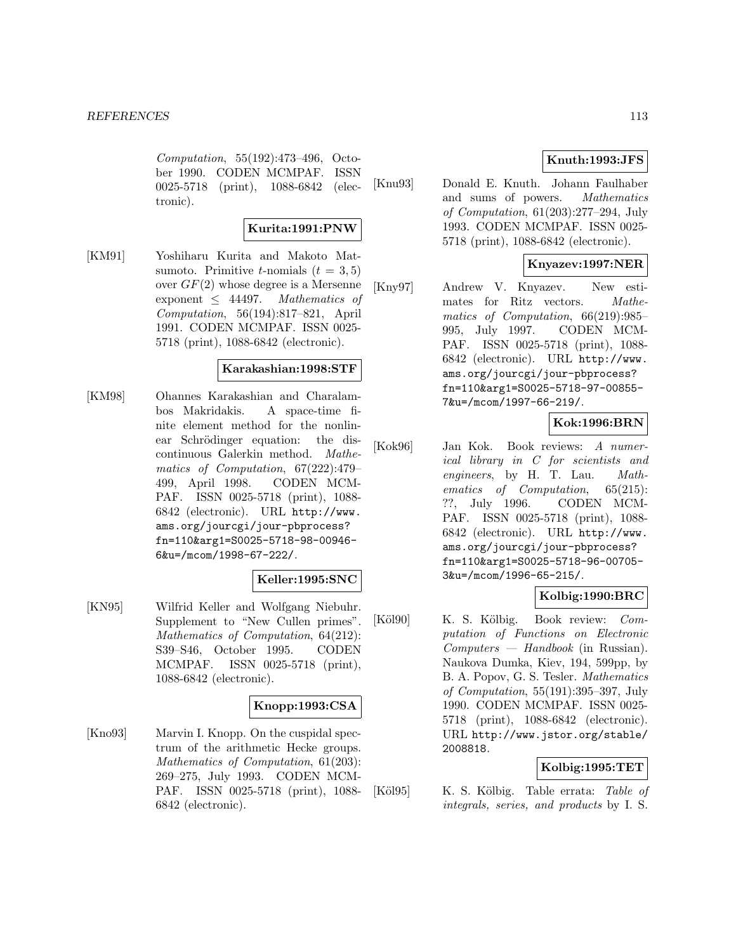Computation, 55(192):473–496, October 1990. CODEN MCMPAF. ISSN 0025-5718 (print), 1088-6842 (electronic).

#### **Kurita:1991:PNW**

[KM91] Yoshiharu Kurita and Makoto Matsumoto. Primitive *t*-nomials  $(t = 3, 5)$ over  $GF(2)$  whose degree is a Mersenne exponent  $\leq$  44497. Mathematics of Computation, 56(194):817–821, April 1991. CODEN MCMPAF. ISSN 0025- 5718 (print), 1088-6842 (electronic).

#### **Karakashian:1998:STF**

[KM98] Ohannes Karakashian and Charalambos Makridakis. A space-time finite element method for the nonlinear Schrödinger equation: the discontinuous Galerkin method. Mathematics of Computation, 67(222):479– 499, April 1998. CODEN MCM-PAF. ISSN 0025-5718 (print), 1088- 6842 (electronic). URL http://www. ams.org/jourcgi/jour-pbprocess? fn=110&arg1=S0025-5718-98-00946- 6&u=/mcom/1998-67-222/.

# **Keller:1995:SNC**

[KN95] Wilfrid Keller and Wolfgang Niebuhr. Supplement to "New Cullen primes". Mathematics of Computation, 64(212): S39–S46, October 1995. CODEN MCMPAF. ISSN 0025-5718 (print), 1088-6842 (electronic).

#### **Knopp:1993:CSA**

[Kno93] Marvin I. Knopp. On the cuspidal spectrum of the arithmetic Hecke groups. Mathematics of Computation, 61(203): 269–275, July 1993. CODEN MCM-PAF. ISSN 0025-5718 (print), 1088- 6842 (electronic).

# **Knuth:1993:JFS**

[Knu93] Donald E. Knuth. Johann Faulhaber and sums of powers. Mathematics of Computation, 61(203):277–294, July 1993. CODEN MCMPAF. ISSN 0025- 5718 (print), 1088-6842 (electronic).

## **Knyazev:1997:NER**

[Kny97] Andrew V. Knyazev. New estimates for Ritz vectors. Mathematics of Computation, 66(219):985– 995, July 1997. CODEN MCM-PAF. ISSN 0025-5718 (print), 1088- 6842 (electronic). URL http://www. ams.org/jourcgi/jour-pbprocess? fn=110&arg1=S0025-5718-97-00855- 7&u=/mcom/1997-66-219/.

# **Kok:1996:BRN**

[Kok96] Jan Kok. Book reviews: A numerical library in C for scientists and engineers, by H. T. Lau. Mathematics of Computation, 65(215): ??, July 1996. CODEN MCM-PAF. ISSN 0025-5718 (print), 1088- 6842 (electronic). URL http://www. ams.org/jourcgi/jour-pbprocess? fn=110&arg1=S0025-5718-96-00705- 3&u=/mcom/1996-65-215/.

### **Kolbig:1990:BRC**

[Köl90] K. S. Kölbig. Book review: Computation of Functions on Electronic  $Computers - Handbook$  (in Russian). Naukova Dumka, Kiev, 194, 599pp, by B. A. Popov, G. S. Tesler. Mathematics of Computation, 55(191):395–397, July 1990. CODEN MCMPAF. ISSN 0025- 5718 (print), 1088-6842 (electronic). URL http://www.jstor.org/stable/ 2008818.

#### **Kolbig:1995:TET**

[Köl95] K. S. Kölbig. Table errata: Table of integrals, series, and products by I. S.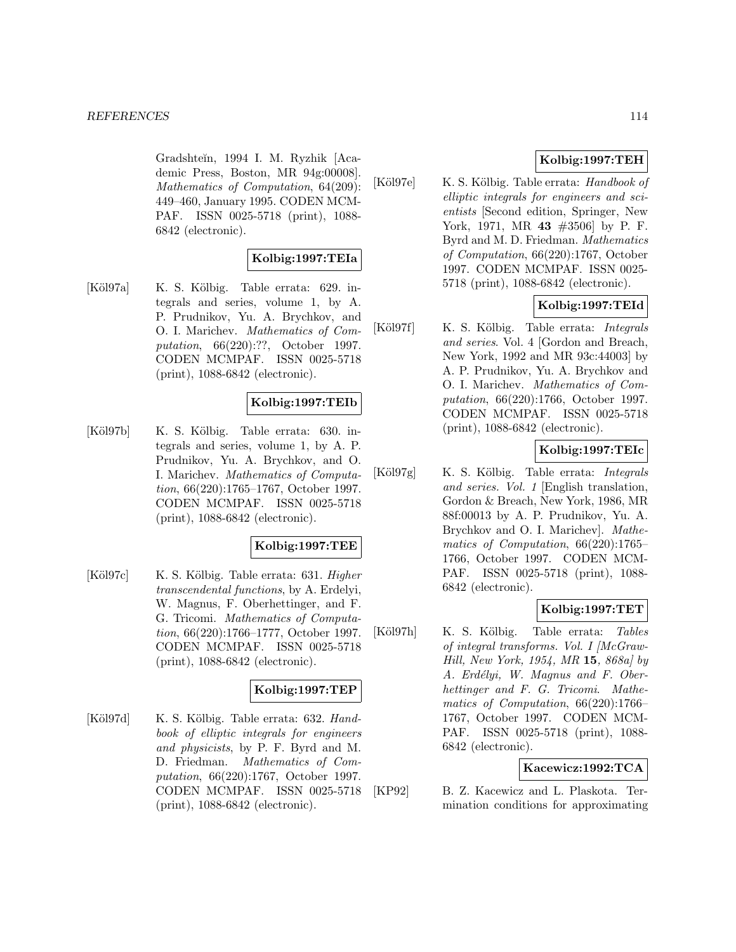Gradshteĭn, 1994 I. M. Ryzhik [Academic Press, Boston, MR 94g:00008]. Mathematics of Computation, 64(209): 449–460, January 1995. CODEN MCM-PAF. ISSN 0025-5718 (print), 1088- 6842 (electronic).

# **Kolbig:1997:TEIa**

[K¨ol97a] K. S. K¨olbig. Table errata: 629. integrals and series, volume 1, by A. P. Prudnikov, Yu. A. Brychkov, and O. I. Marichev. Mathematics of Computation, 66(220):??, October 1997. CODEN MCMPAF. ISSN 0025-5718 (print), 1088-6842 (electronic).

#### **Kolbig:1997:TEIb**

[Köl97b] K. S. Kölbig. Table errata: 630. integrals and series, volume 1, by A. P. Prudnikov, Yu. A. Brychkov, and O. I. Marichev. Mathematics of Computation, 66(220):1765–1767, October 1997. CODEN MCMPAF. ISSN 0025-5718 (print), 1088-6842 (electronic).

#### **Kolbig:1997:TEE**

[Köl97c] K. S. Kölbig. Table errata: 631. *Higher* transcendental functions, by A. Erdelyi, W. Magnus, F. Oberhettinger, and F. G. Tricomi. Mathematics of Computation, 66(220):1766–1777, October 1997. CODEN MCMPAF. ISSN 0025-5718 (print), 1088-6842 (electronic).

#### **Kolbig:1997:TEP**

[Köl97d] K. S. Kölbig. Table errata: 632. Handbook of elliptic integrals for engineers and physicists, by P. F. Byrd and M. D. Friedman. Mathematics of Computation, 66(220):1767, October 1997. CODEN MCMPAF. ISSN 0025-5718 (print), 1088-6842 (electronic).

# **Kolbig:1997:TEH**

[Köl97e] K. S. Kölbig. Table errata: *Handbook of* elliptic integrals for engineers and scientists [Second edition, Springer, New York, 1971, MR **43** #3506] by P. F. Byrd and M. D. Friedman. Mathematics of Computation, 66(220):1767, October 1997. CODEN MCMPAF. ISSN 0025- 5718 (print), 1088-6842 (electronic).

## **Kolbig:1997:TEId**

[Köl97f] K. S. Kölbig. Table errata: Integrals and series. Vol. 4 [Gordon and Breach, New York, 1992 and MR 93c:44003] by A. P. Prudnikov, Yu. A. Brychkov and O. I. Marichev. Mathematics of Computation, 66(220):1766, October 1997. CODEN MCMPAF. ISSN 0025-5718 (print), 1088-6842 (electronic).

## **Kolbig:1997:TEIc**

 $[K\ddot{o}l97g]$  K. S. Kölbig. Table errata: *Integrals* and series. Vol. 1 [English translation, Gordon & Breach, New York, 1986, MR 88f:00013 by A. P. Prudnikov, Yu. A. Brychkov and O. I. Marichev]. Mathematics of Computation, 66(220):1765– 1766, October 1997. CODEN MCM-PAF. ISSN 0025-5718 (print), 1088- 6842 (electronic).

#### **Kolbig:1997:TET**

[Köl97h] K. S. Kölbig. Table errata: Tables of integral transforms. Vol. I [McGraw-Hill, New York, 1954, MR **15**, 868a] by A. Erdélyi, W. Magnus and F. Oberhettinger and F. G. Tricomi. Mathematics of Computation, 66(220):1766– 1767, October 1997. CODEN MCM-PAF. ISSN 0025-5718 (print), 1088- 6842 (electronic).

#### **Kacewicz:1992:TCA**

[KP92] B. Z. Kacewicz and L. Plaskota. Termination conditions for approximating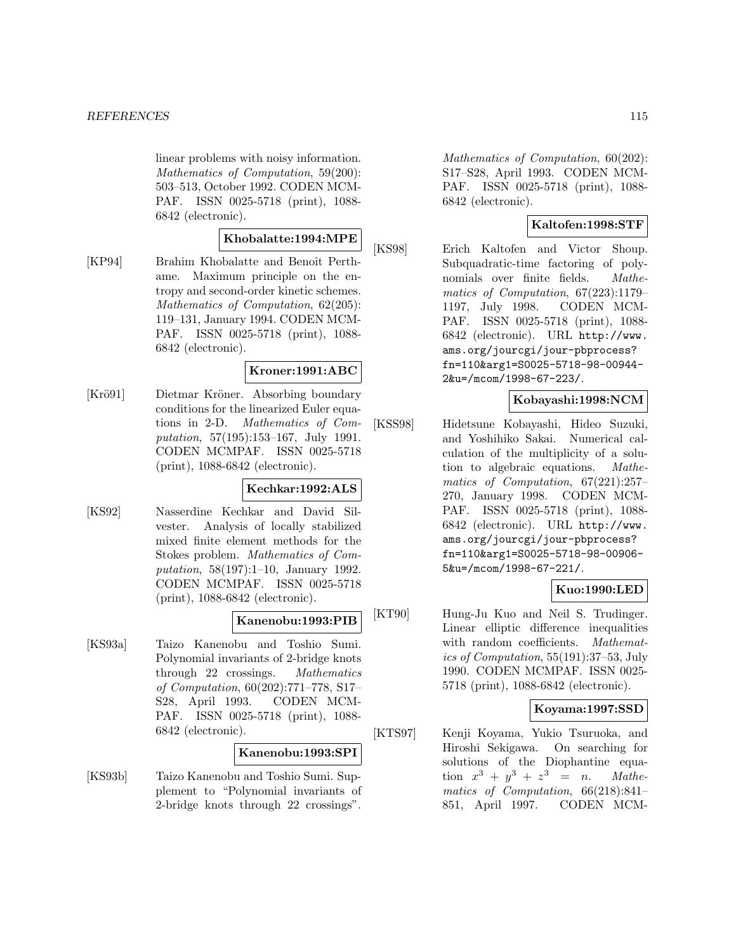linear problems with noisy information. Mathematics of Computation, 59(200): 503–513, October 1992. CODEN MCM-PAF. ISSN 0025-5718 (print), 1088- 6842 (electronic).

# **Khobalatte:1994:MPE**

[KP94] Brahim Khobalatte and Benoît Perthame. Maximum principle on the entropy and second-order kinetic schemes. Mathematics of Computation, 62(205): 119–131, January 1994. CODEN MCM-PAF. ISSN 0025-5718 (print), 1088- 6842 (electronic).

#### **Kroner:1991:ABC**

[Krö91] Dietmar Kröner. Absorbing boundary conditions for the linearized Euler equations in 2-D. Mathematics of Computation, 57(195):153–167, July 1991. CODEN MCMPAF. ISSN 0025-5718 (print), 1088-6842 (electronic).

#### **Kechkar:1992:ALS**

[KS92] Nasserdine Kechkar and David Silvester. Analysis of locally stabilized mixed finite element methods for the Stokes problem. Mathematics of Computation, 58(197):1–10, January 1992. CODEN MCMPAF. ISSN 0025-5718 (print), 1088-6842 (electronic).

# **Kanenobu:1993:PIB**

[KS93a] Taizo Kanenobu and Toshio Sumi. Polynomial invariants of 2-bridge knots through 22 crossings. Mathematics of Computation, 60(202):771–778, S17– S28, April 1993. CODEN MCM-PAF. ISSN 0025-5718 (print), 1088- 6842 (electronic).

#### **Kanenobu:1993:SPI**

[KS93b] Taizo Kanenobu and Toshio Sumi. Supplement to "Polynomial invariants of 2-bridge knots through 22 crossings".

Mathematics of Computation, 60(202): S17–S28, April 1993. CODEN MCM-PAF. ISSN 0025-5718 (print), 1088- 6842 (electronic).

# **Kaltofen:1998:STF**

[KS98] Erich Kaltofen and Victor Shoup. Subquadratic-time factoring of polynomials over finite fields. Mathematics of Computation, 67(223):1179– 1197, July 1998. CODEN MCM-PAF. ISSN 0025-5718 (print), 1088- 6842 (electronic). URL http://www. ams.org/jourcgi/jour-pbprocess? fn=110&arg1=S0025-5718-98-00944- 2&u=/mcom/1998-67-223/.

# **Kobayashi:1998:NCM**

[KSS98] Hidetsune Kobayashi, Hideo Suzuki, and Yoshihiko Sakai. Numerical calculation of the multiplicity of a solution to algebraic equations. Mathematics of Computation, 67(221):257– 270, January 1998. CODEN MCM-PAF. ISSN 0025-5718 (print), 1088- 6842 (electronic). URL http://www. ams.org/jourcgi/jour-pbprocess? fn=110&arg1=S0025-5718-98-00906- 5&u=/mcom/1998-67-221/.

#### **Kuo:1990:LED**

[KT90] Hung-Ju Kuo and Neil S. Trudinger. Linear elliptic difference inequalities with random coefficients. Mathematics of Computation, 55(191):37–53, July 1990. CODEN MCMPAF. ISSN 0025- 5718 (print), 1088-6842 (electronic).

#### **Koyama:1997:SSD**

[KTS97] Kenji Koyama, Yukio Tsuruoka, and Hiroshi Sekigawa. On searching for solutions of the Diophantine equation  $x^3 + y^3 + z^3 = n$ . Mathematics of Computation, 66(218):841– 851, April 1997. CODEN MCM-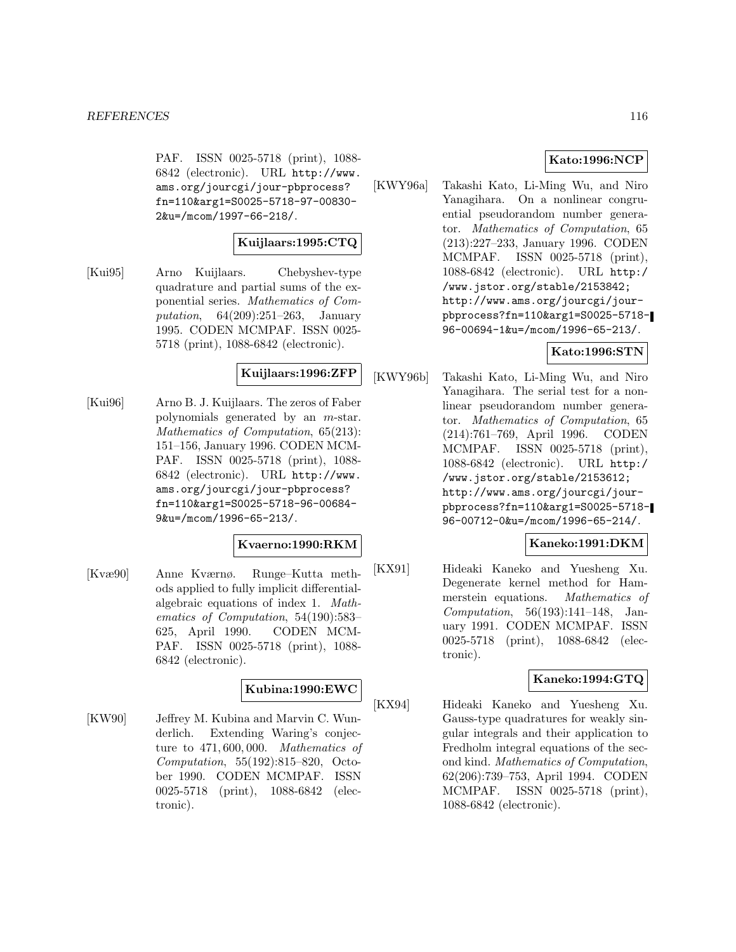PAF. ISSN 0025-5718 (print), 1088- 6842 (electronic). URL http://www. ams.org/jourcgi/jour-pbprocess? fn=110&arg1=S0025-5718-97-00830- 2&u=/mcom/1997-66-218/.

# **Kuijlaars:1995:CTQ**

[Kui95] Arno Kuijlaars. Chebyshev-type quadrature and partial sums of the exponential series. Mathematics of Computation, 64(209):251–263, January 1995. CODEN MCMPAF. ISSN 0025- 5718 (print), 1088-6842 (electronic).

# **Kuijlaars:1996:ZFP**

[Kui96] Arno B. J. Kuijlaars. The zeros of Faber polynomials generated by an m-star. Mathematics of Computation, 65(213): 151–156, January 1996. CODEN MCM-PAF. ISSN 0025-5718 (print), 1088- 6842 (electronic). URL http://www. ams.org/jourcgi/jour-pbprocess? fn=110&arg1=S0025-5718-96-00684- 9&u=/mcom/1996-65-213/.

#### **Kvaerno:1990:RKM**

[Kvæ90] Anne Kværnø. Runge–Kutta methods applied to fully implicit differentialalgebraic equations of index 1. Mathematics of Computation, 54(190):583– 625, April 1990. CODEN MCM-PAF. ISSN 0025-5718 (print), 1088- 6842 (electronic).

# **Kubina:1990:EWC**

[KW90] Jeffrey M. Kubina and Marvin C. Wunderlich. Extending Waring's conjecture to 471, 600, 000. Mathematics of Computation, 55(192):815–820, October 1990. CODEN MCMPAF. ISSN 0025-5718 (print), 1088-6842 (electronic).

# **Kato:1996:NCP**

[KWY96a] Takashi Kato, Li-Ming Wu, and Niro Yanagihara. On a nonlinear congruential pseudorandom number generator. Mathematics of Computation, 65 (213):227–233, January 1996. CODEN MCMPAF. ISSN 0025-5718 (print), 1088-6842 (electronic). URL http:/ /www.jstor.org/stable/2153842; http://www.ams.org/jourcgi/jourpbprocess?fn=110&arg1=S0025-5718- 96-00694-1&u=/mcom/1996-65-213/.

# **Kato:1996:STN**

[KWY96b] Takashi Kato, Li-Ming Wu, and Niro Yanagihara. The serial test for a nonlinear pseudorandom number generator. Mathematics of Computation, 65 (214):761–769, April 1996. CODEN MCMPAF. ISSN 0025-5718 (print), 1088-6842 (electronic). URL http:/ /www.jstor.org/stable/2153612; http://www.ams.org/jourcgi/jourpbprocess?fn=110&arg1=S0025-5718- 96-00712-0&u=/mcom/1996-65-214/.

# **Kaneko:1991:DKM**

[KX91] Hideaki Kaneko and Yuesheng Xu. Degenerate kernel method for Hammerstein equations. Mathematics of Computation, 56(193):141–148, January 1991. CODEN MCMPAF. ISSN 0025-5718 (print), 1088-6842 (electronic).

# **Kaneko:1994:GTQ**

[KX94] Hideaki Kaneko and Yuesheng Xu. Gauss-type quadratures for weakly singular integrals and their application to Fredholm integral equations of the second kind. Mathematics of Computation, 62(206):739–753, April 1994. CODEN MCMPAF. ISSN 0025-5718 (print), 1088-6842 (electronic).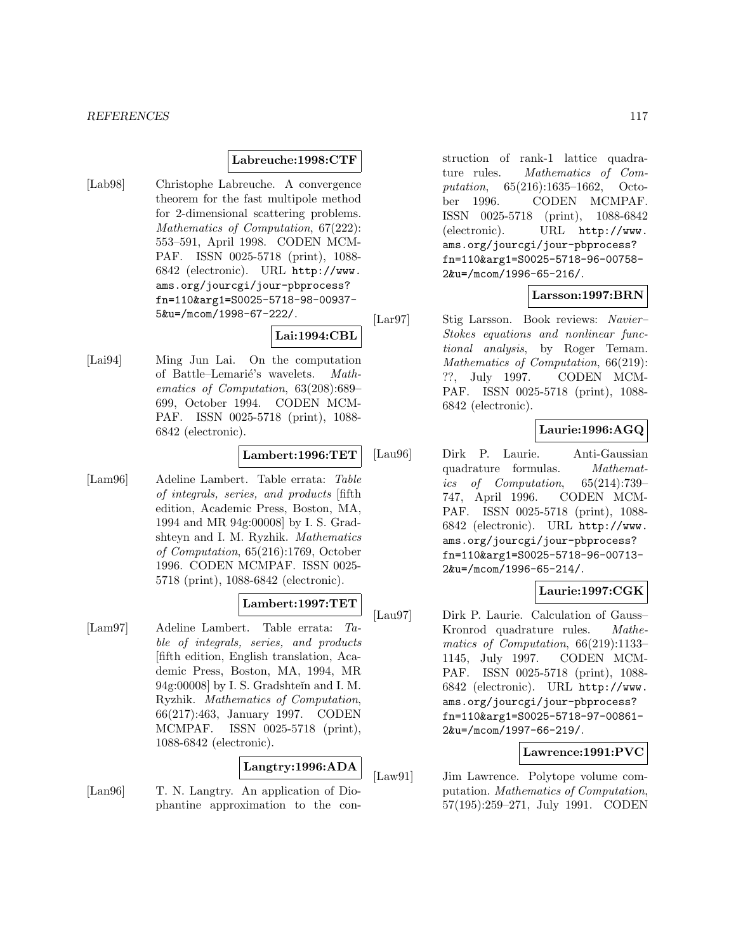#### **Labreuche:1998:CTF**

[Lab98] Christophe Labreuche. A convergence theorem for the fast multipole method for 2-dimensional scattering problems. Mathematics of Computation, 67(222): 553–591, April 1998. CODEN MCM-PAF. ISSN 0025-5718 (print), 1088- 6842 (electronic). URL http://www. ams.org/jourcgi/jour-pbprocess? fn=110&arg1=S0025-5718-98-00937- 5&u=/mcom/1998-67-222/.

#### **Lai:1994:CBL**

[Lai94] Ming Jun Lai. On the computation of Battle–Lemarié's wavelets. Mathematics of Computation, 63(208):689– 699, October 1994. CODEN MCM-PAF. ISSN 0025-5718 (print), 1088- 6842 (electronic).

#### **Lambert:1996:TET**

[Lam96] Adeline Lambert. Table errata: Table of integrals, series, and products [fifth edition, Academic Press, Boston, MA, 1994 and MR 94g:00008] by I. S. Gradshteyn and I. M. Ryzhik. Mathematics of Computation, 65(216):1769, October 1996. CODEN MCMPAF. ISSN 0025- 5718 (print), 1088-6842 (electronic).

#### **Lambert:1997:TET**

[Lam97] Adeline Lambert. Table errata: Table of integrals, series, and products [fifth edition, English translation, Academic Press, Boston, MA, 1994, MR 94g:00008] by I. S. Gradshteĭn and I. M. Ryzhik. Mathematics of Computation, 66(217):463, January 1997. CODEN MCMPAF. ISSN 0025-5718 (print), 1088-6842 (electronic).

#### **Langtry:1996:ADA**

[Lan96] T. N. Langtry. An application of Diophantine approximation to the construction of rank-1 lattice quadrature rules. Mathematics of Computation, 65(216):1635–1662, October 1996. CODEN MCMPAF. ISSN 0025-5718 (print), 1088-6842 (electronic). URL http://www. ams.org/jourcgi/jour-pbprocess? fn=110&arg1=S0025-5718-96-00758- 2&u=/mcom/1996-65-216/.

#### **Larsson:1997:BRN**

[Lar97] Stig Larsson. Book reviews: Navier– Stokes equations and nonlinear functional analysis, by Roger Temam. Mathematics of Computation, 66(219): ??, July 1997. CODEN MCM-PAF. ISSN 0025-5718 (print), 1088- 6842 (electronic).

## **Laurie:1996:AGQ**

[Lau96] Dirk P. Laurie. Anti-Gaussian quadrature formulas. Mathematics of Computation, 65(214):739– 747, April 1996. CODEN MCM-PAF. ISSN 0025-5718 (print), 1088- 6842 (electronic). URL http://www. ams.org/jourcgi/jour-pbprocess? fn=110&arg1=S0025-5718-96-00713- 2&u=/mcom/1996-65-214/.

# **Laurie:1997:CGK**

[Lau97] Dirk P. Laurie. Calculation of Gauss– Kronrod quadrature rules. Mathematics of Computation, 66(219):1133– 1145, July 1997. CODEN MCM-PAF. ISSN 0025-5718 (print), 1088- 6842 (electronic). URL http://www. ams.org/jourcgi/jour-pbprocess? fn=110&arg1=S0025-5718-97-00861- 2&u=/mcom/1997-66-219/.

# **Lawrence:1991:PVC**

[Law91] Jim Lawrence. Polytope volume computation. Mathematics of Computation, 57(195):259–271, July 1991. CODEN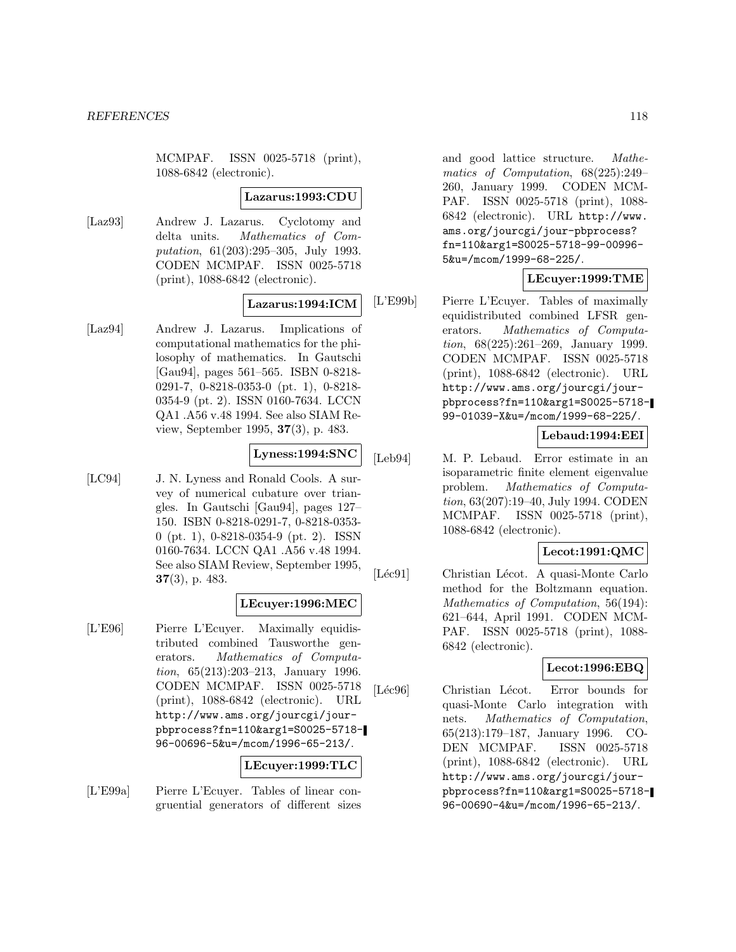MCMPAF. ISSN 0025-5718 (print), 1088-6842 (electronic).

#### **Lazarus:1993:CDU**

[Laz93] Andrew J. Lazarus. Cyclotomy and delta units. Mathematics of Computation, 61(203):295–305, July 1993. CODEN MCMPAF. ISSN 0025-5718 (print), 1088-6842 (electronic).

#### **Lazarus:1994:ICM**

[Laz94] Andrew J. Lazarus. Implications of computational mathematics for the philosophy of mathematics. In Gautschi [Gau94], pages 561–565. ISBN 0-8218- 0291-7, 0-8218-0353-0 (pt. 1), 0-8218- 0354-9 (pt. 2). ISSN 0160-7634. LCCN QA1 .A56 v.48 1994. See also SIAM Review, September 1995, **37**(3), p. 483.

# **Lyness:1994:SNC**

[LC94] J. N. Lyness and Ronald Cools. A survey of numerical cubature over triangles. In Gautschi [Gau94], pages 127– 150. ISBN 0-8218-0291-7, 0-8218-0353- 0 (pt. 1), 0-8218-0354-9 (pt. 2). ISSN 0160-7634. LCCN QA1 .A56 v.48 1994. See also SIAM Review, September 1995, **37**(3), p. 483.

#### **LEcuyer:1996:MEC**

[L'E96] Pierre L'Ecuyer. Maximally equidistributed combined Tausworthe generators. Mathematics of Computation, 65(213):203–213, January 1996. CODEN MCMPAF. ISSN 0025-5718 (print), 1088-6842 (electronic). URL http://www.ams.org/jourcgi/jourpbprocess?fn=110&arg1=S0025-5718- 96-00696-5&u=/mcom/1996-65-213/.

# **LEcuyer:1999:TLC**

[L'E99a] Pierre L'Ecuyer. Tables of linear congruential generators of different sizes and good lattice structure. Mathematics of Computation, 68(225):249– 260, January 1999. CODEN MCM-PAF. ISSN 0025-5718 (print), 1088- 6842 (electronic). URL http://www. ams.org/jourcgi/jour-pbprocess? fn=110&arg1=S0025-5718-99-00996- 5&u=/mcom/1999-68-225/.

# **LEcuyer:1999:TME**

[L'E99b] Pierre L'Ecuyer. Tables of maximally equidistributed combined LFSR generators. Mathematics of Computation, 68(225):261–269, January 1999. CODEN MCMPAF. ISSN 0025-5718 (print), 1088-6842 (electronic). URL http://www.ams.org/jourcgi/jourpbprocess?fn=110&arg1=S0025-5718- 99-01039-X&u=/mcom/1999-68-225/.

# **Lebaud:1994:EEI**

[Leb94] M. P. Lebaud. Error estimate in an isoparametric finite element eigenvalue problem. Mathematics of Computation, 63(207):19–40, July 1994. CODEN MCMPAF. ISSN 0025-5718 (print), 1088-6842 (electronic).

#### **Lecot:1991:QMC**

[Léc91] Christian Lécot. A quasi-Monte Carlo method for the Boltzmann equation. Mathematics of Computation, 56(194): 621–644, April 1991. CODEN MCM-PAF. ISSN 0025-5718 (print), 1088- 6842 (electronic).

# **Lecot:1996:EBQ**

[Léc96] Christian Lécot. Error bounds for quasi-Monte Carlo integration with nets. Mathematics of Computation, 65(213):179–187, January 1996. CO-DEN MCMPAF. ISSN 0025-5718 (print), 1088-6842 (electronic). URL http://www.ams.org/jourcgi/jourpbprocess?fn=110&arg1=S0025-5718- 96-00690-4&u=/mcom/1996-65-213/.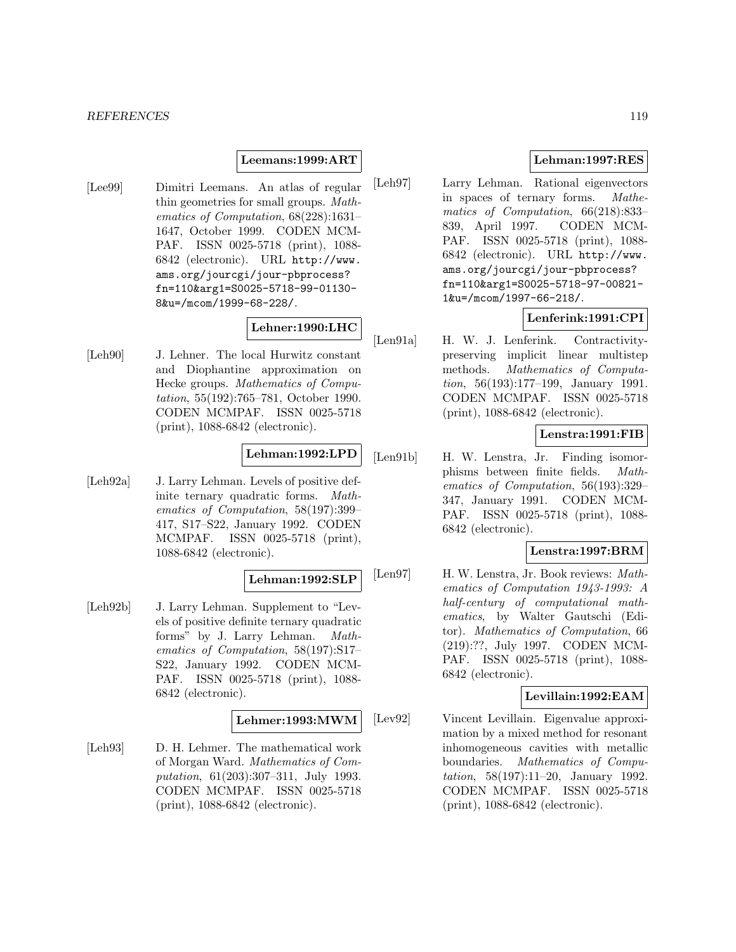#### *REFERENCES* 119

#### **Leemans:1999:ART**

[Lee99] Dimitri Leemans. An atlas of regular thin geometries for small groups. Mathematics of Computation, 68(228):1631– 1647, October 1999. CODEN MCM-PAF. ISSN 0025-5718 (print), 1088- 6842 (electronic). URL http://www. ams.org/jourcgi/jour-pbprocess? fn=110&arg1=S0025-5718-99-01130- 8&u=/mcom/1999-68-228/.

# **Lehner:1990:LHC**

[Leh90] J. Lehner. The local Hurwitz constant and Diophantine approximation on Hecke groups. Mathematics of Computation, 55(192):765–781, October 1990. CODEN MCMPAF. ISSN 0025-5718 (print), 1088-6842 (electronic).

# **Lehman:1992:LPD**

[Leh92a] J. Larry Lehman. Levels of positive definite ternary quadratic forms. Mathematics of Computation, 58(197):399– 417, S17–S22, January 1992. CODEN MCMPAF. ISSN 0025-5718 (print), 1088-6842 (electronic).

#### **Lehman:1992:SLP**

[Leh92b] J. Larry Lehman. Supplement to "Levels of positive definite ternary quadratic forms" by J. Larry Lehman. Mathematics of Computation, 58(197):S17– S22, January 1992. CODEN MCM-PAF. ISSN 0025-5718 (print), 1088- 6842 (electronic).

#### **Lehmer:1993:MWM**

[Leh93] D. H. Lehmer. The mathematical work of Morgan Ward. Mathematics of Computation, 61(203):307–311, July 1993. CODEN MCMPAF. ISSN 0025-5718 (print), 1088-6842 (electronic).

# **Lehman:1997:RES**

[Leh97] Larry Lehman. Rational eigenvectors in spaces of ternary forms. Mathematics of Computation, 66(218):833– 839, April 1997. CODEN MCM-PAF. ISSN 0025-5718 (print), 1088- 6842 (electronic). URL http://www. ams.org/jourcgi/jour-pbprocess? fn=110&arg1=S0025-5718-97-00821- 1&u=/mcom/1997-66-218/.

# **Lenferink:1991:CPI**

[Len91a] H. W. J. Lenferink. Contractivitypreserving implicit linear multistep methods. Mathematics of Computation, 56(193):177–199, January 1991. CODEN MCMPAF. ISSN 0025-5718 (print), 1088-6842 (electronic).

# **Lenstra:1991:FIB**

[Len91b] H. W. Lenstra, Jr. Finding isomorphisms between finite fields. Mathematics of Computation, 56(193):329– 347, January 1991. CODEN MCM-PAF. ISSN 0025-5718 (print), 1088- 6842 (electronic).

#### **Lenstra:1997:BRM**

[Len97] H. W. Lenstra, Jr. Book reviews: Mathematics of Computation 1943-1993: A half-century of computational mathematics, by Walter Gautschi (Editor). Mathematics of Computation, 66 (219):??, July 1997. CODEN MCM-PAF. ISSN 0025-5718 (print), 1088- 6842 (electronic).

#### **Levillain:1992:EAM**

[Lev92] Vincent Levillain. Eigenvalue approximation by a mixed method for resonant inhomogeneous cavities with metallic boundaries. Mathematics of Computation, 58(197):11–20, January 1992. CODEN MCMPAF. ISSN 0025-5718 (print), 1088-6842 (electronic).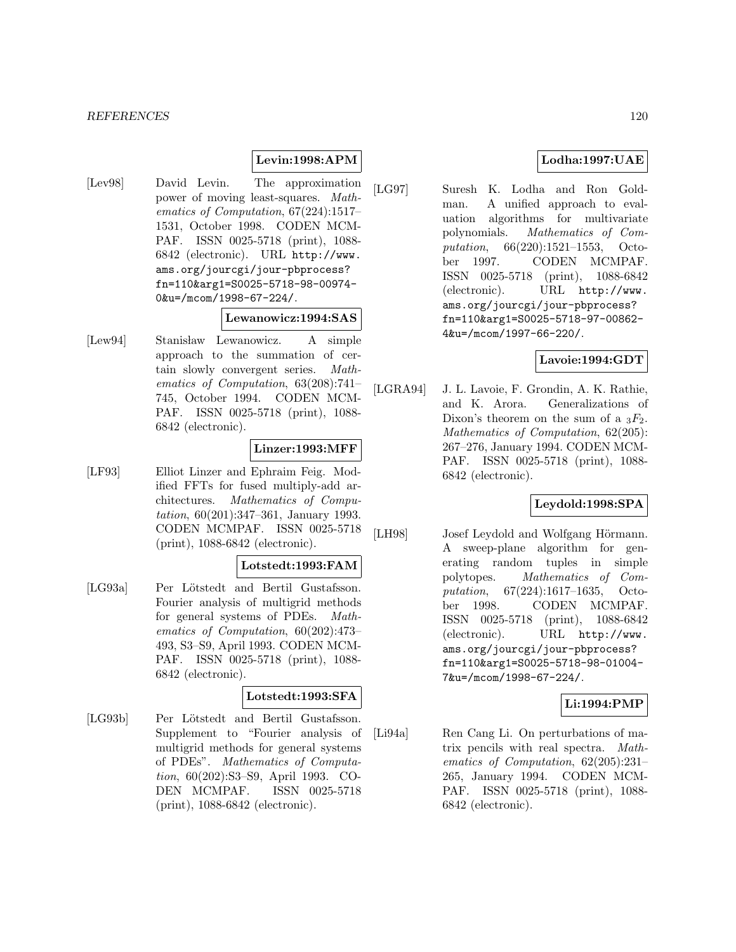# **Levin:1998:APM**

[Lev98] David Levin. The approximation power of moving least-squares. Mathematics of Computation, 67(224):1517– 1531, October 1998. CODEN MCM-PAF. ISSN 0025-5718 (print), 1088- 6842 (electronic). URL http://www. ams.org/jourcgi/jour-pbprocess? fn=110&arg1=S0025-5718-98-00974- 0&u=/mcom/1998-67-224/.

#### **Lewanowicz:1994:SAS**

[Lew94] Stanisław Lewanowicz. A simple approach to the summation of certain slowly convergent series. Mathematics of Computation, 63(208):741– 745, October 1994. CODEN MCM-PAF. ISSN 0025-5718 (print), 1088- 6842 (electronic).

## **Linzer:1993:MFF**

[LF93] Elliot Linzer and Ephraim Feig. Modified FFTs for fused multiply-add architectures. Mathematics of Computation, 60(201):347–361, January 1993. CODEN MCMPAF. ISSN 0025-5718 (print), 1088-6842 (electronic).

#### **Lotstedt:1993:FAM**

[LG93a] Per Lötstedt and Bertil Gustafsson. Fourier analysis of multigrid methods for general systems of PDEs. Mathematics of Computation, 60(202):473– 493, S3–S9, April 1993. CODEN MCM-PAF. ISSN 0025-5718 (print), 1088- 6842 (electronic).

# **Lotstedt:1993:SFA**

[LG93b] Per Lötstedt and Bertil Gustafsson. Supplement to "Fourier analysis of multigrid methods for general systems of PDEs". Mathematics of Computation, 60(202):S3–S9, April 1993. CO-DEN MCMPAF. ISSN 0025-5718 (print), 1088-6842 (electronic).

# **Lodha:1997:UAE**

[LG97] Suresh K. Lodha and Ron Goldman. A unified approach to evaluation algorithms for multivariate polynomials. Mathematics of Computation, 66(220):1521–1553, October 1997. CODEN MCMPAF. ISSN 0025-5718 (print), 1088-6842 (electronic). URL http://www. ams.org/jourcgi/jour-pbprocess? fn=110&arg1=S0025-5718-97-00862- 4&u=/mcom/1997-66-220/.

# **Lavoie:1994:GDT**

[LGRA94] J. L. Lavoie, F. Grondin, A. K. Rathie, and K. Arora. Generalizations of Dixon's theorem on the sum of a  $_3F_2$ . Mathematics of Computation, 62(205): 267–276, January 1994. CODEN MCM-PAF. ISSN 0025-5718 (print), 1088- 6842 (electronic).

# **Leydold:1998:SPA**

[LH98] Josef Leydold and Wolfgang Hörmann. A sweep-plane algorithm for generating random tuples in simple polytopes. Mathematics of Computation, 67(224):1617–1635, October 1998. CODEN MCMPAF. ISSN 0025-5718 (print), 1088-6842 (electronic). URL http://www. ams.org/jourcgi/jour-pbprocess? fn=110&arg1=S0025-5718-98-01004- 7&u=/mcom/1998-67-224/.

# **Li:1994:PMP**

[Li94a] Ren Cang Li. On perturbations of matrix pencils with real spectra. Mathematics of Computation, 62(205):231– 265, January 1994. CODEN MCM-PAF. ISSN 0025-5718 (print), 1088- 6842 (electronic).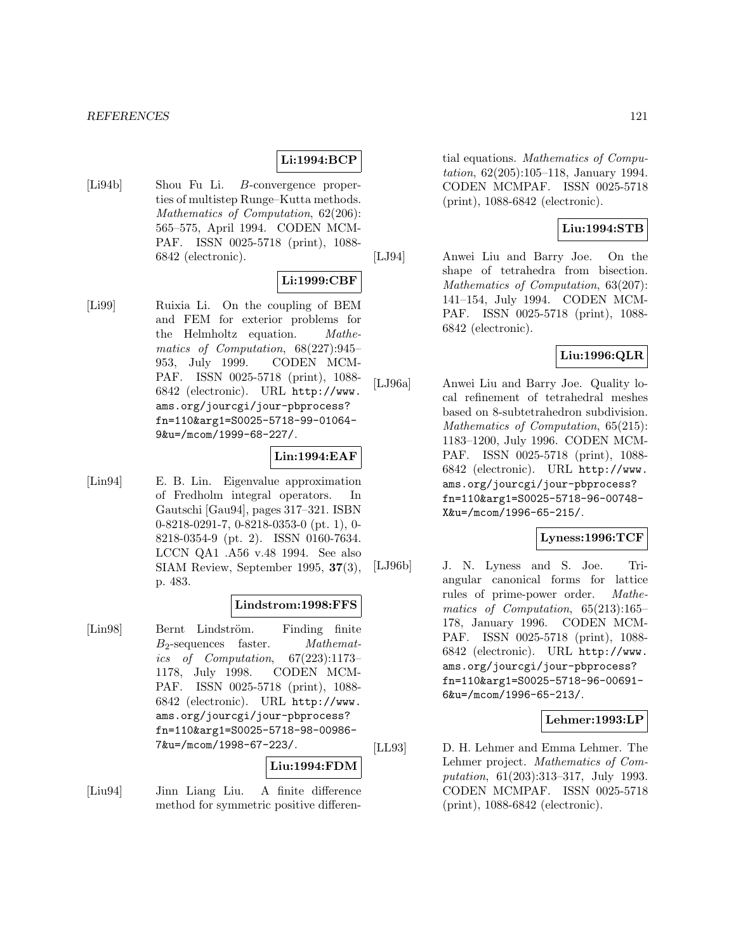#### *REFERENCES* 121

# **Li:1994:BCP**

[Li94b] Shou Fu Li. B-convergence properties of multistep Runge–Kutta methods. Mathematics of Computation, 62(206): 565–575, April 1994. CODEN MCM-PAF. ISSN 0025-5718 (print), 1088- 6842 (electronic).

#### **Li:1999:CBF**

[Li99] Ruixia Li. On the coupling of BEM and FEM for exterior problems for the Helmholtz equation. Mathematics of Computation, 68(227):945– 953, July 1999. CODEN MCM-PAF. ISSN 0025-5718 (print), 1088- 6842 (electronic). URL http://www. ams.org/jourcgi/jour-pbprocess? fn=110&arg1=S0025-5718-99-01064- 9&u=/mcom/1999-68-227/.

#### **Lin:1994:EAF**

[Lin94] E. B. Lin. Eigenvalue approximation of Fredholm integral operators. In Gautschi [Gau94], pages 317–321. ISBN 0-8218-0291-7, 0-8218-0353-0 (pt. 1), 0- 8218-0354-9 (pt. 2). ISSN 0160-7634. LCCN QA1 .A56 v.48 1994. See also SIAM Review, September 1995, **37**(3), p. 483.

#### **Lindstrom:1998:FFS**

[Lin98] Bernt Lindström. Finding finite  $B_2$ -sequences faster. *Mathemat*ics of Computation, 67(223):1173– 1178, July 1998. CODEN MCM-PAF. ISSN 0025-5718 (print), 1088- 6842 (electronic). URL http://www. ams.org/jourcgi/jour-pbprocess? fn=110&arg1=S0025-5718-98-00986- 7&u=/mcom/1998-67-223/.

# **Liu:1994:FDM**

[Liu94] Jinn Liang Liu. A finite difference method for symmetric positive differential equations. Mathematics of Computation, 62(205):105–118, January 1994. CODEN MCMPAF. ISSN 0025-5718 (print), 1088-6842 (electronic).

#### **Liu:1994:STB**

[LJ94] Anwei Liu and Barry Joe. On the shape of tetrahedra from bisection. Mathematics of Computation, 63(207): 141–154, July 1994. CODEN MCM-PAF. ISSN 0025-5718 (print), 1088- 6842 (electronic).

# **Liu:1996:QLR**

[LJ96a] Anwei Liu and Barry Joe. Quality local refinement of tetrahedral meshes based on 8-subtetrahedron subdivision. Mathematics of Computation, 65(215): 1183–1200, July 1996. CODEN MCM-PAF. ISSN 0025-5718 (print), 1088- 6842 (electronic). URL http://www. ams.org/jourcgi/jour-pbprocess? fn=110&arg1=S0025-5718-96-00748- X&u=/mcom/1996-65-215/.

#### **Lyness:1996:TCF**

[LJ96b] J. N. Lyness and S. Joe. Triangular canonical forms for lattice rules of prime-power order. Mathematics of Computation, 65(213):165– 178, January 1996. CODEN MCM-PAF. ISSN 0025-5718 (print), 1088- 6842 (electronic). URL http://www. ams.org/jourcgi/jour-pbprocess? fn=110&arg1=S0025-5718-96-00691- 6&u=/mcom/1996-65-213/.

## **Lehmer:1993:LP**

[LL93] D. H. Lehmer and Emma Lehmer. The Lehmer project. Mathematics of Computation, 61(203):313–317, July 1993. CODEN MCMPAF. ISSN 0025-5718 (print), 1088-6842 (electronic).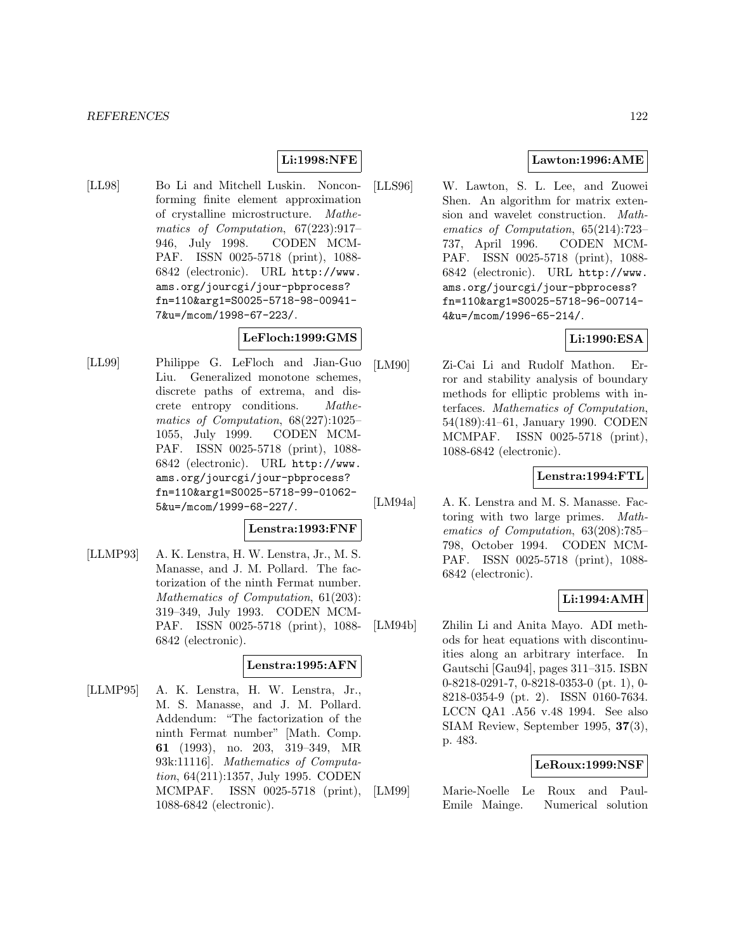# **Li:1998:NFE**

[LL98] Bo Li and Mitchell Luskin. Nonconforming finite element approximation of crystalline microstructure. Mathematics of Computation, 67(223):917– 946, July 1998. CODEN MCM-PAF. ISSN 0025-5718 (print), 1088- 6842 (electronic). URL http://www. ams.org/jourcgi/jour-pbprocess? fn=110&arg1=S0025-5718-98-00941- 7&u=/mcom/1998-67-223/.

# **LeFloch:1999:GMS**

[LL99] Philippe G. LeFloch and Jian-Guo Liu. Generalized monotone schemes, discrete paths of extrema, and discrete entropy conditions. Mathematics of Computation, 68(227):1025– 1055, July 1999. CODEN MCM-PAF. ISSN 0025-5718 (print), 1088- 6842 (electronic). URL http://www. ams.org/jourcgi/jour-pbprocess? fn=110&arg1=S0025-5718-99-01062- 5&u=/mcom/1999-68-227/.

#### **Lenstra:1993:FNF**

[LLMP93] A. K. Lenstra, H. W. Lenstra, Jr., M. S. Manasse, and J. M. Pollard. The factorization of the ninth Fermat number. Mathematics of Computation, 61(203): 319–349, July 1993. CODEN MCM-PAF. ISSN 0025-5718 (print), 1088- 6842 (electronic).

#### **Lenstra:1995:AFN**

[LLMP95] A. K. Lenstra, H. W. Lenstra, Jr., M. S. Manasse, and J. M. Pollard. Addendum: "The factorization of the ninth Fermat number" [Math. Comp. **61** (1993), no. 203, 319–349, MR 93k:11116]. Mathematics of Computation, 64(211):1357, July 1995. CODEN MCMPAF. ISSN 0025-5718 (print), 1088-6842 (electronic).

## **Lawton:1996:AME**

[LLS96] W. Lawton, S. L. Lee, and Zuowei Shen. An algorithm for matrix extension and wavelet construction. Mathematics of Computation, 65(214):723– 737, April 1996. CODEN MCM-PAF. ISSN 0025-5718 (print), 1088- 6842 (electronic). URL http://www. ams.org/jourcgi/jour-pbprocess? fn=110&arg1=S0025-5718-96-00714- 4&u=/mcom/1996-65-214/.

# **Li:1990:ESA**

[LM90] Zi-Cai Li and Rudolf Mathon. Error and stability analysis of boundary methods for elliptic problems with interfaces. Mathematics of Computation, 54(189):41–61, January 1990. CODEN MCMPAF. ISSN 0025-5718 (print), 1088-6842 (electronic).

# **Lenstra:1994:FTL**

[LM94a] A. K. Lenstra and M. S. Manasse. Factoring with two large primes. Mathematics of Computation, 63(208):785– 798, October 1994. CODEN MCM-PAF. ISSN 0025-5718 (print), 1088- 6842 (electronic).

# **Li:1994:AMH**

[LM94b] Zhilin Li and Anita Mayo. ADI methods for heat equations with discontinuities along an arbitrary interface. In Gautschi [Gau94], pages 311–315. ISBN 0-8218-0291-7, 0-8218-0353-0 (pt. 1), 0- 8218-0354-9 (pt. 2). ISSN 0160-7634. LCCN QA1 .A56 v.48 1994. See also SIAM Review, September 1995, **37**(3), p. 483.

#### **LeRoux:1999:NSF**

[LM99] Marie-Noelle Le Roux and Paul-Emile Mainge. Numerical solution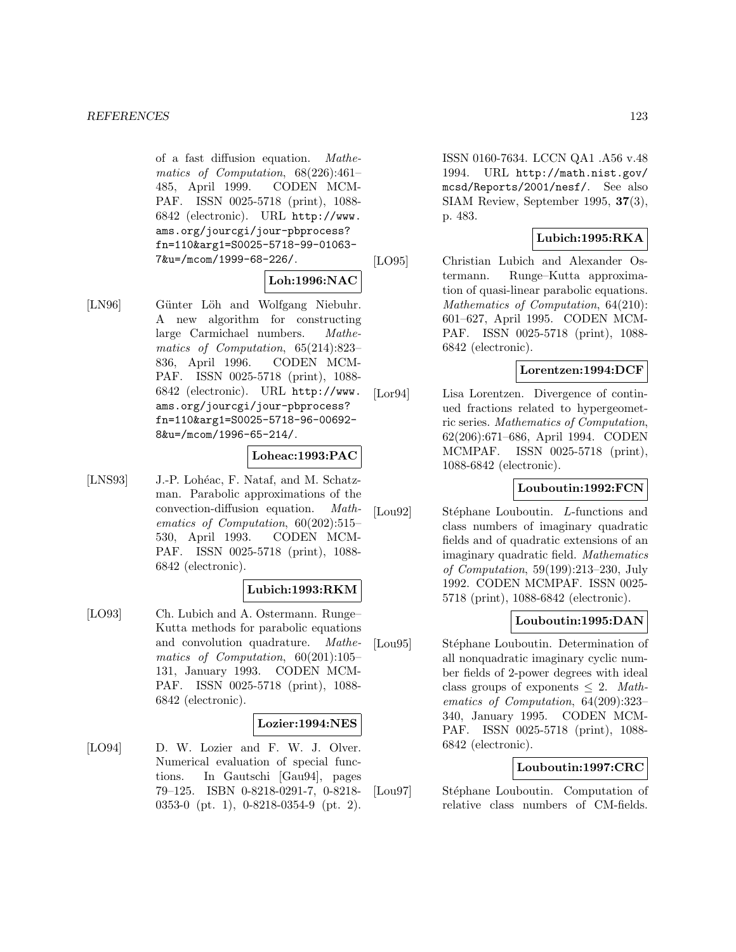of a fast diffusion equation. Mathematics of Computation, 68(226):461– 485, April 1999. CODEN MCM-PAF. ISSN 0025-5718 (print), 1088- 6842 (electronic). URL http://www. ams.org/jourcgi/jour-pbprocess? fn=110&arg1=S0025-5718-99-01063- 7&u=/mcom/1999-68-226/.

## **Loh:1996:NAC**

[LN96] Günter Löh and Wolfgang Niebuhr. A new algorithm for constructing large Carmichael numbers. Mathematics of Computation, 65(214):823– 836, April 1996. CODEN MCM-PAF. ISSN 0025-5718 (print), 1088- 6842 (electronic). URL http://www. ams.org/jourcgi/jour-pbprocess? fn=110&arg1=S0025-5718-96-00692- 8&u=/mcom/1996-65-214/.

# **Loheac:1993:PAC**

[LNS93] J.-P. Lohéac, F. Nataf, and M. Schatzman. Parabolic approximations of the convection-diffusion equation. Mathematics of Computation, 60(202):515– 530, April 1993. CODEN MCM-PAF. ISSN 0025-5718 (print), 1088- 6842 (electronic).

#### **Lubich:1993:RKM**

[LO93] Ch. Lubich and A. Ostermann. Runge– Kutta methods for parabolic equations and convolution quadrature. Mathematics of Computation, 60(201):105– 131, January 1993. CODEN MCM-PAF. ISSN 0025-5718 (print), 1088- 6842 (electronic).

#### **Lozier:1994:NES**

[LO94] D. W. Lozier and F. W. J. Olver. Numerical evaluation of special functions. In Gautschi [Gau94], pages 79–125. ISBN 0-8218-0291-7, 0-8218- 0353-0 (pt. 1), 0-8218-0354-9 (pt. 2). ISSN 0160-7634. LCCN QA1 .A56 v.48 1994. URL http://math.nist.gov/ mcsd/Reports/2001/nesf/. See also SIAM Review, September 1995, **37**(3), p. 483.

# **Lubich:1995:RKA**

[LO95] Christian Lubich and Alexander Ostermann. Runge–Kutta approximation of quasi-linear parabolic equations. Mathematics of Computation, 64(210): 601–627, April 1995. CODEN MCM-PAF. ISSN 0025-5718 (print), 1088- 6842 (electronic).

## **Lorentzen:1994:DCF**

[Lor94] Lisa Lorentzen. Divergence of continued fractions related to hypergeometric series. Mathematics of Computation, 62(206):671–686, April 1994. CODEN MCMPAF. ISSN 0025-5718 (print), 1088-6842 (electronic).

# **Louboutin:1992:FCN**

[Lou92] Stéphane Louboutin. L-functions and class numbers of imaginary quadratic fields and of quadratic extensions of an imaginary quadratic field. Mathematics of Computation, 59(199):213–230, July 1992. CODEN MCMPAF. ISSN 0025- 5718 (print), 1088-6842 (electronic).

# **Louboutin:1995:DAN**

[Lou95] Stéphane Louboutin. Determination of all nonquadratic imaginary cyclic number fields of 2-power degrees with ideal class groups of exponents  $\leq 2$ . Mathematics of Computation, 64(209):323– 340, January 1995. CODEN MCM-PAF. ISSN 0025-5718 (print), 1088- 6842 (electronic).

# **Louboutin:1997:CRC**

[Lou97] Stéphane Louboutin. Computation of relative class numbers of CM-fields.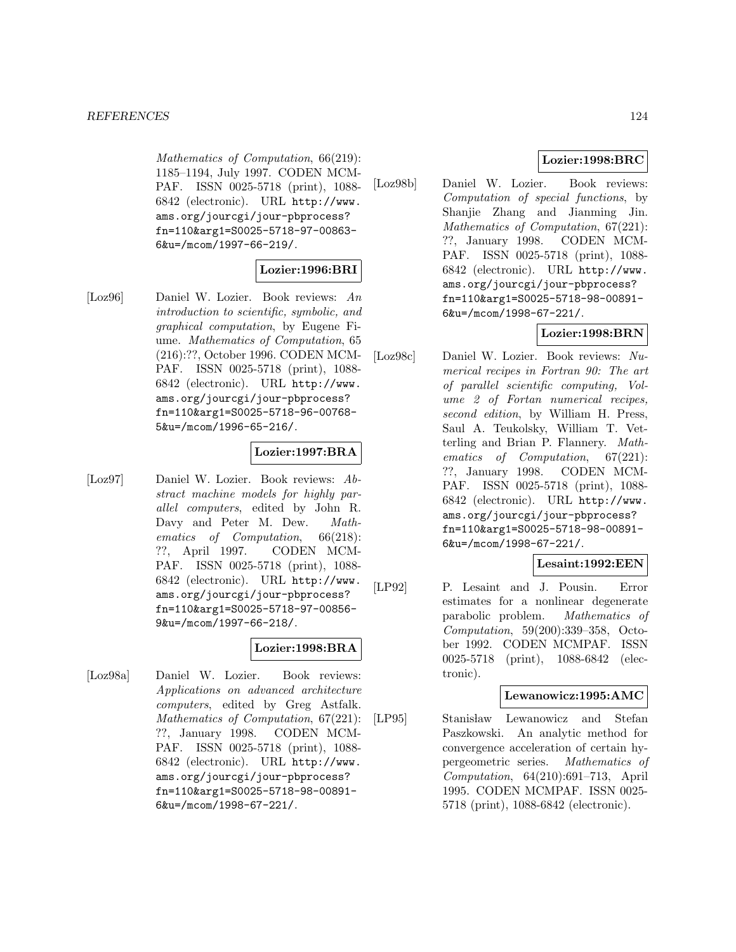Mathematics of Computation, 66(219): 1185–1194, July 1997. CODEN MCM-PAF. ISSN 0025-5718 (print), 1088- 6842 (electronic). URL http://www. ams.org/jourcgi/jour-pbprocess? fn=110&arg1=S0025-5718-97-00863- 6&u=/mcom/1997-66-219/.

# **Lozier:1996:BRI**

[Loz96] Daniel W. Lozier. Book reviews: An introduction to scientific, symbolic, and graphical computation, by Eugene Fiume. Mathematics of Computation, 65 (216):??, October 1996. CODEN MCM-PAF. ISSN 0025-5718 (print), 1088- 6842 (electronic). URL http://www. ams.org/jourcgi/jour-pbprocess? fn=110&arg1=S0025-5718-96-00768- 5&u=/mcom/1996-65-216/.

## **Lozier:1997:BRA**

[Loz97] Daniel W. Lozier. Book reviews: Abstract machine models for highly parallel computers, edited by John R. Davy and Peter M. Dew. Mathematics of Computation, 66(218): ??, April 1997. CODEN MCM-PAF. ISSN 0025-5718 (print), 1088- 6842 (electronic). URL http://www. ams.org/jourcgi/jour-pbprocess? fn=110&arg1=S0025-5718-97-00856- 9&u=/mcom/1997-66-218/.

# **Lozier:1998:BRA**

[Loz98a] Daniel W. Lozier. Book reviews: Applications on advanced architecture computers, edited by Greg Astfalk. Mathematics of Computation, 67(221): ??, January 1998. CODEN MCM-PAF. ISSN 0025-5718 (print), 1088- 6842 (electronic). URL http://www. ams.org/jourcgi/jour-pbprocess? fn=110&arg1=S0025-5718-98-00891- 6&u=/mcom/1998-67-221/.

# **Lozier:1998:BRC**

[Loz98b] Daniel W. Lozier. Book reviews: Computation of special functions, by Shanjie Zhang and Jianming Jin. Mathematics of Computation, 67(221): ??, January 1998. CODEN MCM-PAF. ISSN 0025-5718 (print), 1088- 6842 (electronic). URL http://www. ams.org/jourcgi/jour-pbprocess? fn=110&arg1=S0025-5718-98-00891- 6&u=/mcom/1998-67-221/.

# **Lozier:1998:BRN**

[Loz98c] Daniel W. Lozier. Book reviews: Numerical recipes in Fortran 90: The art of parallel scientific computing, Volume 2 of Fortan numerical recipes, second edition, by William H. Press, Saul A. Teukolsky, William T. Vetterling and Brian P. Flannery. Mathematics of Computation, 67(221): ??, January 1998. CODEN MCM-PAF. ISSN 0025-5718 (print), 1088- 6842 (electronic). URL http://www. ams.org/jourcgi/jour-pbprocess? fn=110&arg1=S0025-5718-98-00891- 6&u=/mcom/1998-67-221/.

# **Lesaint:1992:EEN**

[LP92] P. Lesaint and J. Pousin. Error estimates for a nonlinear degenerate parabolic problem. Mathematics of Computation, 59(200):339–358, October 1992. CODEN MCMPAF. ISSN 0025-5718 (print), 1088-6842 (electronic).

# **Lewanowicz:1995:AMC**

[LP95] Stanisław Lewanowicz and Stefan Paszkowski. An analytic method for convergence acceleration of certain hypergeometric series. Mathematics of Computation, 64(210):691–713, April 1995. CODEN MCMPAF. ISSN 0025- 5718 (print), 1088-6842 (electronic).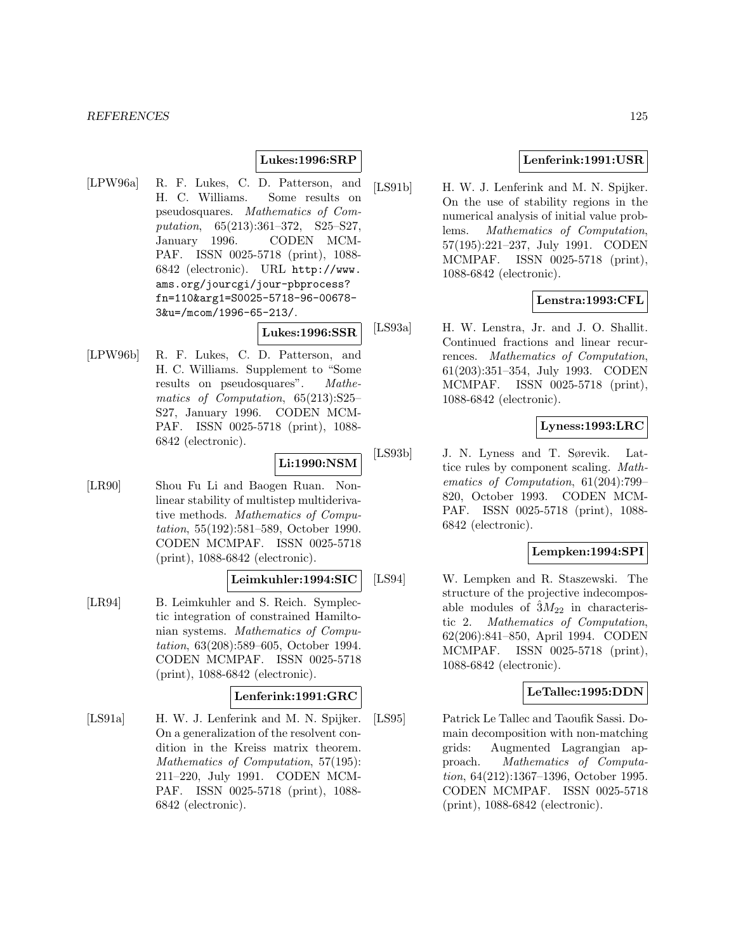#### **Lukes:1996:SRP**

[LPW96a] R. F. Lukes, C. D. Patterson, and H. C. Williams. Some results on pseudosquares. Mathematics of Computation, 65(213):361–372, S25–S27, January 1996. CODEN MCM-PAF. ISSN 0025-5718 (print), 1088- 6842 (electronic). URL http://www. ams.org/jourcgi/jour-pbprocess? fn=110&arg1=S0025-5718-96-00678- 3&u=/mcom/1996-65-213/.

**Lukes:1996:SSR**

[LPW96b] R. F. Lukes, C. D. Patterson, and H. C. Williams. Supplement to "Some results on pseudosquares". Mathematics of Computation, 65(213):S25– S27, January 1996. CODEN MCM-PAF. ISSN 0025-5718 (print), 1088- 6842 (electronic).

# **Li:1990:NSM**

[LR90] Shou Fu Li and Baogen Ruan. Nonlinear stability of multistep multiderivative methods. Mathematics of Computation, 55(192):581–589, October 1990. CODEN MCMPAF. ISSN 0025-5718 (print), 1088-6842 (electronic).

# **Leimkuhler:1994:SIC**

[LR94] B. Leimkuhler and S. Reich. Symplectic integration of constrained Hamiltonian systems. Mathematics of Computation, 63(208):589–605, October 1994. CODEN MCMPAF. ISSN 0025-5718 (print), 1088-6842 (electronic).

#### **Lenferink:1991:GRC**

[LS91a] H. W. J. Lenferink and M. N. Spijker. On a generalization of the resolvent condition in the Kreiss matrix theorem. Mathematics of Computation, 57(195): 211–220, July 1991. CODEN MCM-PAF. ISSN 0025-5718 (print), 1088- 6842 (electronic).

### **Lenferink:1991:USR**

[LS91b] H. W. J. Lenferink and M. N. Spijker. On the use of stability regions in the numerical analysis of initial value problems. Mathematics of Computation, 57(195):221–237, July 1991. CODEN MCMPAF. ISSN 0025-5718 (print), 1088-6842 (electronic).

## **Lenstra:1993:CFL**

[LS93a] H. W. Lenstra, Jr. and J. O. Shallit. Continued fractions and linear recurrences. Mathematics of Computation, 61(203):351–354, July 1993. CODEN MCMPAF. ISSN 0025-5718 (print), 1088-6842 (electronic).

#### **Lyness:1993:LRC**

[LS93b] J. N. Lyness and T. Sørevik. Lattice rules by component scaling. Mathematics of Computation, 61(204):799– 820, October 1993. CODEN MCM-PAF. ISSN 0025-5718 (print), 1088- 6842 (electronic).

#### **Lempken:1994:SPI**

[LS94] W. Lempken and R. Staszewski. The structure of the projective indecomposable modules of  $\hat{3}M_{22}$  in characteristic 2. Mathematics of Computation, 62(206):841–850, April 1994. CODEN MCMPAF. ISSN 0025-5718 (print), 1088-6842 (electronic).

#### **LeTallec:1995:DDN**

[LS95] Patrick Le Tallec and Taoufik Sassi. Domain decomposition with non-matching grids: Augmented Lagrangian approach. Mathematics of Computation, 64(212):1367–1396, October 1995. CODEN MCMPAF. ISSN 0025-5718 (print), 1088-6842 (electronic).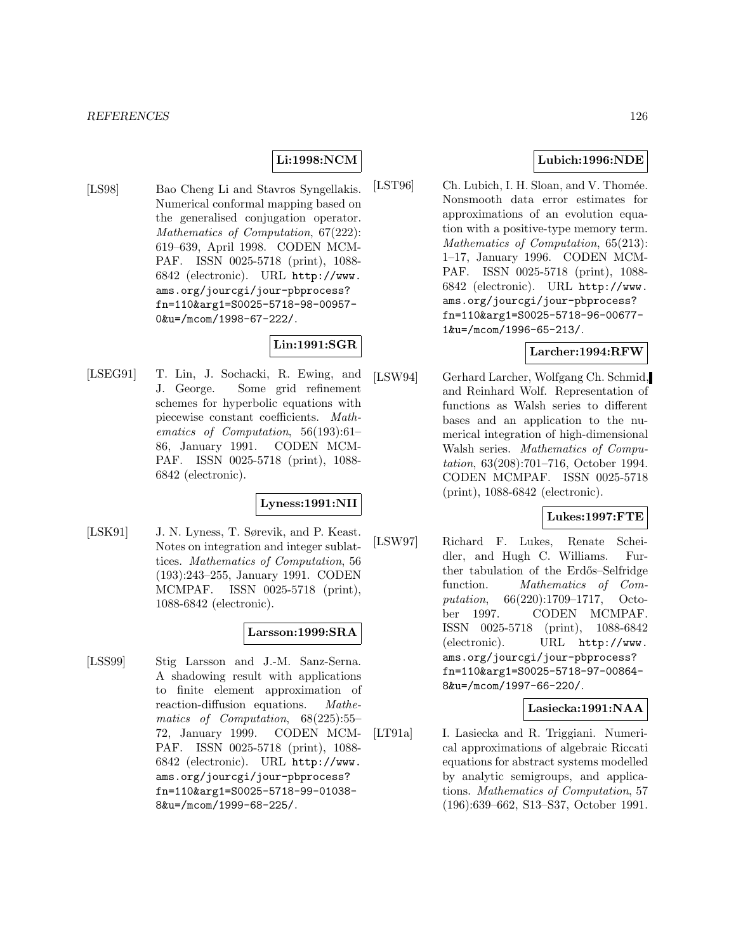# **Li:1998:NCM**

[LS98] Bao Cheng Li and Stavros Syngellakis. Numerical conformal mapping based on the generalised conjugation operator. Mathematics of Computation, 67(222): 619–639, April 1998. CODEN MCM-PAF. ISSN 0025-5718 (print), 1088- 6842 (electronic). URL http://www. ams.org/jourcgi/jour-pbprocess? fn=110&arg1=S0025-5718-98-00957- 0&u=/mcom/1998-67-222/.

# **Lin:1991:SGR**

[LSEG91] T. Lin, J. Sochacki, R. Ewing, and J. George. Some grid refinement schemes for hyperbolic equations with piecewise constant coefficients. Mathematics of Computation, 56(193):61– 86, January 1991. CODEN MCM-PAF. ISSN 0025-5718 (print), 1088- 6842 (electronic).

#### **Lyness:1991:NII**

[LSK91] J. N. Lyness, T. Sørevik, and P. Keast. Notes on integration and integer sublattices. Mathematics of Computation, 56 (193):243–255, January 1991. CODEN MCMPAF. ISSN 0025-5718 (print), 1088-6842 (electronic).

#### **Larsson:1999:SRA**

[LSS99] Stig Larsson and J.-M. Sanz-Serna. A shadowing result with applications to finite element approximation of reaction-diffusion equations. Mathematics of Computation, 68(225):55– 72, January 1999. CODEN MCM-PAF. ISSN 0025-5718 (print), 1088- 6842 (electronic). URL http://www. ams.org/jourcgi/jour-pbprocess? fn=110&arg1=S0025-5718-99-01038- 8&u=/mcom/1999-68-225/.

#### **Lubich:1996:NDE**

[LST96] Ch. Lubich, I. H. Sloan, and V. Thomée. Nonsmooth data error estimates for approximations of an evolution equation with a positive-type memory term. Mathematics of Computation, 65(213): 1–17, January 1996. CODEN MCM-PAF. ISSN 0025-5718 (print), 1088- 6842 (electronic). URL http://www. ams.org/jourcgi/jour-pbprocess? fn=110&arg1=S0025-5718-96-00677- 1&u=/mcom/1996-65-213/.

#### **Larcher:1994:RFW**

[LSW94] Gerhard Larcher, Wolfgang Ch. Schmid, and Reinhard Wolf. Representation of functions as Walsh series to different bases and an application to the numerical integration of high-dimensional Walsh series. Mathematics of Computation, 63(208):701–716, October 1994. CODEN MCMPAF. ISSN 0025-5718 (print), 1088-6842 (electronic).

# **Lukes:1997:FTE**

[LSW97] Richard F. Lukes, Renate Scheidler, and Hugh C. Williams. Further tabulation of the Erdős–Selfridge function. Mathematics of Computation, 66(220):1709–1717, October 1997. CODEN MCMPAF. ISSN 0025-5718 (print), 1088-6842 (electronic). URL http://www. ams.org/jourcgi/jour-pbprocess? fn=110&arg1=S0025-5718-97-00864- 8&u=/mcom/1997-66-220/.

# **Lasiecka:1991:NAA**

[LT91a] I. Lasiecka and R. Triggiani. Numerical approximations of algebraic Riccati equations for abstract systems modelled by analytic semigroups, and applications. Mathematics of Computation, 57 (196):639–662, S13–S37, October 1991.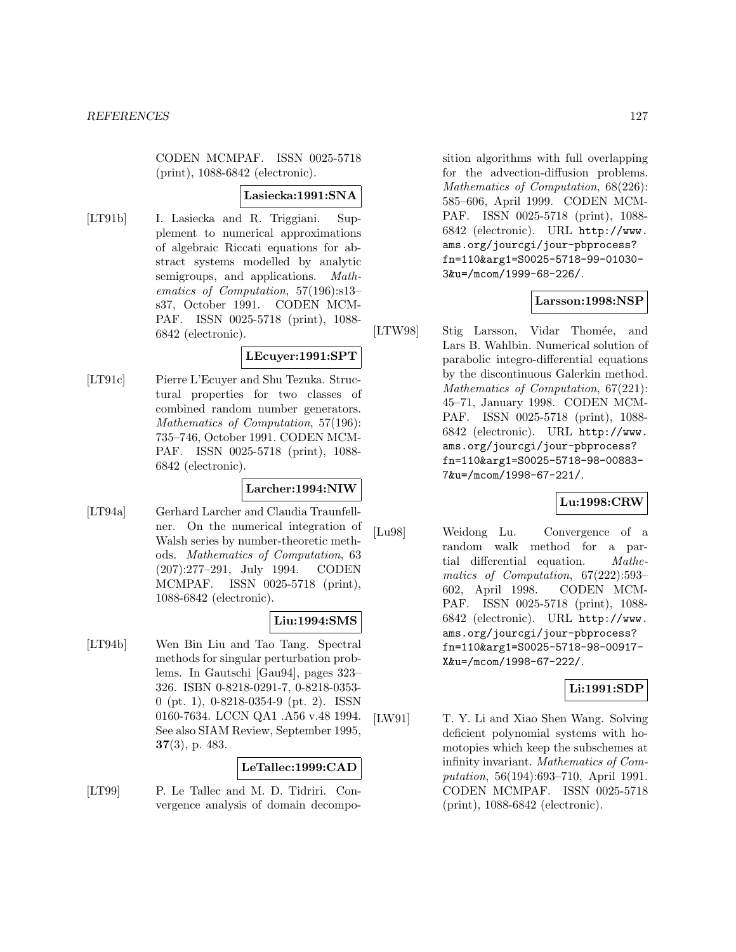CODEN MCMPAF. ISSN 0025-5718 (print), 1088-6842 (electronic).

#### **Lasiecka:1991:SNA**

[LT91b] I. Lasiecka and R. Triggiani. Supplement to numerical approximations of algebraic Riccati equations for abstract systems modelled by analytic semigroups, and applications. Mathematics of Computation, 57(196):s13– s37, October 1991. CODEN MCM-PAF. ISSN 0025-5718 (print), 1088- 6842 (electronic).

#### **LEcuyer:1991:SPT**

[LT91c] Pierre L'Ecuyer and Shu Tezuka. Structural properties for two classes of combined random number generators. Mathematics of Computation, 57(196): 735–746, October 1991. CODEN MCM-PAF. ISSN 0025-5718 (print), 1088- 6842 (electronic).

#### **Larcher:1994:NIW**

[LT94a] Gerhard Larcher and Claudia Traunfellner. On the numerical integration of Walsh series by number-theoretic methods. Mathematics of Computation, 63 (207):277–291, July 1994. CODEN MCMPAF. ISSN 0025-5718 (print), 1088-6842 (electronic).

# **Liu:1994:SMS**

[LT94b] Wen Bin Liu and Tao Tang. Spectral methods for singular perturbation problems. In Gautschi [Gau94], pages 323– 326. ISBN 0-8218-0291-7, 0-8218-0353- 0 (pt. 1), 0-8218-0354-9 (pt. 2). ISSN 0160-7634. LCCN QA1 .A56 v.48 1994. See also SIAM Review, September 1995, **37**(3), p. 483.

#### **LeTallec:1999:CAD**

[LT99] P. Le Tallec and M. D. Tidriri. Convergence analysis of domain decomposition algorithms with full overlapping for the advection-diffusion problems. Mathematics of Computation, 68(226): 585–606, April 1999. CODEN MCM-PAF. ISSN 0025-5718 (print), 1088- 6842 (electronic). URL http://www. ams.org/jourcgi/jour-pbprocess? fn=110&arg1=S0025-5718-99-01030- 3&u=/mcom/1999-68-226/.

# **Larsson:1998:NSP**

[LTW98] Stig Larsson, Vidar Thomée, and Lars B. Wahlbin. Numerical solution of parabolic integro-differential equations by the discontinuous Galerkin method. Mathematics of Computation, 67(221): 45–71, January 1998. CODEN MCM-PAF. ISSN 0025-5718 (print), 1088- 6842 (electronic). URL http://www. ams.org/jourcgi/jour-pbprocess? fn=110&arg1=S0025-5718-98-00883- 7&u=/mcom/1998-67-221/.

# **Lu:1998:CRW**

[Lu98] Weidong Lu. Convergence of a random walk method for a partial differential equation. Mathematics of Computation, 67(222):593– 602, April 1998. CODEN MCM-PAF. ISSN 0025-5718 (print), 1088- 6842 (electronic). URL http://www. ams.org/jourcgi/jour-pbprocess? fn=110&arg1=S0025-5718-98-00917- X&u=/mcom/1998-67-222/.

# **Li:1991:SDP**

[LW91] T. Y. Li and Xiao Shen Wang. Solving deficient polynomial systems with homotopies which keep the subschemes at infinity invariant. Mathematics of Computation, 56(194):693–710, April 1991. CODEN MCMPAF. ISSN 0025-5718 (print), 1088-6842 (electronic).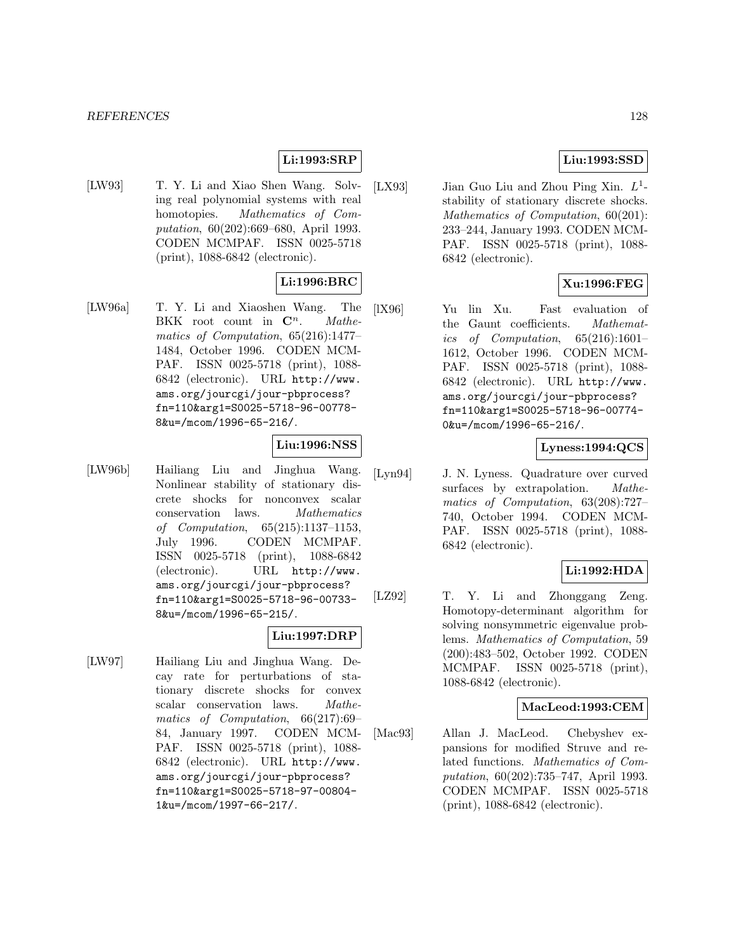#### *REFERENCES* 128

# **Li:1993:SRP**

[LW93] T. Y. Li and Xiao Shen Wang. Solving real polynomial systems with real homotopies. Mathematics of Computation, 60(202):669–680, April 1993. CODEN MCMPAF. ISSN 0025-5718 (print), 1088-6842 (electronic).

## **Li:1996:BRC**

[LW96a] T. Y. Li and Xiaoshen Wang. The BKK root count in  $\mathbb{C}^n$ . Mathematics of Computation, 65(216):1477– 1484, October 1996. CODEN MCM-PAF. ISSN 0025-5718 (print), 1088- 6842 (electronic). URL http://www. ams.org/jourcgi/jour-pbprocess? fn=110&arg1=S0025-5718-96-00778- 8&u=/mcom/1996-65-216/.

#### **Liu:1996:NSS**

[LW96b] Hailiang Liu and Jinghua Wang. Nonlinear stability of stationary discrete shocks for nonconvex scalar conservation laws. Mathematics of Computation, 65(215):1137–1153, July 1996. CODEN MCMPAF. ISSN 0025-5718 (print), 1088-6842 (electronic). URL http://www. ams.org/jourcgi/jour-pbprocess? fn=110&arg1=S0025-5718-96-00733- 8&u=/mcom/1996-65-215/.

#### **Liu:1997:DRP**

[LW97] Hailiang Liu and Jinghua Wang. Decay rate for perturbations of stationary discrete shocks for convex scalar conservation laws. Mathematics of Computation, 66(217):69– 84, January 1997. CODEN MCM-PAF. ISSN 0025-5718 (print), 1088- 6842 (electronic). URL http://www. ams.org/jourcgi/jour-pbprocess? fn=110&arg1=S0025-5718-97-00804- 1&u=/mcom/1997-66-217/.

[LX93] Jian Guo Liu and Zhou Ping Xin.  $L^1$ stability of stationary discrete shocks. Mathematics of Computation,  $60(201)$ : 233–244, January 1993. CODEN MCM-PAF. ISSN 0025-5718 (print), 1088- 6842 (electronic).

# **Xu:1996:FEG**

[lX96] Yu lin Xu. Fast evaluation of the Gaunt coefficients. Mathematics of Computation, 65(216):1601– 1612, October 1996. CODEN MCM-PAF. ISSN 0025-5718 (print), 1088- 6842 (electronic). URL http://www. ams.org/jourcgi/jour-pbprocess? fn=110&arg1=S0025-5718-96-00774- 0&u=/mcom/1996-65-216/.

## **Lyness:1994:QCS**

[Lyn94] J. N. Lyness. Quadrature over curved surfaces by extrapolation. *Mathe*matics of Computation, 63(208):727– 740, October 1994. CODEN MCM-PAF. ISSN 0025-5718 (print), 1088- 6842 (electronic).

## **Li:1992:HDA**

[LZ92] T. Y. Li and Zhonggang Zeng. Homotopy-determinant algorithm for solving nonsymmetric eigenvalue problems. Mathematics of Computation, 59 (200):483–502, October 1992. CODEN MCMPAF. ISSN 0025-5718 (print), 1088-6842 (electronic).

#### **MacLeod:1993:CEM**

[Mac93] Allan J. MacLeod. Chebyshev expansions for modified Struve and related functions. Mathematics of Computation, 60(202):735–747, April 1993. CODEN MCMPAF. ISSN 0025-5718 (print), 1088-6842 (electronic).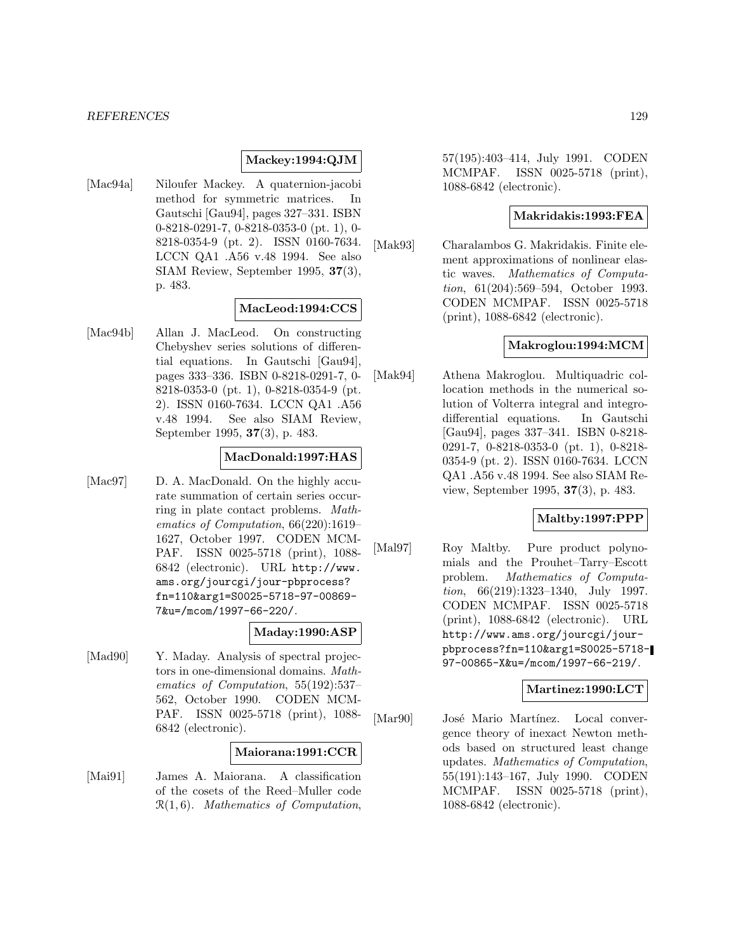#### **Mackey:1994:QJM**

[Mac94a] Niloufer Mackey. A quaternion-jacobi method for symmetric matrices. In Gautschi [Gau94], pages 327–331. ISBN 0-8218-0291-7, 0-8218-0353-0 (pt. 1), 0- 8218-0354-9 (pt. 2). ISSN 0160-7634. LCCN QA1 .A56 v.48 1994. See also SIAM Review, September 1995, **37**(3), p. 483.

#### **MacLeod:1994:CCS**

[Mac94b] Allan J. MacLeod. On constructing Chebyshev series solutions of differential equations. In Gautschi [Gau94], pages 333–336. ISBN 0-8218-0291-7, 0- 8218-0353-0 (pt. 1), 0-8218-0354-9 (pt. 2). ISSN 0160-7634. LCCN QA1 .A56 v.48 1994. See also SIAM Review, September 1995, **37**(3), p. 483.

# **MacDonald:1997:HAS**

[Mac97] D. A. MacDonald. On the highly accurate summation of certain series occurring in plate contact problems. Mathematics of Computation, 66(220):1619– 1627, October 1997. CODEN MCM-PAF. ISSN 0025-5718 (print), 1088- 6842 (electronic). URL http://www. ams.org/jourcgi/jour-pbprocess? fn=110&arg1=S0025-5718-97-00869- 7&u=/mcom/1997-66-220/.

#### **Maday:1990:ASP**

[Mad90] Y. Maday. Analysis of spectral projectors in one-dimensional domains. Mathematics of Computation, 55(192):537– 562, October 1990. CODEN MCM-PAF. ISSN 0025-5718 (print), 1088- 6842 (electronic).

#### **Maiorana:1991:CCR**

[Mai91] James A. Maiorana. A classification of the cosets of the Reed–Muller code  $\mathcal{R}(1,6)$ . Mathematics of Computation, 57(195):403–414, July 1991. CODEN MCMPAF. ISSN 0025-5718 (print), 1088-6842 (electronic).

#### **Makridakis:1993:FEA**

[Mak93] Charalambos G. Makridakis. Finite element approximations of nonlinear elastic waves. Mathematics of Computation, 61(204):569–594, October 1993. CODEN MCMPAF. ISSN 0025-5718 (print), 1088-6842 (electronic).

#### **Makroglou:1994:MCM**

[Mak94] Athena Makroglou. Multiquadric collocation methods in the numerical solution of Volterra integral and integrodifferential equations. In Gautschi [Gau94], pages 337–341. ISBN 0-8218- 0291-7, 0-8218-0353-0 (pt. 1), 0-8218- 0354-9 (pt. 2). ISSN 0160-7634. LCCN QA1 .A56 v.48 1994. See also SIAM Review, September 1995, **37**(3), p. 483.

### **Maltby:1997:PPP**

[Mal97] Roy Maltby. Pure product polynomials and the Prouhet–Tarry–Escott problem. Mathematics of Computation, 66(219):1323–1340, July 1997. CODEN MCMPAF. ISSN 0025-5718 (print), 1088-6842 (electronic). URL http://www.ams.org/jourcgi/jourpbprocess?fn=110&arg1=S0025-5718- 97-00865-X&u=/mcom/1997-66-219/.

## **Martinez:1990:LCT**

[Mar90] José Mario Martínez. Local convergence theory of inexact Newton methods based on structured least change updates. Mathematics of Computation, 55(191):143–167, July 1990. CODEN MCMPAF. ISSN 0025-5718 (print), 1088-6842 (electronic).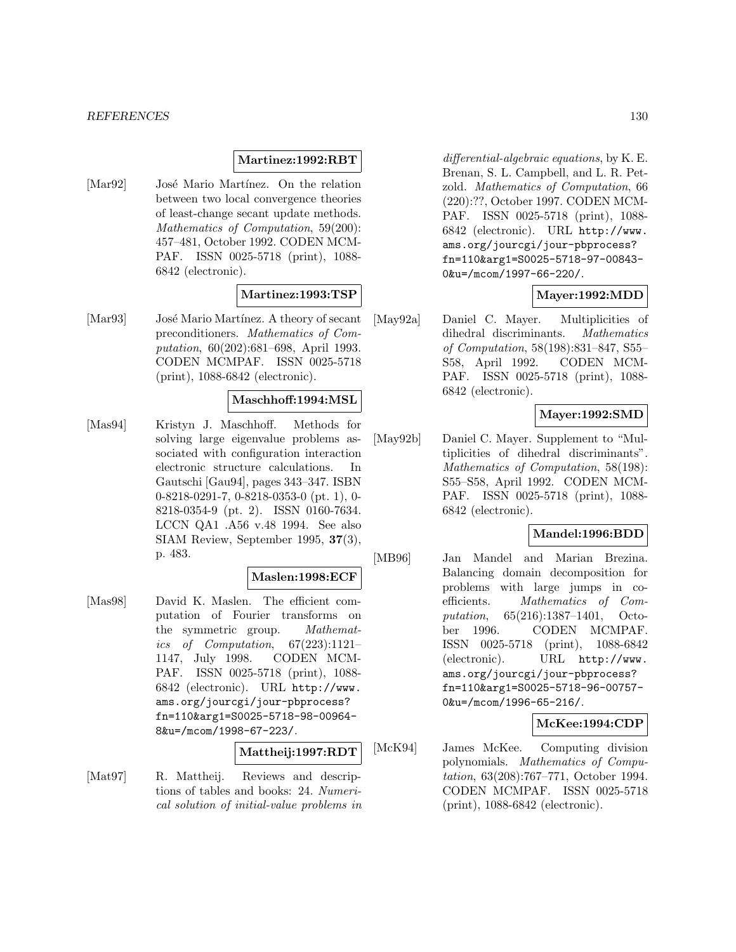#### **Martinez:1992:RBT**

[Mar92] José Mario Martínez. On the relation between two local convergence theories of least-change secant update methods. Mathematics of Computation, 59(200): 457–481, October 1992. CODEN MCM-PAF. ISSN 0025-5718 (print), 1088- 6842 (electronic).

#### **Martinez:1993:TSP**

[Mar93] José Mario Martínez. A theory of secant preconditioners. Mathematics of Computation, 60(202):681–698, April 1993. CODEN MCMPAF. ISSN 0025-5718 (print), 1088-6842 (electronic).

#### **Maschhoff:1994:MSL**

[Mas94] Kristyn J. Maschhoff. Methods for solving large eigenvalue problems associated with configuration interaction electronic structure calculations. In Gautschi [Gau94], pages 343–347. ISBN 0-8218-0291-7, 0-8218-0353-0 (pt. 1), 0- 8218-0354-9 (pt. 2). ISSN 0160-7634. LCCN QA1 .A56 v.48 1994. See also SIAM Review, September 1995, **37**(3), p. 483.

#### **Maslen:1998:ECF**

[Mas98] David K. Maslen. The efficient computation of Fourier transforms on the symmetric group. Mathematics of Computation, 67(223):1121– 1147, July 1998. CODEN MCM-PAF. ISSN 0025-5718 (print), 1088- 6842 (electronic). URL http://www. ams.org/jourcgi/jour-pbprocess? fn=110&arg1=S0025-5718-98-00964- 8&u=/mcom/1998-67-223/.

# **Mattheij:1997:RDT**

[Mat97] R. Mattheij. Reviews and descriptions of tables and books: 24. Numerical solution of initial-value problems in

differential-algebraic equations, by K. E. Brenan, S. L. Campbell, and L. R. Petzold. Mathematics of Computation, 66 (220):??, October 1997. CODEN MCM-PAF. ISSN 0025-5718 (print), 1088- 6842 (electronic). URL http://www. ams.org/jourcgi/jour-pbprocess? fn=110&arg1=S0025-5718-97-00843- 0&u=/mcom/1997-66-220/.

#### **Mayer:1992:MDD**

[May92a] Daniel C. Mayer. Multiplicities of dihedral discriminants. Mathematics of Computation, 58(198):831–847, S55– S58, April 1992. CODEN MCM-PAF. ISSN 0025-5718 (print), 1088- 6842 (electronic).

#### **Mayer:1992:SMD**

[May92b] Daniel C. Mayer. Supplement to "Multiplicities of dihedral discriminants". Mathematics of Computation, 58(198): S55–S58, April 1992. CODEN MCM-PAF. ISSN 0025-5718 (print), 1088- 6842 (electronic).

# **Mandel:1996:BDD**

[MB96] Jan Mandel and Marian Brezina. Balancing domain decomposition for problems with large jumps in coefficients. Mathematics of Computation, 65(216):1387–1401, October 1996. CODEN MCMPAF. ISSN 0025-5718 (print), 1088-6842 (electronic). URL http://www. ams.org/jourcgi/jour-pbprocess? fn=110&arg1=S0025-5718-96-00757- 0&u=/mcom/1996-65-216/.

# **McKee:1994:CDP**

[McK94] James McKee. Computing division polynomials. Mathematics of Computation, 63(208):767–771, October 1994. CODEN MCMPAF. ISSN 0025-5718 (print), 1088-6842 (electronic).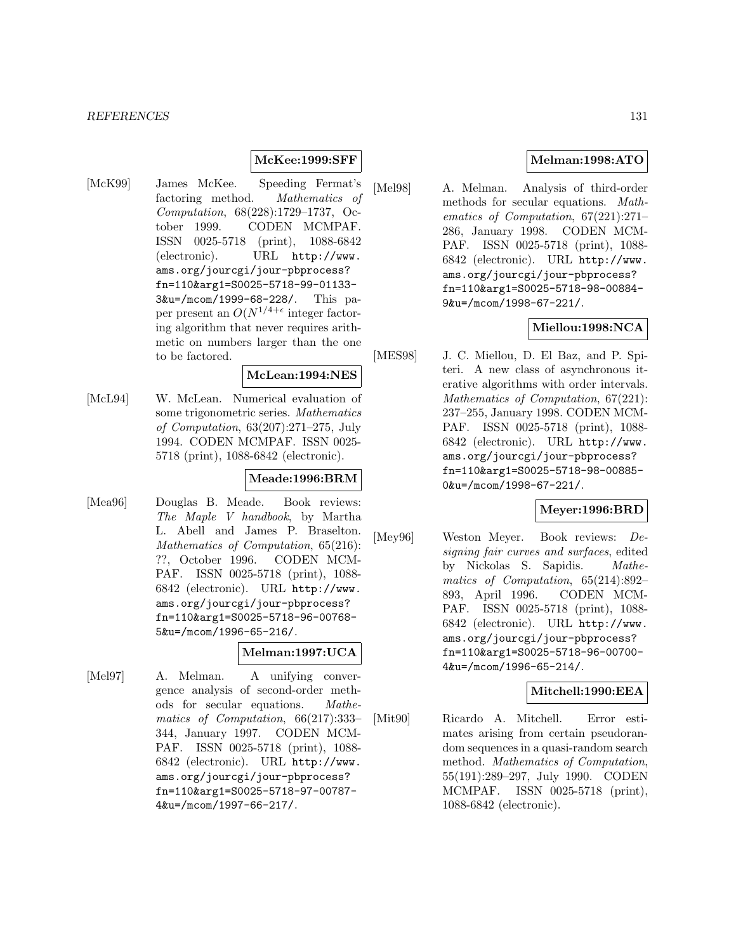#### **McKee:1999:SFF**

[McK99] James McKee. Speeding Fermat's factoring method. Mathematics of Computation, 68(228):1729–1737, October 1999. CODEN MCMPAF. ISSN 0025-5718 (print), 1088-6842 (electronic). URL http://www. ams.org/jourcgi/jour-pbprocess? fn=110&arg1=S0025-5718-99-01133- 3&u=/mcom/1999-68-228/. This paper present an  $O(N^{1/4+\epsilon}$  integer factoring algorithm that never requires arithmetic on numbers larger than the one to be factored.

# **McLean:1994:NES**

[McL94] W. McLean. Numerical evaluation of some trigonometric series. Mathematics of Computation, 63(207):271–275, July 1994. CODEN MCMPAF. ISSN 0025- 5718 (print), 1088-6842 (electronic).

#### **Meade:1996:BRM**

[Mea96] Douglas B. Meade. Book reviews: The Maple V handbook, by Martha L. Abell and James P. Braselton. Mathematics of Computation, 65(216): ??, October 1996. CODEN MCM-PAF. ISSN 0025-5718 (print), 1088- 6842 (electronic). URL http://www. ams.org/jourcgi/jour-pbprocess? fn=110&arg1=S0025-5718-96-00768- 5&u=/mcom/1996-65-216/.

### **Melman:1997:UCA**

[Mel97] A. Melman. A unifying convergence analysis of second-order methods for secular equations. Mathematics of Computation, 66(217):333– 344, January 1997. CODEN MCM-PAF. ISSN 0025-5718 (print), 1088- 6842 (electronic). URL http://www. ams.org/jourcgi/jour-pbprocess? fn=110&arg1=S0025-5718-97-00787- 4&u=/mcom/1997-66-217/.

## **Melman:1998:ATO**

[Mel98] A. Melman. Analysis of third-order methods for secular equations. Mathematics of Computation, 67(221):271– 286, January 1998. CODEN MCM-PAF. ISSN 0025-5718 (print), 1088- 6842 (electronic). URL http://www. ams.org/jourcgi/jour-pbprocess? fn=110&arg1=S0025-5718-98-00884- 9&u=/mcom/1998-67-221/.

## **Miellou:1998:NCA**

[MES98] J. C. Miellou, D. El Baz, and P. Spiteri. A new class of asynchronous iterative algorithms with order intervals. Mathematics of Computation, 67(221): 237–255, January 1998. CODEN MCM-PAF. ISSN 0025-5718 (print), 1088- 6842 (electronic). URL http://www. ams.org/jourcgi/jour-pbprocess? fn=110&arg1=S0025-5718-98-00885- 0&u=/mcom/1998-67-221/.

### **Meyer:1996:BRD**

[Mey96] Weston Meyer. Book reviews: Designing fair curves and surfaces, edited by Nickolas S. Sapidis. Mathematics of Computation, 65(214):892– 893, April 1996. CODEN MCM-PAF. ISSN 0025-5718 (print), 1088- 6842 (electronic). URL http://www. ams.org/jourcgi/jour-pbprocess? fn=110&arg1=S0025-5718-96-00700- 4&u=/mcom/1996-65-214/.

#### **Mitchell:1990:EEA**

[Mit90] Ricardo A. Mitchell. Error estimates arising from certain pseudorandom sequences in a quasi-random search method. Mathematics of Computation, 55(191):289–297, July 1990. CODEN MCMPAF. ISSN 0025-5718 (print), 1088-6842 (electronic).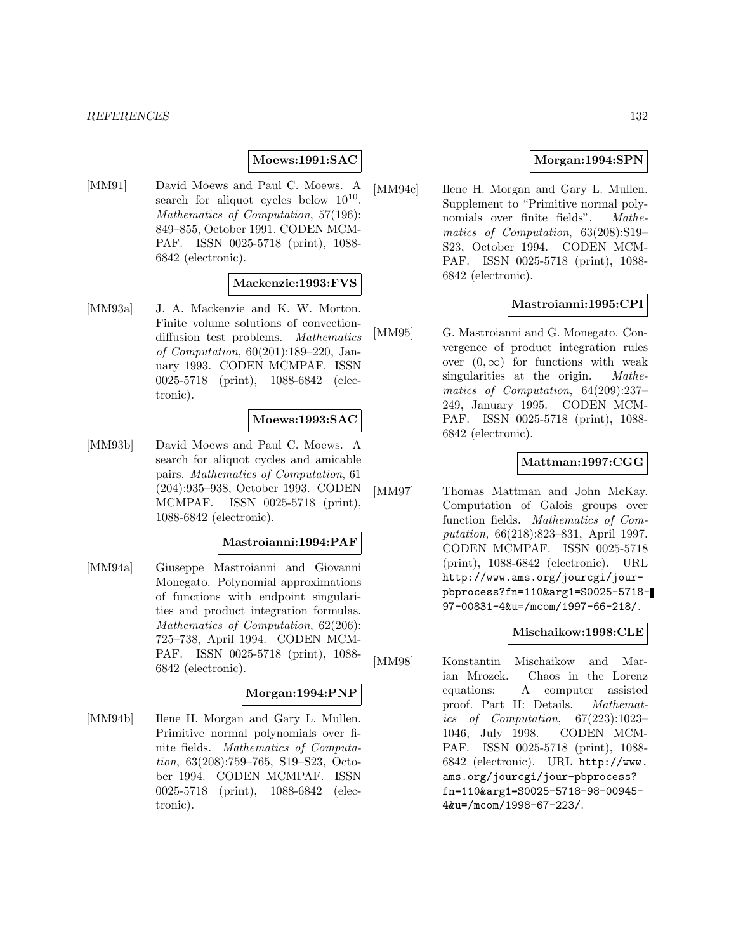#### **Moews:1991:SAC**

[MM91] David Moews and Paul C. Moews. A search for aliquot cycles below  $10^{10}$ . Mathematics of Computation, 57(196): 849–855, October 1991. CODEN MCM-PAF. ISSN 0025-5718 (print), 1088- 6842 (electronic).

#### **Mackenzie:1993:FVS**

[MM93a] J. A. Mackenzie and K. W. Morton. Finite volume solutions of convectiondiffusion test problems. Mathematics of Computation, 60(201):189–220, January 1993. CODEN MCMPAF. ISSN 0025-5718 (print), 1088-6842 (electronic).

#### **Moews:1993:SAC**

[MM93b] David Moews and Paul C. Moews. A search for aliquot cycles and amicable pairs. Mathematics of Computation, 61 (204):935–938, October 1993. CODEN MCMPAF. ISSN 0025-5718 (print), 1088-6842 (electronic).

#### **Mastroianni:1994:PAF**

[MM94a] Giuseppe Mastroianni and Giovanni Monegato. Polynomial approximations of functions with endpoint singularities and product integration formulas. Mathematics of Computation, 62(206): 725–738, April 1994. CODEN MCM-PAF. ISSN 0025-5718 (print), 1088- 6842 (electronic).

# **Morgan:1994:PNP**

[MM94b] Ilene H. Morgan and Gary L. Mullen. Primitive normal polynomials over finite fields. Mathematics of Computation, 63(208):759–765, S19–S23, October 1994. CODEN MCMPAF. ISSN 0025-5718 (print), 1088-6842 (electronic).

#### **Morgan:1994:SPN**

[MM94c] Ilene H. Morgan and Gary L. Mullen. Supplement to "Primitive normal polynomials over finite fields". Mathematics of Computation, 63(208):S19– S23, October 1994. CODEN MCM-PAF. ISSN 0025-5718 (print), 1088- 6842 (electronic).

### **Mastroianni:1995:CPI**

[MM95] G. Mastroianni and G. Monegato. Convergence of product integration rules over  $(0, \infty)$  for functions with weak<br>singularities at the origin. *Mathe*singularities at the origin. matics of Computation, 64(209):237– 249, January 1995. CODEN MCM-PAF. ISSN 0025-5718 (print), 1088- 6842 (electronic).

### **Mattman:1997:CGG**

[MM97] Thomas Mattman and John McKay. Computation of Galois groups over function fields. Mathematics of Computation, 66(218):823–831, April 1997. CODEN MCMPAF. ISSN 0025-5718 (print), 1088-6842 (electronic). URL http://www.ams.org/jourcgi/jourpbprocess?fn=110&arg1=S0025-5718- 97-00831-4&u=/mcom/1997-66-218/.

#### **Mischaikow:1998:CLE**

[MM98] Konstantin Mischaikow and Marian Mrozek. Chaos in the Lorenz equations: A computer assisted proof. Part II: Details. Mathematics of Computation, 67(223):1023– 1046, July 1998. CODEN MCM-PAF. ISSN 0025-5718 (print), 1088- 6842 (electronic). URL http://www. ams.org/jourcgi/jour-pbprocess? fn=110&arg1=S0025-5718-98-00945- 4&u=/mcom/1998-67-223/.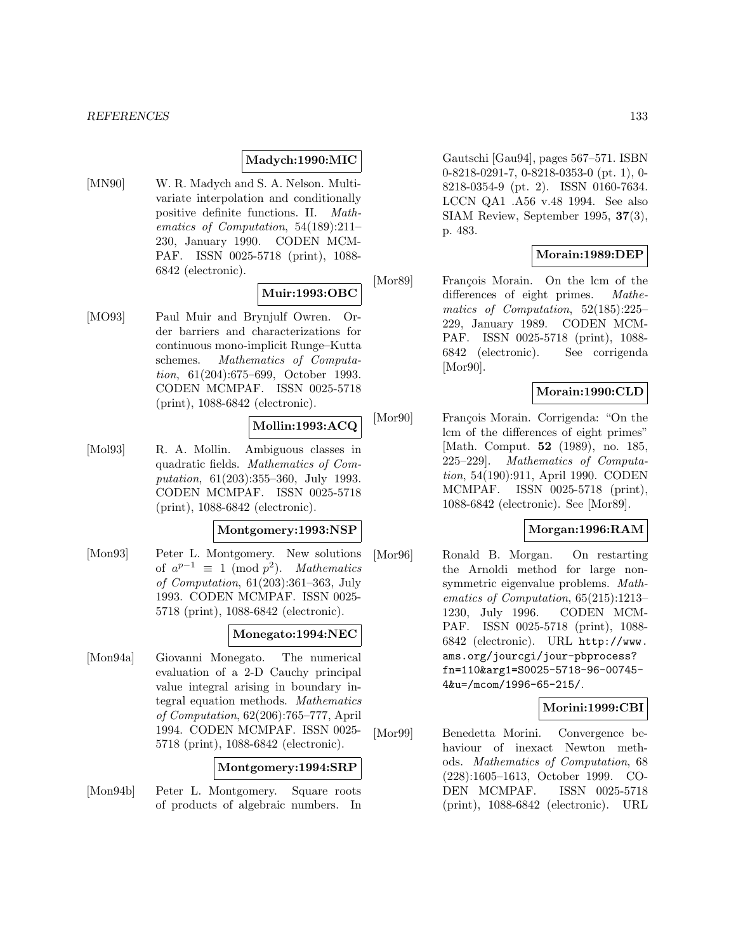#### **Madych:1990:MIC**

[MN90] W. R. Madych and S. A. Nelson. Multivariate interpolation and conditionally positive definite functions. II. Mathematics of Computation, 54(189):211– 230, January 1990. CODEN MCM-PAF. ISSN 0025-5718 (print), 1088- 6842 (electronic).

# **Muir:1993:OBC**

[MO93] Paul Muir and Brynjulf Owren. Order barriers and characterizations for continuous mono-implicit Runge–Kutta schemes. Mathematics of Computation, 61(204):675–699, October 1993. CODEN MCMPAF. ISSN 0025-5718 (print), 1088-6842 (electronic).

## **Mollin:1993:ACQ**

[Mol93] R. A. Mollin. Ambiguous classes in quadratic fields. Mathematics of Computation, 61(203):355–360, July 1993. CODEN MCMPAF. ISSN 0025-5718 (print), 1088-6842 (electronic).

#### **Montgomery:1993:NSP**

[Mon93] Peter L. Montgomery. New solutions of  $a^{p-1} \equiv 1 \pmod{p^2}$ . Mathematics of Computation, 61(203):361–363, July 1993. CODEN MCMPAF. ISSN 0025- 5718 (print), 1088-6842 (electronic).

#### **Monegato:1994:NEC**

[Mon94a] Giovanni Monegato. The numerical evaluation of a 2-D Cauchy principal value integral arising in boundary integral equation methods. Mathematics of Computation, 62(206):765–777, April 1994. CODEN MCMPAF. ISSN 0025- 5718 (print), 1088-6842 (electronic).

#### **Montgomery:1994:SRP**

[Mon94b] Peter L. Montgomery. Square roots of products of algebraic numbers. In Gautschi [Gau94], pages 567–571. ISBN 0-8218-0291-7, 0-8218-0353-0 (pt. 1), 0- 8218-0354-9 (pt. 2). ISSN 0160-7634. LCCN QA1 .A56 v.48 1994. See also SIAM Review, September 1995, **37**(3), p. 483.

#### **Morain:1989:DEP**

[Mor89] François Morain. On the lcm of the differences of eight primes. Mathematics of Computation, 52(185):225– 229, January 1989. CODEN MCM-PAF. ISSN 0025-5718 (print), 1088- 6842 (electronic). See corrigenda [Mor90].

#### **Morain:1990:CLD**

[Mor90] François Morain. Corrigenda: "On the lcm of the differences of eight primes" [Math. Comput. **52** (1989), no. 185, 225–229]. Mathematics of Computation, 54(190):911, April 1990. CODEN MCMPAF. ISSN 0025-5718 (print), 1088-6842 (electronic). See [Mor89].

#### **Morgan:1996:RAM**

[Mor96] Ronald B. Morgan. On restarting the Arnoldi method for large nonsymmetric eigenvalue problems. Mathematics of Computation, 65(215):1213– 1230, July 1996. CODEN MCM-PAF. ISSN 0025-5718 (print), 1088- 6842 (electronic). URL http://www. ams.org/jourcgi/jour-pbprocess? fn=110&arg1=S0025-5718-96-00745- 4&u=/mcom/1996-65-215/.

#### **Morini:1999:CBI**

[Mor99] Benedetta Morini. Convergence behaviour of inexact Newton methods. Mathematics of Computation, 68 (228):1605–1613, October 1999. CO-DEN MCMPAF. ISSN 0025-5718 (print), 1088-6842 (electronic). URL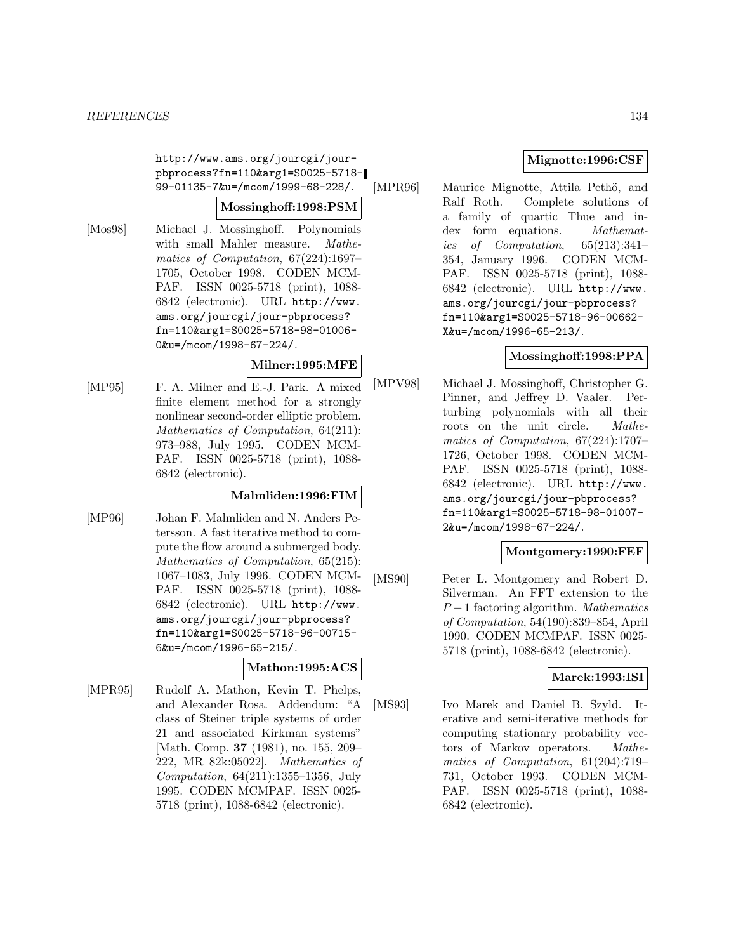http://www.ams.org/jourcgi/jourpbprocess?fn=110&arg1=S0025-5718- 99-01135-7&u=/mcom/1999-68-228/.

#### **Mossinghoff:1998:PSM**

[Mos98] Michael J. Mossinghoff. Polynomials with small Mahler measure. Mathematics of Computation, 67(224):1697– 1705, October 1998. CODEN MCM-PAF. ISSN 0025-5718 (print), 1088- 6842 (electronic). URL http://www. ams.org/jourcgi/jour-pbprocess? fn=110&arg1=S0025-5718-98-01006- 0&u=/mcom/1998-67-224/.

#### **Milner:1995:MFE**

[MP95] F. A. Milner and E.-J. Park. A mixed finite element method for a strongly nonlinear second-order elliptic problem. Mathematics of Computation, 64(211): 973–988, July 1995. CODEN MCM-PAF. ISSN 0025-5718 (print), 1088- 6842 (electronic).

### **Malmliden:1996:FIM**

[MP96] Johan F. Malmliden and N. Anders Petersson. A fast iterative method to compute the flow around a submerged body. Mathematics of Computation, 65(215): 1067–1083, July 1996. CODEN MCM-PAF. ISSN 0025-5718 (print), 1088- 6842 (electronic). URL http://www. ams.org/jourcgi/jour-pbprocess? fn=110&arg1=S0025-5718-96-00715- 6&u=/mcom/1996-65-215/.

# **Mathon:1995:ACS**

[MPR95] Rudolf A. Mathon, Kevin T. Phelps, and Alexander Rosa. Addendum: "A class of Steiner triple systems of order 21 and associated Kirkman systems" [Math. Comp. **37** (1981), no. 155, 209– 222, MR 82k:05022]. Mathematics of Computation, 64(211):1355–1356, July 1995. CODEN MCMPAF. ISSN 0025- 5718 (print), 1088-6842 (electronic).

# **Mignotte:1996:CSF**

[MPR96] Maurice Mignotte, Attila Pethö, and Ralf Roth. Complete solutions of a family of quartic Thue and index form equations. Mathematics of Computation, 65(213):341– 354, January 1996. CODEN MCM-PAF. ISSN 0025-5718 (print), 1088- 6842 (electronic). URL http://www. ams.org/jourcgi/jour-pbprocess? fn=110&arg1=S0025-5718-96-00662- X&u=/mcom/1996-65-213/.

# **Mossinghoff:1998:PPA**

[MPV98] Michael J. Mossinghoff, Christopher G. Pinner, and Jeffrey D. Vaaler. Perturbing polynomials with all their roots on the unit circle. Mathematics of Computation, 67(224):1707– 1726, October 1998. CODEN MCM-PAF. ISSN 0025-5718 (print), 1088- 6842 (electronic). URL http://www. ams.org/jourcgi/jour-pbprocess? fn=110&arg1=S0025-5718-98-01007- 2&u=/mcom/1998-67-224/.

#### **Montgomery:1990:FEF**

[MS90] Peter L. Montgomery and Robert D. Silverman. An FFT extension to the  $P-1$  factoring algorithm. Mathematics of Computation, 54(190):839–854, April 1990. CODEN MCMPAF. ISSN 0025- 5718 (print), 1088-6842 (electronic).

# **Marek:1993:ISI**

[MS93] Ivo Marek and Daniel B. Szyld. Iterative and semi-iterative methods for computing stationary probability vectors of Markov operators. Mathematics of Computation, 61(204):719– 731, October 1993. CODEN MCM-PAF. ISSN 0025-5718 (print), 1088- 6842 (electronic).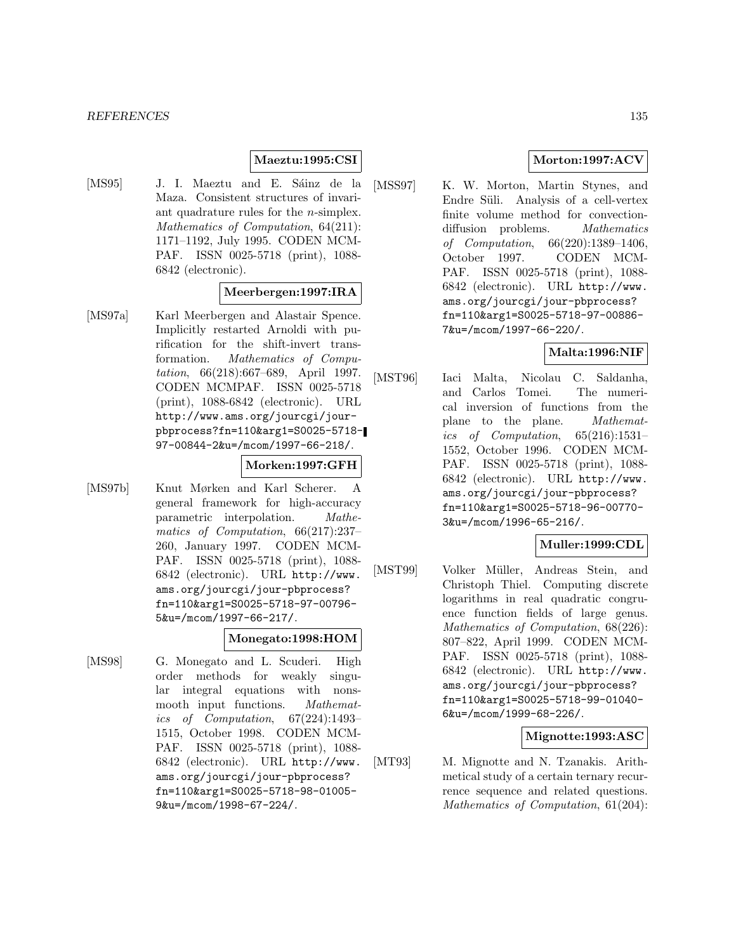## **Maeztu:1995:CSI**

[MS95] J. I. Maeztu and E. Sáinz de la Maza. Consistent structures of invariant quadrature rules for the n-simplex. Mathematics of Computation, 64(211): 1171–1192, July 1995. CODEN MCM-PAF. ISSN 0025-5718 (print), 1088- 6842 (electronic).

#### **Meerbergen:1997:IRA**

[MS97a] Karl Meerbergen and Alastair Spence. Implicitly restarted Arnoldi with purification for the shift-invert transformation. Mathematics of Computation, 66(218):667–689, April 1997. CODEN MCMPAF. ISSN 0025-5718 (print), 1088-6842 (electronic). URL http://www.ams.org/jourcgi/jourpbprocess?fn=110&arg1=S0025-5718- 97-00844-2&u=/mcom/1997-66-218/.

#### **Morken:1997:GFH**

[MS97b] Knut Mørken and Karl Scherer. A general framework for high-accuracy parametric interpolation. Mathematics of Computation, 66(217):237– 260, January 1997. CODEN MCM-PAF. ISSN 0025-5718 (print), 1088- 6842 (electronic). URL http://www. ams.org/jourcgi/jour-pbprocess? fn=110&arg1=S0025-5718-97-00796- 5&u=/mcom/1997-66-217/.

#### **Monegato:1998:HOM**

[MS98] G. Monegato and L. Scuderi. High order methods for weakly singular integral equations with nonsmooth input functions. Mathematics of Computation, 67(224):1493– 1515, October 1998. CODEN MCM-PAF. ISSN 0025-5718 (print), 1088- 6842 (electronic). URL http://www. ams.org/jourcgi/jour-pbprocess? fn=110&arg1=S0025-5718-98-01005- 9&u=/mcom/1998-67-224/.

# **Morton:1997:ACV**

[MSS97] K. W. Morton, Martin Stynes, and Endre Süli. Analysis of a cell-vertex finite volume method for convectiondiffusion problems. *Mathematics* of Computation, 66(220):1389–1406, October 1997. CODEN MCM-PAF. ISSN 0025-5718 (print), 1088- 6842 (electronic). URL http://www. ams.org/jourcgi/jour-pbprocess? fn=110&arg1=S0025-5718-97-00886- 7&u=/mcom/1997-66-220/.

#### **Malta:1996:NIF**

[MST96] Iaci Malta, Nicolau C. Saldanha, and Carlos Tomei. The numerical inversion of functions from the plane to the plane. Mathematics of Computation, 65(216):1531– 1552, October 1996. CODEN MCM-PAF. ISSN 0025-5718 (print), 1088- 6842 (electronic). URL http://www. ams.org/jourcgi/jour-pbprocess? fn=110&arg1=S0025-5718-96-00770- 3&u=/mcom/1996-65-216/.

#### **Muller:1999:CDL**

[MST99] Volker Müller, Andreas Stein, and Christoph Thiel. Computing discrete logarithms in real quadratic congruence function fields of large genus. Mathematics of Computation, 68(226): 807–822, April 1999. CODEN MCM-PAF. ISSN 0025-5718 (print), 1088- 6842 (electronic). URL http://www. ams.org/jourcgi/jour-pbprocess? fn=110&arg1=S0025-5718-99-01040- 6&u=/mcom/1999-68-226/.

# **Mignotte:1993:ASC**

[MT93] M. Mignotte and N. Tzanakis. Arithmetical study of a certain ternary recurrence sequence and related questions. Mathematics of Computation, 61(204):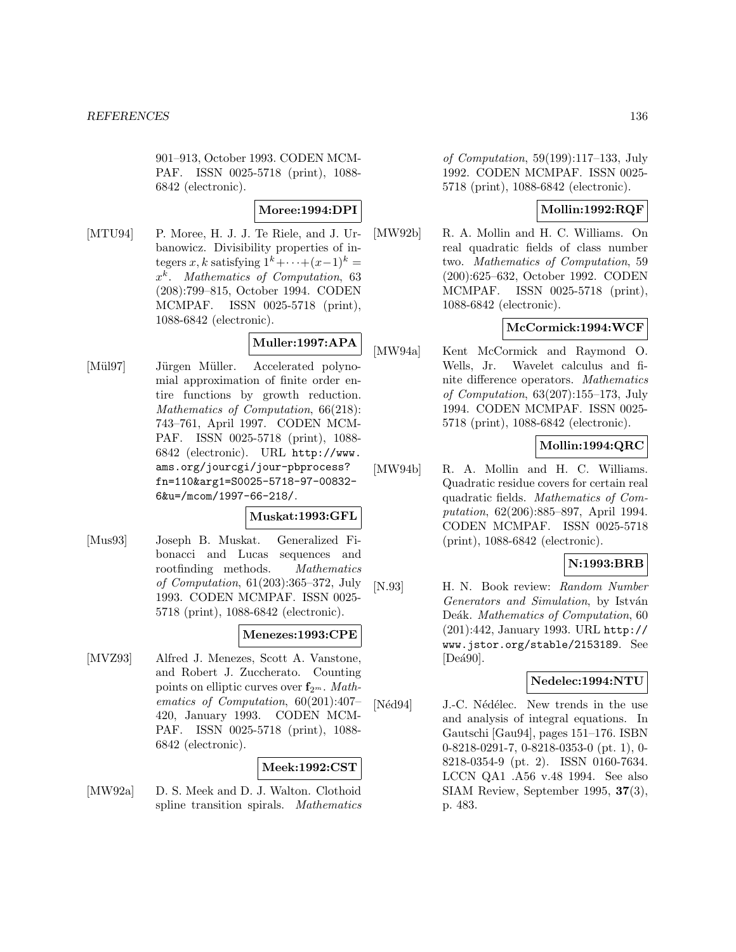901–913, October 1993. CODEN MCM-PAF. ISSN 0025-5718 (print), 1088- 6842 (electronic).

# **Moree:1994:DPI**

[MTU94] P. Moree, H. J. J. Te Riele, and J. Urbanowicz. Divisibility properties of integers x, k satisfying  $1^{k}+\cdots+(x-1)^{k} =$  $x^k$ . Mathematics of Computation, 63 (208):799–815, October 1994. CODEN MCMPAF. ISSN 0025-5718 (print), 1088-6842 (electronic).

# **Muller:1997:APA**

[Mül97] Jürgen Müller. Accelerated polynomial approximation of finite order entire functions by growth reduction. Mathematics of Computation, 66(218): 743–761, April 1997. CODEN MCM-PAF. ISSN 0025-5718 (print), 1088- 6842 (electronic). URL http://www. ams.org/jourcgi/jour-pbprocess? fn=110&arg1=S0025-5718-97-00832- 6&u=/mcom/1997-66-218/.

# **Muskat:1993:GFL**

[Mus93] Joseph B. Muskat. Generalized Fibonacci and Lucas sequences and rootfinding methods. Mathematics of Computation, 61(203):365–372, July 1993. CODEN MCMPAF. ISSN 0025- 5718 (print), 1088-6842 (electronic).

# **Menezes:1993:CPE**

[MVZ93] Alfred J. Menezes, Scott A. Vanstone, and Robert J. Zuccherato. Counting points on elliptic curves over  $f_{2^m}$ . Mathematics of Computation, 60(201):407– 420, January 1993. CODEN MCM-PAF. ISSN 0025-5718 (print), 1088- 6842 (electronic).

# **Meek:1992:CST**

[MW92a] D. S. Meek and D. J. Walton. Clothoid spline transition spirals. Mathematics

of Computation, 59(199):117–133, July 1992. CODEN MCMPAF. ISSN 0025- 5718 (print), 1088-6842 (electronic).

# **Mollin:1992:RQF**

[MW92b] R. A. Mollin and H. C. Williams. On real quadratic fields of class number two. Mathematics of Computation, 59 (200):625–632, October 1992. CODEN MCMPAF. ISSN 0025-5718 (print), 1088-6842 (electronic).

# **McCormick:1994:WCF**

[MW94a] Kent McCormick and Raymond O. Wells, Jr. Wavelet calculus and finite difference operators. Mathematics of Computation, 63(207):155–173, July 1994. CODEN MCMPAF. ISSN 0025- 5718 (print), 1088-6842 (electronic).

# **Mollin:1994:QRC**

[MW94b] R. A. Mollin and H. C. Williams. Quadratic residue covers for certain real quadratic fields. Mathematics of Computation, 62(206):885–897, April 1994. CODEN MCMPAF. ISSN 0025-5718 (print), 1088-6842 (electronic).

# **N:1993:BRB**

[N.93] H. N. Book review: Random Number Generators and Simulation, by István Deák. Mathematics of Computation, 60 (201):442, January 1993. URL http:// www.jstor.org/stable/2153189. See  $[Dea90]$ .

# **Nedelec:1994:NTU**

[Néd94] J.-C. Nédélec. New trends in the use and analysis of integral equations. In Gautschi [Gau94], pages 151–176. ISBN 0-8218-0291-7, 0-8218-0353-0 (pt. 1), 0- 8218-0354-9 (pt. 2). ISSN 0160-7634. LCCN QA1 .A56 v.48 1994. See also SIAM Review, September 1995, **37**(3), p. 483.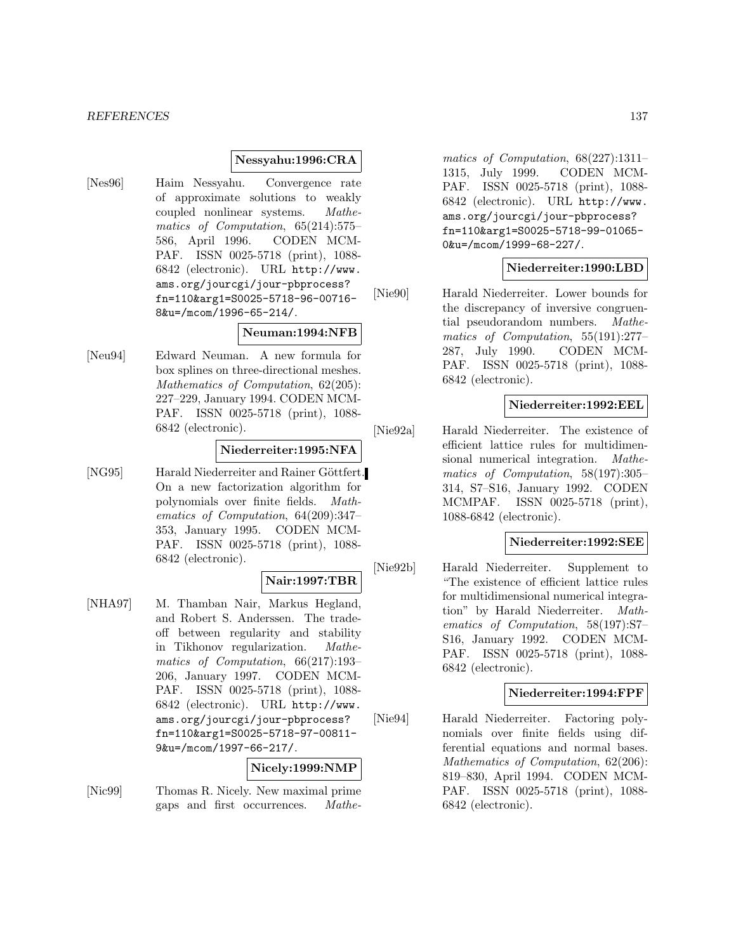#### *REFERENCES* 137

#### **Nessyahu:1996:CRA**

[Nes96] Haim Nessyahu. Convergence rate of approximate solutions to weakly coupled nonlinear systems. Mathematics of Computation, 65(214):575– 586, April 1996. CODEN MCM-PAF. ISSN 0025-5718 (print), 1088- 6842 (electronic). URL http://www. ams.org/jourcgi/jour-pbprocess? fn=110&arg1=S0025-5718-96-00716- 8&u=/mcom/1996-65-214/.

#### **Neuman:1994:NFB**

[Neu94] Edward Neuman. A new formula for box splines on three-directional meshes. Mathematics of Computation, 62(205): 227–229, January 1994. CODEN MCM-PAF. ISSN 0025-5718 (print), 1088- 6842 (electronic).

#### **Niederreiter:1995:NFA**

[NG95] Harald Niederreiter and Rainer Göttfert. On a new factorization algorithm for polynomials over finite fields. Mathematics of Computation, 64(209):347– 353, January 1995. CODEN MCM-PAF. ISSN 0025-5718 (print), 1088- 6842 (electronic).

#### **Nair:1997:TBR**

[NHA97] M. Thamban Nair, Markus Hegland, and Robert S. Anderssen. The tradeoff between regularity and stability in Tikhonov regularization. Mathematics of Computation, 66(217):193– 206, January 1997. CODEN MCM-PAF. ISSN 0025-5718 (print), 1088- 6842 (electronic). URL http://www. ams.org/jourcgi/jour-pbprocess? fn=110&arg1=S0025-5718-97-00811- 9&u=/mcom/1997-66-217/.

#### **Nicely:1999:NMP**

[Nic99] Thomas R. Nicely. New maximal prime gaps and first occurrences. Mathe-

matics of Computation, 68(227):1311– 1315, July 1999. CODEN MCM-PAF. ISSN 0025-5718 (print), 1088- 6842 (electronic). URL http://www. ams.org/jourcgi/jour-pbprocess? fn=110&arg1=S0025-5718-99-01065- 0&u=/mcom/1999-68-227/.

#### **Niederreiter:1990:LBD**

[Nie90] Harald Niederreiter. Lower bounds for the discrepancy of inversive congruential pseudorandom numbers. Mathematics of Computation, 55(191):277– 287, July 1990. CODEN MCM-PAF. ISSN 0025-5718 (print), 1088- 6842 (electronic).

#### **Niederreiter:1992:EEL**

[Nie92a] Harald Niederreiter. The existence of efficient lattice rules for multidimensional numerical integration. Mathematics of Computation, 58(197):305– 314, S7–S16, January 1992. CODEN MCMPAF. ISSN 0025-5718 (print), 1088-6842 (electronic).

#### **Niederreiter:1992:SEE**

[Nie92b] Harald Niederreiter. Supplement to "The existence of efficient lattice rules for multidimensional numerical integration" by Harald Niederreiter. Mathematics of Computation, 58(197):S7– S16, January 1992. CODEN MCM-PAF. ISSN 0025-5718 (print), 1088- 6842 (electronic).

#### **Niederreiter:1994:FPF**

[Nie94] Harald Niederreiter. Factoring polynomials over finite fields using differential equations and normal bases. Mathematics of Computation, 62(206): 819–830, April 1994. CODEN MCM-PAF. ISSN 0025-5718 (print), 1088- 6842 (electronic).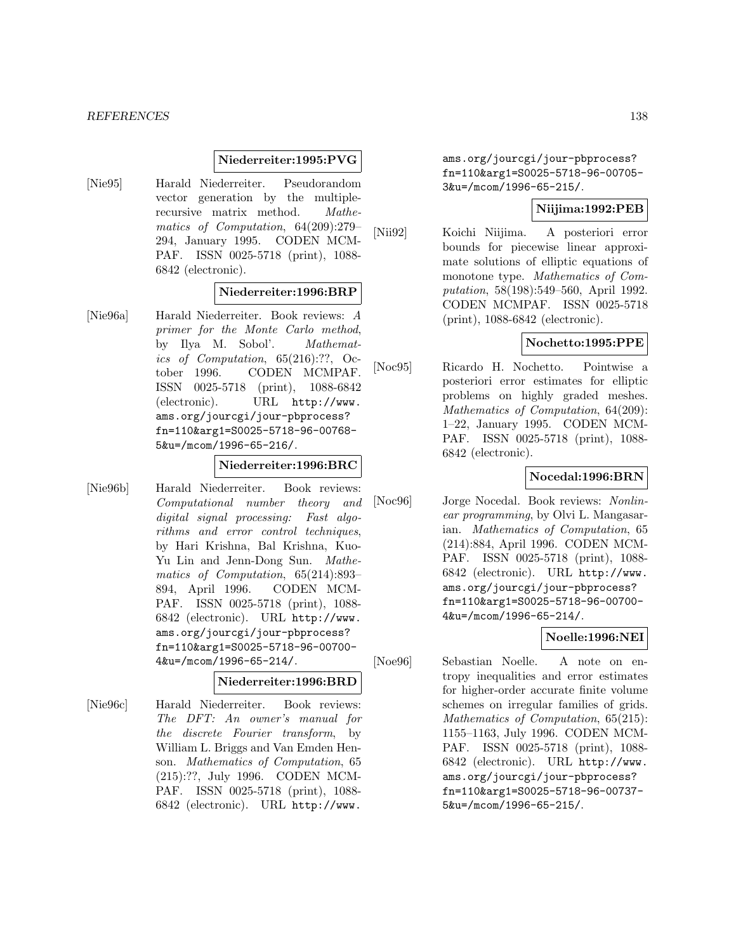#### **Niederreiter:1995:PVG**

[Nie95] Harald Niederreiter. Pseudorandom vector generation by the multiplerecursive matrix method. Mathematics of Computation, 64(209):279– 294, January 1995. CODEN MCM-PAF. ISSN 0025-5718 (print), 1088- 6842 (electronic).

#### **Niederreiter:1996:BRP**

[Nie96a] Harald Niederreiter. Book reviews: A primer for the Monte Carlo method, by Ilya M. Sobol'. Mathematics of Computation, 65(216):??, October 1996. CODEN MCMPAF. ISSN 0025-5718 (print), 1088-6842 (electronic). URL http://www. ams.org/jourcgi/jour-pbprocess? fn=110&arg1=S0025-5718-96-00768- 5&u=/mcom/1996-65-216/.

#### **Niederreiter:1996:BRC**

[Nie96b] Harald Niederreiter. Book reviews: Computational number theory and digital signal processing: Fast algorithms and error control techniques, by Hari Krishna, Bal Krishna, Kuo-Yu Lin and Jenn-Dong Sun. Mathematics of Computation, 65(214):893– 894, April 1996. CODEN MCM-PAF. ISSN 0025-5718 (print), 1088- 6842 (electronic). URL http://www. ams.org/jourcgi/jour-pbprocess? fn=110&arg1=S0025-5718-96-00700- 4&u=/mcom/1996-65-214/.

#### **Niederreiter:1996:BRD**

[Nie96c] Harald Niederreiter. Book reviews: The DFT: An owner's manual for the discrete Fourier transform, by William L. Briggs and Van Emden Henson. Mathematics of Computation, 65 (215):??, July 1996. CODEN MCM-PAF. ISSN 0025-5718 (print), 1088- 6842 (electronic). URL http://www.

ams.org/jourcgi/jour-pbprocess? fn=110&arg1=S0025-5718-96-00705- 3&u=/mcom/1996-65-215/.

#### **Niijima:1992:PEB**

[Nii92] Koichi Niijima. A posteriori error bounds for piecewise linear approximate solutions of elliptic equations of monotone type. Mathematics of Computation, 58(198):549–560, April 1992. CODEN MCMPAF. ISSN 0025-5718 (print), 1088-6842 (electronic).

## **Nochetto:1995:PPE**

[Noc95] Ricardo H. Nochetto. Pointwise a posteriori error estimates for elliptic problems on highly graded meshes. Mathematics of Computation, 64(209): 1–22, January 1995. CODEN MCM-PAF. ISSN 0025-5718 (print), 1088- 6842 (electronic).

# **Nocedal:1996:BRN**

[Noc96] Jorge Nocedal. Book reviews: Nonlinear programming, by Olvi L. Mangasarian. Mathematics of Computation, 65 (214):884, April 1996. CODEN MCM-PAF. ISSN 0025-5718 (print), 1088- 6842 (electronic). URL http://www. ams.org/jourcgi/jour-pbprocess? fn=110&arg1=S0025-5718-96-00700- 4&u=/mcom/1996-65-214/.

# **Noelle:1996:NEI**

[Noe96] Sebastian Noelle. A note on entropy inequalities and error estimates for higher-order accurate finite volume schemes on irregular families of grids. Mathematics of Computation, 65(215): 1155–1163, July 1996. CODEN MCM-PAF. ISSN 0025-5718 (print), 1088- 6842 (electronic). URL http://www. ams.org/jourcgi/jour-pbprocess? fn=110&arg1=S0025-5718-96-00737- 5&u=/mcom/1996-65-215/.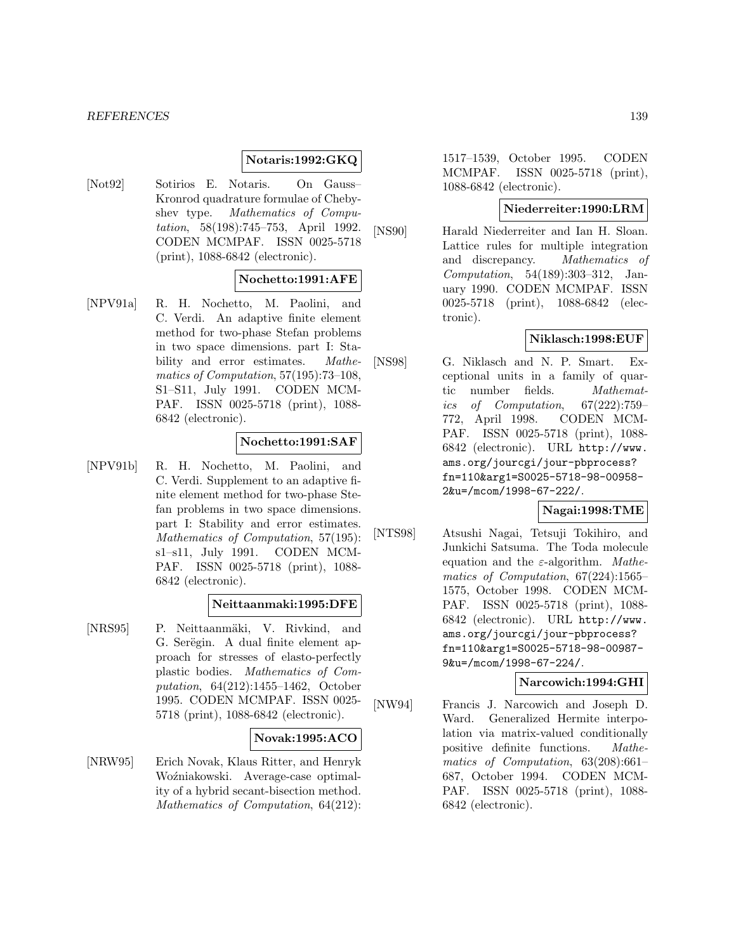#### *REFERENCES* 139

#### **Notaris:1992:GKQ**

[Not92] Sotirios E. Notaris. On Gauss– Kronrod quadrature formulae of Chebyshev type. Mathematics of Computation, 58(198):745–753, April 1992. CODEN MCMPAF. ISSN 0025-5718 (print), 1088-6842 (electronic).

#### **Nochetto:1991:AFE**

[NPV91a] R. H. Nochetto, M. Paolini, and C. Verdi. An adaptive finite element method for two-phase Stefan problems in two space dimensions. part I: Stability and error estimates. *Mathe*matics of Computation, 57(195):73–108, S1–S11, July 1991. CODEN MCM-PAF. ISSN 0025-5718 (print), 1088- 6842 (electronic).

#### **Nochetto:1991:SAF**

[NPV91b] R. H. Nochetto, M. Paolini, and C. Verdi. Supplement to an adaptive finite element method for two-phase Stefan problems in two space dimensions. part I: Stability and error estimates. Mathematics of Computation, 57(195): s1–s11, July 1991. CODEN MCM-PAF. ISSN 0025-5718 (print), 1088- 6842 (electronic).

#### **Neittaanmaki:1995:DFE**

[NRS95] P. Neittaanmäki, V. Rivkind, and G. Serëgin. A dual finite element approach for stresses of elasto-perfectly plastic bodies. Mathematics of Computation, 64(212):1455–1462, October 1995. CODEN MCMPAF. ISSN 0025- 5718 (print), 1088-6842 (electronic).

#### **Novak:1995:ACO**

[NRW95] Erich Novak, Klaus Ritter, and Henryk Woźniakowski. Average-case optimality of a hybrid secant-bisection method. Mathematics of Computation, 64(212):

1517–1539, October 1995. CODEN MCMPAF. ISSN 0025-5718 (print), 1088-6842 (electronic).

### **Niederreiter:1990:LRM**

[NS90] Harald Niederreiter and Ian H. Sloan. Lattice rules for multiple integration and discrepancy. Mathematics of Computation, 54(189):303–312, January 1990. CODEN MCMPAF. ISSN 0025-5718 (print), 1088-6842 (electronic).

## **Niklasch:1998:EUF**

[NS98] G. Niklasch and N. P. Smart. Exceptional units in a family of quartic number fields. Mathematics of Computation, 67(222):759– 772, April 1998. CODEN MCM-PAF. ISSN 0025-5718 (print), 1088- 6842 (electronic). URL http://www. ams.org/jourcgi/jour-pbprocess? fn=110&arg1=S0025-5718-98-00958- 2&u=/mcom/1998-67-222/.

# **Nagai:1998:TME**

[NTS98] Atsushi Nagai, Tetsuji Tokihiro, and Junkichi Satsuma. The Toda molecule equation and the  $\varepsilon$ -algorithm. *Mathe*matics of Computation, 67(224):1565– 1575, October 1998. CODEN MCM-PAF. ISSN 0025-5718 (print), 1088- 6842 (electronic). URL http://www. ams.org/jourcgi/jour-pbprocess? fn=110&arg1=S0025-5718-98-00987- 9&u=/mcom/1998-67-224/.

#### **Narcowich:1994:GHI**

[NW94] Francis J. Narcowich and Joseph D. Ward. Generalized Hermite interpolation via matrix-valued conditionally positive definite functions. Mathematics of Computation, 63(208):661– 687, October 1994. CODEN MCM-PAF. ISSN 0025-5718 (print), 1088- 6842 (electronic).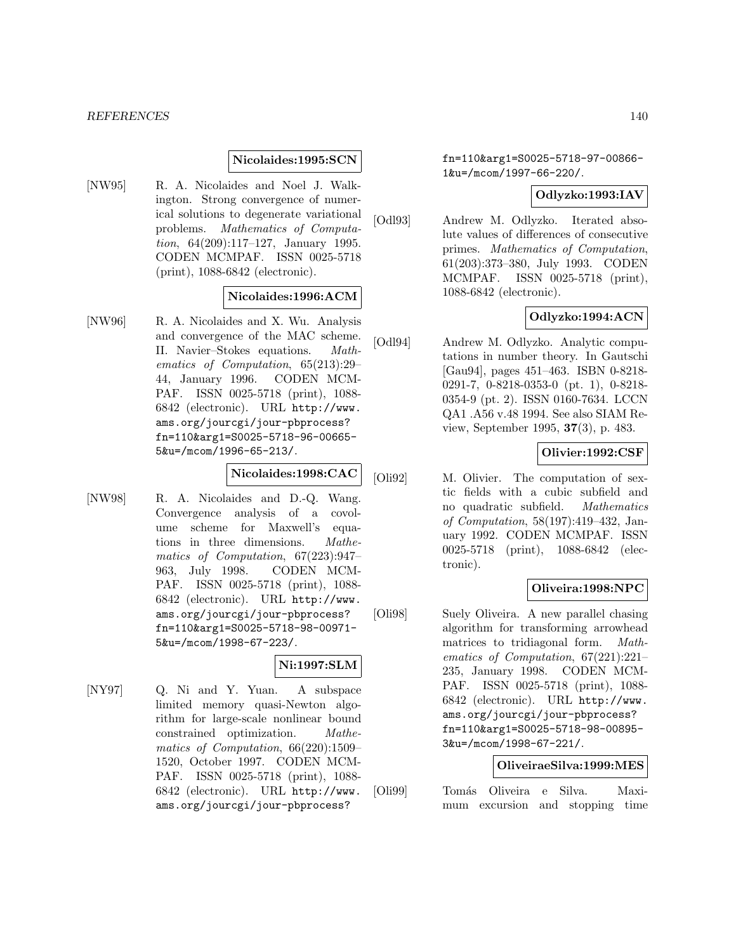#### **Nicolaides:1995:SCN**

[NW95] R. A. Nicolaides and Noel J. Walkington. Strong convergence of numerical solutions to degenerate variational problems. Mathematics of Computation, 64(209):117–127, January 1995. CODEN MCMPAF. ISSN 0025-5718 (print), 1088-6842 (electronic).

# **Nicolaides:1996:ACM**

[NW96] R. A. Nicolaides and X. Wu. Analysis and convergence of the MAC scheme. II. Navier–Stokes equations. Mathematics of Computation, 65(213):29– 44, January 1996. CODEN MCM-PAF. ISSN 0025-5718 (print), 1088- 6842 (electronic). URL http://www. ams.org/jourcgi/jour-pbprocess? fn=110&arg1=S0025-5718-96-00665- 5&u=/mcom/1996-65-213/.

# **Nicolaides:1998:CAC**

[NW98] R. A. Nicolaides and D.-Q. Wang. Convergence analysis of a covolume scheme for Maxwell's equations in three dimensions. Mathematics of Computation, 67(223):947– 963, July 1998. CODEN MCM-PAF. ISSN 0025-5718 (print), 1088- 6842 (electronic). URL http://www. ams.org/jourcgi/jour-pbprocess? fn=110&arg1=S0025-5718-98-00971- 5&u=/mcom/1998-67-223/.

# **Ni:1997:SLM**

[NY97] Q. Ni and Y. Yuan. A subspace limited memory quasi-Newton algorithm for large-scale nonlinear bound constrained optimization. Mathematics of Computation, 66(220):1509– 1520, October 1997. CODEN MCM-PAF. ISSN 0025-5718 (print), 1088- 6842 (electronic). URL http://www. ams.org/jourcgi/jour-pbprocess?

fn=110&arg1=S0025-5718-97-00866- 1&u=/mcom/1997-66-220/.

### **Odlyzko:1993:IAV**

[Odl93] Andrew M. Odlyzko. Iterated absolute values of differences of consecutive primes. Mathematics of Computation, 61(203):373–380, July 1993. CODEN MCMPAF. ISSN 0025-5718 (print), 1088-6842 (electronic).

# **Odlyzko:1994:ACN**

[Odl94] Andrew M. Odlyzko. Analytic computations in number theory. In Gautschi [Gau94], pages 451–463. ISBN 0-8218- 0291-7, 0-8218-0353-0 (pt. 1), 0-8218- 0354-9 (pt. 2). ISSN 0160-7634. LCCN QA1 .A56 v.48 1994. See also SIAM Review, September 1995, **37**(3), p. 483.

## **Olivier:1992:CSF**

[Oli92] M. Olivier. The computation of sextic fields with a cubic subfield and no quadratic subfield. Mathematics of Computation, 58(197):419–432, January 1992. CODEN MCMPAF. ISSN 0025-5718 (print), 1088-6842 (electronic).

# **Oliveira:1998:NPC**

[Oli98] Suely Oliveira. A new parallel chasing algorithm for transforming arrowhead matrices to tridiagonal form. Mathematics of Computation, 67(221):221– 235, January 1998. CODEN MCM-PAF. ISSN 0025-5718 (print), 1088- 6842 (electronic). URL http://www. ams.org/jourcgi/jour-pbprocess? fn=110&arg1=S0025-5718-98-00895- 3&u=/mcom/1998-67-221/.

# **OliveiraeSilva:1999:MES**

[Oli99] Tom´as Oliveira e Silva. Maximum excursion and stopping time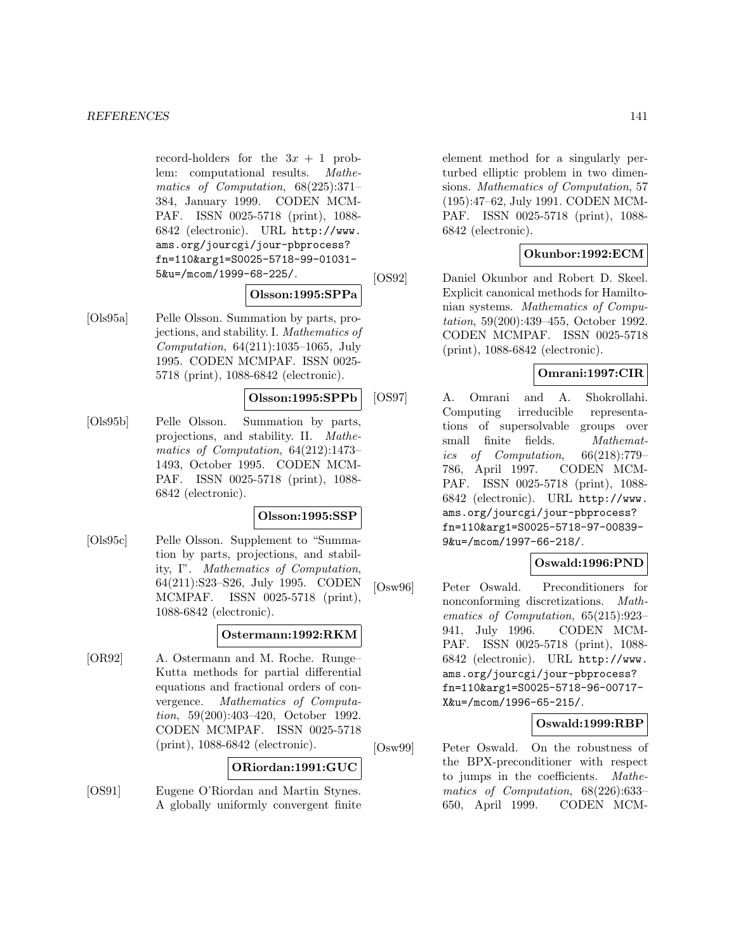record-holders for the  $3x + 1$  problem: computational results. Mathematics of Computation, 68(225):371– 384, January 1999. CODEN MCM-PAF. ISSN 0025-5718 (print), 1088- 6842 (electronic). URL http://www. ams.org/jourcgi/jour-pbprocess? fn=110&arg1=S0025-5718-99-01031- 5&u=/mcom/1999-68-225/.

#### **Olsson:1995:SPPa**

[Ols95a] Pelle Olsson. Summation by parts, projections, and stability. I. Mathematics of Computation, 64(211):1035–1065, July 1995. CODEN MCMPAF. ISSN 0025- 5718 (print), 1088-6842 (electronic).

#### **Olsson:1995:SPPb**

[Ols95b] Pelle Olsson. Summation by parts, projections, and stability. II. Mathematics of Computation, 64(212):1473– 1493, October 1995. CODEN MCM-PAF. ISSN 0025-5718 (print), 1088- 6842 (electronic).

#### **Olsson:1995:SSP**

[Ols95c] Pelle Olsson. Supplement to "Summation by parts, projections, and stability, I". Mathematics of Computation, 64(211):S23–S26, July 1995. CODEN MCMPAF. ISSN 0025-5718 (print), 1088-6842 (electronic).

#### **Ostermann:1992:RKM**

[OR92] A. Ostermann and M. Roche. Runge– Kutta methods for partial differential equations and fractional orders of convergence. Mathematics of Computation, 59(200):403–420, October 1992. CODEN MCMPAF. ISSN 0025-5718 (print), 1088-6842 (electronic).

# **ORiordan:1991:GUC**

[OS91] Eugene O'Riordan and Martin Stynes. A globally uniformly convergent finite element method for a singularly perturbed elliptic problem in two dimensions. Mathematics of Computation, 57 (195):47–62, July 1991. CODEN MCM-PAF. ISSN 0025-5718 (print), 1088- 6842 (electronic).

## **Okunbor:1992:ECM**

[OS92] Daniel Okunbor and Robert D. Skeel. Explicit canonical methods for Hamiltonian systems. Mathematics of Computation, 59(200):439–455, October 1992. CODEN MCMPAF. ISSN 0025-5718 (print), 1088-6842 (electronic).

## **Omrani:1997:CIR**

[OS97] A. Omrani and A. Shokrollahi. Computing irreducible representations of supersolvable groups over small finite fields. Mathematics of Computation, 66(218):779– 786, April 1997. CODEN MCM-PAF. ISSN 0025-5718 (print), 1088- 6842 (electronic). URL http://www. ams.org/jourcgi/jour-pbprocess? fn=110&arg1=S0025-5718-97-00839- 9&u=/mcom/1997-66-218/.

# **Oswald:1996:PND**

[Osw96] Peter Oswald. Preconditioners for nonconforming discretizations. Mathematics of Computation, 65(215):923– 941, July 1996. CODEN MCM-PAF. ISSN 0025-5718 (print), 1088- 6842 (electronic). URL http://www. ams.org/jourcgi/jour-pbprocess? fn=110&arg1=S0025-5718-96-00717- X&u=/mcom/1996-65-215/.

# **Oswald:1999:RBP**

[Osw99] Peter Oswald. On the robustness of the BPX-preconditioner with respect to jumps in the coefficients. Mathematics of Computation, 68(226):633– 650, April 1999. CODEN MCM-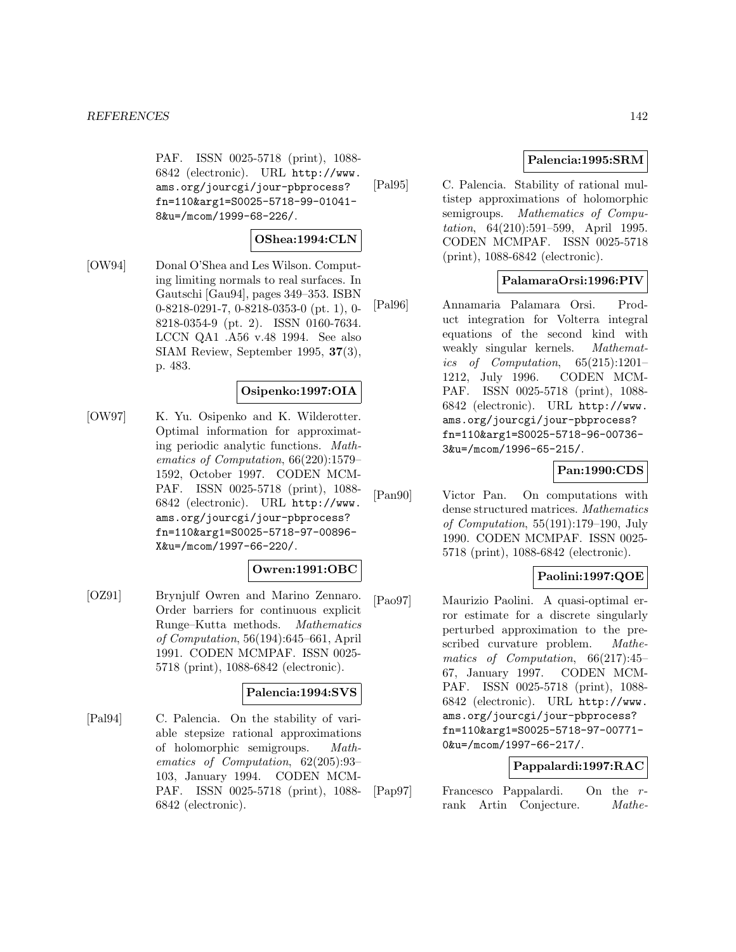PAF. ISSN 0025-5718 (print), 1088- 6842 (electronic). URL http://www. ams.org/jourcgi/jour-pbprocess? fn=110&arg1=S0025-5718-99-01041- 8&u=/mcom/1999-68-226/.

# **OShea:1994:CLN**

[OW94] Donal O'Shea and Les Wilson. Computing limiting normals to real surfaces. In Gautschi [Gau94], pages 349–353. ISBN 0-8218-0291-7, 0-8218-0353-0 (pt. 1), 0- 8218-0354-9 (pt. 2). ISSN 0160-7634. LCCN QA1 .A56 v.48 1994. See also SIAM Review, September 1995, **37**(3), p. 483.

#### **Osipenko:1997:OIA**

[OW97] K. Yu. Osipenko and K. Wilderotter. Optimal information for approximating periodic analytic functions. Mathematics of Computation, 66(220):1579– 1592, October 1997. CODEN MCM-PAF. ISSN 0025-5718 (print), 1088- 6842 (electronic). URL http://www. ams.org/jourcgi/jour-pbprocess? fn=110&arg1=S0025-5718-97-00896- X&u=/mcom/1997-66-220/.

### **Owren:1991:OBC**

[OZ91] Brynjulf Owren and Marino Zennaro. Order barriers for continuous explicit Runge–Kutta methods. Mathematics of Computation, 56(194):645–661, April 1991. CODEN MCMPAF. ISSN 0025- 5718 (print), 1088-6842 (electronic).

# **Palencia:1994:SVS**

[Pal94] C. Palencia. On the stability of variable stepsize rational approximations of holomorphic semigroups. Mathematics of Computation, 62(205):93– 103, January 1994. CODEN MCM-PAF. ISSN 0025-5718 (print), 1088- 6842 (electronic).

# **Palencia:1995:SRM**

[Pal95] C. Palencia. Stability of rational multistep approximations of holomorphic semigroups. Mathematics of Computation, 64(210):591–599, April 1995. CODEN MCMPAF. ISSN 0025-5718 (print), 1088-6842 (electronic).

## **PalamaraOrsi:1996:PIV**

[Pal96] Annamaria Palamara Orsi. Product integration for Volterra integral equations of the second kind with weakly singular kernels. Mathematics of Computation, 65(215):1201– 1212, July 1996. CODEN MCM-PAF. ISSN 0025-5718 (print), 1088- 6842 (electronic). URL http://www. ams.org/jourcgi/jour-pbprocess? fn=110&arg1=S0025-5718-96-00736- 3&u=/mcom/1996-65-215/.

# **Pan:1990:CDS**

[Pan90] Victor Pan. On computations with dense structured matrices. Mathematics of Computation, 55(191):179–190, July 1990. CODEN MCMPAF. ISSN 0025- 5718 (print), 1088-6842 (electronic).

# **Paolini:1997:QOE**

[Pao97] Maurizio Paolini. A quasi-optimal error estimate for a discrete singularly perturbed approximation to the prescribed curvature problem. Mathematics of Computation, 66(217):45– 67, January 1997. CODEN MCM-PAF. ISSN 0025-5718 (print), 1088- 6842 (electronic). URL http://www. ams.org/jourcgi/jour-pbprocess? fn=110&arg1=S0025-5718-97-00771- 0&u=/mcom/1997-66-217/.

# **Pappalardi:1997:RAC**

[Pap97] Francesco Pappalardi. On the rrank Artin Conjecture. Mathe-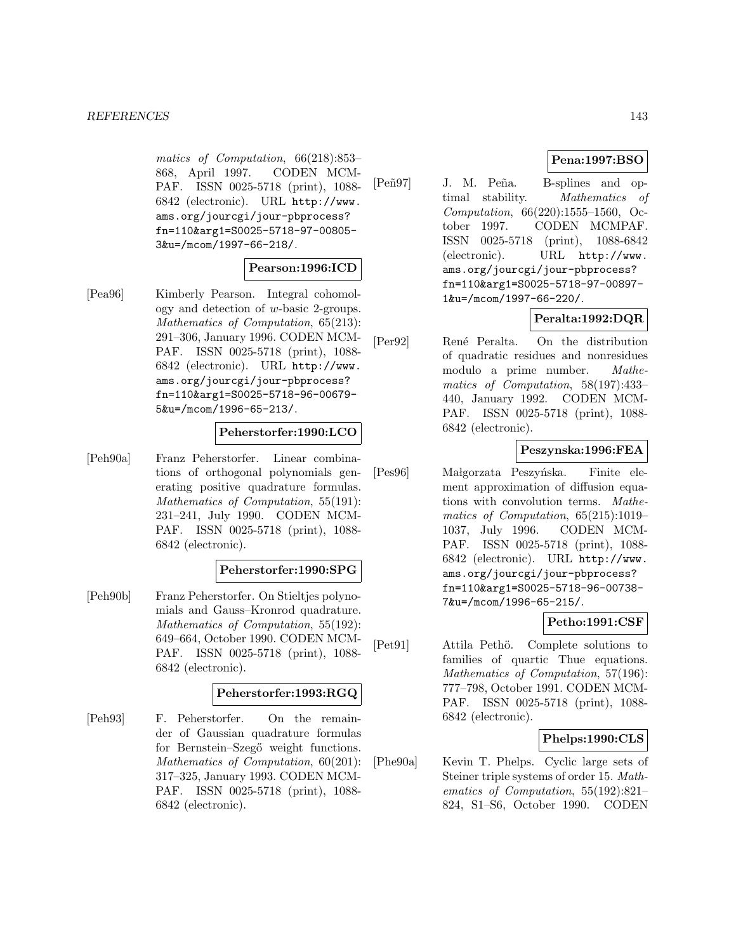matics of Computation, 66(218):853– 868, April 1997. CODEN MCM-PAF. ISSN 0025-5718 (print), 1088- 6842 (electronic). URL http://www. ams.org/jourcgi/jour-pbprocess? fn=110&arg1=S0025-5718-97-00805- 3&u=/mcom/1997-66-218/.

## **Pearson:1996:ICD**

[Pea96] Kimberly Pearson. Integral cohomology and detection of w-basic 2-groups. Mathematics of Computation, 65(213): 291–306, January 1996. CODEN MCM-PAF. ISSN 0025-5718 (print), 1088- 6842 (electronic). URL http://www. ams.org/jourcgi/jour-pbprocess? fn=110&arg1=S0025-5718-96-00679- 5&u=/mcom/1996-65-213/.

#### **Peherstorfer:1990:LCO**

[Peh90a] Franz Peherstorfer. Linear combinations of orthogonal polynomials generating positive quadrature formulas. Mathematics of Computation, 55(191): 231–241, July 1990. CODEN MCM-PAF. ISSN 0025-5718 (print), 1088- 6842 (electronic).

#### **Peherstorfer:1990:SPG**

[Peh90b] Franz Peherstorfer. On Stieltjes polynomials and Gauss–Kronrod quadrature. Mathematics of Computation, 55(192): 649–664, October 1990. CODEN MCM-PAF. ISSN 0025-5718 (print), 1088- 6842 (electronic).

# **Peherstorfer:1993:RGQ**

[Peh93] F. Peherstorfer. On the remainder of Gaussian quadrature formulas for Bernstein–Szegő weight functions. Mathematics of Computation, 60(201): 317–325, January 1993. CODEN MCM-PAF. ISSN 0025-5718 (print), 1088- 6842 (electronic).

# **Pena:1997:BSO**

[Peñ97] J. M. Peña. B-splines and optimal stability. Mathematics of Computation, 66(220):1555–1560, October 1997. CODEN MCMPAF. ISSN 0025-5718 (print), 1088-6842 (electronic). URL http://www. ams.org/jourcgi/jour-pbprocess? fn=110&arg1=S0025-5718-97-00897- 1&u=/mcom/1997-66-220/.

# **Peralta:1992:DQR**

[Per92] Ren´e Peralta. On the distribution of quadratic residues and nonresidues modulo a prime number. Mathematics of Computation, 58(197):433– 440, January 1992. CODEN MCM-PAF. ISSN 0025-5718 (print), 1088- 6842 (electronic).

#### **Peszynska:1996:FEA**

[Pes96] Małgorzata Peszyńska. Finite element approximation of diffusion equations with convolution terms. Mathematics of Computation, 65(215):1019– 1037, July 1996. CODEN MCM-PAF. ISSN 0025-5718 (print), 1088- 6842 (electronic). URL http://www. ams.org/jourcgi/jour-pbprocess? fn=110&arg1=S0025-5718-96-00738- 7&u=/mcom/1996-65-215/.

#### **Petho:1991:CSF**

[Pet91] Attila Pethö. Complete solutions to families of quartic Thue equations. Mathematics of Computation, 57(196): 777–798, October 1991. CODEN MCM-PAF. ISSN 0025-5718 (print), 1088- 6842 (electronic).

#### **Phelps:1990:CLS**

[Phe90a] Kevin T. Phelps. Cyclic large sets of Steiner triple systems of order 15. Mathematics of Computation, 55(192):821– 824, S1–S6, October 1990. CODEN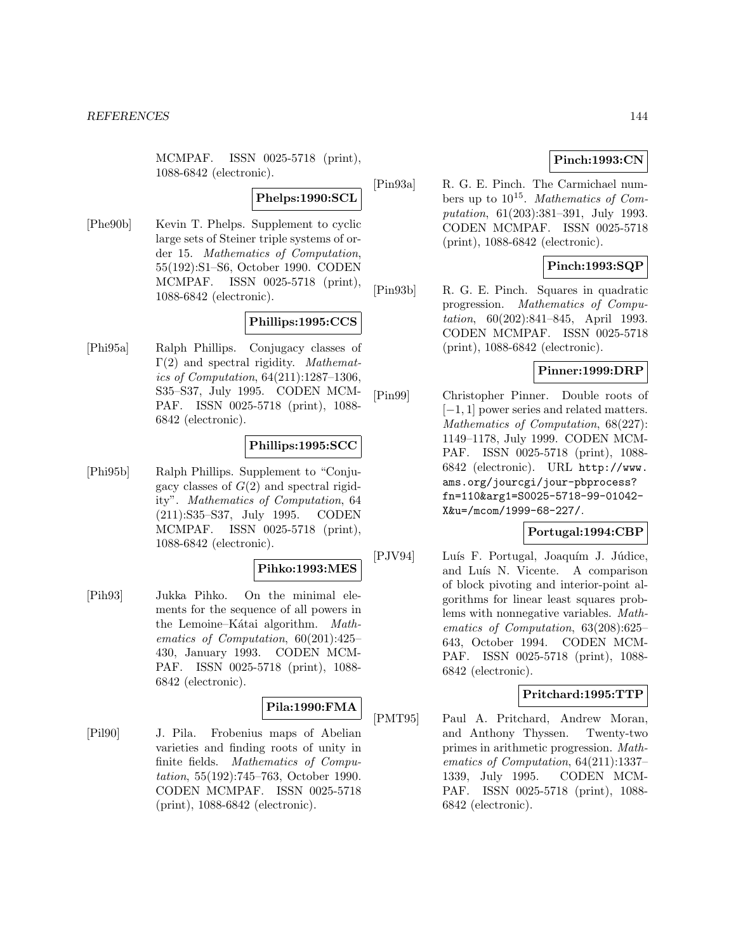MCMPAF. ISSN 0025-5718 (print), 1088-6842 (electronic).

#### **Phelps:1990:SCL**

[Phe90b] Kevin T. Phelps. Supplement to cyclic large sets of Steiner triple systems of order 15. Mathematics of Computation, 55(192):S1–S6, October 1990. CODEN MCMPAF. ISSN 0025-5718 (print), 1088-6842 (electronic).

# **Phillips:1995:CCS**

[Phi95a] Ralph Phillips. Conjugacy classes of Γ(2) and spectral rigidity. *Mathemat*ics of Computation, 64(211):1287–1306, S35–S37, July 1995. CODEN MCM-PAF. ISSN 0025-5718 (print), 1088- 6842 (electronic).

# **Phillips:1995:SCC**

[Phi95b] Ralph Phillips. Supplement to "Conjugacy classes of  $G(2)$  and spectral rigidity". Mathematics of Computation, 64 (211):S35–S37, July 1995. CODEN MCMPAF. ISSN 0025-5718 (print), 1088-6842 (electronic).

#### **Pihko:1993:MES**

[Pih93] Jukka Pihko. On the minimal elements for the sequence of all powers in the Lemoine–Kátai algorithm. Mathematics of Computation, 60(201):425– 430, January 1993. CODEN MCM-PAF. ISSN 0025-5718 (print), 1088- 6842 (electronic).

# **Pila:1990:FMA**

[Pil90] J. Pila. Frobenius maps of Abelian varieties and finding roots of unity in finite fields. Mathematics of Computation, 55(192):745–763, October 1990. CODEN MCMPAF. ISSN 0025-5718 (print), 1088-6842 (electronic).

# **Pinch:1993:CN**

[Pin93a] R. G. E. Pinch. The Carmichael numbers up to  $10^{15}$ . Mathematics of Computation, 61(203):381–391, July 1993. CODEN MCMPAF. ISSN 0025-5718 (print), 1088-6842 (electronic).

# **Pinch:1993:SQP**

[Pin93b] R. G. E. Pinch. Squares in quadratic progression. Mathematics of Computation, 60(202):841–845, April 1993. CODEN MCMPAF. ISSN 0025-5718 (print), 1088-6842 (electronic).

# **Pinner:1999:DRP**

[Pin99] Christopher Pinner. Double roots of [−1, 1] power series and related matters. Mathematics of Computation, 68(227): 1149–1178, July 1999. CODEN MCM-PAF. ISSN 0025-5718 (print), 1088- 6842 (electronic). URL http://www. ams.org/jourcgi/jour-pbprocess? fn=110&arg1=S0025-5718-99-01042- X&u=/mcom/1999-68-227/.

# **Portugal:1994:CBP**

[PJV94] Luís F. Portugal, Joaquím J. Júdice, and Luís N. Vicente. A comparison of block pivoting and interior-point algorithms for linear least squares problems with nonnegative variables. Mathematics of Computation, 63(208):625– 643, October 1994. CODEN MCM-PAF. ISSN 0025-5718 (print), 1088- 6842 (electronic).

# **Pritchard:1995:TTP**

[PMT95] Paul A. Pritchard, Andrew Moran, and Anthony Thyssen. Twenty-two primes in arithmetic progression. Mathematics of Computation, 64(211):1337– 1339, July 1995. CODEN MCM-PAF. ISSN 0025-5718 (print), 1088- 6842 (electronic).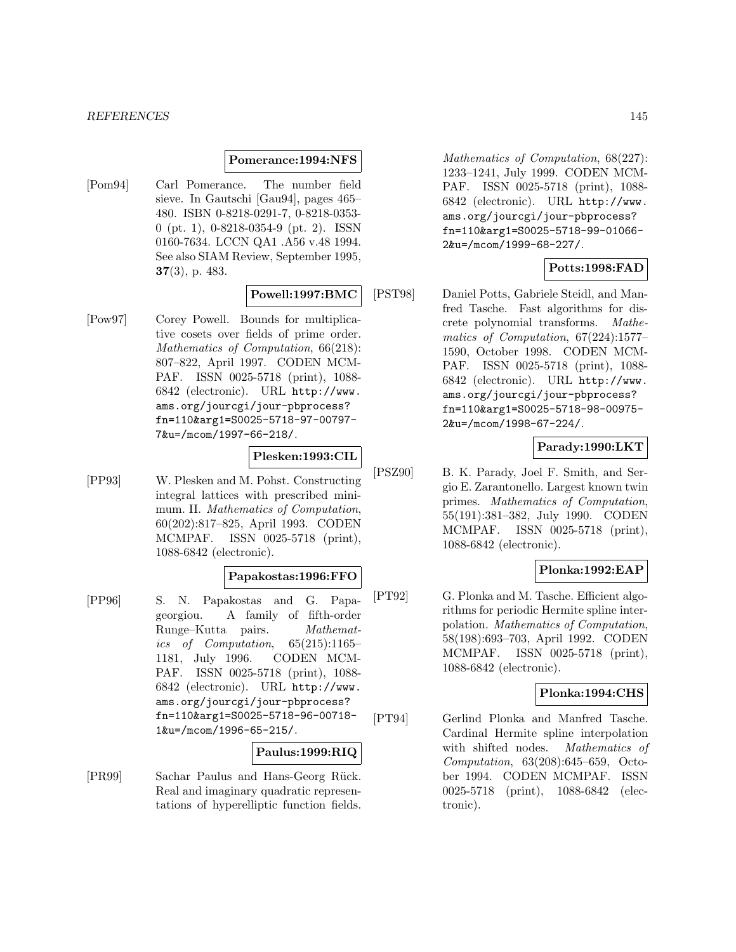#### *REFERENCES* 145

#### **Pomerance:1994:NFS**

[Pom94] Carl Pomerance. The number field sieve. In Gautschi [Gau94], pages 465– 480. ISBN 0-8218-0291-7, 0-8218-0353- 0 (pt. 1), 0-8218-0354-9 (pt. 2). ISSN 0160-7634. LCCN QA1 .A56 v.48 1994. See also SIAM Review, September 1995, **37**(3), p. 483.

#### **Powell:1997:BMC**

[Pow97] Corey Powell. Bounds for multiplicative cosets over fields of prime order. Mathematics of Computation, 66(218): 807–822, April 1997. CODEN MCM-PAF. ISSN 0025-5718 (print), 1088- 6842 (electronic). URL http://www. ams.org/jourcgi/jour-pbprocess? fn=110&arg1=S0025-5718-97-00797- 7&u=/mcom/1997-66-218/.

# **Plesken:1993:CIL**

[PP93] W. Plesken and M. Pohst. Constructing integral lattices with prescribed minimum. II. Mathematics of Computation, 60(202):817–825, April 1993. CODEN MCMPAF. ISSN 0025-5718 (print), 1088-6842 (electronic).

# **Papakostas:1996:FFO**

[PP96] S. N. Papakostas and G. Papageorgiou. A family of fifth-order Runge–Kutta pairs. Mathematics of Computation, 65(215):1165– 1181, July 1996. CODEN MCM-PAF. ISSN 0025-5718 (print), 1088- 6842 (electronic). URL http://www. ams.org/jourcgi/jour-pbprocess? fn=110&arg1=S0025-5718-96-00718- 1&u=/mcom/1996-65-215/.

# **Paulus:1999:RIQ**

[PR99] Sachar Paulus and Hans-Georg Rück. Real and imaginary quadratic representations of hyperelliptic function fields.

Mathematics of Computation, 68(227): 1233–1241, July 1999. CODEN MCM-PAF. ISSN 0025-5718 (print), 1088- 6842 (electronic). URL http://www. ams.org/jourcgi/jour-pbprocess? fn=110&arg1=S0025-5718-99-01066- 2&u=/mcom/1999-68-227/.

## **Potts:1998:FAD**

[PST98] Daniel Potts, Gabriele Steidl, and Manfred Tasche. Fast algorithms for discrete polynomial transforms. Mathematics of Computation, 67(224):1577– 1590, October 1998. CODEN MCM-PAF. ISSN 0025-5718 (print), 1088- 6842 (electronic). URL http://www. ams.org/jourcgi/jour-pbprocess? fn=110&arg1=S0025-5718-98-00975- 2&u=/mcom/1998-67-224/.

## **Parady:1990:LKT**

[PSZ90] B. K. Parady, Joel F. Smith, and Sergio E. Zarantonello. Largest known twin primes. Mathematics of Computation, 55(191):381–382, July 1990. CODEN MCMPAF. ISSN 0025-5718 (print), 1088-6842 (electronic).

# **Plonka:1992:EAP**

[PT92] G. Plonka and M. Tasche. Efficient algorithms for periodic Hermite spline interpolation. Mathematics of Computation, 58(198):693–703, April 1992. CODEN MCMPAF. ISSN 0025-5718 (print), 1088-6842 (electronic).

# **Plonka:1994:CHS**

[PT94] Gerlind Plonka and Manfred Tasche. Cardinal Hermite spline interpolation with shifted nodes. Mathematics of Computation, 63(208):645–659, October 1994. CODEN MCMPAF. ISSN 0025-5718 (print), 1088-6842 (electronic).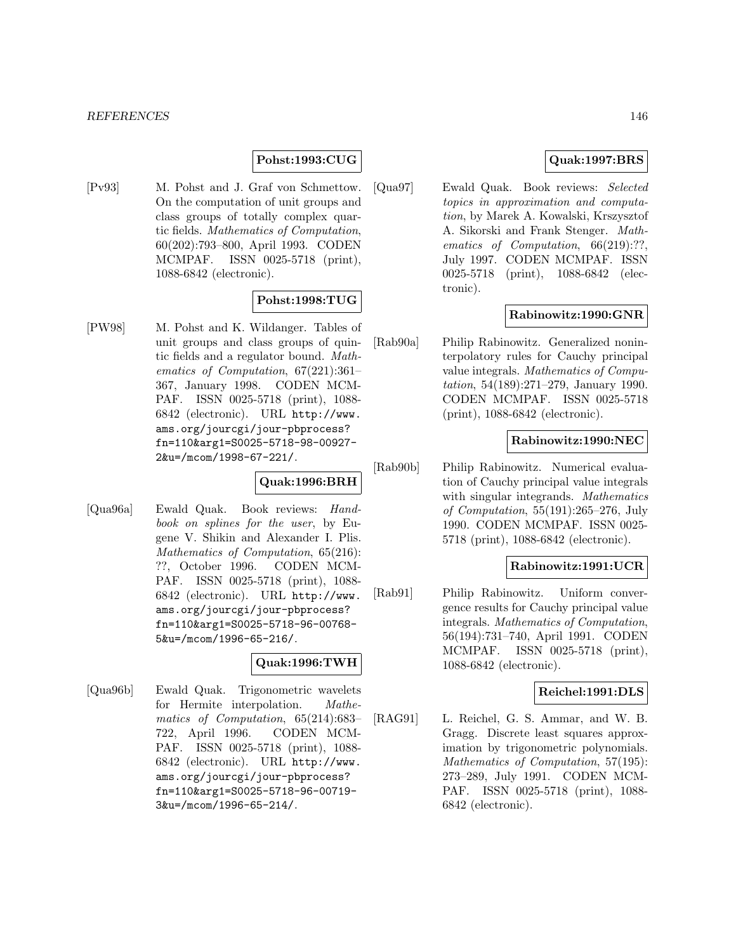## **Pohst:1993:CUG**

[Pv93] M. Pohst and J. Graf von Schmettow. On the computation of unit groups and class groups of totally complex quartic fields. Mathematics of Computation, 60(202):793–800, April 1993. CODEN MCMPAF. ISSN 0025-5718 (print), 1088-6842 (electronic).

# **Pohst:1998:TUG**

[PW98] M. Pohst and K. Wildanger. Tables of unit groups and class groups of quintic fields and a regulator bound. Mathematics of Computation, 67(221):361– 367, January 1998. CODEN MCM-PAF. ISSN 0025-5718 (print), 1088- 6842 (electronic). URL http://www. ams.org/jourcgi/jour-pbprocess? fn=110&arg1=S0025-5718-98-00927- 2&u=/mcom/1998-67-221/.

# **Quak:1996:BRH**

[Qua96a] Ewald Quak. Book reviews: Handbook on splines for the user, by Eugene V. Shikin and Alexander I. Plis. Mathematics of Computation, 65(216): ??, October 1996. CODEN MCM-PAF. ISSN 0025-5718 (print), 1088- 6842 (electronic). URL http://www. ams.org/jourcgi/jour-pbprocess? fn=110&arg1=S0025-5718-96-00768- 5&u=/mcom/1996-65-216/.

## **Quak:1996:TWH**

[Qua96b] Ewald Quak. Trigonometric wavelets for Hermite interpolation. Mathematics of Computation, 65(214):683– 722, April 1996. CODEN MCM-PAF. ISSN 0025-5718 (print), 1088- 6842 (electronic). URL http://www. ams.org/jourcgi/jour-pbprocess? fn=110&arg1=S0025-5718-96-00719- 3&u=/mcom/1996-65-214/.

# **Quak:1997:BRS**

[Qua97] Ewald Quak. Book reviews: Selected topics in approximation and computation, by Marek A. Kowalski, Krszysztof A. Sikorski and Frank Stenger. Mathematics of Computation, 66(219):??, July 1997. CODEN MCMPAF. ISSN 0025-5718 (print), 1088-6842 (electronic).

#### **Rabinowitz:1990:GNR**

[Rab90a] Philip Rabinowitz. Generalized noninterpolatory rules for Cauchy principal value integrals. Mathematics of Computation, 54(189):271–279, January 1990. CODEN MCMPAF. ISSN 0025-5718 (print), 1088-6842 (electronic).

## **Rabinowitz:1990:NEC**

[Rab90b] Philip Rabinowitz. Numerical evaluation of Cauchy principal value integrals with singular integrands. Mathematics of Computation, 55(191):265–276, July 1990. CODEN MCMPAF. ISSN 0025- 5718 (print), 1088-6842 (electronic).

## **Rabinowitz:1991:UCR**

[Rab91] Philip Rabinowitz. Uniform convergence results for Cauchy principal value integrals. Mathematics of Computation, 56(194):731–740, April 1991. CODEN MCMPAF. ISSN 0025-5718 (print), 1088-6842 (electronic).

#### **Reichel:1991:DLS**

[RAG91] L. Reichel, G. S. Ammar, and W. B. Gragg. Discrete least squares approximation by trigonometric polynomials. Mathematics of Computation, 57(195): 273–289, July 1991. CODEN MCM-PAF. ISSN 0025-5718 (print), 1088- 6842 (electronic).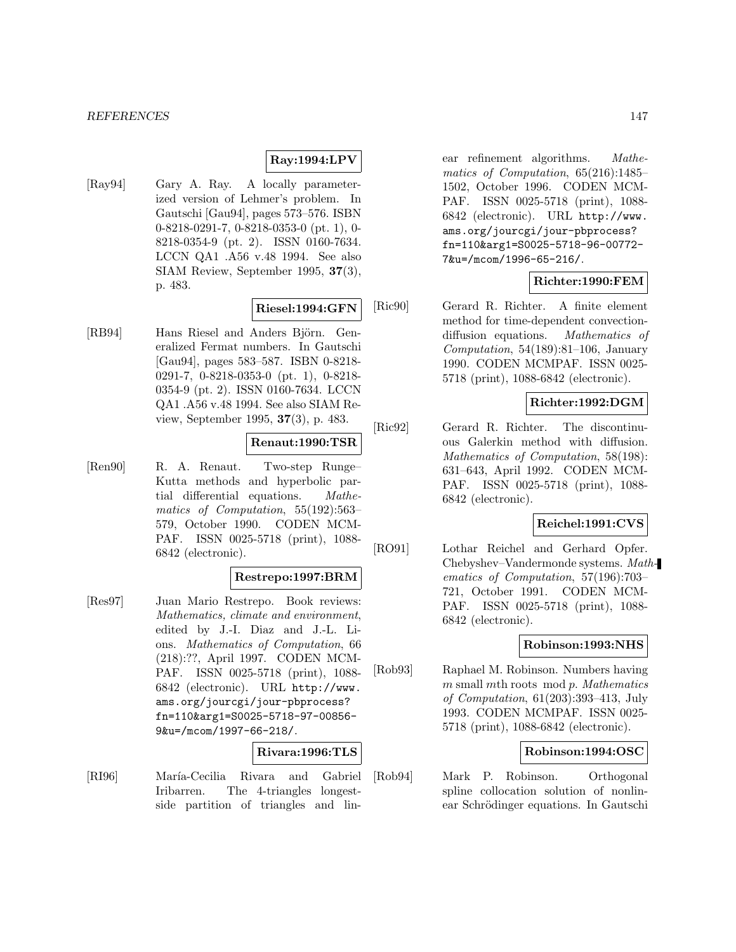# **Ray:1994:LPV**

[Ray94] Gary A. Ray. A locally parameterized version of Lehmer's problem. In Gautschi [Gau94], pages 573–576. ISBN 0-8218-0291-7, 0-8218-0353-0 (pt. 1), 0- 8218-0354-9 (pt. 2). ISSN 0160-7634. LCCN QA1 .A56 v.48 1994. See also SIAM Review, September 1995, **37**(3), p. 483.

#### **Riesel:1994:GFN**

[RB94] Hans Riesel and Anders Björn. Generalized Fermat numbers. In Gautschi [Gau94], pages 583–587. ISBN 0-8218- 0291-7, 0-8218-0353-0 (pt. 1), 0-8218- 0354-9 (pt. 2). ISSN 0160-7634. LCCN QA1 .A56 v.48 1994. See also SIAM Review, September 1995, **37**(3), p. 483.

#### **Renaut:1990:TSR**

[Ren90] R. A. Renaut. Two-step Runge– Kutta methods and hyperbolic partial differential equations. Mathematics of Computation, 55(192):563– 579, October 1990. CODEN MCM-PAF. ISSN 0025-5718 (print), 1088- 6842 (electronic).

#### **Restrepo:1997:BRM**

[Res97] Juan Mario Restrepo. Book reviews: Mathematics, climate and environment, edited by J.-I. Diaz and J.-L. Lions. Mathematics of Computation, 66 (218):??, April 1997. CODEN MCM-PAF. ISSN 0025-5718 (print), 1088- 6842 (electronic). URL http://www. ams.org/jourcgi/jour-pbprocess? fn=110&arg1=S0025-5718-97-00856- 9&u=/mcom/1997-66-218/.

# **Rivara:1996:TLS**

[RI96] María-Cecilia Rivara and Gabriel Iribarren. The 4-triangles longestside partition of triangles and linear refinement algorithms. Mathematics of Computation, 65(216):1485– 1502, October 1996. CODEN MCM-PAF. ISSN 0025-5718 (print), 1088- 6842 (electronic). URL http://www. ams.org/jourcgi/jour-pbprocess? fn=110&arg1=S0025-5718-96-00772- 7&u=/mcom/1996-65-216/.

## **Richter:1990:FEM**

[Ric90] Gerard R. Richter. A finite element method for time-dependent convectiondiffusion equations. Mathematics of Computation,  $54(189):81-106$ , January 1990. CODEN MCMPAF. ISSN 0025- 5718 (print), 1088-6842 (electronic).

#### **Richter:1992:DGM**

[Ric92] Gerard R. Richter. The discontinuous Galerkin method with diffusion. Mathematics of Computation, 58(198): 631–643, April 1992. CODEN MCM-PAF. ISSN 0025-5718 (print), 1088- 6842 (electronic).

#### **Reichel:1991:CVS**

[RO91] Lothar Reichel and Gerhard Opfer. Chebyshev–Vandermonde systems. Mathematics of Computation, 57(196):703– 721, October 1991. CODEN MCM-PAF. ISSN 0025-5718 (print), 1088- 6842 (electronic).

#### **Robinson:1993:NHS**

[Rob93] Raphael M. Robinson. Numbers having m small mth roots mod p. Mathematics of Computation, 61(203):393–413, July 1993. CODEN MCMPAF. ISSN 0025- 5718 (print), 1088-6842 (electronic).

#### **Robinson:1994:OSC**

[Rob94] Mark P. Robinson. Orthogonal spline collocation solution of nonlinear Schrödinger equations. In Gautschi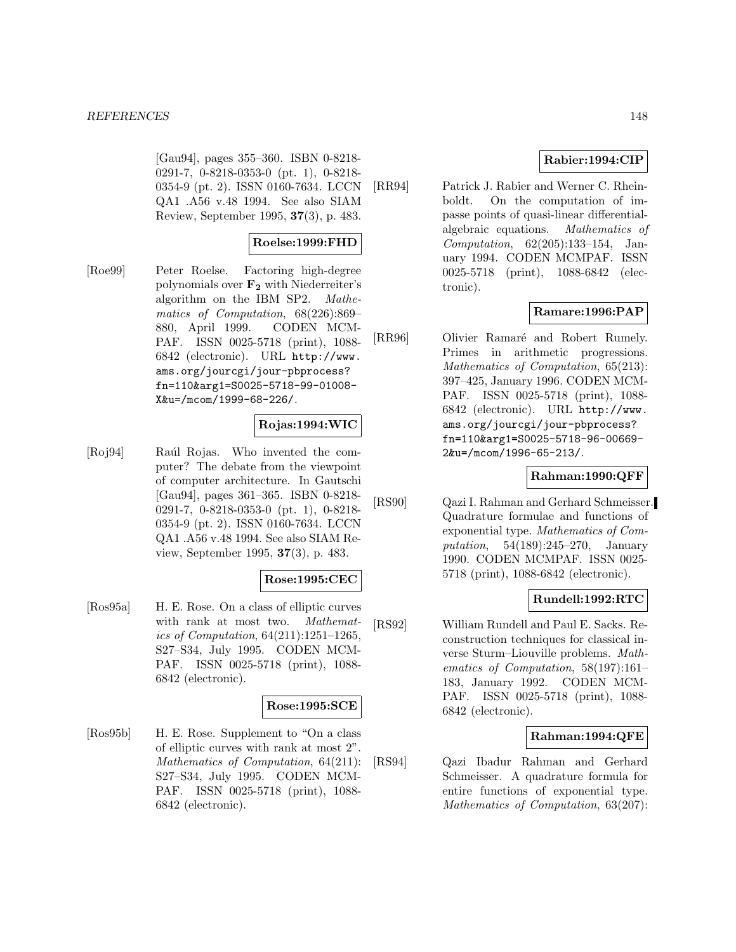[Gau94], pages 355–360. ISBN 0-8218- 0291-7, 0-8218-0353-0 (pt. 1), 0-8218- 0354-9 (pt. 2). ISSN 0160-7634. LCCN QA1 .A56 v.48 1994. See also SIAM Review, September 1995, **37**(3), p. 483.

# **Roelse:1999:FHD**

[Roe99] Peter Roelse. Factoring high-degree polynomials over **F<sup>2</sup>** with Niederreiter's algorithm on the IBM SP2. Mathematics of Computation, 68(226):869– 880, April 1999. CODEN MCM-PAF. ISSN 0025-5718 (print), 1088- 6842 (electronic). URL http://www. ams.org/jourcgi/jour-pbprocess? fn=110&arg1=S0025-5718-99-01008- X&u=/mcom/1999-68-226/.

## **Rojas:1994:WIC**

[Roj94] Raúl Rojas. Who invented the computer? The debate from the viewpoint of computer architecture. In Gautschi [Gau94], pages 361–365. ISBN 0-8218- 0291-7, 0-8218-0353-0 (pt. 1), 0-8218- 0354-9 (pt. 2). ISSN 0160-7634. LCCN QA1 .A56 v.48 1994. See also SIAM Review, September 1995, **37**(3), p. 483.

## **Rose:1995:CEC**

[Ros95a] H. E. Rose. On a class of elliptic curves with rank at most two. Mathematics of Computation, 64(211):1251–1265, S27–S34, July 1995. CODEN MCM-PAF. ISSN 0025-5718 (print), 1088- 6842 (electronic).

## **Rose:1995:SCE**

[Ros95b] H. E. Rose. Supplement to "On a class of elliptic curves with rank at most 2". Mathematics of Computation, 64(211): S27–S34, July 1995. CODEN MCM-PAF. ISSN 0025-5718 (print), 1088- 6842 (electronic).

## **Rabier:1994:CIP**

[RR94] Patrick J. Rabier and Werner C. Rheinboldt. On the computation of impasse points of quasi-linear differentialalgebraic equations. Mathematics of Computation, 62(205):133–154, January 1994. CODEN MCMPAF. ISSN 0025-5718 (print), 1088-6842 (electronic).

## **Ramare:1996:PAP**

[RR96] Olivier Ramaré and Robert Rumely. Primes in arithmetic progressions. Mathematics of Computation, 65(213): 397–425, January 1996. CODEN MCM-PAF. ISSN 0025-5718 (print), 1088- 6842 (electronic). URL http://www. ams.org/jourcgi/jour-pbprocess? fn=110&arg1=S0025-5718-96-00669- 2&u=/mcom/1996-65-213/.

# **Rahman:1990:QFF**

[RS90] Qazi I. Rahman and Gerhard Schmeisser. Quadrature formulae and functions of exponential type. Mathematics of Computation, 54(189):245–270, January 1990. CODEN MCMPAF. ISSN 0025- 5718 (print), 1088-6842 (electronic).

# **Rundell:1992:RTC**

[RS92] William Rundell and Paul E. Sacks. Reconstruction techniques for classical inverse Sturm–Liouville problems. Mathematics of Computation, 58(197):161– 183, January 1992. CODEN MCM-PAF. ISSN 0025-5718 (print), 1088- 6842 (electronic).

# **Rahman:1994:QFE**

[RS94] Qazi Ibadur Rahman and Gerhard Schmeisser. A quadrature formula for entire functions of exponential type. Mathematics of Computation, 63(207):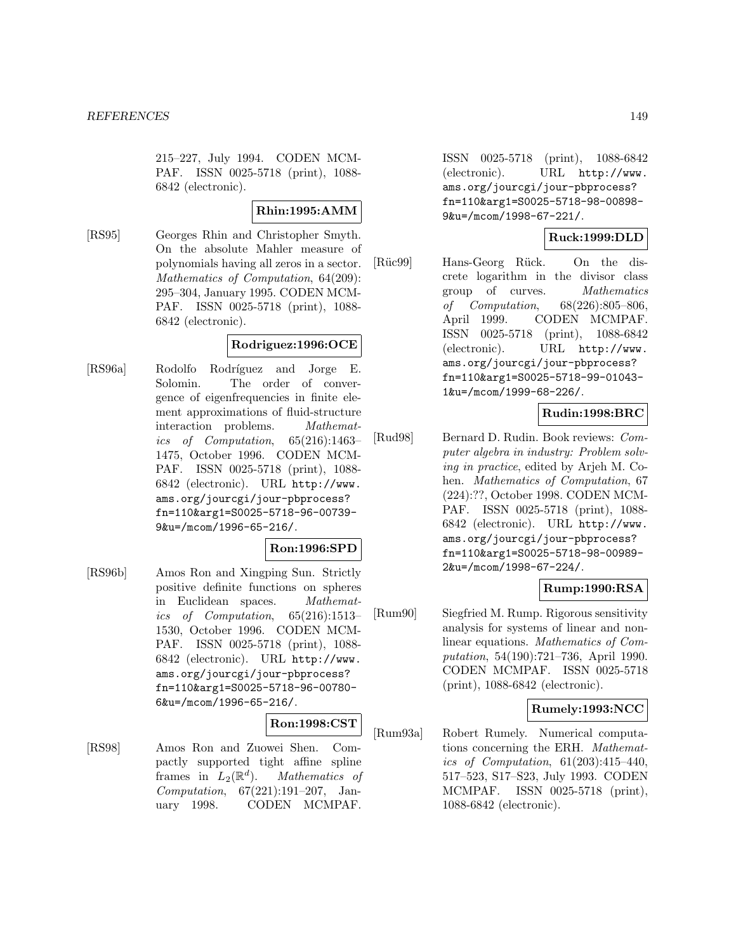215–227, July 1994. CODEN MCM-PAF. ISSN 0025-5718 (print), 1088- 6842 (electronic).

## **Rhin:1995:AMM**

[RS95] Georges Rhin and Christopher Smyth. On the absolute Mahler measure of polynomials having all zeros in a sector. Mathematics of Computation, 64(209): 295–304, January 1995. CODEN MCM-PAF. ISSN 0025-5718 (print), 1088- 6842 (electronic).

# **Rodriguez:1996:OCE**

[RS96a] Rodolfo Rodríguez and Jorge E. Solomin. The order of convergence of eigenfrequencies in finite element approximations of fluid-structure interaction problems. Mathematics of Computation, 65(216):1463– 1475, October 1996. CODEN MCM-PAF. ISSN 0025-5718 (print), 1088- 6842 (electronic). URL http://www. ams.org/jourcgi/jour-pbprocess? fn=110&arg1=S0025-5718-96-00739- 9&u=/mcom/1996-65-216/.

## **Ron:1996:SPD**

[RS96b] Amos Ron and Xingping Sun. Strictly positive definite functions on spheres in Euclidean spaces. Mathematics of Computation, 65(216):1513– 1530, October 1996. CODEN MCM-PAF. ISSN 0025-5718 (print), 1088- 6842 (electronic). URL http://www. ams.org/jourcgi/jour-pbprocess? fn=110&arg1=S0025-5718-96-00780- 6&u=/mcom/1996-65-216/.

#### **Ron:1998:CST**

[RS98] Amos Ron and Zuowei Shen. Compactly supported tight affine spline frames in  $L_2(\mathbb{R}^d)$ . *Mathematics of*<br>*Computation*, 67(221):191-207, January 1998. CODEN MCMPAF.

ISSN 0025-5718 (print), 1088-6842 (electronic). URL http://www. ams.org/jourcgi/jour-pbprocess? fn=110&arg1=S0025-5718-98-00898- 9&u=/mcom/1998-67-221/.

# **Ruck:1999:DLD**

[Rüc99] Hans-Georg Rück. On the discrete logarithm in the divisor class group of curves. Mathematics of Computation, 68(226):805–806, April 1999. CODEN MCMPAF. ISSN 0025-5718 (print), 1088-6842 (electronic). URL http://www. ams.org/jourcgi/jour-pbprocess? fn=110&arg1=S0025-5718-99-01043- 1&u=/mcom/1999-68-226/.

# **Rudin:1998:BRC**

[Rud98] Bernard D. Rudin. Book reviews: Computer algebra in industry: Problem solving in practice, edited by Arjeh M. Cohen. Mathematics of Computation, 67 (224):??, October 1998. CODEN MCM-PAF. ISSN 0025-5718 (print), 1088- 6842 (electronic). URL http://www. ams.org/jourcgi/jour-pbprocess? fn=110&arg1=S0025-5718-98-00989- 2&u=/mcom/1998-67-224/.

# **Rump:1990:RSA**

[Rum90] Siegfried M. Rump. Rigorous sensitivity analysis for systems of linear and nonlinear equations. Mathematics of Computation, 54(190):721–736, April 1990. CODEN MCMPAF. ISSN 0025-5718 (print), 1088-6842 (electronic).

## **Rumely:1993:NCC**

[Rum93a] Robert Rumely. Numerical computations concerning the ERH. Mathematics of Computation, 61(203):415–440, 517–523, S17–S23, July 1993. CODEN MCMPAF. ISSN 0025-5718 (print), 1088-6842 (electronic).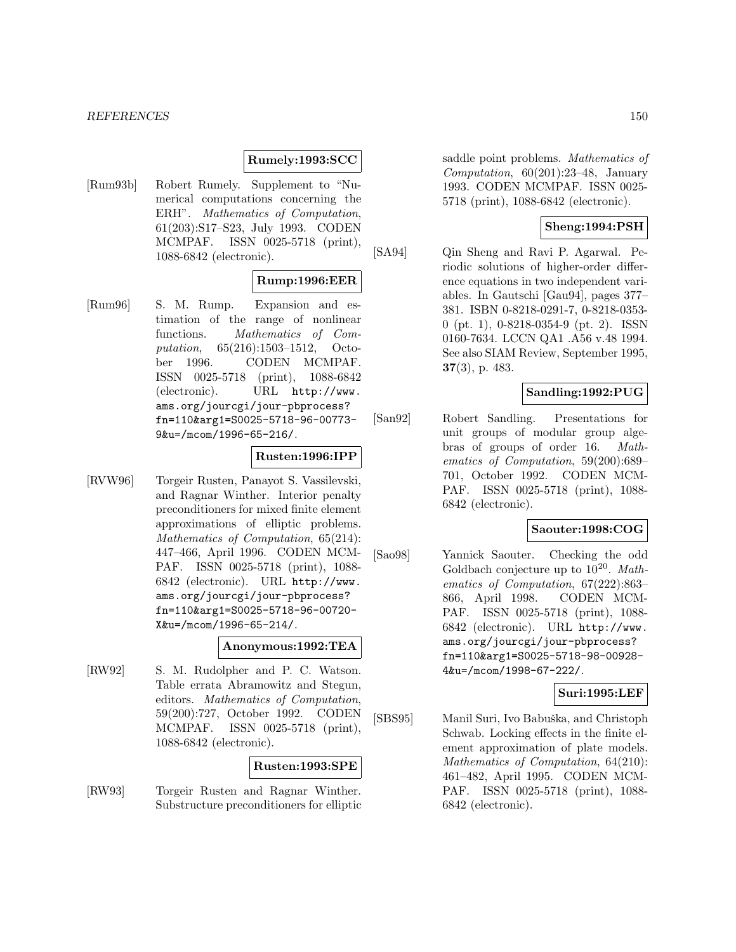#### *REFERENCES* 150

#### **Rumely:1993:SCC**

[Rum93b] Robert Rumely. Supplement to "Numerical computations concerning the ERH". Mathematics of Computation, 61(203):S17–S23, July 1993. CODEN MCMPAF. ISSN 0025-5718 (print), 1088-6842 (electronic).

## **Rump:1996:EER**

[Rum96] S. M. Rump. Expansion and estimation of the range of nonlinear functions. Mathematics of Computation, 65(216):1503–1512, October 1996. CODEN MCMPAF. ISSN 0025-5718 (print), 1088-6842 (electronic). URL http://www. ams.org/jourcgi/jour-pbprocess? fn=110&arg1=S0025-5718-96-00773- 9&u=/mcom/1996-65-216/.

## **Rusten:1996:IPP**

[RVW96] Torgeir Rusten, Panayot S. Vassilevski, and Ragnar Winther. Interior penalty preconditioners for mixed finite element approximations of elliptic problems. Mathematics of Computation, 65(214): 447–466, April 1996. CODEN MCM-PAF. ISSN 0025-5718 (print), 1088- 6842 (electronic). URL http://www. ams.org/jourcgi/jour-pbprocess? fn=110&arg1=S0025-5718-96-00720- X&u=/mcom/1996-65-214/.

#### **Anonymous:1992:TEA**

[RW92] S. M. Rudolpher and P. C. Watson. Table errata Abramowitz and Stegun, editors. Mathematics of Computation, 59(200):727, October 1992. CODEN MCMPAF. ISSN 0025-5718 (print), 1088-6842 (electronic).

#### **Rusten:1993:SPE**

[RW93] Torgeir Rusten and Ragnar Winther. Substructure preconditioners for elliptic saddle point problems. Mathematics of Computation, 60(201):23–48, January 1993. CODEN MCMPAF. ISSN 0025- 5718 (print), 1088-6842 (electronic).

## **Sheng:1994:PSH**

[SA94] Qin Sheng and Ravi P. Agarwal. Periodic solutions of higher-order difference equations in two independent variables. In Gautschi [Gau94], pages 377– 381. ISBN 0-8218-0291-7, 0-8218-0353- 0 (pt. 1), 0-8218-0354-9 (pt. 2). ISSN 0160-7634. LCCN QA1 .A56 v.48 1994. See also SIAM Review, September 1995, **37**(3), p. 483.

#### **Sandling:1992:PUG**

[San92] Robert Sandling. Presentations for unit groups of modular group algebras of groups of order 16. Mathematics of Computation, 59(200):689– 701, October 1992. CODEN MCM-PAF. ISSN 0025-5718 (print), 1088- 6842 (electronic).

## **Saouter:1998:COG**

[Sao98] Yannick Saouter. Checking the odd Goldbach conjecture up to  $10^{20}$ . Mathematics of Computation, 67(222):863– 866, April 1998. CODEN MCM-PAF. ISSN 0025-5718 (print), 1088- 6842 (electronic). URL http://www. ams.org/jourcgi/jour-pbprocess? fn=110&arg1=S0025-5718-98-00928- 4&u=/mcom/1998-67-222/.

# **Suri:1995:LEF**

[SBS95] Manil Suri, Ivo Babuška, and Christoph Schwab. Locking effects in the finite element approximation of plate models. Mathematics of Computation, 64(210): 461–482, April 1995. CODEN MCM-PAF. ISSN 0025-5718 (print), 1088- 6842 (electronic).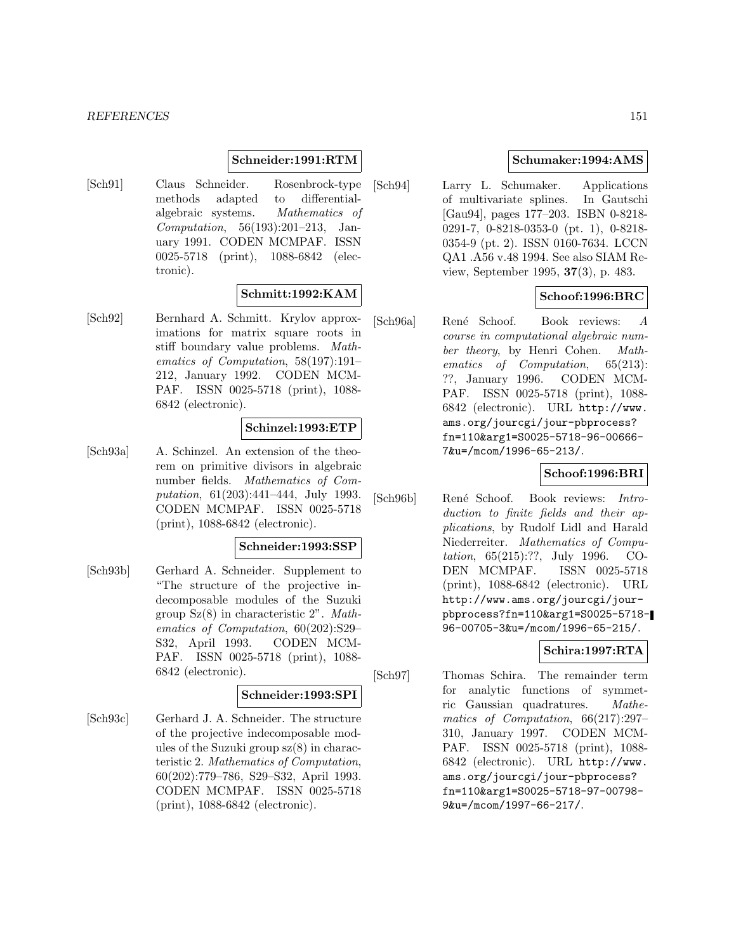## **Schneider:1991:RTM**

[Sch91] Claus Schneider. Rosenbrock-type methods adapted to differentialalgebraic systems. Mathematics of Computation, 56(193):201–213, January 1991. CODEN MCMPAF. ISSN 0025-5718 (print), 1088-6842 (electronic).

## **Schmitt:1992:KAM**

[Sch92] Bernhard A. Schmitt. Krylov approximations for matrix square roots in stiff boundary value problems. Mathematics of Computation, 58(197):191– 212, January 1992. CODEN MCM-PAF. ISSN 0025-5718 (print), 1088- 6842 (electronic).

## **Schinzel:1993:ETP**

[Sch93a] A. Schinzel. An extension of the theorem on primitive divisors in algebraic number fields. Mathematics of Computation, 61(203):441–444, July 1993. CODEN MCMPAF. ISSN 0025-5718 (print), 1088-6842 (electronic).

#### **Schneider:1993:SSP**

[Sch93b] Gerhard A. Schneider. Supplement to "The structure of the projective indecomposable modules of the Suzuki group Sz(8) in characteristic 2". Mathematics of Computation, 60(202):S29– S32, April 1993. CODEN MCM-PAF. ISSN 0025-5718 (print), 1088- 6842 (electronic).

#### **Schneider:1993:SPI**

[Sch93c] Gerhard J. A. Schneider. The structure of the projective indecomposable modules of the Suzuki group sz(8) in characteristic 2. Mathematics of Computation, 60(202):779–786, S29–S32, April 1993. CODEN MCMPAF. ISSN 0025-5718 (print), 1088-6842 (electronic).

## **Schumaker:1994:AMS**

[Sch94] Larry L. Schumaker. Applications of multivariate splines. In Gautschi [Gau94], pages 177–203. ISBN 0-8218- 0291-7, 0-8218-0353-0 (pt. 1), 0-8218- 0354-9 (pt. 2). ISSN 0160-7634. LCCN QA1 .A56 v.48 1994. See also SIAM Review, September 1995, **37**(3), p. 483.

# **Schoof:1996:BRC**

[Sch96a] René Schoof. Book reviews: A course in computational algebraic number theory, by Henri Cohen. Mathematics of Computation, 65(213): ??, January 1996. CODEN MCM-PAF. ISSN 0025-5718 (print), 1088- 6842 (electronic). URL http://www. ams.org/jourcgi/jour-pbprocess? fn=110&arg1=S0025-5718-96-00666- 7&u=/mcom/1996-65-213/.

## **Schoof:1996:BRI**

[Sch96b] René Schoof. Book reviews: Introduction to finite fields and their applications, by Rudolf Lidl and Harald Niederreiter. Mathematics of Computation, 65(215):??, July 1996. CO-DEN MCMPAF. ISSN 0025-5718 (print), 1088-6842 (electronic). URL http://www.ams.org/jourcgi/jourpbprocess?fn=110&arg1=S0025-5718- 96-00705-3&u=/mcom/1996-65-215/.

# **Schira:1997:RTA**

[Sch97] Thomas Schira. The remainder term for analytic functions of symmetric Gaussian quadratures. Mathematics of Computation, 66(217):297– 310, January 1997. CODEN MCM-PAF. ISSN 0025-5718 (print), 1088- 6842 (electronic). URL http://www. ams.org/jourcgi/jour-pbprocess? fn=110&arg1=S0025-5718-97-00798- 9&u=/mcom/1997-66-217/.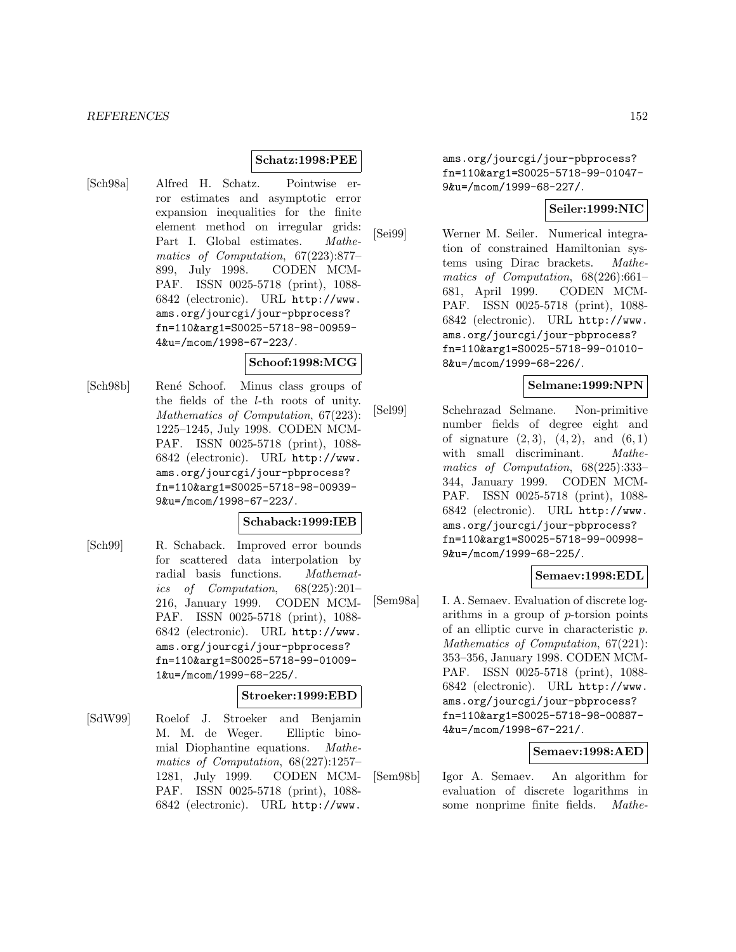## **Schatz:1998:PEE**

[Sch98a] Alfred H. Schatz. Pointwise error estimates and asymptotic error expansion inequalities for the finite element method on irregular grids: Part I. Global estimates. Mathematics of Computation, 67(223):877– 899, July 1998. CODEN MCM-PAF. ISSN 0025-5718 (print), 1088- 6842 (electronic). URL http://www. ams.org/jourcgi/jour-pbprocess? fn=110&arg1=S0025-5718-98-00959- 4&u=/mcom/1998-67-223/.

#### **Schoof:1998:MCG**

[Sch98b] Ren´e Schoof. Minus class groups of the fields of the l-th roots of unity. Mathematics of Computation, 67(223): 1225–1245, July 1998. CODEN MCM-PAF. ISSN 0025-5718 (print), 1088- 6842 (electronic). URL http://www. ams.org/jourcgi/jour-pbprocess? fn=110&arg1=S0025-5718-98-00939- 9&u=/mcom/1998-67-223/.

#### **Schaback:1999:IEB**

[Sch99] R. Schaback. Improved error bounds for scattered data interpolation by radial basis functions. Mathematics of Computation, 68(225):201– 216, January 1999. CODEN MCM-PAF. ISSN 0025-5718 (print), 1088- 6842 (electronic). URL http://www. ams.org/jourcgi/jour-pbprocess? fn=110&arg1=S0025-5718-99-01009- 1&u=/mcom/1999-68-225/.

# **Stroeker:1999:EBD**

[SdW99] Roelof J. Stroeker and Benjamin M. M. de Weger. Elliptic binomial Diophantine equations. Mathematics of Computation, 68(227):1257– 1281, July 1999. CODEN MCM-PAF. ISSN 0025-5718 (print), 1088- 6842 (electronic). URL http://www.

ams.org/jourcgi/jour-pbprocess? fn=110&arg1=S0025-5718-99-01047- 9&u=/mcom/1999-68-227/.

## **Seiler:1999:NIC**

[Sei99] Werner M. Seiler. Numerical integration of constrained Hamiltonian systems using Dirac brackets. Mathematics of Computation, 68(226):661– 681, April 1999. CODEN MCM-PAF. ISSN 0025-5718 (print), 1088- 6842 (electronic). URL http://www. ams.org/jourcgi/jour-pbprocess? fn=110&arg1=S0025-5718-99-01010- 8&u=/mcom/1999-68-226/.

## **Selmane:1999:NPN**

[Sel99] Schehrazad Selmane. Non-primitive number fields of degree eight and of signature  $(2, 3)$ ,  $(4, 2)$ , and  $(6, 1)$ with small discriminant. *Mathe*matics of Computation, 68(225):333– 344, January 1999. CODEN MCM-PAF. ISSN 0025-5718 (print), 1088- 6842 (electronic). URL http://www. ams.org/jourcgi/jour-pbprocess? fn=110&arg1=S0025-5718-99-00998- 9&u=/mcom/1999-68-225/.

# **Semaev:1998:EDL**

[Sem98a] I. A. Semaev. Evaluation of discrete logarithms in a group of p-torsion points of an elliptic curve in characteristic p. Mathematics of Computation, 67(221): 353–356, January 1998. CODEN MCM-PAF. ISSN 0025-5718 (print), 1088- 6842 (electronic). URL http://www. ams.org/jourcgi/jour-pbprocess? fn=110&arg1=S0025-5718-98-00887- 4&u=/mcom/1998-67-221/.

# **Semaev:1998:AED**

[Sem98b] Igor A. Semaev. An algorithm for evaluation of discrete logarithms in some nonprime finite fields. Mathe-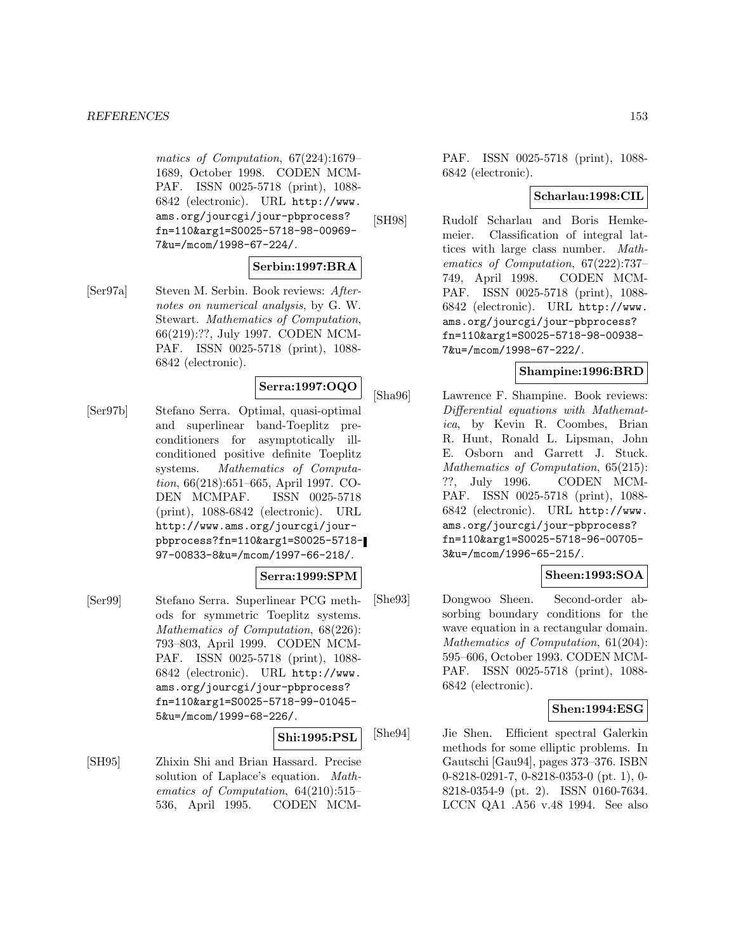matics of Computation, 67(224):1679– 1689, October 1998. CODEN MCM-PAF. ISSN 0025-5718 (print), 1088- 6842 (electronic). URL http://www. ams.org/jourcgi/jour-pbprocess? fn=110&arg1=S0025-5718-98-00969- 7&u=/mcom/1998-67-224/.

## **Serbin:1997:BRA**

[Ser97a] Steven M. Serbin. Book reviews: Afternotes on numerical analysis, by G. W. Stewart. Mathematics of Computation, 66(219):??, July 1997. CODEN MCM-PAF. ISSN 0025-5718 (print), 1088- 6842 (electronic).

# **Serra:1997:OQO**

[Ser97b] Stefano Serra. Optimal, quasi-optimal and superlinear band-Toeplitz preconditioners for asymptotically illconditioned positive definite Toeplitz systems. Mathematics of Computation, 66(218):651–665, April 1997. CO-DEN MCMPAF. ISSN 0025-5718 (print), 1088-6842 (electronic). URL http://www.ams.org/jourcgi/jourpbprocess?fn=110&arg1=S0025-5718- 97-00833-8&u=/mcom/1997-66-218/.

#### **Serra:1999:SPM**

[Ser99] Stefano Serra. Superlinear PCG methods for symmetric Toeplitz systems. Mathematics of Computation, 68(226): 793–803, April 1999. CODEN MCM-PAF. ISSN 0025-5718 (print), 1088- 6842 (electronic). URL http://www. ams.org/jourcgi/jour-pbprocess? fn=110&arg1=S0025-5718-99-01045- 5&u=/mcom/1999-68-226/.

#### **Shi:1995:PSL**

[SH95] Zhixin Shi and Brian Hassard. Precise solution of Laplace's equation. Mathematics of Computation, 64(210):515– 536, April 1995. CODEN MCM-

PAF. ISSN 0025-5718 (print), 1088- 6842 (electronic).

# **Scharlau:1998:CIL**

[SH98] Rudolf Scharlau and Boris Hemkemeier. Classification of integral lattices with large class number. Mathematics of Computation, 67(222):737– 749, April 1998. CODEN MCM-PAF. ISSN 0025-5718 (print), 1088- 6842 (electronic). URL http://www. ams.org/jourcgi/jour-pbprocess? fn=110&arg1=S0025-5718-98-00938- 7&u=/mcom/1998-67-222/.

# **Shampine:1996:BRD**

[Sha96] Lawrence F. Shampine. Book reviews: Differential equations with Mathematica, by Kevin R. Coombes, Brian R. Hunt, Ronald L. Lipsman, John E. Osborn and Garrett J. Stuck. Mathematics of Computation, 65(215): ??, July 1996. CODEN MCM-PAF. ISSN 0025-5718 (print), 1088- 6842 (electronic). URL http://www. ams.org/jourcgi/jour-pbprocess? fn=110&arg1=S0025-5718-96-00705- 3&u=/mcom/1996-65-215/.

# **Sheen:1993:SOA**

[She93] Dongwoo Sheen. Second-order absorbing boundary conditions for the wave equation in a rectangular domain. Mathematics of Computation, 61(204): 595–606, October 1993. CODEN MCM-PAF. ISSN 0025-5718 (print), 1088- 6842 (electronic).

## **Shen:1994:ESG**

[She94] Jie Shen. Efficient spectral Galerkin methods for some elliptic problems. In Gautschi [Gau94], pages 373–376. ISBN 0-8218-0291-7, 0-8218-0353-0 (pt. 1), 0- 8218-0354-9 (pt. 2). ISSN 0160-7634. LCCN QA1 .A56 v.48 1994. See also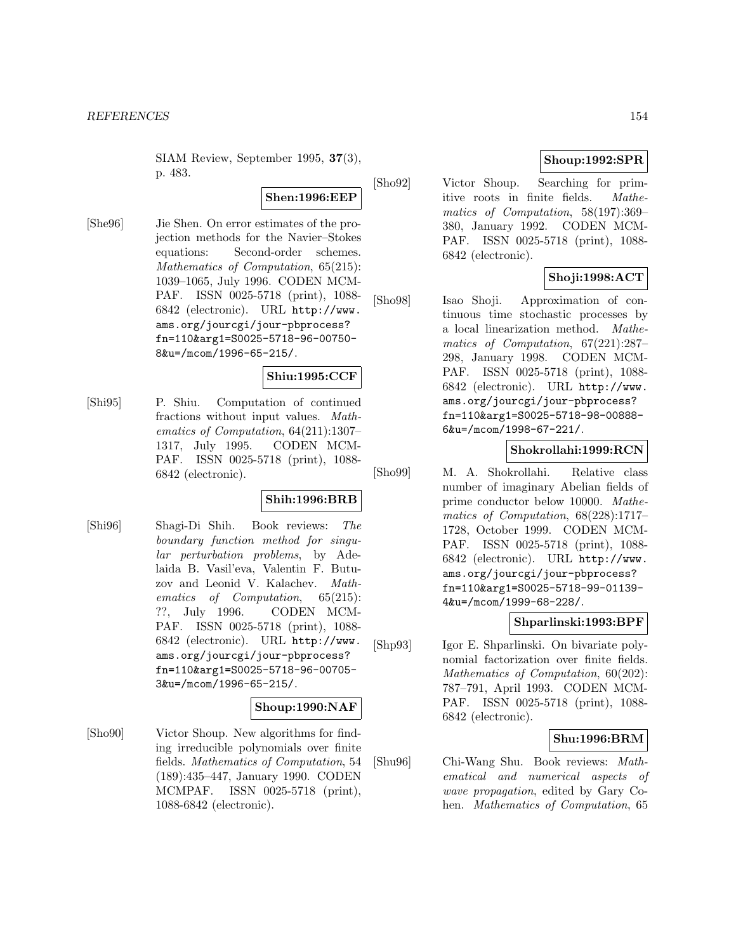SIAM Review, September 1995, **37**(3), p. 483.

#### **Shen:1996:EEP**

[She96] Jie Shen. On error estimates of the projection methods for the Navier–Stokes equations: Second-order schemes. Mathematics of Computation, 65(215): 1039–1065, July 1996. CODEN MCM-PAF. ISSN 0025-5718 (print), 1088- 6842 (electronic). URL http://www. ams.org/jourcgi/jour-pbprocess? fn=110&arg1=S0025-5718-96-00750- 8&u=/mcom/1996-65-215/.

## **Shiu:1995:CCF**

[Shi95] P. Shiu. Computation of continued fractions without input values. Mathematics of Computation, 64(211):1307– 1317, July 1995. CODEN MCM-PAF. ISSN 0025-5718 (print), 1088- 6842 (electronic).

# **Shih:1996:BRB**

[Shi96] Shagi-Di Shih. Book reviews: The boundary function method for singular perturbation problems, by Adelaida B. Vasil'eva, Valentin F. Butuzov and Leonid V. Kalachev. Mathematics of Computation, 65(215): ??, July 1996. CODEN MCM-PAF. ISSN 0025-5718 (print), 1088- 6842 (electronic). URL http://www. ams.org/jourcgi/jour-pbprocess? fn=110&arg1=S0025-5718-96-00705- 3&u=/mcom/1996-65-215/.

## **Shoup:1990:NAF**

[Sho90] Victor Shoup. New algorithms for finding irreducible polynomials over finite fields. Mathematics of Computation, 54 (189):435–447, January 1990. CODEN MCMPAF. ISSN 0025-5718 (print), 1088-6842 (electronic).

# **Shoup:1992:SPR**

[Sho92] Victor Shoup. Searching for primitive roots in finite fields. Mathematics of Computation, 58(197):369– 380, January 1992. CODEN MCM-PAF. ISSN 0025-5718 (print), 1088- 6842 (electronic).

# **Shoji:1998:ACT**

[Sho98] Isao Shoji. Approximation of continuous time stochastic processes by a local linearization method. Mathematics of Computation, 67(221):287– 298, January 1998. CODEN MCM-PAF. ISSN 0025-5718 (print), 1088- 6842 (electronic). URL http://www. ams.org/jourcgi/jour-pbprocess? fn=110&arg1=S0025-5718-98-00888- 6&u=/mcom/1998-67-221/.

#### **Shokrollahi:1999:RCN**

[Sho99] M. A. Shokrollahi. Relative class number of imaginary Abelian fields of prime conductor below 10000. Mathematics of Computation, 68(228):1717– 1728, October 1999. CODEN MCM-PAF. ISSN 0025-5718 (print), 1088- 6842 (electronic). URL http://www. ams.org/jourcgi/jour-pbprocess? fn=110&arg1=S0025-5718-99-01139- 4&u=/mcom/1999-68-228/.

## **Shparlinski:1993:BPF**

[Shp93] Igor E. Shparlinski. On bivariate polynomial factorization over finite fields. Mathematics of Computation, 60(202): 787–791, April 1993. CODEN MCM-PAF. ISSN 0025-5718 (print), 1088- 6842 (electronic).

## **Shu:1996:BRM**

[Shu96] Chi-Wang Shu. Book reviews: Mathematical and numerical aspects of wave propagation, edited by Gary Cohen. Mathematics of Computation, 65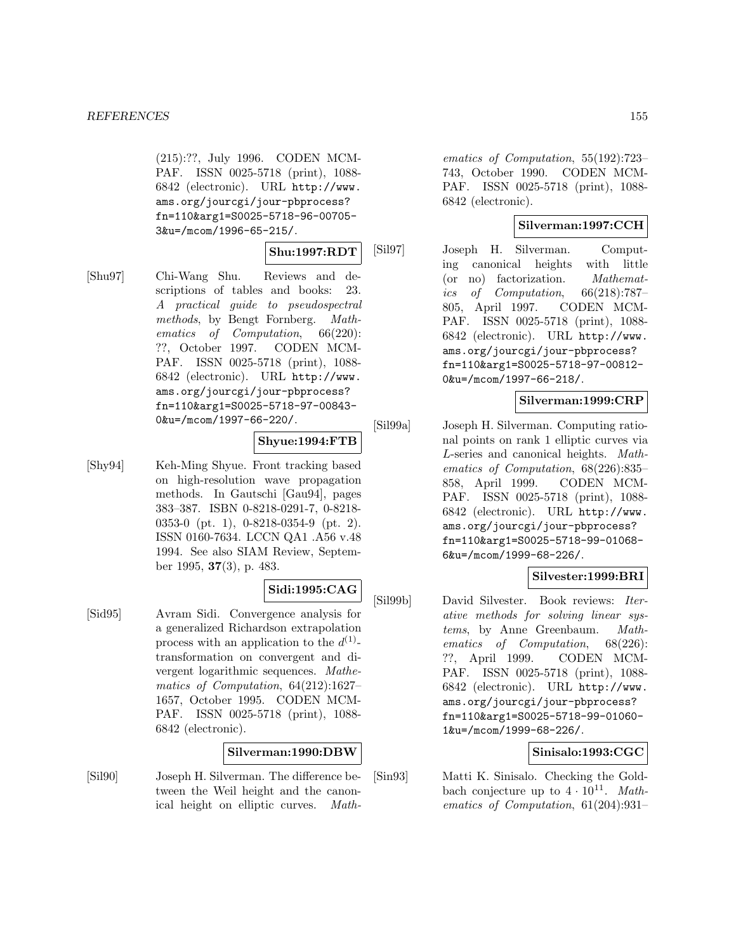(215):??, July 1996. CODEN MCM-PAF. ISSN 0025-5718 (print), 1088- 6842 (electronic). URL http://www. ams.org/jourcgi/jour-pbprocess? fn=110&arg1=S0025-5718-96-00705- 3&u=/mcom/1996-65-215/.

## **Shu:1997:RDT**

[Shu97] Chi-Wang Shu. Reviews and descriptions of tables and books: 23. A practical guide to pseudospectral methods, by Bengt Fornberg. Mathematics of Computation, 66(220): ??, October 1997. CODEN MCM-PAF. ISSN 0025-5718 (print), 1088- 6842 (electronic). URL http://www. ams.org/jourcgi/jour-pbprocess? fn=110&arg1=S0025-5718-97-00843- 0&u=/mcom/1997-66-220/.

## **Shyue:1994:FTB**

[Shy94] Keh-Ming Shyue. Front tracking based on high-resolution wave propagation methods. In Gautschi [Gau94], pages 383–387. ISBN 0-8218-0291-7, 0-8218- 0353-0 (pt. 1), 0-8218-0354-9 (pt. 2). ISSN 0160-7634. LCCN QA1 .A56 v.48 1994. See also SIAM Review, September 1995, **37**(3), p. 483.

## **Sidi:1995:CAG**

[Sid95] Avram Sidi. Convergence analysis for a generalized Richardson extrapolation process with an application to the  $d^{(1)}$ transformation on convergent and divergent logarithmic sequences. Mathematics of Computation, 64(212):1627– 1657, October 1995. CODEN MCM-PAF. ISSN 0025-5718 (print), 1088- 6842 (electronic).

## **Silverman:1990:DBW**

[Sil90] Joseph H. Silverman. The difference between the Weil height and the canonical height on elliptic curves. Math-

ematics of Computation, 55(192):723– 743, October 1990. CODEN MCM-PAF. ISSN 0025-5718 (print), 1088- 6842 (electronic).

# **Silverman:1997:CCH**

[Sil97] Joseph H. Silverman. Computing canonical heights with little (or no) factorization. Mathematics of Computation, 66(218):787– 805, April 1997. CODEN MCM-PAF. ISSN 0025-5718 (print), 1088- 6842 (electronic). URL http://www. ams.org/jourcgi/jour-pbprocess? fn=110&arg1=S0025-5718-97-00812- 0&u=/mcom/1997-66-218/.

## **Silverman:1999:CRP**

[Sil99a] Joseph H. Silverman. Computing rational points on rank 1 elliptic curves via L-series and canonical heights. Mathematics of Computation, 68(226):835– 858, April 1999. CODEN MCM-PAF. ISSN 0025-5718 (print), 1088- 6842 (electronic). URL http://www. ams.org/jourcgi/jour-pbprocess? fn=110&arg1=S0025-5718-99-01068- 6&u=/mcom/1999-68-226/.

# **Silvester:1999:BRI**

[Sil99b] David Silvester. Book reviews: Iterative methods for solving linear systems, by Anne Greenbaum. Mathematics of Computation, 68(226): ??, April 1999. CODEN MCM-PAF. ISSN 0025-5718 (print), 1088- 6842 (electronic). URL http://www. ams.org/jourcgi/jour-pbprocess? fn=110&arg1=S0025-5718-99-01060- 1&u=/mcom/1999-68-226/.

# **Sinisalo:1993:CGC**

[Sin93] Matti K. Sinisalo. Checking the Goldbach conjecture up to  $4 \cdot 10^{11}$ . Mathematics of Computation, 61(204):931–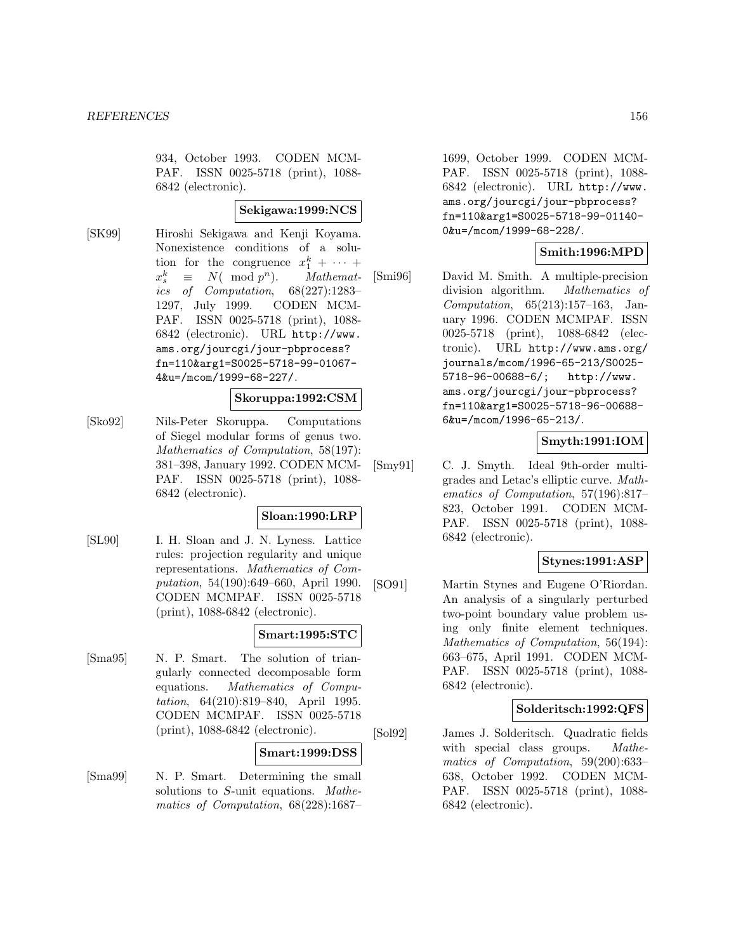934, October 1993. CODEN MCM-PAF. ISSN 0025-5718 (print), 1088- 6842 (electronic).

#### **Sekigawa:1999:NCS**

[SK99] Hiroshi Sekigawa and Kenji Koyama. Nonexistence conditions of a solution for the congruence  $x_1^k + \cdots +$  $x_c^k$  $\equiv N(\mod p^n)$ . Mathemat-<br>of Computation, 68(227):1283ics of Computation, 1297, July 1999. CODEN MCM-PAF. ISSN 0025-5718 (print), 1088- 6842 (electronic). URL http://www. ams.org/jourcgi/jour-pbprocess? fn=110&arg1=S0025-5718-99-01067- 4&u=/mcom/1999-68-227/.

# **Skoruppa:1992:CSM**

[Sko92] Nils-Peter Skoruppa. Computations of Siegel modular forms of genus two. Mathematics of Computation, 58(197): 381–398, January 1992. CODEN MCM-PAF. ISSN 0025-5718 (print), 1088- 6842 (electronic).

#### **Sloan:1990:LRP**

[SL90] I. H. Sloan and J. N. Lyness. Lattice rules: projection regularity and unique representations. Mathematics of Computation, 54(190):649–660, April 1990. CODEN MCMPAF. ISSN 0025-5718 (print), 1088-6842 (electronic).

## **Smart:1995:STC**

[Sma95] N. P. Smart. The solution of triangularly connected decomposable form equations. Mathematics of Computation, 64(210):819–840, April 1995. CODEN MCMPAF. ISSN 0025-5718 (print), 1088-6842 (electronic).

## **Smart:1999:DSS**

[Sma99] N. P. Smart. Determining the small solutions to S-unit equations. Mathematics of Computation, 68(228):1687–

1699, October 1999. CODEN MCM-PAF. ISSN 0025-5718 (print), 1088- 6842 (electronic). URL http://www. ams.org/jourcgi/jour-pbprocess? fn=110&arg1=S0025-5718-99-01140- 0&u=/mcom/1999-68-228/.

# **Smith:1996:MPD**

[Smi96] David M. Smith. A multiple-precision division algorithm. Mathematics of Computation, 65(213):157–163, January 1996. CODEN MCMPAF. ISSN 0025-5718 (print), 1088-6842 (electronic). URL http://www.ams.org/ journals/mcom/1996-65-213/S0025- 5718-96-00688-6/; http://www. ams.org/jourcgi/jour-pbprocess? fn=110&arg1=S0025-5718-96-00688- 6&u=/mcom/1996-65-213/.

## **Smyth:1991:IOM**

[Smy91] C. J. Smyth. Ideal 9th-order multigrades and Letac's elliptic curve. Mathematics of Computation, 57(196):817– 823, October 1991. CODEN MCM-PAF. ISSN 0025-5718 (print), 1088- 6842 (electronic).

# **Stynes:1991:ASP**

[SO91] Martin Stynes and Eugene O'Riordan. An analysis of a singularly perturbed two-point boundary value problem using only finite element techniques. Mathematics of Computation, 56(194): 663–675, April 1991. CODEN MCM-PAF. ISSN 0025-5718 (print), 1088- 6842 (electronic).

## **Solderitsch:1992:QFS**

[Sol92] James J. Solderitsch. Quadratic fields with special class groups. Mathematics of Computation, 59(200):633– 638, October 1992. CODEN MCM-PAF. ISSN 0025-5718 (print), 1088- 6842 (electronic).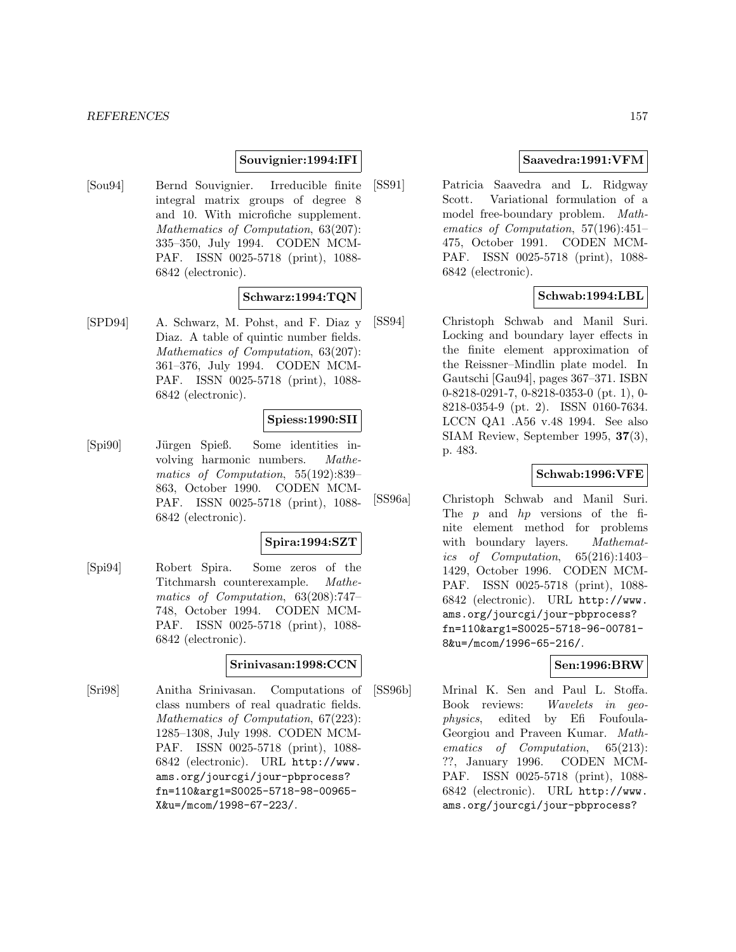## **Souvignier:1994:IFI**

[Sou94] Bernd Souvignier. Irreducible finite integral matrix groups of degree 8 and 10. With microfiche supplement. Mathematics of Computation, 63(207): 335–350, July 1994. CODEN MCM-PAF. ISSN 0025-5718 (print), 1088- 6842 (electronic).

# **Schwarz:1994:TQN**

[SPD94] A. Schwarz, M. Pohst, and F. Diaz y Diaz. A table of quintic number fields. Mathematics of Computation, 63(207): 361–376, July 1994. CODEN MCM-PAF. ISSN 0025-5718 (print), 1088- 6842 (electronic).

## **Spiess:1990:SII**

[Spi90] J¨urgen Spieß. Some identities involving harmonic numbers. Mathematics of Computation, 55(192):839– 863, October 1990. CODEN MCM-PAF. ISSN 0025-5718 (print), 1088- 6842 (electronic).

## **Spira:1994:SZT**

[Spi94] Robert Spira. Some zeros of the Titchmarsh counterexample. Mathematics of Computation, 63(208):747– 748, October 1994. CODEN MCM-PAF. ISSN 0025-5718 (print), 1088- 6842 (electronic).

## **Srinivasan:1998:CCN**

[Sri98] Anitha Srinivasan. Computations of class numbers of real quadratic fields. Mathematics of Computation, 67(223): 1285–1308, July 1998. CODEN MCM-PAF. ISSN 0025-5718 (print), 1088- 6842 (electronic). URL http://www. ams.org/jourcgi/jour-pbprocess? fn=110&arg1=S0025-5718-98-00965- X&u=/mcom/1998-67-223/.

# **Saavedra:1991:VFM**

[SS91] Patricia Saavedra and L. Ridgway Scott. Variational formulation of a model free-boundary problem. Mathematics of Computation, 57(196):451– 475, October 1991. CODEN MCM-PAF. ISSN 0025-5718 (print), 1088- 6842 (electronic).

# **Schwab:1994:LBL**

[SS94] Christoph Schwab and Manil Suri. Locking and boundary layer effects in the finite element approximation of the Reissner–Mindlin plate model. In Gautschi [Gau94], pages 367–371. ISBN 0-8218-0291-7, 0-8218-0353-0 (pt. 1), 0- 8218-0354-9 (pt. 2). ISSN 0160-7634. LCCN QA1 .A56 v.48 1994. See also SIAM Review, September 1995, **37**(3), p. 483.

## **Schwab:1996:VFE**

[SS96a] Christoph Schwab and Manil Suri. The  $p$  and  $hp$  versions of the finite element method for problems with boundary layers. Mathematics of Computation, 65(216):1403– 1429, October 1996. CODEN MCM-PAF. ISSN 0025-5718 (print), 1088- 6842 (electronic). URL http://www. ams.org/jourcgi/jour-pbprocess? fn=110&arg1=S0025-5718-96-00781- 8&u=/mcom/1996-65-216/.

## **Sen:1996:BRW**

[SS96b] Mrinal K. Sen and Paul L. Stoffa. Book reviews: Wavelets in geophysics, edited by Efi Foufoula-Georgiou and Praveen Kumar. Mathematics of Computation, 65(213): ??, January 1996. CODEN MCM-PAF. ISSN 0025-5718 (print), 1088- 6842 (electronic). URL http://www. ams.org/jourcgi/jour-pbprocess?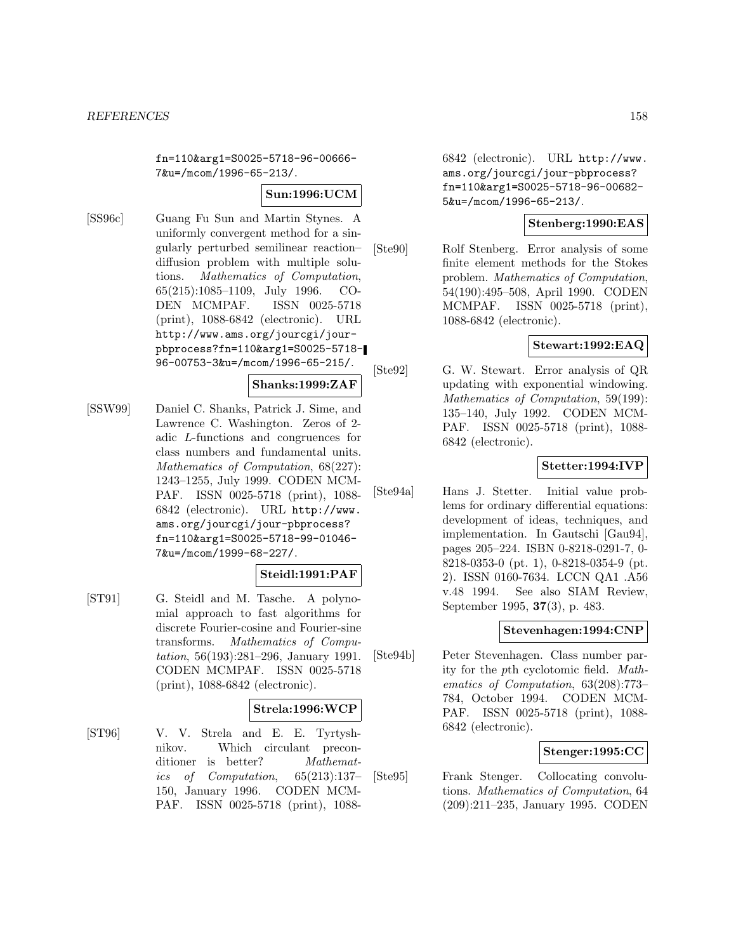fn=110&arg1=S0025-5718-96-00666- 7&u=/mcom/1996-65-213/.

#### **Sun:1996:UCM**

[SS96c] Guang Fu Sun and Martin Stynes. A uniformly convergent method for a singularly perturbed semilinear reaction– diffusion problem with multiple solutions. Mathematics of Computation, 65(215):1085–1109, July 1996. CO-DEN MCMPAF. ISSN 0025-5718 (print), 1088-6842 (electronic). URL http://www.ams.org/jourcgi/jourpbprocess?fn=110&arg1=S0025-5718- 96-00753-3&u=/mcom/1996-65-215/.

#### **Shanks:1999:ZAF**

[SSW99] Daniel C. Shanks, Patrick J. Sime, and Lawrence C. Washington. Zeros of 2 adic L-functions and congruences for class numbers and fundamental units. Mathematics of Computation, 68(227): 1243–1255, July 1999. CODEN MCM-PAF. ISSN 0025-5718 (print), 1088- 6842 (electronic). URL http://www. ams.org/jourcgi/jour-pbprocess? fn=110&arg1=S0025-5718-99-01046- 7&u=/mcom/1999-68-227/.

# **Steidl:1991:PAF**

[ST91] G. Steidl and M. Tasche. A polynomial approach to fast algorithms for discrete Fourier-cosine and Fourier-sine transforms. Mathematics of Computation, 56(193):281–296, January 1991. CODEN MCMPAF. ISSN 0025-5718 (print), 1088-6842 (electronic).

## **Strela:1996:WCP**

[ST96] V. V. Strela and E. E. Tyrtyshnikov. Which circulant preconditioner is better? *Mathemat*ics of Computation, 65(213):137– 150, January 1996. CODEN MCM-PAF. ISSN 0025-5718 (print), 10886842 (electronic). URL http://www. ams.org/jourcgi/jour-pbprocess? fn=110&arg1=S0025-5718-96-00682- 5&u=/mcom/1996-65-213/.

## **Stenberg:1990:EAS**

[Ste90] Rolf Stenberg. Error analysis of some finite element methods for the Stokes problem. Mathematics of Computation, 54(190):495–508, April 1990. CODEN MCMPAF. ISSN 0025-5718 (print), 1088-6842 (electronic).

# **Stewart:1992:EAQ**

[Ste92] G. W. Stewart. Error analysis of QR updating with exponential windowing. Mathematics of Computation, 59(199): 135–140, July 1992. CODEN MCM-PAF. ISSN 0025-5718 (print), 1088- 6842 (electronic).

## **Stetter:1994:IVP**

[Ste94a] Hans J. Stetter. Initial value problems for ordinary differential equations: development of ideas, techniques, and implementation. In Gautschi [Gau94], pages 205–224. ISBN 0-8218-0291-7, 0- 8218-0353-0 (pt. 1), 0-8218-0354-9 (pt. 2). ISSN 0160-7634. LCCN QA1 .A56 v.48 1994. See also SIAM Review, September 1995, **37**(3), p. 483.

## **Stevenhagen:1994:CNP**

[Ste94b] Peter Stevenhagen. Class number parity for the pth cyclotomic field. Mathematics of Computation, 63(208):773– 784, October 1994. CODEN MCM-PAF. ISSN 0025-5718 (print), 1088- 6842 (electronic).

# **Stenger:1995:CC**

[Ste95] Frank Stenger. Collocating convolutions. Mathematics of Computation, 64 (209):211–235, January 1995. CODEN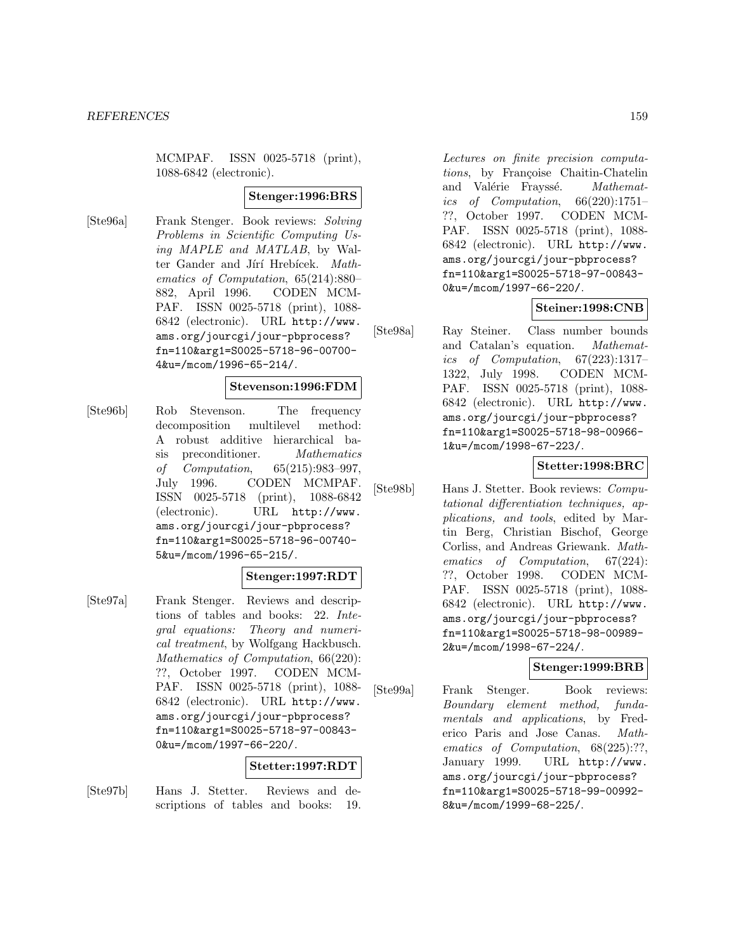MCMPAF. ISSN 0025-5718 (print), 1088-6842 (electronic).

#### **Stenger:1996:BRS**

[Ste96a] Frank Stenger. Book reviews: Solving Problems in Scientific Computing Using MAPLE and MATLAB, by Walter Gander and Jírí Hrebícek. Mathematics of Computation, 65(214):880– 882, April 1996. CODEN MCM-PAF. ISSN 0025-5718 (print), 1088- 6842 (electronic). URL http://www. ams.org/jourcgi/jour-pbprocess? fn=110&arg1=S0025-5718-96-00700- 4&u=/mcom/1996-65-214/.

#### **Stevenson:1996:FDM**

[Ste96b] Rob Stevenson. The frequency decomposition multilevel method: A robust additive hierarchical basis preconditioner. Mathematics of Computation, 65(215):983–997, July 1996. CODEN MCMPAF. ISSN 0025-5718 (print), 1088-6842 (electronic). URL http://www. ams.org/jourcgi/jour-pbprocess? fn=110&arg1=S0025-5718-96-00740- 5&u=/mcom/1996-65-215/.

#### **Stenger:1997:RDT**

[Ste97a] Frank Stenger. Reviews and descriptions of tables and books: 22. Integral equations: Theory and numerical treatment, by Wolfgang Hackbusch. Mathematics of Computation, 66(220): ??, October 1997. CODEN MCM-PAF. ISSN 0025-5718 (print), 1088- 6842 (electronic). URL http://www. ams.org/jourcgi/jour-pbprocess? fn=110&arg1=S0025-5718-97-00843- 0&u=/mcom/1997-66-220/.

#### **Stetter:1997:RDT**

[Ste97b] Hans J. Stetter. Reviews and descriptions of tables and books: 19.

Lectures on finite precision computations, by Françoise Chaitin-Chatelin and Valérie Frayssé. Mathematics of Computation, 66(220):1751– ??, October 1997. CODEN MCM-PAF. ISSN 0025-5718 (print), 1088- 6842 (electronic). URL http://www. ams.org/jourcgi/jour-pbprocess? fn=110&arg1=S0025-5718-97-00843- 0&u=/mcom/1997-66-220/.

## **Steiner:1998:CNB**

[Ste98a] Ray Steiner. Class number bounds and Catalan's equation. Mathematics of Computation, 67(223):1317– 1322, July 1998. CODEN MCM-PAF. ISSN 0025-5718 (print), 1088- 6842 (electronic). URL http://www. ams.org/jourcgi/jour-pbprocess? fn=110&arg1=S0025-5718-98-00966- 1&u=/mcom/1998-67-223/.

#### **Stetter:1998:BRC**

[Ste98b] Hans J. Stetter. Book reviews: Computational differentiation techniques, applications, and tools, edited by Martin Berg, Christian Bischof, George Corliss, and Andreas Griewank. Mathematics of Computation, 67(224): ??, October 1998. CODEN MCM-PAF. ISSN 0025-5718 (print), 1088- 6842 (electronic). URL http://www. ams.org/jourcgi/jour-pbprocess? fn=110&arg1=S0025-5718-98-00989- 2&u=/mcom/1998-67-224/.

# **Stenger:1999:BRB**

[Ste99a] Frank Stenger. Book reviews: Boundary element method, fundamentals and applications, by Frederico Paris and Jose Canas. Mathematics of Computation, 68(225):??, January 1999. URL http://www. ams.org/jourcgi/jour-pbprocess? fn=110&arg1=S0025-5718-99-00992- 8&u=/mcom/1999-68-225/.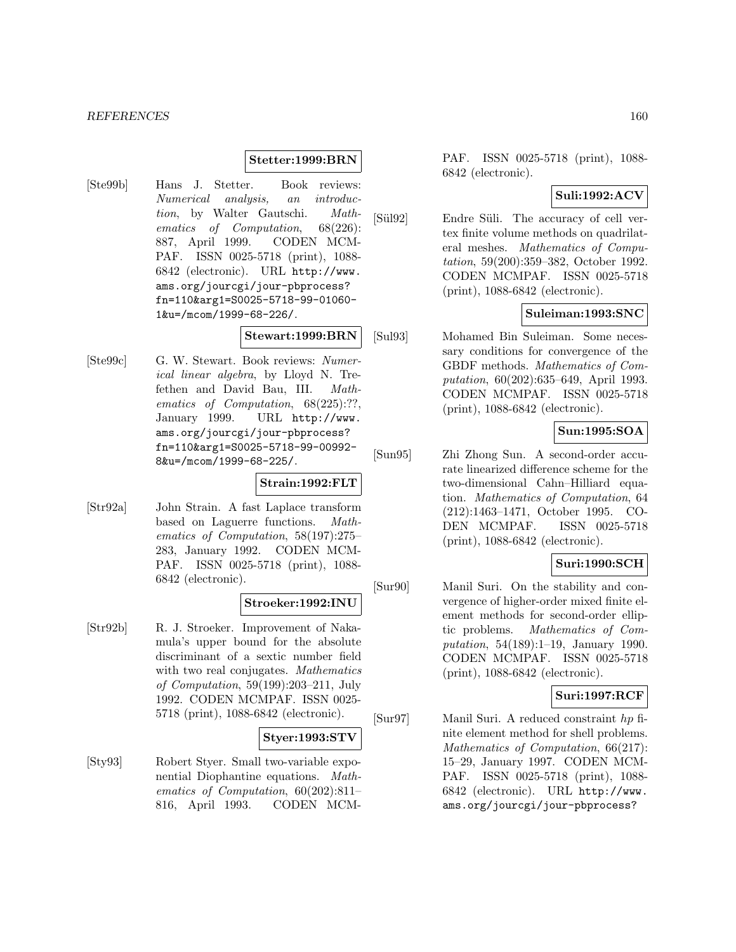## **Stetter:1999:BRN**

[Ste99b] Hans J. Stetter. Book reviews: Numerical analysis, an introduction, by Walter Gautschi. Mathematics of Computation, 68(226): 887, April 1999. CODEN MCM-PAF. ISSN 0025-5718 (print), 1088- 6842 (electronic). URL http://www. ams.org/jourcgi/jour-pbprocess? fn=110&arg1=S0025-5718-99-01060- 1&u=/mcom/1999-68-226/.

## **Stewart:1999:BRN**

[Ste99c] G. W. Stewart. Book reviews: Numerical linear algebra, by Lloyd N. Trefethen and David Bau, III. Mathematics of Computation, 68(225):??, January 1999. URL http://www. ams.org/jourcgi/jour-pbprocess? fn=110&arg1=S0025-5718-99-00992- 8&u=/mcom/1999-68-225/.

## **Strain:1992:FLT**

[Str92a] John Strain. A fast Laplace transform based on Laguerre functions. Mathematics of Computation, 58(197):275– 283, January 1992. CODEN MCM-PAF. ISSN 0025-5718 (print), 1088- 6842 (electronic).

## **Stroeker:1992:INU**

[Str92b] R. J. Stroeker. Improvement of Nakamula's upper bound for the absolute discriminant of a sextic number field with two real conjugates. Mathematics of Computation, 59(199):203–211, July 1992. CODEN MCMPAF. ISSN 0025- 5718 (print), 1088-6842 (electronic).

## **Styer:1993:STV**

[Sty93] Robert Styer. Small two-variable exponential Diophantine equations. Mathematics of Computation, 60(202):811– 816, April 1993. CODEN MCM- PAF. ISSN 0025-5718 (print), 1088- 6842 (electronic).

## **Suli:1992:ACV**

[Sül92] Endre Süli. The accuracy of cell vertex finite volume methods on quadrilateral meshes. Mathematics of Computation, 59(200):359–382, October 1992. CODEN MCMPAF. ISSN 0025-5718 (print), 1088-6842 (electronic).

## **Suleiman:1993:SNC**

[Sul93] Mohamed Bin Suleiman. Some necessary conditions for convergence of the GBDF methods. Mathematics of Computation, 60(202):635–649, April 1993. CODEN MCMPAF. ISSN 0025-5718 (print), 1088-6842 (electronic).

## **Sun:1995:SOA**

[Sun95] Zhi Zhong Sun. A second-order accurate linearized difference scheme for the two-dimensional Cahn–Hilliard equation. Mathematics of Computation, 64 (212):1463–1471, October 1995. CO-DEN MCMPAF. ISSN 0025-5718 (print), 1088-6842 (electronic).

## **Suri:1990:SCH**

[Sur90] Manil Suri. On the stability and convergence of higher-order mixed finite element methods for second-order elliptic problems. Mathematics of Computation, 54(189):1–19, January 1990. CODEN MCMPAF. ISSN 0025-5718 (print), 1088-6842 (electronic).

# **Suri:1997:RCF**

[Sur97] Manil Suri. A reduced constraint hp finite element method for shell problems. Mathematics of Computation, 66(217): 15–29, January 1997. CODEN MCM-PAF. ISSN 0025-5718 (print), 1088- 6842 (electronic). URL http://www. ams.org/jourcgi/jour-pbprocess?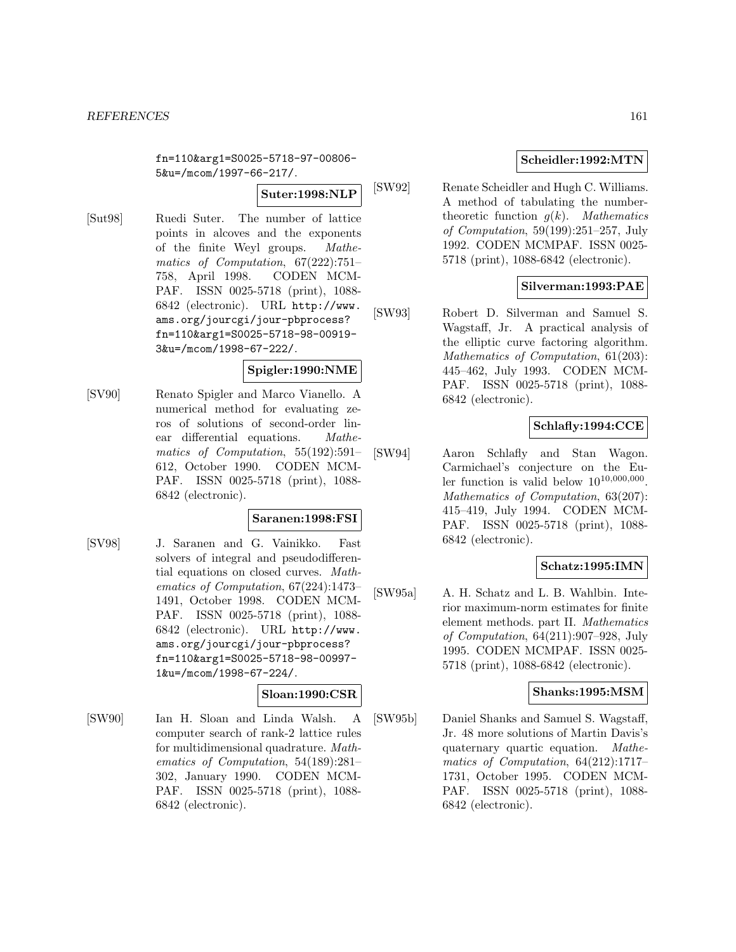fn=110&arg1=S0025-5718-97-00806- 5&u=/mcom/1997-66-217/.

**Suter:1998:NLP**

[Sut98] Ruedi Suter. The number of lattice points in alcoves and the exponents of the finite Weyl groups. Mathematics of Computation, 67(222):751– 758, April 1998. CODEN MCM-PAF. ISSN 0025-5718 (print), 1088- 6842 (electronic). URL http://www. ams.org/jourcgi/jour-pbprocess? fn=110&arg1=S0025-5718-98-00919- 3&u=/mcom/1998-67-222/.

## **Spigler:1990:NME**

[SV90] Renato Spigler and Marco Vianello. A numerical method for evaluating zeros of solutions of second-order linear differential equations. Mathematics of Computation, 55(192):591– 612, October 1990. CODEN MCM-PAF. ISSN 0025-5718 (print), 1088- 6842 (electronic).

## **Saranen:1998:FSI**

[SV98] J. Saranen and G. Vainikko. Fast solvers of integral and pseudodifferential equations on closed curves. Mathematics of Computation, 67(224):1473– 1491, October 1998. CODEN MCM-PAF. ISSN 0025-5718 (print), 1088- 6842 (electronic). URL http://www. ams.org/jourcgi/jour-pbprocess? fn=110&arg1=S0025-5718-98-00997- 1&u=/mcom/1998-67-224/.

# **Sloan:1990:CSR**

[SW90] Ian H. Sloan and Linda Walsh. A computer search of rank-2 lattice rules for multidimensional quadrature. Mathematics of Computation, 54(189):281– 302, January 1990. CODEN MCM-PAF. ISSN 0025-5718 (print), 1088- 6842 (electronic).

## **Scheidler:1992:MTN**

[SW92] Renate Scheidler and Hugh C. Williams. A method of tabulating the numbertheoretic function  $q(k)$ . Mathematics of Computation, 59(199):251–257, July 1992. CODEN MCMPAF. ISSN 0025- 5718 (print), 1088-6842 (electronic).

## **Silverman:1993:PAE**

[SW93] Robert D. Silverman and Samuel S. Wagstaff, Jr. A practical analysis of the elliptic curve factoring algorithm. Mathematics of Computation, 61(203): 445–462, July 1993. CODEN MCM-PAF. ISSN 0025-5718 (print), 1088- 6842 (electronic).

# **Schlafly:1994:CCE**

[SW94] Aaron Schlafly and Stan Wagon. Carmichael's conjecture on the Euler function is valid below  $10^{10,000,000}$ . Mathematics of Computation, 63(207): 415–419, July 1994. CODEN MCM-PAF. ISSN 0025-5718 (print), 1088- 6842 (electronic).

## **Schatz:1995:IMN**

[SW95a] A. H. Schatz and L. B. Wahlbin. Interior maximum-norm estimates for finite element methods. part II. Mathematics of Computation, 64(211):907–928, July 1995. CODEN MCMPAF. ISSN 0025- 5718 (print), 1088-6842 (electronic).

## **Shanks:1995:MSM**

[SW95b] Daniel Shanks and Samuel S. Wagstaff, Jr. 48 more solutions of Martin Davis's quaternary quartic equation. Mathematics of Computation, 64(212):1717– 1731, October 1995. CODEN MCM-PAF. ISSN 0025-5718 (print), 1088- 6842 (electronic).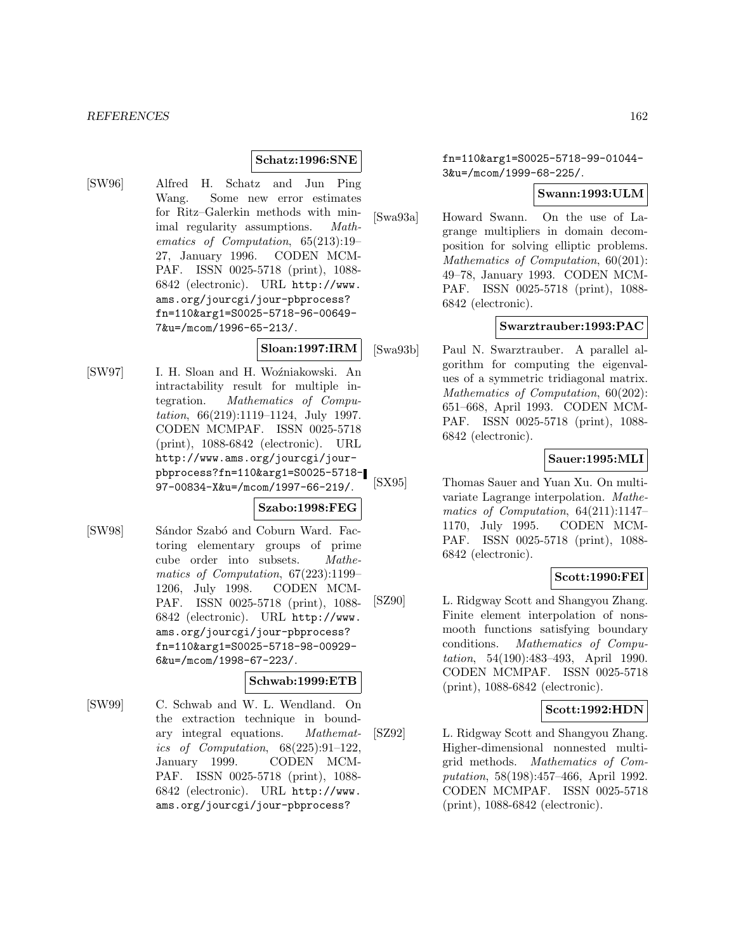## **Schatz:1996:SNE**

[SW96] Alfred H. Schatz and Jun Ping Wang. Some new error estimates for Ritz–Galerkin methods with minimal regularity assumptions. Mathematics of Computation, 65(213):19– 27, January 1996. CODEN MCM-PAF. ISSN 0025-5718 (print), 1088- 6842 (electronic). URL http://www. ams.org/jourcgi/jour-pbprocess? fn=110&arg1=S0025-5718-96-00649- 7&u=/mcom/1996-65-213/.

# **Sloan:1997:IRM**

[SW97] I. H. Sloan and H. Woźniakowski. An intractability result for multiple integration. Mathematics of Computation, 66(219):1119–1124, July 1997. CODEN MCMPAF. ISSN 0025-5718 (print), 1088-6842 (electronic). URL http://www.ams.org/jourcgi/jourpbprocess?fn=110&arg1=S0025-5718- 97-00834-X&u=/mcom/1997-66-219/.

# **Szabo:1998:FEG**

[SW98] Sándor Szabó and Coburn Ward. Factoring elementary groups of prime cube order into subsets. Mathematics of Computation, 67(223):1199– 1206, July 1998. CODEN MCM-PAF. ISSN 0025-5718 (print), 1088- 6842 (electronic). URL http://www. ams.org/jourcgi/jour-pbprocess? fn=110&arg1=S0025-5718-98-00929- 6&u=/mcom/1998-67-223/.

#### **Schwab:1999:ETB**

[SW99] C. Schwab and W. L. Wendland. On the extraction technique in boundary integral equations. Mathematics of Computation, 68(225):91–122, January 1999. CODEN MCM-PAF. ISSN 0025-5718 (print), 1088- 6842 (electronic). URL http://www. ams.org/jourcgi/jour-pbprocess?

fn=110&arg1=S0025-5718-99-01044- 3&u=/mcom/1999-68-225/.

## **Swann:1993:ULM**

[Swa93a] Howard Swann. On the use of Lagrange multipliers in domain decomposition for solving elliptic problems. Mathematics of Computation, 60(201): 49–78, January 1993. CODEN MCM-PAF. ISSN 0025-5718 (print), 1088- 6842 (electronic).

## **Swarztrauber:1993:PAC**

[Swa93b] Paul N. Swarztrauber. A parallel algorithm for computing the eigenvalues of a symmetric tridiagonal matrix. Mathematics of Computation,  $60(202)$ : 651–668, April 1993. CODEN MCM-PAF. ISSN 0025-5718 (print), 1088- 6842 (electronic).

# **Sauer:1995:MLI**

[SX95] Thomas Sauer and Yuan Xu. On multivariate Lagrange interpolation. Mathematics of Computation, 64(211):1147– 1170, July 1995. CODEN MCM-PAF. ISSN 0025-5718 (print), 1088- 6842 (electronic).

## **Scott:1990:FEI**

[SZ90] L. Ridgway Scott and Shangyou Zhang. Finite element interpolation of nonsmooth functions satisfying boundary conditions. Mathematics of Computation, 54(190):483–493, April 1990. CODEN MCMPAF. ISSN 0025-5718 (print), 1088-6842 (electronic).

## **Scott:1992:HDN**

[SZ92] L. Ridgway Scott and Shangyou Zhang. Higher-dimensional nonnested multigrid methods. Mathematics of Computation, 58(198):457–466, April 1992. CODEN MCMPAF. ISSN 0025-5718 (print), 1088-6842 (electronic).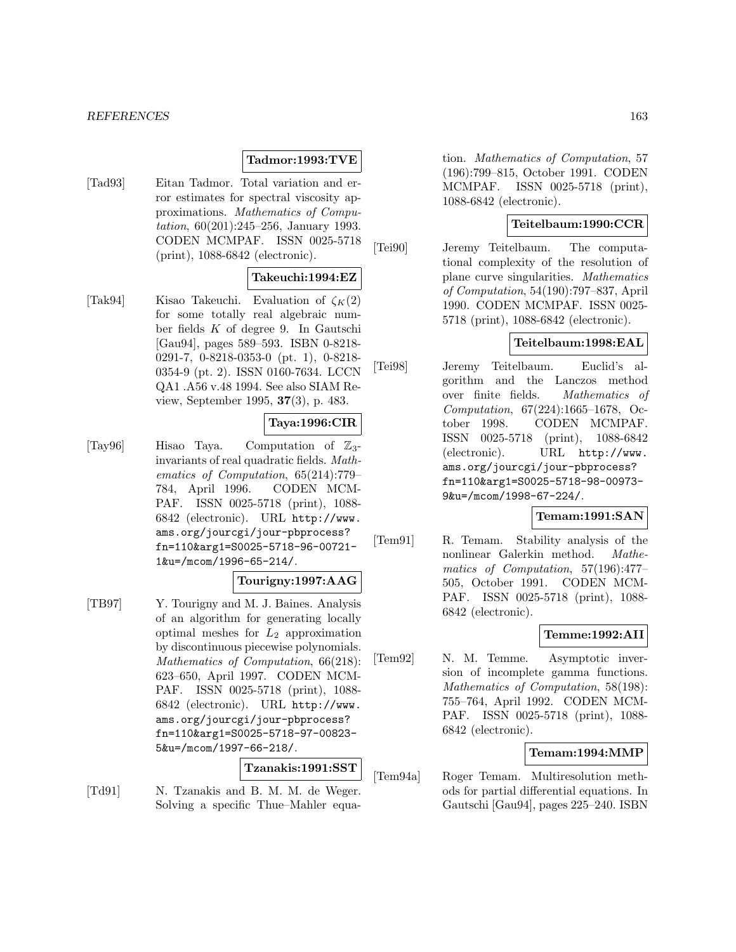#### *REFERENCES* 163

## **Tadmor:1993:TVE**

[Tad93] Eitan Tadmor. Total variation and error estimates for spectral viscosity approximations. Mathematics of Computation, 60(201):245–256, January 1993. CODEN MCMPAF. ISSN 0025-5718 (print), 1088-6842 (electronic).

## **Takeuchi:1994:EZ**

[Tak94] Kisao Takeuchi. Evaluation of  $\zeta_K(2)$ for some totally real algebraic number fields K of degree 9. In Gautschi [Gau94], pages 589–593. ISBN 0-8218- 0291-7, 0-8218-0353-0 (pt. 1), 0-8218- 0354-9 (pt. 2). ISSN 0160-7634. LCCN QA1 .A56 v.48 1994. See also SIAM Review, September 1995, **37**(3), p. 483.

## **Taya:1996:CIR**

[Tay96] Hisao Taya. Computation of  $\mathbb{Z}_3$ -<br>invariants of real quadratic fields. Mathematics of Computation, 65(214):779– 784, April 1996. CODEN MCM-PAF. ISSN 0025-5718 (print), 1088- 6842 (electronic). URL http://www. ams.org/jourcgi/jour-pbprocess? fn=110&arg1=S0025-5718-96-00721- 1&u=/mcom/1996-65-214/.

#### **Tourigny:1997:AAG**

[TB97] Y. Tourigny and M. J. Baines. Analysis of an algorithm for generating locally optimal meshes for  $L_2$  approximation by discontinuous piecewise polynomials. Mathematics of Computation, 66(218): 623–650, April 1997. CODEN MCM-PAF. ISSN 0025-5718 (print), 1088- 6842 (electronic). URL http://www. ams.org/jourcgi/jour-pbprocess? fn=110&arg1=S0025-5718-97-00823- 5&u=/mcom/1997-66-218/.

## **Tzanakis:1991:SST**

[Td91] N. Tzanakis and B. M. M. de Weger. Solving a specific Thue–Mahler equation. Mathematics of Computation, 57 (196):799–815, October 1991. CODEN MCMPAF. ISSN 0025-5718 (print), 1088-6842 (electronic).

## **Teitelbaum:1990:CCR**

[Tei90] Jeremy Teitelbaum. The computational complexity of the resolution of plane curve singularities. Mathematics of Computation, 54(190):797–837, April 1990. CODEN MCMPAF. ISSN 0025- 5718 (print), 1088-6842 (electronic).

## **Teitelbaum:1998:EAL**

[Tei98] Jeremy Teitelbaum. Euclid's algorithm and the Lanczos method over finite fields. Mathematics of Computation, 67(224):1665–1678, October 1998. CODEN MCMPAF. ISSN 0025-5718 (print), 1088-6842 (electronic). URL http://www. ams.org/jourcgi/jour-pbprocess? fn=110&arg1=S0025-5718-98-00973- 9&u=/mcom/1998-67-224/.

# **Temam:1991:SAN**

[Tem91] R. Temam. Stability analysis of the nonlinear Galerkin method. Mathematics of Computation, 57(196):477– 505, October 1991. CODEN MCM-PAF. ISSN 0025-5718 (print), 1088- 6842 (electronic).

## **Temme:1992:AII**

[Tem92] N. M. Temme. Asymptotic inversion of incomplete gamma functions. Mathematics of Computation, 58(198): 755–764, April 1992. CODEN MCM-PAF. ISSN 0025-5718 (print), 1088- 6842 (electronic).

## **Temam:1994:MMP**

[Tem94a] Roger Temam. Multiresolution methods for partial differential equations. In Gautschi [Gau94], pages 225–240. ISBN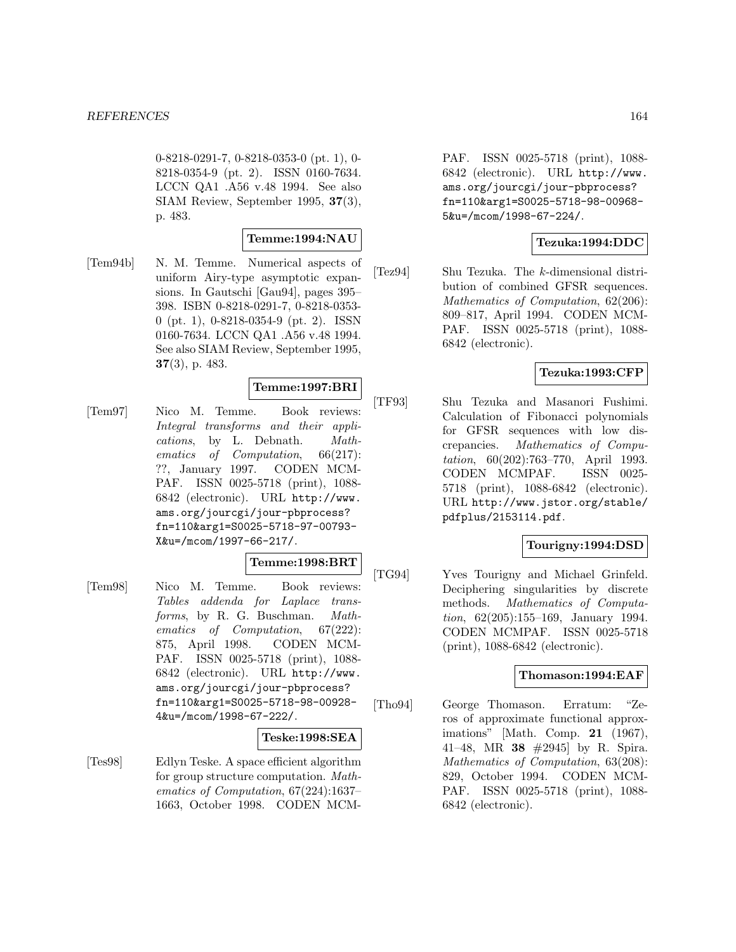0-8218-0291-7, 0-8218-0353-0 (pt. 1), 0- 8218-0354-9 (pt. 2). ISSN 0160-7634. LCCN QA1 .A56 v.48 1994. See also SIAM Review, September 1995, **37**(3), p. 483.

#### **Temme:1994:NAU**

[Tem94b] N. M. Temme. Numerical aspects of uniform Airy-type asymptotic expansions. In Gautschi [Gau94], pages 395– 398. ISBN 0-8218-0291-7, 0-8218-0353- 0 (pt. 1), 0-8218-0354-9 (pt. 2). ISSN 0160-7634. LCCN QA1 .A56 v.48 1994. See also SIAM Review, September 1995, **37**(3), p. 483.

## **Temme:1997:BRI**

[Tem97] Nico M. Temme. Book reviews: Integral transforms and their applications, by L. Debnath. Mathematics of Computation, 66(217): ??, January 1997. CODEN MCM-PAF. ISSN 0025-5718 (print), 1088- 6842 (electronic). URL http://www. ams.org/jourcgi/jour-pbprocess? fn=110&arg1=S0025-5718-97-00793- X&u=/mcom/1997-66-217/.

## **Temme:1998:BRT**

[Tem98] Nico M. Temme. Book reviews: Tables addenda for Laplace transforms, by R. G. Buschman. Mathematics of Computation, 67(222): 875, April 1998. CODEN MCM-PAF. ISSN 0025-5718 (print), 1088- 6842 (electronic). URL http://www. ams.org/jourcgi/jour-pbprocess? fn=110&arg1=S0025-5718-98-00928- 4&u=/mcom/1998-67-222/.

## **Teske:1998:SEA**

[Tes98] Edlyn Teske. A space efficient algorithm for group structure computation. Mathematics of Computation, 67(224):1637– 1663, October 1998. CODEN MCM- PAF. ISSN 0025-5718 (print), 1088- 6842 (electronic). URL http://www. ams.org/jourcgi/jour-pbprocess? fn=110&arg1=S0025-5718-98-00968- 5&u=/mcom/1998-67-224/.

# **Tezuka:1994:DDC**

[Tez94] Shu Tezuka. The k-dimensional distribution of combined GFSR sequences. Mathematics of Computation, 62(206): 809–817, April 1994. CODEN MCM-PAF. ISSN 0025-5718 (print), 1088- 6842 (electronic).

# **Tezuka:1993:CFP**

[TF93] Shu Tezuka and Masanori Fushimi. Calculation of Fibonacci polynomials for GFSR sequences with low discrepancies. Mathematics of Computation, 60(202):763–770, April 1993. CODEN MCMPAF. ISSN 0025- 5718 (print), 1088-6842 (electronic). URL http://www.jstor.org/stable/ pdfplus/2153114.pdf.

## **Tourigny:1994:DSD**

[TG94] Yves Tourigny and Michael Grinfeld. Deciphering singularities by discrete methods. Mathematics of Computation, 62(205):155–169, January 1994. CODEN MCMPAF. ISSN 0025-5718 (print), 1088-6842 (electronic).

## **Thomason:1994:EAF**

[Tho94] George Thomason. Erratum: "Zeros of approximate functional approximations" [Math. Comp. **21** (1967), 41–48, MR **38** #2945] by R. Spira. Mathematics of Computation, 63(208): 829, October 1994. CODEN MCM-PAF. ISSN 0025-5718 (print), 1088- 6842 (electronic).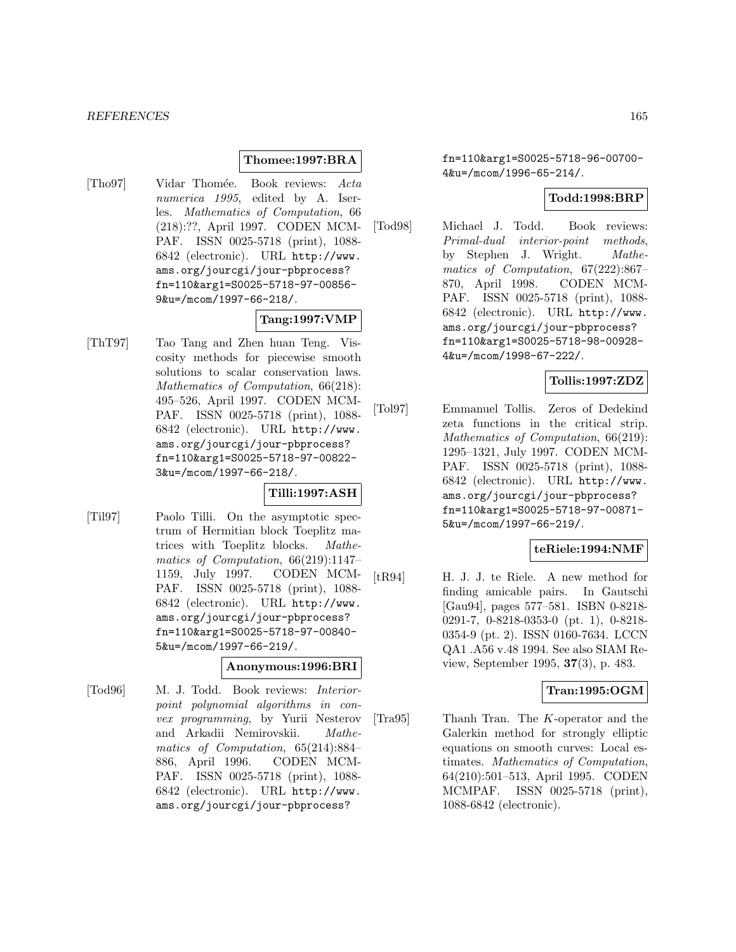#### **Thomee:1997:BRA**

[Tho97] Vidar Thomée. Book reviews: Acta numerica 1995, edited by A. Iserles. Mathematics of Computation, 66 (218):??, April 1997. CODEN MCM-PAF. ISSN 0025-5718 (print), 1088- 6842 (electronic). URL http://www. ams.org/jourcgi/jour-pbprocess? fn=110&arg1=S0025-5718-97-00856- 9&u=/mcom/1997-66-218/.

#### **Tang:1997:VMP**

[ThT97] Tao Tang and Zhen huan Teng. Viscosity methods for piecewise smooth solutions to scalar conservation laws. Mathematics of Computation, 66(218): 495–526, April 1997. CODEN MCM-PAF. ISSN 0025-5718 (print), 1088- 6842 (electronic). URL http://www. ams.org/jourcgi/jour-pbprocess? fn=110&arg1=S0025-5718-97-00822- 3&u=/mcom/1997-66-218/.

## **Tilli:1997:ASH**

[Til97] Paolo Tilli. On the asymptotic spectrum of Hermitian block Toeplitz matrices with Toeplitz blocks. Mathematics of Computation, 66(219):1147– 1159, July 1997. CODEN MCM-PAF. ISSN 0025-5718 (print), 1088- 6842 (electronic). URL http://www. ams.org/jourcgi/jour-pbprocess? fn=110&arg1=S0025-5718-97-00840- 5&u=/mcom/1997-66-219/.

## **Anonymous:1996:BRI**

[Tod96] M. J. Todd. Book reviews: Interiorpoint polynomial algorithms in convex programming, by Yurii Nesterov and Arkadii Nemirovskii. Mathematics of Computation, 65(214):884– 886, April 1996. CODEN MCM-PAF. ISSN 0025-5718 (print), 1088- 6842 (electronic). URL http://www. ams.org/jourcgi/jour-pbprocess?

fn=110&arg1=S0025-5718-96-00700- 4&u=/mcom/1996-65-214/.

# **Todd:1998:BRP**

[Tod98] Michael J. Todd. Book reviews: Primal-dual interior-point methods, by Stephen J. Wright. Mathematics of Computation, 67(222):867– 870, April 1998. CODEN MCM-PAF. ISSN 0025-5718 (print), 1088- 6842 (electronic). URL http://www. ams.org/jourcgi/jour-pbprocess? fn=110&arg1=S0025-5718-98-00928- 4&u=/mcom/1998-67-222/.

# **Tollis:1997:ZDZ**

[Tol97] Emmanuel Tollis. Zeros of Dedekind zeta functions in the critical strip. Mathematics of Computation, 66(219): 1295–1321, July 1997. CODEN MCM-PAF. ISSN 0025-5718 (print), 1088- 6842 (electronic). URL http://www. ams.org/jourcgi/jour-pbprocess? fn=110&arg1=S0025-5718-97-00871- 5&u=/mcom/1997-66-219/.

## **teRiele:1994:NMF**

[tR94] H. J. J. te Riele. A new method for finding amicable pairs. In Gautschi [Gau94], pages 577–581. ISBN 0-8218- 0291-7, 0-8218-0353-0 (pt. 1), 0-8218- 0354-9 (pt. 2). ISSN 0160-7634. LCCN QA1 .A56 v.48 1994. See also SIAM Review, September 1995, **37**(3), p. 483.

## **Tran:1995:OGM**

[Tra95] Thanh Tran. The K-operator and the Galerkin method for strongly elliptic equations on smooth curves: Local estimates. Mathematics of Computation, 64(210):501–513, April 1995. CODEN MCMPAF. ISSN 0025-5718 (print), 1088-6842 (electronic).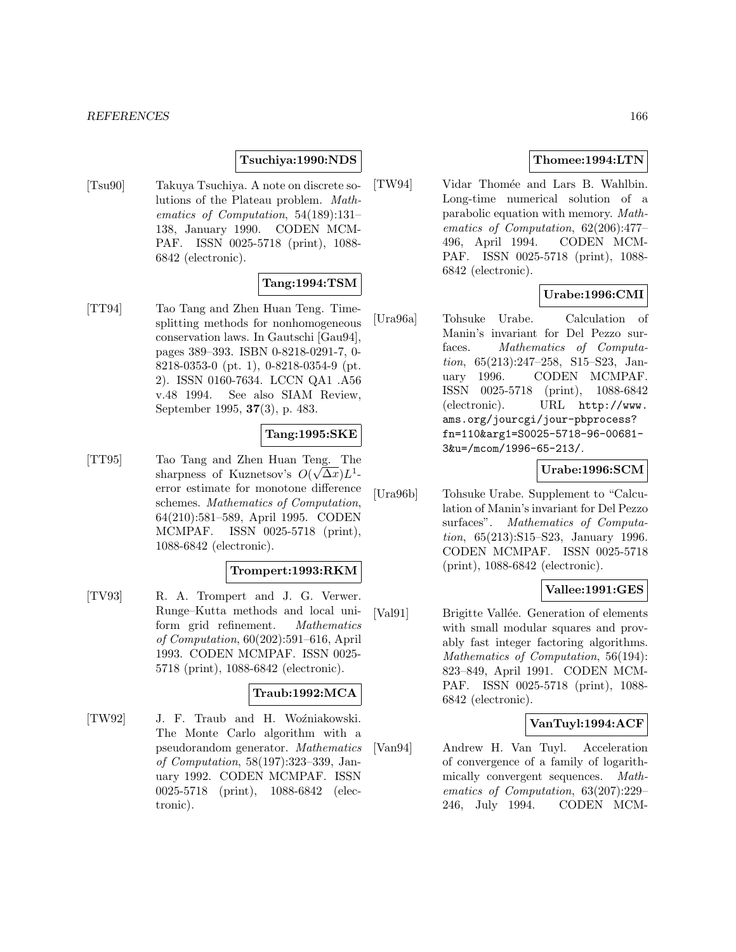#### *REFERENCES* 166

## **Tsuchiya:1990:NDS**

[Tsu90] Takuya Tsuchiya. A note on discrete solutions of the Plateau problem. Mathematics of Computation, 54(189):131– 138, January 1990. CODEN MCM-PAF. ISSN 0025-5718 (print), 1088- 6842 (electronic).

## **Tang:1994:TSM**

[TT94] Tao Tang and Zhen Huan Teng. Timesplitting methods for nonhomogeneous conservation laws. In Gautschi [Gau94], pages 389–393. ISBN 0-8218-0291-7, 0- 8218-0353-0 (pt. 1), 0-8218-0354-9 (pt. 2). ISSN 0160-7634. LCCN QA1 .A56 v.48 1994. See also SIAM Review, September 1995, **37**(3), p. 483.

## **Tang:1995:SKE**

[TT95] Tao Tang and Zhen Huan Teng. The sharpness of Kuznetsov's  $O(\sqrt{\Delta x})L^1$ error estimate for monotone difference schemes. Mathematics of Computation, 64(210):581–589, April 1995. CODEN MCMPAF. ISSN 0025-5718 (print), 1088-6842 (electronic).

#### **Trompert:1993:RKM**

[TV93] R. A. Trompert and J. G. Verwer. Runge–Kutta methods and local uniform grid refinement. Mathematics of Computation, 60(202):591–616, April 1993. CODEN MCMPAF. ISSN 0025- 5718 (print), 1088-6842 (electronic).

# **Traub:1992:MCA**

[TW92] J. F. Traub and H. Woźniakowski. The Monte Carlo algorithm with a pseudorandom generator. Mathematics of Computation, 58(197):323–339, January 1992. CODEN MCMPAF. ISSN 0025-5718 (print), 1088-6842 (electronic).

## **Thomee:1994:LTN**

[TW94] Vidar Thomée and Lars B. Wahlbin. Long-time numerical solution of a parabolic equation with memory. Mathematics of Computation, 62(206):477– 496, April 1994. CODEN MCM-PAF. ISSN 0025-5718 (print), 1088- 6842 (electronic).

## **Urabe:1996:CMI**

[Ura96a] Tohsuke Urabe. Calculation of Manin's invariant for Del Pezzo surfaces. Mathematics of Computation, 65(213):247–258, S15–S23, January 1996. CODEN MCMPAF. ISSN 0025-5718 (print), 1088-6842 (electronic). URL http://www. ams.org/jourcgi/jour-pbprocess? fn=110&arg1=S0025-5718-96-00681- 3&u=/mcom/1996-65-213/.

#### **Urabe:1996:SCM**

[Ura96b] Tohsuke Urabe. Supplement to "Calculation of Manin's invariant for Del Pezzo surfaces". Mathematics of Computation, 65(213):S15–S23, January 1996. CODEN MCMPAF. ISSN 0025-5718 (print), 1088-6842 (electronic).

## **Vallee:1991:GES**

[Val91] Brigitte Vallée. Generation of elements with small modular squares and provably fast integer factoring algorithms. Mathematics of Computation, 56(194): 823–849, April 1991. CODEN MCM-PAF. ISSN 0025-5718 (print), 1088- 6842 (electronic).

# **VanTuyl:1994:ACF**

[Van94] Andrew H. Van Tuyl. Acceleration of convergence of a family of logarithmically convergent sequences. Mathematics of Computation, 63(207):229– 246, July 1994. CODEN MCM-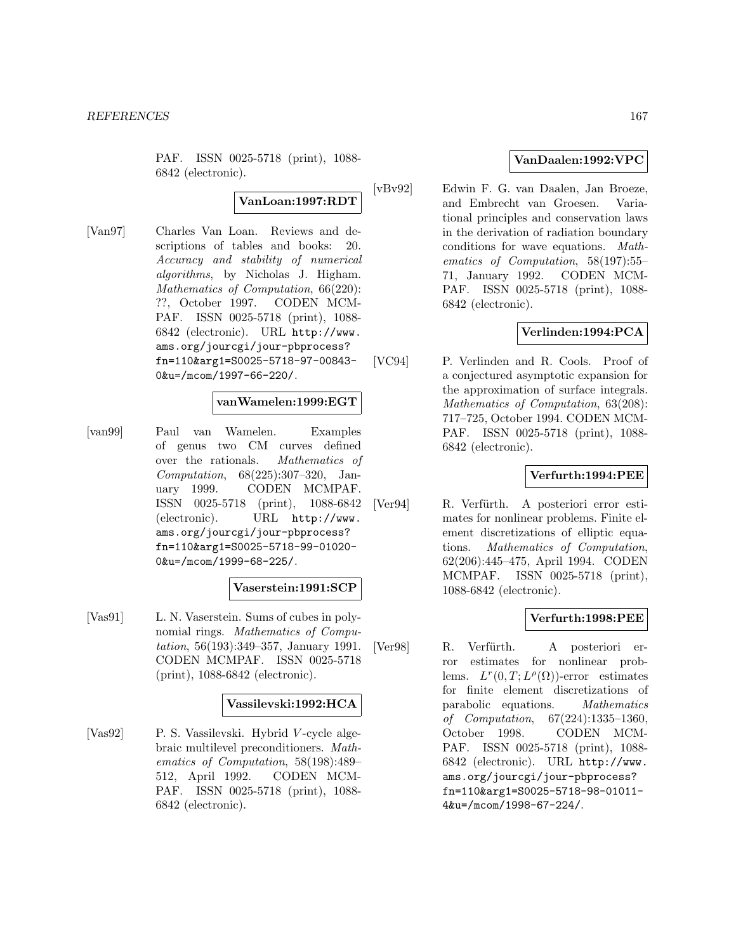PAF. ISSN 0025-5718 (print), 1088- 6842 (electronic).

# **VanLoan:1997:RDT**

[Van97] Charles Van Loan. Reviews and descriptions of tables and books: 20. Accuracy and stability of numerical algorithms, by Nicholas J. Higham. Mathematics of Computation, 66(220): ??, October 1997. CODEN MCM-PAF. ISSN 0025-5718 (print), 1088- 6842 (electronic). URL http://www. ams.org/jourcgi/jour-pbprocess? fn=110&arg1=S0025-5718-97-00843- 0&u=/mcom/1997-66-220/.

## **vanWamelen:1999:EGT**

[van99] Paul van Wamelen. Examples of genus two CM curves defined over the rationals. Mathematics of Computation, 68(225):307–320, January 1999. CODEN MCMPAF. ISSN 0025-5718 (print), 1088-6842 (electronic). URL http://www. ams.org/jourcgi/jour-pbprocess? fn=110&arg1=S0025-5718-99-01020- 0&u=/mcom/1999-68-225/.

## **Vaserstein:1991:SCP**

[Vas91] L. N. Vaserstein. Sums of cubes in polynomial rings. Mathematics of Computation, 56(193):349–357, January 1991. CODEN MCMPAF. ISSN 0025-5718 (print), 1088-6842 (electronic).

## **Vassilevski:1992:HCA**

[Vas92] P. S. Vassilevski. Hybrid V -cycle algebraic multilevel preconditioners. Mathematics of Computation, 58(198):489– 512, April 1992. CODEN MCM-PAF. ISSN 0025-5718 (print), 1088- 6842 (electronic).

## **VanDaalen:1992:VPC**

[vBv92] Edwin F. G. van Daalen, Jan Broeze, and Embrecht van Groesen. Variational principles and conservation laws in the derivation of radiation boundary conditions for wave equations. Mathematics of Computation, 58(197):55– 71, January 1992. CODEN MCM-PAF. ISSN 0025-5718 (print), 1088- 6842 (electronic).

## **Verlinden:1994:PCA**

[VC94] P. Verlinden and R. Cools. Proof of a conjectured asymptotic expansion for the approximation of surface integrals. Mathematics of Computation, 63(208): 717–725, October 1994. CODEN MCM-PAF. ISSN 0025-5718 (print), 1088- 6842 (electronic).

# **Verfurth:1994:PEE**

[Ver94] R. Verfürth. A posteriori error estimates for nonlinear problems. Finite element discretizations of elliptic equations. Mathematics of Computation, 62(206):445–475, April 1994. CODEN MCMPAF. ISSN 0025-5718 (print), 1088-6842 (electronic).

## **Verfurth:1998:PEE**

[Ver98] R. Verfürth. A posteriori error estimates for nonlinear problems.  $L^r(0,T;L^{\rho}(\Omega))$ -error estimates for finite element discretizations of parabolic equations. Mathematics of Computation, 67(224):1335–1360, October 1998. CODEN MCM-PAF. ISSN 0025-5718 (print), 1088- 6842 (electronic). URL http://www. ams.org/jourcgi/jour-pbprocess? fn=110&arg1=S0025-5718-98-01011- 4&u=/mcom/1998-67-224/.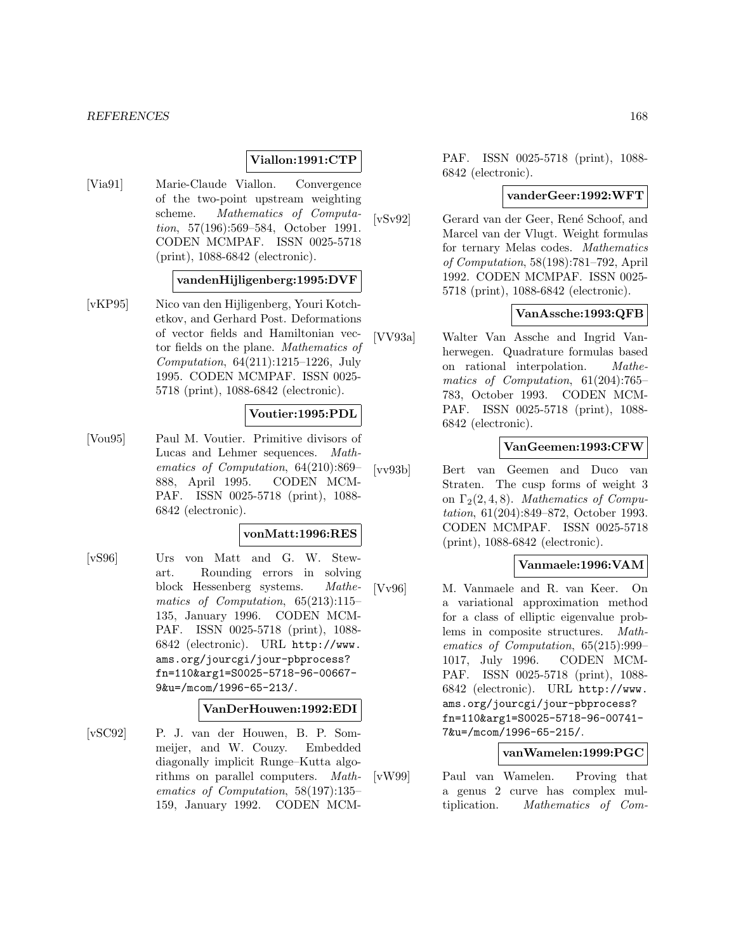## **Viallon:1991:CTP**

[Via91] Marie-Claude Viallon. Convergence of the two-point upstream weighting scheme. Mathematics of Computation, 57(196):569–584, October 1991. CODEN MCMPAF. ISSN 0025-5718 (print), 1088-6842 (electronic).

#### **vandenHijligenberg:1995:DVF**

[vKP95] Nico van den Hijligenberg, Youri Kotchetkov, and Gerhard Post. Deformations of vector fields and Hamiltonian vector fields on the plane. Mathematics of Computation, 64(211):1215–1226, July 1995. CODEN MCMPAF. ISSN 0025- 5718 (print), 1088-6842 (electronic).

#### **Voutier:1995:PDL**

[Vou95] Paul M. Voutier. Primitive divisors of Lucas and Lehmer sequences. Mathematics of Computation, 64(210):869– 888, April 1995. CODEN MCM-PAF. ISSN 0025-5718 (print), 1088- 6842 (electronic).

# **vonMatt:1996:RES**

[vS96] Urs von Matt and G. W. Stewart. Rounding errors in solving block Hessenberg systems. Mathematics of Computation, 65(213):115– 135, January 1996. CODEN MCM-PAF. ISSN 0025-5718 (print), 1088- 6842 (electronic). URL http://www. ams.org/jourcgi/jour-pbprocess? fn=110&arg1=S0025-5718-96-00667- 9&u=/mcom/1996-65-213/.

#### **VanDerHouwen:1992:EDI**

[vSC92] P. J. van der Houwen, B. P. Sommeijer, and W. Couzy. Embedded diagonally implicit Runge–Kutta algorithms on parallel computers. Mathematics of Computation, 58(197):135– 159, January 1992. CODEN MCM-

PAF. ISSN 0025-5718 (print), 1088- 6842 (electronic).

#### **vanderGeer:1992:WFT**

[vSv92] Gerard van der Geer, René Schoof, and Marcel van der Vlugt. Weight formulas for ternary Melas codes. Mathematics of Computation, 58(198):781–792, April 1992. CODEN MCMPAF. ISSN 0025- 5718 (print), 1088-6842 (electronic).

# **VanAssche:1993:QFB**

[VV93a] Walter Van Assche and Ingrid Vanherwegen. Quadrature formulas based on rational interpolation. Mathematics of Computation, 61(204):765– 783, October 1993. CODEN MCM-PAF. ISSN 0025-5718 (print), 1088- 6842 (electronic).

## **VanGeemen:1993:CFW**

[vv93b] Bert van Geemen and Duco van Straten. The cusp forms of weight 3 on  $\Gamma_2(2, 4, 8)$ . Mathematics of Computation, 61(204):849–872, October 1993. CODEN MCMPAF. ISSN 0025-5718 (print), 1088-6842 (electronic).

## **Vanmaele:1996:VAM**

[Vv96] M. Vanmaele and R. van Keer. On a variational approximation method for a class of elliptic eigenvalue problems in composite structures. Mathematics of Computation, 65(215):999– 1017, July 1996. CODEN MCM-PAF. ISSN 0025-5718 (print), 1088- 6842 (electronic). URL http://www. ams.org/jourcgi/jour-pbprocess? fn=110&arg1=S0025-5718-96-00741- 7&u=/mcom/1996-65-215/.

# **vanWamelen:1999:PGC**

[vW99] Paul van Wamelen. Proving that a genus 2 curve has complex multiplication. Mathematics of Com-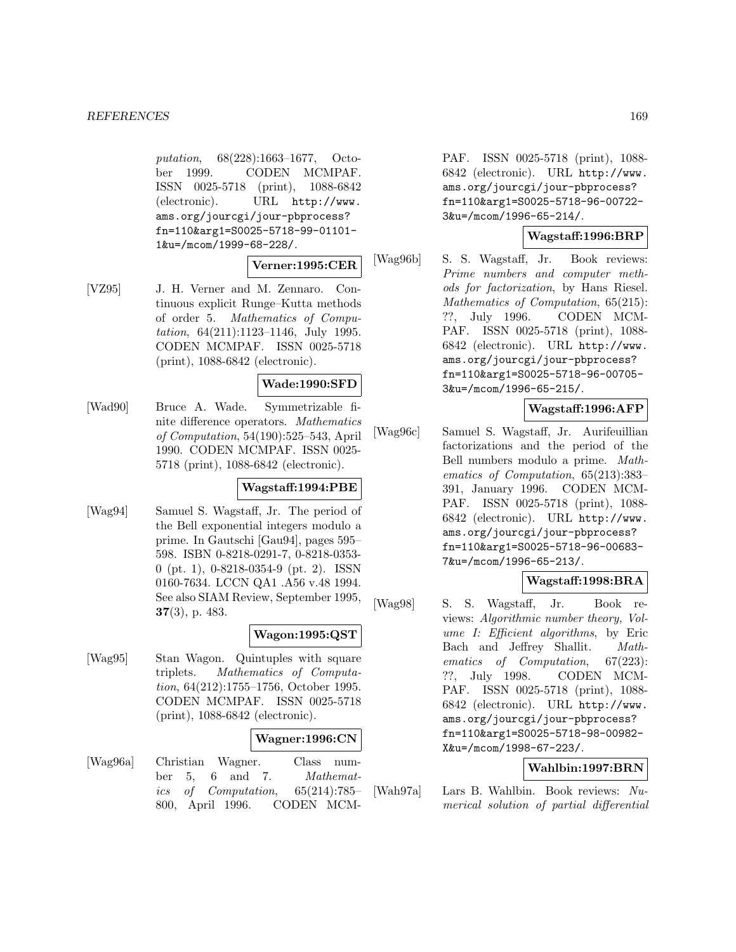putation, 68(228):1663–1677, October 1999. CODEN MCMPAF. ISSN 0025-5718 (print), 1088-6842 (electronic). URL http://www. ams.org/jourcgi/jour-pbprocess? fn=110&arg1=S0025-5718-99-01101- 1&u=/mcom/1999-68-228/.

# **Verner:1995:CER**

[VZ95] J. H. Verner and M. Zennaro. Continuous explicit Runge–Kutta methods of order 5. Mathematics of Computation, 64(211):1123–1146, July 1995. CODEN MCMPAF. ISSN 0025-5718 (print), 1088-6842 (electronic).

## **Wade:1990:SFD**

[Wad90] Bruce A. Wade. Symmetrizable finite difference operators. Mathematics of Computation, 54(190):525–543, April 1990. CODEN MCMPAF. ISSN 0025- 5718 (print), 1088-6842 (electronic).

# **Wagstaff:1994:PBE**

[Wag94] Samuel S. Wagstaff, Jr. The period of the Bell exponential integers modulo a prime. In Gautschi [Gau94], pages 595– 598. ISBN 0-8218-0291-7, 0-8218-0353- 0 (pt. 1), 0-8218-0354-9 (pt. 2). ISSN 0160-7634. LCCN QA1 .A56 v.48 1994. See also SIAM Review, September 1995, **37**(3), p. 483.

# **Wagon:1995:QST**

[Wag95] Stan Wagon. Quintuples with square triplets. Mathematics of Computation, 64(212):1755–1756, October 1995. CODEN MCMPAF. ISSN 0025-5718 (print), 1088-6842 (electronic).

# **Wagner:1996:CN**

[Wag96a] Christian Wagner. Class number 5, 6 and 7. Mathematics of Computation, 65(214):785– 800, April 1996. CODEN MCM- PAF. ISSN 0025-5718 (print), 1088- 6842 (electronic). URL http://www. ams.org/jourcgi/jour-pbprocess? fn=110&arg1=S0025-5718-96-00722- 3&u=/mcom/1996-65-214/.

# **Wagstaff:1996:BRP**

[Wag96b] S. S. Wagstaff, Jr. Book reviews: Prime numbers and computer methods for factorization, by Hans Riesel. Mathematics of Computation, 65(215): ??, July 1996. CODEN MCM-PAF. ISSN 0025-5718 (print), 1088- 6842 (electronic). URL http://www. ams.org/jourcgi/jour-pbprocess? fn=110&arg1=S0025-5718-96-00705- 3&u=/mcom/1996-65-215/.

## **Wagstaff:1996:AFP**

[Wag96c] Samuel S. Wagstaff, Jr. Aurifeuillian factorizations and the period of the Bell numbers modulo a prime. Mathematics of Computation, 65(213):383– 391, January 1996. CODEN MCM-PAF. ISSN 0025-5718 (print), 1088- 6842 (electronic). URL http://www. ams.org/jourcgi/jour-pbprocess? fn=110&arg1=S0025-5718-96-00683- 7&u=/mcom/1996-65-213/.

# **Wagstaff:1998:BRA**

[Wag98] S. S. Wagstaff, Jr. Book reviews: Algorithmic number theory, Volume I: Efficient algorithms, by Eric Bach and Jeffrey Shallit. Mathematics of Computation, 67(223): ??, July 1998. CODEN MCM-PAF. ISSN 0025-5718 (print), 1088- 6842 (electronic). URL http://www. ams.org/jourcgi/jour-pbprocess? fn=110&arg1=S0025-5718-98-00982- X&u=/mcom/1998-67-223/.

# **Wahlbin:1997:BRN**

[Wah97a] Lars B. Wahlbin. Book reviews: Numerical solution of partial differential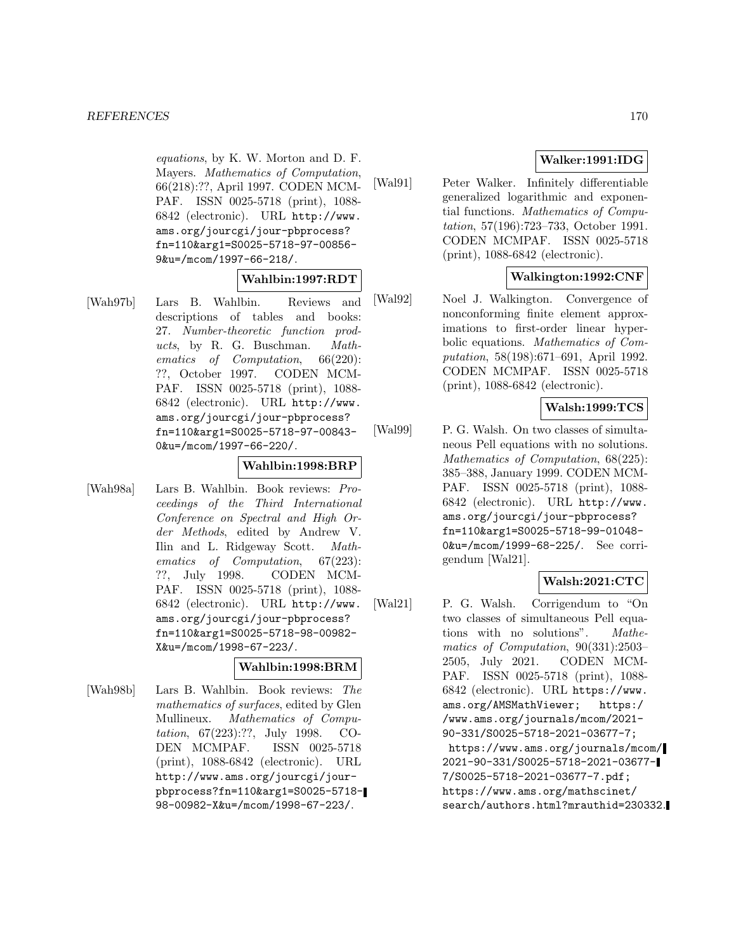equations, by K. W. Morton and D. F. Mayers. Mathematics of Computation, 66(218):??, April 1997. CODEN MCM-PAF. ISSN 0025-5718 (print), 1088- 6842 (electronic). URL http://www. ams.org/jourcgi/jour-pbprocess? fn=110&arg1=S0025-5718-97-00856- 9&u=/mcom/1997-66-218/.

## **Wahlbin:1997:RDT**

[Wah97b] Lars B. Wahlbin. Reviews and descriptions of tables and books: 27. Number-theoretic function products, by R. G. Buschman. Mathematics of Computation, 66(220): ??, October 1997. CODEN MCM-PAF. ISSN 0025-5718 (print), 1088- 6842 (electronic). URL http://www. ams.org/jourcgi/jour-pbprocess? fn=110&arg1=S0025-5718-97-00843- 0&u=/mcom/1997-66-220/.

#### **Wahlbin:1998:BRP**

[Wah98a] Lars B. Wahlbin. Book reviews: Proceedings of the Third International Conference on Spectral and High Order Methods, edited by Andrew V. Ilin and L. Ridgeway Scott. Mathematics of Computation, 67(223): ??, July 1998. CODEN MCM-PAF. ISSN 0025-5718 (print), 1088- 6842 (electronic). URL http://www. ams.org/jourcgi/jour-pbprocess? fn=110&arg1=S0025-5718-98-00982- X&u=/mcom/1998-67-223/.

## **Wahlbin:1998:BRM**

[Wah98b] Lars B. Wahlbin. Book reviews: The mathematics of surfaces, edited by Glen Mullineux. Mathematics of Computation, 67(223):??, July 1998. CO-DEN MCMPAF. ISSN 0025-5718 (print), 1088-6842 (electronic). URL http://www.ams.org/jourcgi/jourpbprocess?fn=110&arg1=S0025-5718- 98-00982-X&u=/mcom/1998-67-223/.

# **Walker:1991:IDG**

[Wal91] Peter Walker. Infinitely differentiable generalized logarithmic and exponential functions. Mathematics of Computation, 57(196):723–733, October 1991. CODEN MCMPAF. ISSN 0025-5718 (print), 1088-6842 (electronic).

# **Walkington:1992:CNF**

[Wal92] Noel J. Walkington. Convergence of nonconforming finite element approximations to first-order linear hyperbolic equations. Mathematics of Computation, 58(198):671–691, April 1992. CODEN MCMPAF. ISSN 0025-5718 (print), 1088-6842 (electronic).

## **Walsh:1999:TCS**

[Wal99] P. G. Walsh. On two classes of simultaneous Pell equations with no solutions. Mathematics of Computation, 68(225): 385–388, January 1999. CODEN MCM-PAF. ISSN 0025-5718 (print), 1088- 6842 (electronic). URL http://www. ams.org/jourcgi/jour-pbprocess? fn=110&arg1=S0025-5718-99-01048- 0&u=/mcom/1999-68-225/. See corrigendum [Wal21].

# **Walsh:2021:CTC**

[Wal21] P. G. Walsh. Corrigendum to "On two classes of simultaneous Pell equations with no solutions". Mathematics of Computation, 90(331):2503– 2505, July 2021. CODEN MCM-PAF. ISSN 0025-5718 (print), 1088- 6842 (electronic). URL https://www. ams.org/AMSMathViewer; https:/ /www.ams.org/journals/mcom/2021- 90-331/S0025-5718-2021-03677-7; https://www.ams.org/journals/mcom/ 2021-90-331/S0025-5718-2021-03677- 7/S0025-5718-2021-03677-7.pdf; https://www.ams.org/mathscinet/ search/authors.html?mrauthid=230332.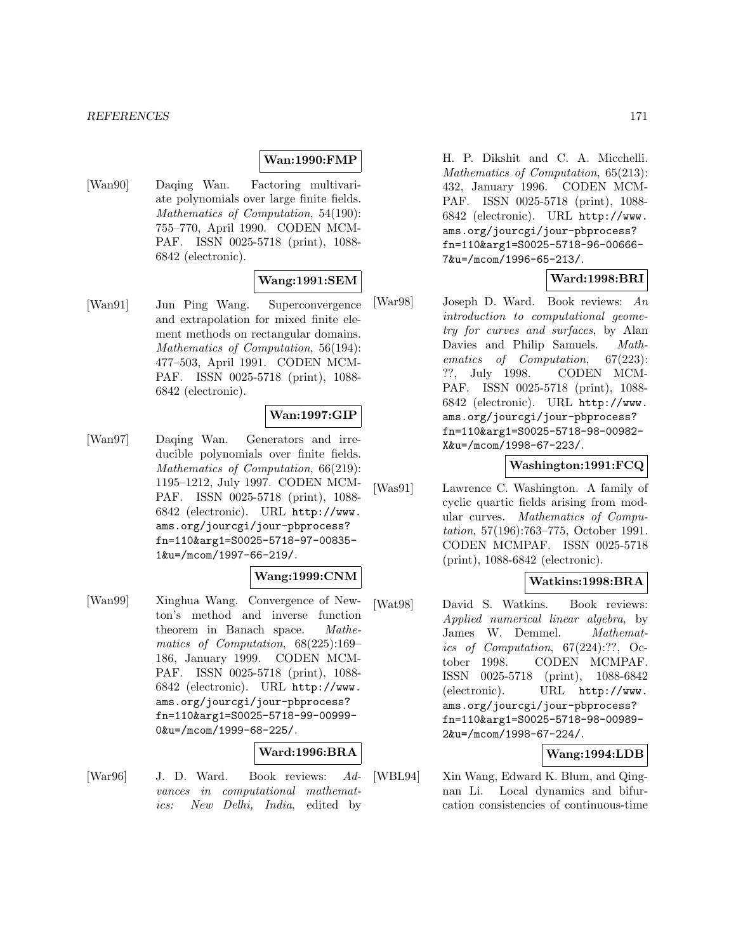## **Wan:1990:FMP**

[Wan90] Daqing Wan. Factoring multivariate polynomials over large finite fields. Mathematics of Computation, 54(190): 755–770, April 1990. CODEN MCM-PAF. ISSN 0025-5718 (print), 1088- 6842 (electronic).

## **Wang:1991:SEM**

[Wan91] Jun Ping Wang. Superconvergence and extrapolation for mixed finite element methods on rectangular domains. Mathematics of Computation, 56(194): 477–503, April 1991. CODEN MCM-PAF. ISSN 0025-5718 (print), 1088- 6842 (electronic).

## **Wan:1997:GIP**

[Wan97] Daqing Wan. Generators and irreducible polynomials over finite fields. Mathematics of Computation, 66(219): 1195–1212, July 1997. CODEN MCM-PAF. ISSN 0025-5718 (print), 1088- 6842 (electronic). URL http://www. ams.org/jourcgi/jour-pbprocess? fn=110&arg1=S0025-5718-97-00835- 1&u=/mcom/1997-66-219/.

# **Wang:1999:CNM**

[Wan99] Xinghua Wang. Convergence of Newton's method and inverse function theorem in Banach space. Mathematics of Computation, 68(225):169– 186, January 1999. CODEN MCM-PAF. ISSN 0025-5718 (print), 1088- 6842 (electronic). URL http://www. ams.org/jourcgi/jour-pbprocess? fn=110&arg1=S0025-5718-99-00999- 0&u=/mcom/1999-68-225/.

#### **Ward:1996:BRA**

[War96] J. D. Ward. Book reviews: Advances in computational mathematics: New Delhi, India, edited by H. P. Dikshit and C. A. Micchelli. Mathematics of Computation, 65(213): 432, January 1996. CODEN MCM-PAF. ISSN 0025-5718 (print), 1088- 6842 (electronic). URL http://www. ams.org/jourcgi/jour-pbprocess? fn=110&arg1=S0025-5718-96-00666- 7&u=/mcom/1996-65-213/.

## **Ward:1998:BRI**

[War98] Joseph D. Ward. Book reviews: An introduction to computational geometry for curves and surfaces, by Alan Davies and Philip Samuels. *Math*ematics of Computation, 67(223): ??, July 1998. CODEN MCM-PAF. ISSN 0025-5718 (print), 1088- 6842 (electronic). URL http://www. ams.org/jourcgi/jour-pbprocess? fn=110&arg1=S0025-5718-98-00982- X&u=/mcom/1998-67-223/.

## **Washington:1991:FCQ**

[Was91] Lawrence C. Washington. A family of cyclic quartic fields arising from modular curves. Mathematics of Computation, 57(196):763–775, October 1991. CODEN MCMPAF. ISSN 0025-5718 (print), 1088-6842 (electronic).

## **Watkins:1998:BRA**

[Wat98] David S. Watkins. Book reviews: Applied numerical linear algebra, by James W. Demmel. Mathematics of Computation, 67(224):??, October 1998. CODEN MCMPAF. ISSN 0025-5718 (print), 1088-6842 (electronic). URL http://www. ams.org/jourcgi/jour-pbprocess? fn=110&arg1=S0025-5718-98-00989- 2&u=/mcom/1998-67-224/.

## **Wang:1994:LDB**

[WBL94] Xin Wang, Edward K. Blum, and Qingnan Li. Local dynamics and bifurcation consistencies of continuous-time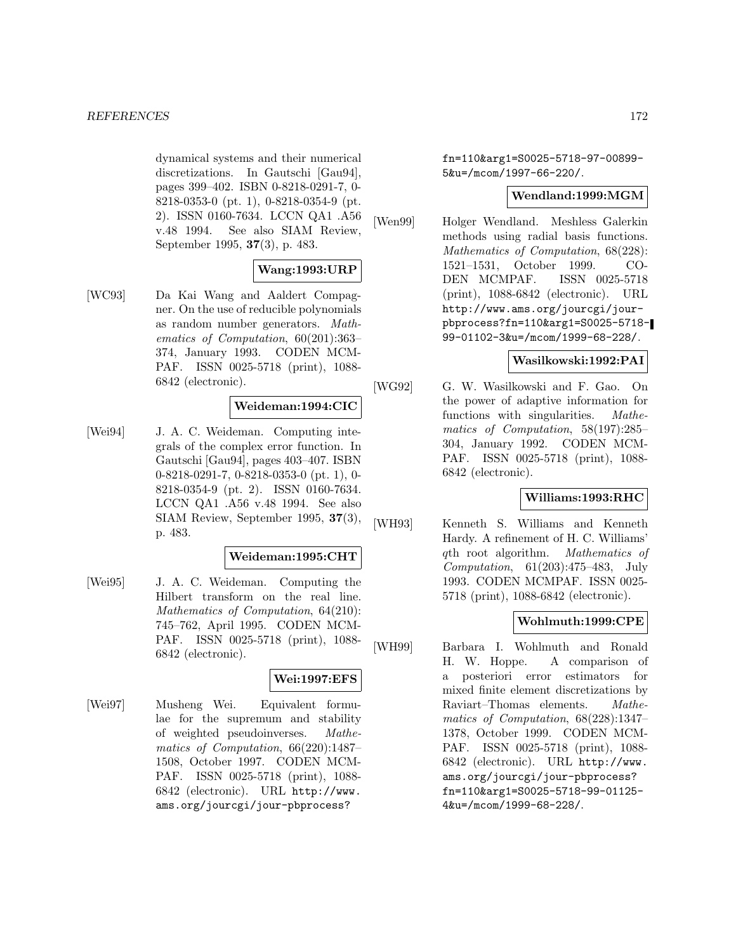dynamical systems and their numerical discretizations. In Gautschi [Gau94], pages 399–402. ISBN 0-8218-0291-7, 0- 8218-0353-0 (pt. 1), 0-8218-0354-9 (pt. 2). ISSN 0160-7634. LCCN QA1 .A56 v.48 1994. See also SIAM Review, September 1995, **37**(3), p. 483.

# **Wang:1993:URP**

[WC93] Da Kai Wang and Aaldert Compagner. On the use of reducible polynomials as random number generators. Mathematics of Computation, 60(201):363– 374, January 1993. CODEN MCM-PAF. ISSN 0025-5718 (print), 1088- 6842 (electronic).

## **Weideman:1994:CIC**

[Wei94] J. A. C. Weideman. Computing integrals of the complex error function. In Gautschi [Gau94], pages 403–407. ISBN 0-8218-0291-7, 0-8218-0353-0 (pt. 1), 0- 8218-0354-9 (pt. 2). ISSN 0160-7634. LCCN QA1 .A56 v.48 1994. See also SIAM Review, September 1995, **37**(3), p. 483.

## **Weideman:1995:CHT**

[Wei95] J. A. C. Weideman. Computing the Hilbert transform on the real line. Mathematics of Computation, 64(210): 745–762, April 1995. CODEN MCM-PAF. ISSN 0025-5718 (print), 1088- 6842 (electronic).

# **Wei:1997:EFS**

[Wei97] Musheng Wei. Equivalent formulae for the supremum and stability of weighted pseudoinverses. Mathematics of Computation, 66(220):1487– 1508, October 1997. CODEN MCM-PAF. ISSN 0025-5718 (print), 1088- 6842 (electronic). URL http://www. ams.org/jourcgi/jour-pbprocess?

fn=110&arg1=S0025-5718-97-00899- 5&u=/mcom/1997-66-220/.

## **Wendland:1999:MGM**

[Wen99] Holger Wendland. Meshless Galerkin methods using radial basis functions. Mathematics of Computation, 68(228): 1521–1531, October 1999. CO-DEN MCMPAF. ISSN 0025-5718 (print), 1088-6842 (electronic). URL http://www.ams.org/jourcgi/jourpbprocess?fn=110&arg1=S0025-5718- 99-01102-3&u=/mcom/1999-68-228/.

# **Wasilkowski:1992:PAI**

[WG92] G. W. Wasilkowski and F. Gao. On the power of adaptive information for functions with singularities. Mathematics of Computation, 58(197):285– 304, January 1992. CODEN MCM-PAF. ISSN 0025-5718 (print), 1088- 6842 (electronic).

## **Williams:1993:RHC**

[WH93] Kenneth S. Williams and Kenneth Hardy. A refinement of H. C. Williams' qth root algorithm. Mathematics of Computation, 61(203):475–483, July 1993. CODEN MCMPAF. ISSN 0025- 5718 (print), 1088-6842 (electronic).

# **Wohlmuth:1999:CPE**

[WH99] Barbara I. Wohlmuth and Ronald H. W. Hoppe. A comparison of a posteriori error estimators for mixed finite element discretizations by Raviart–Thomas elements. Mathematics of Computation, 68(228):1347– 1378, October 1999. CODEN MCM-PAF. ISSN 0025-5718 (print), 1088- 6842 (electronic). URL http://www. ams.org/jourcgi/jour-pbprocess? fn=110&arg1=S0025-5718-99-01125- 4&u=/mcom/1999-68-228/.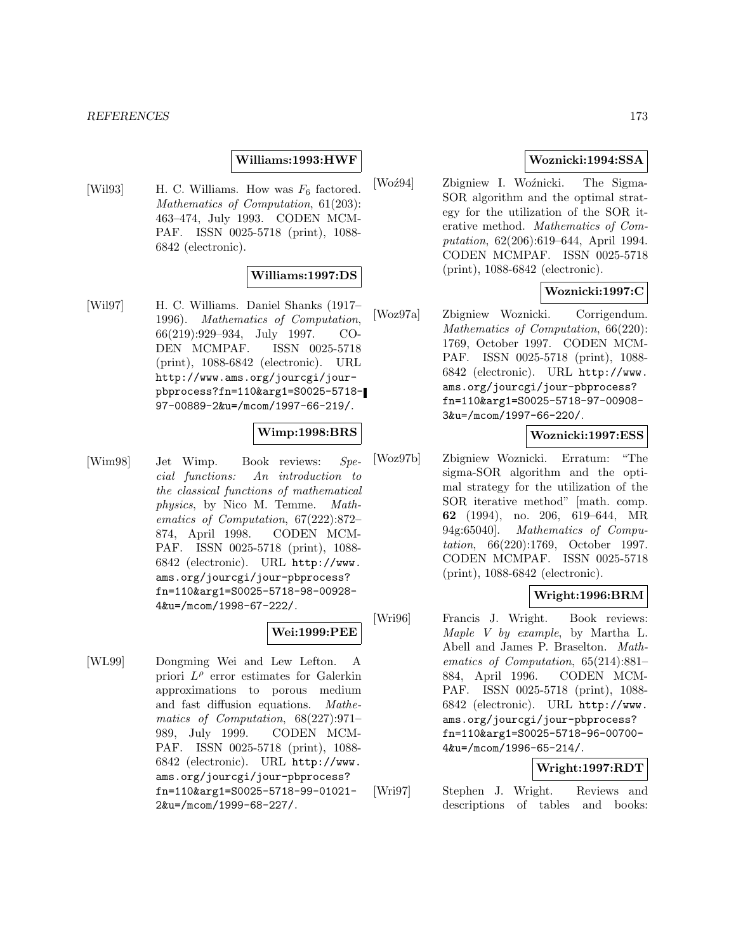#### *REFERENCES* 173

#### **Williams:1993:HWF**

[Wil93] H. C. Williams. How was  $F_6$  factored. Mathematics of Computation, 61(203): 463–474, July 1993. CODEN MCM-PAF. ISSN 0025-5718 (print), 1088- 6842 (electronic).

#### **Williams:1997:DS**

[Wil97] H. C. Williams. Daniel Shanks (1917– 1996). Mathematics of Computation, 66(219):929–934, July 1997. CO-DEN MCMPAF. ISSN 0025-5718 (print), 1088-6842 (electronic). URL http://www.ams.org/jourcgi/jourpbprocess?fn=110&arg1=S0025-5718- 97-00889-2&u=/mcom/1997-66-219/.

#### **Wimp:1998:BRS**

[Wim98] Jet Wimp. Book reviews: Special functions: An introduction to the classical functions of mathematical physics, by Nico M. Temme. Mathematics of Computation, 67(222):872– 874, April 1998. CODEN MCM-PAF. ISSN 0025-5718 (print), 1088- 6842 (electronic). URL http://www. ams.org/jourcgi/jour-pbprocess? fn=110&arg1=S0025-5718-98-00928- 4&u=/mcom/1998-67-222/.

# **Wei:1999:PEE**

[WL99] Dongming Wei and Lew Lefton. A priori  $L^{\rho}$  error estimates for Galerkin approximations to porous medium and fast diffusion equations. Mathematics of Computation, 68(227):971– 989, July 1999. CODEN MCM-PAF. ISSN 0025-5718 (print), 1088- 6842 (electronic). URL http://www. ams.org/jourcgi/jour-pbprocess? fn=110&arg1=S0025-5718-99-01021- 2&u=/mcom/1999-68-227/.

## **Woznicki:1994:SSA**

[Woź94] Zbigniew I. Woźnicki. The Sigma-SOR algorithm and the optimal strategy for the utilization of the SOR iterative method. Mathematics of Computation, 62(206):619–644, April 1994. CODEN MCMPAF. ISSN 0025-5718 (print), 1088-6842 (electronic).

## **Woznicki:1997:C**

[Woz97a] Zbigniew Woznicki. Corrigendum. Mathematics of Computation, 66(220): 1769, October 1997. CODEN MCM-PAF. ISSN 0025-5718 (print), 1088- 6842 (electronic). URL http://www. ams.org/jourcgi/jour-pbprocess? fn=110&arg1=S0025-5718-97-00908- 3&u=/mcom/1997-66-220/.

# **Woznicki:1997:ESS**

[Woz97b] Zbigniew Woznicki. Erratum: "The sigma-SOR algorithm and the optimal strategy for the utilization of the SOR iterative method" [math. comp. **62** (1994), no. 206, 619–644, MR 94g:65040]. Mathematics of Computation, 66(220):1769, October 1997. CODEN MCMPAF. ISSN 0025-5718 (print), 1088-6842 (electronic).

## **Wright:1996:BRM**

[Wri96] Francis J. Wright. Book reviews: Maple V by example, by Martha L. Abell and James P. Braselton. Mathematics of Computation, 65(214):881– 884, April 1996. CODEN MCM-PAF. ISSN 0025-5718 (print), 1088- 6842 (electronic). URL http://www. ams.org/jourcgi/jour-pbprocess? fn=110&arg1=S0025-5718-96-00700- 4&u=/mcom/1996-65-214/.

# **Wright:1997:RDT**

[Wri97] Stephen J. Wright. Reviews and descriptions of tables and books: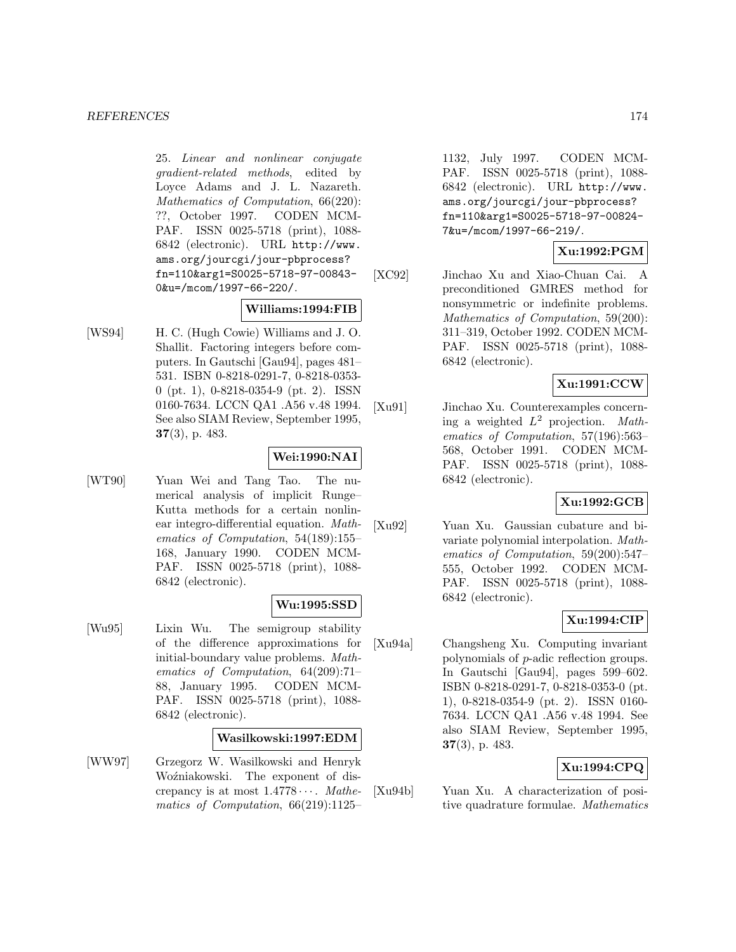25. Linear and nonlinear conjugate gradient-related methods, edited by Loyce Adams and J. L. Nazareth. Mathematics of Computation, 66(220): ??, October 1997. CODEN MCM-PAF. ISSN 0025-5718 (print), 1088- 6842 (electronic). URL http://www. ams.org/jourcgi/jour-pbprocess? fn=110&arg1=S0025-5718-97-00843- 0&u=/mcom/1997-66-220/.

# **Williams:1994:FIB**

[WS94] H. C. (Hugh Cowie) Williams and J. O. Shallit. Factoring integers before computers. In Gautschi [Gau94], pages 481– 531. ISBN 0-8218-0291-7, 0-8218-0353- 0 (pt. 1), 0-8218-0354-9 (pt. 2). ISSN 0160-7634. LCCN QA1 .A56 v.48 1994. See also SIAM Review, September 1995, **37**(3), p. 483.

## **Wei:1990:NAI**

[WT90] Yuan Wei and Tang Tao. The numerical analysis of implicit Runge– Kutta methods for a certain nonlinear integro-differential equation. Mathematics of Computation, 54(189):155– 168, January 1990. CODEN MCM-PAF. ISSN 0025-5718 (print), 1088- 6842 (electronic).

## **Wu:1995:SSD**

[Wu95] Lixin Wu. The semigroup stability of the difference approximations for initial-boundary value problems. Mathematics of Computation, 64(209):71– 88, January 1995. CODEN MCM-PAF. ISSN 0025-5718 (print), 1088- 6842 (electronic).

#### **Wasilkowski:1997:EDM**

[WW97] Grzegorz W. Wasilkowski and Henryk Woźniakowski. The exponent of discrepancy is at most  $1.4778\dots$  Mathematics of Computation, 66(219):1125–

1132, July 1997. CODEN MCM-PAF. ISSN 0025-5718 (print), 1088- 6842 (electronic). URL http://www. ams.org/jourcgi/jour-pbprocess? fn=110&arg1=S0025-5718-97-00824- 7&u=/mcom/1997-66-219/.

# **Xu:1992:PGM**

[XC92] Jinchao Xu and Xiao-Chuan Cai. A preconditioned GMRES method for nonsymmetric or indefinite problems. Mathematics of Computation, 59(200): 311–319, October 1992. CODEN MCM-PAF. ISSN 0025-5718 (print), 1088- 6842 (electronic).

# **Xu:1991:CCW**

[Xu91] Jinchao Xu. Counterexamples concerning a weighted  $L^2$  projection. Mathematics of Computation, 57(196):563– 568, October 1991. CODEN MCM-PAF. ISSN 0025-5718 (print), 1088- 6842 (electronic).

# **Xu:1992:GCB**

[Xu92] Yuan Xu. Gaussian cubature and bivariate polynomial interpolation. Mathematics of Computation, 59(200):547– 555, October 1992. CODEN MCM-PAF. ISSN 0025-5718 (print), 1088- 6842 (electronic).

#### **Xu:1994:CIP**

[Xu94a] Changsheng Xu. Computing invariant polynomials of p-adic reflection groups. In Gautschi [Gau94], pages 599–602. ISBN 0-8218-0291-7, 0-8218-0353-0 (pt. 1), 0-8218-0354-9 (pt. 2). ISSN 0160- 7634. LCCN QA1 .A56 v.48 1994. See also SIAM Review, September 1995, **37**(3), p. 483.

## **Xu:1994:CPQ**

[Xu94b] Yuan Xu. A characterization of positive quadrature formulae. Mathematics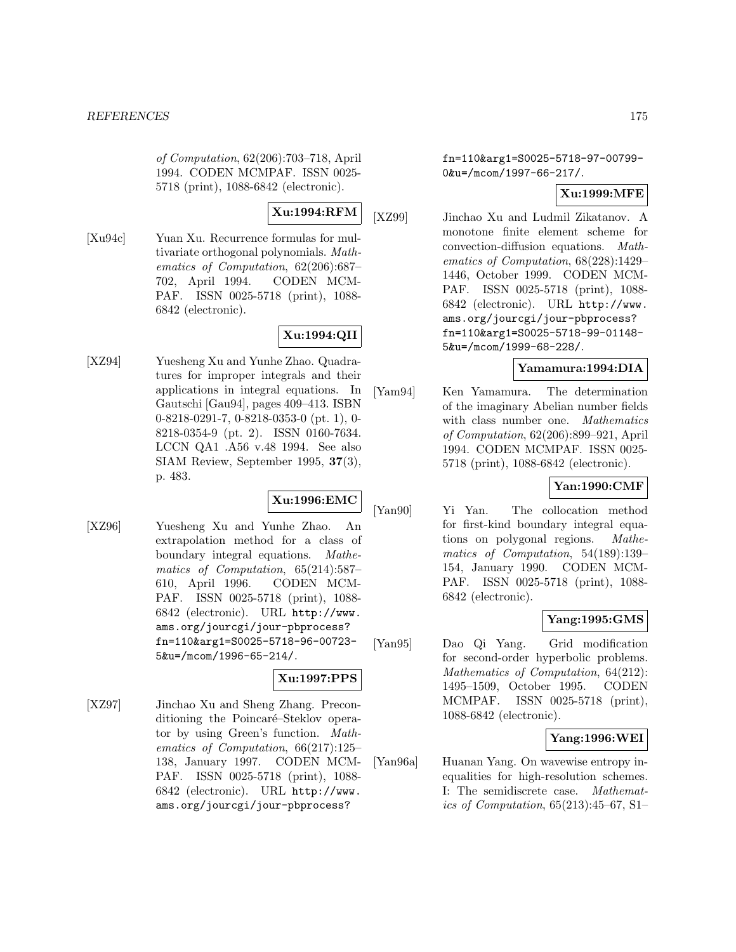of Computation, 62(206):703–718, April 1994. CODEN MCMPAF. ISSN 0025- 5718 (print), 1088-6842 (electronic).

# **Xu:1994:RFM**

[Xu94c] Yuan Xu. Recurrence formulas for multivariate orthogonal polynomials. Mathematics of Computation, 62(206):687– 702, April 1994. CODEN MCM-PAF. ISSN 0025-5718 (print), 1088- 6842 (electronic).

# **Xu:1994:QII**

[XZ94] Yuesheng Xu and Yunhe Zhao. Quadratures for improper integrals and their applications in integral equations. In Gautschi [Gau94], pages 409–413. ISBN 0-8218-0291-7, 0-8218-0353-0 (pt. 1), 0- 8218-0354-9 (pt. 2). ISSN 0160-7634. LCCN QA1 .A56 v.48 1994. See also SIAM Review, September 1995, **37**(3), p. 483.

# **Xu:1996:EMC**

[XZ96] Yuesheng Xu and Yunhe Zhao. An extrapolation method for a class of boundary integral equations. Mathematics of Computation, 65(214):587– 610, April 1996. CODEN MCM-PAF. ISSN 0025-5718 (print), 1088- 6842 (electronic). URL http://www. ams.org/jourcgi/jour-pbprocess? fn=110&arg1=S0025-5718-96-00723- 5&u=/mcom/1996-65-214/.

# **Xu:1997:PPS**

[XZ97] Jinchao Xu and Sheng Zhang. Preconditioning the Poincaré–Steklov operator by using Green's function. Mathematics of Computation, 66(217):125– 138, January 1997. CODEN MCM-PAF. ISSN 0025-5718 (print), 1088- 6842 (electronic). URL http://www. ams.org/jourcgi/jour-pbprocess?

fn=110&arg1=S0025-5718-97-00799- 0&u=/mcom/1997-66-217/.

# **Xu:1999:MFE**

[XZ99] Jinchao Xu and Ludmil Zikatanov. A monotone finite element scheme for convection-diffusion equations. Mathematics of Computation, 68(228):1429– 1446, October 1999. CODEN MCM-PAF. ISSN 0025-5718 (print), 1088- 6842 (electronic). URL http://www. ams.org/jourcgi/jour-pbprocess? fn=110&arg1=S0025-5718-99-01148- 5&u=/mcom/1999-68-228/.

# **Yamamura:1994:DIA**

[Yam94] Ken Yamamura. The determination of the imaginary Abelian number fields with class number one. Mathematics of Computation, 62(206):899–921, April 1994. CODEN MCMPAF. ISSN 0025- 5718 (print), 1088-6842 (electronic).

# **Yan:1990:CMF**

[Yan90] Yi Yan. The collocation method for first-kind boundary integral equations on polygonal regions. Mathematics of Computation, 54(189):139– 154, January 1990. CODEN MCM-PAF. ISSN 0025-5718 (print), 1088- 6842 (electronic).

# **Yang:1995:GMS**

[Yan95] Dao Qi Yang. Grid modification for second-order hyperbolic problems. Mathematics of Computation, 64(212): 1495–1509, October 1995. CODEN MCMPAF. ISSN 0025-5718 (print), 1088-6842 (electronic).

# **Yang:1996:WEI**

[Yan96a] Huanan Yang. On wavewise entropy inequalities for high-resolution schemes. I: The semidiscrete case. Mathematics of Computation, 65(213):45–67, S1–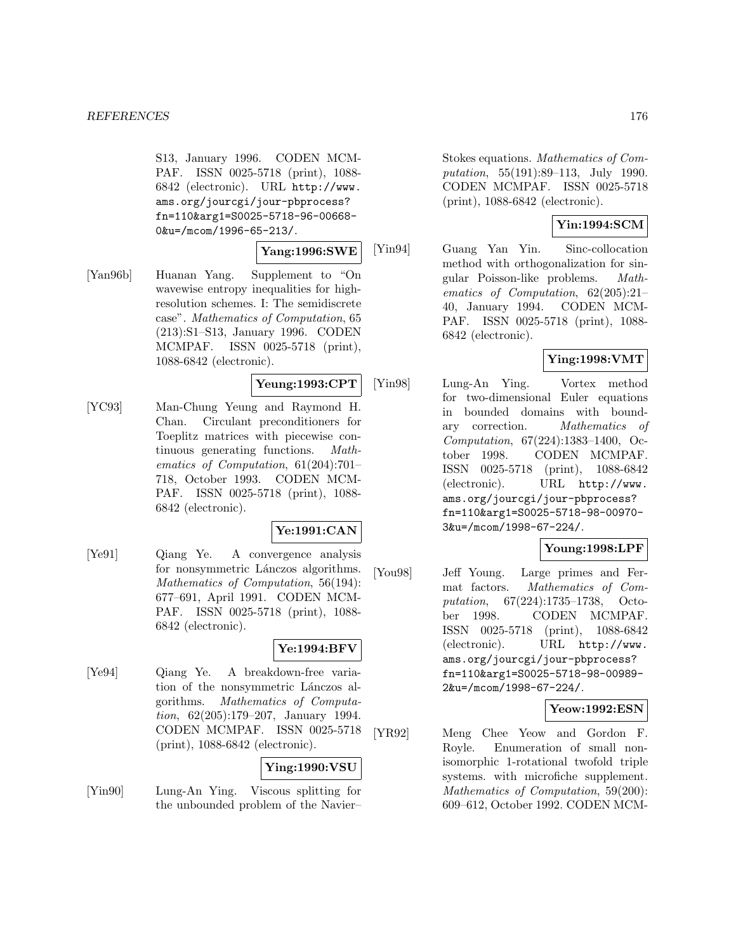S13, January 1996. CODEN MCM-PAF. ISSN 0025-5718 (print), 1088- 6842 (electronic). URL http://www. ams.org/jourcgi/jour-pbprocess? fn=110&arg1=S0025-5718-96-00668- 0&u=/mcom/1996-65-213/.

## **Yang:1996:SWE**

[Yan96b] Huanan Yang. Supplement to "On wavewise entropy inequalities for highresolution schemes. I: The semidiscrete case". Mathematics of Computation, 65 (213):S1–S13, January 1996. CODEN MCMPAF. ISSN 0025-5718 (print), 1088-6842 (electronic).

# **Yeung:1993:CPT**

[YC93] Man-Chung Yeung and Raymond H. Chan. Circulant preconditioners for Toeplitz matrices with piecewise continuous generating functions. Mathematics of Computation, 61(204):701– 718, October 1993. CODEN MCM-PAF. ISSN 0025-5718 (print), 1088- 6842 (electronic).

# **Ye:1991:CAN**

[Ye91] Qiang Ye. A convergence analysis for nonsymmetric Lánczos algorithms. Mathematics of Computation, 56(194): 677–691, April 1991. CODEN MCM-PAF. ISSN 0025-5718 (print), 1088- 6842 (electronic).

# **Ye:1994:BFV**

[Ye94] Qiang Ye. A breakdown-free variation of the nonsymmetric Lánczos algorithms. Mathematics of Computation, 62(205):179–207, January 1994. CODEN MCMPAF. ISSN 0025-5718 (print), 1088-6842 (electronic).

# **Ying:1990:VSU**

[Yin90] Lung-An Ying. Viscous splitting for the unbounded problem of the Navier–

Stokes equations. Mathematics of Computation, 55(191):89–113, July 1990. CODEN MCMPAF. ISSN 0025-5718 (print), 1088-6842 (electronic).

# **Yin:1994:SCM**

[Yin94] Guang Yan Yin. Sinc-collocation method with orthogonalization for singular Poisson-like problems. Mathematics of Computation, 62(205):21– 40, January 1994. CODEN MCM-PAF. ISSN 0025-5718 (print), 1088- 6842 (electronic).

# **Ying:1998:VMT**

[Yin98] Lung-An Ying. Vortex method for two-dimensional Euler equations in bounded domains with boundary correction. Mathematics of Computation, 67(224):1383–1400, October 1998. CODEN MCMPAF. ISSN 0025-5718 (print), 1088-6842 (electronic). URL http://www. ams.org/jourcgi/jour-pbprocess? fn=110&arg1=S0025-5718-98-00970- 3&u=/mcom/1998-67-224/.

## **Young:1998:LPF**

[You98] Jeff Young. Large primes and Fermat factors. Mathematics of Computation, 67(224):1735–1738, October 1998. CODEN MCMPAF. ISSN 0025-5718 (print), 1088-6842 (electronic). URL http://www. ams.org/jourcgi/jour-pbprocess? fn=110&arg1=S0025-5718-98-00989- 2&u=/mcom/1998-67-224/.

## **Yeow:1992:ESN**

[YR92] Meng Chee Yeow and Gordon F. Royle. Enumeration of small nonisomorphic 1-rotational twofold triple systems. with microfiche supplement. Mathematics of Computation, 59(200): 609–612, October 1992. CODEN MCM-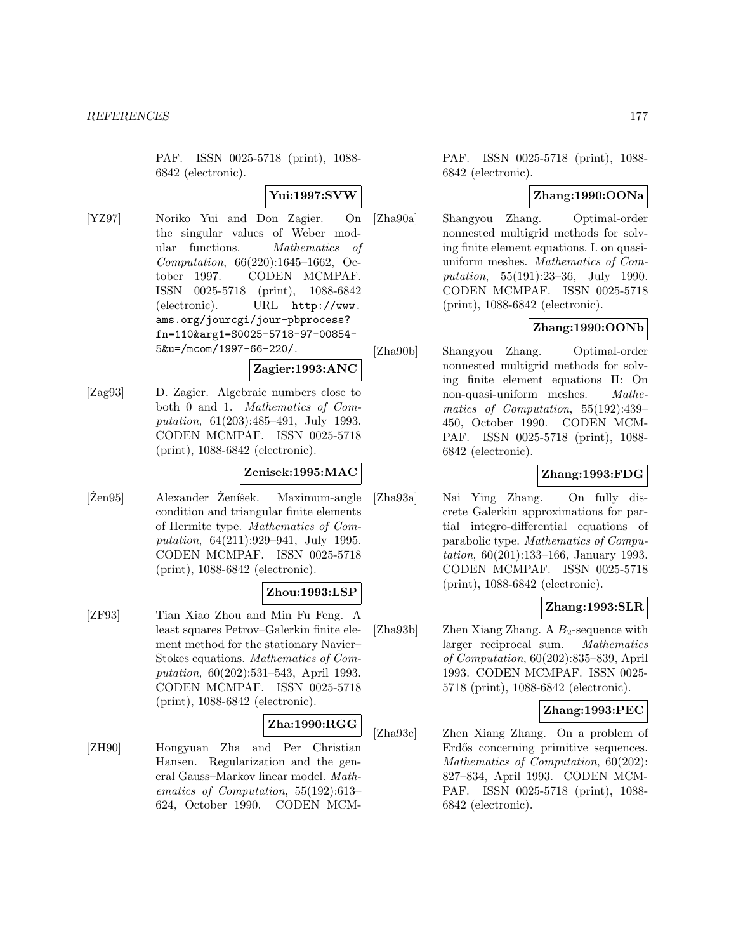PAF. ISSN 0025-5718 (print), 1088- 6842 (electronic).

## **Yui:1997:SVW**

[YZ97] Noriko Yui and Don Zagier. On the singular values of Weber modular functions. Mathematics of Computation, 66(220):1645–1662, October 1997. CODEN MCMPAF. ISSN 0025-5718 (print), 1088-6842 (electronic). URL http://www. ams.org/jourcgi/jour-pbprocess? fn=110&arg1=S0025-5718-97-00854- 5&u=/mcom/1997-66-220/.

# **Zagier:1993:ANC**

[Zag93] D. Zagier. Algebraic numbers close to both 0 and 1. Mathematics of Computation, 61(203):485–491, July 1993. CODEN MCMPAF. ISSN 0025-5718 (print), 1088-6842 (electronic).

## **Zenisek:1995:MAC**

[Žen95] Alexander Ženíšek. Maximum-angle condition and triangular finite elements of Hermite type. Mathematics of Computation, 64(211):929–941, July 1995. CODEN MCMPAF. ISSN 0025-5718 (print), 1088-6842 (electronic).

## **Zhou:1993:LSP**

[ZF93] Tian Xiao Zhou and Min Fu Feng. A least squares Petrov–Galerkin finite element method for the stationary Navier– Stokes equations. Mathematics of Computation, 60(202):531–543, April 1993. CODEN MCMPAF. ISSN 0025-5718 (print), 1088-6842 (electronic).

## **Zha:1990:RGG**

[ZH90] Hongyuan Zha and Per Christian Hansen. Regularization and the general Gauss–Markov linear model. Mathematics of Computation, 55(192):613– 624, October 1990. CODEN MCM- PAF. ISSN 0025-5718 (print), 1088- 6842 (electronic).

# **Zhang:1990:OONa**

[Zha90a] Shangyou Zhang. Optimal-order nonnested multigrid methods for solving finite element equations. I. on quasiuniform meshes. Mathematics of Computation, 55(191):23–36, July 1990. CODEN MCMPAF. ISSN 0025-5718 (print), 1088-6842 (electronic).

# **Zhang:1990:OONb**

[Zha90b] Shangyou Zhang. Optimal-order nonnested multigrid methods for solving finite element equations II: On non-quasi-uniform meshes. Mathematics of Computation, 55(192):439– 450, October 1990. CODEN MCM-PAF. ISSN 0025-5718 (print), 1088- 6842 (electronic).

# **Zhang:1993:FDG**

[Zha93a] Nai Ying Zhang. On fully discrete Galerkin approximations for partial integro-differential equations of parabolic type. Mathematics of Computation, 60(201):133–166, January 1993. CODEN MCMPAF. ISSN 0025-5718 (print), 1088-6842 (electronic).

# **Zhang:1993:SLR**

[Zha93b] Zhen Xiang Zhang. A  $B_2$ -sequence with larger reciprocal sum. Mathematics of Computation, 60(202):835–839, April 1993. CODEN MCMPAF. ISSN 0025- 5718 (print), 1088-6842 (electronic).

# **Zhang:1993:PEC**

[Zha93c] Zhen Xiang Zhang. On a problem of Erdős concerning primitive sequences. Mathematics of Computation, 60(202): 827–834, April 1993. CODEN MCM-PAF. ISSN 0025-5718 (print), 1088- 6842 (electronic).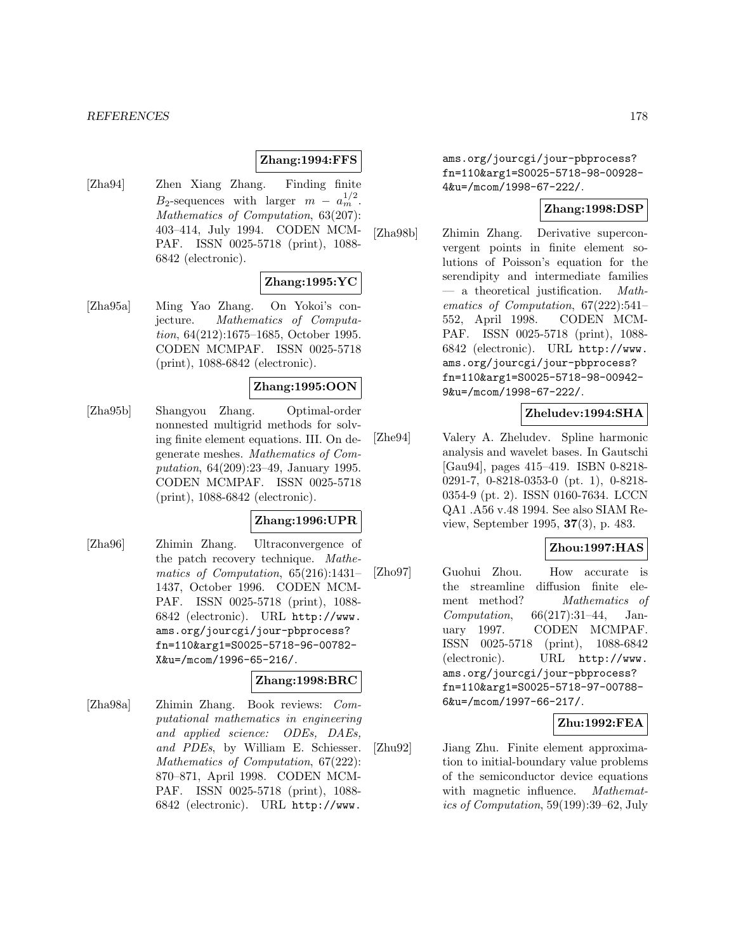#### *REFERENCES* 178

#### **Zhang:1994:FFS**

[Zha94] Zhen Xiang Zhang. Finding finite  $B_2$ -sequences with larger  $m - a_m^{1/2}$ . Mathematics of Computation, 63(207): 403–414, July 1994. CODEN MCM-PAF. ISSN 0025-5718 (print), 1088- 6842 (electronic).

## **Zhang:1995:YC**

[Zha95a] Ming Yao Zhang. On Yokoi's conjecture. Mathematics of Computation, 64(212):1675–1685, October 1995. CODEN MCMPAF. ISSN 0025-5718 (print), 1088-6842 (electronic).

## **Zhang:1995:OON**

[Zha95b] Shangyou Zhang. Optimal-order nonnested multigrid methods for solving finite element equations. III. On degenerate meshes. Mathematics of Computation, 64(209):23–49, January 1995. CODEN MCMPAF. ISSN 0025-5718 (print), 1088-6842 (electronic).

#### **Zhang:1996:UPR**

[Zha96] Zhimin Zhang. Ultraconvergence of the patch recovery technique. Mathematics of Computation, 65(216):1431– 1437, October 1996. CODEN MCM-PAF. ISSN 0025-5718 (print), 1088- 6842 (electronic). URL http://www. ams.org/jourcgi/jour-pbprocess? fn=110&arg1=S0025-5718-96-00782- X&u=/mcom/1996-65-216/.

#### **Zhang:1998:BRC**

[Zha98a] Zhimin Zhang. Book reviews: Computational mathematics in engineering and applied science: ODEs, DAEs, and PDEs, by William E. Schiesser. Mathematics of Computation, 67(222): 870–871, April 1998. CODEN MCM-PAF. ISSN 0025-5718 (print), 1088- 6842 (electronic). URL http://www.

ams.org/jourcgi/jour-pbprocess? fn=110&arg1=S0025-5718-98-00928- 4&u=/mcom/1998-67-222/.

## **Zhang:1998:DSP**

[Zha98b] Zhimin Zhang. Derivative superconvergent points in finite element solutions of Poisson's equation for the serendipity and intermediate families a theoretical justification. Mathematics of Computation, 67(222):541– 552, April 1998. CODEN MCM-PAF. ISSN 0025-5718 (print), 1088- 6842 (electronic). URL http://www. ams.org/jourcgi/jour-pbprocess? fn=110&arg1=S0025-5718-98-00942- 9&u=/mcom/1998-67-222/.

# **Zheludev:1994:SHA**

[Zhe94] Valery A. Zheludev. Spline harmonic analysis and wavelet bases. In Gautschi [Gau94], pages 415–419. ISBN 0-8218- 0291-7, 0-8218-0353-0 (pt. 1), 0-8218- 0354-9 (pt. 2). ISSN 0160-7634. LCCN QA1 .A56 v.48 1994. See also SIAM Review, September 1995, **37**(3), p. 483.

# **Zhou:1997:HAS**

[Zho97] Guohui Zhou. How accurate is the streamline diffusion finite element method? Mathematics of Computation, 66(217):31–44, January 1997. CODEN MCMPAF. ISSN 0025-5718 (print), 1088-6842 (electronic). URL http://www. ams.org/jourcgi/jour-pbprocess? fn=110&arg1=S0025-5718-97-00788- 6&u=/mcom/1997-66-217/.

# **Zhu:1992:FEA**

[Zhu92] Jiang Zhu. Finite element approximation to initial-boundary value problems of the semiconductor device equations with magnetic influence. *Mathemat*ics of Computation, 59(199):39–62, July